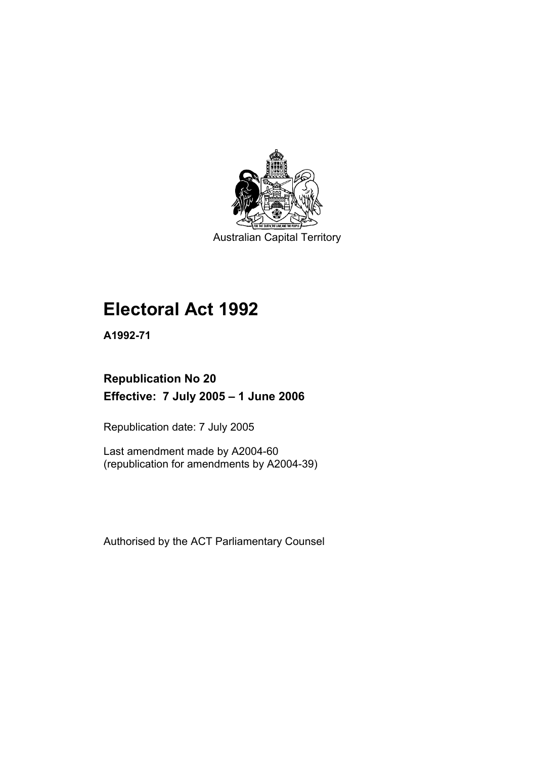

Australian Capital Territory

# **Electoral Act 1992**

**A1992-71** 

## **Republication No 20 Effective: 7 July 2005 – 1 June 2006**

Republication date: 7 July 2005

Last amendment made by A2004-60 (republication for amendments by A2004-39)

Authorised by the ACT Parliamentary Counsel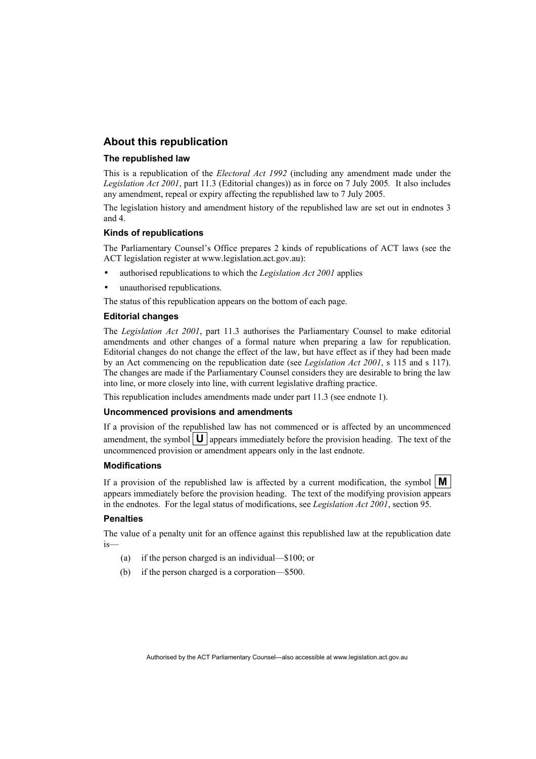#### **About this republication**

#### **The republished law**

This is a republication of the *Electoral Act 1992* (including any amendment made under the *Legislation Act 2001*, part 11.3 (Editorial changes)) as in force on 7 July 2005*.* It also includes any amendment, repeal or expiry affecting the republished law to 7 July 2005.

The legislation history and amendment history of the republished law are set out in endnotes 3 and 4.

#### **Kinds of republications**

The Parliamentary Counsel's Office prepares 2 kinds of republications of ACT laws (see the ACT legislation register at www.legislation.act.gov.au):

- authorised republications to which the *Legislation Act 2001* applies
- unauthorised republications.

The status of this republication appears on the bottom of each page.

#### **Editorial changes**

The *Legislation Act 2001*, part 11.3 authorises the Parliamentary Counsel to make editorial amendments and other changes of a formal nature when preparing a law for republication. Editorial changes do not change the effect of the law, but have effect as if they had been made by an Act commencing on the republication date (see *Legislation Act 2001*, s 115 and s 117). The changes are made if the Parliamentary Counsel considers they are desirable to bring the law into line, or more closely into line, with current legislative drafting practice.

This republication includes amendments made under part 11.3 (see endnote 1).

#### **Uncommenced provisions and amendments**

If a provision of the republished law has not commenced or is affected by an uncommenced amendment, the symbol  $\mathbf{U}$  appears immediately before the provision heading. The text of the uncommenced provision or amendment appears only in the last endnote.

#### **Modifications**

If a provision of the republished law is affected by a current modification, the symbol  $\mathbf{M}$ appears immediately before the provision heading. The text of the modifying provision appears in the endnotes. For the legal status of modifications, see *Legislation Act 2001*, section 95.

#### **Penalties**

The value of a penalty unit for an offence against this republished law at the republication date is—

- (a) if the person charged is an individual—\$100; or
- (b) if the person charged is a corporation—\$500.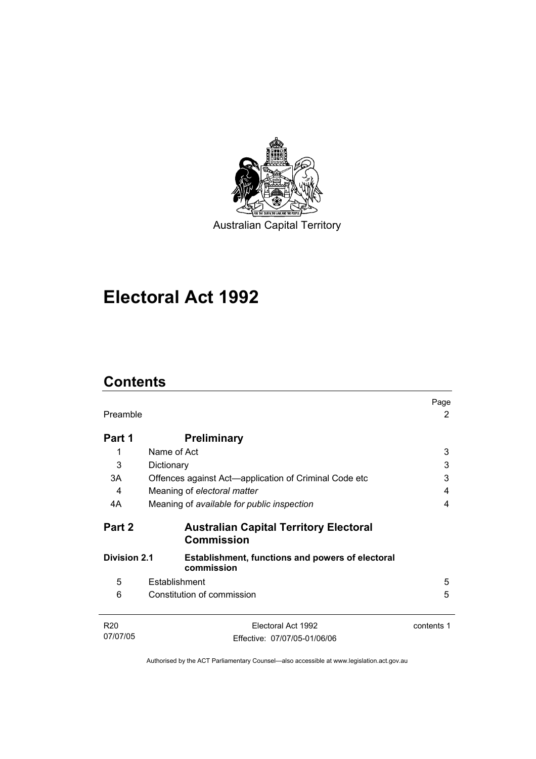

Australian Capital Territory

# **Electoral Act 1992**

## **Contents**

| Preamble            |                                                                       | Page<br>2  |
|---------------------|-----------------------------------------------------------------------|------------|
| Part 1              | <b>Preliminary</b>                                                    |            |
| 1                   | Name of Act                                                           | 3          |
| 3                   | Dictionary                                                            | 3          |
| 3A                  | Offences against Act—application of Criminal Code etc                 | 3          |
| 4                   | Meaning of electoral matter                                           | 4          |
| 4A                  | Meaning of available for public inspection                            | 4          |
| Part 2              | <b>Australian Capital Territory Electoral</b><br><b>Commission</b>    |            |
| <b>Division 2.1</b> | <b>Establishment, functions and powers of electoral</b><br>commission |            |
| 5                   | Establishment                                                         | 5          |
| 6                   | Constitution of commission                                            | 5          |
| R <sub>20</sub>     | Electoral Act 1992                                                    | contents 1 |
| 07/07/05            | Effective: 07/07/05-01/06/06                                          |            |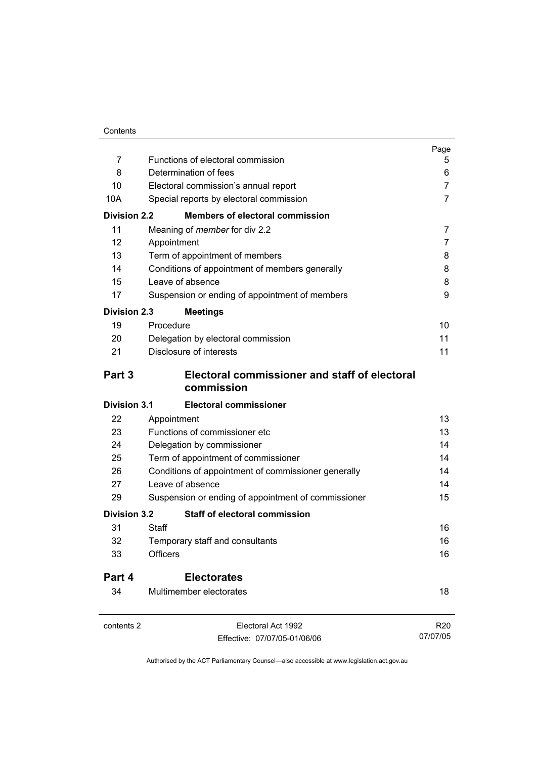|                     |                                                             | Page            |
|---------------------|-------------------------------------------------------------|-----------------|
| 7                   | Functions of electoral commission                           | 5               |
| 8                   | Determination of fees                                       | 6               |
| 10                  | Electoral commission's annual report                        | 7<br>7          |
| 10A                 | Special reports by electoral commission                     |                 |
| <b>Division 2.2</b> | <b>Members of electoral commission</b>                      |                 |
| 11                  | Meaning of <i>member</i> for div 2.2                        | 7               |
| 12 <sup>2</sup>     | Appointment                                                 | 7               |
| 13                  | Term of appointment of members                              | 8               |
| 14                  | Conditions of appointment of members generally              | 8               |
| 15                  | Leave of absence                                            | 8               |
| 17                  | Suspension or ending of appointment of members              | 9               |
| <b>Division 2.3</b> | <b>Meetings</b>                                             |                 |
| 19                  | Procedure                                                   | 10              |
| 20                  | Delegation by electoral commission                          | 11              |
| 21                  | Disclosure of interests                                     | 11              |
| Part 3              | Electoral commissioner and staff of electoral<br>commission |                 |
| <b>Division 3.1</b> | <b>Electoral commissioner</b>                               |                 |
| 22                  | Appointment                                                 | 13              |
| 23                  | Functions of commissioner etc                               | 13              |
| 24                  | Delegation by commissioner                                  | 14              |
| 25                  | Term of appointment of commissioner                         | 14              |
| 26                  | Conditions of appointment of commissioner generally         | 14              |
| 27                  | Leave of absence                                            | 14              |
| 29                  | Suspension or ending of appointment of commissioner         | 15              |
| <b>Division 3.2</b> | <b>Staff of electoral commission</b>                        |                 |
| 31                  | Staff                                                       | 16              |
| 32                  | Temporary staff and consultants                             | 16              |
| 33                  | <b>Officers</b>                                             | 16              |
| Part 4              | <b>Electorates</b>                                          |                 |
| 34                  | Multimember electorates                                     | 18              |
| contents 2          | Electoral Act 1992                                          | R <sub>20</sub> |
|                     | Effective: 07/07/05-01/06/06                                | 07/07/05        |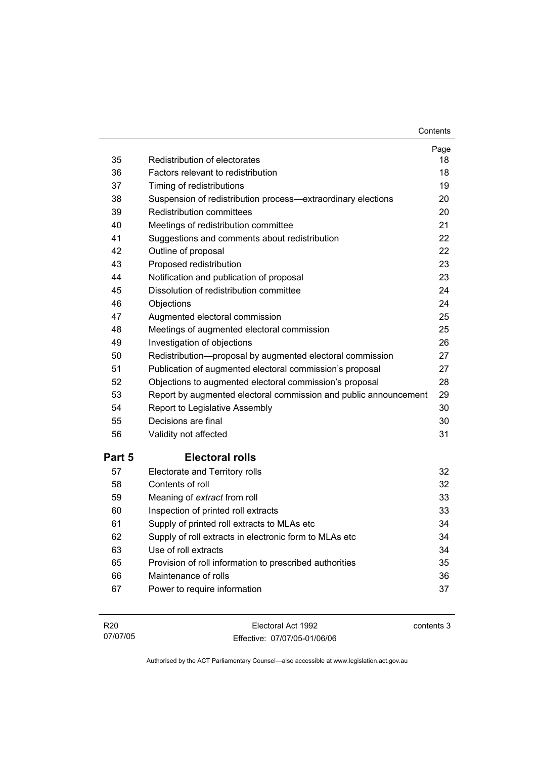**Contents** 

| 35     | Redistribution of electorates                                    | Page<br>18 |
|--------|------------------------------------------------------------------|------------|
| 36     | Factors relevant to redistribution                               | 18         |
| 37     | Timing of redistributions                                        | 19         |
| 38     | Suspension of redistribution process-extraordinary elections     | 20         |
| 39     | Redistribution committees                                        | 20         |
| 40     | Meetings of redistribution committee                             | 21         |
| 41     | Suggestions and comments about redistribution                    | 22         |
| 42     | Outline of proposal                                              | 22         |
| 43     | Proposed redistribution                                          | 23         |
| 44     | Notification and publication of proposal                         | 23         |
| 45     | Dissolution of redistribution committee                          | 24         |
| 46     | Objections                                                       | 24         |
| 47     | Augmented electoral commission                                   | 25         |
| 48     | Meetings of augmented electoral commission                       | 25         |
| 49     | Investigation of objections                                      | 26         |
| 50     | Redistribution-proposal by augmented electoral commission        | 27         |
| 51     | Publication of augmented electoral commission's proposal         | 27         |
| 52     | Objections to augmented electoral commission's proposal          | 28         |
| 53     | Report by augmented electoral commission and public announcement | 29         |
| 54     | Report to Legislative Assembly                                   | 30         |
| 55     | Decisions are final                                              | 30         |
| 56     | Validity not affected                                            | 31         |
| Part 5 | <b>Electoral rolls</b>                                           |            |
| 57     | Electorate and Territory rolls                                   | 32         |
| 58     | Contents of roll                                                 | 32         |
| 59     | Meaning of extract from roll                                     | 33         |
| 60     | Inspection of printed roll extracts                              | 33         |
| 61     | Supply of printed roll extracts to MLAs etc                      | 34         |
| 62     | Supply of roll extracts in electronic form to MLAs etc           | 34         |
| 63     | Use of roll extracts                                             | 34         |
| 65     | Provision of roll information to prescribed authorities          | 35         |
| 66     | Maintenance of rolls                                             | 36         |
| 67     | Power to require information                                     | 37         |
|        |                                                                  |            |

| R <sub>20</sub> | Electoral Act 1992           | contents 3 |
|-----------------|------------------------------|------------|
| 07/07/05        | Effective: 07/07/05-01/06/06 |            |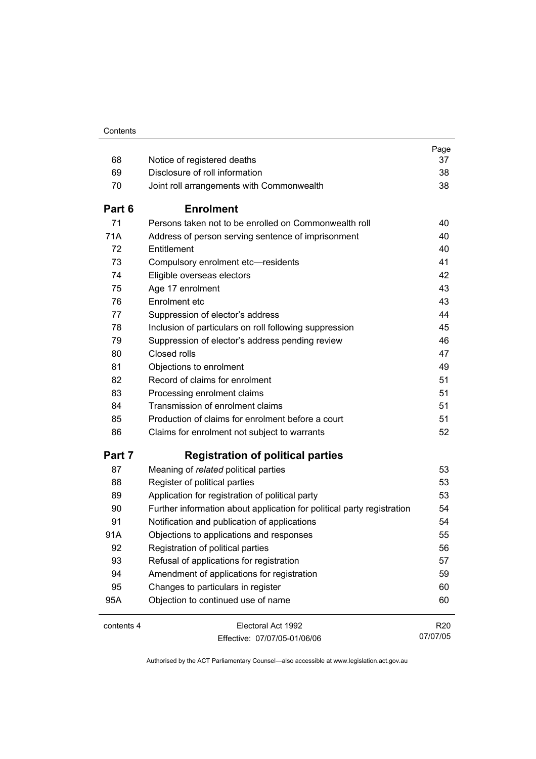|            |                                                                        | Page            |
|------------|------------------------------------------------------------------------|-----------------|
| 68         | Notice of registered deaths                                            | 37              |
| 69         | Disclosure of roll information                                         | 38              |
| 70         | Joint roll arrangements with Commonwealth                              | 38              |
| Part 6     | <b>Enrolment</b>                                                       |                 |
| 71         | Persons taken not to be enrolled on Commonwealth roll                  | 40              |
| 71A        | Address of person serving sentence of imprisonment                     | 40              |
| 72         | Entitlement                                                            | 40              |
| 73         | Compulsory enrolment etc-residents                                     | 41              |
| 74         | Eligible overseas electors                                             | 42              |
| 75         | Age 17 enrolment                                                       | 43              |
| 76         | Enrolment etc                                                          | 43              |
| 77         | Suppression of elector's address                                       | 44              |
| 78         | Inclusion of particulars on roll following suppression                 | 45              |
| 79         | Suppression of elector's address pending review                        | 46              |
| 80         | Closed rolls                                                           | 47              |
| 81         | Objections to enrolment                                                | 49              |
| 82         | Record of claims for enrolment                                         | 51              |
| 83         | Processing enrolment claims                                            | 51              |
| 84         | Transmission of enrolment claims                                       | 51              |
| 85         | Production of claims for enrolment before a court                      | 51              |
| 86         | Claims for enrolment not subject to warrants                           | 52              |
| Part 7     | <b>Registration of political parties</b>                               |                 |
| 87         | Meaning of related political parties                                   | 53              |
| 88         | Register of political parties                                          | 53              |
| 89         | Application for registration of political party                        | 53              |
| 90         | Further information about application for political party registration | 54              |
| 91         | Notification and publication of applications                           | 54              |
| 91A        | Objections to applications and responses                               | 55              |
| 92         | Registration of political parties                                      | 56              |
| 93         | Refusal of applications for registration                               | 57              |
| 94         | Amendment of applications for registration                             | 59              |
| 95         | Changes to particulars in register                                     | 60              |
| 95A        | Objection to continued use of name                                     | 60              |
| contents 4 | Electoral Act 1992                                                     | R <sub>20</sub> |
|            | Effective: 07/07/05-01/06/06                                           | 07/07/05        |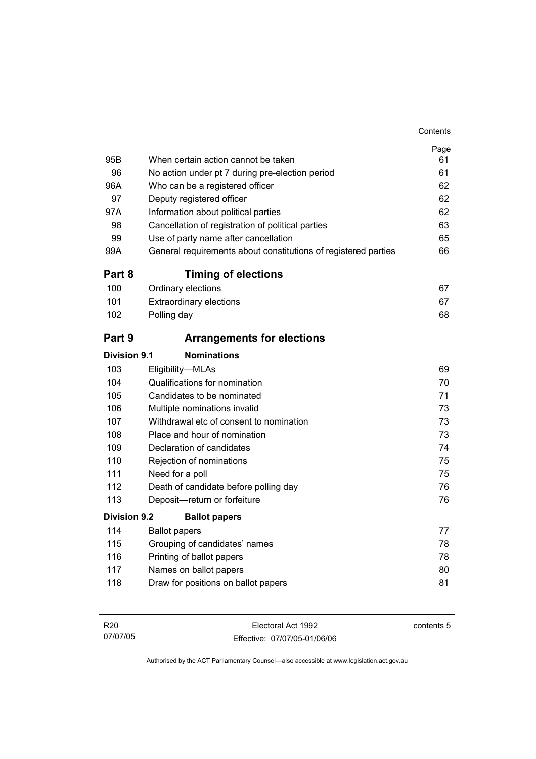| 95B                 | When certain action cannot be taken                            | Page<br>61 |
|---------------------|----------------------------------------------------------------|------------|
| 96                  | No action under pt 7 during pre-election period                | 61         |
| 96A                 | Who can be a registered officer                                | 62         |
| 97                  | Deputy registered officer                                      | 62         |
| 97A                 | Information about political parties                            | 62         |
| 98                  | Cancellation of registration of political parties              | 63         |
| 99                  | Use of party name after cancellation                           | 65         |
| 99A                 | General requirements about constitutions of registered parties | 66         |
| Part 8              | <b>Timing of elections</b>                                     |            |
| 100                 | Ordinary elections                                             | 67         |
| 101                 | <b>Extraordinary elections</b>                                 | 67         |
| 102                 | Polling day                                                    | 68         |
| Part 9              | <b>Arrangements for elections</b>                              |            |
| Division 9.1        | <b>Nominations</b>                                             |            |
| 103                 | Eligibility-MLAs                                               | 69         |
| 104                 | Qualifications for nomination                                  | 70         |
| 105                 | Candidates to be nominated                                     | 71         |
| 106                 | Multiple nominations invalid                                   | 73         |
| 107                 | Withdrawal etc of consent to nomination                        | 73         |
| 108                 | Place and hour of nomination                                   | 73         |
| 109                 | Declaration of candidates                                      | 74         |
| 110                 | Rejection of nominations                                       | 75         |
| 111                 | Need for a poll                                                | 75         |
| 112                 | Death of candidate before polling day                          | 76         |
| 113                 | Deposit-return or forfeiture                                   | 76         |
| <b>Division 9.2</b> | <b>Ballot papers</b>                                           |            |
| 114                 | <b>Ballot papers</b>                                           | 77         |
| 115                 | Grouping of candidates' names                                  | 78         |
| 116                 | Printing of ballot papers                                      | 78         |
| 117                 | Names on ballot papers                                         | 80         |
| 118                 | Draw for positions on ballot papers                            | 81         |

| R20      | Electoral Act 1992           | contents 5 |
|----------|------------------------------|------------|
| 07/07/05 | Effective: 07/07/05-01/06/06 |            |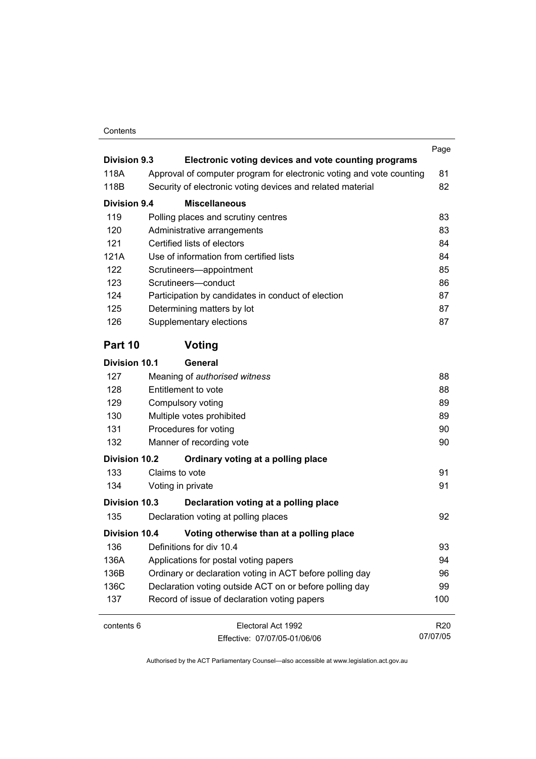#### Contents

| <b>Division 9.3</b>  |                                                                                                                                    | Page            |
|----------------------|------------------------------------------------------------------------------------------------------------------------------------|-----------------|
|                      | Electronic voting devices and vote counting programs                                                                               |                 |
| 118A<br>118B         | Approval of computer program for electronic voting and vote counting<br>Security of electronic voting devices and related material | 81<br>82        |
|                      |                                                                                                                                    |                 |
| <b>Division 9.4</b>  | <b>Miscellaneous</b>                                                                                                               |                 |
| 119                  | Polling places and scrutiny centres                                                                                                | 83              |
| 120                  | Administrative arrangements                                                                                                        | 83              |
| 121                  | Certified lists of electors                                                                                                        | 84              |
| 121A                 | Use of information from certified lists                                                                                            | 84              |
| 122                  | Scrutineers-appointment                                                                                                            | 85              |
| 123                  | Scrutineers-conduct                                                                                                                | 86              |
| 124                  | Participation by candidates in conduct of election                                                                                 | 87              |
| 125                  | Determining matters by lot                                                                                                         | 87              |
| 126                  | Supplementary elections                                                                                                            | 87              |
| Part 10              | Voting                                                                                                                             |                 |
| <b>Division 10.1</b> | General                                                                                                                            |                 |
| 127                  | Meaning of authorised witness                                                                                                      | 88              |
| 128                  | Entitlement to vote                                                                                                                | 88              |
| 129                  | Compulsory voting                                                                                                                  | 89              |
| 130                  | Multiple votes prohibited                                                                                                          | 89              |
| 131                  | Procedures for voting                                                                                                              | 90              |
| 132                  | Manner of recording vote                                                                                                           | 90              |
| <b>Division 10.2</b> | Ordinary voting at a polling place                                                                                                 |                 |
| 133                  | Claims to vote                                                                                                                     | 91              |
| 134                  | Voting in private                                                                                                                  | 91              |
| Division 10.3        | Declaration voting at a polling place                                                                                              |                 |
| 135                  | Declaration voting at polling places                                                                                               | 92              |
| <b>Division 10.4</b> | Voting otherwise than at a polling place                                                                                           |                 |
| 136                  | Definitions for div 10.4                                                                                                           | 93              |
| 136A                 | Applications for postal voting papers                                                                                              | 94              |
| 136B                 | Ordinary or declaration voting in ACT before polling day                                                                           | 96              |
| 136C                 | Declaration voting outside ACT on or before polling day                                                                            | 99              |
| 137                  | Record of issue of declaration voting papers                                                                                       | 100             |
| contents 6           | Electoral Act 1992                                                                                                                 | R <sub>20</sub> |
|                      | Fffective: 07/07/05-01/06/06                                                                                                       | 07/07/05        |

Effective: 07/07/05-01/06/06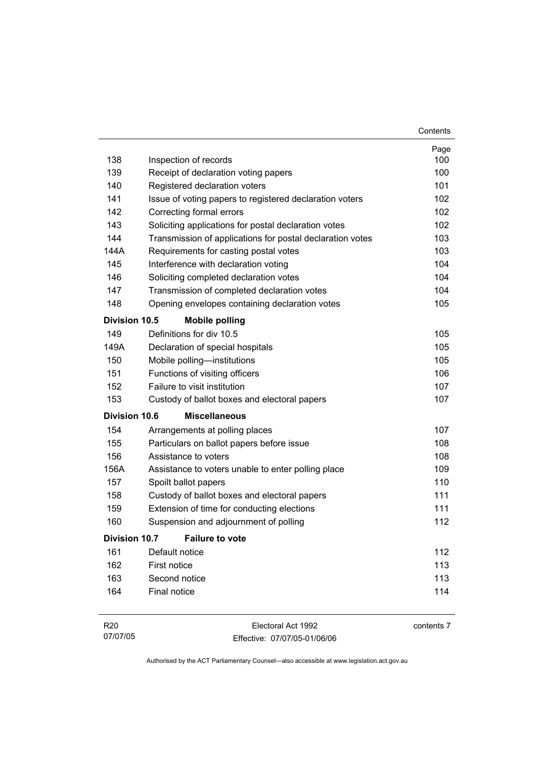|                      |                                                           | Contents |
|----------------------|-----------------------------------------------------------|----------|
|                      |                                                           | Page     |
| 138                  | Inspection of records                                     | 100      |
| 139                  | Receipt of declaration voting papers                      | 100      |
| 140                  | Registered declaration voters                             | 101      |
| 141                  | Issue of voting papers to registered declaration voters   | 102      |
| 142                  | Correcting formal errors                                  | 102      |
| 143                  | Soliciting applications for postal declaration votes      | 102      |
| 144                  | Transmission of applications for postal declaration votes | 103      |
| 144A                 | Requirements for casting postal votes                     | 103      |
| 145                  | Interference with declaration voting                      | 104      |
| 146                  | Soliciting completed declaration votes                    | 104      |
| 147                  | Transmission of completed declaration votes               | 104      |
| 148                  | Opening envelopes containing declaration votes            | 105      |
| <b>Division 10.5</b> | <b>Mobile polling</b>                                     |          |
| 149                  | Definitions for div 10.5                                  | 105      |
| 149A                 | Declaration of special hospitals                          | 105      |
| 150                  | Mobile polling-institutions                               | 105      |
| 151                  | Functions of visiting officers                            | 106      |
| 152                  | Failure to visit institution                              | 107      |
| 153                  | Custody of ballot boxes and electoral papers              | 107      |
| <b>Division 10.6</b> | <b>Miscellaneous</b>                                      |          |
| 154                  | Arrangements at polling places                            | 107      |
| 155                  | Particulars on ballot papers before issue                 | 108      |
| 156                  | Assistance to voters                                      | 108      |
| 156A                 | Assistance to voters unable to enter polling place        | 109      |
| 157                  | Spoilt ballot papers                                      | 110      |
| 158                  | Custody of ballot boxes and electoral papers              | 111      |
| 159                  | Extension of time for conducting elections                | 111      |
| 160                  | Suspension and adjournment of polling                     | 112      |
| <b>Division 10.7</b> | <b>Failure to vote</b>                                    |          |
| 161                  | Default notice                                            | 112      |
| 162                  | First notice                                              | 113      |
| 163                  | Second notice                                             | 113      |
| 164                  | <b>Final notice</b>                                       | 114      |
|                      |                                                           |          |

| R20      | Electoral Act 1992           | contents 7 |
|----------|------------------------------|------------|
| 07/07/05 | Effective: 07/07/05-01/06/06 |            |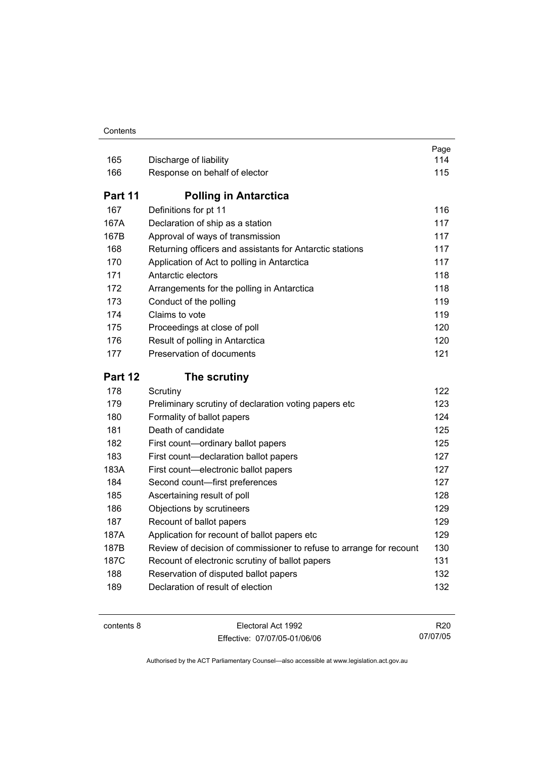#### **Contents**

| 165     | Discharge of liability                                              | Page<br>114 |
|---------|---------------------------------------------------------------------|-------------|
| 166     | Response on behalf of elector                                       | 115         |
| Part 11 | <b>Polling in Antarctica</b>                                        |             |
| 167     | Definitions for pt 11                                               | 116         |
| 167A    | Declaration of ship as a station                                    | 117         |
| 167B    | Approval of ways of transmission                                    | 117         |
| 168     | Returning officers and assistants for Antarctic stations            | 117         |
| 170     | Application of Act to polling in Antarctica                         | 117         |
| 171     | Antarctic electors                                                  | 118         |
| 172     | Arrangements for the polling in Antarctica                          | 118         |
| 173     | Conduct of the polling                                              | 119         |
| 174     | Claims to vote                                                      | 119         |
| 175     | Proceedings at close of poll                                        | 120         |
| 176     | Result of polling in Antarctica                                     | 120         |
| 177     | Preservation of documents                                           | 121         |
|         |                                                                     |             |
| Part 12 | The scrutiny                                                        |             |
| 178     | Scrutiny                                                            | 122         |
| 179     | Preliminary scrutiny of declaration voting papers etc               | 123         |
| 180     | Formality of ballot papers                                          | 124         |
| 181     | Death of candidate                                                  | 125         |
| 182     | First count-ordinary ballot papers                                  | 125         |
| 183     | First count-declaration ballot papers                               | 127         |
| 183A    | First count-electronic ballot papers                                | 127         |
| 184     | Second count-first preferences                                      | 127         |
| 185     | Ascertaining result of poll                                         | 128         |
| 186     | Objections by scrutineers                                           | 129         |
| 187     | Recount of ballot papers                                            | 129         |
| 187A    | Application for recount of ballot papers etc                        | 129         |
| 187B    | Review of decision of commissioner to refuse to arrange for recount | 130         |
| 187C    | Recount of electronic scrutiny of ballot papers                     | 131         |
| 188     | Reservation of disputed ballot papers                               | 132         |

| contents 8 |  |
|------------|--|
|------------|--|

Electoral Act 1992 Effective: 07/07/05-01/06/06

R20 07/07/05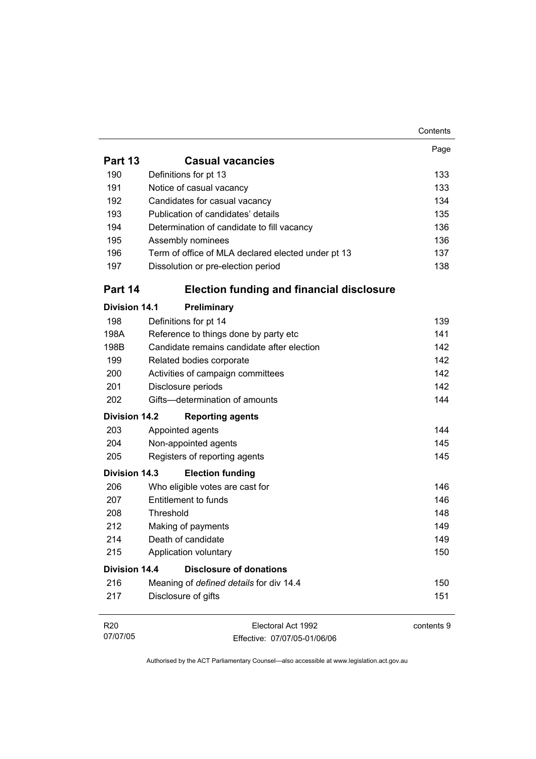|                      |                                                    | Contents   |
|----------------------|----------------------------------------------------|------------|
|                      |                                                    | Page       |
| Part 13              | <b>Casual vacancies</b>                            |            |
| 190                  | Definitions for pt 13                              | 133        |
| 191                  | Notice of casual vacancy                           | 133        |
| 192                  | Candidates for casual vacancy                      | 134        |
| 193                  | Publication of candidates' details                 | 135        |
| 194                  | Determination of candidate to fill vacancy         | 136        |
| 195                  | Assembly nominees                                  | 136        |
| 196                  | Term of office of MLA declared elected under pt 13 | 137        |
| 197                  | Dissolution or pre-election period                 | 138        |
| Part 14              | <b>Election funding and financial disclosure</b>   |            |
| <b>Division 14.1</b> | Preliminary                                        |            |
| 198                  | Definitions for pt 14                              | 139        |
| 198A                 | Reference to things done by party etc              | 141        |
| 198B                 | Candidate remains candidate after election         | 142        |
| 199                  | Related bodies corporate                           | 142        |
| 200                  | Activities of campaign committees                  | 142        |
| 201                  | Disclosure periods                                 | 142        |
| 202                  | Gifts-determination of amounts                     | 144        |
| <b>Division 14.2</b> | <b>Reporting agents</b>                            |            |
| 203                  | Appointed agents                                   | 144        |
| 204                  | Non-appointed agents                               | 145        |
| 205                  | Registers of reporting agents                      | 145        |
| <b>Division 14.3</b> | <b>Election funding</b>                            |            |
| 206                  | Who eligible votes are cast for                    | 146        |
| 207                  | Entitlement to funds                               | 146        |
| 208                  | Threshold                                          | 148        |
| 212                  | Making of payments                                 | 149        |
| 214                  | Death of candidate                                 | 149        |
| 215                  | Application voluntary                              | 150        |
| <b>Division 14.4</b> | <b>Disclosure of donations</b>                     |            |
| 216                  | Meaning of defined details for div 14.4            | 150        |
| 217                  | Disclosure of gifts                                | 151        |
| <b>R20</b>           | Electoral Act 1992                                 | contents 9 |
| 07/07/05             | Effective: 07/07/05-01/06/06                       |            |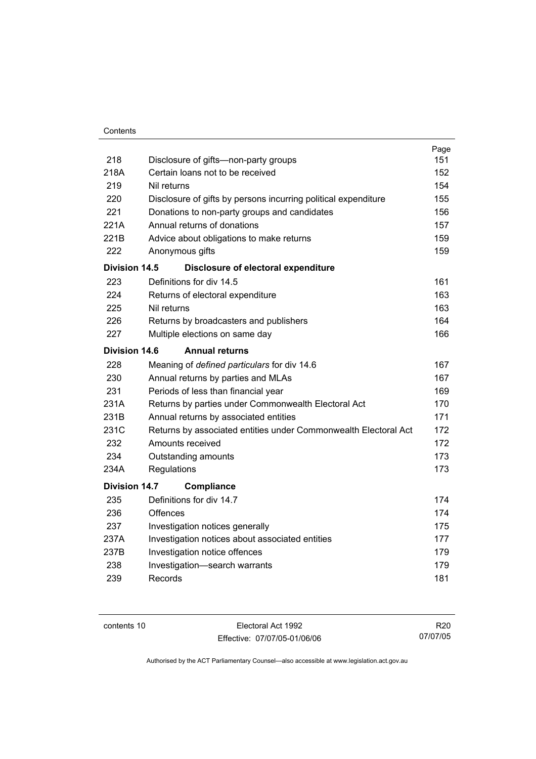|                      |                                                                 | Page |
|----------------------|-----------------------------------------------------------------|------|
| 218                  | Disclosure of gifts-non-party groups                            | 151  |
| 218A                 | Certain loans not to be received                                | 152  |
| 219                  | Nil returns                                                     | 154  |
| 220                  | Disclosure of gifts by persons incurring political expenditure  | 155  |
| 221                  | Donations to non-party groups and candidates                    | 156  |
| 221A                 | Annual returns of donations                                     | 157  |
| 221B                 | Advice about obligations to make returns                        | 159  |
| 222                  | Anonymous gifts                                                 | 159  |
| Division 14.5        | Disclosure of electoral expenditure                             |      |
| 223                  | Definitions for div 14.5                                        | 161  |
| 224                  | Returns of electoral expenditure                                | 163  |
| 225                  | Nil returns                                                     | 163  |
| 226                  | Returns by broadcasters and publishers                          | 164  |
| 227                  | Multiple elections on same day                                  | 166  |
| Division 14.6        | <b>Annual returns</b>                                           |      |
| 228                  | Meaning of defined particulars for div 14.6                     | 167  |
| 230                  | Annual returns by parties and MLAs                              | 167  |
| 231                  | Periods of less than financial year                             | 169  |
| 231A                 | Returns by parties under Commonwealth Electoral Act             | 170  |
| 231B                 | Annual returns by associated entities                           | 171  |
| 231C                 | Returns by associated entities under Commonwealth Electoral Act | 172  |
| 232                  | Amounts received                                                | 172  |
| 234                  | Outstanding amounts                                             | 173  |
| 234A                 | Regulations                                                     | 173  |
| <b>Division 14.7</b> | Compliance                                                      |      |
| 235                  | Definitions for div 14.7                                        | 174  |
| 236                  | Offences                                                        | 174  |
| 237                  | Investigation notices generally                                 | 175  |
| 237A                 | Investigation notices about associated entities                 | 177  |
| 237B                 | Investigation notice offences                                   | 179  |
| 238                  | Investigation-search warrants                                   | 179  |
| 239                  | Records                                                         | 181  |
|                      |                                                                 |      |

contents 10 Electoral Act 1992 Effective: 07/07/05-01/06/06

R20 07/07/05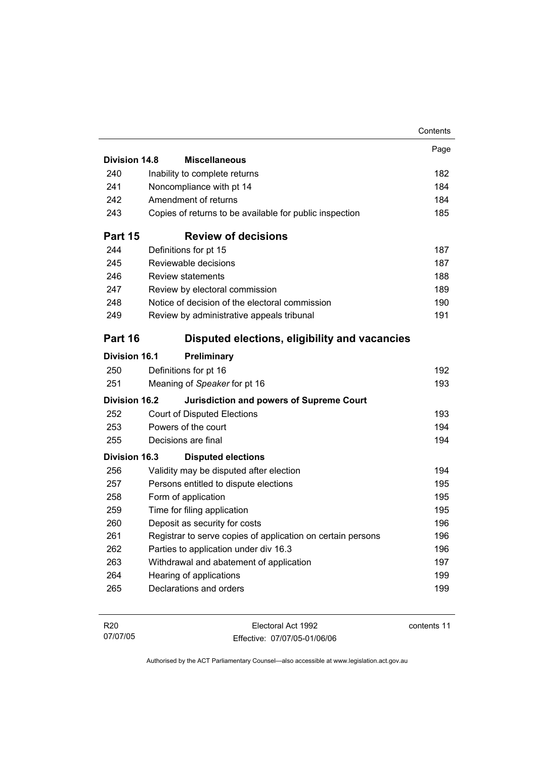|                      |                                                             | Contents |
|----------------------|-------------------------------------------------------------|----------|
|                      |                                                             | Page     |
| <b>Division 14.8</b> | <b>Miscellaneous</b>                                        |          |
| 240                  | Inability to complete returns                               | 182      |
| 241                  | Noncompliance with pt 14                                    | 184      |
| 242                  | Amendment of returns                                        | 184      |
| 243                  | Copies of returns to be available for public inspection     | 185      |
| Part 15              | <b>Review of decisions</b>                                  |          |
| 244                  | Definitions for pt 15                                       | 187      |
| 245                  | Reviewable decisions                                        | 187      |
| 246                  | <b>Review statements</b>                                    | 188      |
| 247                  | Review by electoral commission                              | 189      |
| 248                  | Notice of decision of the electoral commission              | 190      |
| 249                  | Review by administrative appeals tribunal                   | 191      |
| Part 16              | Disputed elections, eligibility and vacancies               |          |
| <b>Division 16.1</b> | Preliminary                                                 |          |
| 250                  | Definitions for pt 16                                       | 192      |
| 251                  | Meaning of Speaker for pt 16                                | 193      |
| <b>Division 16.2</b> | <b>Jurisdiction and powers of Supreme Court</b>             |          |
| 252                  | <b>Court of Disputed Elections</b>                          | 193      |
| 253                  | Powers of the court                                         | 194      |
| 255                  | Decisions are final                                         | 194      |
| <b>Division 16.3</b> | <b>Disputed elections</b>                                   |          |
| 256                  | Validity may be disputed after election                     | 194      |
| 257                  | Persons entitled to dispute elections                       | 195      |
| 258                  | Form of application                                         | 195      |
| 259                  | Time for filing application                                 | 195      |
| 260                  | Deposit as security for costs                               | 196      |
| 261                  | Registrar to serve copies of application on certain persons | 196      |
| 262                  | Parties to application under div 16.3                       | 196      |
| 263                  | Withdrawal and abatement of application                     | 197      |
| 264                  | Hearing of applications                                     | 199      |
| 265                  | Declarations and orders                                     | 199      |
|                      |                                                             |          |

| R <sub>20</sub> | Electoral Act 1992           | contents 11 |
|-----------------|------------------------------|-------------|
| 07/07/05        | Effective: 07/07/05-01/06/06 |             |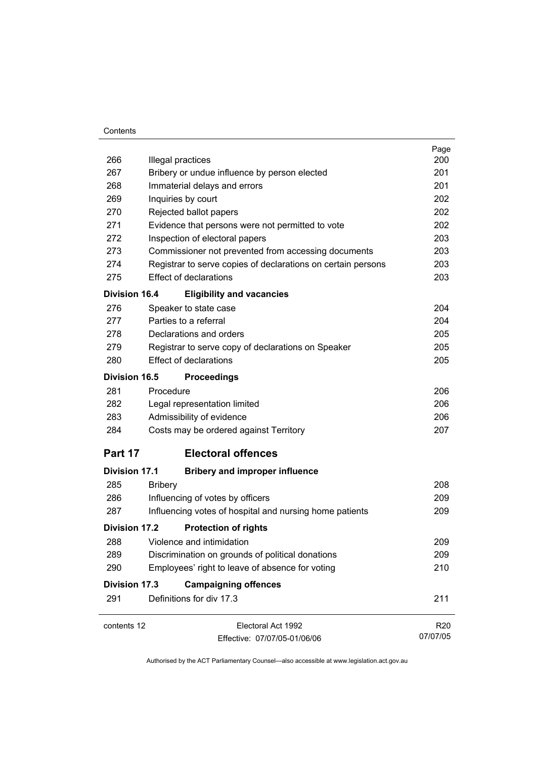#### **Contents**

|                      |                                                              | Page            |
|----------------------|--------------------------------------------------------------|-----------------|
| 266                  | Illegal practices                                            | 200             |
| 267                  | Bribery or undue influence by person elected                 | 201             |
| 268                  | Immaterial delays and errors                                 | 201             |
| 269                  | Inquiries by court                                           | 202             |
| 270                  | Rejected ballot papers                                       | 202             |
| 271                  | Evidence that persons were not permitted to vote             | 202             |
| 272                  | Inspection of electoral papers                               | 203             |
| 273                  | Commissioner not prevented from accessing documents          | 203             |
| 274                  | Registrar to serve copies of declarations on certain persons | 203             |
| 275                  | <b>Effect of declarations</b>                                | 203             |
| <b>Division 16.4</b> | <b>Eligibility and vacancies</b>                             |                 |
| 276                  | Speaker to state case                                        | 204             |
| 277                  | Parties to a referral                                        | 204             |
| 278                  | Declarations and orders                                      | 205             |
| 279                  | Registrar to serve copy of declarations on Speaker           | 205             |
| 280                  | <b>Effect of declarations</b>                                | 205             |
| <b>Division 16.5</b> | <b>Proceedings</b>                                           |                 |
| 281                  | Procedure                                                    | 206             |
| 282                  | Legal representation limited                                 | 206             |
| 283                  | Admissibility of evidence                                    | 206             |
| 284                  | Costs may be ordered against Territory                       | 207             |
| Part 17              | <b>Electoral offences</b>                                    |                 |
| <b>Division 17.1</b> | <b>Bribery and improper influence</b>                        |                 |
| 285                  | <b>Bribery</b>                                               | 208             |
| 286                  | Influencing of votes by officers                             | 209             |
| 287                  | Influencing votes of hospital and nursing home patients      | 209             |
| <b>Division 17.2</b> | <b>Protection of rights</b>                                  |                 |
| 288                  | Violence and intimidation                                    | 209             |
| 289                  | Discrimination on grounds of political donations             | 209             |
| 290                  | Employees' right to leave of absence for voting              | 210             |
| <b>Division 17.3</b> | <b>Campaigning offences</b>                                  |                 |
| 291                  | Definitions for div 17.3                                     | 211             |
|                      |                                                              |                 |
| contents 12          | Electoral Act 1992                                           | R <sub>20</sub> |
|                      | Effective: 07/07/05-01/06/06                                 | 07/07/05        |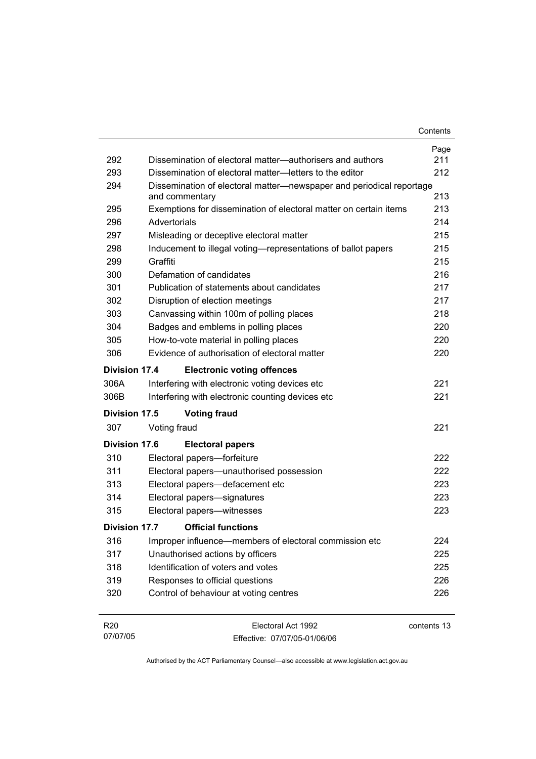| 292                  | Dissemination of electoral matter—authorisers and authors                           | Page<br>211 |
|----------------------|-------------------------------------------------------------------------------------|-------------|
| 293                  | Dissemination of electoral matter-letters to the editor                             | 212         |
| 294                  | Dissemination of electoral matter-newspaper and periodical reportage                | 213         |
| 295                  | and commentary<br>Exemptions for dissemination of electoral matter on certain items | 213         |
| 296                  | Advertorials                                                                        | 214         |
| 297                  | Misleading or deceptive electoral matter                                            | 215         |
| 298                  | Inducement to illegal voting—representations of ballot papers                       | 215         |
| 299                  | Graffiti                                                                            | 215         |
| 300                  | Defamation of candidates                                                            | 216         |
| 301                  | Publication of statements about candidates                                          | 217         |
| 302                  | Disruption of election meetings                                                     | 217         |
| 303                  | Canvassing within 100m of polling places                                            | 218         |
| 304                  | Badges and emblems in polling places                                                | 220         |
| 305                  | How-to-vote material in polling places                                              | 220         |
| 306                  | Evidence of authorisation of electoral matter                                       | 220         |
| Division 17.4        | <b>Electronic voting offences</b>                                                   |             |
| 306A                 | Interfering with electronic voting devices etc                                      | 221         |
| 306B                 | Interfering with electronic counting devices etc                                    | 221         |
| Division 17.5        | <b>Voting fraud</b>                                                                 |             |
| 307                  | Voting fraud                                                                        | 221         |
| <b>Division 17.6</b> | <b>Electoral papers</b>                                                             |             |
| 310                  | Electoral papers-forfeiture                                                         | 222         |
| 311                  | Electoral papers-unauthorised possession                                            | 222         |
| 313                  | Electoral papers-defacement etc                                                     | 223         |
| 314                  | Electoral papers-signatures                                                         | 223         |
| 315                  | Electoral papers-witnesses                                                          | 223         |
| Division 17.7        | <b>Official functions</b>                                                           |             |
| 316                  | Improper influence—members of electoral commission etc                              | 224         |
| 317                  | Unauthorised actions by officers                                                    | 225         |
| 318                  | Identification of voters and votes                                                  | 225         |
| 319                  | Responses to official questions                                                     | 226         |
| 320                  | Control of behaviour at voting centres                                              | 226         |
| R <sub>20</sub>      | Electoral Act 1992                                                                  | contents 13 |

Effective: 07/07/05-01/06/06

07/07/05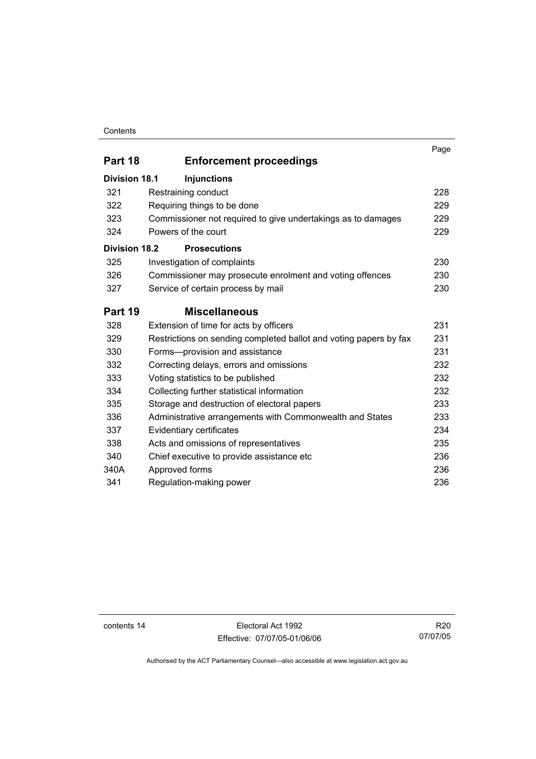#### **Contents**

|                      |                                                                   | Page |
|----------------------|-------------------------------------------------------------------|------|
| Part 18              | <b>Enforcement proceedings</b>                                    |      |
| <b>Division 18.1</b> | <b>Injunctions</b>                                                |      |
| 321                  | Restraining conduct                                               | 228  |
| 322                  | Requiring things to be done                                       | 229  |
| 323                  | Commissioner not required to give undertakings as to damages      | 229  |
| 324                  | Powers of the court                                               | 229  |
| <b>Division 18.2</b> | <b>Prosecutions</b>                                               |      |
| 325                  | Investigation of complaints                                       | 230  |
| 326                  | Commissioner may prosecute enrolment and voting offences          | 230  |
| 327                  | Service of certain process by mail                                | 230  |
| Part 19              | <b>Miscellaneous</b>                                              |      |
| 328                  | Extension of time for acts by officers                            | 231  |
| 329                  | Restrictions on sending completed ballot and voting papers by fax | 231  |
| 330                  | Forms-provision and assistance                                    | 231  |
| 332                  | Correcting delays, errors and omissions                           | 232  |
| 333                  | Voting statistics to be published                                 | 232  |
| 334                  | Collecting further statistical information                        | 232  |
| 335                  | Storage and destruction of electoral papers                       | 233  |
| 336                  | Administrative arrangements with Commonwealth and States          | 233  |
| 337                  | Evidentiary certificates                                          | 234  |
| 338                  | Acts and omissions of representatives                             | 235  |
| 340                  | Chief executive to provide assistance etc                         | 236  |
| 340A                 | Approved forms                                                    | 236  |
| 341                  | Regulation-making power                                           | 236  |

contents 14 Electoral Act 1992 Effective: 07/07/05-01/06/06

R20 07/07/05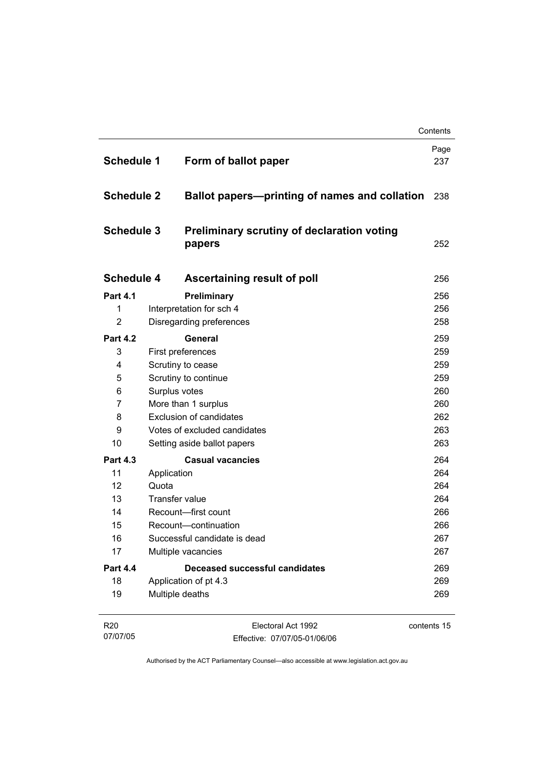| <b>Schedule 1</b> | Form of ballot paper                                        | Page<br>237 |
|-------------------|-------------------------------------------------------------|-------------|
| <b>Schedule 2</b> | Ballot papers-printing of names and collation               | 238         |
| <b>Schedule 3</b> | <b>Preliminary scrutiny of declaration voting</b><br>papers | 252         |
| <b>Schedule 4</b> | Ascertaining result of poll                                 | 256         |
| <b>Part 4.1</b>   | Preliminary                                                 | 256         |
| 1                 | Interpretation for sch 4                                    | 256         |
| $\overline{2}$    | Disregarding preferences                                    | 258         |
| <b>Part 4.2</b>   | General                                                     | 259         |
| 3                 | First preferences                                           | 259         |
| 4                 | Scrutiny to cease                                           | 259         |
| 5                 | Scrutiny to continue                                        | 259         |
| 6                 | Surplus votes                                               | 260         |
| 7                 | More than 1 surplus                                         | 260         |
| 8                 | <b>Exclusion of candidates</b>                              | 262         |
| 9                 | Votes of excluded candidates                                | 263         |
| 10                | Setting aside ballot papers                                 | 263         |
| <b>Part 4.3</b>   | <b>Casual vacancies</b>                                     | 264         |
| 11                | Application                                                 | 264         |
| 12                | Quota                                                       | 264         |
| 13                | <b>Transfer value</b>                                       | 264         |
| 14                | Recount-first count                                         | 266         |
| 15                | Recount-continuation                                        | 266         |
| 16                | Successful candidate is dead                                | 267         |
| 17                | Multiple vacancies                                          | 267         |
| <b>Part 4.4</b>   | Deceased successful candidates                              | 269         |
| 18                | Application of pt 4.3                                       | 269         |
| 19                | Multiple deaths                                             | 269         |

| R <sub>20</sub> | Electoral Act 1992           | contents 15 |
|-----------------|------------------------------|-------------|
| 07/07/05        | Effective: 07/07/05-01/06/06 |             |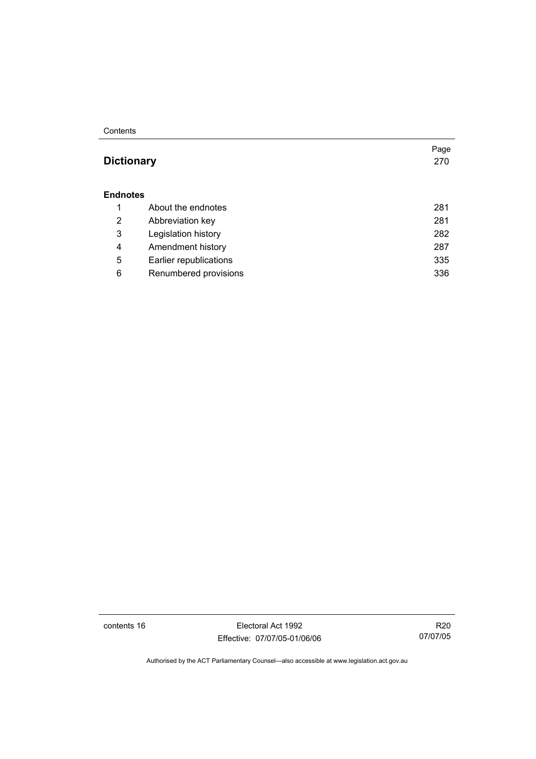#### **Contents**

## **Dictionary** 270

#### **Endnotes**

|   | About the endnotes     | 281 |
|---|------------------------|-----|
| 2 | Abbreviation key       | 281 |
| 3 | Legislation history    | 282 |
| 4 | Amendment history      | 287 |
| 5 | Earlier republications | 335 |
| 6 | Renumbered provisions  | 336 |

contents 16 Electoral Act 1992 Effective: 07/07/05-01/06/06

R20 07/07/05

Page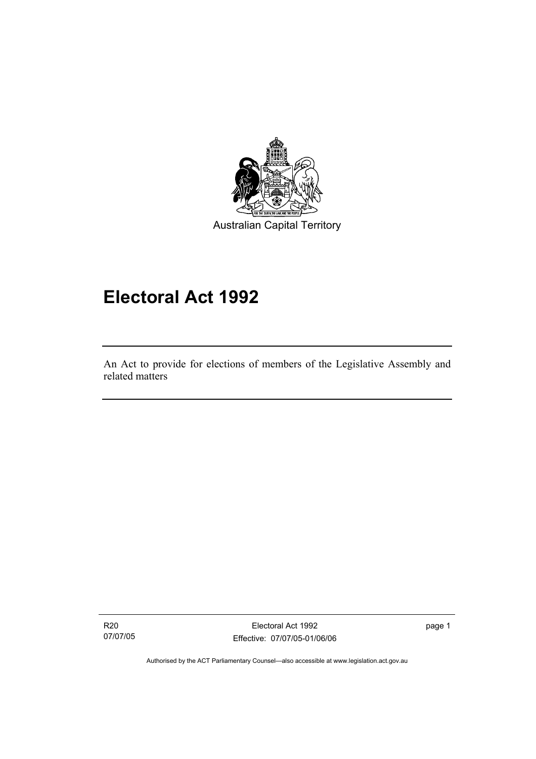

# **Electoral Act 1992**

An Act to provide for elections of members of the Legislative Assembly and related matters

R20 07/07/05

I

Electoral Act 1992 Effective: 07/07/05-01/06/06 page 1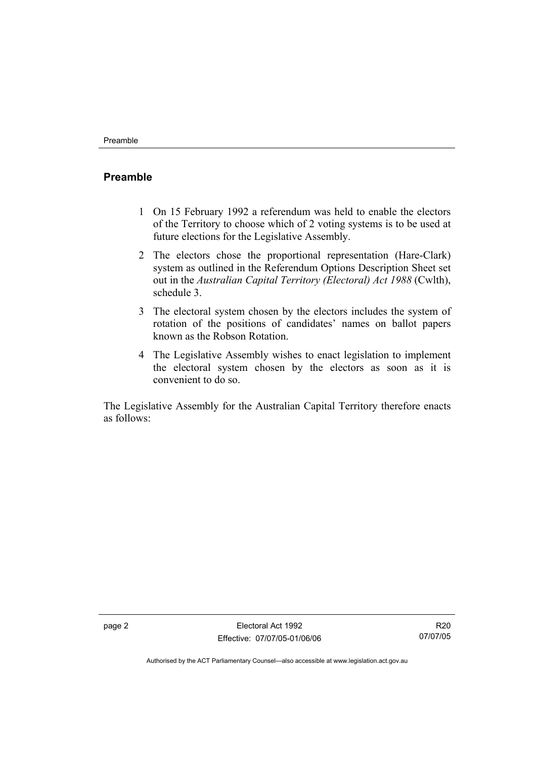### **Preamble**

- 1 On 15 February 1992 a referendum was held to enable the electors of the Territory to choose which of 2 voting systems is to be used at future elections for the Legislative Assembly.
- 2 The electors chose the proportional representation (Hare-Clark) system as outlined in the Referendum Options Description Sheet set out in the *Australian Capital Territory (Electoral) Act 1988* (Cwlth), schedule 3.
- 3 The electoral system chosen by the electors includes the system of rotation of the positions of candidates' names on ballot papers known as the Robson Rotation.
- 4 The Legislative Assembly wishes to enact legislation to implement the electoral system chosen by the electors as soon as it is convenient to do so.

The Legislative Assembly for the Australian Capital Territory therefore enacts as follows:

R20 07/07/05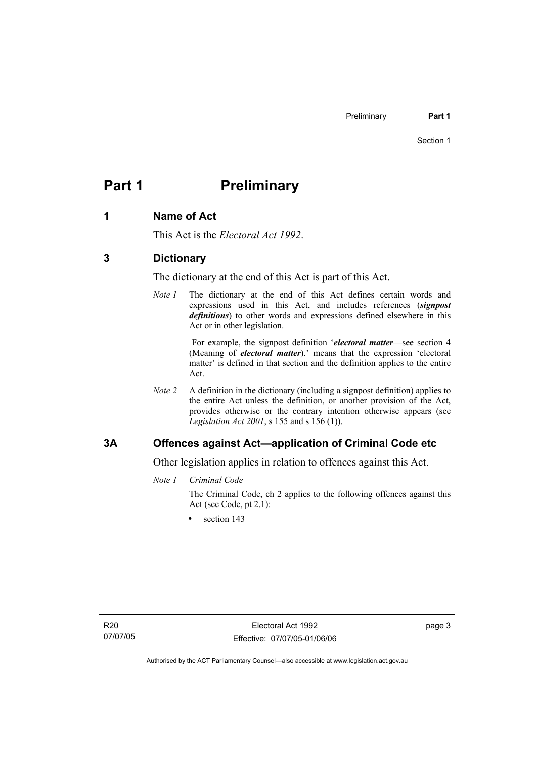## **Part 1** Preliminary

#### **1 Name of Act**

This Act is the *Electoral Act 1992*.

#### **3 Dictionary**

The dictionary at the end of this Act is part of this Act.

*Note 1* The dictionary at the end of this Act defines certain words and expressions used in this Act, and includes references (*signpost definitions*) to other words and expressions defined elsewhere in this Act or in other legislation.

> For example, the signpost definition '*electoral matter*—see section 4 (Meaning of *electoral matter*).' means that the expression 'electoral matter' is defined in that section and the definition applies to the entire Act.

*Note 2* A definition in the dictionary (including a signpost definition) applies to the entire Act unless the definition, or another provision of the Act, provides otherwise or the contrary intention otherwise appears (see *Legislation Act 2001*, s 155 and s 156 (1)).

#### **3A Offences against Act—application of Criminal Code etc**

Other legislation applies in relation to offences against this Act.

*Note 1 Criminal Code*

The Criminal Code, ch 2 applies to the following offences against this Act (see Code, pt 2.1):

section 143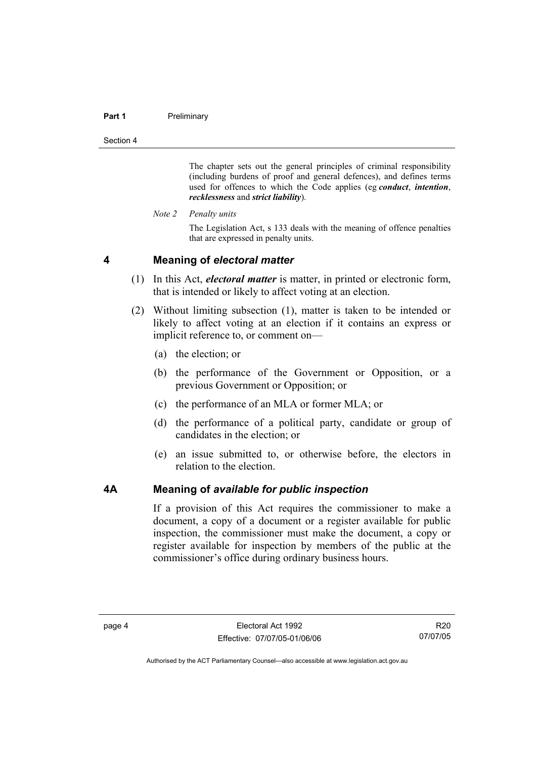#### Part 1 **Preliminary**

Section 4

The chapter sets out the general principles of criminal responsibility (including burdens of proof and general defences), and defines terms used for offences to which the Code applies (eg *conduct*, *intention*, *recklessness* and *strict liability*).

*Note 2 Penalty units* 

The Legislation Act, s 133 deals with the meaning of offence penalties that are expressed in penalty units.

#### **4 Meaning of** *electoral matter*

- (1) In this Act, *electoral matter* is matter, in printed or electronic form, that is intended or likely to affect voting at an election.
- (2) Without limiting subsection (1), matter is taken to be intended or likely to affect voting at an election if it contains an express or implicit reference to, or comment on—
	- (a) the election; or
	- (b) the performance of the Government or Opposition, or a previous Government or Opposition; or
	- (c) the performance of an MLA or former MLA; or
	- (d) the performance of a political party, candidate or group of candidates in the election; or
	- (e) an issue submitted to, or otherwise before, the electors in relation to the election.

#### **4A Meaning of** *available for public inspection*

If a provision of this Act requires the commissioner to make a document, a copy of a document or a register available for public inspection, the commissioner must make the document, a copy or register available for inspection by members of the public at the commissioner's office during ordinary business hours.

R20 07/07/05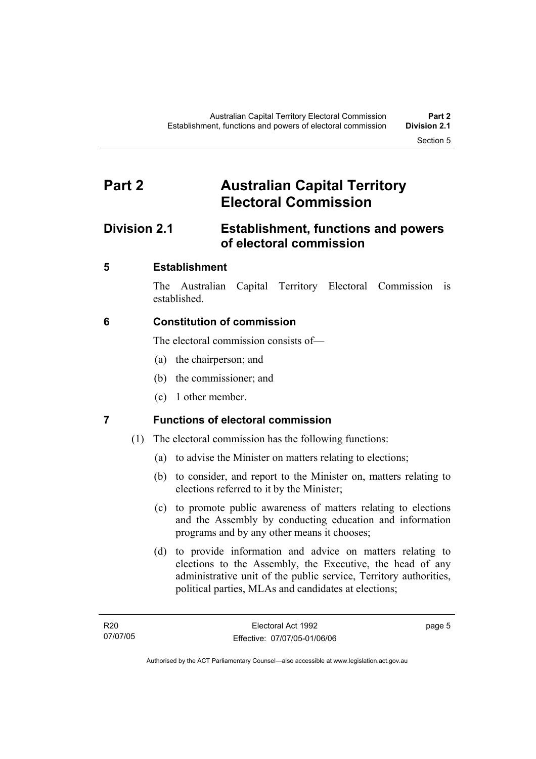## **Part 2 Australian Capital Territory Electoral Commission**

## **Division 2.1 Establishment, functions and powers of electoral commission**

## **5 Establishment**

The Australian Capital Territory Electoral Commission is established.

## **6 Constitution of commission**

The electoral commission consists of—

- (a) the chairperson; and
- (b) the commissioner; and
- (c) 1 other member.

## **7 Functions of electoral commission**

- (1) The electoral commission has the following functions:
	- (a) to advise the Minister on matters relating to elections;
	- (b) to consider, and report to the Minister on, matters relating to elections referred to it by the Minister;
	- (c) to promote public awareness of matters relating to elections and the Assembly by conducting education and information programs and by any other means it chooses;
	- (d) to provide information and advice on matters relating to elections to the Assembly, the Executive, the head of any administrative unit of the public service, Territory authorities, political parties, MLAs and candidates at elections;

page 5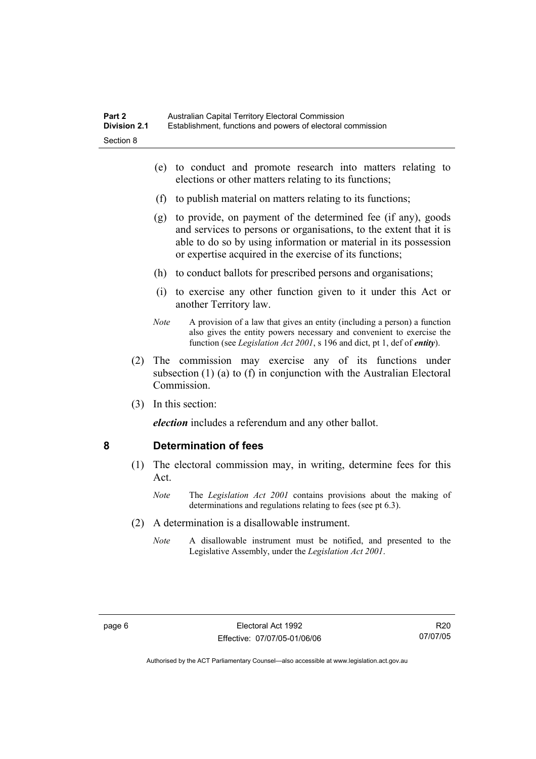- (e) to conduct and promote research into matters relating to elections or other matters relating to its functions;
- (f) to publish material on matters relating to its functions;
- (g) to provide, on payment of the determined fee (if any), goods and services to persons or organisations, to the extent that it is able to do so by using information or material in its possession or expertise acquired in the exercise of its functions;
- (h) to conduct ballots for prescribed persons and organisations;
- (i) to exercise any other function given to it under this Act or another Territory law.
- *Note* A provision of a law that gives an entity (including a person) a function also gives the entity powers necessary and convenient to exercise the function (see *Legislation Act 2001*, s 196 and dict, pt 1, def of *entity*).
- (2) The commission may exercise any of its functions under subsection (1) (a) to (f) in conjunction with the Australian Electoral Commission.
- (3) In this section:

*election* includes a referendum and any other ballot.

#### **8 Determination of fees**

- (1) The electoral commission may, in writing, determine fees for this Act.
	- *Note* The *Legislation Act 2001* contains provisions about the making of determinations and regulations relating to fees (see pt 6.3).
- (2) A determination is a disallowable instrument.
	- *Note* A disallowable instrument must be notified, and presented to the Legislative Assembly, under the *Legislation Act 2001*.

R20 07/07/05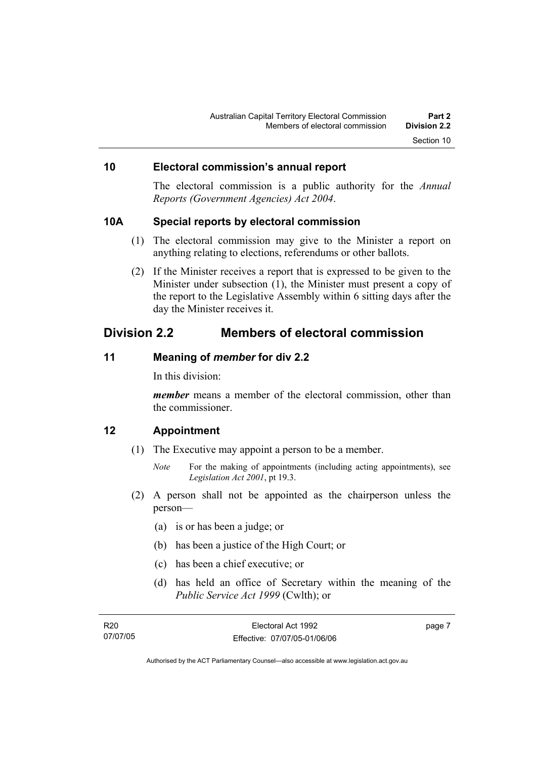### **10 Electoral commission's annual report**

The electoral commission is a public authority for the *Annual Reports (Government Agencies) Act 2004*.

#### **10A Special reports by electoral commission**

- (1) The electoral commission may give to the Minister a report on anything relating to elections, referendums or other ballots.
- (2) If the Minister receives a report that is expressed to be given to the Minister under subsection (1), the Minister must present a copy of the report to the Legislative Assembly within 6 sitting days after the day the Minister receives it.

## **Division 2.2 Members of electoral commission**

### **11 Meaning of** *member* **for div 2.2**

In this division:

*member* means a member of the electoral commission, other than the commissioner.

#### **12 Appointment**

- (1) The Executive may appoint a person to be a member.
	- *Note* For the making of appointments (including acting appointments), see *Legislation Act 2001*, pt 19.3.
- (2) A person shall not be appointed as the chairperson unless the person—
	- (a) is or has been a judge; or
	- (b) has been a justice of the High Court; or
	- (c) has been a chief executive; or
	- (d) has held an office of Secretary within the meaning of the *Public Service Act 1999* (Cwlth); or

| R20      | Electoral Act 1992           | page 7 |
|----------|------------------------------|--------|
| 07/07/05 | Effective: 07/07/05-01/06/06 |        |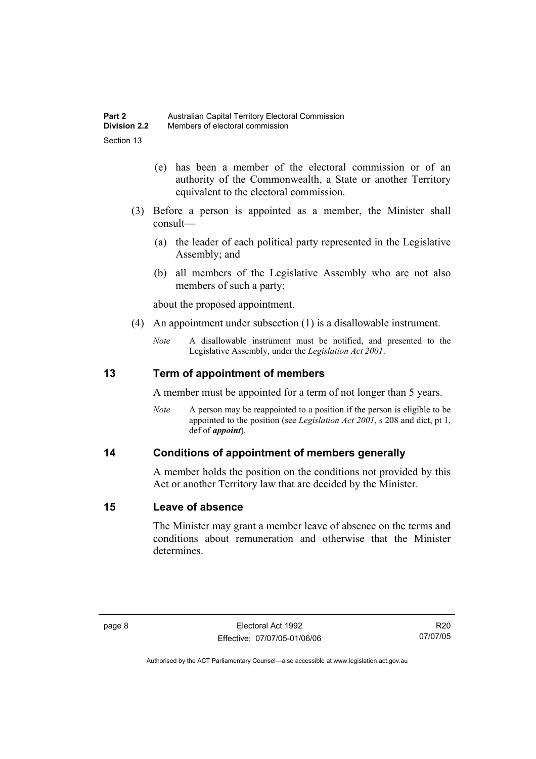- (e) has been a member of the electoral commission or of an authority of the Commonwealth, a State or another Territory equivalent to the electoral commission.
- (3) Before a person is appointed as a member, the Minister shall consult—
	- (a) the leader of each political party represented in the Legislative Assembly; and
	- (b) all members of the Legislative Assembly who are not also members of such a party;

about the proposed appointment.

- (4) An appointment under subsection (1) is a disallowable instrument.
	- *Note* A disallowable instrument must be notified, and presented to the Legislative Assembly, under the *Legislation Act 2001*.

### **13 Term of appointment of members**

A member must be appointed for a term of not longer than 5 years.

*Note* A person may be reappointed to a position if the person is eligible to be appointed to the position (see *Legislation Act 2001*, s 208 and dict, pt 1, def of *appoint*).

#### **14 Conditions of appointment of members generally**

A member holds the position on the conditions not provided by this Act or another Territory law that are decided by the Minister.

#### **15 Leave of absence**

The Minister may grant a member leave of absence on the terms and conditions about remuneration and otherwise that the Minister determines.

R20 07/07/05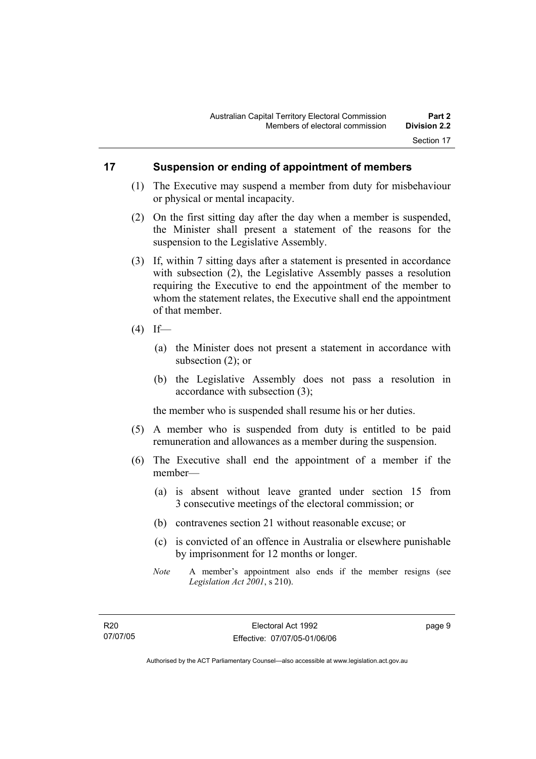### **17 Suspension or ending of appointment of members**

- (1) The Executive may suspend a member from duty for misbehaviour or physical or mental incapacity.
- (2) On the first sitting day after the day when a member is suspended, the Minister shall present a statement of the reasons for the suspension to the Legislative Assembly.
- (3) If, within 7 sitting days after a statement is presented in accordance with subsection (2), the Legislative Assembly passes a resolution requiring the Executive to end the appointment of the member to whom the statement relates, the Executive shall end the appointment of that member.
- $(4)$  If—
	- (a) the Minister does not present a statement in accordance with subsection (2); or
	- (b) the Legislative Assembly does not pass a resolution in accordance with subsection (3);

the member who is suspended shall resume his or her duties.

- (5) A member who is suspended from duty is entitled to be paid remuneration and allowances as a member during the suspension.
- (6) The Executive shall end the appointment of a member if the member—
	- (a) is absent without leave granted under section 15 from 3 consecutive meetings of the electoral commission; or
	- (b) contravenes section 21 without reasonable excuse; or
	- (c) is convicted of an offence in Australia or elsewhere punishable by imprisonment for 12 months or longer.
	- *Note* A member's appointment also ends if the member resigns (see *Legislation Act 2001*, s 210).

page 9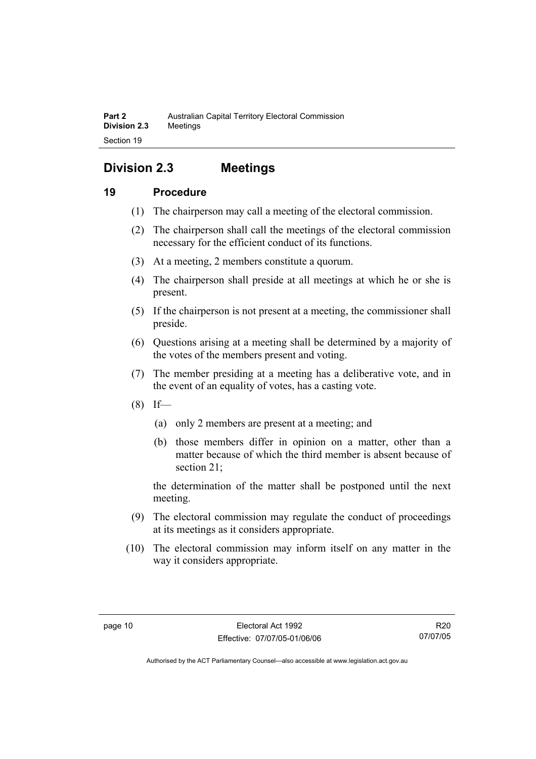## **Division 2.3 Meetings**

## **19 Procedure**

- (1) The chairperson may call a meeting of the electoral commission.
- (2) The chairperson shall call the meetings of the electoral commission necessary for the efficient conduct of its functions.
- (3) At a meeting, 2 members constitute a quorum.
- (4) The chairperson shall preside at all meetings at which he or she is present.
- (5) If the chairperson is not present at a meeting, the commissioner shall preside.
- (6) Questions arising at a meeting shall be determined by a majority of the votes of the members present and voting.
- (7) The member presiding at a meeting has a deliberative vote, and in the event of an equality of votes, has a casting vote.
- $(8)$  If—
	- (a) only 2 members are present at a meeting; and
	- (b) those members differ in opinion on a matter, other than a matter because of which the third member is absent because of section 21;

the determination of the matter shall be postponed until the next meeting.

- (9) The electoral commission may regulate the conduct of proceedings at its meetings as it considers appropriate.
- (10) The electoral commission may inform itself on any matter in the way it considers appropriate.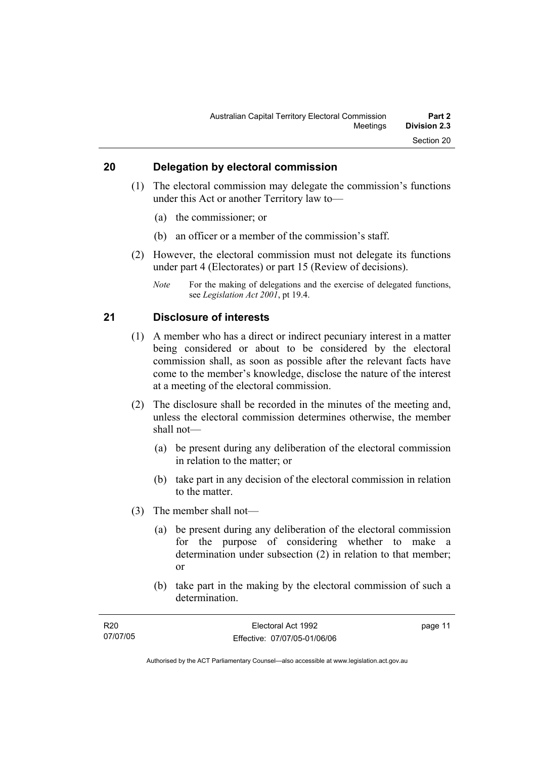## **20 Delegation by electoral commission**

- (1) The electoral commission may delegate the commission's functions under this Act or another Territory law to—
	- (a) the commissioner; or
	- (b) an officer or a member of the commission's staff.
- (2) However, the electoral commission must not delegate its functions under part 4 (Electorates) or part 15 (Review of decisions).
	- *Note* For the making of delegations and the exercise of delegated functions, see *Legislation Act 2001*, pt 19.4.

#### **21 Disclosure of interests**

- (1) A member who has a direct or indirect pecuniary interest in a matter being considered or about to be considered by the electoral commission shall, as soon as possible after the relevant facts have come to the member's knowledge, disclose the nature of the interest at a meeting of the electoral commission.
- (2) The disclosure shall be recorded in the minutes of the meeting and, unless the electoral commission determines otherwise, the member shall not—
	- (a) be present during any deliberation of the electoral commission in relation to the matter; or
	- (b) take part in any decision of the electoral commission in relation to the matter.
- (3) The member shall not—
	- (a) be present during any deliberation of the electoral commission for the purpose of considering whether to make a determination under subsection (2) in relation to that member; or
	- (b) take part in the making by the electoral commission of such a determination.

| R20      | Electoral Act 1992           | page 11 |
|----------|------------------------------|---------|
| 07/07/05 | Effective: 07/07/05-01/06/06 |         |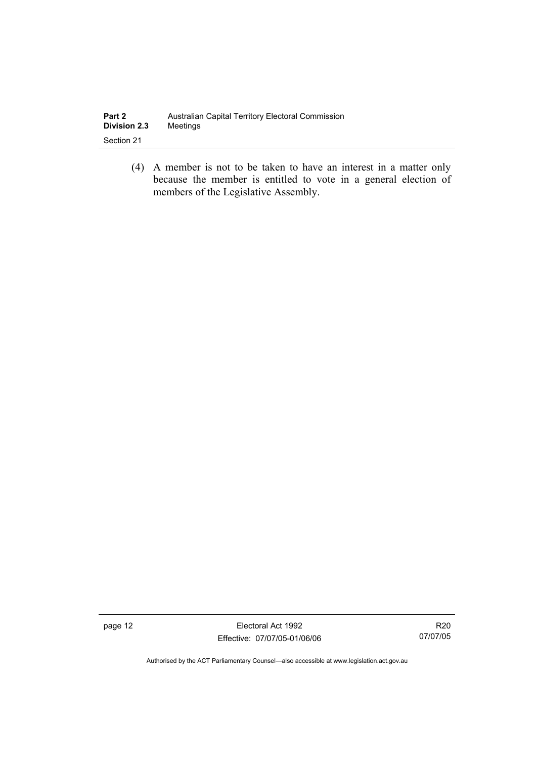| Part 2              | Australian Capital Territory Electoral Commission |
|---------------------|---------------------------------------------------|
| <b>Division 2.3</b> | Meetings                                          |
| Section 21          |                                                   |

 (4) A member is not to be taken to have an interest in a matter only because the member is entitled to vote in a general election of members of the Legislative Assembly.

page 12 **Electoral Act 1992** Effective: 07/07/05-01/06/06

R20 07/07/05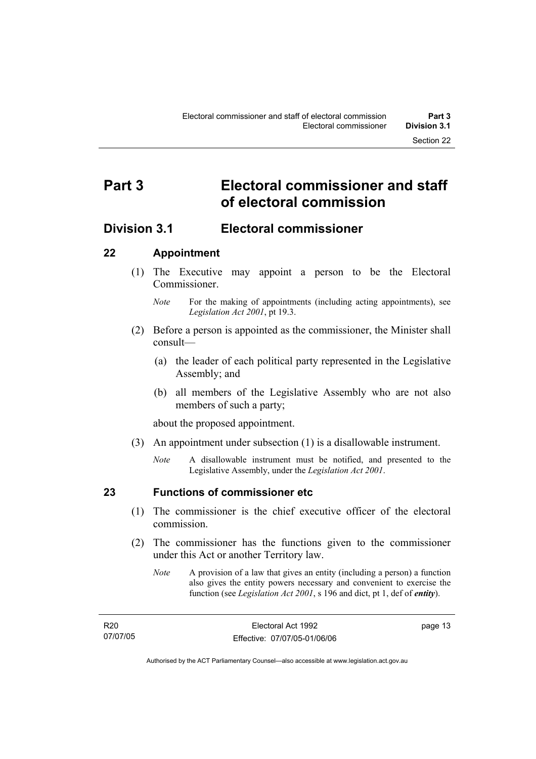## **Part 3 Electoral commissioner and staff of electoral commission**

## **Division 3.1 Electoral commissioner**

## **22 Appointment**

- (1) The Executive may appoint a person to be the Electoral **Commissioner** 
	- *Note* For the making of appointments (including acting appointments), see *Legislation Act 2001*, pt 19.3.
- (2) Before a person is appointed as the commissioner, the Minister shall consult—
	- (a) the leader of each political party represented in the Legislative Assembly; and
	- (b) all members of the Legislative Assembly who are not also members of such a party;

about the proposed appointment.

- (3) An appointment under subsection (1) is a disallowable instrument.
	- *Note* A disallowable instrument must be notified, and presented to the Legislative Assembly, under the *Legislation Act 2001*.

### **23 Functions of commissioner etc**

- (1) The commissioner is the chief executive officer of the electoral commission.
- (2) The commissioner has the functions given to the commissioner under this Act or another Territory law.
	- *Note* A provision of a law that gives an entity (including a person) a function also gives the entity powers necessary and convenient to exercise the function (see *Legislation Act 2001*, s 196 and dict, pt 1, def of *entity*).

| R20      | Electoral Act 1992           | page 13 |
|----------|------------------------------|---------|
| 07/07/05 | Effective: 07/07/05-01/06/06 |         |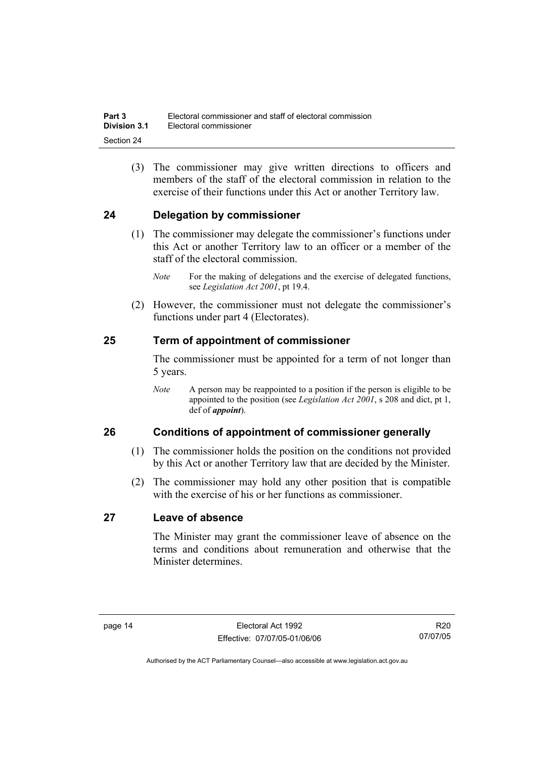(3) The commissioner may give written directions to officers and members of the staff of the electoral commission in relation to the exercise of their functions under this Act or another Territory law.

## **24 Delegation by commissioner**

- (1) The commissioner may delegate the commissioner's functions under this Act or another Territory law to an officer or a member of the staff of the electoral commission.
	- *Note* For the making of delegations and the exercise of delegated functions, see *Legislation Act 2001*, pt 19.4.
- (2) However, the commissioner must not delegate the commissioner's functions under part 4 (Electorates).

### **25 Term of appointment of commissioner**

The commissioner must be appointed for a term of not longer than 5 years.

*Note* A person may be reappointed to a position if the person is eligible to be appointed to the position (see *Legislation Act 2001*, s 208 and dict, pt 1, def of *appoint*).

### **26 Conditions of appointment of commissioner generally**

- (1) The commissioner holds the position on the conditions not provided by this Act or another Territory law that are decided by the Minister.
- (2) The commissioner may hold any other position that is compatible with the exercise of his or her functions as commissioner.

## **27 Leave of absence**

The Minister may grant the commissioner leave of absence on the terms and conditions about remuneration and otherwise that the Minister determines.

R20 07/07/05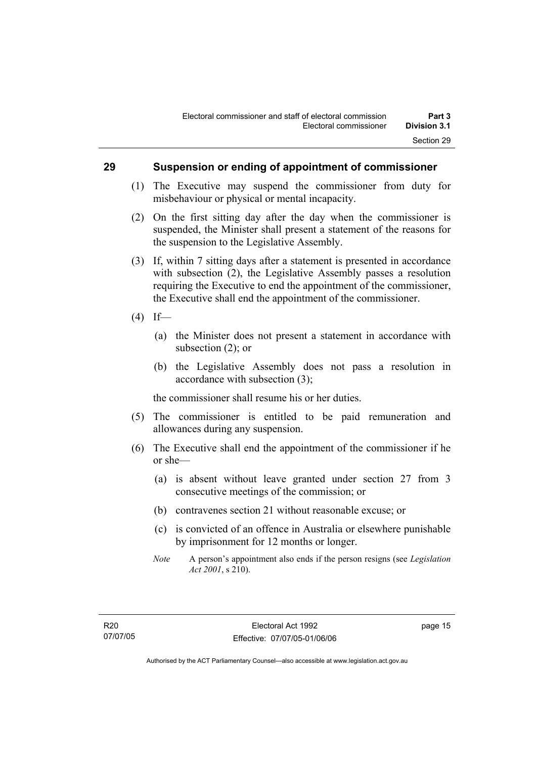#### **29 Suspension or ending of appointment of commissioner**

- (1) The Executive may suspend the commissioner from duty for misbehaviour or physical or mental incapacity.
- (2) On the first sitting day after the day when the commissioner is suspended, the Minister shall present a statement of the reasons for the suspension to the Legislative Assembly.
- (3) If, within 7 sitting days after a statement is presented in accordance with subsection (2), the Legislative Assembly passes a resolution requiring the Executive to end the appointment of the commissioner, the Executive shall end the appointment of the commissioner.
- $(4)$  If—
	- (a) the Minister does not present a statement in accordance with subsection (2); or
	- (b) the Legislative Assembly does not pass a resolution in accordance with subsection (3);

the commissioner shall resume his or her duties.

- (5) The commissioner is entitled to be paid remuneration and allowances during any suspension.
- (6) The Executive shall end the appointment of the commissioner if he or she—
	- (a) is absent without leave granted under section 27 from 3 consecutive meetings of the commission; or
	- (b) contravenes section 21 without reasonable excuse; or
	- (c) is convicted of an offence in Australia or elsewhere punishable by imprisonment for 12 months or longer.
	- *Note* A person's appointment also ends if the person resigns (see *Legislation Act 2001*, s 210).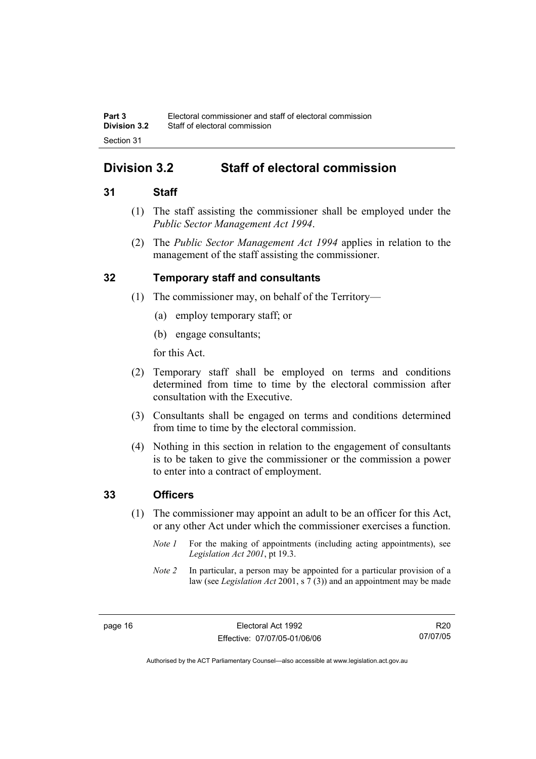## **Division 3.2 Staff of electoral commission**

### **31 Staff**

- (1) The staff assisting the commissioner shall be employed under the *Public Sector Management Act 1994*.
- (2) The *Public Sector Management Act 1994* applies in relation to the management of the staff assisting the commissioner.

### **32 Temporary staff and consultants**

- (1) The commissioner may, on behalf of the Territory—
	- (a) employ temporary staff; or
	- (b) engage consultants;

for this Act.

- (2) Temporary staff shall be employed on terms and conditions determined from time to time by the electoral commission after consultation with the Executive.
- (3) Consultants shall be engaged on terms and conditions determined from time to time by the electoral commission.
- (4) Nothing in this section in relation to the engagement of consultants is to be taken to give the commissioner or the commission a power to enter into a contract of employment.

### **33 Officers**

- (1) The commissioner may appoint an adult to be an officer for this Act, or any other Act under which the commissioner exercises a function.
	- *Note 1* For the making of appointments (including acting appointments), see *Legislation Act 2001*, pt 19.3.
	- *Note 2* In particular, a person may be appointed for a particular provision of a law (see *Legislation Act* 2001, s 7 (3)) and an appointment may be made

R20 07/07/05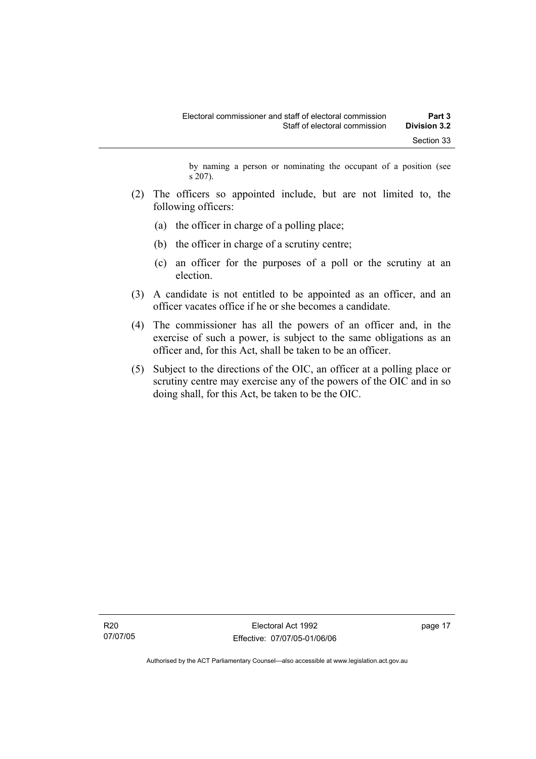by naming a person or nominating the occupant of a position (see s 207).

- (2) The officers so appointed include, but are not limited to, the following officers:
	- (a) the officer in charge of a polling place;
	- (b) the officer in charge of a scrutiny centre;
	- (c) an officer for the purposes of a poll or the scrutiny at an election.
- (3) A candidate is not entitled to be appointed as an officer, and an officer vacates office if he or she becomes a candidate.
- (4) The commissioner has all the powers of an officer and, in the exercise of such a power, is subject to the same obligations as an officer and, for this Act, shall be taken to be an officer.
- (5) Subject to the directions of the OIC, an officer at a polling place or scrutiny centre may exercise any of the powers of the OIC and in so doing shall, for this Act, be taken to be the OIC.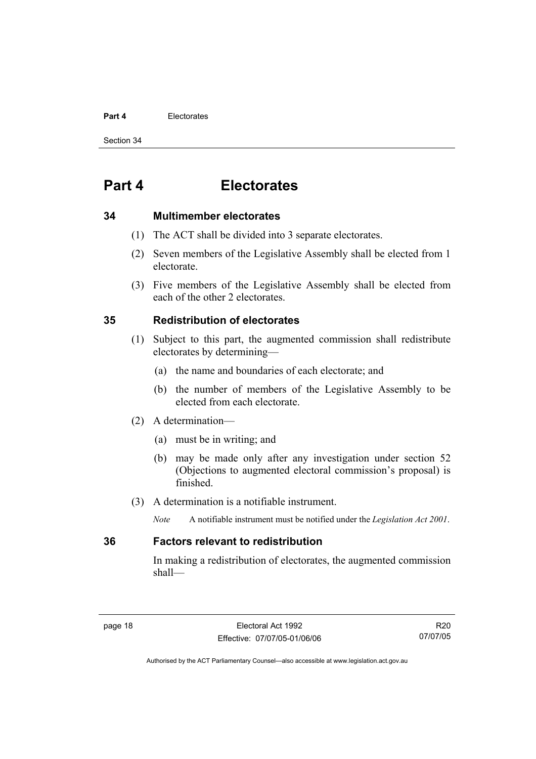#### **Part 4** Electorates

Section 34

## **Part 4 Electorates**

#### **34 Multimember electorates**

- (1) The ACT shall be divided into 3 separate electorates.
- (2) Seven members of the Legislative Assembly shall be elected from 1 electorate.
- (3) Five members of the Legislative Assembly shall be elected from each of the other 2 electorates.

### **35 Redistribution of electorates**

- (1) Subject to this part, the augmented commission shall redistribute electorates by determining—
	- (a) the name and boundaries of each electorate; and
	- (b) the number of members of the Legislative Assembly to be elected from each electorate.
- (2) A determination—
	- (a) must be in writing; and
	- (b) may be made only after any investigation under section 52 (Objections to augmented electoral commission's proposal) is finished.
- (3) A determination is a notifiable instrument.
	- *Note* A notifiable instrument must be notified under the *Legislation Act 2001*.

#### **36 Factors relevant to redistribution**

In making a redistribution of electorates, the augmented commission shall—

R20 07/07/05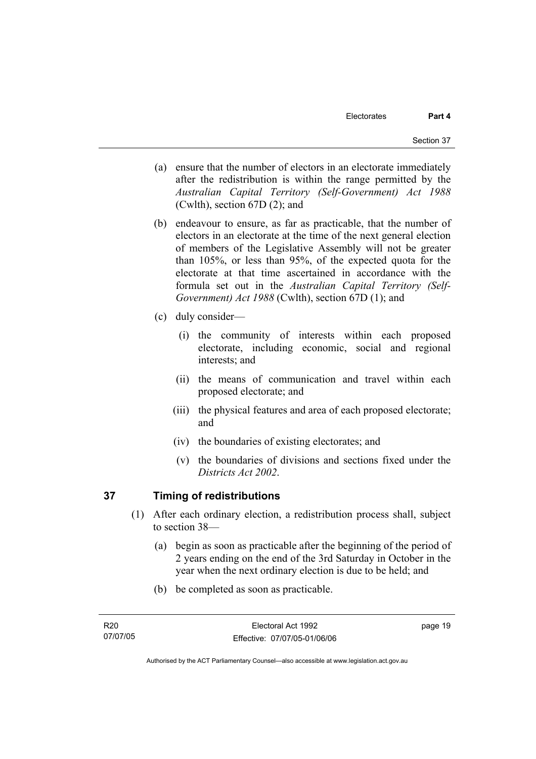- (a) ensure that the number of electors in an electorate immediately after the redistribution is within the range permitted by the *Australian Capital Territory (Self-Government) Act 1988*  (Cwlth), section 67D (2); and
- (b) endeavour to ensure, as far as practicable, that the number of electors in an electorate at the time of the next general election of members of the Legislative Assembly will not be greater than 105%, or less than 95%, of the expected quota for the electorate at that time ascertained in accordance with the formula set out in the *Australian Capital Territory (Self-Government) Act 1988* (Cwlth), section 67D (1); and
- (c) duly consider—
	- (i) the community of interests within each proposed electorate, including economic, social and regional interests; and
	- (ii) the means of communication and travel within each proposed electorate; and
	- (iii) the physical features and area of each proposed electorate; and
	- (iv) the boundaries of existing electorates; and
	- (v) the boundaries of divisions and sections fixed under the *Districts Act 2002*.

### **37 Timing of redistributions**

- (1) After each ordinary election, a redistribution process shall, subject to section 38—
	- (a) begin as soon as practicable after the beginning of the period of 2 years ending on the end of the 3rd Saturday in October in the year when the next ordinary election is due to be held; and
	- (b) be completed as soon as practicable.

page 19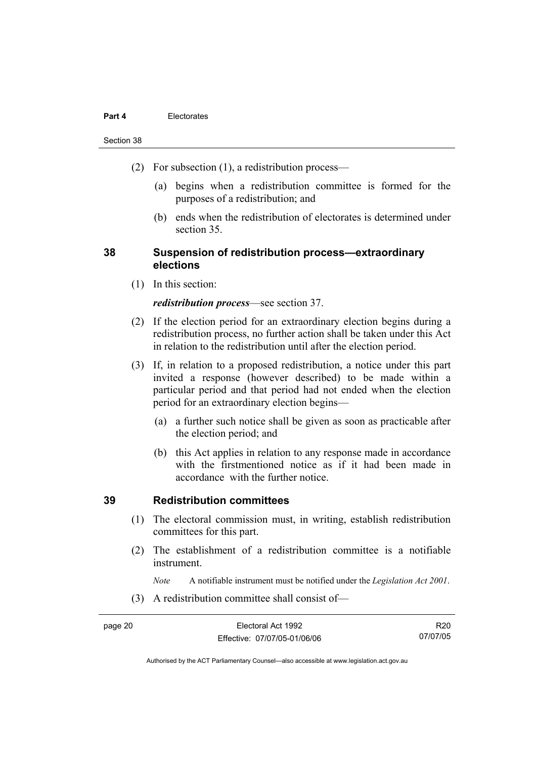#### **Part 4** Electorates

#### Section 38

- (2) For subsection (1), a redistribution process—
	- (a) begins when a redistribution committee is formed for the purposes of a redistribution; and
	- (b) ends when the redistribution of electorates is determined under section 35.

### **38 Suspension of redistribution process—extraordinary elections**

(1) In this section:

#### *redistribution process*—see section 37.

- (2) If the election period for an extraordinary election begins during a redistribution process, no further action shall be taken under this Act in relation to the redistribution until after the election period.
- (3) If, in relation to a proposed redistribution, a notice under this part invited a response (however described) to be made within a particular period and that period had not ended when the election period for an extraordinary election begins—
	- (a) a further such notice shall be given as soon as practicable after the election period; and
	- (b) this Act applies in relation to any response made in accordance with the firstmentioned notice as if it had been made in accordance with the further notice.

### **39 Redistribution committees**

- (1) The electoral commission must, in writing, establish redistribution committees for this part.
- (2) The establishment of a redistribution committee is a notifiable instrument.

*Note* A notifiable instrument must be notified under the *Legislation Act 2001*.

(3) A redistribution committee shall consist of—

R20 07/07/05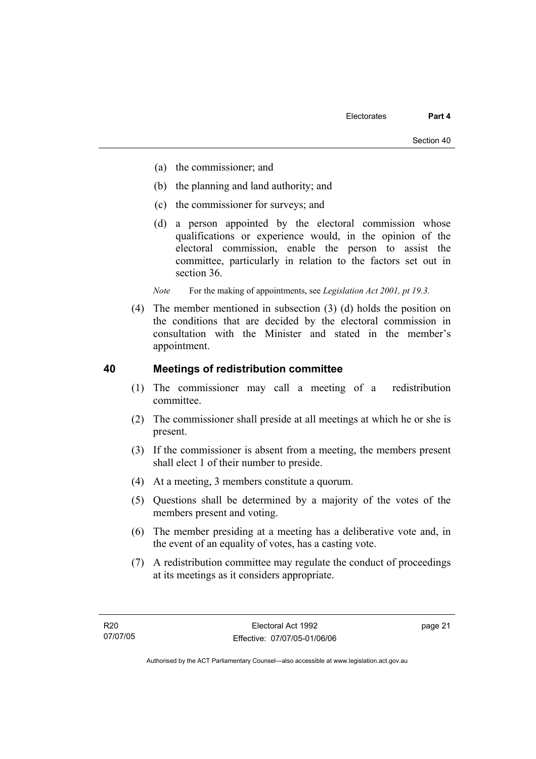- (a) the commissioner; and
- (b) the planning and land authority; and
- (c) the commissioner for surveys; and
- (d) a person appointed by the electoral commission whose qualifications or experience would, in the opinion of the electoral commission, enable the person to assist the committee, particularly in relation to the factors set out in section 36.

*Note* For the making of appointments, see *Legislation Act 2001*, pt 19.3.

 (4) The member mentioned in subsection (3) (d) holds the position on the conditions that are decided by the electoral commission in consultation with the Minister and stated in the member's appointment.

#### **40 Meetings of redistribution committee**

- (1) The commissioner may call a meeting of a redistribution committee.
- (2) The commissioner shall preside at all meetings at which he or she is present.
- (3) If the commissioner is absent from a meeting, the members present shall elect 1 of their number to preside.
- (4) At a meeting, 3 members constitute a quorum.
- (5) Questions shall be determined by a majority of the votes of the members present and voting.
- (6) The member presiding at a meeting has a deliberative vote and, in the event of an equality of votes, has a casting vote.
- (7) A redistribution committee may regulate the conduct of proceedings at its meetings as it considers appropriate.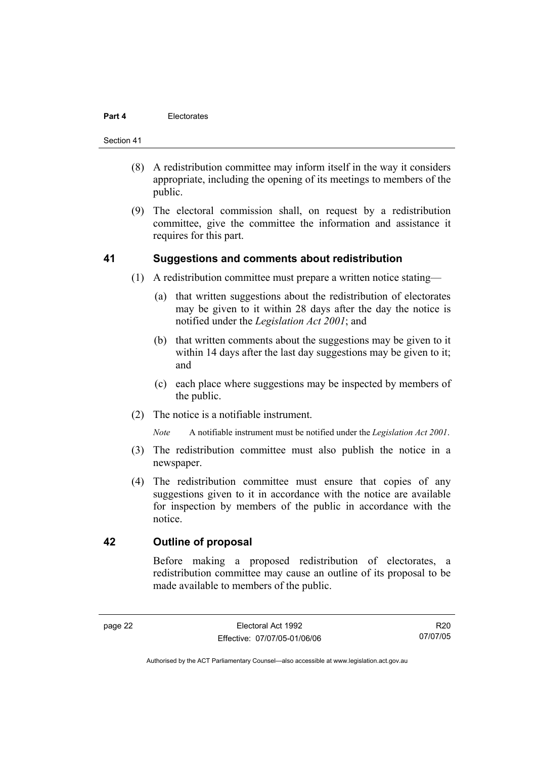#### **Part 4** Electorates

#### Section 41

- (8) A redistribution committee may inform itself in the way it considers appropriate, including the opening of its meetings to members of the public.
- (9) The electoral commission shall, on request by a redistribution committee, give the committee the information and assistance it requires for this part.

#### **41 Suggestions and comments about redistribution**

- (1) A redistribution committee must prepare a written notice stating—
	- (a) that written suggestions about the redistribution of electorates may be given to it within 28 days after the day the notice is notified under the *Legislation Act 2001*; and
	- (b) that written comments about the suggestions may be given to it within 14 days after the last day suggestions may be given to it; and
	- (c) each place where suggestions may be inspected by members of the public.
- (2) The notice is a notifiable instrument.

*Note* A notifiable instrument must be notified under the *Legislation Act 2001*.

- (3) The redistribution committee must also publish the notice in a newspaper.
- (4) The redistribution committee must ensure that copies of any suggestions given to it in accordance with the notice are available for inspection by members of the public in accordance with the notice.

### **42 Outline of proposal**

Before making a proposed redistribution of electorates, a redistribution committee may cause an outline of its proposal to be made available to members of the public.

R20 07/07/05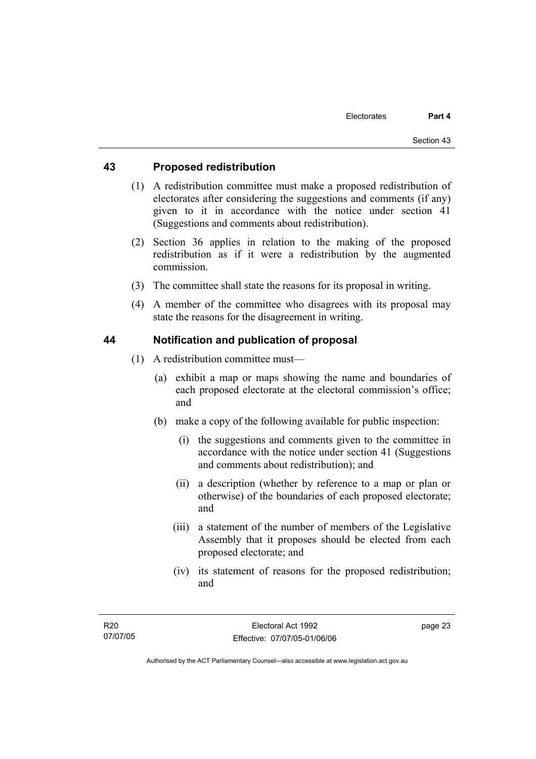### **43 Proposed redistribution**

- (1) A redistribution committee must make a proposed redistribution of electorates after considering the suggestions and comments (if any) given to it in accordance with the notice under section 41 (Suggestions and comments about redistribution).
- (2) Section 36 applies in relation to the making of the proposed redistribution as if it were a redistribution by the augmented commission.
- (3) The committee shall state the reasons for its proposal in writing.
- (4) A member of the committee who disagrees with its proposal may state the reasons for the disagreement in writing.

### **44 Notification and publication of proposal**

- (1) A redistribution committee must—
	- (a) exhibit a map or maps showing the name and boundaries of each proposed electorate at the electoral commission's office; and
	- (b) make a copy of the following available for public inspection:
		- (i) the suggestions and comments given to the committee in accordance with the notice under section 41 (Suggestions and comments about redistribution); and
		- (ii) a description (whether by reference to a map or plan or otherwise) of the boundaries of each proposed electorate; and
		- (iii) a statement of the number of members of the Legislative Assembly that it proposes should be elected from each proposed electorate; and
		- (iv) its statement of reasons for the proposed redistribution; and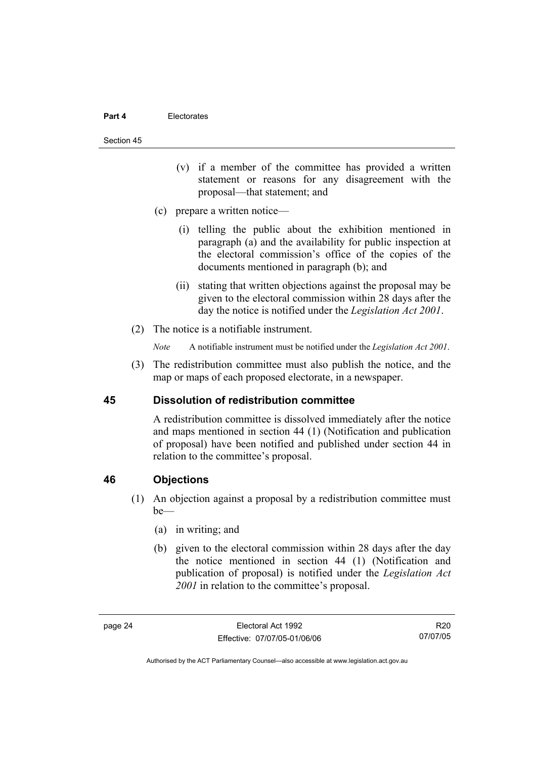#### **Part 4** Electorates

#### Section 45

- (v) if a member of the committee has provided a written statement or reasons for any disagreement with the proposal—that statement; and
- (c) prepare a written notice—
	- (i) telling the public about the exhibition mentioned in paragraph (a) and the availability for public inspection at the electoral commission's office of the copies of the documents mentioned in paragraph (b); and
	- (ii) stating that written objections against the proposal may be given to the electoral commission within 28 days after the day the notice is notified under the *Legislation Act 2001*.
- (2) The notice is a notifiable instrument.
	- *Note* A notifiable instrument must be notified under the *Legislation Act 2001*.
- (3) The redistribution committee must also publish the notice, and the map or maps of each proposed electorate, in a newspaper.

#### **45 Dissolution of redistribution committee**

A redistribution committee is dissolved immediately after the notice and maps mentioned in section 44 (1) (Notification and publication of proposal) have been notified and published under section 44 in relation to the committee's proposal.

#### **46 Objections**

- (1) An objection against a proposal by a redistribution committee must  $be$ —
	- (a) in writing; and
	- (b) given to the electoral commission within 28 days after the day the notice mentioned in section 44 (1) (Notification and publication of proposal) is notified under the *Legislation Act 2001* in relation to the committee's proposal.

R20 07/07/05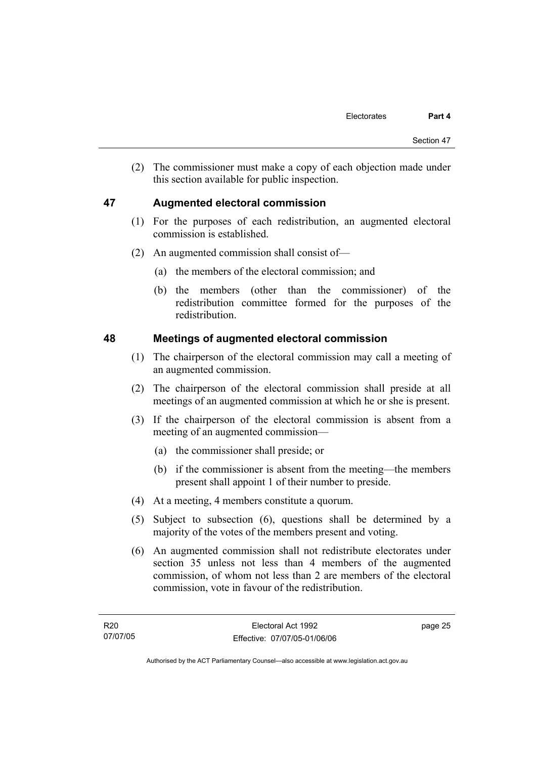(2) The commissioner must make a copy of each objection made under this section available for public inspection.

### **47 Augmented electoral commission**

- (1) For the purposes of each redistribution, an augmented electoral commission is established.
- (2) An augmented commission shall consist of—
	- (a) the members of the electoral commission; and
	- (b) the members (other than the commissioner) of the redistribution committee formed for the purposes of the redistribution.

### **48 Meetings of augmented electoral commission**

- (1) The chairperson of the electoral commission may call a meeting of an augmented commission.
- (2) The chairperson of the electoral commission shall preside at all meetings of an augmented commission at which he or she is present.
- (3) If the chairperson of the electoral commission is absent from a meeting of an augmented commission—
	- (a) the commissioner shall preside; or
	- (b) if the commissioner is absent from the meeting—the members present shall appoint 1 of their number to preside.
- (4) At a meeting, 4 members constitute a quorum.
- (5) Subject to subsection (6), questions shall be determined by a majority of the votes of the members present and voting.
- (6) An augmented commission shall not redistribute electorates under section 35 unless not less than 4 members of the augmented commission, of whom not less than 2 are members of the electoral commission, vote in favour of the redistribution.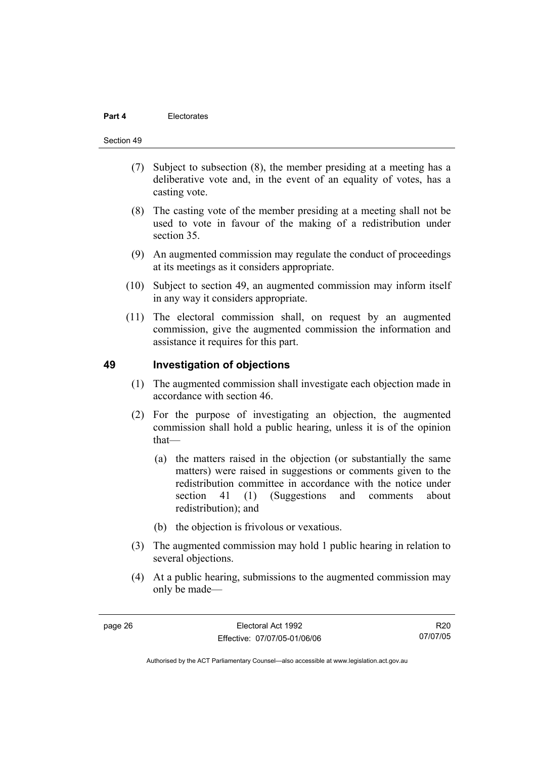#### Section 49

- (7) Subject to subsection (8), the member presiding at a meeting has a deliberative vote and, in the event of an equality of votes, has a casting vote.
- (8) The casting vote of the member presiding at a meeting shall not be used to vote in favour of the making of a redistribution under section 35.
- (9) An augmented commission may regulate the conduct of proceedings at its meetings as it considers appropriate.
- (10) Subject to section 49, an augmented commission may inform itself in any way it considers appropriate.
- (11) The electoral commission shall, on request by an augmented commission, give the augmented commission the information and assistance it requires for this part.

#### **49 Investigation of objections**

- (1) The augmented commission shall investigate each objection made in accordance with section 46.
- (2) For the purpose of investigating an objection, the augmented commission shall hold a public hearing, unless it is of the opinion that—
	- (a) the matters raised in the objection (or substantially the same matters) were raised in suggestions or comments given to the redistribution committee in accordance with the notice under section 41 (1) (Suggestions and comments about redistribution); and
	- (b) the objection is frivolous or vexatious.
- (3) The augmented commission may hold 1 public hearing in relation to several objections.
- (4) At a public hearing, submissions to the augmented commission may only be made—

R20 07/07/05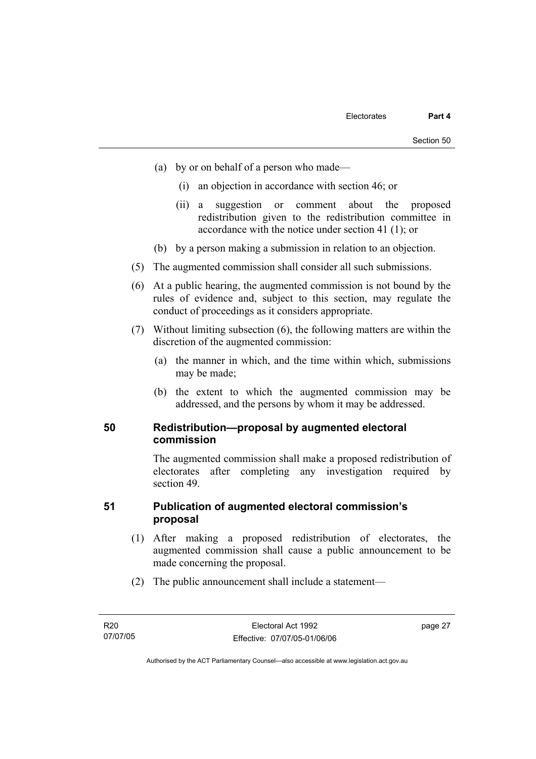- (a) by or on behalf of a person who made—
	- (i) an objection in accordance with section 46; or
	- (ii) a suggestion or comment about the proposed redistribution given to the redistribution committee in accordance with the notice under section 41 (1); or
- (b) by a person making a submission in relation to an objection.
- (5) The augmented commission shall consider all such submissions.
- (6) At a public hearing, the augmented commission is not bound by the rules of evidence and, subject to this section, may regulate the conduct of proceedings as it considers appropriate.
- (7) Without limiting subsection (6), the following matters are within the discretion of the augmented commission:
	- (a) the manner in which, and the time within which, submissions may be made;
	- (b) the extent to which the augmented commission may be addressed, and the persons by whom it may be addressed.

#### **50 Redistribution—proposal by augmented electoral commission**

The augmented commission shall make a proposed redistribution of electorates after completing any investigation required by section 49.

### **51 Publication of augmented electoral commission's proposal**

- (1) After making a proposed redistribution of electorates, the augmented commission shall cause a public announcement to be made concerning the proposal.
- (2) The public announcement shall include a statement—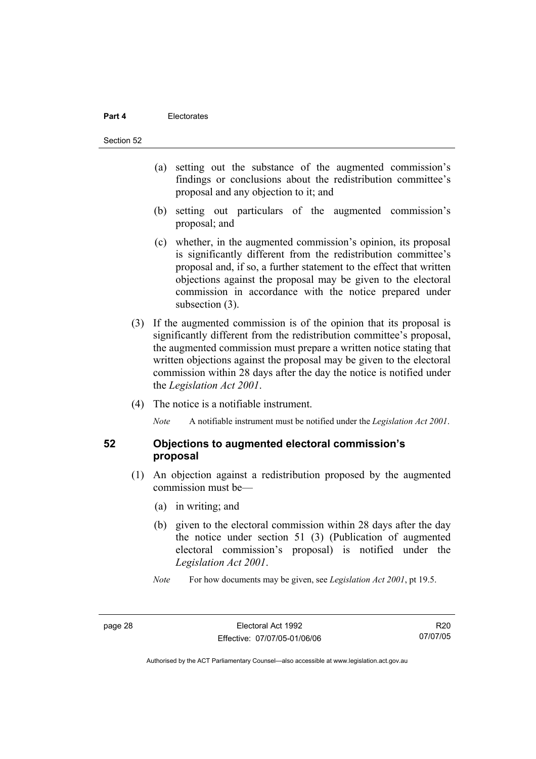#### **Part 4** Electorates

Section 52

- (a) setting out the substance of the augmented commission's findings or conclusions about the redistribution committee's proposal and any objection to it; and
- (b) setting out particulars of the augmented commission's proposal; and
- (c) whether, in the augmented commission's opinion, its proposal is significantly different from the redistribution committee's proposal and, if so, a further statement to the effect that written objections against the proposal may be given to the electoral commission in accordance with the notice prepared under subsection  $(3)$ .
- (3) If the augmented commission is of the opinion that its proposal is significantly different from the redistribution committee's proposal, the augmented commission must prepare a written notice stating that written objections against the proposal may be given to the electoral commission within 28 days after the day the notice is notified under the *Legislation Act 2001*.
- (4) The notice is a notifiable instrument.

*Note* A notifiable instrument must be notified under the *Legislation Act 2001*.

#### **52 Objections to augmented electoral commission's proposal**

- (1) An objection against a redistribution proposed by the augmented commission must be—
	- (a) in writing; and
	- (b) given to the electoral commission within 28 days after the day the notice under section 51 (3) (Publication of augmented electoral commission's proposal) is notified under the *Legislation Act 2001*.
	- *Note* For how documents may be given, see *Legislation Act 2001*, pt 19.5.

R20 07/07/05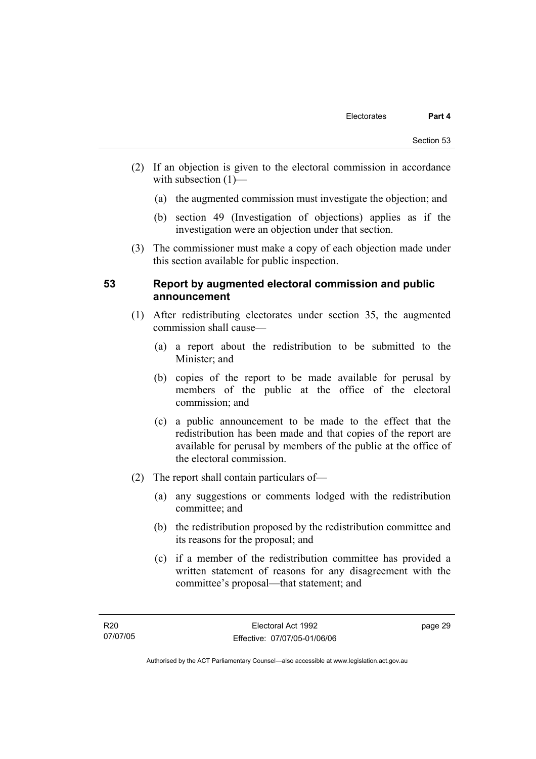- (2) If an objection is given to the electoral commission in accordance with subsection (1)—
	- (a) the augmented commission must investigate the objection; and
	- (b) section 49 (Investigation of objections) applies as if the investigation were an objection under that section.
- (3) The commissioner must make a copy of each objection made under this section available for public inspection.

#### **53 Report by augmented electoral commission and public announcement**

- (1) After redistributing electorates under section 35, the augmented commission shall cause—
	- (a) a report about the redistribution to be submitted to the Minister; and
	- (b) copies of the report to be made available for perusal by members of the public at the office of the electoral commission; and
	- (c) a public announcement to be made to the effect that the redistribution has been made and that copies of the report are available for perusal by members of the public at the office of the electoral commission.
- (2) The report shall contain particulars of—
	- (a) any suggestions or comments lodged with the redistribution committee; and
	- (b) the redistribution proposed by the redistribution committee and its reasons for the proposal; and
	- (c) if a member of the redistribution committee has provided a written statement of reasons for any disagreement with the committee's proposal—that statement; and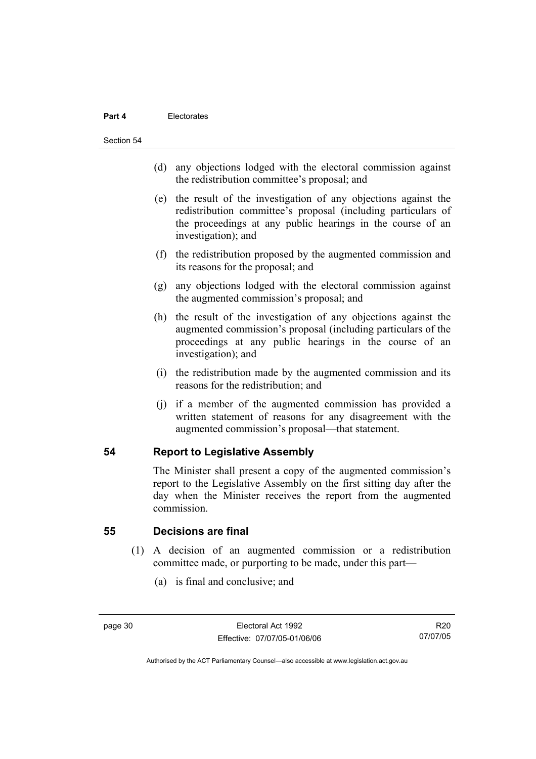#### **Part 4** Electorates

Section 54

- (d) any objections lodged with the electoral commission against the redistribution committee's proposal; and
- (e) the result of the investigation of any objections against the redistribution committee's proposal (including particulars of the proceedings at any public hearings in the course of an investigation); and
- (f) the redistribution proposed by the augmented commission and its reasons for the proposal; and
- (g) any objections lodged with the electoral commission against the augmented commission's proposal; and
- (h) the result of the investigation of any objections against the augmented commission's proposal (including particulars of the proceedings at any public hearings in the course of an investigation); and
- (i) the redistribution made by the augmented commission and its reasons for the redistribution; and
- (j) if a member of the augmented commission has provided a written statement of reasons for any disagreement with the augmented commission's proposal—that statement.

#### **54 Report to Legislative Assembly**

The Minister shall present a copy of the augmented commission's report to the Legislative Assembly on the first sitting day after the day when the Minister receives the report from the augmented commission.

#### **55 Decisions are final**

- (1) A decision of an augmented commission or a redistribution committee made, or purporting to be made, under this part—
	- (a) is final and conclusive; and

R20 07/07/05

Authorised by the ACT Parliamentary Counsel—also accessible at www.legislation.act.gov.au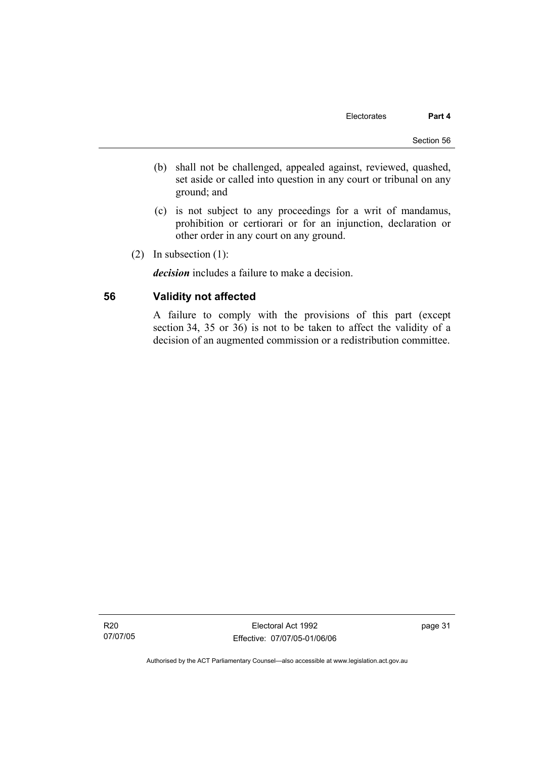- (b) shall not be challenged, appealed against, reviewed, quashed, set aside or called into question in any court or tribunal on any ground; and
- (c) is not subject to any proceedings for a writ of mandamus, prohibition or certiorari or for an injunction, declaration or other order in any court on any ground.
- (2) In subsection (1):

*decision* includes a failure to make a decision.

### **56 Validity not affected**

A failure to comply with the provisions of this part (except section 34, 35 or 36) is not to be taken to affect the validity of a decision of an augmented commission or a redistribution committee.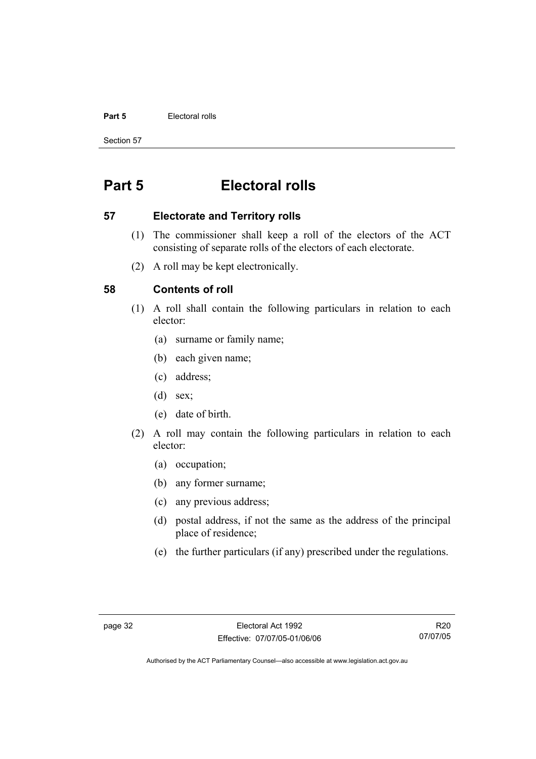#### **Part 5 Electoral rolls**

Section 57

# **Part 5 Electoral rolls**

#### **57 Electorate and Territory rolls**

- (1) The commissioner shall keep a roll of the electors of the ACT consisting of separate rolls of the electors of each electorate.
- (2) A roll may be kept electronically.

### **58 Contents of roll**

- (1) A roll shall contain the following particulars in relation to each elector:
	- (a) surname or family name;
	- (b) each given name;
	- (c) address;
	- (d) sex;
	- (e) date of birth.
- (2) A roll may contain the following particulars in relation to each elector:
	- (a) occupation;
	- (b) any former surname;
	- (c) any previous address;
	- (d) postal address, if not the same as the address of the principal place of residence;
	- (e) the further particulars (if any) prescribed under the regulations.

R20 07/07/05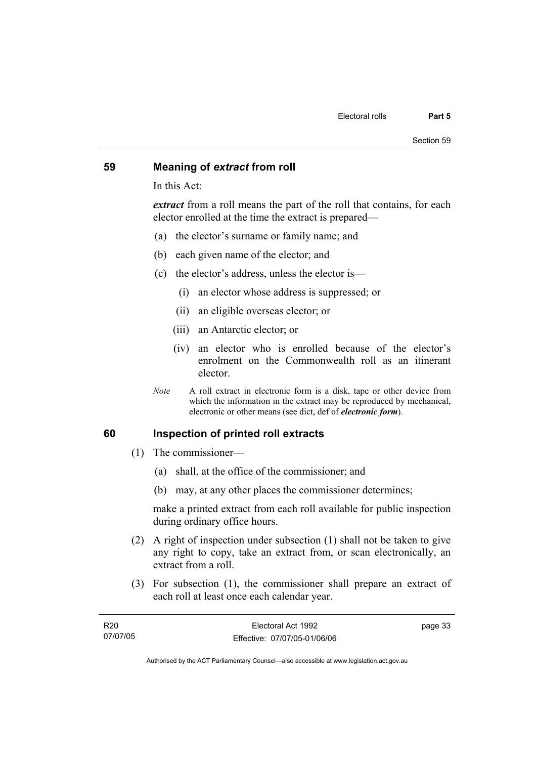#### **59 Meaning of** *extract* **from roll**

In this Act:

*extract* from a roll means the part of the roll that contains, for each elector enrolled at the time the extract is prepared—

- (a) the elector's surname or family name; and
- (b) each given name of the elector; and
- (c) the elector's address, unless the elector is—
	- (i) an elector whose address is suppressed; or
	- (ii) an eligible overseas elector; or
	- (iii) an Antarctic elector; or
	- (iv) an elector who is enrolled because of the elector's enrolment on the Commonwealth roll as an itinerant elector.
- *Note* A roll extract in electronic form is a disk, tape or other device from which the information in the extract may be reproduced by mechanical, electronic or other means (see dict, def of *electronic form*).

#### **60 Inspection of printed roll extracts**

- (1) The commissioner—
	- (a) shall, at the office of the commissioner; and
	- (b) may, at any other places the commissioner determines;

make a printed extract from each roll available for public inspection during ordinary office hours.

- (2) A right of inspection under subsection (1) shall not be taken to give any right to copy, take an extract from, or scan electronically, an extract from a roll.
- (3) For subsection (1), the commissioner shall prepare an extract of each roll at least once each calendar year.

| R <sub>20</sub> | Electoral Act 1992           | page 33 |
|-----------------|------------------------------|---------|
| 07/07/05        | Effective: 07/07/05-01/06/06 |         |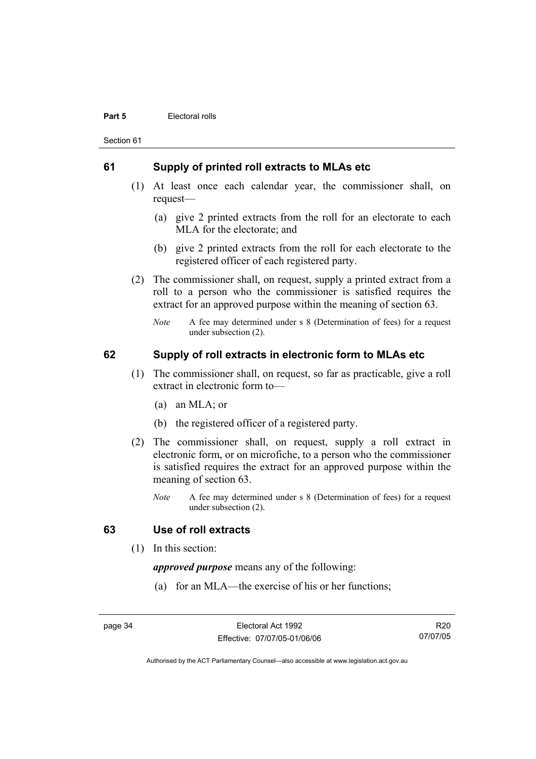#### **Part 5 Electoral rolls**

Section 61

### **61 Supply of printed roll extracts to MLAs etc**

- (1) At least once each calendar year, the commissioner shall, on request—
	- (a) give 2 printed extracts from the roll for an electorate to each MLA for the electorate; and
	- (b) give 2 printed extracts from the roll for each electorate to the registered officer of each registered party.
- (2) The commissioner shall, on request, supply a printed extract from a roll to a person who the commissioner is satisfied requires the extract for an approved purpose within the meaning of section 63.
	- *Note* A fee may determined under s 8 (Determination of fees) for a request under subsection (2).

### **62 Supply of roll extracts in electronic form to MLAs etc**

- (1) The commissioner shall, on request, so far as practicable, give a roll extract in electronic form to—
	- (a) an MLA; or
	- (b) the registered officer of a registered party.
- (2) The commissioner shall, on request, supply a roll extract in electronic form, or on microfiche, to a person who the commissioner is satisfied requires the extract for an approved purpose within the meaning of section 63.
	- *Note* A fee may determined under s 8 (Determination of fees) for a request under subsection (2).

#### **63 Use of roll extracts**

(1) In this section:

*approved purpose* means any of the following:

(a) for an MLA—the exercise of his or her functions;

page 34 Electoral Act 1992 Effective: 07/07/05-01/06/06

R20 07/07/05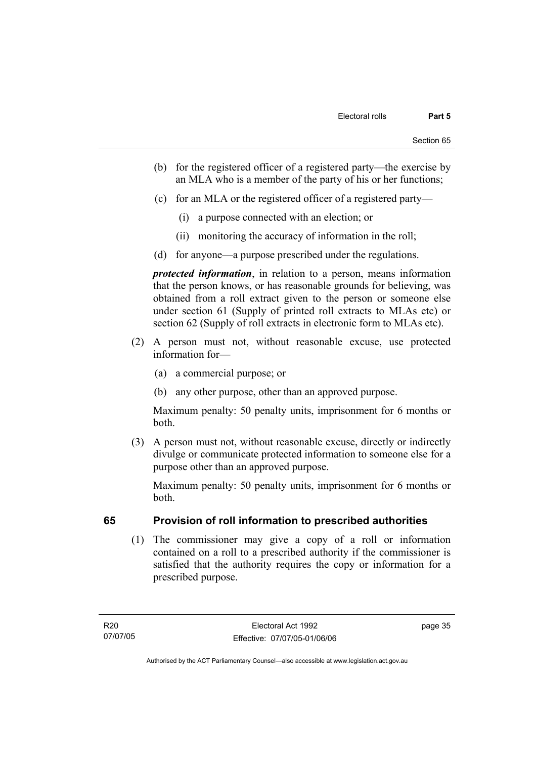- (b) for the registered officer of a registered party—the exercise by an MLA who is a member of the party of his or her functions;
- (c) for an MLA or the registered officer of a registered party—
	- (i) a purpose connected with an election; or
	- (ii) monitoring the accuracy of information in the roll;
- (d) for anyone—a purpose prescribed under the regulations.

*protected information*, in relation to a person, means information that the person knows, or has reasonable grounds for believing, was obtained from a roll extract given to the person or someone else under section 61 (Supply of printed roll extracts to MLAs etc) or section 62 (Supply of roll extracts in electronic form to MLAs etc).

- (2) A person must not, without reasonable excuse, use protected information for—
	- (a) a commercial purpose; or
	- (b) any other purpose, other than an approved purpose.

Maximum penalty: 50 penalty units, imprisonment for 6 months or both.

 (3) A person must not, without reasonable excuse, directly or indirectly divulge or communicate protected information to someone else for a purpose other than an approved purpose.

Maximum penalty: 50 penalty units, imprisonment for 6 months or both.

### **65 Provision of roll information to prescribed authorities**

 (1) The commissioner may give a copy of a roll or information contained on a roll to a prescribed authority if the commissioner is satisfied that the authority requires the copy or information for a prescribed purpose.

R20 07/07/05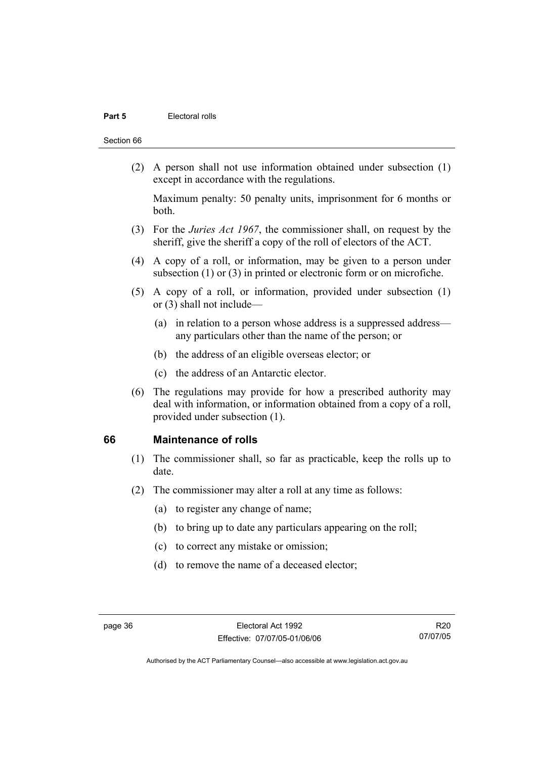#### **Part 5 Electoral rolls**

#### Section 66

 (2) A person shall not use information obtained under subsection (1) except in accordance with the regulations.

Maximum penalty: 50 penalty units, imprisonment for 6 months or both.

- (3) For the *Juries Act 1967*, the commissioner shall, on request by the sheriff, give the sheriff a copy of the roll of electors of the ACT.
- (4) A copy of a roll, or information, may be given to a person under subsection (1) or (3) in printed or electronic form or on microfiche.
- (5) A copy of a roll, or information, provided under subsection (1) or (3) shall not include—
	- (a) in relation to a person whose address is a suppressed address any particulars other than the name of the person; or
	- (b) the address of an eligible overseas elector; or
	- (c) the address of an Antarctic elector.
- (6) The regulations may provide for how a prescribed authority may deal with information, or information obtained from a copy of a roll, provided under subsection (1).

#### **66 Maintenance of rolls**

- (1) The commissioner shall, so far as practicable, keep the rolls up to date.
- (2) The commissioner may alter a roll at any time as follows:
	- (a) to register any change of name;
	- (b) to bring up to date any particulars appearing on the roll;
	- (c) to correct any mistake or omission;
	- (d) to remove the name of a deceased elector;

R20 07/07/05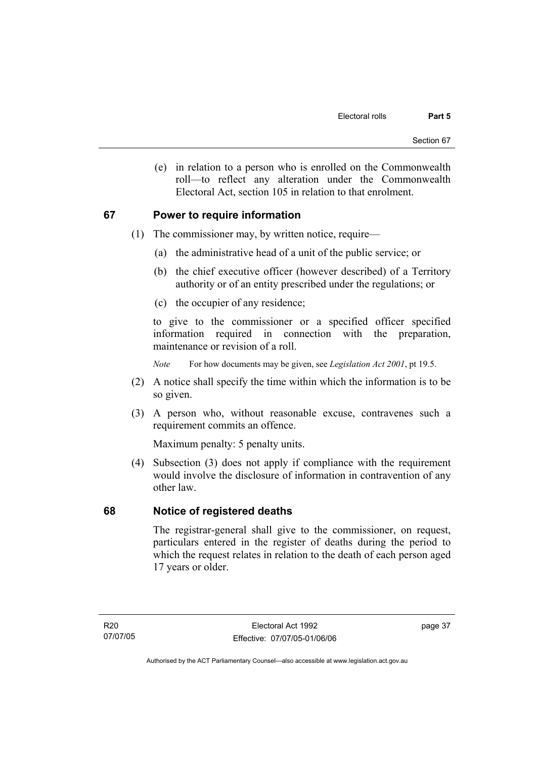(e) in relation to a person who is enrolled on the Commonwealth roll—to reflect any alteration under the Commonwealth Electoral Act, section 105 in relation to that enrolment.

### **67 Power to require information**

- (1) The commissioner may, by written notice, require—
	- (a) the administrative head of a unit of the public service; or
	- (b) the chief executive officer (however described) of a Territory authority or of an entity prescribed under the regulations; or
	- (c) the occupier of any residence;

to give to the commissioner or a specified officer specified information required in connection with the preparation, maintenance or revision of a roll.

*Note* For how documents may be given, see *Legislation Act 2001*, pt 19.5.

- (2) A notice shall specify the time within which the information is to be so given.
- (3) A person who, without reasonable excuse, contravenes such a requirement commits an offence.

Maximum penalty: 5 penalty units.

 (4) Subsection (3) does not apply if compliance with the requirement would involve the disclosure of information in contravention of any other law.

#### **68 Notice of registered deaths**

The registrar-general shall give to the commissioner, on request, particulars entered in the register of deaths during the period to which the request relates in relation to the death of each person aged 17 years or older.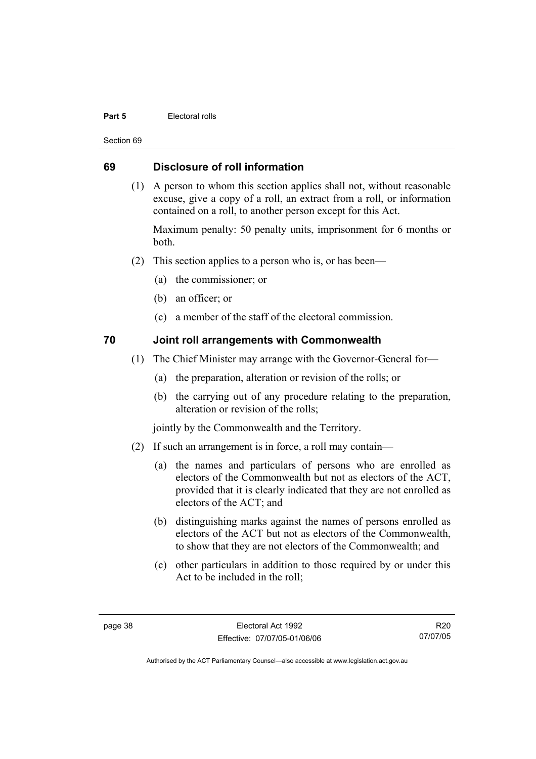#### **Part 5 Electoral rolls**

Section 69

#### **69 Disclosure of roll information**

 (1) A person to whom this section applies shall not, without reasonable excuse, give a copy of a roll, an extract from a roll, or information contained on a roll, to another person except for this Act.

Maximum penalty: 50 penalty units, imprisonment for 6 months or both.

- (2) This section applies to a person who is, or has been—
	- (a) the commissioner; or
	- (b) an officer; or
	- (c) a member of the staff of the electoral commission.

### **70 Joint roll arrangements with Commonwealth**

- (1) The Chief Minister may arrange with the Governor-General for—
	- (a) the preparation, alteration or revision of the rolls; or
	- (b) the carrying out of any procedure relating to the preparation, alteration or revision of the rolls;

jointly by the Commonwealth and the Territory.

- (2) If such an arrangement is in force, a roll may contain—
	- (a) the names and particulars of persons who are enrolled as electors of the Commonwealth but not as electors of the ACT, provided that it is clearly indicated that they are not enrolled as electors of the ACT; and
	- (b) distinguishing marks against the names of persons enrolled as electors of the ACT but not as electors of the Commonwealth, to show that they are not electors of the Commonwealth; and
	- (c) other particulars in addition to those required by or under this Act to be included in the roll;

R20 07/07/05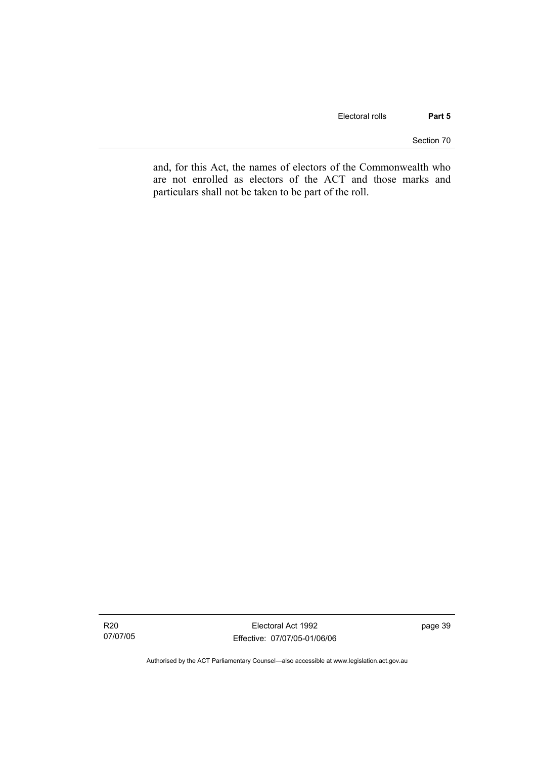Section 70

and, for this Act, the names of electors of the Commonwealth who are not enrolled as electors of the ACT and those marks and particulars shall not be taken to be part of the roll.

R20 07/07/05

Electoral Act 1992 Effective: 07/07/05-01/06/06 page 39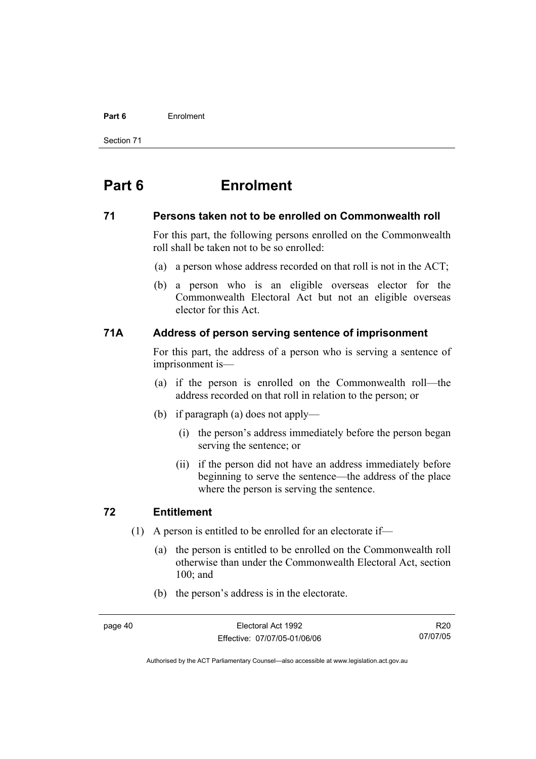#### **Part 6** Enrolment

Section 71

# **Part 6 Enrolment**

#### **71 Persons taken not to be enrolled on Commonwealth roll**

For this part, the following persons enrolled on the Commonwealth roll shall be taken not to be so enrolled:

- (a) a person whose address recorded on that roll is not in the ACT;
- (b) a person who is an eligible overseas elector for the Commonwealth Electoral Act but not an eligible overseas elector for this Act.

### **71A Address of person serving sentence of imprisonment**

For this part, the address of a person who is serving a sentence of imprisonment is—

- (a) if the person is enrolled on the Commonwealth roll—the address recorded on that roll in relation to the person; or
- (b) if paragraph (a) does not apply—
	- (i) the person's address immediately before the person began serving the sentence; or
	- (ii) if the person did not have an address immediately before beginning to serve the sentence—the address of the place where the person is serving the sentence.

#### **72 Entitlement**

- (1) A person is entitled to be enrolled for an electorate if—
	- (a) the person is entitled to be enrolled on the Commonwealth roll otherwise than under the Commonwealth Electoral Act, section 100; and
	- (b) the person's address is in the electorate.

R20 07/07/05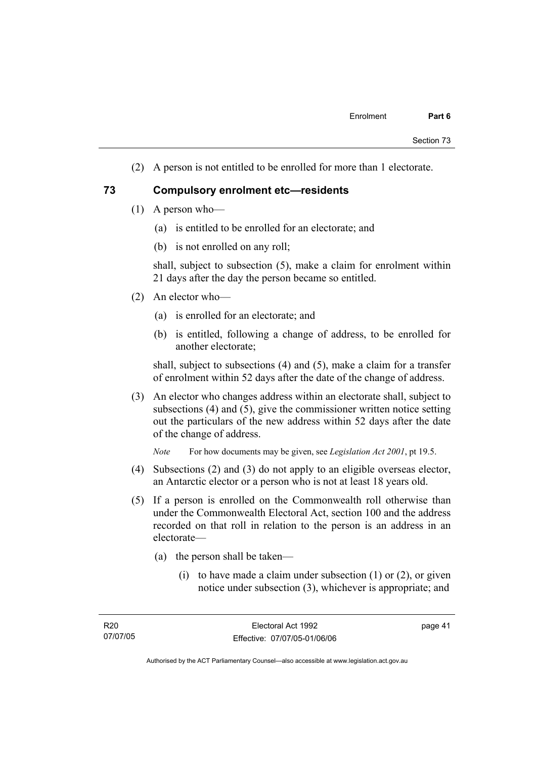(2) A person is not entitled to be enrolled for more than 1 electorate.

#### **73 Compulsory enrolment etc—residents**

- (1) A person who—
	- (a) is entitled to be enrolled for an electorate; and
	- (b) is not enrolled on any roll;

shall, subject to subsection (5), make a claim for enrolment within 21 days after the day the person became so entitled.

- (2) An elector who—
	- (a) is enrolled for an electorate; and
	- (b) is entitled, following a change of address, to be enrolled for another electorate;

shall, subject to subsections (4) and (5), make a claim for a transfer of enrolment within 52 days after the date of the change of address.

 (3) An elector who changes address within an electorate shall, subject to subsections (4) and (5), give the commissioner written notice setting out the particulars of the new address within 52 days after the date of the change of address.

*Note* For how documents may be given, see *Legislation Act 2001*, pt 19.5.

- (4) Subsections (2) and (3) do not apply to an eligible overseas elector, an Antarctic elector or a person who is not at least 18 years old.
- (5) If a person is enrolled on the Commonwealth roll otherwise than under the Commonwealth Electoral Act, section 100 and the address recorded on that roll in relation to the person is an address in an electorate—
	- (a) the person shall be taken—
		- (i) to have made a claim under subsection  $(1)$  or  $(2)$ , or given notice under subsection (3), whichever is appropriate; and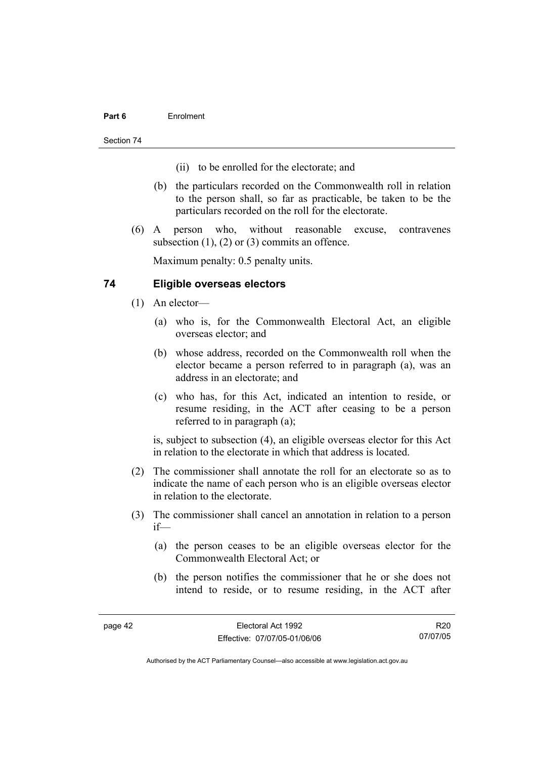#### **Part 6** Enrolment

Section 74

- (ii) to be enrolled for the electorate; and
- (b) the particulars recorded on the Commonwealth roll in relation to the person shall, so far as practicable, be taken to be the particulars recorded on the roll for the electorate.
- (6) A person who, without reasonable excuse, contravenes subsection (1), (2) or (3) commits an offence.

Maximum penalty: 0.5 penalty units.

### **74 Eligible overseas electors**

- (1) An elector—
	- (a) who is, for the Commonwealth Electoral Act, an eligible overseas elector; and
	- (b) whose address, recorded on the Commonwealth roll when the elector became a person referred to in paragraph (a), was an address in an electorate; and
	- (c) who has, for this Act, indicated an intention to reside, or resume residing, in the ACT after ceasing to be a person referred to in paragraph (a);

is, subject to subsection (4), an eligible overseas elector for this Act in relation to the electorate in which that address is located.

- (2) The commissioner shall annotate the roll for an electorate so as to indicate the name of each person who is an eligible overseas elector in relation to the electorate.
- (3) The commissioner shall cancel an annotation in relation to a person if—
	- (a) the person ceases to be an eligible overseas elector for the Commonwealth Electoral Act; or
	- (b) the person notifies the commissioner that he or she does not intend to reside, or to resume residing, in the ACT after

R20 07/07/05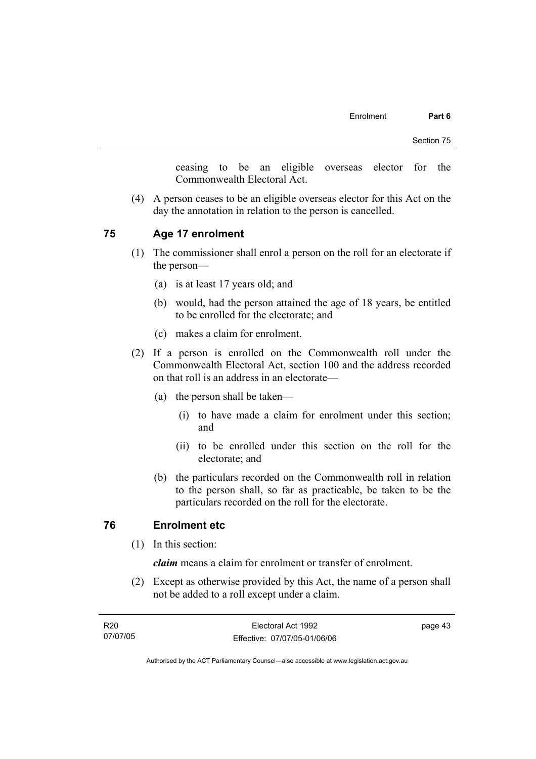ceasing to be an eligible overseas elector for the Commonwealth Electoral Act.

 (4) A person ceases to be an eligible overseas elector for this Act on the day the annotation in relation to the person is cancelled.

### **75 Age 17 enrolment**

- (1) The commissioner shall enrol a person on the roll for an electorate if the person—
	- (a) is at least 17 years old; and
	- (b) would, had the person attained the age of 18 years, be entitled to be enrolled for the electorate; and
	- (c) makes a claim for enrolment.
- (2) If a person is enrolled on the Commonwealth roll under the Commonwealth Electoral Act, section 100 and the address recorded on that roll is an address in an electorate—
	- (a) the person shall be taken—
		- (i) to have made a claim for enrolment under this section; and
		- (ii) to be enrolled under this section on the roll for the electorate; and
	- (b) the particulars recorded on the Commonwealth roll in relation to the person shall, so far as practicable, be taken to be the particulars recorded on the roll for the electorate.

#### **76 Enrolment etc**

(1) In this section:

*claim* means a claim for enrolment or transfer of enrolment.

 (2) Except as otherwise provided by this Act, the name of a person shall not be added to a roll except under a claim.

| R20      | Electoral Act 1992           | page 43 |
|----------|------------------------------|---------|
| 07/07/05 | Effective: 07/07/05-01/06/06 |         |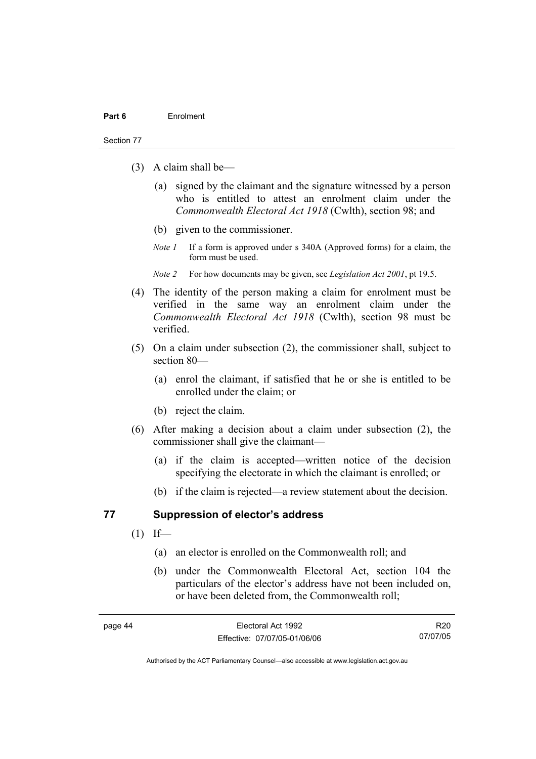#### Section 77

- (3) A claim shall be—
	- (a) signed by the claimant and the signature witnessed by a person who is entitled to attest an enrolment claim under the *Commonwealth Electoral Act 1918* (Cwlth), section 98; and
	- (b) given to the commissioner.
	- *Note 1* If a form is approved under s 340A (Approved forms) for a claim, the form must be used.
	- *Note 2* For how documents may be given, see *Legislation Act 2001*, pt 19.5.
- (4) The identity of the person making a claim for enrolment must be verified in the same way an enrolment claim under the *Commonwealth Electoral Act 1918* (Cwlth), section 98 must be verified.
- (5) On a claim under subsection (2), the commissioner shall, subject to section 80—
	- (a) enrol the claimant, if satisfied that he or she is entitled to be enrolled under the claim; or
	- (b) reject the claim.
- (6) After making a decision about a claim under subsection (2), the commissioner shall give the claimant—
	- (a) if the claim is accepted—written notice of the decision specifying the electorate in which the claimant is enrolled; or
	- (b) if the claim is rejected—a review statement about the decision.

#### **77 Suppression of elector's address**

- $(1)$  If—
	- (a) an elector is enrolled on the Commonwealth roll; and
	- (b) under the Commonwealth Electoral Act, section 104 the particulars of the elector's address have not been included on, or have been deleted from, the Commonwealth roll;

R20 07/07/05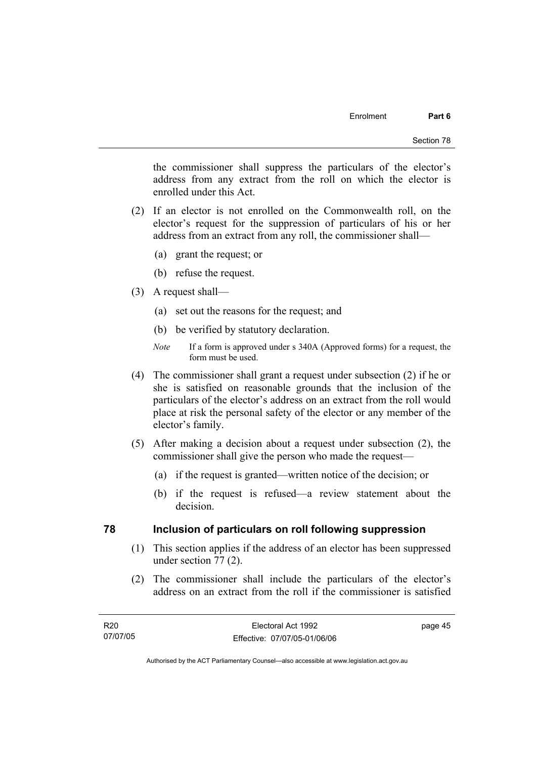the commissioner shall suppress the particulars of the elector's address from any extract from the roll on which the elector is enrolled under this Act.

- (2) If an elector is not enrolled on the Commonwealth roll, on the elector's request for the suppression of particulars of his or her address from an extract from any roll, the commissioner shall—
	- (a) grant the request; or
	- (b) refuse the request.
- (3) A request shall—
	- (a) set out the reasons for the request; and
	- (b) be verified by statutory declaration.
	- *Note* If a form is approved under s 340A (Approved forms) for a request, the form must be used.
- (4) The commissioner shall grant a request under subsection (2) if he or she is satisfied on reasonable grounds that the inclusion of the particulars of the elector's address on an extract from the roll would place at risk the personal safety of the elector or any member of the elector's family.
- (5) After making a decision about a request under subsection (2), the commissioner shall give the person who made the request—
	- (a) if the request is granted—written notice of the decision; or
	- (b) if the request is refused—a review statement about the decision.

#### **78 Inclusion of particulars on roll following suppression**

- (1) This section applies if the address of an elector has been suppressed under section 77 (2).
- (2) The commissioner shall include the particulars of the elector's address on an extract from the roll if the commissioner is satisfied

Authorised by the ACT Parliamentary Counsel—also accessible at www.legislation.act.gov.au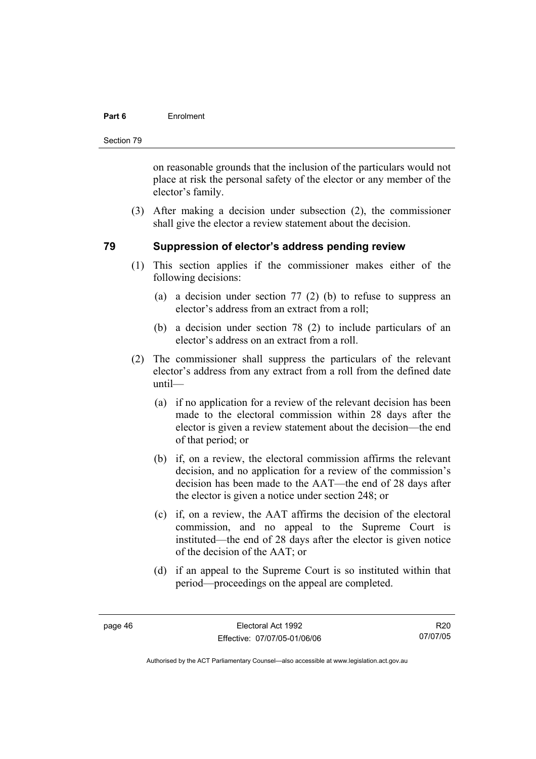#### **Part 6** Enrolment

Section 79

on reasonable grounds that the inclusion of the particulars would not place at risk the personal safety of the elector or any member of the elector's family.

 (3) After making a decision under subsection (2), the commissioner shall give the elector a review statement about the decision.

### **79 Suppression of elector's address pending review**

- (1) This section applies if the commissioner makes either of the following decisions:
	- (a) a decision under section 77 (2) (b) to refuse to suppress an elector's address from an extract from a roll;
	- (b) a decision under section 78 (2) to include particulars of an elector's address on an extract from a roll.
- (2) The commissioner shall suppress the particulars of the relevant elector's address from any extract from a roll from the defined date until—
	- (a) if no application for a review of the relevant decision has been made to the electoral commission within 28 days after the elector is given a review statement about the decision—the end of that period; or
	- (b) if, on a review, the electoral commission affirms the relevant decision, and no application for a review of the commission's decision has been made to the AAT—the end of 28 days after the elector is given a notice under section 248; or
	- (c) if, on a review, the AAT affirms the decision of the electoral commission, and no appeal to the Supreme Court is instituted—the end of 28 days after the elector is given notice of the decision of the AAT; or
	- (d) if an appeal to the Supreme Court is so instituted within that period—proceedings on the appeal are completed.

R20 07/07/05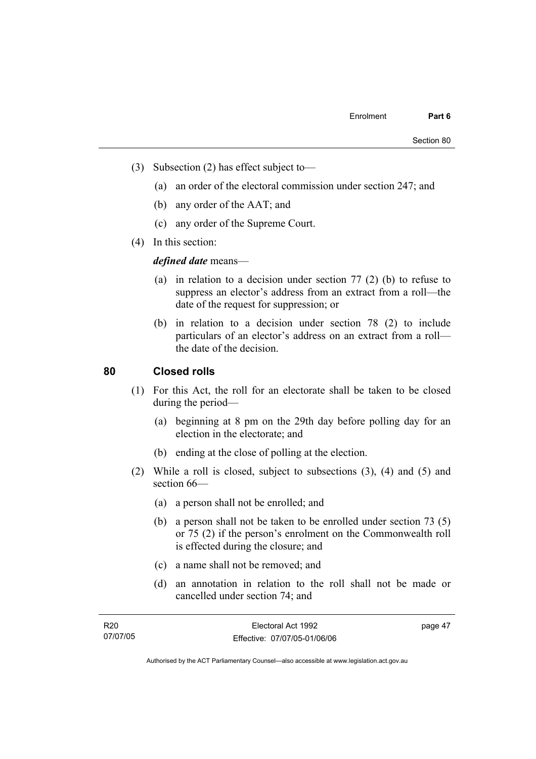- (3) Subsection (2) has effect subject to—
	- (a) an order of the electoral commission under section 247; and
	- (b) any order of the AAT; and
	- (c) any order of the Supreme Court.
- (4) In this section:

*defined date* means—

- (a) in relation to a decision under section 77 (2) (b) to refuse to suppress an elector's address from an extract from a roll—the date of the request for suppression; or
- (b) in relation to a decision under section 78 (2) to include particulars of an elector's address on an extract from a roll the date of the decision.

### **80 Closed rolls**

- (1) For this Act, the roll for an electorate shall be taken to be closed during the period—
	- (a) beginning at 8 pm on the 29th day before polling day for an election in the electorate; and
	- (b) ending at the close of polling at the election.
- (2) While a roll is closed, subject to subsections (3), (4) and (5) and section 66—
	- (a) a person shall not be enrolled; and
	- (b) a person shall not be taken to be enrolled under section 73 (5) or 75 (2) if the person's enrolment on the Commonwealth roll is effected during the closure; and
	- (c) a name shall not be removed; and
	- (d) an annotation in relation to the roll shall not be made or cancelled under section 74; and

| R <sub>20</sub> | Electoral Act 1992           | page 47 |
|-----------------|------------------------------|---------|
| 07/07/05        | Effective: 07/07/05-01/06/06 |         |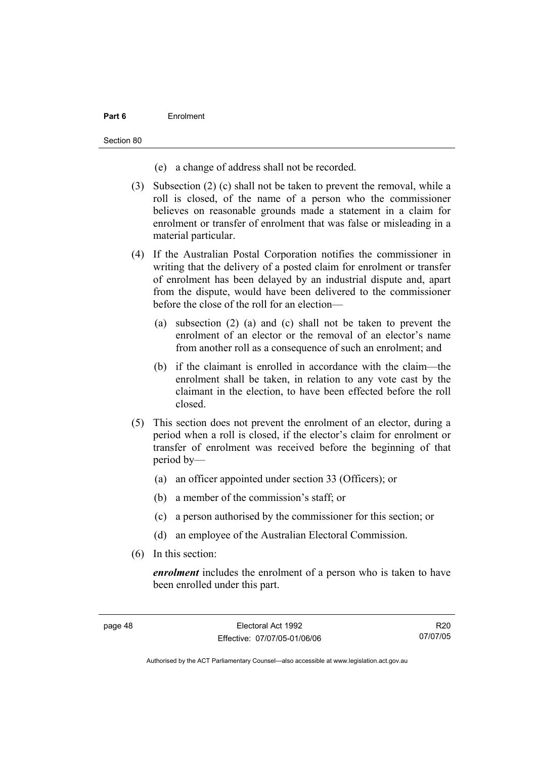#### **Part 6** Enrolment

Section 80

- (e) a change of address shall not be recorded.
- (3) Subsection (2) (c) shall not be taken to prevent the removal, while a roll is closed, of the name of a person who the commissioner believes on reasonable grounds made a statement in a claim for enrolment or transfer of enrolment that was false or misleading in a material particular.
- (4) If the Australian Postal Corporation notifies the commissioner in writing that the delivery of a posted claim for enrolment or transfer of enrolment has been delayed by an industrial dispute and, apart from the dispute, would have been delivered to the commissioner before the close of the roll for an election—
	- (a) subsection (2) (a) and (c) shall not be taken to prevent the enrolment of an elector or the removal of an elector's name from another roll as a consequence of such an enrolment; and
	- (b) if the claimant is enrolled in accordance with the claim—the enrolment shall be taken, in relation to any vote cast by the claimant in the election, to have been effected before the roll closed.
- (5) This section does not prevent the enrolment of an elector, during a period when a roll is closed, if the elector's claim for enrolment or transfer of enrolment was received before the beginning of that period by—
	- (a) an officer appointed under section 33 (Officers); or
	- (b) a member of the commission's staff; or
	- (c) a person authorised by the commissioner for this section; or
	- (d) an employee of the Australian Electoral Commission.
- (6) In this section:

*enrolment* includes the enrolment of a person who is taken to have been enrolled under this part.

R20 07/07/05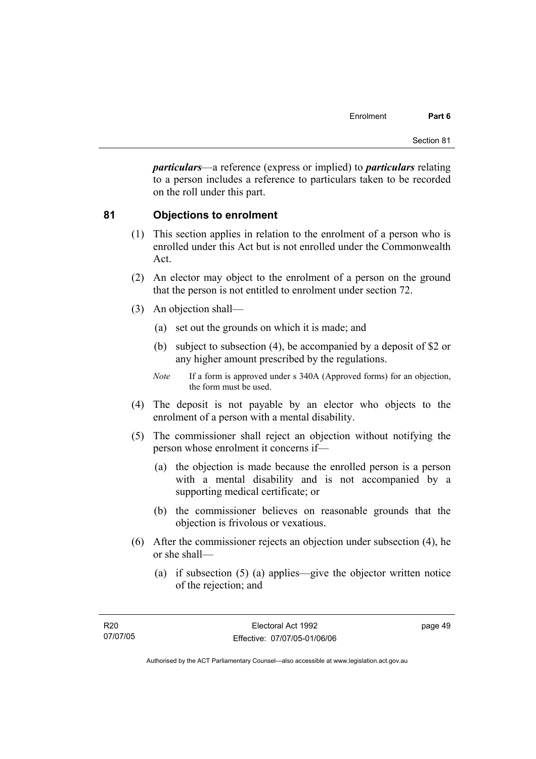*particulars*—a reference (express or implied) to *particulars* relating to a person includes a reference to particulars taken to be recorded on the roll under this part.

#### **81 Objections to enrolment**

- (1) This section applies in relation to the enrolment of a person who is enrolled under this Act but is not enrolled under the Commonwealth Act.
- (2) An elector may object to the enrolment of a person on the ground that the person is not entitled to enrolment under section 72.
- (3) An objection shall—
	- (a) set out the grounds on which it is made; and
	- (b) subject to subsection (4), be accompanied by a deposit of \$2 or any higher amount prescribed by the regulations.
	- *Note* If a form is approved under s 340A (Approved forms) for an objection, the form must be used.
- (4) The deposit is not payable by an elector who objects to the enrolment of a person with a mental disability.
- (5) The commissioner shall reject an objection without notifying the person whose enrolment it concerns if—
	- (a) the objection is made because the enrolled person is a person with a mental disability and is not accompanied by a supporting medical certificate; or
	- (b) the commissioner believes on reasonable grounds that the objection is frivolous or vexatious.
- (6) After the commissioner rejects an objection under subsection (4), he or she shall—
	- (a) if subsection (5) (a) applies—give the objector written notice of the rejection; and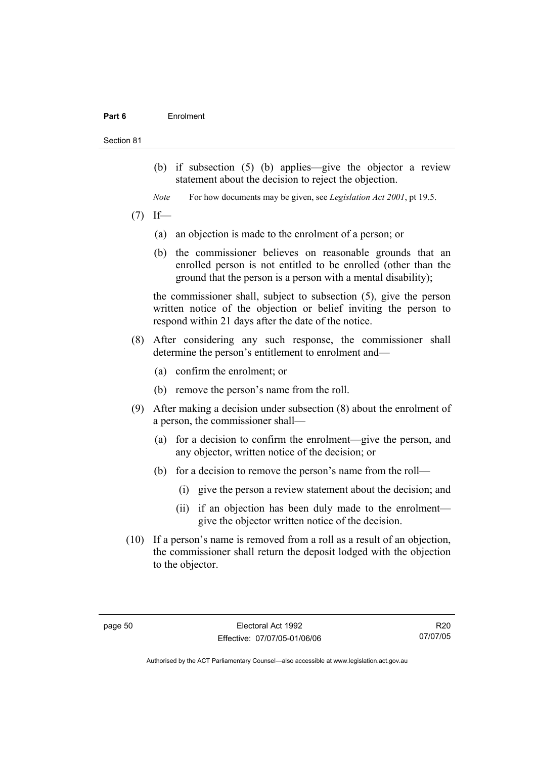#### **Part 6** Enrolment

#### Section 81

- (b) if subsection (5) (b) applies—give the objector a review statement about the decision to reject the objection.
- *Note* For how documents may be given, see *Legislation Act 2001*, pt 19.5.
- $(7)$  If—
	- (a) an objection is made to the enrolment of a person; or
	- (b) the commissioner believes on reasonable grounds that an enrolled person is not entitled to be enrolled (other than the ground that the person is a person with a mental disability);

the commissioner shall, subject to subsection (5), give the person written notice of the objection or belief inviting the person to respond within 21 days after the date of the notice.

- (8) After considering any such response, the commissioner shall determine the person's entitlement to enrolment and—
	- (a) confirm the enrolment; or
	- (b) remove the person's name from the roll.
- (9) After making a decision under subsection (8) about the enrolment of a person, the commissioner shall—
	- (a) for a decision to confirm the enrolment—give the person, and any objector, written notice of the decision; or
	- (b) for a decision to remove the person's name from the roll—
		- (i) give the person a review statement about the decision; and
		- (ii) if an objection has been duly made to the enrolment give the objector written notice of the decision.
- (10) If a person's name is removed from a roll as a result of an objection, the commissioner shall return the deposit lodged with the objection to the objector.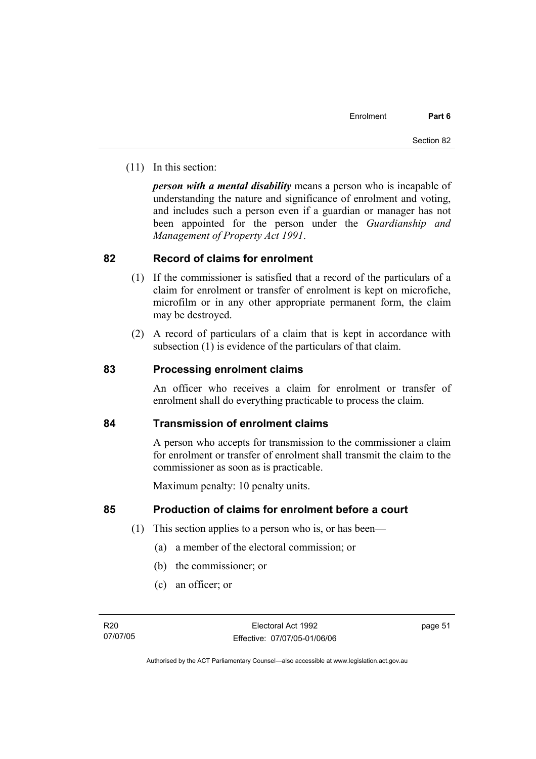(11) In this section:

*person with a mental disability* means a person who is incapable of understanding the nature and significance of enrolment and voting, and includes such a person even if a guardian or manager has not been appointed for the person under the *Guardianship and Management of Property Act 1991*.

### **82 Record of claims for enrolment**

- (1) If the commissioner is satisfied that a record of the particulars of a claim for enrolment or transfer of enrolment is kept on microfiche, microfilm or in any other appropriate permanent form, the claim may be destroyed.
- (2) A record of particulars of a claim that is kept in accordance with subsection (1) is evidence of the particulars of that claim.

### **83 Processing enrolment claims**

An officer who receives a claim for enrolment or transfer of enrolment shall do everything practicable to process the claim.

#### **84 Transmission of enrolment claims**

A person who accepts for transmission to the commissioner a claim for enrolment or transfer of enrolment shall transmit the claim to the commissioner as soon as is practicable.

Maximum penalty: 10 penalty units.

#### **85 Production of claims for enrolment before a court**

- (1) This section applies to a person who is, or has been—
	- (a) a member of the electoral commission; or
	- (b) the commissioner; or
	- (c) an officer; or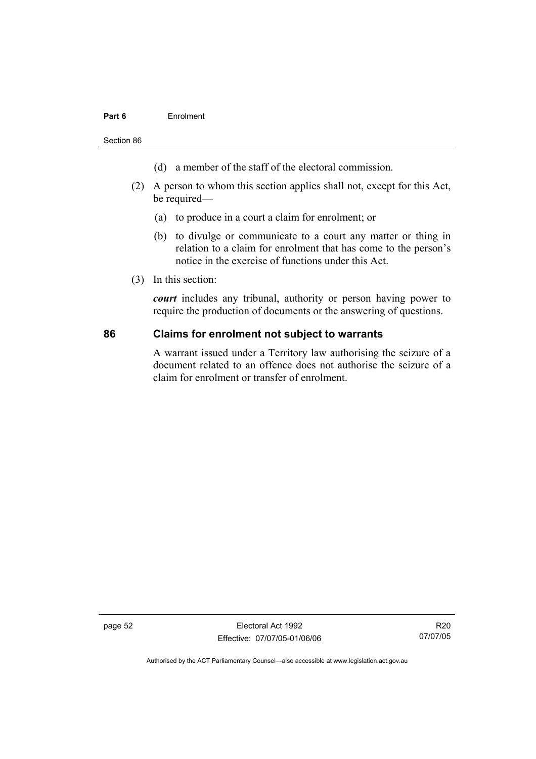#### **Part 6** Enrolment

Section 86

- (d) a member of the staff of the electoral commission.
- (2) A person to whom this section applies shall not, except for this Act, be required—
	- (a) to produce in a court a claim for enrolment; or
	- (b) to divulge or communicate to a court any matter or thing in relation to a claim for enrolment that has come to the person's notice in the exercise of functions under this Act.
- (3) In this section:

*court* includes any tribunal, authority or person having power to require the production of documents or the answering of questions.

#### **86 Claims for enrolment not subject to warrants**

A warrant issued under a Territory law authorising the seizure of a document related to an offence does not authorise the seizure of a claim for enrolment or transfer of enrolment.

page 52 Electoral Act 1992 Effective: 07/07/05-01/06/06

R20 07/07/05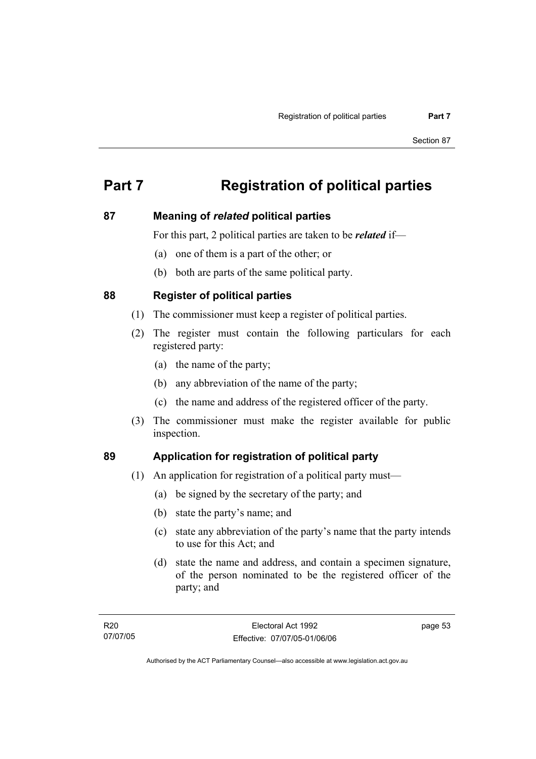# **Part 7 Registration of political parties**

### **87 Meaning of** *related* **political parties**

For this part, 2 political parties are taken to be *related* if—

- (a) one of them is a part of the other; or
- (b) both are parts of the same political party.

### **88 Register of political parties**

- (1) The commissioner must keep a register of political parties.
- (2) The register must contain the following particulars for each registered party:
	- (a) the name of the party;
	- (b) any abbreviation of the name of the party;
	- (c) the name and address of the registered officer of the party.
- (3) The commissioner must make the register available for public inspection.

## **89 Application for registration of political party**

- (1) An application for registration of a political party must—
	- (a) be signed by the secretary of the party; and
	- (b) state the party's name; and
	- (c) state any abbreviation of the party's name that the party intends to use for this Act; and
	- (d) state the name and address, and contain a specimen signature, of the person nominated to be the registered officer of the party; and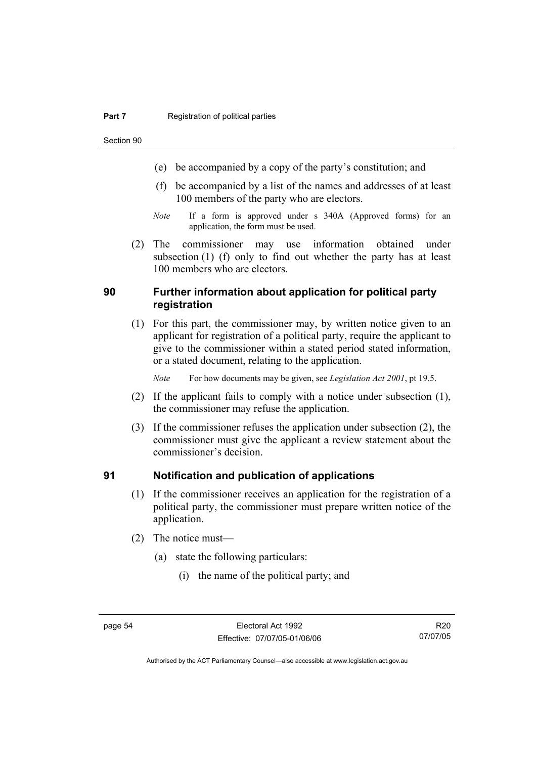Section 90

- (e) be accompanied by a copy of the party's constitution; and
- (f) be accompanied by a list of the names and addresses of at least 100 members of the party who are electors.
- *Note* If a form is approved under s 340A (Approved forms) for an application, the form must be used.
- (2) The commissioner may use information obtained under subsection (1) (f) only to find out whether the party has at least 100 members who are electors.

### **90 Further information about application for political party registration**

 (1) For this part, the commissioner may, by written notice given to an applicant for registration of a political party, require the applicant to give to the commissioner within a stated period stated information, or a stated document, relating to the application.

*Note* For how documents may be given, see *Legislation Act 2001*, pt 19.5.

- (2) If the applicant fails to comply with a notice under subsection (1), the commissioner may refuse the application.
- (3) If the commissioner refuses the application under subsection (2), the commissioner must give the applicant a review statement about the commissioner's decision.

#### **91 Notification and publication of applications**

- (1) If the commissioner receives an application for the registration of a political party, the commissioner must prepare written notice of the application.
- (2) The notice must—
	- (a) state the following particulars:
		- (i) the name of the political party; and

R20 07/07/05

Authorised by the ACT Parliamentary Counsel—also accessible at www.legislation.act.gov.au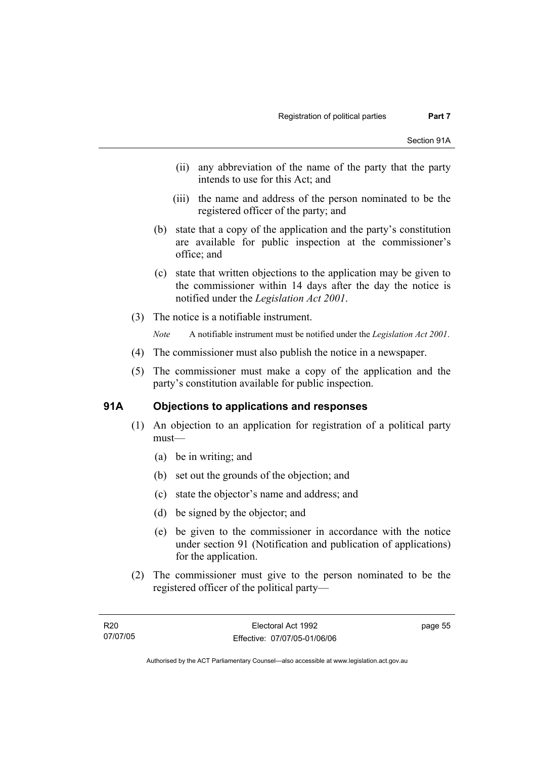- (ii) any abbreviation of the name of the party that the party intends to use for this Act; and
- (iii) the name and address of the person nominated to be the registered officer of the party; and
- (b) state that a copy of the application and the party's constitution are available for public inspection at the commissioner's office; and
- (c) state that written objections to the application may be given to the commissioner within 14 days after the day the notice is notified under the *Legislation Act 2001*.
- (3) The notice is a notifiable instrument.

*Note* A notifiable instrument must be notified under the *Legislation Act 2001*.

- (4) The commissioner must also publish the notice in a newspaper.
- (5) The commissioner must make a copy of the application and the party's constitution available for public inspection.

# **91A Objections to applications and responses**

- (1) An objection to an application for registration of a political party must—
	- (a) be in writing; and
	- (b) set out the grounds of the objection; and
	- (c) state the objector's name and address; and
	- (d) be signed by the objector; and
	- (e) be given to the commissioner in accordance with the notice under section 91 (Notification and publication of applications) for the application.
- (2) The commissioner must give to the person nominated to be the registered officer of the political party—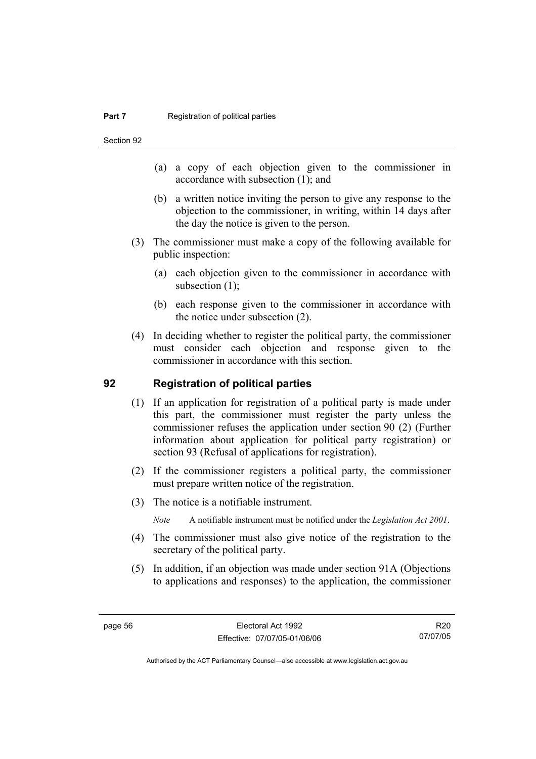Section 92

- (a) a copy of each objection given to the commissioner in accordance with subsection (1); and
- (b) a written notice inviting the person to give any response to the objection to the commissioner, in writing, within 14 days after the day the notice is given to the person.
- (3) The commissioner must make a copy of the following available for public inspection:
	- (a) each objection given to the commissioner in accordance with subsection  $(1)$ ;
	- (b) each response given to the commissioner in accordance with the notice under subsection (2).
- (4) In deciding whether to register the political party, the commissioner must consider each objection and response given to the commissioner in accordance with this section.

### **92 Registration of political parties**

- (1) If an application for registration of a political party is made under this part, the commissioner must register the party unless the commissioner refuses the application under section 90 (2) (Further information about application for political party registration) or section 93 (Refusal of applications for registration).
- (2) If the commissioner registers a political party, the commissioner must prepare written notice of the registration.
- (3) The notice is a notifiable instrument.
	- *Note* A notifiable instrument must be notified under the *Legislation Act 2001*.
- (4) The commissioner must also give notice of the registration to the secretary of the political party.
- (5) In addition, if an objection was made under section 91A (Objections to applications and responses) to the application, the commissioner

R20 07/07/05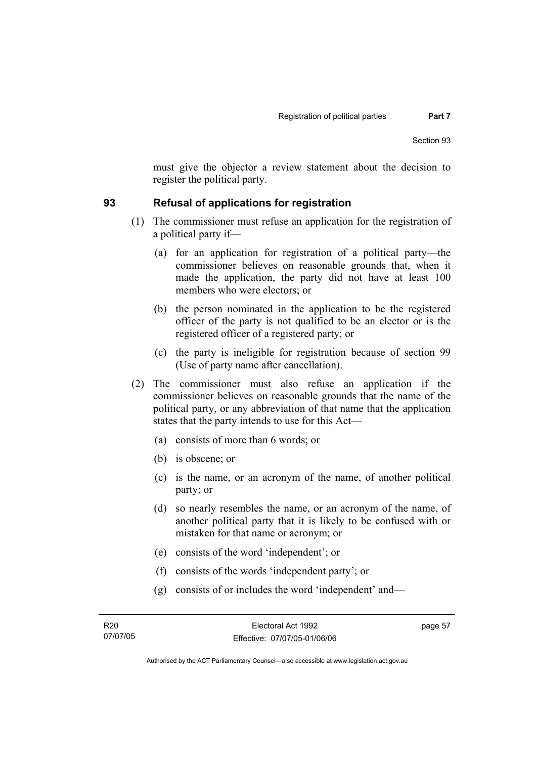must give the objector a review statement about the decision to register the political party.

# **93 Refusal of applications for registration**

- (1) The commissioner must refuse an application for the registration of a political party if—
	- (a) for an application for registration of a political party—the commissioner believes on reasonable grounds that, when it made the application, the party did not have at least 100 members who were electors; or
	- (b) the person nominated in the application to be the registered officer of the party is not qualified to be an elector or is the registered officer of a registered party; or
	- (c) the party is ineligible for registration because of section 99 (Use of party name after cancellation).
- (2) The commissioner must also refuse an application if the commissioner believes on reasonable grounds that the name of the political party, or any abbreviation of that name that the application states that the party intends to use for this Act—
	- (a) consists of more than 6 words; or
	- (b) is obscene; or
	- (c) is the name, or an acronym of the name, of another political party; or
	- (d) so nearly resembles the name, or an acronym of the name, of another political party that it is likely to be confused with or mistaken for that name or acronym; or
	- (e) consists of the word 'independent'; or
	- (f) consists of the words 'independent party'; or
	- (g) consists of or includes the word 'independent' and—

page 57

Authorised by the ACT Parliamentary Counsel—also accessible at www.legislation.act.gov.au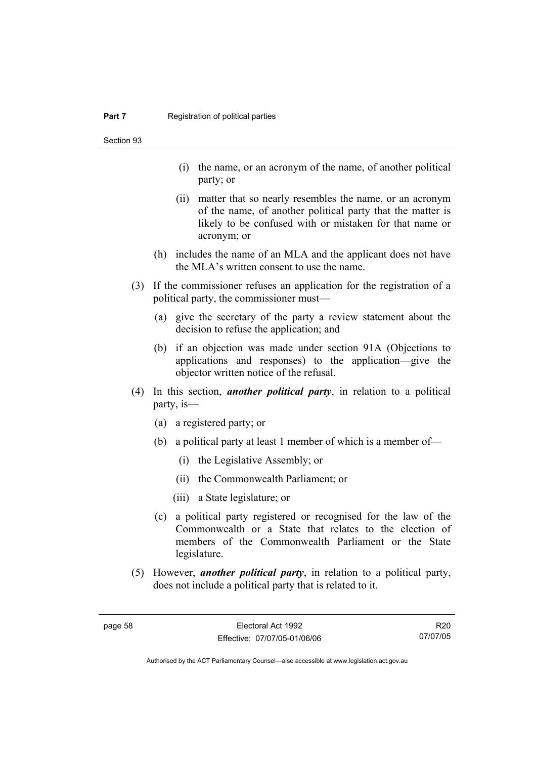Section 93

- (i) the name, or an acronym of the name, of another political party; or
- (ii) matter that so nearly resembles the name, or an acronym of the name, of another political party that the matter is likely to be confused with or mistaken for that name or acronym; or
- (h) includes the name of an MLA and the applicant does not have the MLA's written consent to use the name.
- (3) If the commissioner refuses an application for the registration of a political party, the commissioner must—
	- (a) give the secretary of the party a review statement about the decision to refuse the application; and
	- (b) if an objection was made under section 91A (Objections to applications and responses) to the application—give the objector written notice of the refusal.
- (4) In this section, *another political party*, in relation to a political party, is—
	- (a) a registered party; or
	- (b) a political party at least 1 member of which is a member of—
		- (i) the Legislative Assembly; or
		- (ii) the Commonwealth Parliament; or
		- (iii) a State legislature; or
	- (c) a political party registered or recognised for the law of the Commonwealth or a State that relates to the election of members of the Commonwealth Parliament or the State legislature.
- (5) However, *another political party*, in relation to a political party, does not include a political party that is related to it.

R20 07/07/05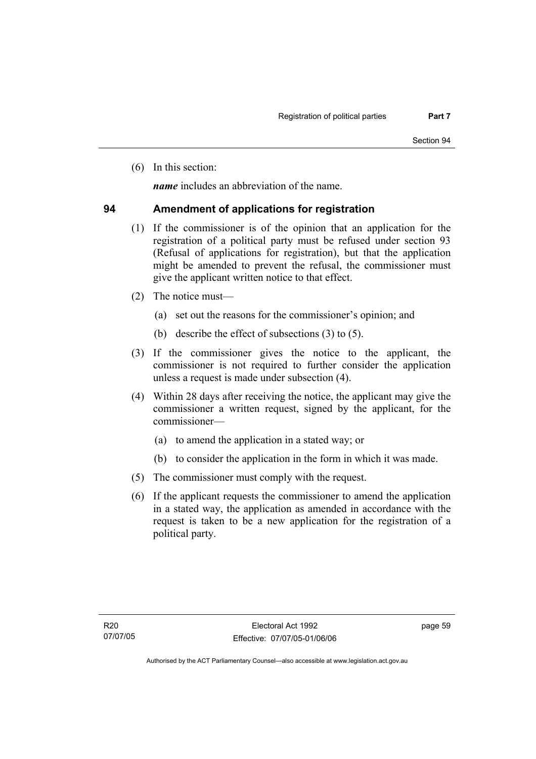(6) In this section:

*name* includes an abbreviation of the name.

### **94 Amendment of applications for registration**

- (1) If the commissioner is of the opinion that an application for the registration of a political party must be refused under section 93 (Refusal of applications for registration), but that the application might be amended to prevent the refusal, the commissioner must give the applicant written notice to that effect.
- (2) The notice must—
	- (a) set out the reasons for the commissioner's opinion; and
	- (b) describe the effect of subsections (3) to (5).
- (3) If the commissioner gives the notice to the applicant, the commissioner is not required to further consider the application unless a request is made under subsection (4).
- (4) Within 28 days after receiving the notice, the applicant may give the commissioner a written request, signed by the applicant, for the commissioner—
	- (a) to amend the application in a stated way; or
	- (b) to consider the application in the form in which it was made.
- (5) The commissioner must comply with the request.
- (6) If the applicant requests the commissioner to amend the application in a stated way, the application as amended in accordance with the request is taken to be a new application for the registration of a political party.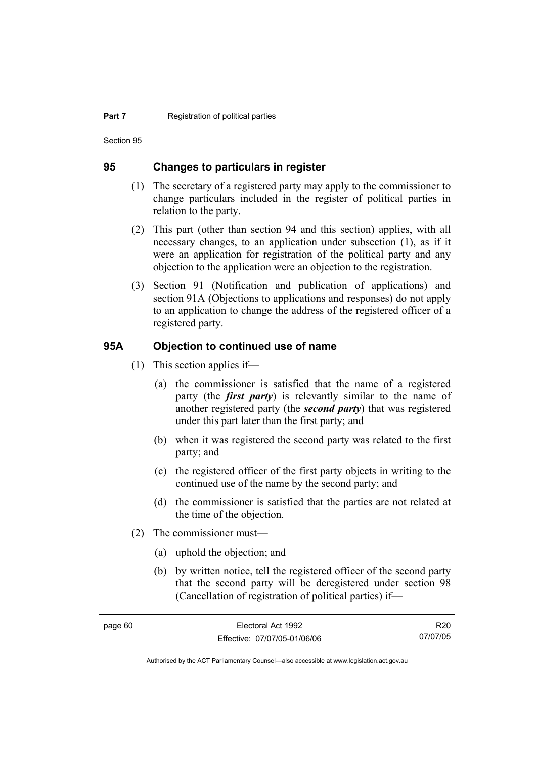Section 95

#### **95 Changes to particulars in register**

- (1) The secretary of a registered party may apply to the commissioner to change particulars included in the register of political parties in relation to the party.
- (2) This part (other than section 94 and this section) applies, with all necessary changes, to an application under subsection (1), as if it were an application for registration of the political party and any objection to the application were an objection to the registration.
- (3) Section 91 (Notification and publication of applications) and section 91A (Objections to applications and responses) do not apply to an application to change the address of the registered officer of a registered party.

#### **95A Objection to continued use of name**

- (1) This section applies if—
	- (a) the commissioner is satisfied that the name of a registered party (the *first party*) is relevantly similar to the name of another registered party (the *second party*) that was registered under this part later than the first party; and
	- (b) when it was registered the second party was related to the first party; and
	- (c) the registered officer of the first party objects in writing to the continued use of the name by the second party; and
	- (d) the commissioner is satisfied that the parties are not related at the time of the objection.
- (2) The commissioner must—
	- (a) uphold the objection; and
	- (b) by written notice, tell the registered officer of the second party that the second party will be deregistered under section 98 (Cancellation of registration of political parties) if—

R20 07/07/05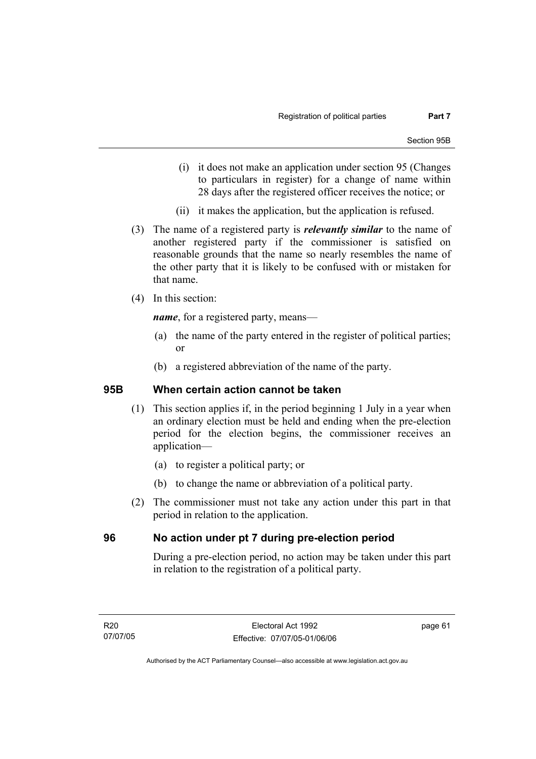- (i) it does not make an application under section 95 (Changes to particulars in register) for a change of name within 28 days after the registered officer receives the notice; or
- (ii) it makes the application, but the application is refused.
- (3) The name of a registered party is *relevantly similar* to the name of another registered party if the commissioner is satisfied on reasonable grounds that the name so nearly resembles the name of the other party that it is likely to be confused with or mistaken for that name.
- (4) In this section:

*name*, for a registered party, means—

- (a) the name of the party entered in the register of political parties; or
- (b) a registered abbreviation of the name of the party.

#### **95B When certain action cannot be taken**

- (1) This section applies if, in the period beginning 1 July in a year when an ordinary election must be held and ending when the pre-election period for the election begins, the commissioner receives an application—
	- (a) to register a political party; or
	- (b) to change the name or abbreviation of a political party.
- (2) The commissioner must not take any action under this part in that period in relation to the application.

#### **96 No action under pt 7 during pre-election period**

During a pre-election period, no action may be taken under this part in relation to the registration of a political party.

page 61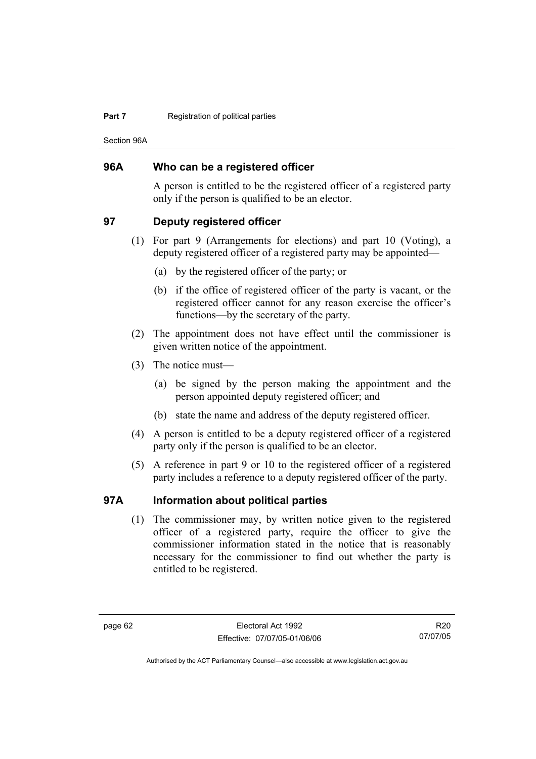#### **Part 7 Registration of political parties**

Section 96A

#### **96A Who can be a registered officer**

A person is entitled to be the registered officer of a registered party only if the person is qualified to be an elector.

#### **97 Deputy registered officer**

- (1) For part 9 (Arrangements for elections) and part 10 (Voting), a deputy registered officer of a registered party may be appointed—
	- (a) by the registered officer of the party; or
	- (b) if the office of registered officer of the party is vacant, or the registered officer cannot for any reason exercise the officer's functions—by the secretary of the party.
- (2) The appointment does not have effect until the commissioner is given written notice of the appointment.
- (3) The notice must—
	- (a) be signed by the person making the appointment and the person appointed deputy registered officer; and
	- (b) state the name and address of the deputy registered officer.
- (4) A person is entitled to be a deputy registered officer of a registered party only if the person is qualified to be an elector.
- (5) A reference in part 9 or 10 to the registered officer of a registered party includes a reference to a deputy registered officer of the party.

# **97A Information about political parties**

 (1) The commissioner may, by written notice given to the registered officer of a registered party, require the officer to give the commissioner information stated in the notice that is reasonably necessary for the commissioner to find out whether the party is entitled to be registered.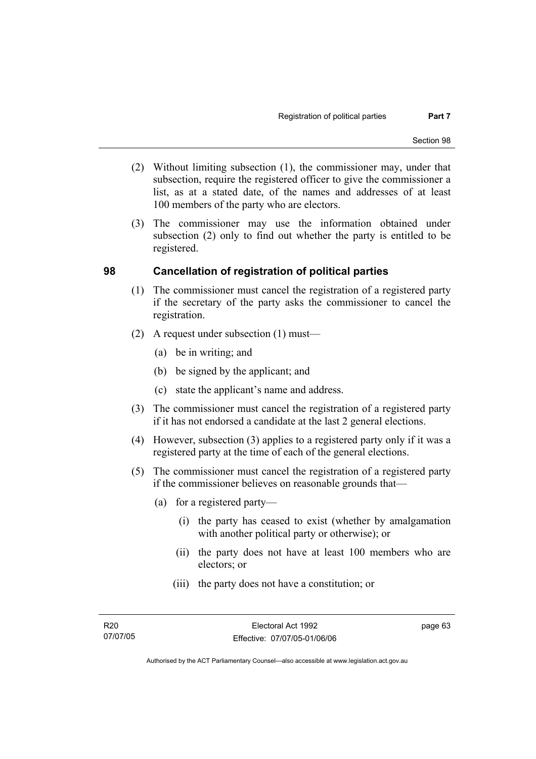- (2) Without limiting subsection (1), the commissioner may, under that subsection, require the registered officer to give the commissioner a list, as at a stated date, of the names and addresses of at least 100 members of the party who are electors.
- (3) The commissioner may use the information obtained under subsection (2) only to find out whether the party is entitled to be registered.

### **98 Cancellation of registration of political parties**

- (1) The commissioner must cancel the registration of a registered party if the secretary of the party asks the commissioner to cancel the registration.
- (2) A request under subsection (1) must—
	- (a) be in writing; and
	- (b) be signed by the applicant; and
	- (c) state the applicant's name and address.
- (3) The commissioner must cancel the registration of a registered party if it has not endorsed a candidate at the last 2 general elections.
- (4) However, subsection (3) applies to a registered party only if it was a registered party at the time of each of the general elections.
- (5) The commissioner must cancel the registration of a registered party if the commissioner believes on reasonable grounds that—
	- (a) for a registered party—
		- (i) the party has ceased to exist (whether by amalgamation with another political party or otherwise); or
		- (ii) the party does not have at least 100 members who are electors; or
		- (iii) the party does not have a constitution; or

page 63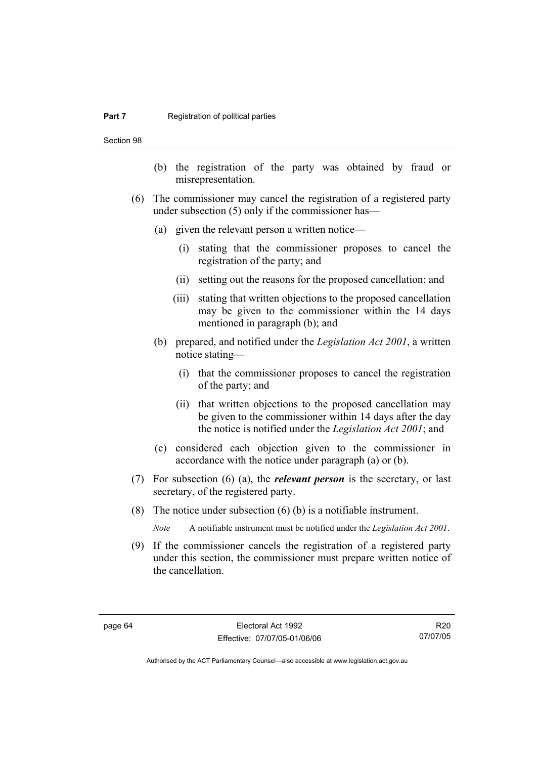#### **Part 7 Registration of political parties**

Section 98

- (b) the registration of the party was obtained by fraud or misrepresentation.
- (6) The commissioner may cancel the registration of a registered party under subsection (5) only if the commissioner has—
	- (a) given the relevant person a written notice—
		- (i) stating that the commissioner proposes to cancel the registration of the party; and
		- (ii) setting out the reasons for the proposed cancellation; and
		- (iii) stating that written objections to the proposed cancellation may be given to the commissioner within the 14 days mentioned in paragraph (b); and
	- (b) prepared, and notified under the *Legislation Act 2001*, a written notice stating—
		- (i) that the commissioner proposes to cancel the registration of the party; and
		- (ii) that written objections to the proposed cancellation may be given to the commissioner within 14 days after the day the notice is notified under the *Legislation Act 2001*; and
	- (c) considered each objection given to the commissioner in accordance with the notice under paragraph (a) or (b).
- (7) For subsection (6) (a), the *relevant person* is the secretary, or last secretary, of the registered party.
- (8) The notice under subsection (6) (b) is a notifiable instrument.

*Note* A notifiable instrument must be notified under the *Legislation Act 2001*.

 (9) If the commissioner cancels the registration of a registered party under this section, the commissioner must prepare written notice of the cancellation.

Authorised by the ACT Parliamentary Counsel—also accessible at www.legislation.act.gov.au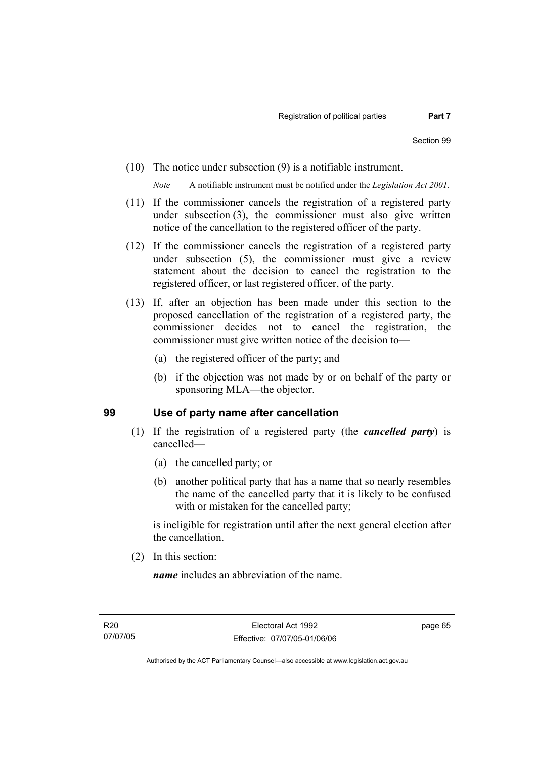(10) The notice under subsection (9) is a notifiable instrument.

*Note* A notifiable instrument must be notified under the *Legislation Act 2001*.

- (11) If the commissioner cancels the registration of a registered party under subsection (3), the commissioner must also give written notice of the cancellation to the registered officer of the party.
- (12) If the commissioner cancels the registration of a registered party under subsection (5), the commissioner must give a review statement about the decision to cancel the registration to the registered officer, or last registered officer, of the party.
- (13) If, after an objection has been made under this section to the proposed cancellation of the registration of a registered party, the commissioner decides not to cancel the registration, the commissioner must give written notice of the decision to—
	- (a) the registered officer of the party; and
	- (b) if the objection was not made by or on behalf of the party or sponsoring MLA—the objector.

#### **99 Use of party name after cancellation**

- (1) If the registration of a registered party (the *cancelled party*) is cancelled—
	- (a) the cancelled party; or
	- (b) another political party that has a name that so nearly resembles the name of the cancelled party that it is likely to be confused with or mistaken for the cancelled party;

is ineligible for registration until after the next general election after the cancellation.

(2) In this section:

*name* includes an abbreviation of the name.

page 65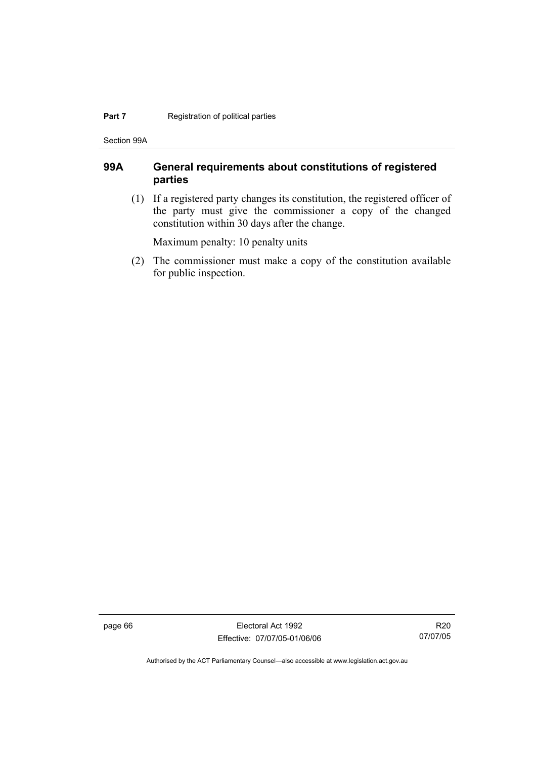#### **Part 7 Registration of political parties**

Section 99A

# **99A General requirements about constitutions of registered parties**

 (1) If a registered party changes its constitution, the registered officer of the party must give the commissioner a copy of the changed constitution within 30 days after the change.

Maximum penalty: 10 penalty units

 (2) The commissioner must make a copy of the constitution available for public inspection.

page 66 Electoral Act 1992 Effective: 07/07/05-01/06/06

R20 07/07/05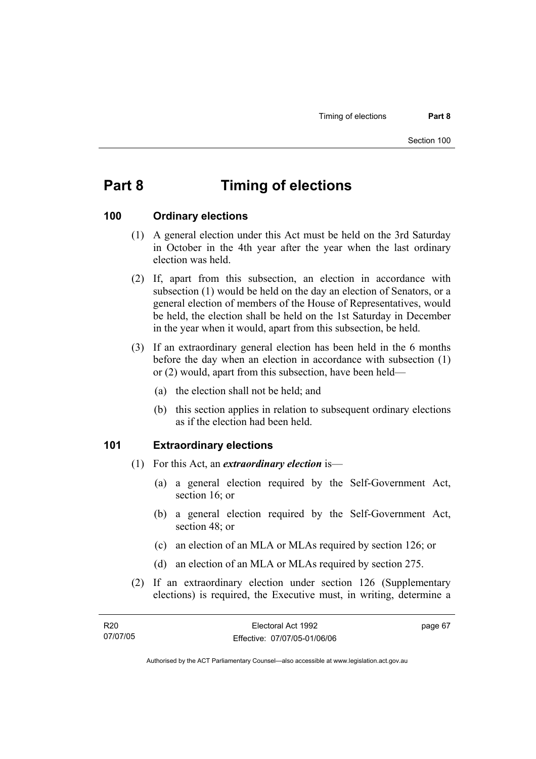# **Part 8 Timing of elections**

#### **100 Ordinary elections**

- (1) A general election under this Act must be held on the 3rd Saturday in October in the 4th year after the year when the last ordinary election was held.
- (2) If, apart from this subsection, an election in accordance with subsection (1) would be held on the day an election of Senators, or a general election of members of the House of Representatives, would be held, the election shall be held on the 1st Saturday in December in the year when it would, apart from this subsection, be held.
- (3) If an extraordinary general election has been held in the 6 months before the day when an election in accordance with subsection (1) or (2) would, apart from this subsection, have been held—
	- (a) the election shall not be held; and
	- (b) this section applies in relation to subsequent ordinary elections as if the election had been held.

#### **101 Extraordinary elections**

- (1) For this Act, an *extraordinary election* is—
	- (a) a general election required by the Self-Government Act, section 16; or
	- (b) a general election required by the Self-Government Act, section 48; or
	- (c) an election of an MLA or MLAs required by section 126; or
	- (d) an election of an MLA or MLAs required by section 275.
- (2) If an extraordinary election under section 126 (Supplementary elections) is required, the Executive must, in writing, determine a

| R20      | Electoral Act 1992           | page 67 |
|----------|------------------------------|---------|
| 07/07/05 | Effective: 07/07/05-01/06/06 |         |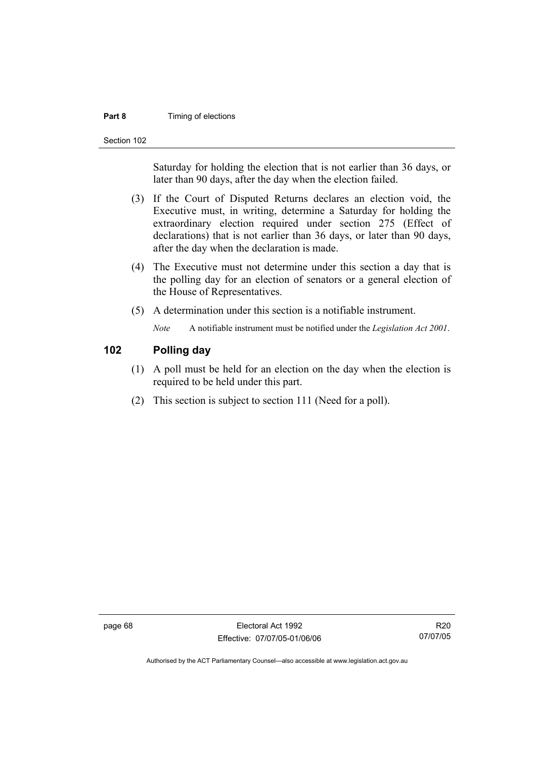#### **Part 8 Timing of elections**

Section 102

Saturday for holding the election that is not earlier than 36 days, or later than 90 days, after the day when the election failed.

- (3) If the Court of Disputed Returns declares an election void, the Executive must, in writing, determine a Saturday for holding the extraordinary election required under section 275 (Effect of declarations) that is not earlier than 36 days, or later than 90 days, after the day when the declaration is made.
- (4) The Executive must not determine under this section a day that is the polling day for an election of senators or a general election of the House of Representatives.
- (5) A determination under this section is a notifiable instrument.

*Note* A notifiable instrument must be notified under the *Legislation Act 2001*.

# **102 Polling day**

- (1) A poll must be held for an election on the day when the election is required to be held under this part.
- (2) This section is subject to section 111 (Need for a poll).

page 68 Electoral Act 1992 Effective: 07/07/05-01/06/06

R20 07/07/05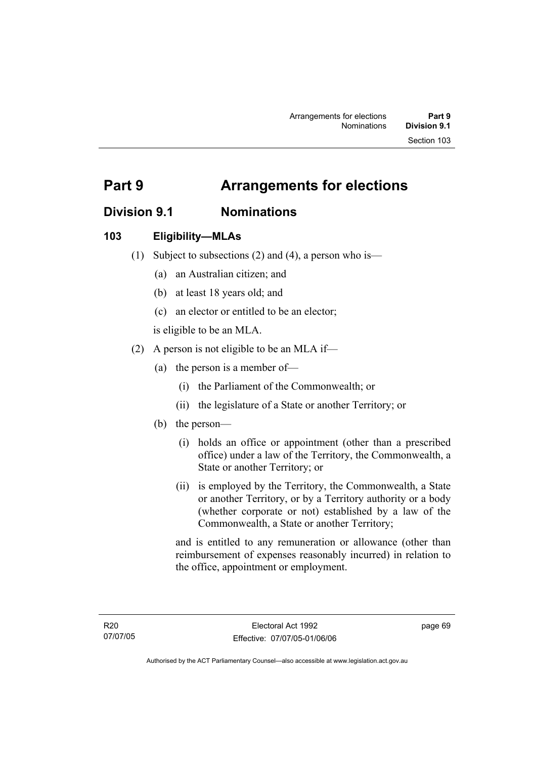# **Division 9.1 Nominations**

# **103 Eligibility—MLAs**

- (1) Subject to subsections (2) and (4), a person who is—
	- (a) an Australian citizen; and
	- (b) at least 18 years old; and
	- (c) an elector or entitled to be an elector;

is eligible to be an MLA.

- (2) A person is not eligible to be an MLA if—
	- (a) the person is a member of—
		- (i) the Parliament of the Commonwealth; or
		- (ii) the legislature of a State or another Territory; or
	- (b) the person—
		- (i) holds an office or appointment (other than a prescribed office) under a law of the Territory, the Commonwealth, a State or another Territory; or
		- (ii) is employed by the Territory, the Commonwealth, a State or another Territory, or by a Territory authority or a body (whether corporate or not) established by a law of the Commonwealth, a State or another Territory;

and is entitled to any remuneration or allowance (other than reimbursement of expenses reasonably incurred) in relation to the office, appointment or employment.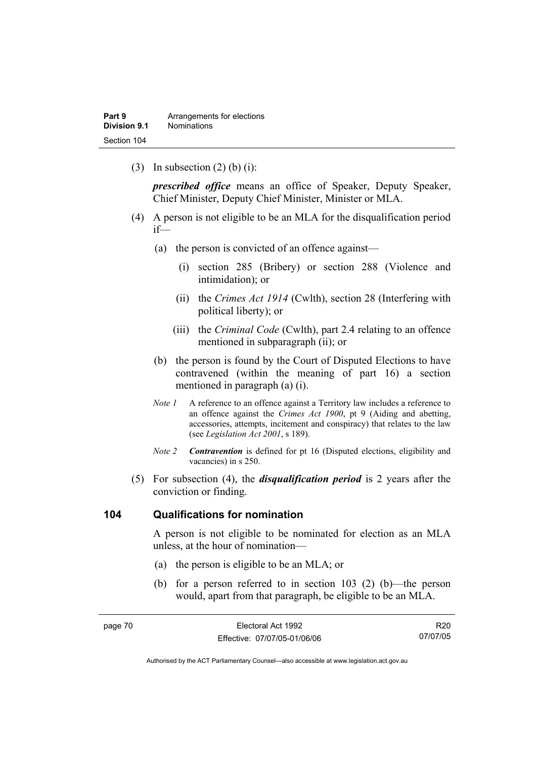(3) In subsection  $(2)$  (b) (i):

*prescribed office* means an office of Speaker, Deputy Speaker, Chief Minister, Deputy Chief Minister, Minister or MLA.

- (4) A person is not eligible to be an MLA for the disqualification period if—
	- (a) the person is convicted of an offence against—
		- (i) section 285 (Bribery) or section 288 (Violence and intimidation); or
		- (ii) the *Crimes Act 1914* (Cwlth), section 28 (Interfering with political liberty); or
		- (iii) the *Criminal Code* (Cwlth), part 2.4 relating to an offence mentioned in subparagraph (ii); or
	- (b) the person is found by the Court of Disputed Elections to have contravened (within the meaning of part 16) a section mentioned in paragraph (a) (i).
	- *Note 1* A reference to an offence against a Territory law includes a reference to an offence against the *Crimes Act 1900*, pt 9 (Aiding and abetting, accessories, attempts, incitement and conspiracy) that relates to the law (see *Legislation Act 2001*, s 189).
	- *Note 2 Contravention* is defined for pt 16 (Disputed elections, eligibility and vacancies) in s 250.
- (5) For subsection (4), the *disqualification period* is 2 years after the conviction or finding.

#### **104 Qualifications for nomination**

A person is not eligible to be nominated for election as an MLA unless, at the hour of nomination—

- (a) the person is eligible to be an MLA; or
- (b) for a person referred to in section 103 (2) (b)—the person would, apart from that paragraph, be eligible to be an MLA.

| page 70 | Electoral Act 1992           | R20      |
|---------|------------------------------|----------|
|         | Effective: 07/07/05-01/06/06 | 07/07/05 |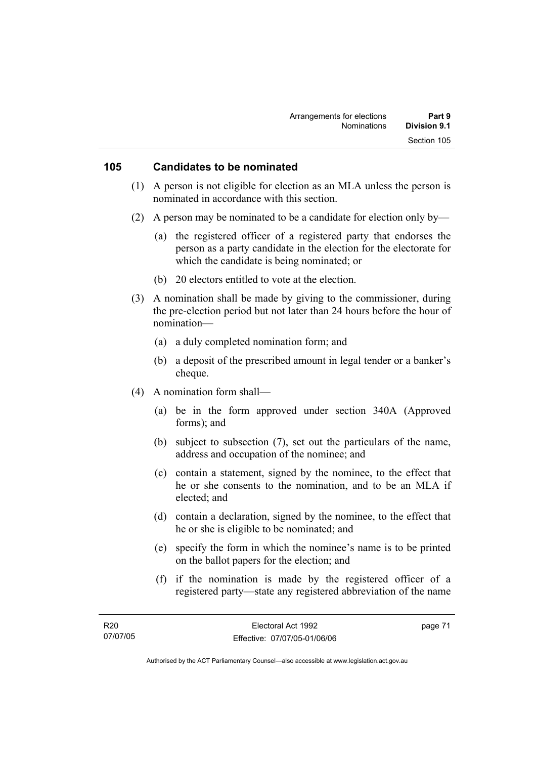#### **105 Candidates to be nominated**

- (1) A person is not eligible for election as an MLA unless the person is nominated in accordance with this section.
- (2) A person may be nominated to be a candidate for election only by—
	- (a) the registered officer of a registered party that endorses the person as a party candidate in the election for the electorate for which the candidate is being nominated; or
	- (b) 20 electors entitled to vote at the election.
- (3) A nomination shall be made by giving to the commissioner, during the pre-election period but not later than 24 hours before the hour of nomination—
	- (a) a duly completed nomination form; and
	- (b) a deposit of the prescribed amount in legal tender or a banker's cheque.
- (4) A nomination form shall—
	- (a) be in the form approved under section 340A (Approved forms); and
	- (b) subject to subsection (7), set out the particulars of the name, address and occupation of the nominee; and
	- (c) contain a statement, signed by the nominee, to the effect that he or she consents to the nomination, and to be an MLA if elected; and
	- (d) contain a declaration, signed by the nominee, to the effect that he or she is eligible to be nominated; and
	- (e) specify the form in which the nominee's name is to be printed on the ballot papers for the election; and
	- (f) if the nomination is made by the registered officer of a registered party—state any registered abbreviation of the name

page 71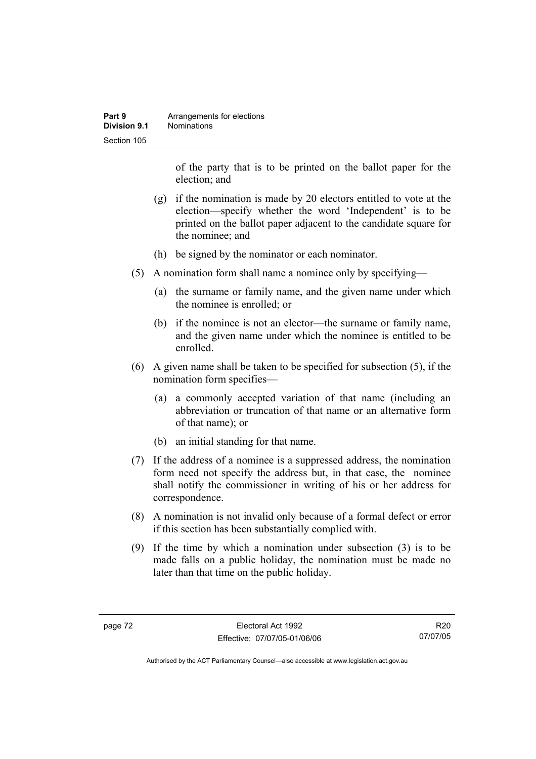| Part 9       | Arrangements for elections |
|--------------|----------------------------|
| Division 9.1 | <b>Nominations</b>         |
| Section 105  |                            |

of the party that is to be printed on the ballot paper for the election; and

- (g) if the nomination is made by 20 electors entitled to vote at the election—specify whether the word 'Independent' is to be printed on the ballot paper adjacent to the candidate square for the nominee; and
- (h) be signed by the nominator or each nominator.
- (5) A nomination form shall name a nominee only by specifying—
	- (a) the surname or family name, and the given name under which the nominee is enrolled; or
	- (b) if the nominee is not an elector—the surname or family name, and the given name under which the nominee is entitled to be enrolled.
- (6) A given name shall be taken to be specified for subsection (5), if the nomination form specifies—
	- (a) a commonly accepted variation of that name (including an abbreviation or truncation of that name or an alternative form of that name); or
	- (b) an initial standing for that name.
- (7) If the address of a nominee is a suppressed address, the nomination form need not specify the address but, in that case, the nominee shall notify the commissioner in writing of his or her address for correspondence.
- (8) A nomination is not invalid only because of a formal defect or error if this section has been substantially complied with.
- (9) If the time by which a nomination under subsection (3) is to be made falls on a public holiday, the nomination must be made no later than that time on the public holiday.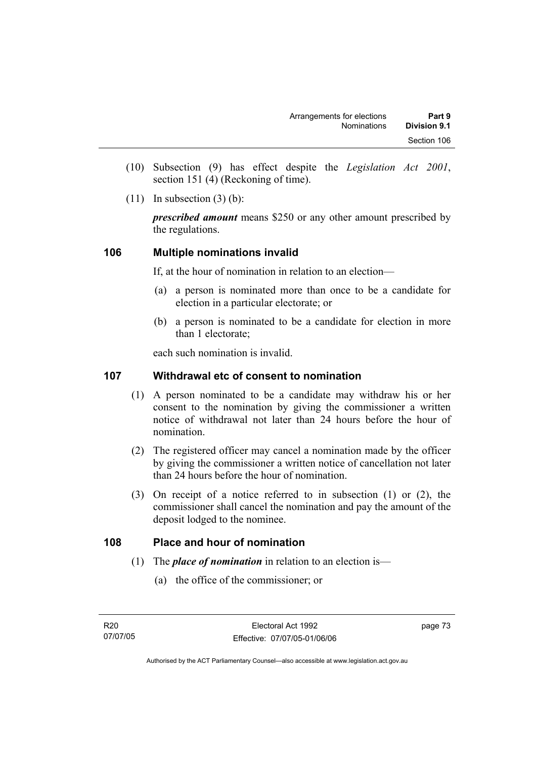- (10) Subsection (9) has effect despite the *Legislation Act 2001*, section 151 (4) (Reckoning of time).
- $(11)$  In subsection  $(3)$  (b):

*prescribed amount* means \$250 or any other amount prescribed by the regulations.

# **106 Multiple nominations invalid**

If, at the hour of nomination in relation to an election—

- (a) a person is nominated more than once to be a candidate for election in a particular electorate; or
- (b) a person is nominated to be a candidate for election in more than 1 electorate;

each such nomination is invalid.

### **107 Withdrawal etc of consent to nomination**

- (1) A person nominated to be a candidate may withdraw his or her consent to the nomination by giving the commissioner a written notice of withdrawal not later than 24 hours before the hour of nomination.
- (2) The registered officer may cancel a nomination made by the officer by giving the commissioner a written notice of cancellation not later than 24 hours before the hour of nomination.
- (3) On receipt of a notice referred to in subsection (1) or (2), the commissioner shall cancel the nomination and pay the amount of the deposit lodged to the nominee.

#### **108 Place and hour of nomination**

- (1) The *place of nomination* in relation to an election is—
	- (a) the office of the commissioner; or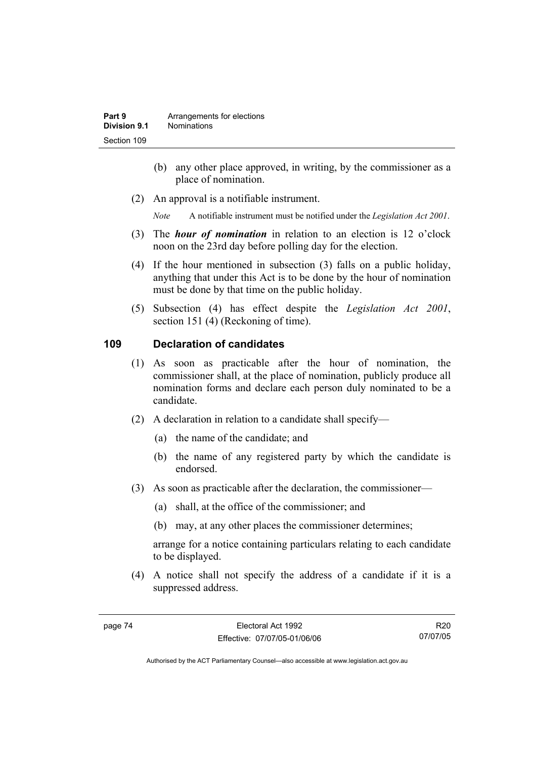- (b) any other place approved, in writing, by the commissioner as a place of nomination.
- (2) An approval is a notifiable instrument.

*Note* A notifiable instrument must be notified under the *Legislation Act 2001*.

- (3) The *hour of nomination* in relation to an election is 12 o'clock noon on the 23rd day before polling day for the election.
- (4) If the hour mentioned in subsection (3) falls on a public holiday, anything that under this Act is to be done by the hour of nomination must be done by that time on the public holiday.
- (5) Subsection (4) has effect despite the *Legislation Act 2001*, section 151 (4) (Reckoning of time).

# **109 Declaration of candidates**

- (1) As soon as practicable after the hour of nomination, the commissioner shall, at the place of nomination, publicly produce all nomination forms and declare each person duly nominated to be a candidate.
- (2) A declaration in relation to a candidate shall specify—
	- (a) the name of the candidate; and
	- (b) the name of any registered party by which the candidate is endorsed.
- (3) As soon as practicable after the declaration, the commissioner—
	- (a) shall, at the office of the commissioner; and
	- (b) may, at any other places the commissioner determines;

arrange for a notice containing particulars relating to each candidate to be displayed.

 (4) A notice shall not specify the address of a candidate if it is a suppressed address.

R20 07/07/05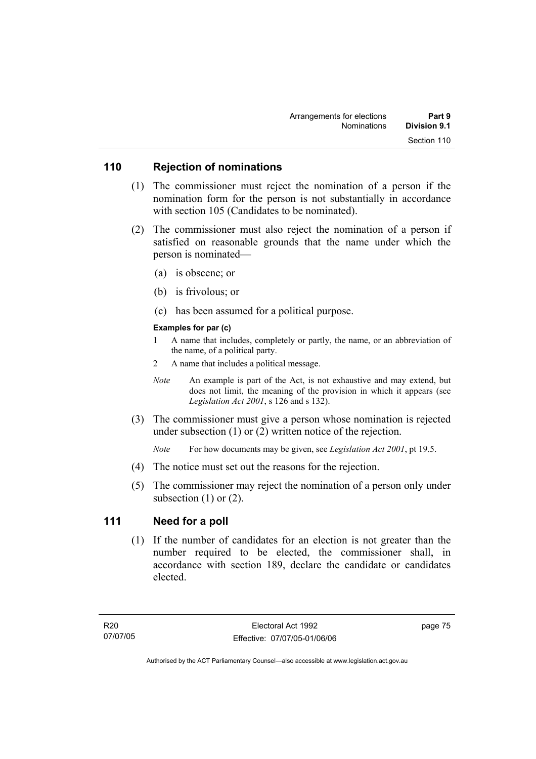### **110 Rejection of nominations**

- (1) The commissioner must reject the nomination of a person if the nomination form for the person is not substantially in accordance with section 105 (Candidates to be nominated).
- (2) The commissioner must also reject the nomination of a person if satisfied on reasonable grounds that the name under which the person is nominated—
	- (a) is obscene; or
	- (b) is frivolous; or
	- (c) has been assumed for a political purpose.

#### **Examples for par (c)**

- 1 A name that includes, completely or partly, the name, or an abbreviation of the name, of a political party.
- 2 A name that includes a political message.
- *Note* An example is part of the Act, is not exhaustive and may extend, but does not limit, the meaning of the provision in which it appears (see *Legislation Act 2001*, s 126 and s 132).
- (3) The commissioner must give a person whose nomination is rejected under subsection (1) or (2) written notice of the rejection.

*Note* For how documents may be given, see *Legislation Act 2001*, pt 19.5.

- (4) The notice must set out the reasons for the rejection.
- (5) The commissioner may reject the nomination of a person only under subsection  $(1)$  or  $(2)$ .

#### **111 Need for a poll**

 (1) If the number of candidates for an election is not greater than the number required to be elected, the commissioner shall, in accordance with section 189, declare the candidate or candidates elected.

page 75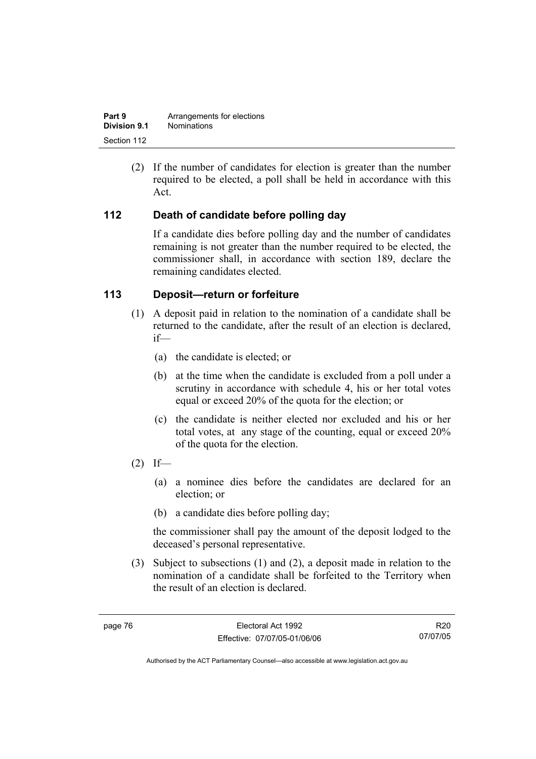| Part 9       | Arrangements for elections |
|--------------|----------------------------|
| Division 9.1 | <b>Nominations</b>         |
| Section 112  |                            |

 (2) If the number of candidates for election is greater than the number required to be elected, a poll shall be held in accordance with this Act.

### **112 Death of candidate before polling day**

If a candidate dies before polling day and the number of candidates remaining is not greater than the number required to be elected, the commissioner shall, in accordance with section 189, declare the remaining candidates elected.

### **113 Deposit—return or forfeiture**

- (1) A deposit paid in relation to the nomination of a candidate shall be returned to the candidate, after the result of an election is declared, if—
	- (a) the candidate is elected; or
	- (b) at the time when the candidate is excluded from a poll under a scrutiny in accordance with schedule 4, his or her total votes equal or exceed 20% of the quota for the election; or
	- (c) the candidate is neither elected nor excluded and his or her total votes, at any stage of the counting, equal or exceed 20% of the quota for the election.
- $(2)$  If—
	- (a) a nominee dies before the candidates are declared for an election; or
	- (b) a candidate dies before polling day;

the commissioner shall pay the amount of the deposit lodged to the deceased's personal representative.

 (3) Subject to subsections (1) and (2), a deposit made in relation to the nomination of a candidate shall be forfeited to the Territory when the result of an election is declared.

R20 07/07/05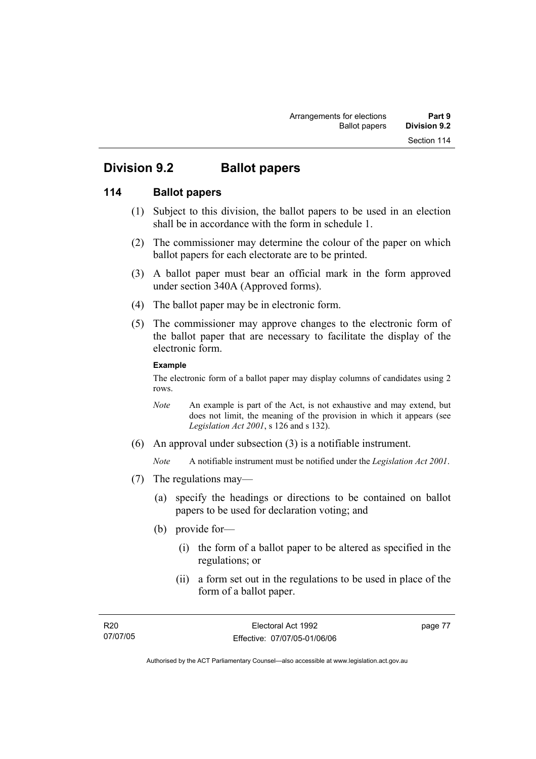# **Division 9.2 Ballot papers**

# **114 Ballot papers**

- (1) Subject to this division, the ballot papers to be used in an election shall be in accordance with the form in schedule 1.
- (2) The commissioner may determine the colour of the paper on which ballot papers for each electorate are to be printed.
- (3) A ballot paper must bear an official mark in the form approved under section 340A (Approved forms).
- (4) The ballot paper may be in electronic form.
- (5) The commissioner may approve changes to the electronic form of the ballot paper that are necessary to facilitate the display of the electronic form.

#### **Example**

The electronic form of a ballot paper may display columns of candidates using 2 rows.

- *Note* An example is part of the Act, is not exhaustive and may extend, but does not limit, the meaning of the provision in which it appears (see *Legislation Act 2001*, s 126 and s 132).
- (6) An approval under subsection (3) is a notifiable instrument.

*Note* A notifiable instrument must be notified under the *Legislation Act 2001*.

- (7) The regulations may—
	- (a) specify the headings or directions to be contained on ballot papers to be used for declaration voting; and
	- (b) provide for—
		- (i) the form of a ballot paper to be altered as specified in the regulations; or
		- (ii) a form set out in the regulations to be used in place of the form of a ballot paper.

page 77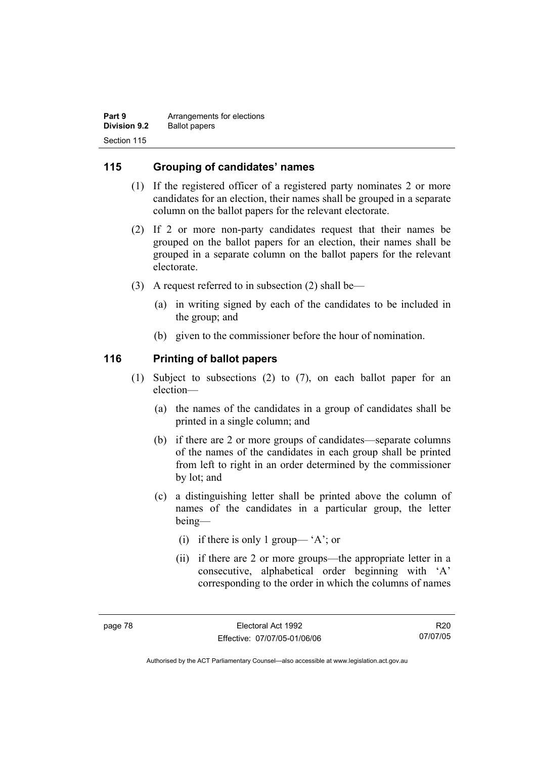| Part 9              | Arrangements for elections |
|---------------------|----------------------------|
| <b>Division 9.2</b> | <b>Ballot papers</b>       |
| Section 115         |                            |

## **115 Grouping of candidates' names**

- (1) If the registered officer of a registered party nominates 2 or more candidates for an election, their names shall be grouped in a separate column on the ballot papers for the relevant electorate.
- (2) If 2 or more non-party candidates request that their names be grouped on the ballot papers for an election, their names shall be grouped in a separate column on the ballot papers for the relevant electorate.
- (3) A request referred to in subsection (2) shall be—
	- (a) in writing signed by each of the candidates to be included in the group; and
	- (b) given to the commissioner before the hour of nomination.

#### **116 Printing of ballot papers**

- (1) Subject to subsections (2) to (7), on each ballot paper for an election—
	- (a) the names of the candidates in a group of candidates shall be printed in a single column; and
	- (b) if there are 2 or more groups of candidates—separate columns of the names of the candidates in each group shall be printed from left to right in an order determined by the commissioner by lot; and
	- (c) a distinguishing letter shall be printed above the column of names of the candidates in a particular group, the letter being—
		- (i) if there is only 1 group— 'A'; or
		- (ii) if there are 2 or more groups—the appropriate letter in a consecutive, alphabetical order beginning with 'A' corresponding to the order in which the columns of names

R20 07/07/05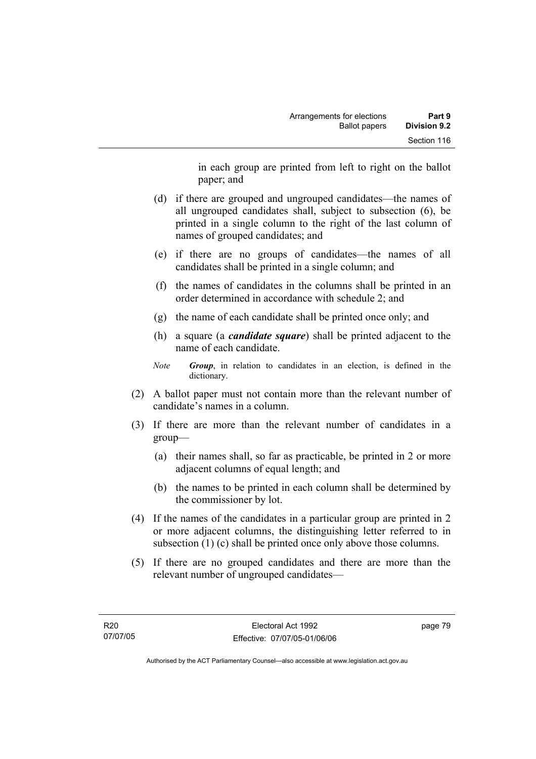in each group are printed from left to right on the ballot paper; and

- (d) if there are grouped and ungrouped candidates—the names of all ungrouped candidates shall, subject to subsection (6), be printed in a single column to the right of the last column of names of grouped candidates; and
- (e) if there are no groups of candidates—the names of all candidates shall be printed in a single column; and
- (f) the names of candidates in the columns shall be printed in an order determined in accordance with schedule 2; and
- (g) the name of each candidate shall be printed once only; and
- (h) a square (a *candidate square*) shall be printed adjacent to the name of each candidate.
- *Note Group*, in relation to candidates in an election, is defined in the dictionary.
- (2) A ballot paper must not contain more than the relevant number of candidate's names in a column.
- (3) If there are more than the relevant number of candidates in a group—
	- (a) their names shall, so far as practicable, be printed in 2 or more adjacent columns of equal length; and
	- (b) the names to be printed in each column shall be determined by the commissioner by lot.
- (4) If the names of the candidates in a particular group are printed in 2 or more adjacent columns, the distinguishing letter referred to in subsection (1) (c) shall be printed once only above those columns.
- (5) If there are no grouped candidates and there are more than the relevant number of ungrouped candidates—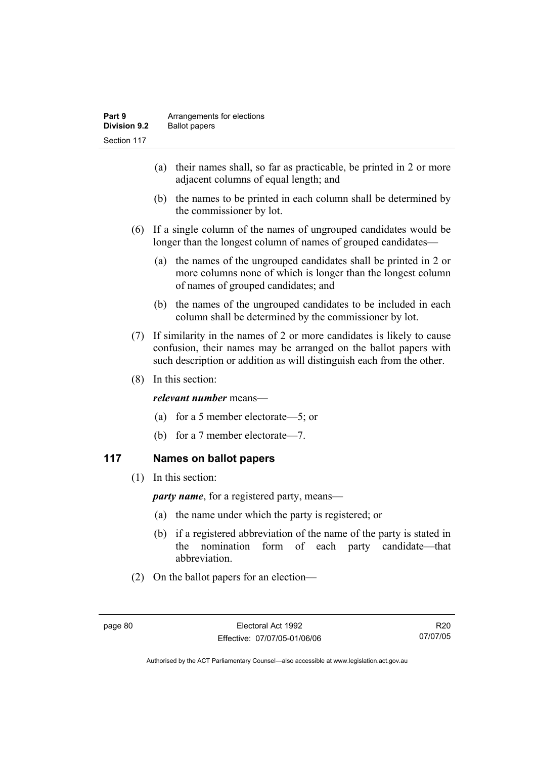- (a) their names shall, so far as practicable, be printed in 2 or more adjacent columns of equal length; and
- (b) the names to be printed in each column shall be determined by the commissioner by lot.
- (6) If a single column of the names of ungrouped candidates would be longer than the longest column of names of grouped candidates—
	- (a) the names of the ungrouped candidates shall be printed in 2 or more columns none of which is longer than the longest column of names of grouped candidates; and
	- (b) the names of the ungrouped candidates to be included in each column shall be determined by the commissioner by lot.
- (7) If similarity in the names of 2 or more candidates is likely to cause confusion, their names may be arranged on the ballot papers with such description or addition as will distinguish each from the other.
- (8) In this section:

#### *relevant number* means—

- (a) for a 5 member electorate—5; or
- (b) for a 7 member electorate—7.

# **117 Names on ballot papers**

(1) In this section:

*party name*, for a registered party, means—

- (a) the name under which the party is registered; or
- (b) if a registered abbreviation of the name of the party is stated in the nomination form of each party candidate—that abbreviation.
- (2) On the ballot papers for an election—

R20 07/07/05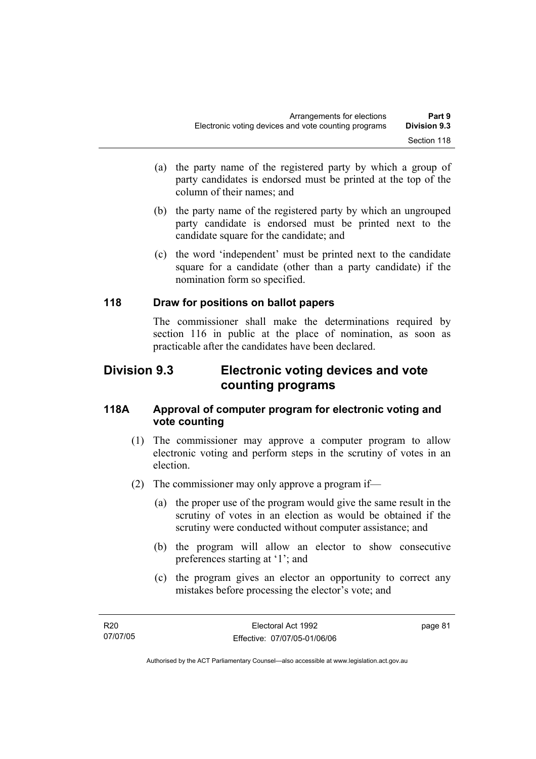- (a) the party name of the registered party by which a group of party candidates is endorsed must be printed at the top of the column of their names; and
- (b) the party name of the registered party by which an ungrouped party candidate is endorsed must be printed next to the candidate square for the candidate; and
- (c) the word 'independent' must be printed next to the candidate square for a candidate (other than a party candidate) if the nomination form so specified.

# **118 Draw for positions on ballot papers**

The commissioner shall make the determinations required by section 116 in public at the place of nomination, as soon as practicable after the candidates have been declared.

# **Division 9.3 Electronic voting devices and vote counting programs**

## **118A Approval of computer program for electronic voting and vote counting**

- (1) The commissioner may approve a computer program to allow electronic voting and perform steps in the scrutiny of votes in an election.
- (2) The commissioner may only approve a program if—
	- (a) the proper use of the program would give the same result in the scrutiny of votes in an election as would be obtained if the scrutiny were conducted without computer assistance; and
	- (b) the program will allow an elector to show consecutive preferences starting at '1'; and
	- (c) the program gives an elector an opportunity to correct any mistakes before processing the elector's vote; and

page 81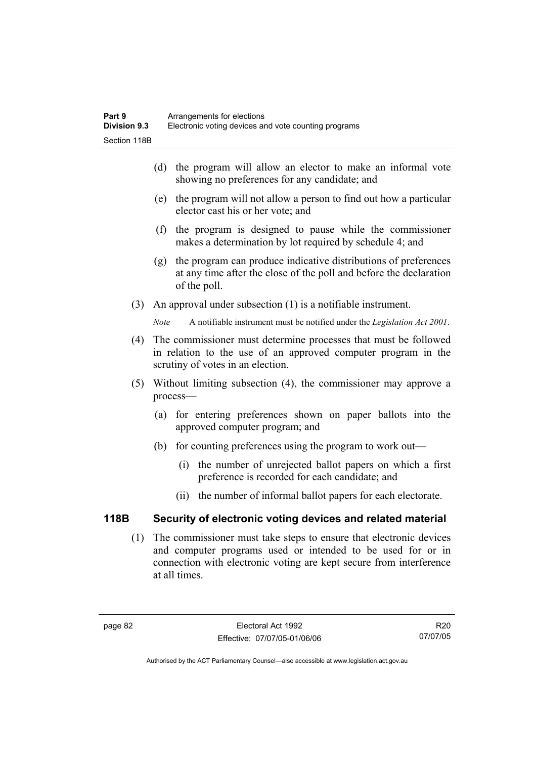- (d) the program will allow an elector to make an informal vote showing no preferences for any candidate; and
- (e) the program will not allow a person to find out how a particular elector cast his or her vote; and
- (f) the program is designed to pause while the commissioner makes a determination by lot required by schedule 4; and
- (g) the program can produce indicative distributions of preferences at any time after the close of the poll and before the declaration of the poll.
- (3) An approval under subsection (1) is a notifiable instrument.

*Note* A notifiable instrument must be notified under the *Legislation Act 2001*.

- (4) The commissioner must determine processes that must be followed in relation to the use of an approved computer program in the scrutiny of votes in an election.
- (5) Without limiting subsection (4), the commissioner may approve a process—
	- (a) for entering preferences shown on paper ballots into the approved computer program; and
	- (b) for counting preferences using the program to work out—
		- (i) the number of unrejected ballot papers on which a first preference is recorded for each candidate; and
		- (ii) the number of informal ballot papers for each electorate.

# **118B Security of electronic voting devices and related material**

 (1) The commissioner must take steps to ensure that electronic devices and computer programs used or intended to be used for or in connection with electronic voting are kept secure from interference at all times.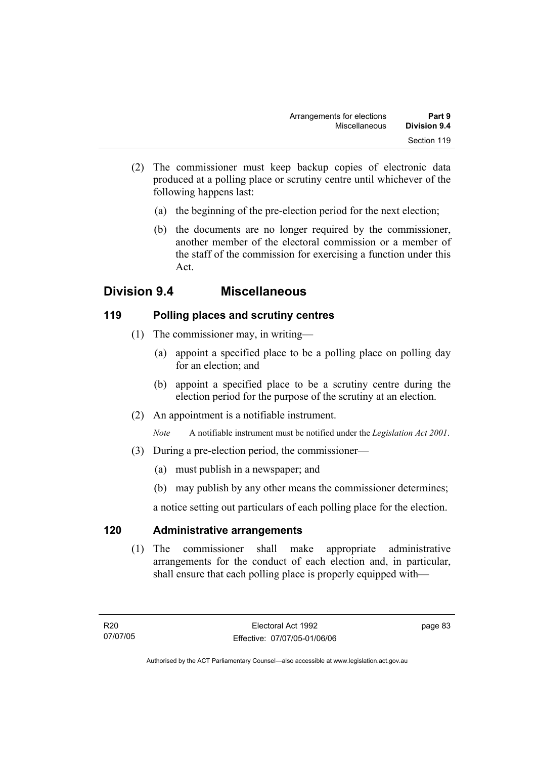- (2) The commissioner must keep backup copies of electronic data produced at a polling place or scrutiny centre until whichever of the following happens last:
	- (a) the beginning of the pre-election period for the next election;
	- (b) the documents are no longer required by the commissioner, another member of the electoral commission or a member of the staff of the commission for exercising a function under this Act.

# **Division 9.4 Miscellaneous**

# **119 Polling places and scrutiny centres**

- (1) The commissioner may, in writing—
	- (a) appoint a specified place to be a polling place on polling day for an election; and
	- (b) appoint a specified place to be a scrutiny centre during the election period for the purpose of the scrutiny at an election.
- (2) An appointment is a notifiable instrument.

*Note* A notifiable instrument must be notified under the *Legislation Act 2001*.

- (3) During a pre-election period, the commissioner—
	- (a) must publish in a newspaper; and
	- (b) may publish by any other means the commissioner determines;

a notice setting out particulars of each polling place for the election.

# **120 Administrative arrangements**

 (1) The commissioner shall make appropriate administrative arrangements for the conduct of each election and, in particular, shall ensure that each polling place is properly equipped with—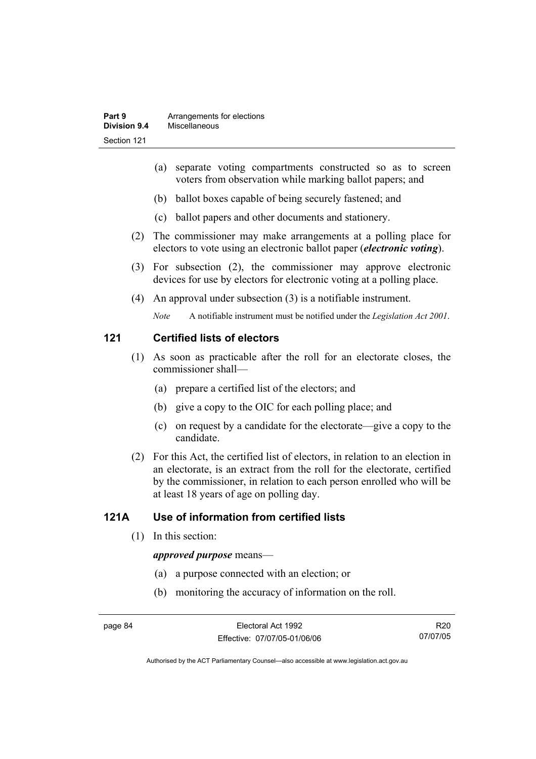- (a) separate voting compartments constructed so as to screen voters from observation while marking ballot papers; and
- (b) ballot boxes capable of being securely fastened; and
- (c) ballot papers and other documents and stationery.
- (2) The commissioner may make arrangements at a polling place for electors to vote using an electronic ballot paper (*electronic voting*).
- (3) For subsection (2), the commissioner may approve electronic devices for use by electors for electronic voting at a polling place.
- (4) An approval under subsection (3) is a notifiable instrument.

*Note* A notifiable instrument must be notified under the *Legislation Act 2001*.

#### **121 Certified lists of electors**

- (1) As soon as practicable after the roll for an electorate closes, the commissioner shall—
	- (a) prepare a certified list of the electors; and
	- (b) give a copy to the OIC for each polling place; and
	- (c) on request by a candidate for the electorate—give a copy to the candidate.
- (2) For this Act, the certified list of electors, in relation to an election in an electorate, is an extract from the roll for the electorate, certified by the commissioner, in relation to each person enrolled who will be at least 18 years of age on polling day.

# **121A Use of information from certified lists**

(1) In this section:

#### *approved purpose* means—

- (a) a purpose connected with an election; or
- (b) monitoring the accuracy of information on the roll.

R20 07/07/05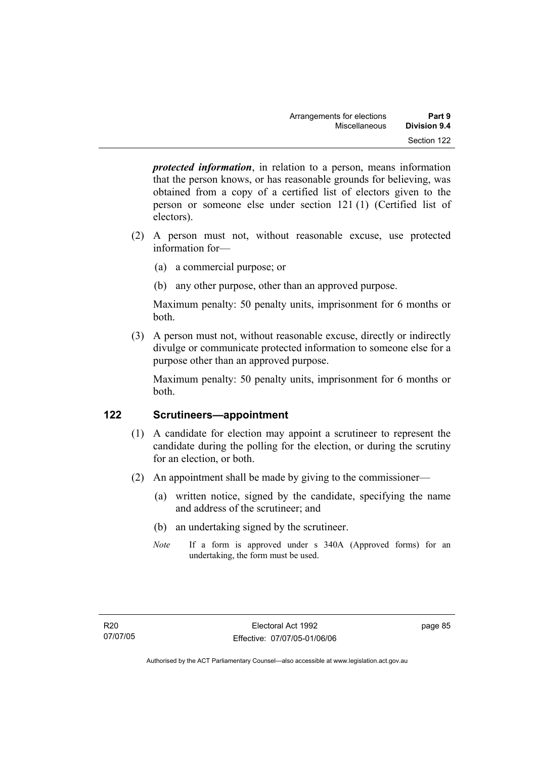*protected information*, in relation to a person, means information that the person knows, or has reasonable grounds for believing, was obtained from a copy of a certified list of electors given to the person or someone else under section 121 (1) (Certified list of electors).

- (2) A person must not, without reasonable excuse, use protected information for—
	- (a) a commercial purpose; or
	- (b) any other purpose, other than an approved purpose.

Maximum penalty: 50 penalty units, imprisonment for 6 months or both.

 (3) A person must not, without reasonable excuse, directly or indirectly divulge or communicate protected information to someone else for a purpose other than an approved purpose.

Maximum penalty: 50 penalty units, imprisonment for 6 months or both.

# **122 Scrutineers—appointment**

- (1) A candidate for election may appoint a scrutineer to represent the candidate during the polling for the election, or during the scrutiny for an election, or both.
- (2) An appointment shall be made by giving to the commissioner—
	- (a) written notice, signed by the candidate, specifying the name and address of the scrutineer; and
	- (b) an undertaking signed by the scrutineer.
	- *Note* If a form is approved under s 340A (Approved forms) for an undertaking, the form must be used.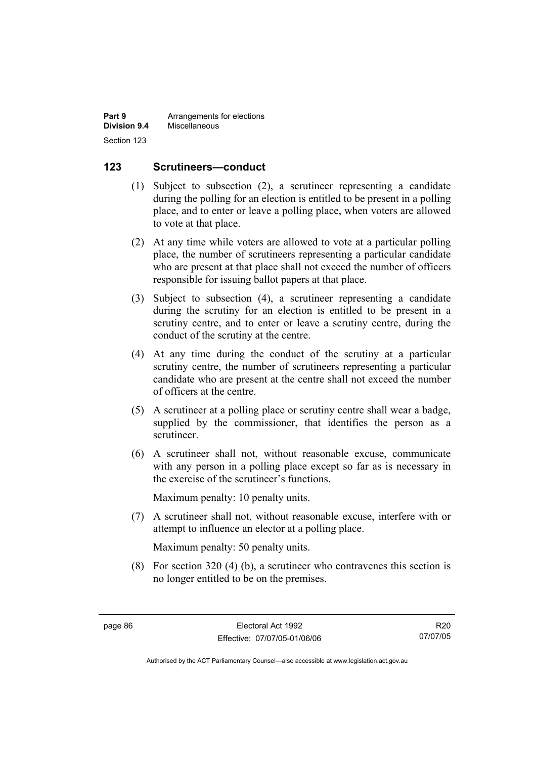| Part 9       | Arrangements for elections |
|--------------|----------------------------|
| Division 9.4 | Miscellaneous              |
| Section 123  |                            |

### **123 Scrutineers—conduct**

- (1) Subject to subsection (2), a scrutineer representing a candidate during the polling for an election is entitled to be present in a polling place, and to enter or leave a polling place, when voters are allowed to vote at that place.
- (2) At any time while voters are allowed to vote at a particular polling place, the number of scrutineers representing a particular candidate who are present at that place shall not exceed the number of officers responsible for issuing ballot papers at that place.
- (3) Subject to subsection (4), a scrutineer representing a candidate during the scrutiny for an election is entitled to be present in a scrutiny centre, and to enter or leave a scrutiny centre, during the conduct of the scrutiny at the centre.
- (4) At any time during the conduct of the scrutiny at a particular scrutiny centre, the number of scrutineers representing a particular candidate who are present at the centre shall not exceed the number of officers at the centre.
- (5) A scrutineer at a polling place or scrutiny centre shall wear a badge, supplied by the commissioner, that identifies the person as a scrutineer.
- (6) A scrutineer shall not, without reasonable excuse, communicate with any person in a polling place except so far as is necessary in the exercise of the scrutineer's functions.

Maximum penalty: 10 penalty units.

 (7) A scrutineer shall not, without reasonable excuse, interfere with or attempt to influence an elector at a polling place.

Maximum penalty: 50 penalty units.

 (8) For section 320 (4) (b), a scrutineer who contravenes this section is no longer entitled to be on the premises.

R20 07/07/05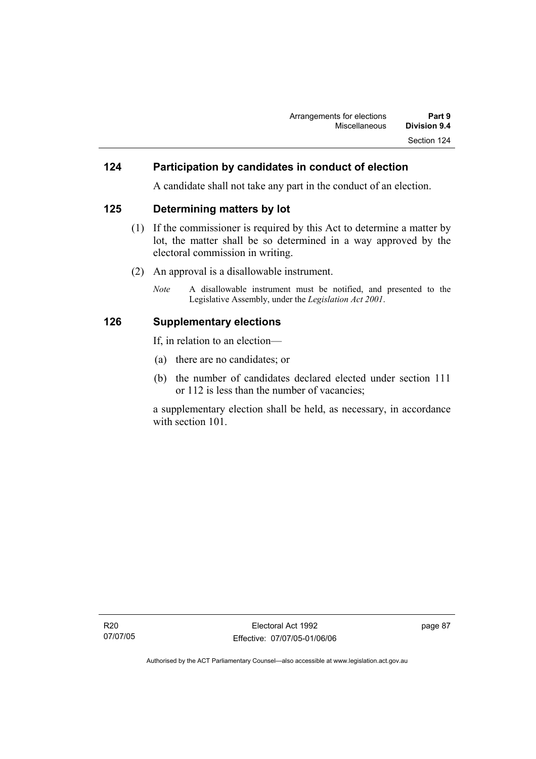### **124 Participation by candidates in conduct of election**

A candidate shall not take any part in the conduct of an election.

#### **125 Determining matters by lot**

- (1) If the commissioner is required by this Act to determine a matter by lot, the matter shall be so determined in a way approved by the electoral commission in writing.
- (2) An approval is a disallowable instrument.
	- *Note* A disallowable instrument must be notified, and presented to the Legislative Assembly, under the *Legislation Act 2001*.

#### **126 Supplementary elections**

If, in relation to an election—

- (a) there are no candidates; or
- (b) the number of candidates declared elected under section 111 or 112 is less than the number of vacancies;

a supplementary election shall be held, as necessary, in accordance with section 101.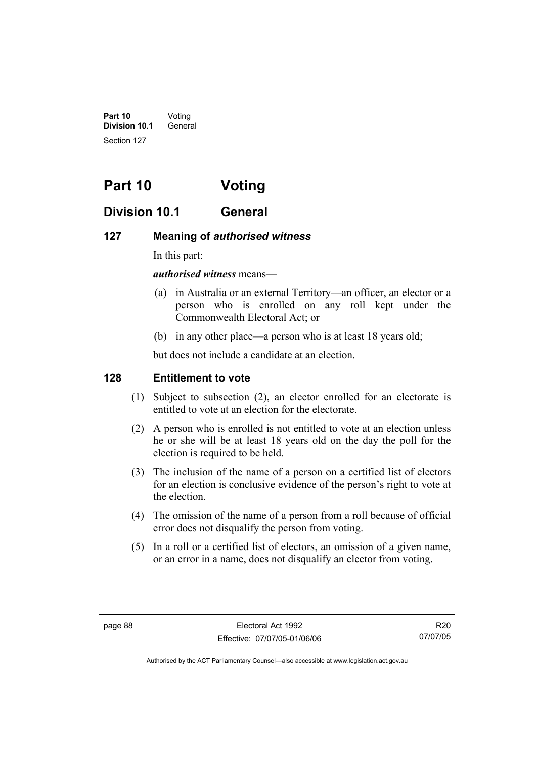**Part 10** Voting **Division 10.1** General Section 127

# **Part 10 Voting**

# **Division 10.1 General**

### **127 Meaning of** *authorised witness*

In this part:

#### *authorised witness* means—

- (a) in Australia or an external Territory—an officer, an elector or a person who is enrolled on any roll kept under the Commonwealth Electoral Act; or
- (b) in any other place—a person who is at least 18 years old;

but does not include a candidate at an election.

# **128 Entitlement to vote**

- (1) Subject to subsection (2), an elector enrolled for an electorate is entitled to vote at an election for the electorate.
- (2) A person who is enrolled is not entitled to vote at an election unless he or she will be at least 18 years old on the day the poll for the election is required to be held.
- (3) The inclusion of the name of a person on a certified list of electors for an election is conclusive evidence of the person's right to vote at the election.
- (4) The omission of the name of a person from a roll because of official error does not disqualify the person from voting.
- (5) In a roll or a certified list of electors, an omission of a given name, or an error in a name, does not disqualify an elector from voting.

R20 07/07/05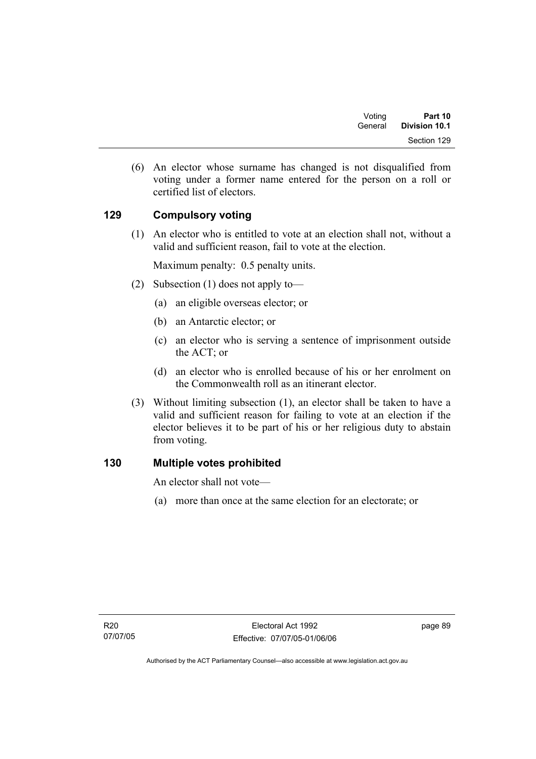| Voting  | Part 10       |
|---------|---------------|
| General | Division 10.1 |
|         | Section 129   |

 (6) An elector whose surname has changed is not disqualified from voting under a former name entered for the person on a roll or certified list of electors.

# **129 Compulsory voting**

 (1) An elector who is entitled to vote at an election shall not, without a valid and sufficient reason, fail to vote at the election.

Maximum penalty: 0.5 penalty units.

- (2) Subsection (1) does not apply to—
	- (a) an eligible overseas elector; or
	- (b) an Antarctic elector; or
	- (c) an elector who is serving a sentence of imprisonment outside the ACT; or
	- (d) an elector who is enrolled because of his or her enrolment on the Commonwealth roll as an itinerant elector.
- (3) Without limiting subsection (1), an elector shall be taken to have a valid and sufficient reason for failing to vote at an election if the elector believes it to be part of his or her religious duty to abstain from voting.

# **130 Multiple votes prohibited**

An elector shall not vote—

(a) more than once at the same election for an electorate; or

page 89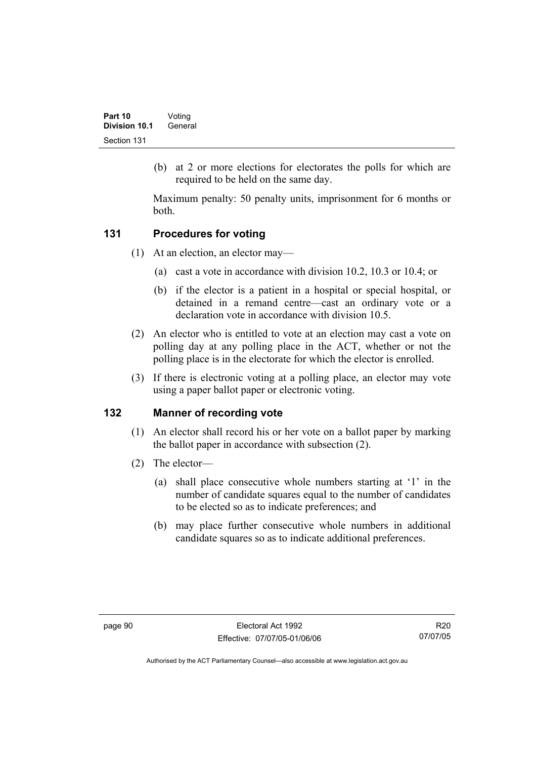(b) at 2 or more elections for electorates the polls for which are required to be held on the same day.

Maximum penalty: 50 penalty units, imprisonment for 6 months or both.

# **131 Procedures for voting**

- (1) At an election, an elector may—
	- (a) cast a vote in accordance with division 10.2, 10.3 or 10.4; or
	- (b) if the elector is a patient in a hospital or special hospital, or detained in a remand centre—cast an ordinary vote or a declaration vote in accordance with division 10.5.
- (2) An elector who is entitled to vote at an election may cast a vote on polling day at any polling place in the ACT, whether or not the polling place is in the electorate for which the elector is enrolled.
- (3) If there is electronic voting at a polling place, an elector may vote using a paper ballot paper or electronic voting.

# **132 Manner of recording vote**

- (1) An elector shall record his or her vote on a ballot paper by marking the ballot paper in accordance with subsection (2).
- (2) The elector—
	- (a) shall place consecutive whole numbers starting at '1' in the number of candidate squares equal to the number of candidates to be elected so as to indicate preferences; and
	- (b) may place further consecutive whole numbers in additional candidate squares so as to indicate additional preferences.

R20 07/07/05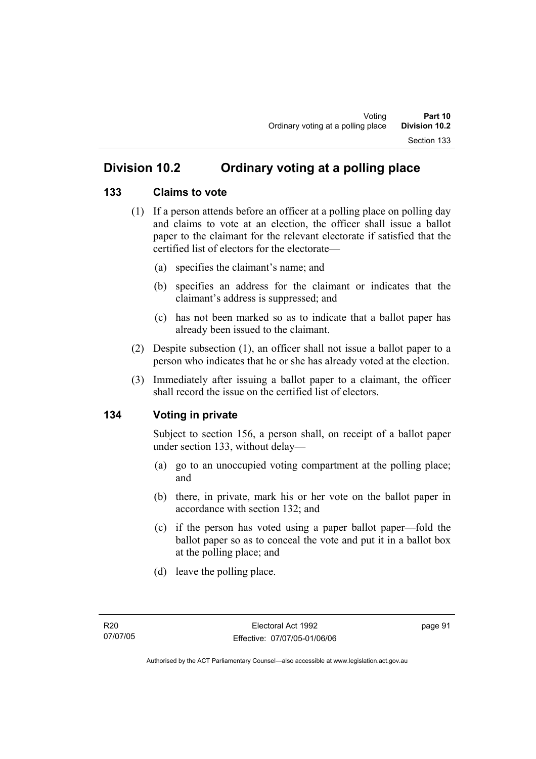## **Division 10.2 Ordinary voting at a polling place**

#### **133 Claims to vote**

- (1) If a person attends before an officer at a polling place on polling day and claims to vote at an election, the officer shall issue a ballot paper to the claimant for the relevant electorate if satisfied that the certified list of electors for the electorate—
	- (a) specifies the claimant's name; and
	- (b) specifies an address for the claimant or indicates that the claimant's address is suppressed; and
	- (c) has not been marked so as to indicate that a ballot paper has already been issued to the claimant.
- (2) Despite subsection (1), an officer shall not issue a ballot paper to a person who indicates that he or she has already voted at the election.
- (3) Immediately after issuing a ballot paper to a claimant, the officer shall record the issue on the certified list of electors.

#### **134 Voting in private**

Subject to section 156, a person shall, on receipt of a ballot paper under section 133, without delay—

- (a) go to an unoccupied voting compartment at the polling place; and
- (b) there, in private, mark his or her vote on the ballot paper in accordance with section 132; and
- (c) if the person has voted using a paper ballot paper—fold the ballot paper so as to conceal the vote and put it in a ballot box at the polling place; and
- (d) leave the polling place.

page 91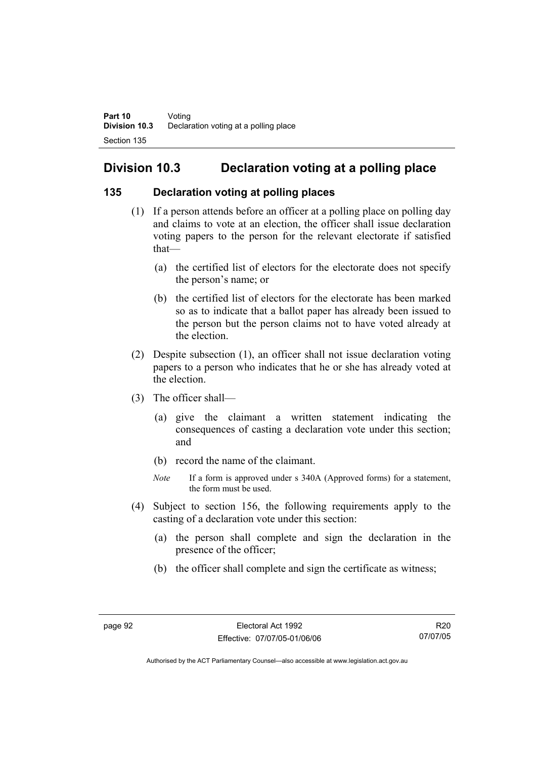# **Division 10.3 Declaration voting at a polling place**

#### **135 Declaration voting at polling places**

- (1) If a person attends before an officer at a polling place on polling day and claims to vote at an election, the officer shall issue declaration voting papers to the person for the relevant electorate if satisfied that—
	- (a) the certified list of electors for the electorate does not specify the person's name; or
	- (b) the certified list of electors for the electorate has been marked so as to indicate that a ballot paper has already been issued to the person but the person claims not to have voted already at the election.
- (2) Despite subsection (1), an officer shall not issue declaration voting papers to a person who indicates that he or she has already voted at the election.
- (3) The officer shall—
	- (a) give the claimant a written statement indicating the consequences of casting a declaration vote under this section; and
	- (b) record the name of the claimant.
	- *Note* If a form is approved under s 340A (Approved forms) for a statement, the form must be used.
- (4) Subject to section 156, the following requirements apply to the casting of a declaration vote under this section:
	- (a) the person shall complete and sign the declaration in the presence of the officer;
	- (b) the officer shall complete and sign the certificate as witness;

Authorised by the ACT Parliamentary Counsel—also accessible at www.legislation.act.gov.au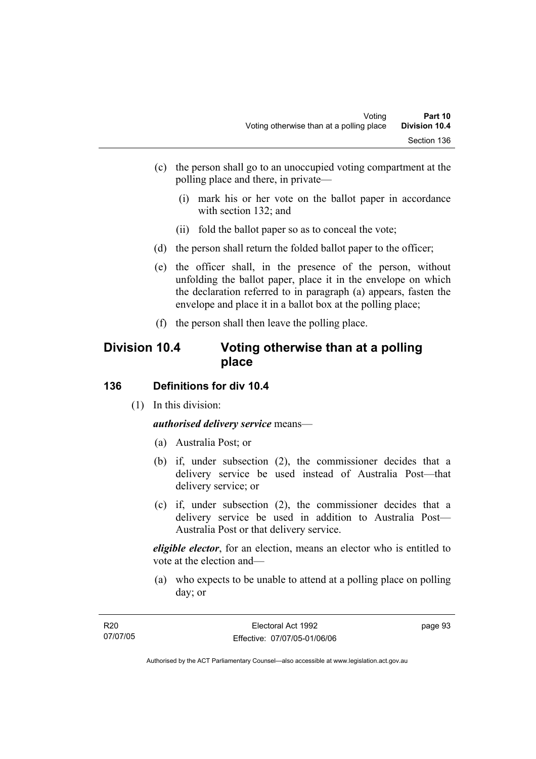- (c) the person shall go to an unoccupied voting compartment at the polling place and there, in private—
	- (i) mark his or her vote on the ballot paper in accordance with section 132; and
	- (ii) fold the ballot paper so as to conceal the vote;
- (d) the person shall return the folded ballot paper to the officer;
- (e) the officer shall, in the presence of the person, without unfolding the ballot paper, place it in the envelope on which the declaration referred to in paragraph (a) appears, fasten the envelope and place it in a ballot box at the polling place;
- (f) the person shall then leave the polling place.

## **Division 10.4 Voting otherwise than at a polling place**

#### **136 Definitions for div 10.4**

(1) In this division:

*authorised delivery service* means—

- (a) Australia Post; or
- (b) if, under subsection (2), the commissioner decides that a delivery service be used instead of Australia Post—that delivery service; or
- (c) if, under subsection (2), the commissioner decides that a delivery service be used in addition to Australia Post— Australia Post or that delivery service.

*eligible elector*, for an election, means an elector who is entitled to vote at the election and—

 (a) who expects to be unable to attend at a polling place on polling day; or

| R20      | Electoral Act 1992           | page 93 |
|----------|------------------------------|---------|
| 07/07/05 | Effective: 07/07/05-01/06/06 |         |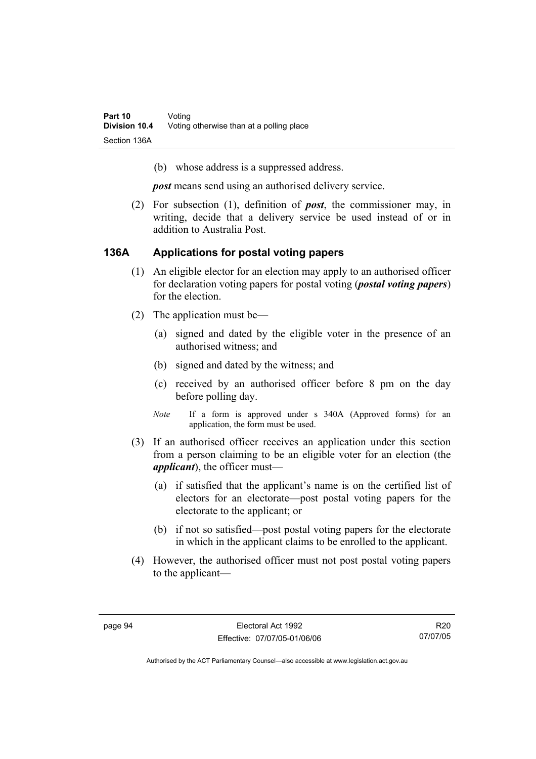(b) whose address is a suppressed address.

*post* means send using an authorised delivery service.

 (2) For subsection (1), definition of *post*, the commissioner may, in writing, decide that a delivery service be used instead of or in addition to Australia Post.

#### **136A Applications for postal voting papers**

- (1) An eligible elector for an election may apply to an authorised officer for declaration voting papers for postal voting (*postal voting papers*) for the election.
- (2) The application must be—
	- (a) signed and dated by the eligible voter in the presence of an authorised witness; and
	- (b) signed and dated by the witness; and
	- (c) received by an authorised officer before 8 pm on the day before polling day.
	- *Note* If a form is approved under s 340A (Approved forms) for an application, the form must be used.
- (3) If an authorised officer receives an application under this section from a person claiming to be an eligible voter for an election (the *applicant*), the officer must—
	- (a) if satisfied that the applicant's name is on the certified list of electors for an electorate—post postal voting papers for the electorate to the applicant; or
	- (b) if not so satisfied—post postal voting papers for the electorate in which in the applicant claims to be enrolled to the applicant.
- (4) However, the authorised officer must not post postal voting papers to the applicant—

R20 07/07/05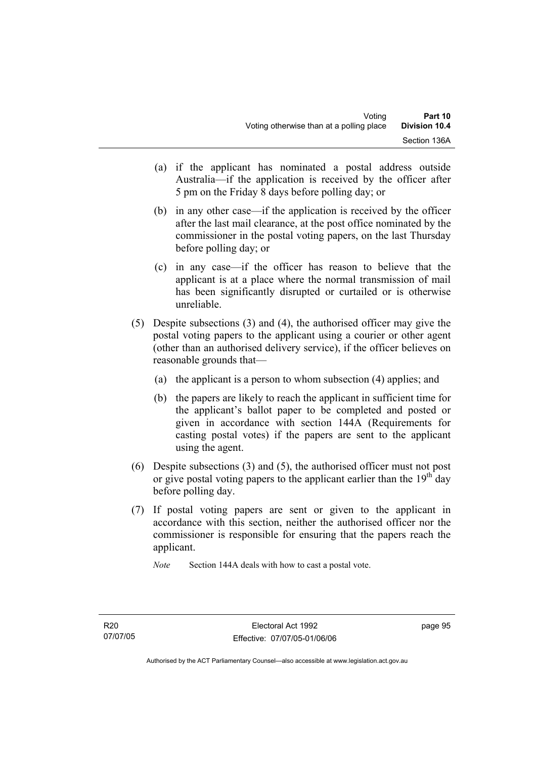- (a) if the applicant has nominated a postal address outside Australia—if the application is received by the officer after 5 pm on the Friday 8 days before polling day; or
- (b) in any other case—if the application is received by the officer after the last mail clearance, at the post office nominated by the commissioner in the postal voting papers, on the last Thursday before polling day; or
- (c) in any case—if the officer has reason to believe that the applicant is at a place where the normal transmission of mail has been significantly disrupted or curtailed or is otherwise unreliable.
- (5) Despite subsections (3) and (4), the authorised officer may give the postal voting papers to the applicant using a courier or other agent (other than an authorised delivery service), if the officer believes on reasonable grounds that—
	- (a) the applicant is a person to whom subsection (4) applies; and
	- (b) the papers are likely to reach the applicant in sufficient time for the applicant's ballot paper to be completed and posted or given in accordance with section 144A (Requirements for casting postal votes) if the papers are sent to the applicant using the agent.
- (6) Despite subsections (3) and (5), the authorised officer must not post or give postal voting papers to the applicant earlier than the  $19<sup>th</sup>$  day before polling day.
- (7) If postal voting papers are sent or given to the applicant in accordance with this section, neither the authorised officer nor the commissioner is responsible for ensuring that the papers reach the applicant.

*Note* Section 144A deals with how to cast a postal vote.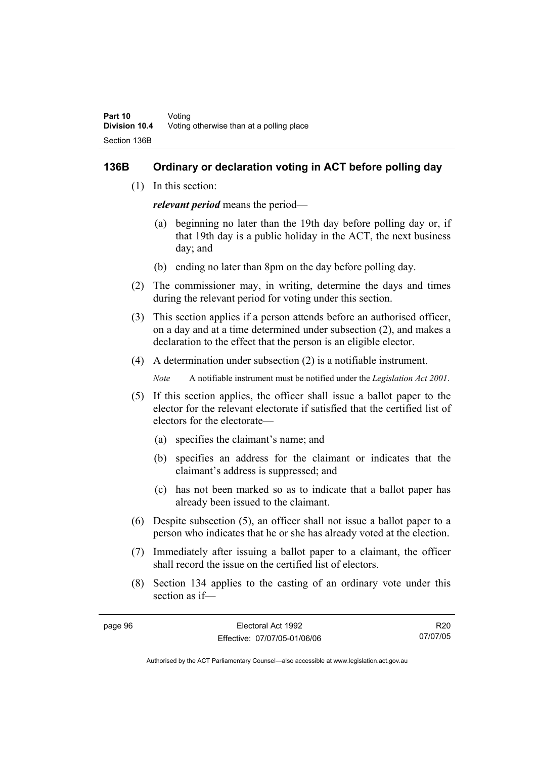#### **136B Ordinary or declaration voting in ACT before polling day**

(1) In this section:

*relevant period* means the period—

- (a) beginning no later than the 19th day before polling day or, if that 19th day is a public holiday in the ACT, the next business day; and
- (b) ending no later than 8pm on the day before polling day.
- (2) The commissioner may, in writing, determine the days and times during the relevant period for voting under this section.
- (3) This section applies if a person attends before an authorised officer, on a day and at a time determined under subsection (2), and makes a declaration to the effect that the person is an eligible elector.
- (4) A determination under subsection (2) is a notifiable instrument.

*Note* A notifiable instrument must be notified under the *Legislation Act 2001*.

- (5) If this section applies, the officer shall issue a ballot paper to the elector for the relevant electorate if satisfied that the certified list of electors for the electorate—
	- (a) specifies the claimant's name; and
	- (b) specifies an address for the claimant or indicates that the claimant's address is suppressed; and
	- (c) has not been marked so as to indicate that a ballot paper has already been issued to the claimant.
- (6) Despite subsection (5), an officer shall not issue a ballot paper to a person who indicates that he or she has already voted at the election.
- (7) Immediately after issuing a ballot paper to a claimant, the officer shall record the issue on the certified list of electors.
- (8) Section 134 applies to the casting of an ordinary vote under this section as if—

R20 07/07/05

| page 96 | Electoral Act 1992           |  |
|---------|------------------------------|--|
|         | Effective: 07/07/05-01/06/06 |  |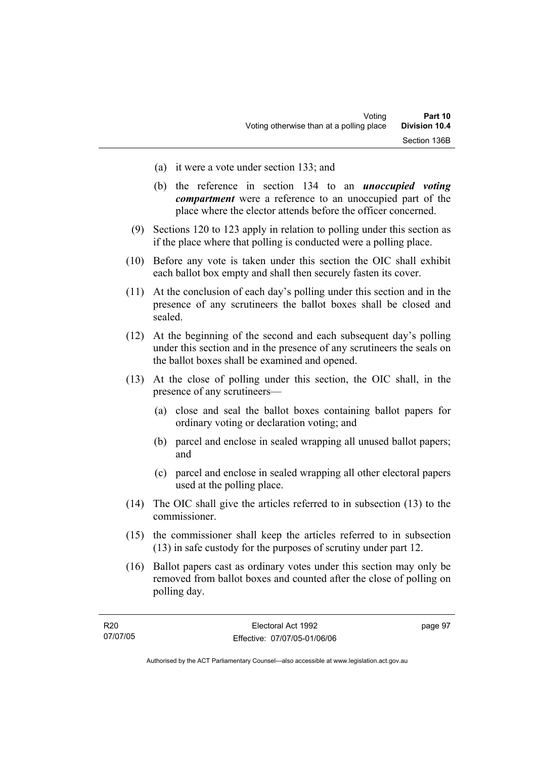- (a) it were a vote under section 133; and
- (b) the reference in section 134 to an *unoccupied voting compartment* were a reference to an unoccupied part of the place where the elector attends before the officer concerned.
- (9) Sections 120 to 123 apply in relation to polling under this section as if the place where that polling is conducted were a polling place.
- (10) Before any vote is taken under this section the OIC shall exhibit each ballot box empty and shall then securely fasten its cover.
- (11) At the conclusion of each day's polling under this section and in the presence of any scrutineers the ballot boxes shall be closed and sealed.
- (12) At the beginning of the second and each subsequent day's polling under this section and in the presence of any scrutineers the seals on the ballot boxes shall be examined and opened.
- (13) At the close of polling under this section, the OIC shall, in the presence of any scrutineers—
	- (a) close and seal the ballot boxes containing ballot papers for ordinary voting or declaration voting; and
	- (b) parcel and enclose in sealed wrapping all unused ballot papers; and
	- (c) parcel and enclose in sealed wrapping all other electoral papers used at the polling place.
- (14) The OIC shall give the articles referred to in subsection (13) to the commissioner.
- (15) the commissioner shall keep the articles referred to in subsection (13) in safe custody for the purposes of scrutiny under part 12.
- (16) Ballot papers cast as ordinary votes under this section may only be removed from ballot boxes and counted after the close of polling on polling day.

| R <sub>20</sub> | Electoral Act 1992           | page 97 |
|-----------------|------------------------------|---------|
| 07/07/05        | Effective: 07/07/05-01/06/06 |         |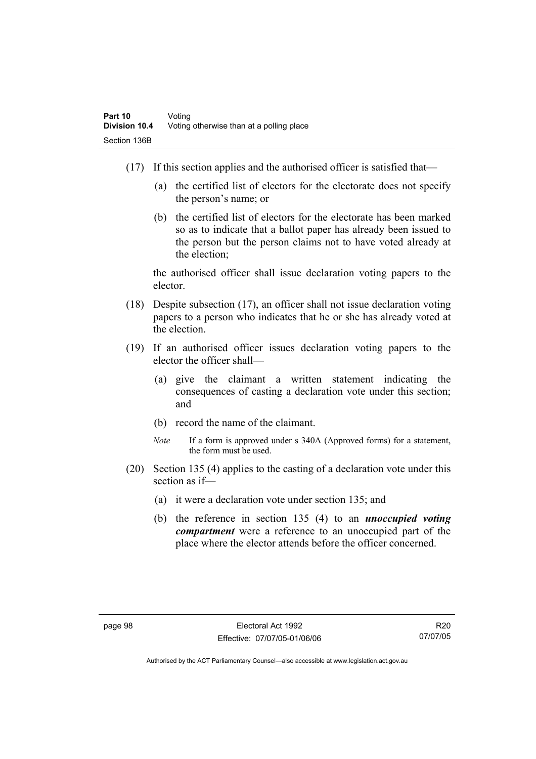- (17) If this section applies and the authorised officer is satisfied that—
	- (a) the certified list of electors for the electorate does not specify the person's name; or
	- (b) the certified list of electors for the electorate has been marked so as to indicate that a ballot paper has already been issued to the person but the person claims not to have voted already at the election;

the authorised officer shall issue declaration voting papers to the elector.

- (18) Despite subsection (17), an officer shall not issue declaration voting papers to a person who indicates that he or she has already voted at the election.
- (19) If an authorised officer issues declaration voting papers to the elector the officer shall—
	- (a) give the claimant a written statement indicating the consequences of casting a declaration vote under this section; and
	- (b) record the name of the claimant.
	- *Note* If a form is approved under s 340A (Approved forms) for a statement, the form must be used.
- (20) Section 135 (4) applies to the casting of a declaration vote under this section as if—
	- (a) it were a declaration vote under section 135; and
	- (b) the reference in section 135 (4) to an *unoccupied voting compartment* were a reference to an unoccupied part of the place where the elector attends before the officer concerned.

R20 07/07/05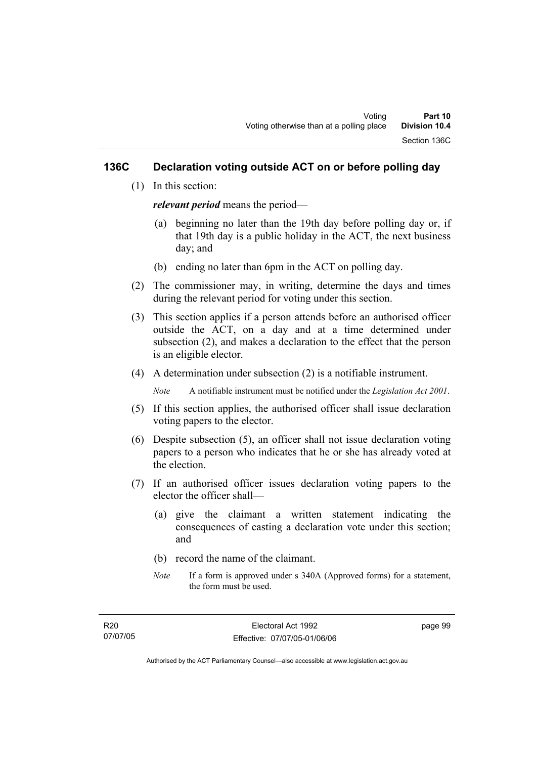#### **136C Declaration voting outside ACT on or before polling day**

(1) In this section:

*relevant period* means the period—

- (a) beginning no later than the 19th day before polling day or, if that 19th day is a public holiday in the ACT, the next business day; and
- (b) ending no later than 6pm in the ACT on polling day.
- (2) The commissioner may, in writing, determine the days and times during the relevant period for voting under this section.
- (3) This section applies if a person attends before an authorised officer outside the ACT, on a day and at a time determined under subsection (2), and makes a declaration to the effect that the person is an eligible elector.
- (4) A determination under subsection (2) is a notifiable instrument.

*Note* A notifiable instrument must be notified under the *Legislation Act 2001*.

- (5) If this section applies, the authorised officer shall issue declaration voting papers to the elector.
- (6) Despite subsection (5), an officer shall not issue declaration voting papers to a person who indicates that he or she has already voted at the election.
- (7) If an authorised officer issues declaration voting papers to the elector the officer shall—
	- (a) give the claimant a written statement indicating the consequences of casting a declaration vote under this section; and
	- (b) record the name of the claimant.
	- *Note* If a form is approved under s 340A (Approved forms) for a statement, the form must be used.

page 99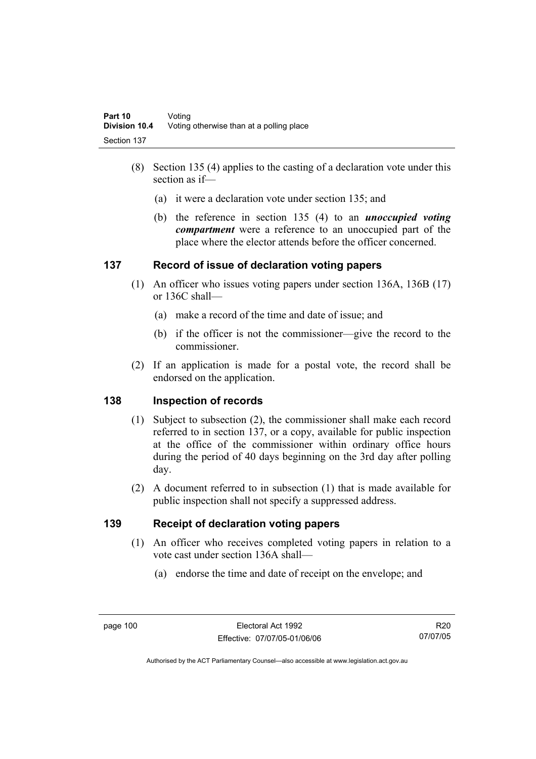- (8) Section 135 (4) applies to the casting of a declaration vote under this section as if—
	- (a) it were a declaration vote under section 135; and
	- (b) the reference in section 135 (4) to an *unoccupied voting compartment* were a reference to an unoccupied part of the place where the elector attends before the officer concerned.

#### **137 Record of issue of declaration voting papers**

- (1) An officer who issues voting papers under section 136A, 136B (17) or 136C shall—
	- (a) make a record of the time and date of issue; and
	- (b) if the officer is not the commissioner—give the record to the commissioner.
- (2) If an application is made for a postal vote, the record shall be endorsed on the application.

#### **138 Inspection of records**

- (1) Subject to subsection (2), the commissioner shall make each record referred to in section 137, or a copy, available for public inspection at the office of the commissioner within ordinary office hours during the period of 40 days beginning on the 3rd day after polling day.
- (2) A document referred to in subsection (1) that is made available for public inspection shall not specify a suppressed address.

#### **139 Receipt of declaration voting papers**

- (1) An officer who receives completed voting papers in relation to a vote cast under section 136A shall—
	- (a) endorse the time and date of receipt on the envelope; and

R20 07/07/05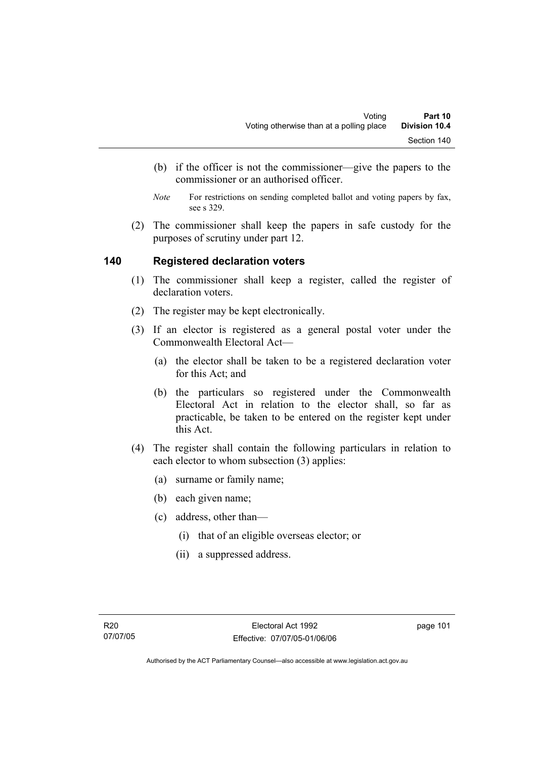- (b) if the officer is not the commissioner—give the papers to the commissioner or an authorised officer.
- *Note* For restrictions on sending completed ballot and voting papers by fax, see s 329.
- (2) The commissioner shall keep the papers in safe custody for the purposes of scrutiny under part 12.

#### **140 Registered declaration voters**

- (1) The commissioner shall keep a register, called the register of declaration voters.
- (2) The register may be kept electronically.
- (3) If an elector is registered as a general postal voter under the Commonwealth Electoral Act—
	- (a) the elector shall be taken to be a registered declaration voter for this Act; and
	- (b) the particulars so registered under the Commonwealth Electoral Act in relation to the elector shall, so far as practicable, be taken to be entered on the register kept under this Act.
- (4) The register shall contain the following particulars in relation to each elector to whom subsection (3) applies:
	- (a) surname or family name;
	- (b) each given name;
	- (c) address, other than—
		- (i) that of an eligible overseas elector; or
		- (ii) a suppressed address.

page 101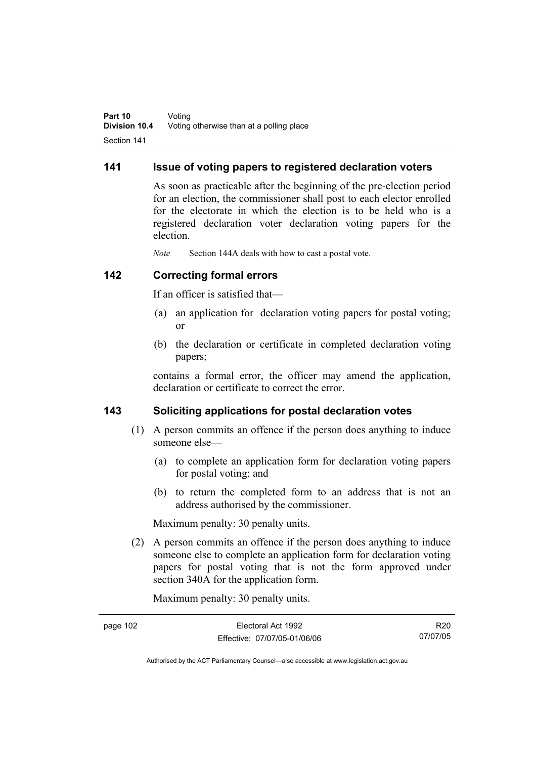#### **141 Issue of voting papers to registered declaration voters**

As soon as practicable after the beginning of the pre-election period for an election, the commissioner shall post to each elector enrolled for the electorate in which the election is to be held who is a registered declaration voter declaration voting papers for the election.

*Note* Section 144A deals with how to cast a postal vote.

#### **142 Correcting formal errors**

If an officer is satisfied that—

- (a) an application for declaration voting papers for postal voting; or
- (b) the declaration or certificate in completed declaration voting papers;

contains a formal error, the officer may amend the application, declaration or certificate to correct the error.

#### **143 Soliciting applications for postal declaration votes**

- (1) A person commits an offence if the person does anything to induce someone else—
	- (a) to complete an application form for declaration voting papers for postal voting; and
	- (b) to return the completed form to an address that is not an address authorised by the commissioner.

Maximum penalty: 30 penalty units.

 (2) A person commits an offence if the person does anything to induce someone else to complete an application form for declaration voting papers for postal voting that is not the form approved under section 340A for the application form.

Maximum penalty: 30 penalty units.

| page 102 | Electoral Act 1992           | R20      |
|----------|------------------------------|----------|
|          | Effective: 07/07/05-01/06/06 | 07/07/05 |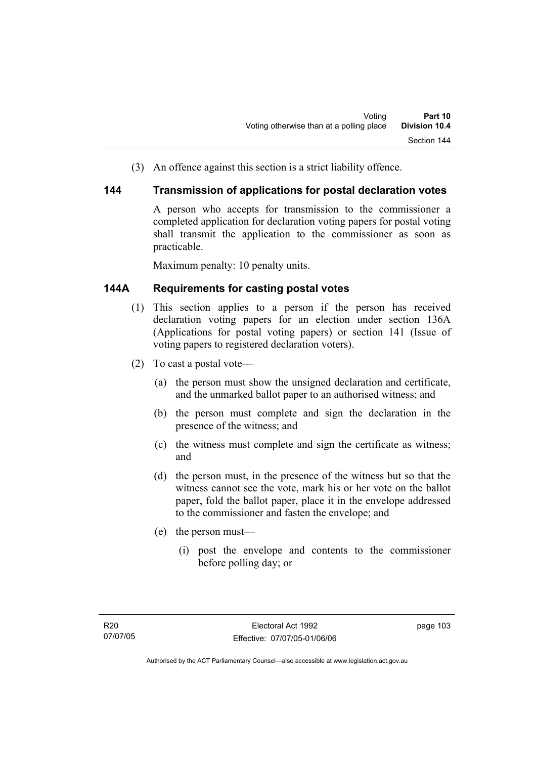(3) An offence against this section is a strict liability offence.

#### **144 Transmission of applications for postal declaration votes**

A person who accepts for transmission to the commissioner a completed application for declaration voting papers for postal voting shall transmit the application to the commissioner as soon as practicable.

Maximum penalty: 10 penalty units.

### **144A Requirements for casting postal votes**

- (1) This section applies to a person if the person has received declaration voting papers for an election under section 136A (Applications for postal voting papers) or section 141 (Issue of voting papers to registered declaration voters).
- (2) To cast a postal vote—
	- (a) the person must show the unsigned declaration and certificate, and the unmarked ballot paper to an authorised witness; and
	- (b) the person must complete and sign the declaration in the presence of the witness; and
	- (c) the witness must complete and sign the certificate as witness; and
	- (d) the person must, in the presence of the witness but so that the witness cannot see the vote, mark his or her vote on the ballot paper, fold the ballot paper, place it in the envelope addressed to the commissioner and fasten the envelope; and
	- (e) the person must—
		- (i) post the envelope and contents to the commissioner before polling day; or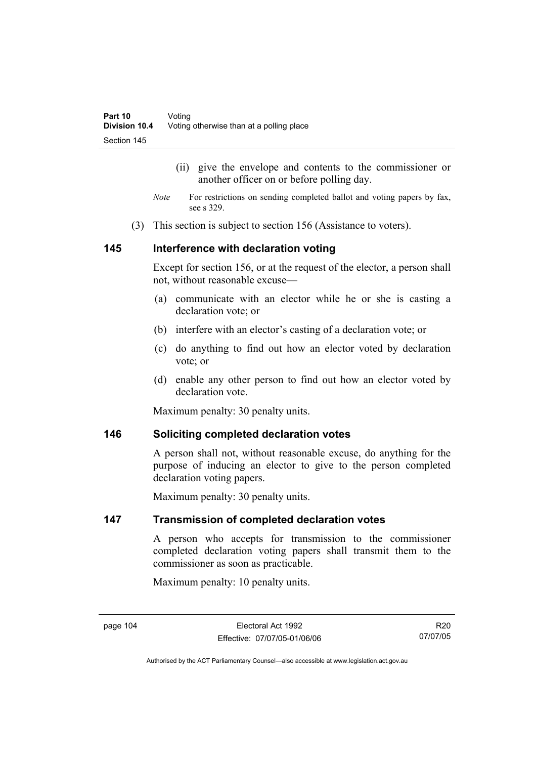- (ii) give the envelope and contents to the commissioner or another officer on or before polling day.
- *Note* For restrictions on sending completed ballot and voting papers by fax, see s 329.
- (3) This section is subject to section 156 (Assistance to voters).

#### **145 Interference with declaration voting**

Except for section 156, or at the request of the elector, a person shall not, without reasonable excuse—

- (a) communicate with an elector while he or she is casting a declaration vote; or
- (b) interfere with an elector's casting of a declaration vote; or
- (c) do anything to find out how an elector voted by declaration vote; or
- (d) enable any other person to find out how an elector voted by declaration vote

Maximum penalty: 30 penalty units.

#### **146 Soliciting completed declaration votes**

A person shall not, without reasonable excuse, do anything for the purpose of inducing an elector to give to the person completed declaration voting papers.

Maximum penalty: 30 penalty units.

#### **147 Transmission of completed declaration votes**

A person who accepts for transmission to the commissioner completed declaration voting papers shall transmit them to the commissioner as soon as practicable.

Maximum penalty: 10 penalty units.

R20 07/07/05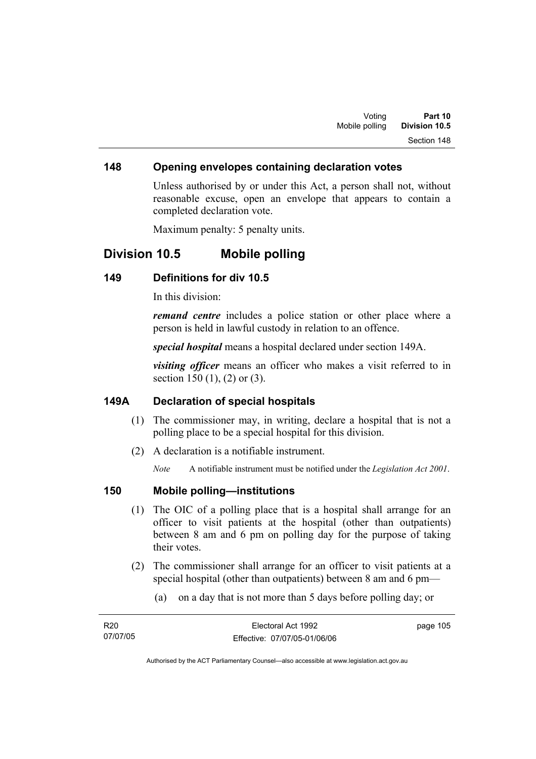#### **148 Opening envelopes containing declaration votes**

Unless authorised by or under this Act, a person shall not, without reasonable excuse, open an envelope that appears to contain a completed declaration vote.

Maximum penalty: 5 penalty units.

## **Division 10.5 Mobile polling**

#### **149 Definitions for div 10.5**

In this division:

*remand centre* includes a police station or other place where a person is held in lawful custody in relation to an offence.

*special hospital* means a hospital declared under section 149A.

*visiting officer* means an officer who makes a visit referred to in section 150 (1), (2) or (3).

#### **149A Declaration of special hospitals**

- (1) The commissioner may, in writing, declare a hospital that is not a polling place to be a special hospital for this division.
- (2) A declaration is a notifiable instrument.

*Note* A notifiable instrument must be notified under the *Legislation Act 2001*.

#### **150 Mobile polling—institutions**

- (1) The OIC of a polling place that is a hospital shall arrange for an officer to visit patients at the hospital (other than outpatients) between 8 am and 6 pm on polling day for the purpose of taking their votes.
- (2) The commissioner shall arrange for an officer to visit patients at a special hospital (other than outpatients) between 8 am and 6 pm—
	- (a) on a day that is not more than 5 days before polling day; or

| R20      | Electoral Act 1992           | page 105 |
|----------|------------------------------|----------|
| 07/07/05 | Effective: 07/07/05-01/06/06 |          |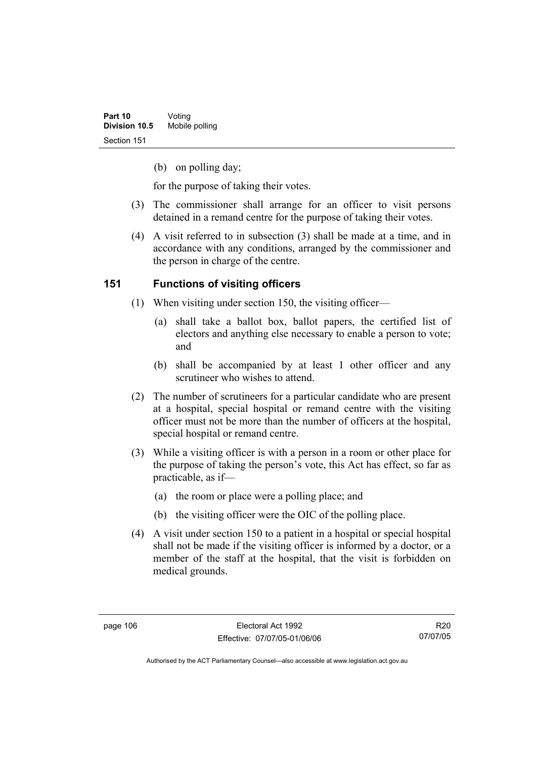(b) on polling day;

for the purpose of taking their votes.

- (3) The commissioner shall arrange for an officer to visit persons detained in a remand centre for the purpose of taking their votes.
- (4) A visit referred to in subsection (3) shall be made at a time, and in accordance with any conditions, arranged by the commissioner and the person in charge of the centre.

### **151 Functions of visiting officers**

- (1) When visiting under section 150, the visiting officer—
	- (a) shall take a ballot box, ballot papers, the certified list of electors and anything else necessary to enable a person to vote; and
	- (b) shall be accompanied by at least 1 other officer and any scrutineer who wishes to attend.
- (2) The number of scrutineers for a particular candidate who are present at a hospital, special hospital or remand centre with the visiting officer must not be more than the number of officers at the hospital, special hospital or remand centre.
- (3) While a visiting officer is with a person in a room or other place for the purpose of taking the person's vote, this Act has effect, so far as practicable, as if—
	- (a) the room or place were a polling place; and
	- (b) the visiting officer were the OIC of the polling place.
- (4) A visit under section 150 to a patient in a hospital or special hospital shall not be made if the visiting officer is informed by a doctor, or a member of the staff at the hospital, that the visit is forbidden on medical grounds.

Authorised by the ACT Parliamentary Counsel—also accessible at www.legislation.act.gov.au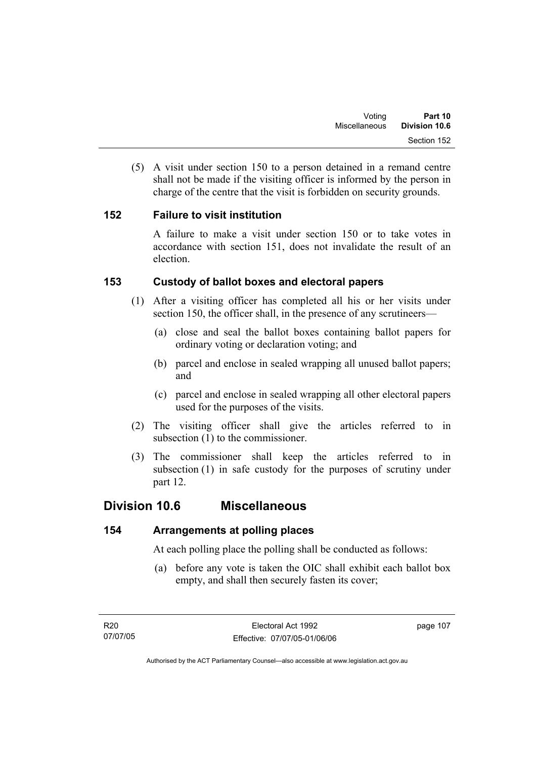(5) A visit under section 150 to a person detained in a remand centre shall not be made if the visiting officer is informed by the person in charge of the centre that the visit is forbidden on security grounds.

### **152 Failure to visit institution**

A failure to make a visit under section 150 or to take votes in accordance with section 151, does not invalidate the result of an election.

### **153 Custody of ballot boxes and electoral papers**

- (1) After a visiting officer has completed all his or her visits under section 150, the officer shall, in the presence of any scrutineers—
	- (a) close and seal the ballot boxes containing ballot papers for ordinary voting or declaration voting; and
	- (b) parcel and enclose in sealed wrapping all unused ballot papers; and
	- (c) parcel and enclose in sealed wrapping all other electoral papers used for the purposes of the visits.
- (2) The visiting officer shall give the articles referred to in subsection (1) to the commissioner.
- (3) The commissioner shall keep the articles referred to in subsection (1) in safe custody for the purposes of scrutiny under part 12.

## **Division 10.6 Miscellaneous**

#### **154 Arrangements at polling places**

At each polling place the polling shall be conducted as follows:

 (a) before any vote is taken the OIC shall exhibit each ballot box empty, and shall then securely fasten its cover;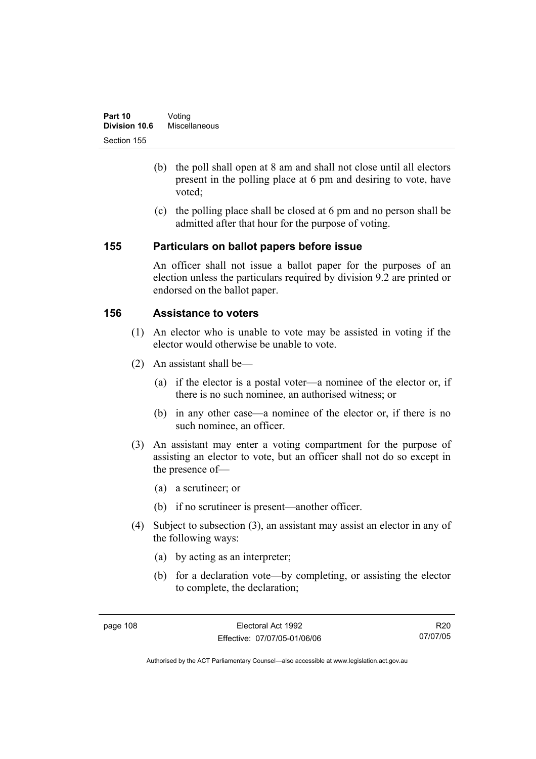- (b) the poll shall open at 8 am and shall not close until all electors present in the polling place at 6 pm and desiring to vote, have voted;
- (c) the polling place shall be closed at 6 pm and no person shall be admitted after that hour for the purpose of voting.

#### **155 Particulars on ballot papers before issue**

An officer shall not issue a ballot paper for the purposes of an election unless the particulars required by division 9.2 are printed or endorsed on the ballot paper.

#### **156 Assistance to voters**

- (1) An elector who is unable to vote may be assisted in voting if the elector would otherwise be unable to vote.
- (2) An assistant shall be—
	- (a) if the elector is a postal voter—a nominee of the elector or, if there is no such nominee, an authorised witness; or
	- (b) in any other case—a nominee of the elector or, if there is no such nominee, an officer.
- (3) An assistant may enter a voting compartment for the purpose of assisting an elector to vote, but an officer shall not do so except in the presence of—
	- (a) a scrutineer; or
	- (b) if no scrutineer is present—another officer.
- (4) Subject to subsection (3), an assistant may assist an elector in any of the following ways:
	- (a) by acting as an interpreter;
	- (b) for a declaration vote—by completing, or assisting the elector to complete, the declaration;

R20 07/07/05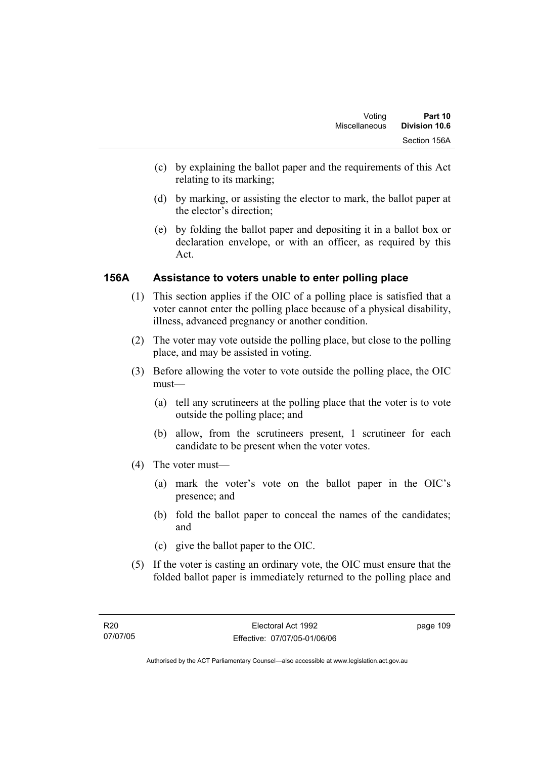- (c) by explaining the ballot paper and the requirements of this Act relating to its marking;
- (d) by marking, or assisting the elector to mark, the ballot paper at the elector's direction;
- (e) by folding the ballot paper and depositing it in a ballot box or declaration envelope, or with an officer, as required by this Act.

#### **156A Assistance to voters unable to enter polling place**

- (1) This section applies if the OIC of a polling place is satisfied that a voter cannot enter the polling place because of a physical disability, illness, advanced pregnancy or another condition.
- (2) The voter may vote outside the polling place, but close to the polling place, and may be assisted in voting.
- (3) Before allowing the voter to vote outside the polling place, the OIC must—
	- (a) tell any scrutineers at the polling place that the voter is to vote outside the polling place; and
	- (b) allow, from the scrutineers present, 1 scrutineer for each candidate to be present when the voter votes.
- (4) The voter must—
	- (a) mark the voter's vote on the ballot paper in the OIC's presence; and
	- (b) fold the ballot paper to conceal the names of the candidates; and
	- (c) give the ballot paper to the OIC.
- (5) If the voter is casting an ordinary vote, the OIC must ensure that the folded ballot paper is immediately returned to the polling place and

page 109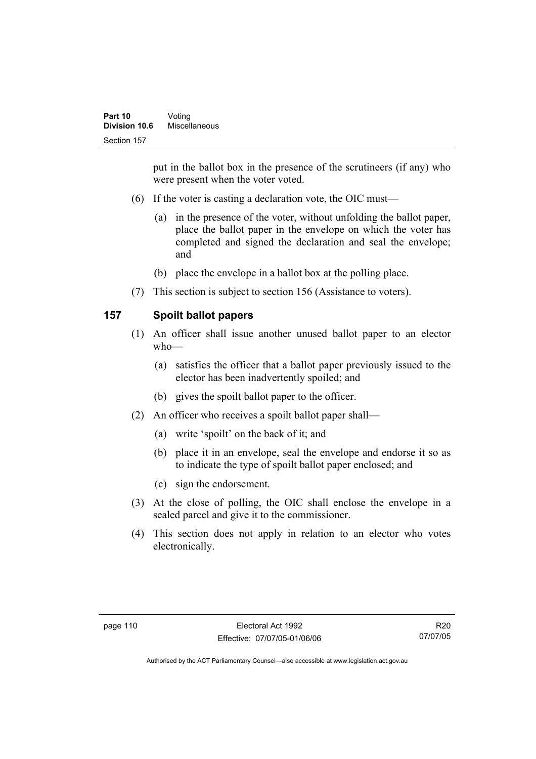put in the ballot box in the presence of the scrutineers (if any) who were present when the voter voted.

- (6) If the voter is casting a declaration vote, the OIC must—
	- (a) in the presence of the voter, without unfolding the ballot paper, place the ballot paper in the envelope on which the voter has completed and signed the declaration and seal the envelope; and
	- (b) place the envelope in a ballot box at the polling place.
- (7) This section is subject to section 156 (Assistance to voters).

### **157 Spoilt ballot papers**

- (1) An officer shall issue another unused ballot paper to an elector who—
	- (a) satisfies the officer that a ballot paper previously issued to the elector has been inadvertently spoiled; and
	- (b) gives the spoilt ballot paper to the officer.
- (2) An officer who receives a spoilt ballot paper shall—
	- (a) write 'spoilt' on the back of it; and
	- (b) place it in an envelope, seal the envelope and endorse it so as to indicate the type of spoilt ballot paper enclosed; and
	- (c) sign the endorsement.
- (3) At the close of polling, the OIC shall enclose the envelope in a sealed parcel and give it to the commissioner.
- (4) This section does not apply in relation to an elector who votes electronically.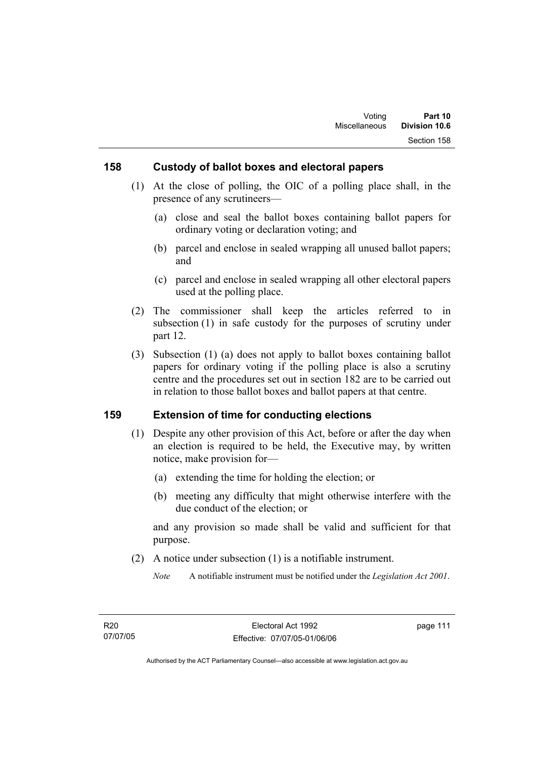#### **158 Custody of ballot boxes and electoral papers**

- (1) At the close of polling, the OIC of a polling place shall, in the presence of any scrutineers—
	- (a) close and seal the ballot boxes containing ballot papers for ordinary voting or declaration voting; and
	- (b) parcel and enclose in sealed wrapping all unused ballot papers; and
	- (c) parcel and enclose in sealed wrapping all other electoral papers used at the polling place.
- (2) The commissioner shall keep the articles referred to in subsection (1) in safe custody for the purposes of scrutiny under part 12.
- (3) Subsection (1) (a) does not apply to ballot boxes containing ballot papers for ordinary voting if the polling place is also a scrutiny centre and the procedures set out in section 182 are to be carried out in relation to those ballot boxes and ballot papers at that centre.

#### **159 Extension of time for conducting elections**

- (1) Despite any other provision of this Act, before or after the day when an election is required to be held, the Executive may, by written notice, make provision for—
	- (a) extending the time for holding the election; or
	- (b) meeting any difficulty that might otherwise interfere with the due conduct of the election; or

and any provision so made shall be valid and sufficient for that purpose.

(2) A notice under subsection (1) is a notifiable instrument.

*Note* A notifiable instrument must be notified under the *Legislation Act 2001*.

page 111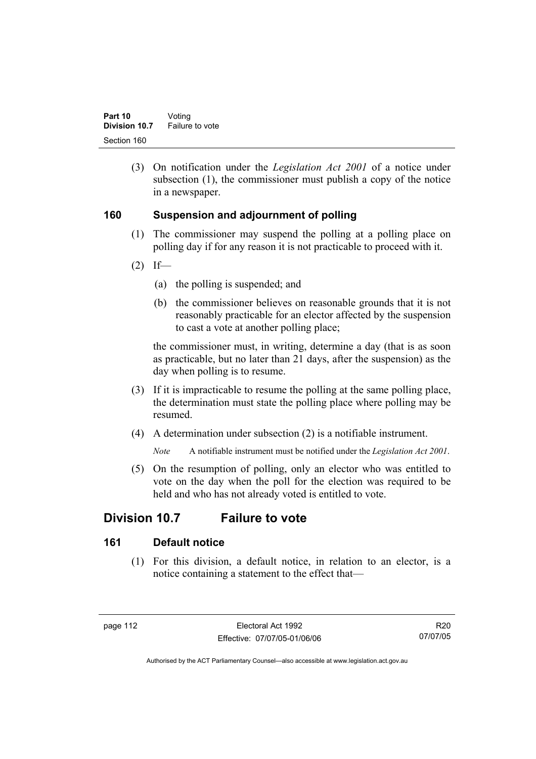(3) On notification under the *Legislation Act 2001* of a notice under subsection (1), the commissioner must publish a copy of the notice in a newspaper.

#### **160 Suspension and adjournment of polling**

- (1) The commissioner may suspend the polling at a polling place on polling day if for any reason it is not practicable to proceed with it.
- $(2)$  If—
	- (a) the polling is suspended; and
	- (b) the commissioner believes on reasonable grounds that it is not reasonably practicable for an elector affected by the suspension to cast a vote at another polling place;

the commissioner must, in writing, determine a day (that is as soon as practicable, but no later than 21 days, after the suspension) as the day when polling is to resume.

- (3) If it is impracticable to resume the polling at the same polling place, the determination must state the polling place where polling may be resumed.
- (4) A determination under subsection (2) is a notifiable instrument.

*Note* A notifiable instrument must be notified under the *Legislation Act 2001*.

 (5) On the resumption of polling, only an elector who was entitled to vote on the day when the poll for the election was required to be held and who has not already voted is entitled to vote.

# **Division 10.7 Failure to vote**

#### **161 Default notice**

 (1) For this division, a default notice, in relation to an elector, is a notice containing a statement to the effect that—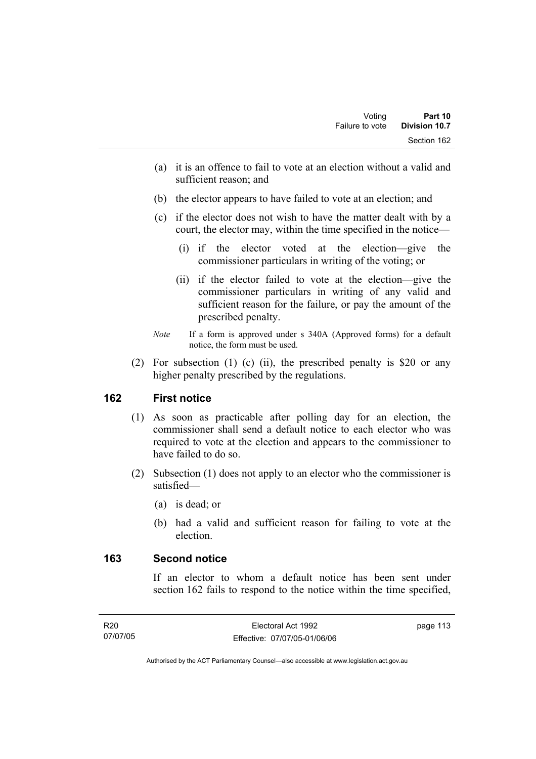- (a) it is an offence to fail to vote at an election without a valid and sufficient reason; and
- (b) the elector appears to have failed to vote at an election; and
- (c) if the elector does not wish to have the matter dealt with by a court, the elector may, within the time specified in the notice—
	- (i) if the elector voted at the election—give the commissioner particulars in writing of the voting; or
	- (ii) if the elector failed to vote at the election—give the commissioner particulars in writing of any valid and sufficient reason for the failure, or pay the amount of the prescribed penalty.
- *Note* If a form is approved under s 340A (Approved forms) for a default notice, the form must be used.
- (2) For subsection (1) (c) (ii), the prescribed penalty is \$20 or any higher penalty prescribed by the regulations.

#### **162 First notice**

- (1) As soon as practicable after polling day for an election, the commissioner shall send a default notice to each elector who was required to vote at the election and appears to the commissioner to have failed to do so.
- (2) Subsection (1) does not apply to an elector who the commissioner is satisfied—
	- (a) is dead; or
	- (b) had a valid and sufficient reason for failing to vote at the election.

#### **163 Second notice**

If an elector to whom a default notice has been sent under section 162 fails to respond to the notice within the time specified,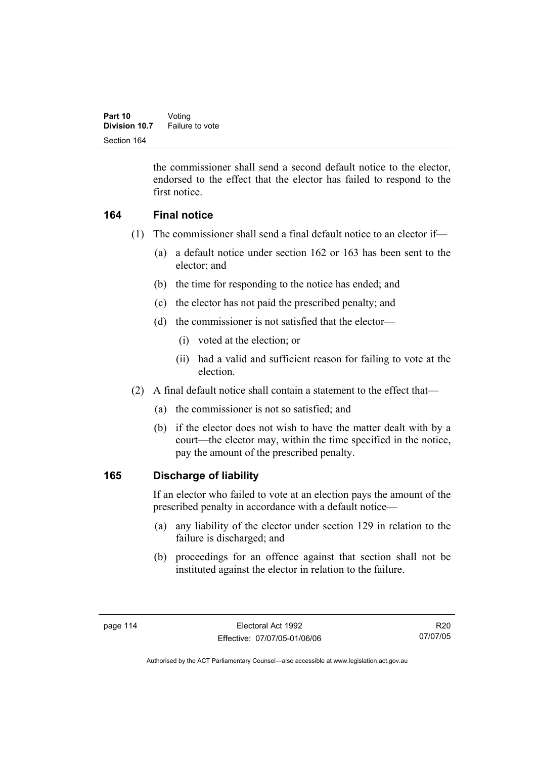the commissioner shall send a second default notice to the elector, endorsed to the effect that the elector has failed to respond to the first notice.

### **164 Final notice**

- (1) The commissioner shall send a final default notice to an elector if—
	- (a) a default notice under section 162 or 163 has been sent to the elector; and
	- (b) the time for responding to the notice has ended; and
	- (c) the elector has not paid the prescribed penalty; and
	- (d) the commissioner is not satisfied that the elector—
		- (i) voted at the election; or
		- (ii) had a valid and sufficient reason for failing to vote at the election.
- (2) A final default notice shall contain a statement to the effect that—
	- (a) the commissioner is not so satisfied; and
	- (b) if the elector does not wish to have the matter dealt with by a court—the elector may, within the time specified in the notice, pay the amount of the prescribed penalty.

#### **165 Discharge of liability**

If an elector who failed to vote at an election pays the amount of the prescribed penalty in accordance with a default notice—

- (a) any liability of the elector under section 129 in relation to the failure is discharged; and
- (b) proceedings for an offence against that section shall not be instituted against the elector in relation to the failure.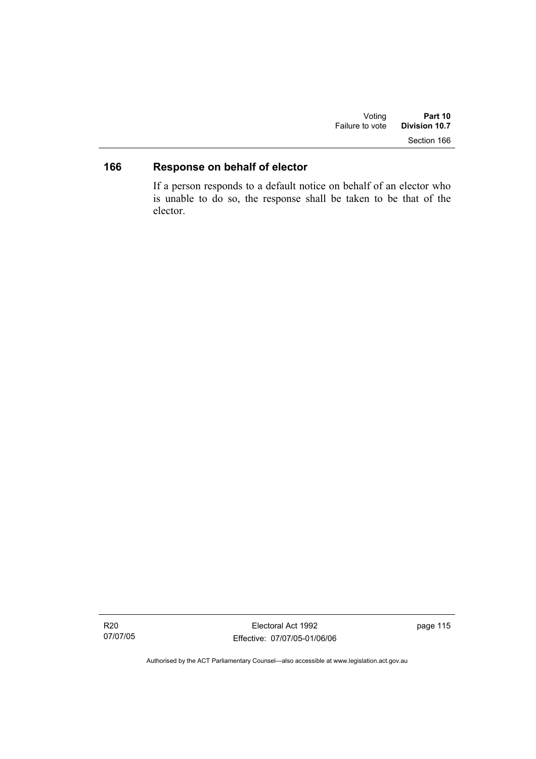| Voting          | Part 10       |
|-----------------|---------------|
| Failure to vote | Division 10.7 |
|                 | Section 166   |

# **166 Response on behalf of elector**

If a person responds to a default notice on behalf of an elector who is unable to do so, the response shall be taken to be that of the elector.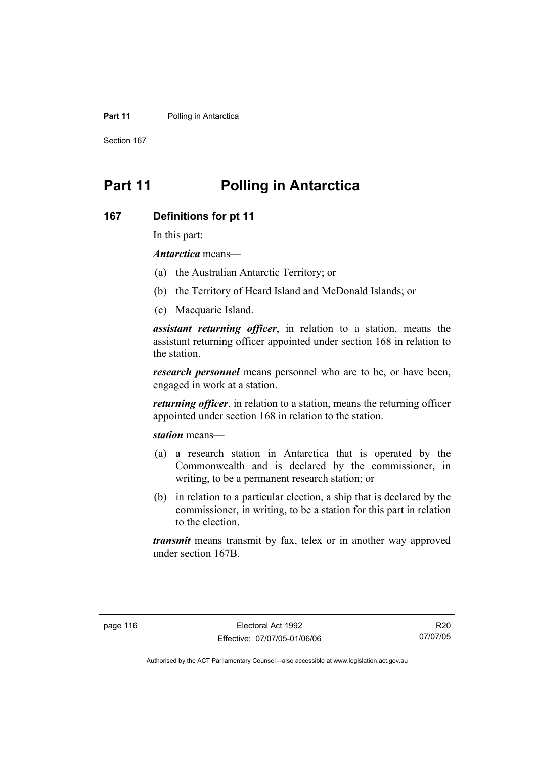#### **Part 11** Polling in Antarctica

Section 167

# **Part 11 Polling in Antarctica**

#### **167 Definitions for pt 11**

In this part:

*Antarctica* means—

- (a) the Australian Antarctic Territory; or
- (b) the Territory of Heard Island and McDonald Islands; or
- (c) Macquarie Island.

*assistant returning officer*, in relation to a station, means the assistant returning officer appointed under section 168 in relation to the station.

*research personnel* means personnel who are to be, or have been, engaged in work at a station.

*returning officer*, in relation to a station, means the returning officer appointed under section 168 in relation to the station.

*station* means—

- (a) a research station in Antarctica that is operated by the Commonwealth and is declared by the commissioner, in writing, to be a permanent research station; or
- (b) in relation to a particular election, a ship that is declared by the commissioner, in writing, to be a station for this part in relation to the election.

*transmit* means transmit by fax, telex or in another way approved under section 167B.

R20 07/07/05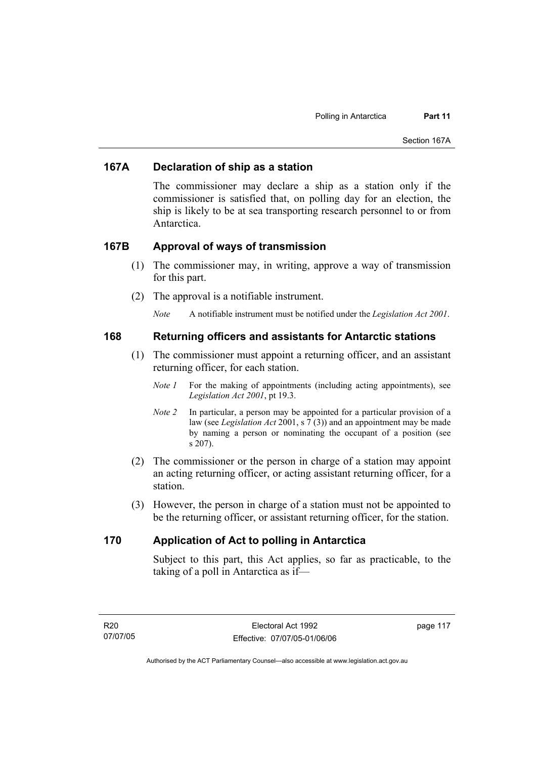#### **167A Declaration of ship as a station**

The commissioner may declare a ship as a station only if the commissioner is satisfied that, on polling day for an election, the ship is likely to be at sea transporting research personnel to or from Antarctica.

#### **167B Approval of ways of transmission**

- (1) The commissioner may, in writing, approve a way of transmission for this part.
- (2) The approval is a notifiable instrument.
	- *Note* A notifiable instrument must be notified under the *Legislation Act 2001*.

#### **168 Returning officers and assistants for Antarctic stations**

- (1) The commissioner must appoint a returning officer, and an assistant returning officer, for each station.
	- *Note 1* For the making of appointments (including acting appointments), see *Legislation Act 2001*, pt 19.3.
	- *Note 2* In particular, a person may be appointed for a particular provision of a law (see *Legislation Act* 2001, s 7 (3)) and an appointment may be made by naming a person or nominating the occupant of a position (see s 207).
- (2) The commissioner or the person in charge of a station may appoint an acting returning officer, or acting assistant returning officer, for a station.
- (3) However, the person in charge of a station must not be appointed to be the returning officer, or assistant returning officer, for the station.

#### **170 Application of Act to polling in Antarctica**

Subject to this part, this Act applies, so far as practicable, to the taking of a poll in Antarctica as if—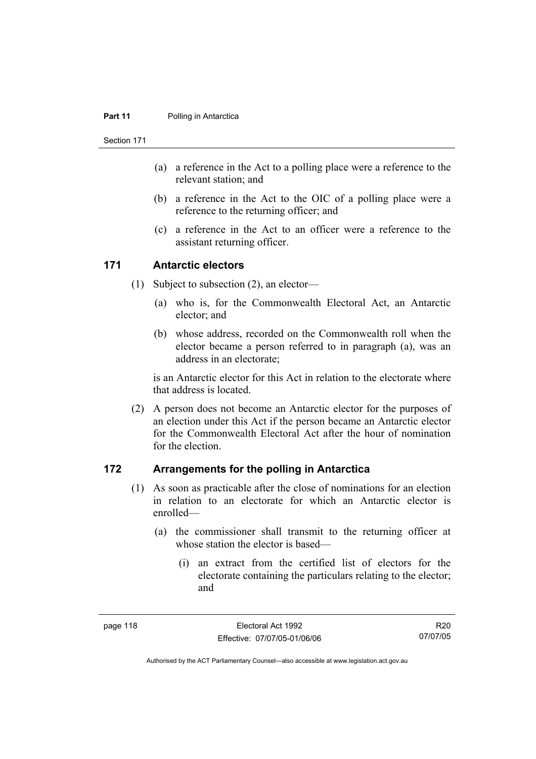#### **Part 11** Polling in Antarctica

Section 171

- (a) a reference in the Act to a polling place were a reference to the relevant station; and
- (b) a reference in the Act to the OIC of a polling place were a reference to the returning officer; and
- (c) a reference in the Act to an officer were a reference to the assistant returning officer.

#### **171 Antarctic electors**

- (1) Subject to subsection (2), an elector—
	- (a) who is, for the Commonwealth Electoral Act, an Antarctic elector; and
	- (b) whose address, recorded on the Commonwealth roll when the elector became a person referred to in paragraph (a), was an address in an electorate;

is an Antarctic elector for this Act in relation to the electorate where that address is located.

 (2) A person does not become an Antarctic elector for the purposes of an election under this Act if the person became an Antarctic elector for the Commonwealth Electoral Act after the hour of nomination for the election.

#### **172 Arrangements for the polling in Antarctica**

- (1) As soon as practicable after the close of nominations for an election in relation to an electorate for which an Antarctic elector is enrolled—
	- (a) the commissioner shall transmit to the returning officer at whose station the elector is based—
		- (i) an extract from the certified list of electors for the electorate containing the particulars relating to the elector; and

R20 07/07/05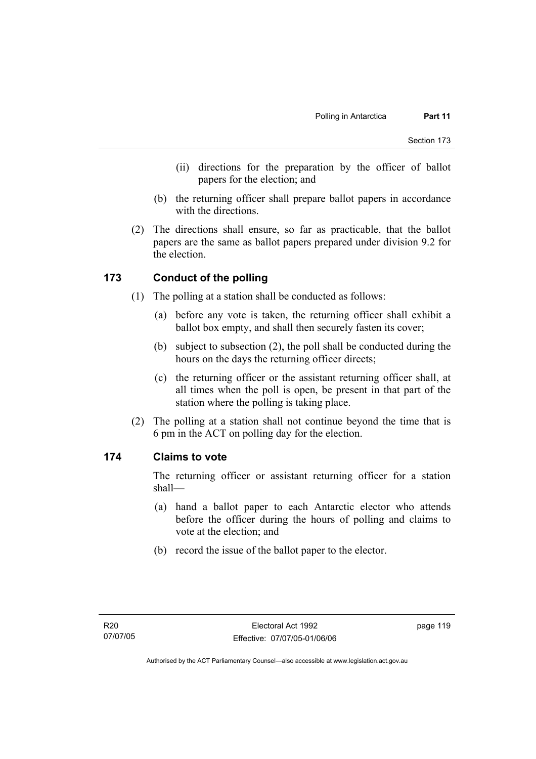- (ii) directions for the preparation by the officer of ballot papers for the election; and
- (b) the returning officer shall prepare ballot papers in accordance with the directions.
- (2) The directions shall ensure, so far as practicable, that the ballot papers are the same as ballot papers prepared under division 9.2 for the election.

#### **173 Conduct of the polling**

- (1) The polling at a station shall be conducted as follows:
	- (a) before any vote is taken, the returning officer shall exhibit a ballot box empty, and shall then securely fasten its cover;
	- (b) subject to subsection (2), the poll shall be conducted during the hours on the days the returning officer directs;
	- (c) the returning officer or the assistant returning officer shall, at all times when the poll is open, be present in that part of the station where the polling is taking place.
- (2) The polling at a station shall not continue beyond the time that is 6 pm in the ACT on polling day for the election.

#### **174 Claims to vote**

The returning officer or assistant returning officer for a station shall—

- (a) hand a ballot paper to each Antarctic elector who attends before the officer during the hours of polling and claims to vote at the election; and
- (b) record the issue of the ballot paper to the elector.

page 119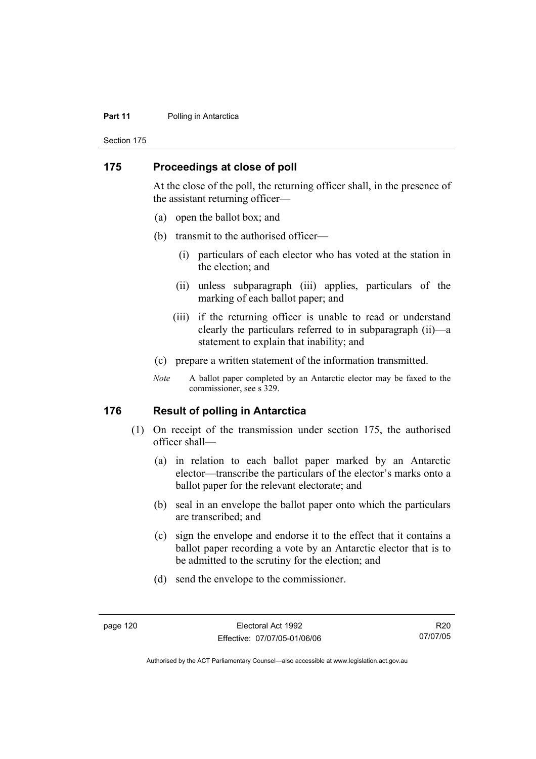#### **Part 11** Polling in Antarctica

Section 175

#### **175 Proceedings at close of poll**

At the close of the poll, the returning officer shall, in the presence of the assistant returning officer—

- (a) open the ballot box; and
- (b) transmit to the authorised officer—
	- (i) particulars of each elector who has voted at the station in the election; and
	- (ii) unless subparagraph (iii) applies, particulars of the marking of each ballot paper; and
	- (iii) if the returning officer is unable to read or understand clearly the particulars referred to in subparagraph (ii)—a statement to explain that inability; and
- (c) prepare a written statement of the information transmitted.
- *Note* A ballot paper completed by an Antarctic elector may be faxed to the commissioner, see s 329.

#### **176 Result of polling in Antarctica**

- (1) On receipt of the transmission under section 175, the authorised officer shall—
	- (a) in relation to each ballot paper marked by an Antarctic elector—transcribe the particulars of the elector's marks onto a ballot paper for the relevant electorate; and
	- (b) seal in an envelope the ballot paper onto which the particulars are transcribed; and
	- (c) sign the envelope and endorse it to the effect that it contains a ballot paper recording a vote by an Antarctic elector that is to be admitted to the scrutiny for the election; and
	- (d) send the envelope to the commissioner.

R20 07/07/05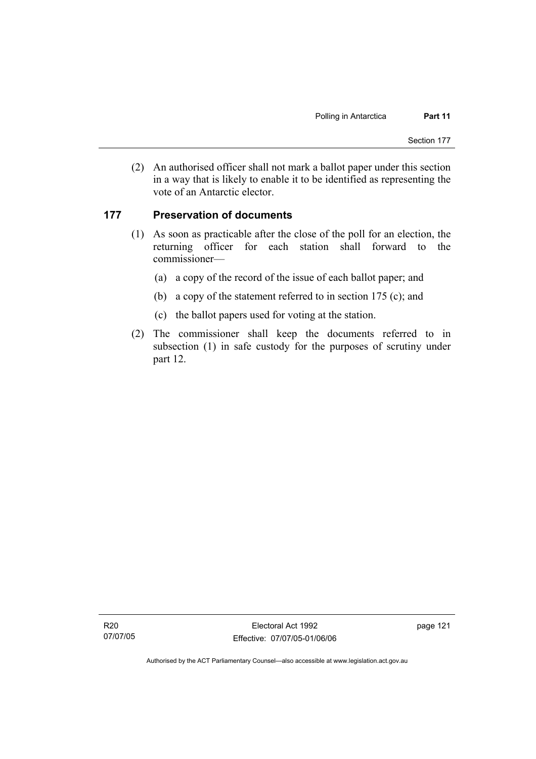(2) An authorised officer shall not mark a ballot paper under this section in a way that is likely to enable it to be identified as representing the vote of an Antarctic elector.

#### **177 Preservation of documents**

- (1) As soon as practicable after the close of the poll for an election, the returning officer for each station shall forward to the commissioner—
	- (a) a copy of the record of the issue of each ballot paper; and
	- (b) a copy of the statement referred to in section 175 (c); and
	- (c) the ballot papers used for voting at the station.
- (2) The commissioner shall keep the documents referred to in subsection (1) in safe custody for the purposes of scrutiny under part 12.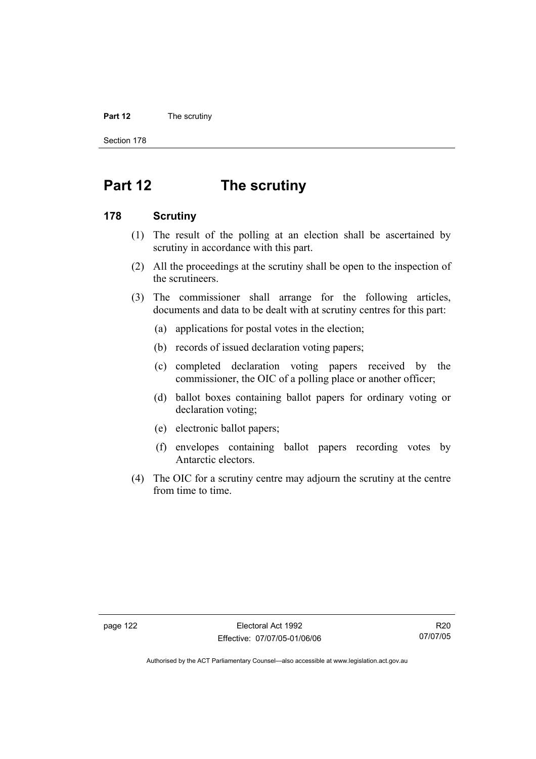#### **Part 12** The scrutiny

Section 178

# **Part 12 The scrutiny**

#### **178 Scrutiny**

- (1) The result of the polling at an election shall be ascertained by scrutiny in accordance with this part.
- (2) All the proceedings at the scrutiny shall be open to the inspection of the scrutineers.
- (3) The commissioner shall arrange for the following articles, documents and data to be dealt with at scrutiny centres for this part:
	- (a) applications for postal votes in the election;
	- (b) records of issued declaration voting papers;
	- (c) completed declaration voting papers received by the commissioner, the OIC of a polling place or another officer;
	- (d) ballot boxes containing ballot papers for ordinary voting or declaration voting;
	- (e) electronic ballot papers;
	- (f) envelopes containing ballot papers recording votes by Antarctic electors.
- (4) The OIC for a scrutiny centre may adjourn the scrutiny at the centre from time to time.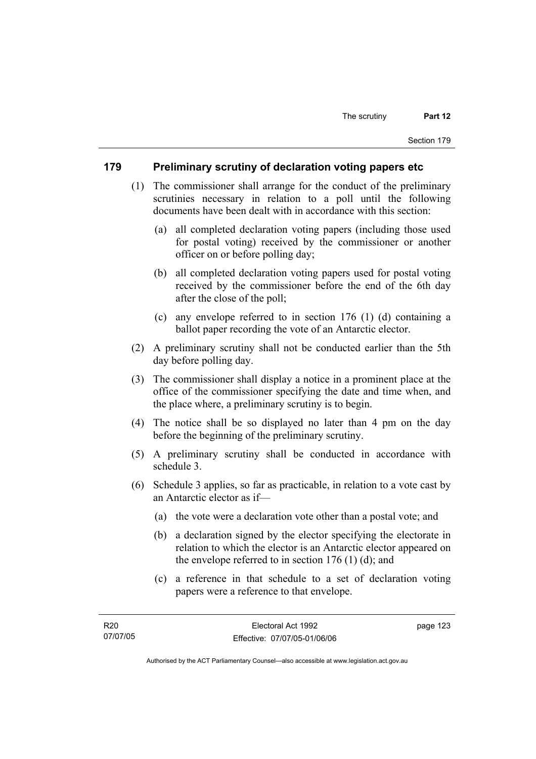#### **179 Preliminary scrutiny of declaration voting papers etc**

- (1) The commissioner shall arrange for the conduct of the preliminary scrutinies necessary in relation to a poll until the following documents have been dealt with in accordance with this section:
	- (a) all completed declaration voting papers (including those used for postal voting) received by the commissioner or another officer on or before polling day;
	- (b) all completed declaration voting papers used for postal voting received by the commissioner before the end of the 6th day after the close of the poll;
	- (c) any envelope referred to in section 176 (1) (d) containing a ballot paper recording the vote of an Antarctic elector.
- (2) A preliminary scrutiny shall not be conducted earlier than the 5th day before polling day.
- (3) The commissioner shall display a notice in a prominent place at the office of the commissioner specifying the date and time when, and the place where, a preliminary scrutiny is to begin.
- (4) The notice shall be so displayed no later than 4 pm on the day before the beginning of the preliminary scrutiny.
- (5) A preliminary scrutiny shall be conducted in accordance with schedule 3.
- (6) Schedule 3 applies, so far as practicable, in relation to a vote cast by an Antarctic elector as if—
	- (a) the vote were a declaration vote other than a postal vote; and
	- (b) a declaration signed by the elector specifying the electorate in relation to which the elector is an Antarctic elector appeared on the envelope referred to in section  $176$  (1) (d); and
	- (c) a reference in that schedule to a set of declaration voting papers were a reference to that envelope.

page 123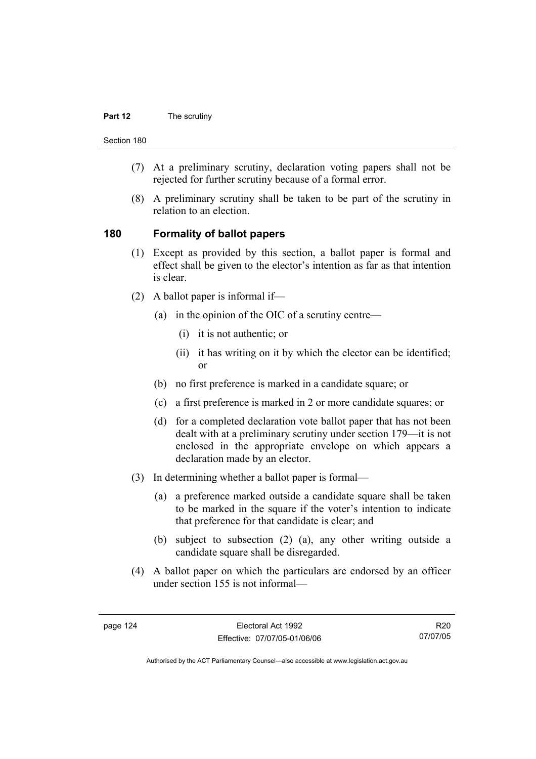#### **Part 12** The scrutiny

Section 180

- (7) At a preliminary scrutiny, declaration voting papers shall not be rejected for further scrutiny because of a formal error.
- (8) A preliminary scrutiny shall be taken to be part of the scrutiny in relation to an election.

#### **180 Formality of ballot papers**

- (1) Except as provided by this section, a ballot paper is formal and effect shall be given to the elector's intention as far as that intention is clear.
- (2) A ballot paper is informal if—
	- (a) in the opinion of the OIC of a scrutiny centre—
		- (i) it is not authentic; or
		- (ii) it has writing on it by which the elector can be identified; or
	- (b) no first preference is marked in a candidate square; or
	- (c) a first preference is marked in 2 or more candidate squares; or
	- (d) for a completed declaration vote ballot paper that has not been dealt with at a preliminary scrutiny under section 179—it is not enclosed in the appropriate envelope on which appears a declaration made by an elector.
- (3) In determining whether a ballot paper is formal—
	- (a) a preference marked outside a candidate square shall be taken to be marked in the square if the voter's intention to indicate that preference for that candidate is clear; and
	- (b) subject to subsection (2) (a), any other writing outside a candidate square shall be disregarded.
- (4) A ballot paper on which the particulars are endorsed by an officer under section 155 is not informal—

R20 07/07/05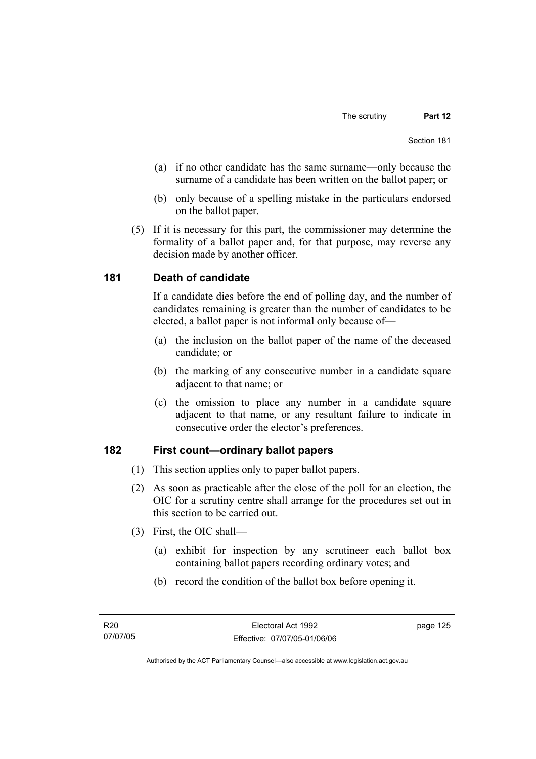- (a) if no other candidate has the same surname—only because the surname of a candidate has been written on the ballot paper; or
- (b) only because of a spelling mistake in the particulars endorsed on the ballot paper.
- (5) If it is necessary for this part, the commissioner may determine the formality of a ballot paper and, for that purpose, may reverse any decision made by another officer.

### **181 Death of candidate**

If a candidate dies before the end of polling day, and the number of candidates remaining is greater than the number of candidates to be elected, a ballot paper is not informal only because of—

- (a) the inclusion on the ballot paper of the name of the deceased candidate; or
- (b) the marking of any consecutive number in a candidate square adjacent to that name; or
- (c) the omission to place any number in a candidate square adjacent to that name, or any resultant failure to indicate in consecutive order the elector's preferences.

#### **182 First count—ordinary ballot papers**

- (1) This section applies only to paper ballot papers.
- (2) As soon as practicable after the close of the poll for an election, the OIC for a scrutiny centre shall arrange for the procedures set out in this section to be carried out.
- (3) First, the OIC shall—
	- (a) exhibit for inspection by any scrutineer each ballot box containing ballot papers recording ordinary votes; and
	- (b) record the condition of the ballot box before opening it.

page 125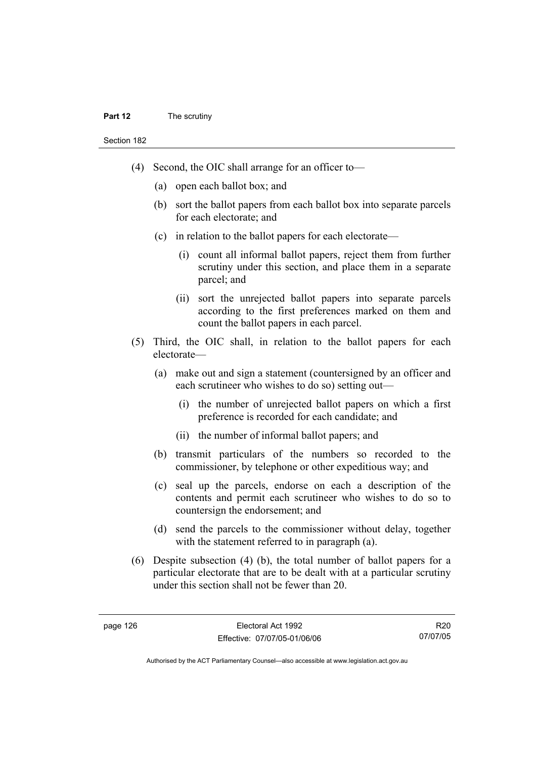#### **Part 12** The scrutiny

Section 182

- (4) Second, the OIC shall arrange for an officer to—
	- (a) open each ballot box; and
	- (b) sort the ballot papers from each ballot box into separate parcels for each electorate; and
	- (c) in relation to the ballot papers for each electorate—
		- (i) count all informal ballot papers, reject them from further scrutiny under this section, and place them in a separate parcel; and
		- (ii) sort the unrejected ballot papers into separate parcels according to the first preferences marked on them and count the ballot papers in each parcel.
- (5) Third, the OIC shall, in relation to the ballot papers for each electorate—
	- (a) make out and sign a statement (countersigned by an officer and each scrutineer who wishes to do so) setting out—
		- (i) the number of unrejected ballot papers on which a first preference is recorded for each candidate; and
		- (ii) the number of informal ballot papers; and
	- (b) transmit particulars of the numbers so recorded to the commissioner, by telephone or other expeditious way; and
	- (c) seal up the parcels, endorse on each a description of the contents and permit each scrutineer who wishes to do so to countersign the endorsement; and
	- (d) send the parcels to the commissioner without delay, together with the statement referred to in paragraph (a).
- (6) Despite subsection (4) (b), the total number of ballot papers for a particular electorate that are to be dealt with at a particular scrutiny under this section shall not be fewer than 20.

R20 07/07/05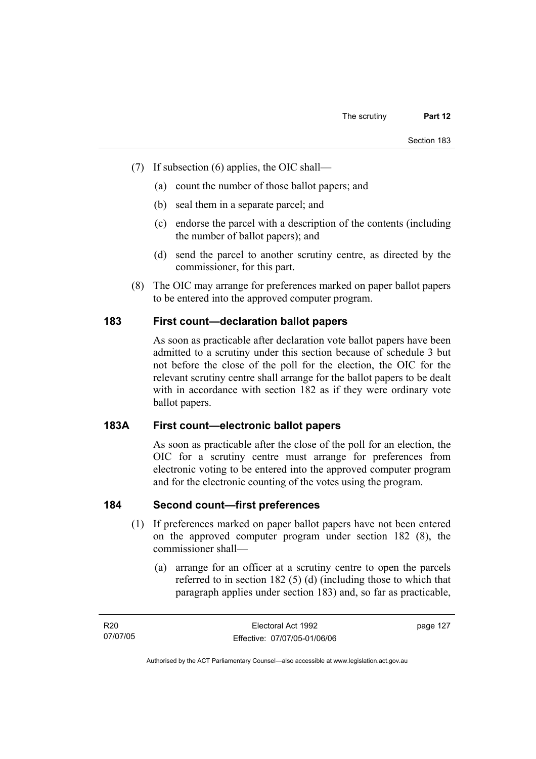- (7) If subsection (6) applies, the OIC shall—
	- (a) count the number of those ballot papers; and
	- (b) seal them in a separate parcel; and
	- (c) endorse the parcel with a description of the contents (including the number of ballot papers); and
	- (d) send the parcel to another scrutiny centre, as directed by the commissioner, for this part.
- (8) The OIC may arrange for preferences marked on paper ballot papers to be entered into the approved computer program.

# **183 First count—declaration ballot papers**

As soon as practicable after declaration vote ballot papers have been admitted to a scrutiny under this section because of schedule 3 but not before the close of the poll for the election, the OIC for the relevant scrutiny centre shall arrange for the ballot papers to be dealt with in accordance with section 182 as if they were ordinary vote ballot papers.

#### **183A First count—electronic ballot papers**

As soon as practicable after the close of the poll for an election, the OIC for a scrutiny centre must arrange for preferences from electronic voting to be entered into the approved computer program and for the electronic counting of the votes using the program.

# **184 Second count—first preferences**

- (1) If preferences marked on paper ballot papers have not been entered on the approved computer program under section 182 (8), the commissioner shall—
	- (a) arrange for an officer at a scrutiny centre to open the parcels referred to in section 182 (5) (d) (including those to which that paragraph applies under section 183) and, so far as practicable,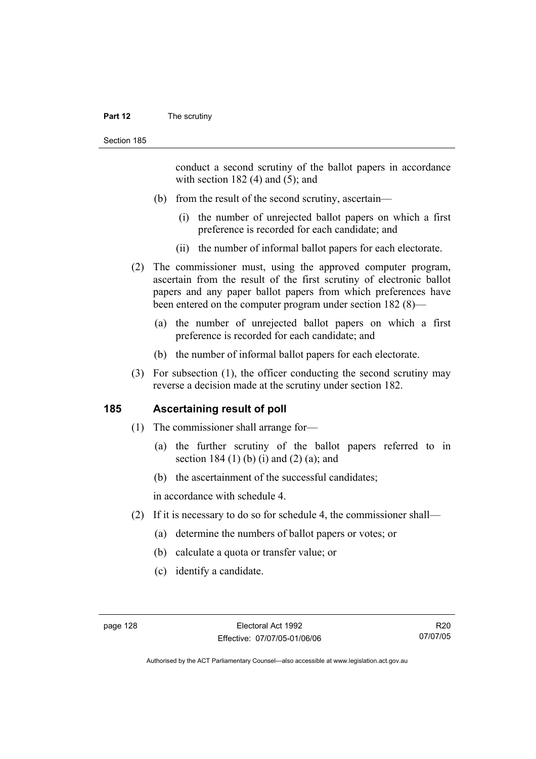#### **Part 12** The scrutiny

conduct a second scrutiny of the ballot papers in accordance with section  $182$  (4) and (5); and

- (b) from the result of the second scrutiny, ascertain—
	- (i) the number of unrejected ballot papers on which a first preference is recorded for each candidate; and
	- (ii) the number of informal ballot papers for each electorate.
- (2) The commissioner must, using the approved computer program, ascertain from the result of the first scrutiny of electronic ballot papers and any paper ballot papers from which preferences have been entered on the computer program under section 182 (8)—
	- (a) the number of unrejected ballot papers on which a first preference is recorded for each candidate; and
	- (b) the number of informal ballot papers for each electorate.
- (3) For subsection (1), the officer conducting the second scrutiny may reverse a decision made at the scrutiny under section 182.

#### **185 Ascertaining result of poll**

- (1) The commissioner shall arrange for—
	- (a) the further scrutiny of the ballot papers referred to in section 184 $(1)$  (b) (i) and  $(2)$  (a); and
	- (b) the ascertainment of the successful candidates;

in accordance with schedule 4.

- (2) If it is necessary to do so for schedule 4, the commissioner shall—
	- (a) determine the numbers of ballot papers or votes; or
	- (b) calculate a quota or transfer value; or
	- (c) identify a candidate.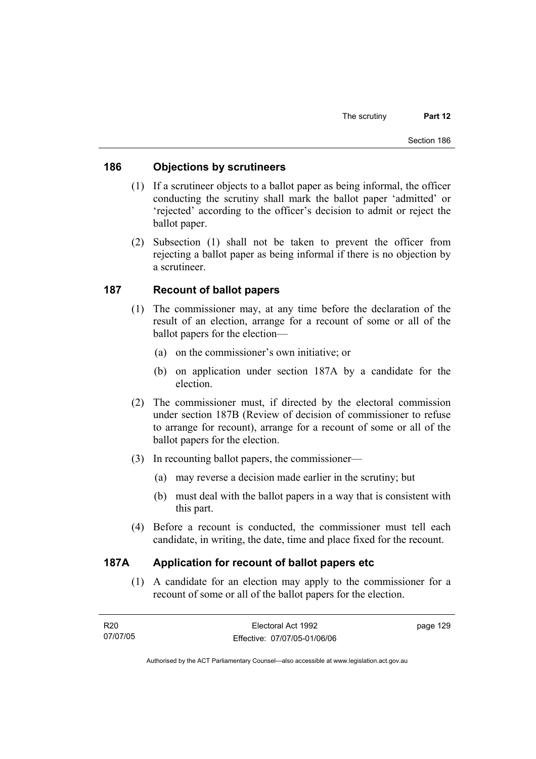#### **186 Objections by scrutineers**

- (1) If a scrutineer objects to a ballot paper as being informal, the officer conducting the scrutiny shall mark the ballot paper 'admitted' or 'rejected' according to the officer's decision to admit or reject the ballot paper.
- (2) Subsection (1) shall not be taken to prevent the officer from rejecting a ballot paper as being informal if there is no objection by a scrutineer.

## **187 Recount of ballot papers**

- (1) The commissioner may, at any time before the declaration of the result of an election, arrange for a recount of some or all of the ballot papers for the election—
	- (a) on the commissioner's own initiative; or
	- (b) on application under section 187A by a candidate for the election.
- (2) The commissioner must, if directed by the electoral commission under section 187B (Review of decision of commissioner to refuse to arrange for recount), arrange for a recount of some or all of the ballot papers for the election.
- (3) In recounting ballot papers, the commissioner—
	- (a) may reverse a decision made earlier in the scrutiny; but
	- (b) must deal with the ballot papers in a way that is consistent with this part.
- (4) Before a recount is conducted, the commissioner must tell each candidate, in writing, the date, time and place fixed for the recount.

#### **187A Application for recount of ballot papers etc**

 (1) A candidate for an election may apply to the commissioner for a recount of some or all of the ballot papers for the election.

| R20      | Electoral Act 1992           | page 129 |
|----------|------------------------------|----------|
| 07/07/05 | Effective: 07/07/05-01/06/06 |          |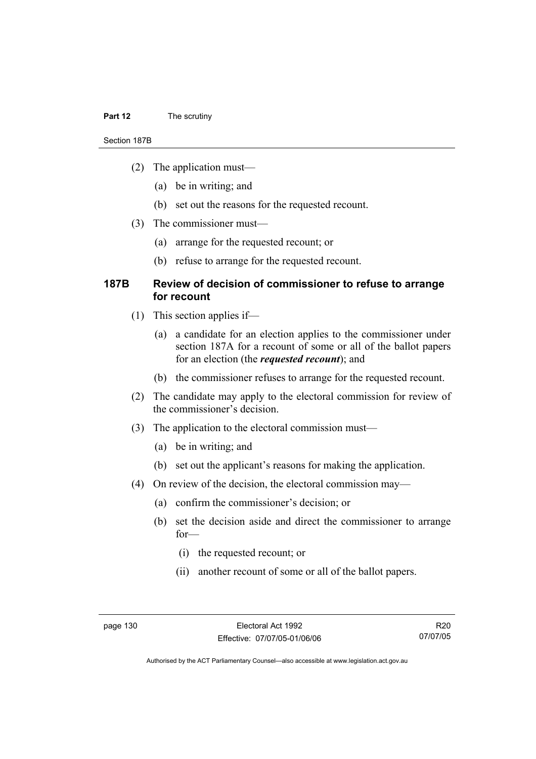#### **Part 12** The scrutiny

#### Section 187B

- (2) The application must—
	- (a) be in writing; and
	- (b) set out the reasons for the requested recount.
- (3) The commissioner must—
	- (a) arrange for the requested recount; or
	- (b) refuse to arrange for the requested recount.

#### **187B Review of decision of commissioner to refuse to arrange for recount**

- (1) This section applies if—
	- (a) a candidate for an election applies to the commissioner under section 187A for a recount of some or all of the ballot papers for an election (the *requested recount*); and
	- (b) the commissioner refuses to arrange for the requested recount.
- (2) The candidate may apply to the electoral commission for review of the commissioner's decision.
- (3) The application to the electoral commission must—
	- (a) be in writing; and
	- (b) set out the applicant's reasons for making the application.
- (4) On review of the decision, the electoral commission may—
	- (a) confirm the commissioner's decision; or
	- (b) set the decision aside and direct the commissioner to arrange for—
		- (i) the requested recount; or
		- (ii) another recount of some or all of the ballot papers.

R20 07/07/05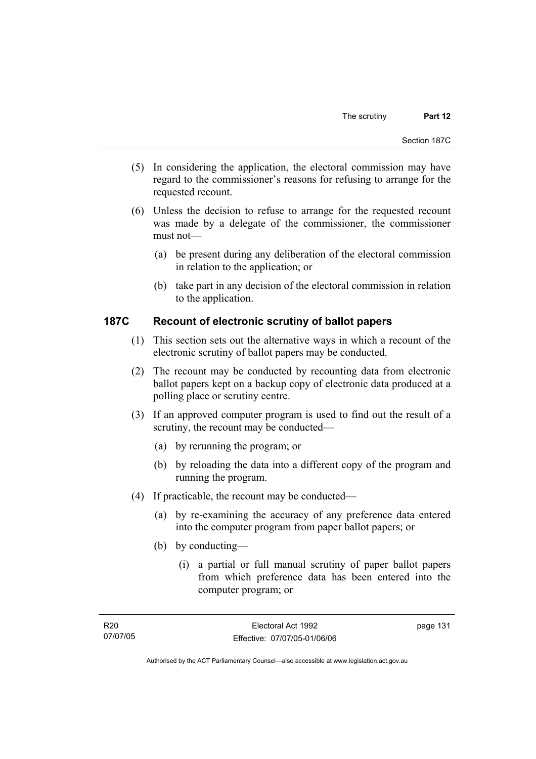- (5) In considering the application, the electoral commission may have regard to the commissioner's reasons for refusing to arrange for the requested recount.
- (6) Unless the decision to refuse to arrange for the requested recount was made by a delegate of the commissioner, the commissioner must not—
	- (a) be present during any deliberation of the electoral commission in relation to the application; or
	- (b) take part in any decision of the electoral commission in relation to the application.

# **187C Recount of electronic scrutiny of ballot papers**

- (1) This section sets out the alternative ways in which a recount of the electronic scrutiny of ballot papers may be conducted.
- (2) The recount may be conducted by recounting data from electronic ballot papers kept on a backup copy of electronic data produced at a polling place or scrutiny centre.
- (3) If an approved computer program is used to find out the result of a scrutiny, the recount may be conducted—
	- (a) by rerunning the program; or
	- (b) by reloading the data into a different copy of the program and running the program.
- (4) If practicable, the recount may be conducted—
	- (a) by re-examining the accuracy of any preference data entered into the computer program from paper ballot papers; or
	- (b) by conducting—
		- (i) a partial or full manual scrutiny of paper ballot papers from which preference data has been entered into the computer program; or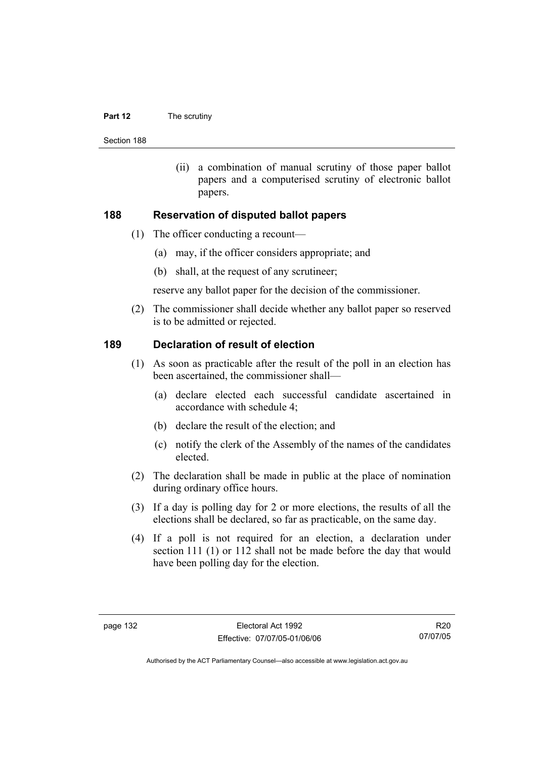#### **Part 12** The scrutiny

Section 188

 (ii) a combination of manual scrutiny of those paper ballot papers and a computerised scrutiny of electronic ballot papers.

#### **188 Reservation of disputed ballot papers**

- (1) The officer conducting a recount—
	- (a) may, if the officer considers appropriate; and
	- (b) shall, at the request of any scrutineer;

reserve any ballot paper for the decision of the commissioner.

 (2) The commissioner shall decide whether any ballot paper so reserved is to be admitted or rejected.

#### **189 Declaration of result of election**

- (1) As soon as practicable after the result of the poll in an election has been ascertained, the commissioner shall—
	- (a) declare elected each successful candidate ascertained in accordance with schedule 4;
	- (b) declare the result of the election; and
	- (c) notify the clerk of the Assembly of the names of the candidates elected.
- (2) The declaration shall be made in public at the place of nomination during ordinary office hours.
- (3) If a day is polling day for 2 or more elections, the results of all the elections shall be declared, so far as practicable, on the same day.
- (4) If a poll is not required for an election, a declaration under section 111 (1) or 112 shall not be made before the day that would have been polling day for the election.

R20 07/07/05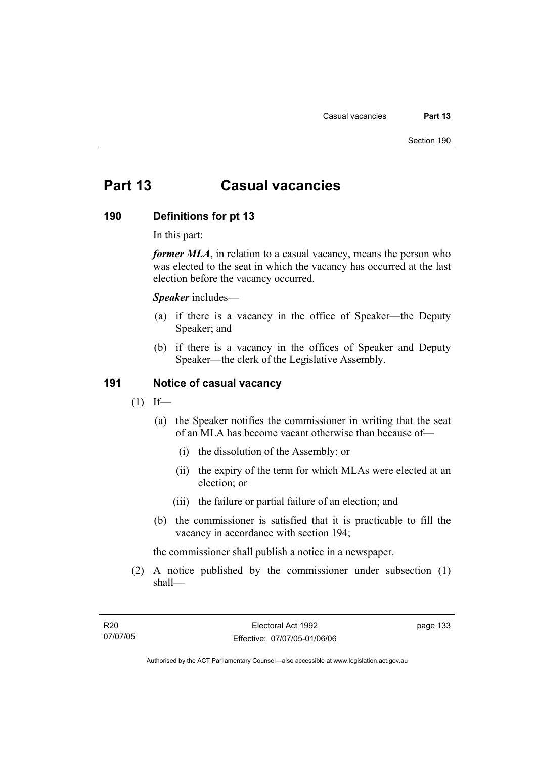# **Part 13 Casual vacancies**

#### **190 Definitions for pt 13**

In this part:

*former MLA*, in relation to a casual vacancy, means the person who was elected to the seat in which the vacancy has occurred at the last election before the vacancy occurred.

*Speaker* includes—

- (a) if there is a vacancy in the office of Speaker—the Deputy Speaker; and
- (b) if there is a vacancy in the offices of Speaker and Deputy Speaker—the clerk of the Legislative Assembly.

#### **191 Notice of casual vacancy**

- $(1)$  If—
	- (a) the Speaker notifies the commissioner in writing that the seat of an MLA has become vacant otherwise than because of—
		- (i) the dissolution of the Assembly; or
		- (ii) the expiry of the term for which MLAs were elected at an election; or
		- (iii) the failure or partial failure of an election; and
	- (b) the commissioner is satisfied that it is practicable to fill the vacancy in accordance with section 194;

the commissioner shall publish a notice in a newspaper.

 (2) A notice published by the commissioner under subsection (1) shall—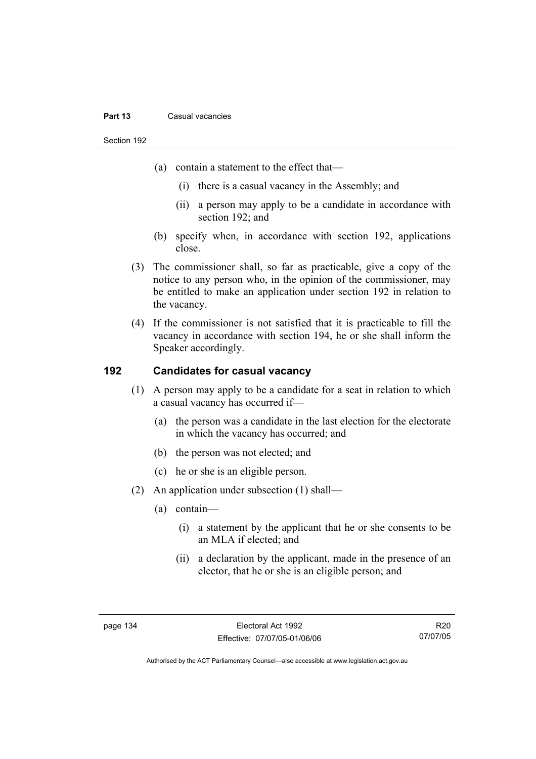#### **Part 13** Casual vacancies

Section 192

- (a) contain a statement to the effect that—
	- (i) there is a casual vacancy in the Assembly; and
	- (ii) a person may apply to be a candidate in accordance with section 192; and
- (b) specify when, in accordance with section 192, applications close.
- (3) The commissioner shall, so far as practicable, give a copy of the notice to any person who, in the opinion of the commissioner, may be entitled to make an application under section 192 in relation to the vacancy.
- (4) If the commissioner is not satisfied that it is practicable to fill the vacancy in accordance with section 194, he or she shall inform the Speaker accordingly.

# **192 Candidates for casual vacancy**

- (1) A person may apply to be a candidate for a seat in relation to which a casual vacancy has occurred if—
	- (a) the person was a candidate in the last election for the electorate in which the vacancy has occurred; and
	- (b) the person was not elected; and
	- (c) he or she is an eligible person.
- (2) An application under subsection (1) shall—
	- (a) contain—
		- (i) a statement by the applicant that he or she consents to be an MLA if elected; and
		- (ii) a declaration by the applicant, made in the presence of an elector, that he or she is an eligible person; and

R20 07/07/05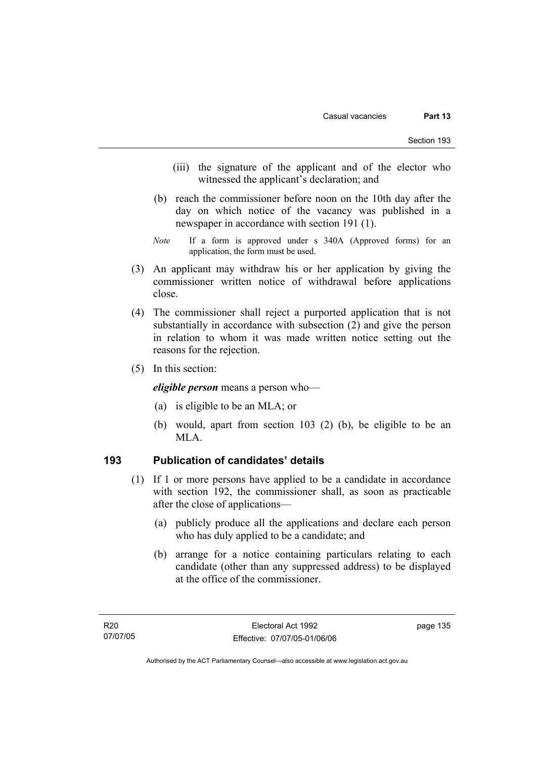- (iii) the signature of the applicant and of the elector who witnessed the applicant's declaration; and
- (b) reach the commissioner before noon on the 10th day after the day on which notice of the vacancy was published in a newspaper in accordance with section 191 (1).
- *Note* If a form is approved under s 340A (Approved forms) for an application, the form must be used.
- (3) An applicant may withdraw his or her application by giving the commissioner written notice of withdrawal before applications close.
- (4) The commissioner shall reject a purported application that is not substantially in accordance with subsection (2) and give the person in relation to whom it was made written notice setting out the reasons for the rejection.
- (5) In this section:

*eligible person* means a person who—

- (a) is eligible to be an MLA; or
- (b) would, apart from section 103 (2) (b), be eligible to be an MLA.

## **193 Publication of candidates' details**

- (1) If 1 or more persons have applied to be a candidate in accordance with section 192, the commissioner shall, as soon as practicable after the close of applications—
	- (a) publicly produce all the applications and declare each person who has duly applied to be a candidate; and
	- (b) arrange for a notice containing particulars relating to each candidate (other than any suppressed address) to be displayed at the office of the commissioner.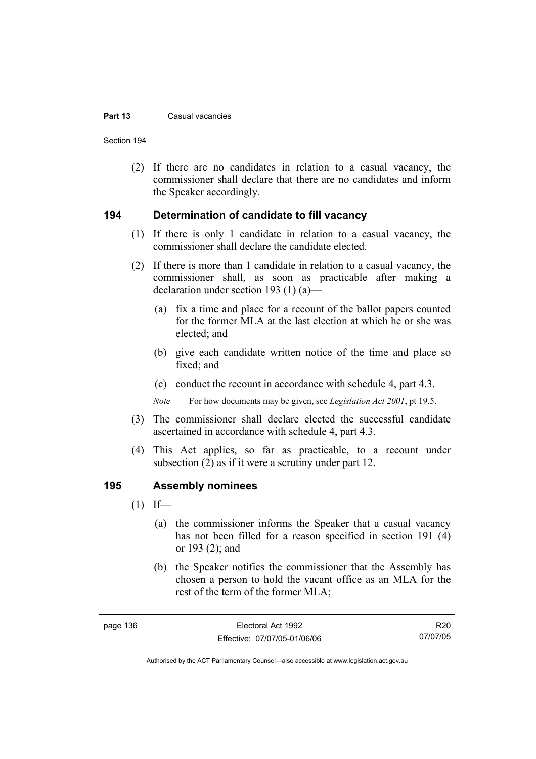#### **Part 13** Casual vacancies

Section 194

 (2) If there are no candidates in relation to a casual vacancy, the commissioner shall declare that there are no candidates and inform the Speaker accordingly.

#### **194 Determination of candidate to fill vacancy**

- (1) If there is only 1 candidate in relation to a casual vacancy, the commissioner shall declare the candidate elected.
- (2) If there is more than 1 candidate in relation to a casual vacancy, the commissioner shall, as soon as practicable after making a declaration under section 193 (1) (a)—
	- (a) fix a time and place for a recount of the ballot papers counted for the former MLA at the last election at which he or she was elected; and
	- (b) give each candidate written notice of the time and place so fixed; and
	- (c) conduct the recount in accordance with schedule 4, part 4.3.

*Note* For how documents may be given, see *Legislation Act 2001*, pt 19.5.

- (3) The commissioner shall declare elected the successful candidate ascertained in accordance with schedule 4, part 4.3.
- (4) This Act applies, so far as practicable, to a recount under subsection (2) as if it were a scrutiny under part 12.

#### **195 Assembly nominees**

- $(1)$  If—
	- (a) the commissioner informs the Speaker that a casual vacancy has not been filled for a reason specified in section 191 (4) or 193 (2); and
	- (b) the Speaker notifies the commissioner that the Assembly has chosen a person to hold the vacant office as an MLA for the rest of the term of the former MLA;

R20 07/07/05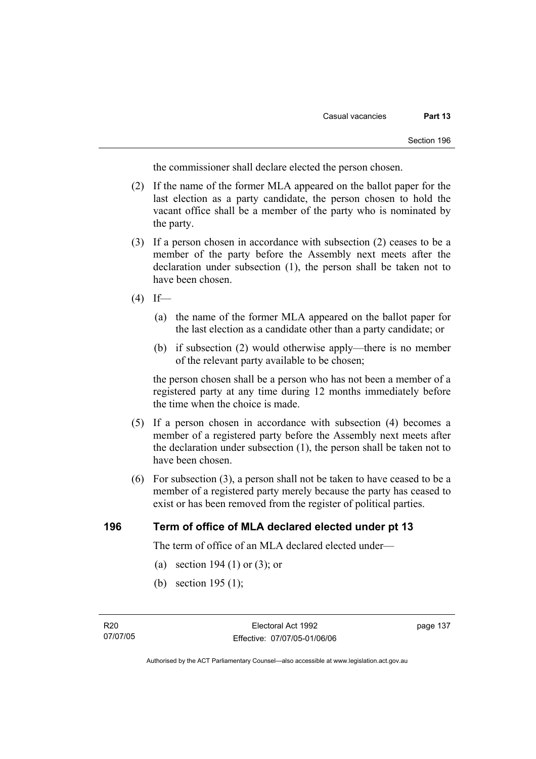the commissioner shall declare elected the person chosen.

- (2) If the name of the former MLA appeared on the ballot paper for the last election as a party candidate, the person chosen to hold the vacant office shall be a member of the party who is nominated by the party.
- (3) If a person chosen in accordance with subsection (2) ceases to be a member of the party before the Assembly next meets after the declaration under subsection (1), the person shall be taken not to have been chosen.
- $(4)$  If—
	- (a) the name of the former MLA appeared on the ballot paper for the last election as a candidate other than a party candidate; or
	- (b) if subsection (2) would otherwise apply—there is no member of the relevant party available to be chosen;

the person chosen shall be a person who has not been a member of a registered party at any time during 12 months immediately before the time when the choice is made.

- (5) If a person chosen in accordance with subsection (4) becomes a member of a registered party before the Assembly next meets after the declaration under subsection (1), the person shall be taken not to have been chosen.
- (6) For subsection (3), a person shall not be taken to have ceased to be a member of a registered party merely because the party has ceased to exist or has been removed from the register of political parties.

#### **196 Term of office of MLA declared elected under pt 13**

The term of office of an MLA declared elected under—

- (a) section 194 (1) or (3); or
- (b) section 195 (1);

Authorised by the ACT Parliamentary Counsel—also accessible at www.legislation.act.gov.au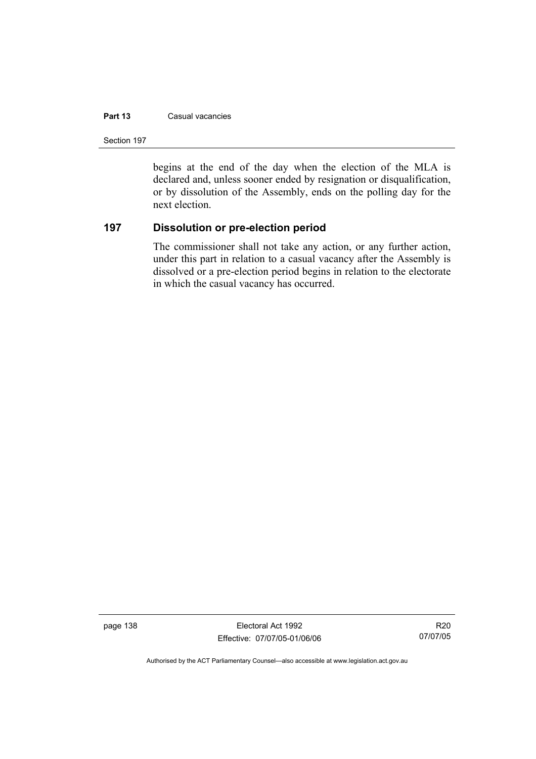#### **Part 13** Casual vacancies

Section 197

begins at the end of the day when the election of the MLA is declared and, unless sooner ended by resignation or disqualification, or by dissolution of the Assembly, ends on the polling day for the next election.

## **197 Dissolution or pre-election period**

The commissioner shall not take any action, or any further action, under this part in relation to a casual vacancy after the Assembly is dissolved or a pre-election period begins in relation to the electorate in which the casual vacancy has occurred.

page 138 Electoral Act 1992 Effective: 07/07/05-01/06/06

R20 07/07/05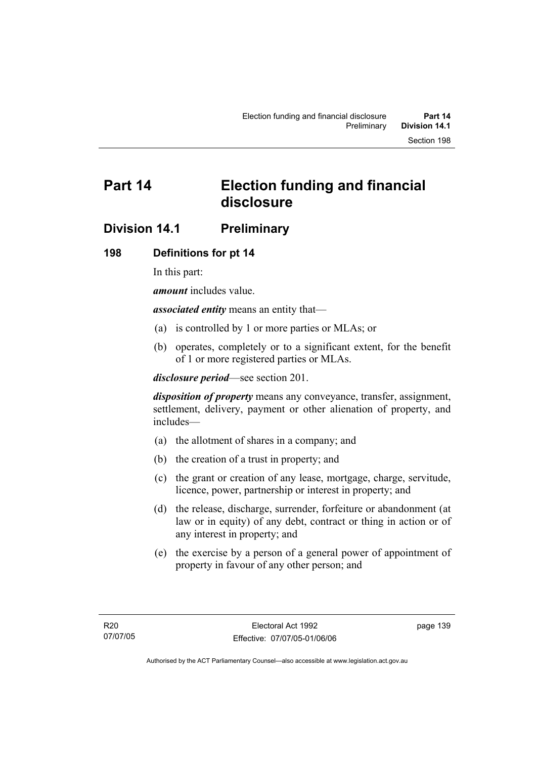# **Part 14 Election funding and financial disclosure**

# **Division 14.1 Preliminary**

# **198 Definitions for pt 14**

In this part:

*amount* includes value.

*associated entity* means an entity that—

- (a) is controlled by 1 or more parties or MLAs; or
- (b) operates, completely or to a significant extent, for the benefit of 1 or more registered parties or MLAs.

*disclosure period*—see section 201.

*disposition of property* means any conveyance, transfer, assignment, settlement, delivery, payment or other alienation of property, and includes—

- (a) the allotment of shares in a company; and
- (b) the creation of a trust in property; and
- (c) the grant or creation of any lease, mortgage, charge, servitude, licence, power, partnership or interest in property; and
- (d) the release, discharge, surrender, forfeiture or abandonment (at law or in equity) of any debt, contract or thing in action or of any interest in property; and
- (e) the exercise by a person of a general power of appointment of property in favour of any other person; and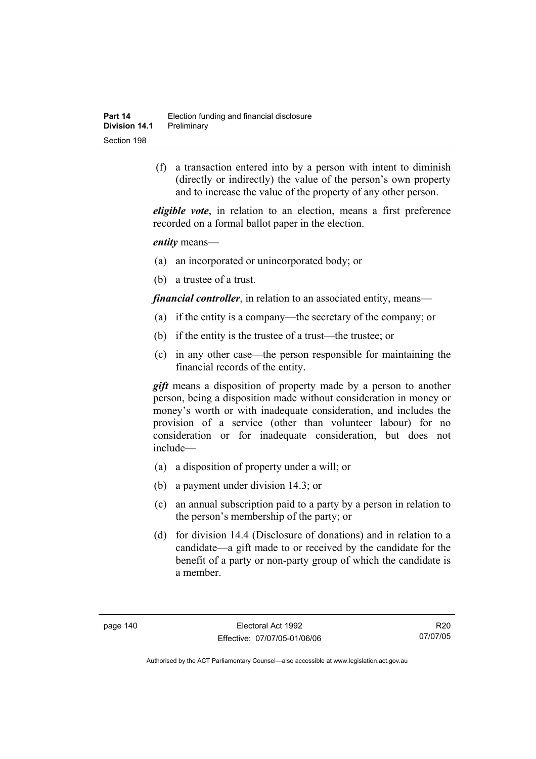(f) a transaction entered into by a person with intent to diminish (directly or indirectly) the value of the person's own property and to increase the value of the property of any other person.

*eligible vote*, in relation to an election, means a first preference recorded on a formal ballot paper in the election.

*entity* means—

- (a) an incorporated or unincorporated body; or
- (b) a trustee of a trust.

*financial controller*, in relation to an associated entity, means—

- (a) if the entity is a company—the secretary of the company; or
- (b) if the entity is the trustee of a trust—the trustee; or
- (c) in any other case—the person responsible for maintaining the financial records of the entity.

*gift* means a disposition of property made by a person to another person, being a disposition made without consideration in money or money's worth or with inadequate consideration, and includes the provision of a service (other than volunteer labour) for no consideration or for inadequate consideration, but does not include—

- (a) a disposition of property under a will; or
- (b) a payment under division 14.3; or
- (c) an annual subscription paid to a party by a person in relation to the person's membership of the party; or
- (d) for division 14.4 (Disclosure of donations) and in relation to a candidate—a gift made to or received by the candidate for the benefit of a party or non-party group of which the candidate is a member.

R20 07/07/05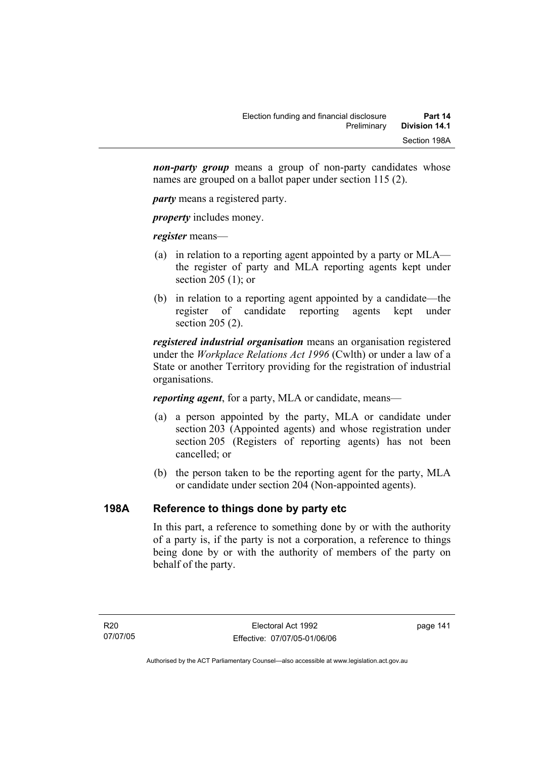*non-party group* means a group of non-party candidates whose names are grouped on a ballot paper under section 115 (2).

*party* means a registered party.

*property* includes money.

*register* means—

- (a) in relation to a reporting agent appointed by a party or MLA the register of party and MLA reporting agents kept under section 205 (1); or
- (b) in relation to a reporting agent appointed by a candidate—the register of candidate reporting agents kept under section 205 (2).

*registered industrial organisation* means an organisation registered under the *Workplace Relations Act 1996* (Cwlth) or under a law of a State or another Territory providing for the registration of industrial organisations.

*reporting agent*, for a party, MLA or candidate, means—

- (a) a person appointed by the party, MLA or candidate under section 203 (Appointed agents) and whose registration under section 205 (Registers of reporting agents) has not been cancelled; or
- (b) the person taken to be the reporting agent for the party, MLA or candidate under section 204 (Non-appointed agents).

# **198A Reference to things done by party etc**

In this part, a reference to something done by or with the authority of a party is, if the party is not a corporation, a reference to things being done by or with the authority of members of the party on behalf of the party.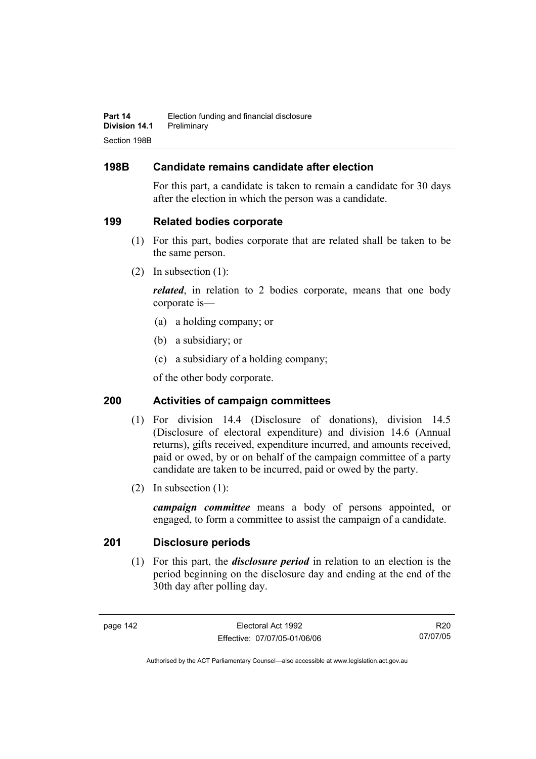# **198B Candidate remains candidate after election**

For this part, a candidate is taken to remain a candidate for 30 days after the election in which the person was a candidate.

# **199 Related bodies corporate**

- (1) For this part, bodies corporate that are related shall be taken to be the same person.
- (2) In subsection (1):

*related*, in relation to 2 bodies corporate, means that one body corporate is—

- (a) a holding company; or
- (b) a subsidiary; or
- (c) a subsidiary of a holding company;

of the other body corporate.

# **200 Activities of campaign committees**

- (1) For division 14.4 (Disclosure of donations), division 14.5 (Disclosure of electoral expenditure) and division 14.6 (Annual returns), gifts received, expenditure incurred, and amounts received, paid or owed, by or on behalf of the campaign committee of a party candidate are taken to be incurred, paid or owed by the party.
- (2) In subsection (1):

*campaign committee* means a body of persons appointed, or engaged, to form a committee to assist the campaign of a candidate.

# **201 Disclosure periods**

 (1) For this part, the *disclosure period* in relation to an election is the period beginning on the disclosure day and ending at the end of the 30th day after polling day.

R20 07/07/05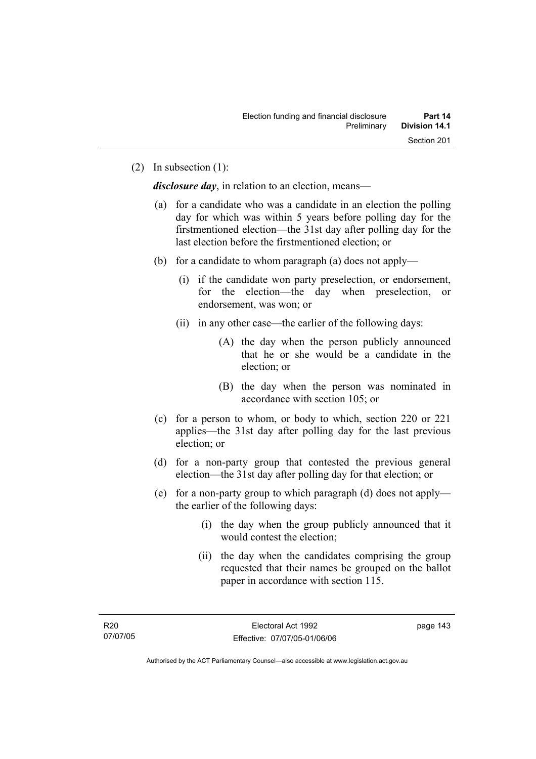(2) In subsection (1):

*disclosure day*, in relation to an election, means—

- (a) for a candidate who was a candidate in an election the polling day for which was within 5 years before polling day for the firstmentioned election—the 31st day after polling day for the last election before the firstmentioned election; or
- (b) for a candidate to whom paragraph (a) does not apply—
	- (i) if the candidate won party preselection, or endorsement, for the election—the day when preselection, or endorsement, was won; or
	- (ii) in any other case—the earlier of the following days:
		- (A) the day when the person publicly announced that he or she would be a candidate in the election; or
		- (B) the day when the person was nominated in accordance with section 105; or
- (c) for a person to whom, or body to which, section 220 or 221 applies—the 31st day after polling day for the last previous election; or
- (d) for a non-party group that contested the previous general election—the 31st day after polling day for that election; or
- (e) for a non-party group to which paragraph (d) does not apply the earlier of the following days:
	- (i) the day when the group publicly announced that it would contest the election;
	- (ii) the day when the candidates comprising the group requested that their names be grouped on the ballot paper in accordance with section 115.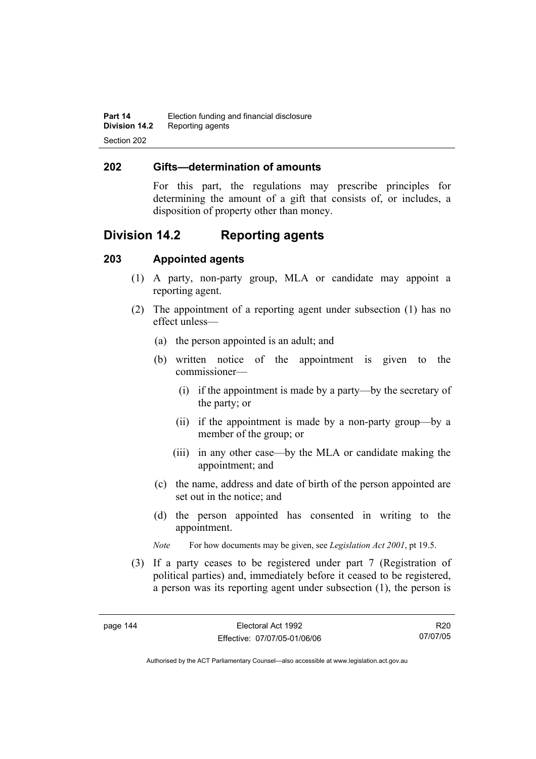#### **202 Gifts—determination of amounts**

For this part, the regulations may prescribe principles for determining the amount of a gift that consists of, or includes, a disposition of property other than money.

# **Division 14.2 Reporting agents**

## **203 Appointed agents**

- (1) A party, non-party group, MLA or candidate may appoint a reporting agent.
- (2) The appointment of a reporting agent under subsection (1) has no effect unless—
	- (a) the person appointed is an adult; and
	- (b) written notice of the appointment is given to the commissioner—
		- (i) if the appointment is made by a party—by the secretary of the party; or
		- (ii) if the appointment is made by a non-party group—by a member of the group; or
		- (iii) in any other case—by the MLA or candidate making the appointment; and
	- (c) the name, address and date of birth of the person appointed are set out in the notice; and
	- (d) the person appointed has consented in writing to the appointment.
	- *Note* For how documents may be given, see *Legislation Act 2001*, pt 19.5.
- (3) If a party ceases to be registered under part 7 (Registration of political parties) and, immediately before it ceased to be registered, a person was its reporting agent under subsection (1), the person is

R20 07/07/05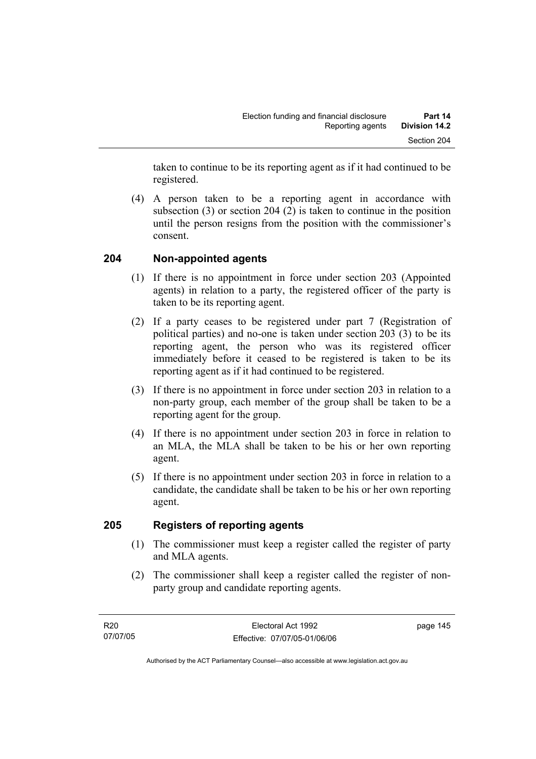taken to continue to be its reporting agent as if it had continued to be registered.

 (4) A person taken to be a reporting agent in accordance with subsection (3) or section 204 (2) is taken to continue in the position until the person resigns from the position with the commissioner's consent.

# **204 Non-appointed agents**

- (1) If there is no appointment in force under section 203 (Appointed agents) in relation to a party, the registered officer of the party is taken to be its reporting agent.
- (2) If a party ceases to be registered under part 7 (Registration of political parties) and no-one is taken under section 203 (3) to be its reporting agent, the person who was its registered officer immediately before it ceased to be registered is taken to be its reporting agent as if it had continued to be registered.
- (3) If there is no appointment in force under section 203 in relation to a non-party group, each member of the group shall be taken to be a reporting agent for the group.
- (4) If there is no appointment under section 203 in force in relation to an MLA, the MLA shall be taken to be his or her own reporting agent.
- (5) If there is no appointment under section 203 in force in relation to a candidate, the candidate shall be taken to be his or her own reporting agent.

# **205 Registers of reporting agents**

- (1) The commissioner must keep a register called the register of party and MLA agents.
- (2) The commissioner shall keep a register called the register of nonparty group and candidate reporting agents.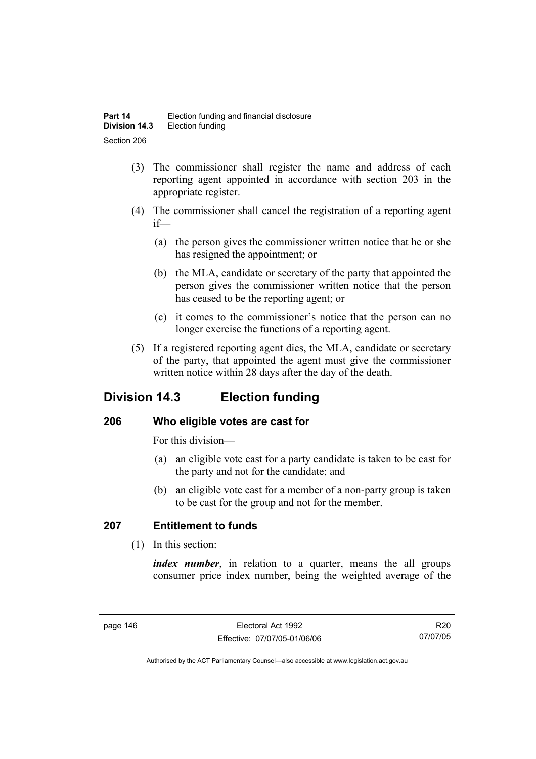- (3) The commissioner shall register the name and address of each reporting agent appointed in accordance with section 203 in the appropriate register.
- (4) The commissioner shall cancel the registration of a reporting agent if—
	- (a) the person gives the commissioner written notice that he or she has resigned the appointment; or
	- (b) the MLA, candidate or secretary of the party that appointed the person gives the commissioner written notice that the person has ceased to be the reporting agent; or
	- (c) it comes to the commissioner's notice that the person can no longer exercise the functions of a reporting agent.
- (5) If a registered reporting agent dies, the MLA, candidate or secretary of the party, that appointed the agent must give the commissioner written notice within 28 days after the day of the death.

# **Division 14.3 Election funding**

# **206 Who eligible votes are cast for**

For this division—

- (a) an eligible vote cast for a party candidate is taken to be cast for the party and not for the candidate; and
- (b) an eligible vote cast for a member of a non-party group is taken to be cast for the group and not for the member.

# **207 Entitlement to funds**

(1) In this section:

*index number*, in relation to a quarter, means the all groups consumer price index number, being the weighted average of the

R20 07/07/05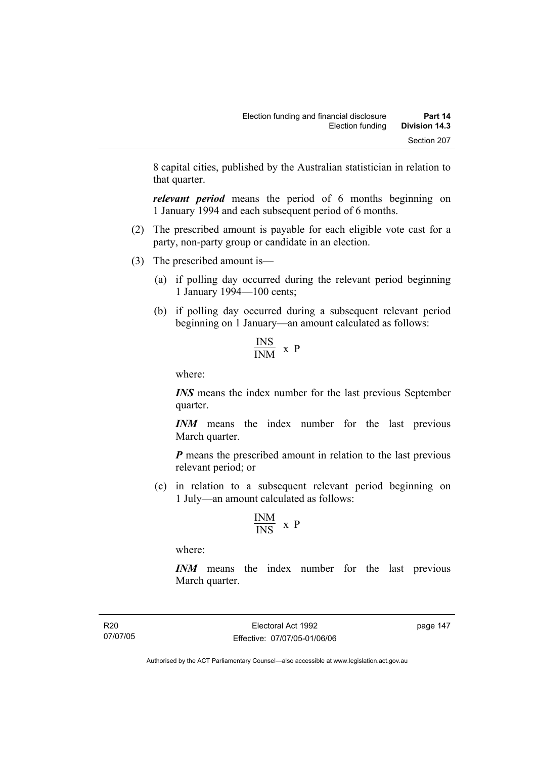8 capital cities, published by the Australian statistician in relation to that quarter.

*relevant period* means the period of 6 months beginning on 1 January 1994 and each subsequent period of 6 months.

- (2) The prescribed amount is payable for each eligible vote cast for a party, non-party group or candidate in an election.
- (3) The prescribed amount is—
	- (a) if polling day occurred during the relevant period beginning 1 January 1994—100 cents;
	- (b) if polling day occurred during a subsequent relevant period beginning on 1 January—an amount calculated as follows:

$$
\frac{\text{INS}}{\text{INM}} \times P
$$

where:

*INS* means the index number for the last previous September quarter.

*INM* means the index number for the last previous March quarter.

*P* means the prescribed amount in relation to the last previous relevant period; or

 (c) in relation to a subsequent relevant period beginning on 1 July—an amount calculated as follows:

$$
\frac{INM}{INS} \ x \ P
$$

where:

*INM* means the index number for the last previous March quarter.

R20 07/07/05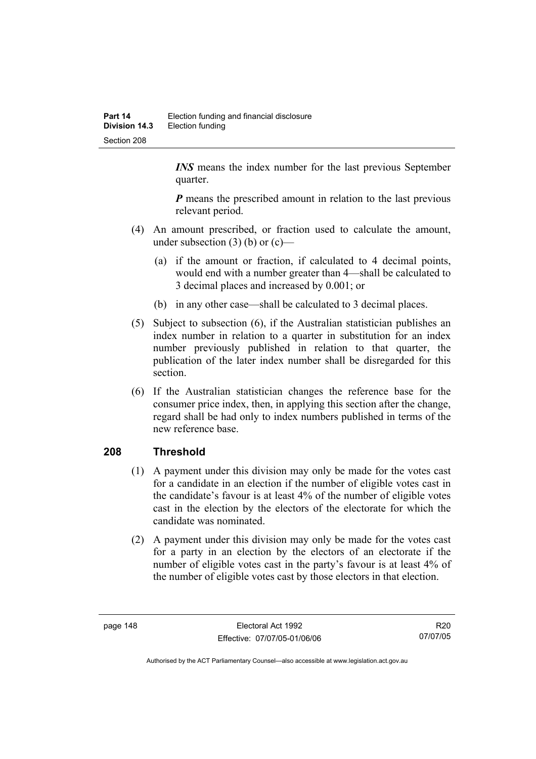*INS* means the index number for the last previous September quarter.

*P* means the prescribed amount in relation to the last previous relevant period.

- (4) An amount prescribed, or fraction used to calculate the amount, under subsection  $(3)$  (b) or  $(c)$ —
	- (a) if the amount or fraction, if calculated to 4 decimal points, would end with a number greater than 4—shall be calculated to 3 decimal places and increased by 0.001; or
	- (b) in any other case—shall be calculated to 3 decimal places.
- (5) Subject to subsection (6), if the Australian statistician publishes an index number in relation to a quarter in substitution for an index number previously published in relation to that quarter, the publication of the later index number shall be disregarded for this section.
- (6) If the Australian statistician changes the reference base for the consumer price index, then, in applying this section after the change, regard shall be had only to index numbers published in terms of the new reference base.

# **208 Threshold**

- (1) A payment under this division may only be made for the votes cast for a candidate in an election if the number of eligible votes cast in the candidate's favour is at least 4% of the number of eligible votes cast in the election by the electors of the electorate for which the candidate was nominated.
- (2) A payment under this division may only be made for the votes cast for a party in an election by the electors of an electorate if the number of eligible votes cast in the party's favour is at least 4% of the number of eligible votes cast by those electors in that election.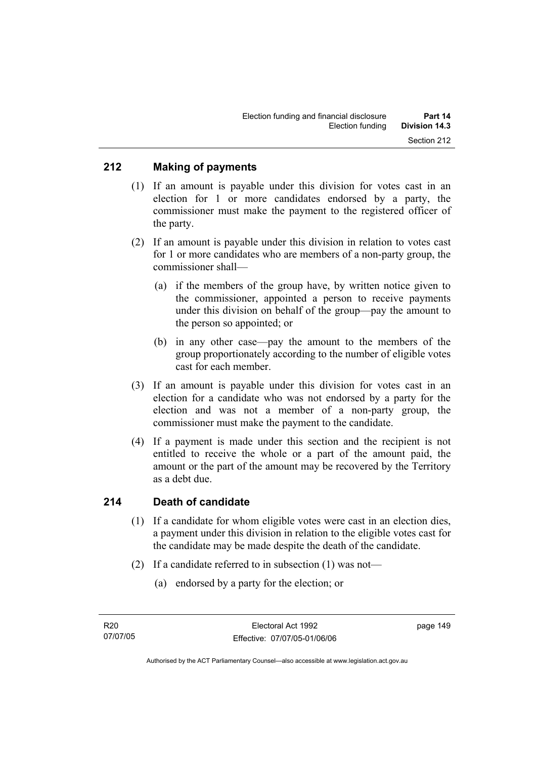## **212 Making of payments**

- (1) If an amount is payable under this division for votes cast in an election for 1 or more candidates endorsed by a party, the commissioner must make the payment to the registered officer of the party.
- (2) If an amount is payable under this division in relation to votes cast for 1 or more candidates who are members of a non-party group, the commissioner shall—
	- (a) if the members of the group have, by written notice given to the commissioner, appointed a person to receive payments under this division on behalf of the group—pay the amount to the person so appointed; or
	- (b) in any other case—pay the amount to the members of the group proportionately according to the number of eligible votes cast for each member.
- (3) If an amount is payable under this division for votes cast in an election for a candidate who was not endorsed by a party for the election and was not a member of a non-party group, the commissioner must make the payment to the candidate.
- (4) If a payment is made under this section and the recipient is not entitled to receive the whole or a part of the amount paid, the amount or the part of the amount may be recovered by the Territory as a debt due.

#### **214 Death of candidate**

- (1) If a candidate for whom eligible votes were cast in an election dies, a payment under this division in relation to the eligible votes cast for the candidate may be made despite the death of the candidate.
- (2) If a candidate referred to in subsection (1) was not—
	- (a) endorsed by a party for the election; or

Authorised by the ACT Parliamentary Counsel—also accessible at www.legislation.act.gov.au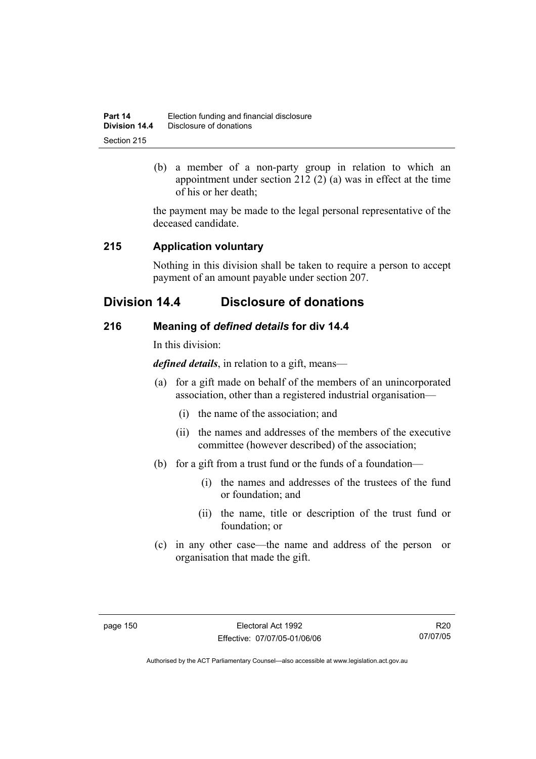| Part 14       | Election funding and financial disclosure |
|---------------|-------------------------------------------|
| Division 14.4 | Disclosure of donations                   |
| Section 215   |                                           |

 (b) a member of a non-party group in relation to which an appointment under section 212 (2) (a) was in effect at the time of his or her death;

the payment may be made to the legal personal representative of the deceased candidate.

## **215 Application voluntary**

Nothing in this division shall be taken to require a person to accept payment of an amount payable under section 207.

# **Division 14.4 Disclosure of donations**

## **216 Meaning of** *defined details* **for div 14.4**

In this division:

*defined details*, in relation to a gift, means—

- (a) for a gift made on behalf of the members of an unincorporated association, other than a registered industrial organisation—
	- (i) the name of the association; and
	- (ii) the names and addresses of the members of the executive committee (however described) of the association;
- (b) for a gift from a trust fund or the funds of a foundation—
	- (i) the names and addresses of the trustees of the fund or foundation; and
	- (ii) the name, title or description of the trust fund or foundation; or
- (c) in any other case—the name and address of the person or organisation that made the gift.

R20 07/07/05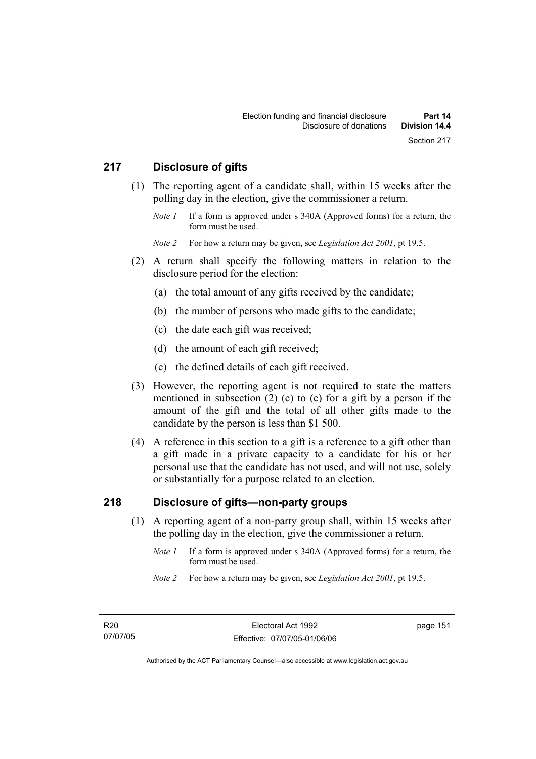#### **217 Disclosure of gifts**

- (1) The reporting agent of a candidate shall, within 15 weeks after the polling day in the election, give the commissioner a return.
	- *Note 1* If a form is approved under s 340A (Approved forms) for a return, the form must be used.

*Note 2* For how a return may be given, see *Legislation Act 2001*, pt 19.5.

- (2) A return shall specify the following matters in relation to the disclosure period for the election:
	- (a) the total amount of any gifts received by the candidate;
	- (b) the number of persons who made gifts to the candidate;
	- (c) the date each gift was received;
	- (d) the amount of each gift received;
	- (e) the defined details of each gift received.
- (3) However, the reporting agent is not required to state the matters mentioned in subsection (2) (c) to (e) for a gift by a person if the amount of the gift and the total of all other gifts made to the candidate by the person is less than \$1 500.
- (4) A reference in this section to a gift is a reference to a gift other than a gift made in a private capacity to a candidate for his or her personal use that the candidate has not used, and will not use, solely or substantially for a purpose related to an election.

#### **218 Disclosure of gifts—non-party groups**

- (1) A reporting agent of a non-party group shall, within 15 weeks after the polling day in the election, give the commissioner a return.
	- *Note 1* If a form is approved under s 340A (Approved forms) for a return, the form must be used.
	- *Note 2* For how a return may be given, see *Legislation Act 2001*, pt 19.5.

page 151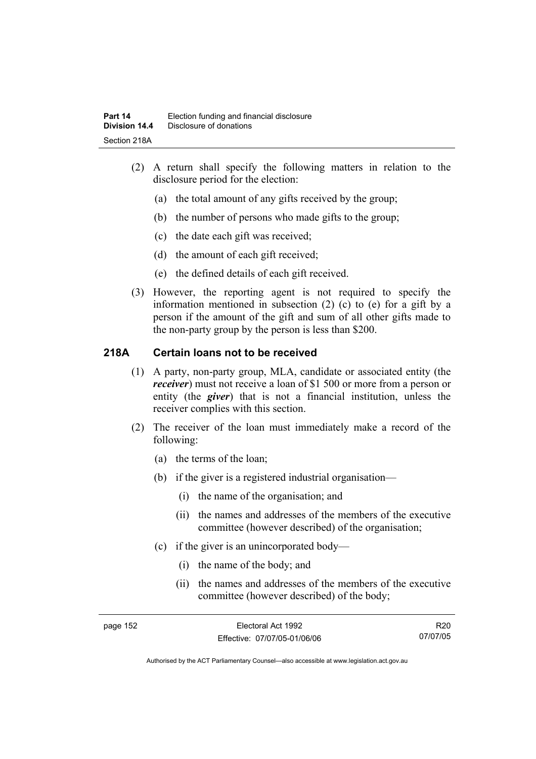- (2) A return shall specify the following matters in relation to the disclosure period for the election:
	- (a) the total amount of any gifts received by the group;
	- (b) the number of persons who made gifts to the group;
	- (c) the date each gift was received;
	- (d) the amount of each gift received;
	- (e) the defined details of each gift received.
- (3) However, the reporting agent is not required to specify the information mentioned in subsection (2) (c) to (e) for a gift by a person if the amount of the gift and sum of all other gifts made to the non-party group by the person is less than \$200.

## **218A Certain loans not to be received**

- (1) A party, non-party group, MLA, candidate or associated entity (the *receiver*) must not receive a loan of \$1 500 or more from a person or entity (the *giver*) that is not a financial institution, unless the receiver complies with this section.
- (2) The receiver of the loan must immediately make a record of the following:
	- (a) the terms of the loan;
	- (b) if the giver is a registered industrial organisation—
		- (i) the name of the organisation; and
		- (ii) the names and addresses of the members of the executive committee (however described) of the organisation;
	- (c) if the giver is an unincorporated body—
		- (i) the name of the body; and
		- (ii) the names and addresses of the members of the executive committee (however described) of the body;

R20 07/07/05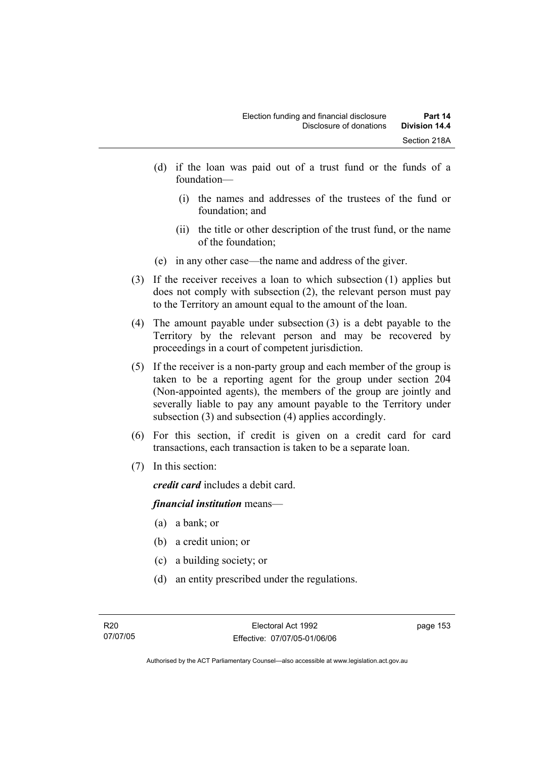- (d) if the loan was paid out of a trust fund or the funds of a foundation—
	- (i) the names and addresses of the trustees of the fund or foundation; and
	- (ii) the title or other description of the trust fund, or the name of the foundation;
- (e) in any other case—the name and address of the giver.
- (3) If the receiver receives a loan to which subsection (1) applies but does not comply with subsection (2), the relevant person must pay to the Territory an amount equal to the amount of the loan.
- (4) The amount payable under subsection (3) is a debt payable to the Territory by the relevant person and may be recovered by proceedings in a court of competent jurisdiction.
- (5) If the receiver is a non-party group and each member of the group is taken to be a reporting agent for the group under section 204 (Non-appointed agents), the members of the group are jointly and severally liable to pay any amount payable to the Territory under subsection (3) and subsection (4) applies accordingly.
- (6) For this section, if credit is given on a credit card for card transactions, each transaction is taken to be a separate loan.
- (7) In this section:

*credit card* includes a debit card.

#### *financial institution* means—

- (a) a bank; or
- (b) a credit union; or
- (c) a building society; or
- (d) an entity prescribed under the regulations.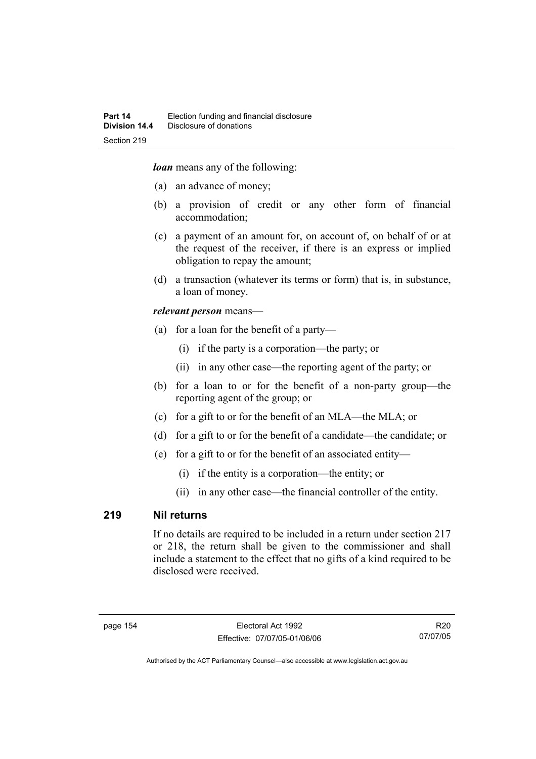*loan* means any of the following:

- (a) an advance of money;
- (b) a provision of credit or any other form of financial accommodation;
- (c) a payment of an amount for, on account of, on behalf of or at the request of the receiver, if there is an express or implied obligation to repay the amount;
- (d) a transaction (whatever its terms or form) that is, in substance, a loan of money.

#### *relevant person* means—

- (a) for a loan for the benefit of a party—
	- (i) if the party is a corporation—the party; or
	- (ii) in any other case—the reporting agent of the party; or
- (b) for a loan to or for the benefit of a non-party group—the reporting agent of the group; or
- (c) for a gift to or for the benefit of an MLA—the MLA; or
- (d) for a gift to or for the benefit of a candidate—the candidate; or
- (e) for a gift to or for the benefit of an associated entity—
	- (i) if the entity is a corporation—the entity; or
	- (ii) in any other case—the financial controller of the entity.

#### **219 Nil returns**

If no details are required to be included in a return under section 217 or 218, the return shall be given to the commissioner and shall include a statement to the effect that no gifts of a kind required to be disclosed were received.

R20 07/07/05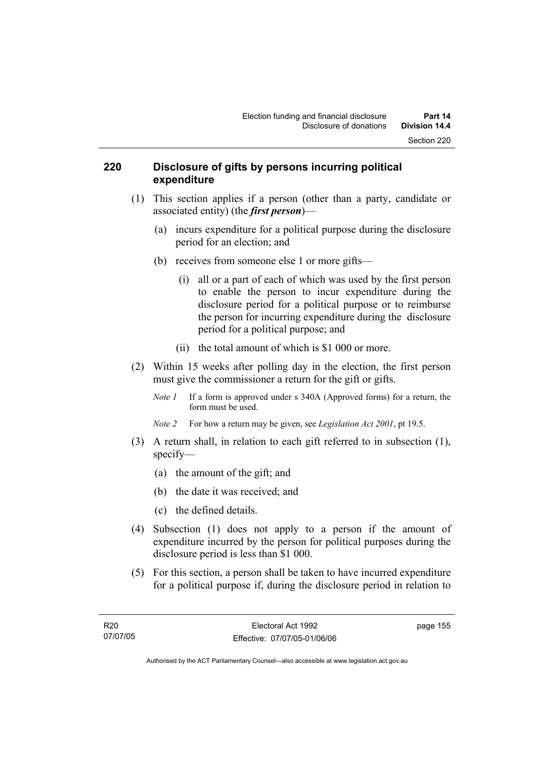#### **220 Disclosure of gifts by persons incurring political expenditure**

- (1) This section applies if a person (other than a party, candidate or associated entity) (the *first person*)—
	- (a) incurs expenditure for a political purpose during the disclosure period for an election; and
	- (b) receives from someone else 1 or more gifts—
		- (i) all or a part of each of which was used by the first person to enable the person to incur expenditure during the disclosure period for a political purpose or to reimburse the person for incurring expenditure during the disclosure period for a political purpose; and
		- (ii) the total amount of which is \$1 000 or more.
- (2) Within 15 weeks after polling day in the election, the first person must give the commissioner a return for the gift or gifts.
	- *Note 1* If a form is approved under s 340A (Approved forms) for a return, the form must be used.
	- *Note 2* For how a return may be given, see *Legislation Act 2001*, pt 19.5.
- (3) A return shall, in relation to each gift referred to in subsection (1), specify—
	- (a) the amount of the gift; and
	- (b) the date it was received; and
	- (c) the defined details.
- (4) Subsection (1) does not apply to a person if the amount of expenditure incurred by the person for political purposes during the disclosure period is less than \$1 000.
- (5) For this section, a person shall be taken to have incurred expenditure for a political purpose if, during the disclosure period in relation to

page 155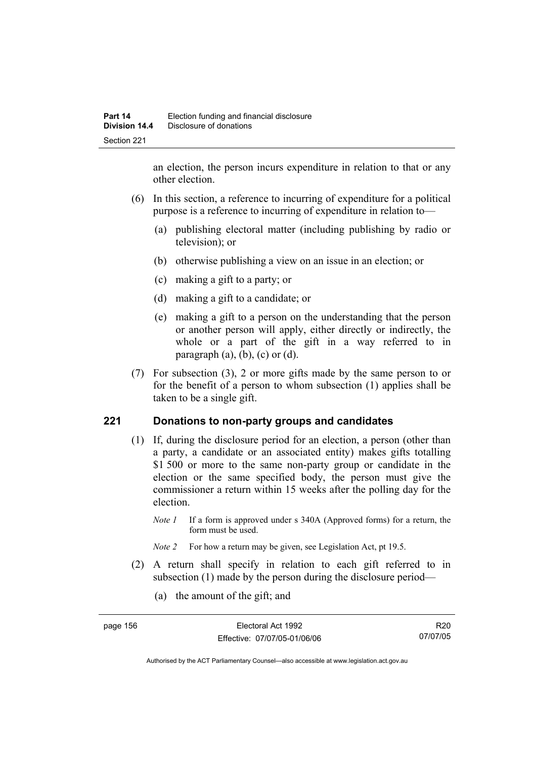an election, the person incurs expenditure in relation to that or any other election.

- (6) In this section, a reference to incurring of expenditure for a political purpose is a reference to incurring of expenditure in relation to—
	- (a) publishing electoral matter (including publishing by radio or television); or
	- (b) otherwise publishing a view on an issue in an election; or
	- (c) making a gift to a party; or
	- (d) making a gift to a candidate; or
	- (e) making a gift to a person on the understanding that the person or another person will apply, either directly or indirectly, the whole or a part of the gift in a way referred to in paragraph  $(a)$ ,  $(b)$ ,  $(c)$  or  $(d)$ .
- (7) For subsection (3), 2 or more gifts made by the same person to or for the benefit of a person to whom subsection (1) applies shall be taken to be a single gift.

## **221 Donations to non-party groups and candidates**

- (1) If, during the disclosure period for an election, a person (other than a party, a candidate or an associated entity) makes gifts totalling \$1,500 or more to the same non-party group or candidate in the election or the same specified body, the person must give the commissioner a return within 15 weeks after the polling day for the election.
	- *Note 1* If a form is approved under s 340A (Approved forms) for a return, the form must be used.
	- *Note 2* For how a return may be given, see Legislation Act, pt 19.5.
- (2) A return shall specify in relation to each gift referred to in subsection (1) made by the person during the disclosure period—
	- (a) the amount of the gift; and

| page 156 | Electoral Act 1992           | R <sub>20</sub> |
|----------|------------------------------|-----------------|
|          | Effective: 07/07/05-01/06/06 | 07/07/05        |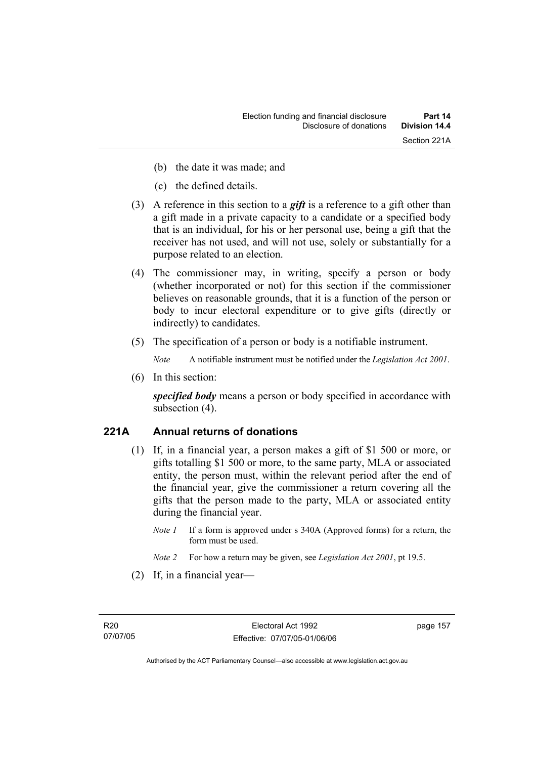- (b) the date it was made; and
- (c) the defined details.
- (3) A reference in this section to a *gift* is a reference to a gift other than a gift made in a private capacity to a candidate or a specified body that is an individual, for his or her personal use, being a gift that the receiver has not used, and will not use, solely or substantially for a purpose related to an election.
- (4) The commissioner may, in writing, specify a person or body (whether incorporated or not) for this section if the commissioner believes on reasonable grounds, that it is a function of the person or body to incur electoral expenditure or to give gifts (directly or indirectly) to candidates.
- (5) The specification of a person or body is a notifiable instrument.

*Note* A notifiable instrument must be notified under the *Legislation Act 2001*.

(6) In this section:

*specified body* means a person or body specified in accordance with subsection (4).

# **221A Annual returns of donations**

- (1) If, in a financial year, a person makes a gift of \$1 500 or more, or gifts totalling \$1 500 or more, to the same party, MLA or associated entity, the person must, within the relevant period after the end of the financial year, give the commissioner a return covering all the gifts that the person made to the party, MLA or associated entity during the financial year.
	- *Note 1* If a form is approved under s 340A (Approved forms) for a return, the form must be used.
	- *Note 2* For how a return may be given, see *Legislation Act 2001*, pt 19.5.
- (2) If, in a financial year—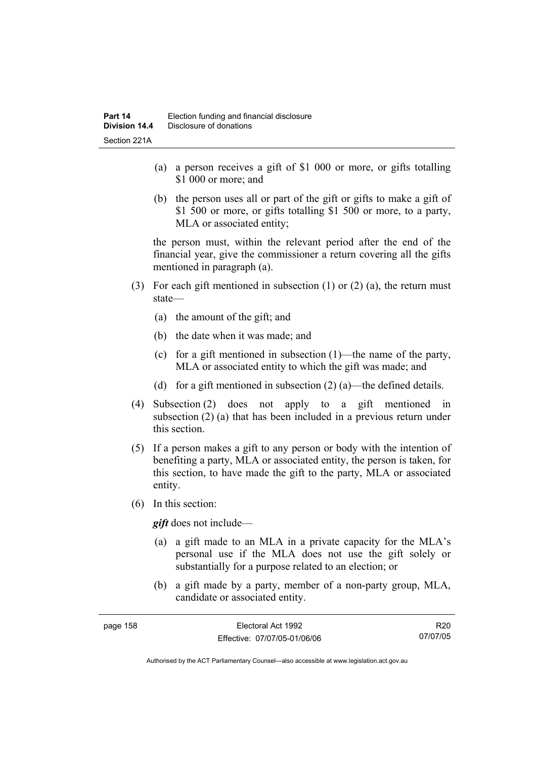- (a) a person receives a gift of \$1 000 or more, or gifts totalling \$1 000 or more; and
- (b) the person uses all or part of the gift or gifts to make a gift of \$1 500 or more, or gifts totalling \$1 500 or more, to a party, MLA or associated entity;

the person must, within the relevant period after the end of the financial year, give the commissioner a return covering all the gifts mentioned in paragraph (a).

- (3) For each gift mentioned in subsection (1) or (2) (a), the return must state—
	- (a) the amount of the gift; and
	- (b) the date when it was made; and
	- (c) for a gift mentioned in subsection (1)—the name of the party, MLA or associated entity to which the gift was made; and
	- (d) for a gift mentioned in subsection  $(2)$  (a)—the defined details.
- (4) Subsection (2) does not apply to a gift mentioned in subsection (2) (a) that has been included in a previous return under this section.
- (5) If a person makes a gift to any person or body with the intention of benefiting a party, MLA or associated entity, the person is taken, for this section, to have made the gift to the party, MLA or associated entity.
- (6) In this section:

*gift* does not include—

- (a) a gift made to an MLA in a private capacity for the MLA's personal use if the MLA does not use the gift solely or substantially for a purpose related to an election; or
- (b) a gift made by a party, member of a non-party group, MLA, candidate or associated entity.

| page 158 | Electoral Act 1992           | R <sub>20</sub> |
|----------|------------------------------|-----------------|
|          | Effective: 07/07/05-01/06/06 | 07/07/05        |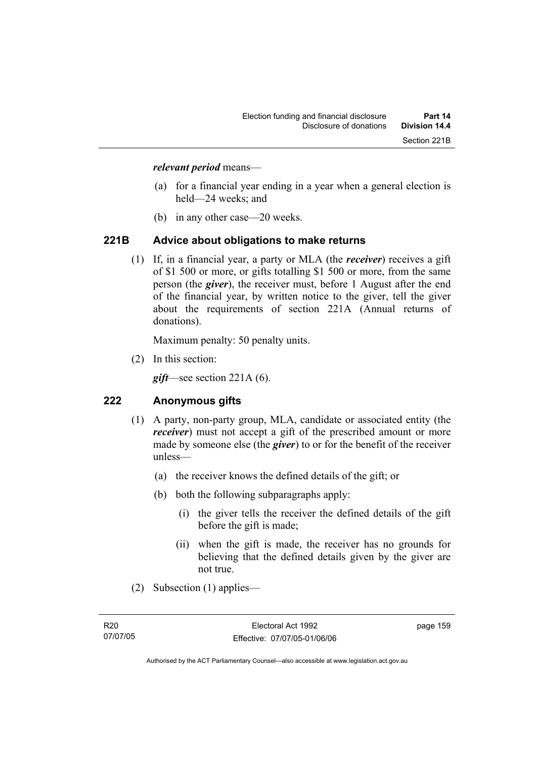#### *relevant period* means—

- (a) for a financial year ending in a year when a general election is held—24 weeks; and
- (b) in any other case—20 weeks.

#### **221B Advice about obligations to make returns**

 (1) If, in a financial year, a party or MLA (the *receiver*) receives a gift of \$1 500 or more, or gifts totalling \$1 500 or more, from the same person (the *giver*), the receiver must, before 1 August after the end of the financial year, by written notice to the giver, tell the giver about the requirements of section 221A (Annual returns of donations).

Maximum penalty: 50 penalty units.

(2) In this section:

*gift*—see section 221A (6).

## **222 Anonymous gifts**

- (1) A party, non-party group, MLA, candidate or associated entity (the *receiver*) must not accept a gift of the prescribed amount or more made by someone else (the *giver*) to or for the benefit of the receiver unless—
	- (a) the receiver knows the defined details of the gift; or
	- (b) both the following subparagraphs apply:
		- (i) the giver tells the receiver the defined details of the gift before the gift is made;
		- (ii) when the gift is made, the receiver has no grounds for believing that the defined details given by the giver are not true.
- (2) Subsection (1) applies—

page 159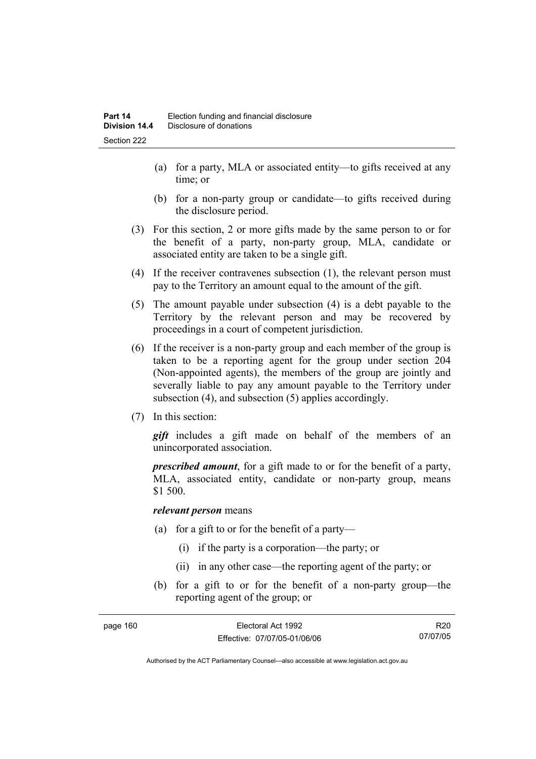- (a) for a party, MLA or associated entity—to gifts received at any time; or
- (b) for a non-party group or candidate—to gifts received during the disclosure period.
- (3) For this section, 2 or more gifts made by the same person to or for the benefit of a party, non-party group, MLA, candidate or associated entity are taken to be a single gift.
- (4) If the receiver contravenes subsection (1), the relevant person must pay to the Territory an amount equal to the amount of the gift.
- (5) The amount payable under subsection (4) is a debt payable to the Territory by the relevant person and may be recovered by proceedings in a court of competent jurisdiction.
- (6) If the receiver is a non-party group and each member of the group is taken to be a reporting agent for the group under section 204 (Non-appointed agents), the members of the group are jointly and severally liable to pay any amount payable to the Territory under subsection (4), and subsection (5) applies accordingly.
- (7) In this section:

*gift* includes a gift made on behalf of the members of an unincorporated association.

*prescribed amount*, for a gift made to or for the benefit of a party, MLA, associated entity, candidate or non-party group, means \$1 500.

#### *relevant person* means

- (a) for a gift to or for the benefit of a party—
	- (i) if the party is a corporation—the party; or
	- (ii) in any other case—the reporting agent of the party; or
- (b) for a gift to or for the benefit of a non-party group—the reporting agent of the group; or

| page 160 | Electoral Act 1992           | R <sub>20</sub> |
|----------|------------------------------|-----------------|
|          | Effective: 07/07/05-01/06/06 | 07/07/05        |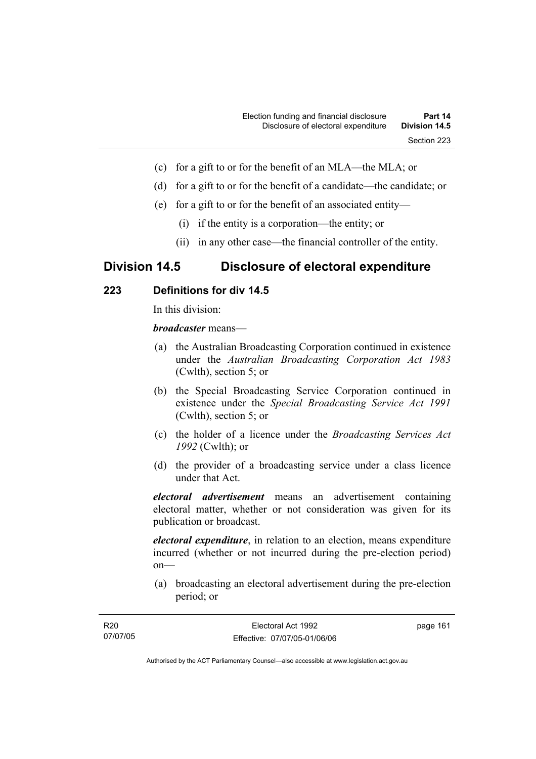- (c) for a gift to or for the benefit of an MLA—the MLA; or
- (d) for a gift to or for the benefit of a candidate—the candidate; or
- (e) for a gift to or for the benefit of an associated entity—
	- (i) if the entity is a corporation—the entity; or
	- (ii) in any other case—the financial controller of the entity.

# **Division 14.5 Disclosure of electoral expenditure**

## **223 Definitions for div 14.5**

In this division:

*broadcaster* means—

- (a) the Australian Broadcasting Corporation continued in existence under the *Australian Broadcasting Corporation Act 1983* (Cwlth), section 5; or
- (b) the Special Broadcasting Service Corporation continued in existence under the *Special Broadcasting Service Act 1991*  (Cwlth), section 5; or
- (c) the holder of a licence under the *Broadcasting Services Act 1992* (Cwlth); or
- (d) the provider of a broadcasting service under a class licence under that Act.

*electoral advertisement* means an advertisement containing electoral matter, whether or not consideration was given for its publication or broadcast.

*electoral expenditure*, in relation to an election, means expenditure incurred (whether or not incurred during the pre-election period) on—

 (a) broadcasting an electoral advertisement during the pre-election period; or

| R <sub>20</sub> | Electoral Act 1992           | page 161 |
|-----------------|------------------------------|----------|
| 07/07/05        | Effective: 07/07/05-01/06/06 |          |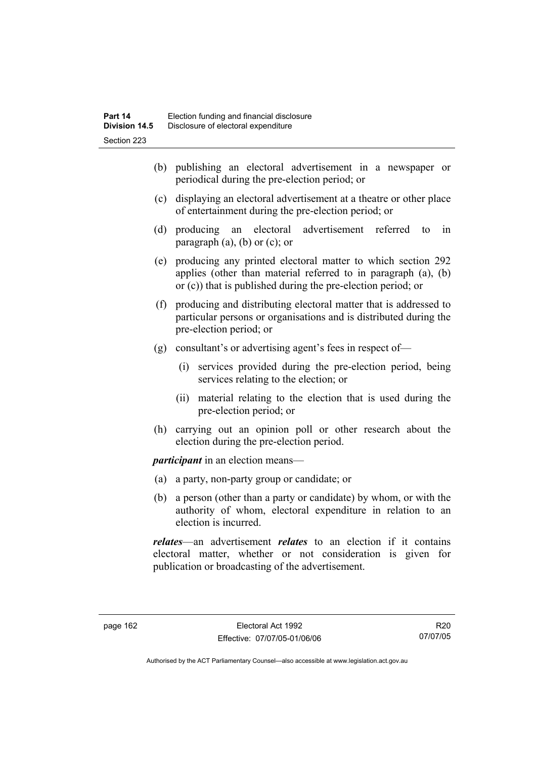- (b) publishing an electoral advertisement in a newspaper or periodical during the pre-election period; or
- (c) displaying an electoral advertisement at a theatre or other place of entertainment during the pre-election period; or
- (d) producing an electoral advertisement referred to in paragraph  $(a)$ ,  $(b)$  or  $(c)$ ; or
- (e) producing any printed electoral matter to which section 292 applies (other than material referred to in paragraph (a), (b) or (c)) that is published during the pre-election period; or
- (f) producing and distributing electoral matter that is addressed to particular persons or organisations and is distributed during the pre-election period; or
- (g) consultant's or advertising agent's fees in respect of—
	- (i) services provided during the pre-election period, being services relating to the election; or
	- (ii) material relating to the election that is used during the pre-election period; or
- (h) carrying out an opinion poll or other research about the election during the pre-election period.

*participant* in an election means—

- (a) a party, non-party group or candidate; or
- (b) a person (other than a party or candidate) by whom, or with the authority of whom, electoral expenditure in relation to an election is incurred.

*relates*—an advertisement *relates* to an election if it contains electoral matter, whether or not consideration is given for publication or broadcasting of the advertisement.

R20 07/07/05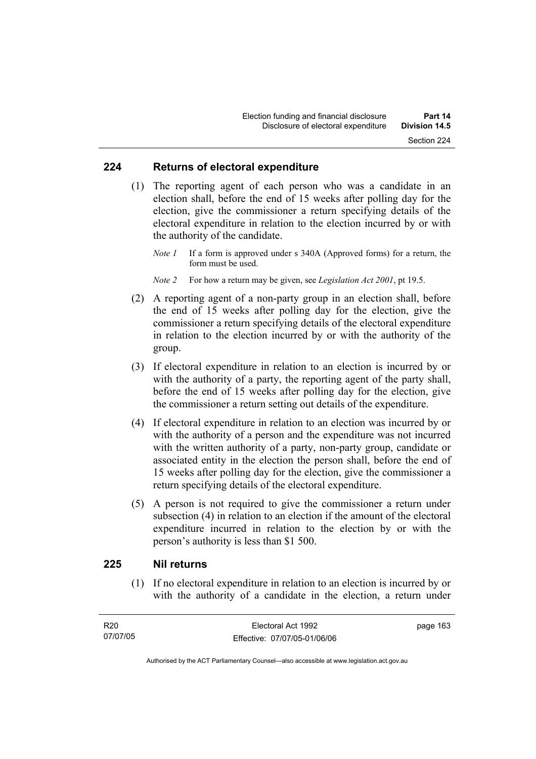#### **224 Returns of electoral expenditure**

 (1) The reporting agent of each person who was a candidate in an election shall, before the end of 15 weeks after polling day for the election, give the commissioner a return specifying details of the electoral expenditure in relation to the election incurred by or with the authority of the candidate.

*Note 1* If a form is approved under s 340A (Approved forms) for a return, the form must be used.

*Note 2* For how a return may be given, see *Legislation Act 2001*, pt 19.5.

- (2) A reporting agent of a non-party group in an election shall, before the end of 15 weeks after polling day for the election, give the commissioner a return specifying details of the electoral expenditure in relation to the election incurred by or with the authority of the group.
- (3) If electoral expenditure in relation to an election is incurred by or with the authority of a party, the reporting agent of the party shall, before the end of 15 weeks after polling day for the election, give the commissioner a return setting out details of the expenditure.
- (4) If electoral expenditure in relation to an election was incurred by or with the authority of a person and the expenditure was not incurred with the written authority of a party, non-party group, candidate or associated entity in the election the person shall, before the end of 15 weeks after polling day for the election, give the commissioner a return specifying details of the electoral expenditure.
- (5) A person is not required to give the commissioner a return under subsection (4) in relation to an election if the amount of the electoral expenditure incurred in relation to the election by or with the person's authority is less than \$1 500.

## **225 Nil returns**

 (1) If no electoral expenditure in relation to an election is incurred by or with the authority of a candidate in the election, a return under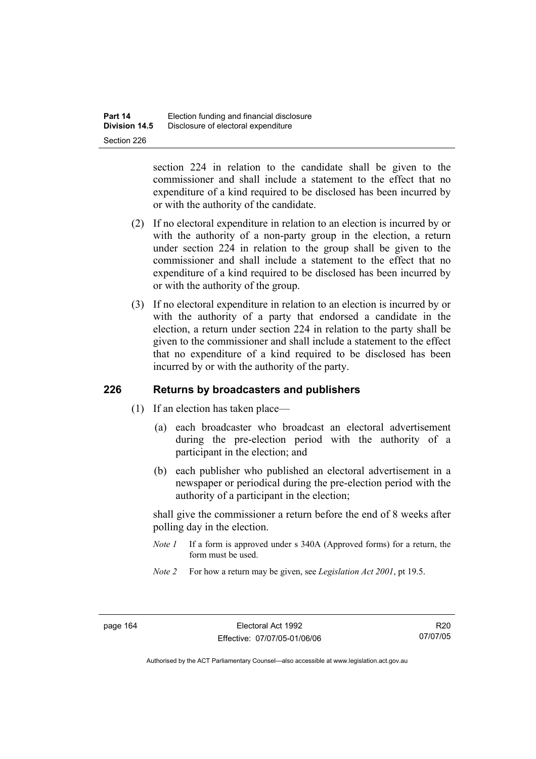section 224 in relation to the candidate shall be given to the commissioner and shall include a statement to the effect that no expenditure of a kind required to be disclosed has been incurred by or with the authority of the candidate.

- (2) If no electoral expenditure in relation to an election is incurred by or with the authority of a non-party group in the election, a return under section 224 in relation to the group shall be given to the commissioner and shall include a statement to the effect that no expenditure of a kind required to be disclosed has been incurred by or with the authority of the group.
- (3) If no electoral expenditure in relation to an election is incurred by or with the authority of a party that endorsed a candidate in the election, a return under section 224 in relation to the party shall be given to the commissioner and shall include a statement to the effect that no expenditure of a kind required to be disclosed has been incurred by or with the authority of the party.

## **226 Returns by broadcasters and publishers**

- (1) If an election has taken place—
	- (a) each broadcaster who broadcast an electoral advertisement during the pre-election period with the authority of a participant in the election; and
	- (b) each publisher who published an electoral advertisement in a newspaper or periodical during the pre-election period with the authority of a participant in the election;

shall give the commissioner a return before the end of 8 weeks after polling day in the election.

- *Note 1* If a form is approved under s 340A (Approved forms) for a return, the form must be used.
- *Note 2* For how a return may be given, see *Legislation Act 2001*, pt 19.5.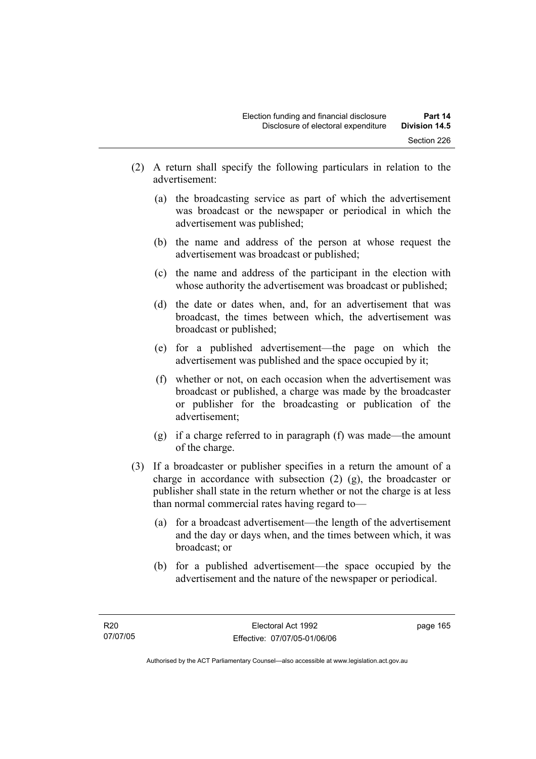- (2) A return shall specify the following particulars in relation to the advertisement:
	- (a) the broadcasting service as part of which the advertisement was broadcast or the newspaper or periodical in which the advertisement was published;
	- (b) the name and address of the person at whose request the advertisement was broadcast or published;
	- (c) the name and address of the participant in the election with whose authority the advertisement was broadcast or published;
	- (d) the date or dates when, and, for an advertisement that was broadcast, the times between which, the advertisement was broadcast or published;
	- (e) for a published advertisement—the page on which the advertisement was published and the space occupied by it;
	- (f) whether or not, on each occasion when the advertisement was broadcast or published, a charge was made by the broadcaster or publisher for the broadcasting or publication of the advertisement;
	- (g) if a charge referred to in paragraph (f) was made—the amount of the charge.
- (3) If a broadcaster or publisher specifies in a return the amount of a charge in accordance with subsection (2) (g), the broadcaster or publisher shall state in the return whether or not the charge is at less than normal commercial rates having regard to—
	- (a) for a broadcast advertisement—the length of the advertisement and the day or days when, and the times between which, it was broadcast; or
	- (b) for a published advertisement—the space occupied by the advertisement and the nature of the newspaper or periodical.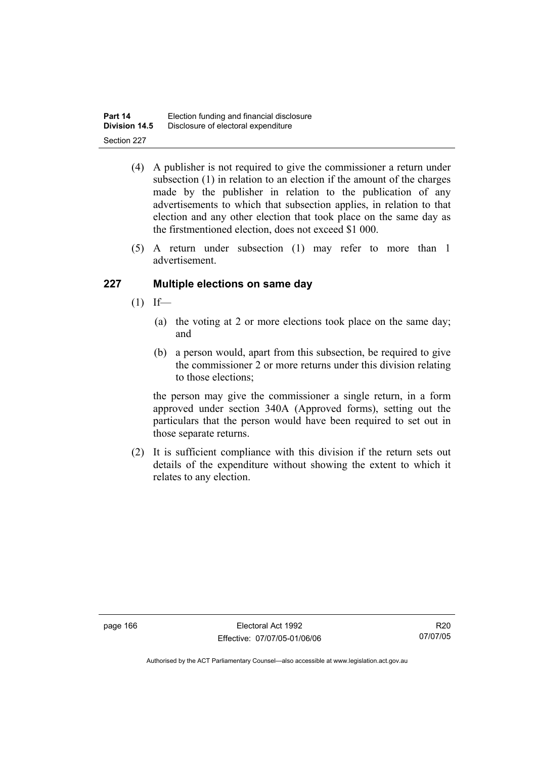| Part 14              | Election funding and financial disclosure |
|----------------------|-------------------------------------------|
| <b>Division 14.5</b> | Disclosure of electoral expenditure       |
| Section 227          |                                           |

- (4) A publisher is not required to give the commissioner a return under subsection (1) in relation to an election if the amount of the charges made by the publisher in relation to the publication of any advertisements to which that subsection applies, in relation to that election and any other election that took place on the same day as the firstmentioned election, does not exceed \$1 000.
- (5) A return under subsection (1) may refer to more than 1 advertisement.

## **227 Multiple elections on same day**

- $(1)$  If—
	- (a) the voting at 2 or more elections took place on the same day; and
	- (b) a person would, apart from this subsection, be required to give the commissioner 2 or more returns under this division relating to those elections;

the person may give the commissioner a single return, in a form approved under section 340A (Approved forms), setting out the particulars that the person would have been required to set out in those separate returns.

 (2) It is sufficient compliance with this division if the return sets out details of the expenditure without showing the extent to which it relates to any election.

R20 07/07/05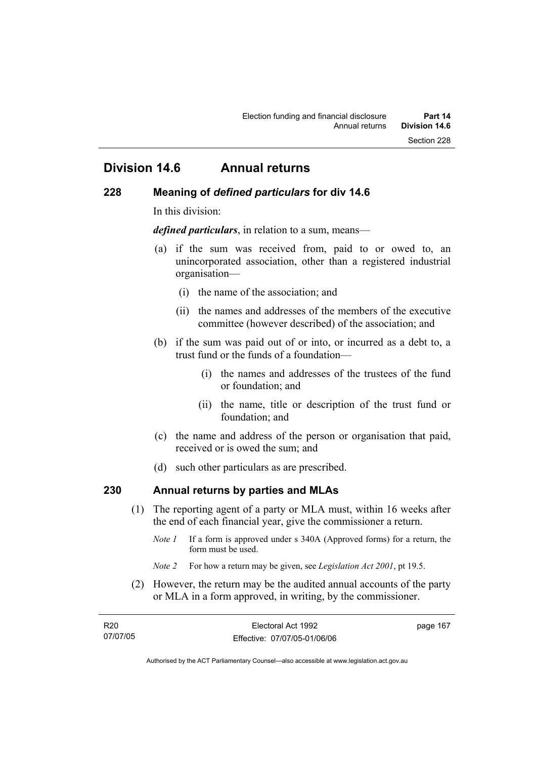# **Division 14.6 Annual returns**

### **228 Meaning of** *defined particulars* **for div 14.6**

In this division:

*defined particulars*, in relation to a sum, means—

- (a) if the sum was received from, paid to or owed to, an unincorporated association, other than a registered industrial organisation—
	- (i) the name of the association; and
	- (ii) the names and addresses of the members of the executive committee (however described) of the association; and
- (b) if the sum was paid out of or into, or incurred as a debt to, a trust fund or the funds of a foundation—
	- (i) the names and addresses of the trustees of the fund or foundation; and
	- (ii) the name, title or description of the trust fund or foundation; and
- (c) the name and address of the person or organisation that paid, received or is owed the sum; and
- (d) such other particulars as are prescribed.

## **230 Annual returns by parties and MLAs**

- (1) The reporting agent of a party or MLA must, within 16 weeks after the end of each financial year, give the commissioner a return.
	- *Note 1* If a form is approved under s 340A (Approved forms) for a return, the form must be used.
	- *Note 2* For how a return may be given, see *Legislation Act 2001*, pt 19.5.
- (2) However, the return may be the audited annual accounts of the party or MLA in a form approved, in writing, by the commissioner.

| R <sub>20</sub> | Electoral Act 1992           | page 167 |
|-----------------|------------------------------|----------|
| 07/07/05        | Effective: 07/07/05-01/06/06 |          |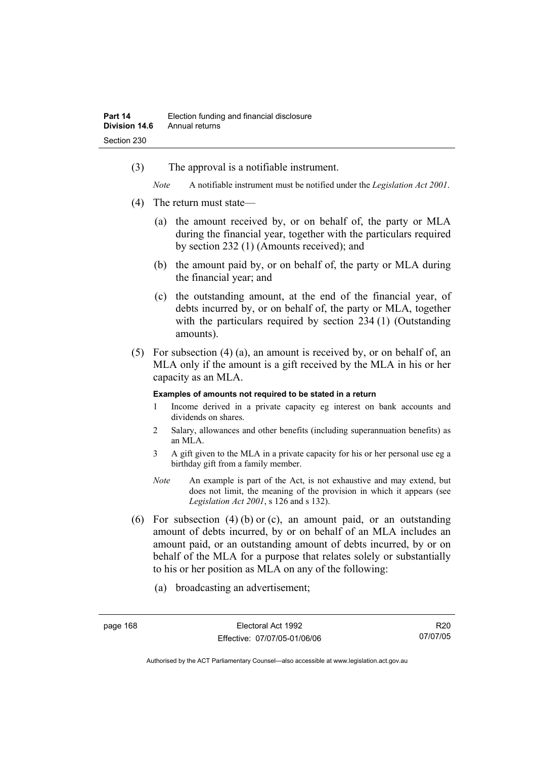(3) The approval is a notifiable instrument.

*Note* A notifiable instrument must be notified under the *Legislation Act 2001*.

- (4) The return must state—
	- (a) the amount received by, or on behalf of, the party or MLA during the financial year, together with the particulars required by section 232 (1) (Amounts received); and
	- (b) the amount paid by, or on behalf of, the party or MLA during the financial year; and
	- (c) the outstanding amount, at the end of the financial year, of debts incurred by, or on behalf of, the party or MLA, together with the particulars required by section 234 (1) (Outstanding amounts).
- (5) For subsection (4) (a), an amount is received by, or on behalf of, an MLA only if the amount is a gift received by the MLA in his or her capacity as an MLA.

#### **Examples of amounts not required to be stated in a return**

- 1 Income derived in a private capacity eg interest on bank accounts and dividends on shares.
- 2 Salary, allowances and other benefits (including superannuation benefits) as an MLA.
- 3 A gift given to the MLA in a private capacity for his or her personal use eg a birthday gift from a family member.
- *Note* An example is part of the Act, is not exhaustive and may extend, but does not limit, the meaning of the provision in which it appears (see *Legislation Act 2001*, s 126 and s 132).
- (6) For subsection (4) (b) or (c), an amount paid, or an outstanding amount of debts incurred, by or on behalf of an MLA includes an amount paid, or an outstanding amount of debts incurred, by or on behalf of the MLA for a purpose that relates solely or substantially to his or her position as MLA on any of the following:
	- (a) broadcasting an advertisement;

R20 07/07/05

Authorised by the ACT Parliamentary Counsel—also accessible at www.legislation.act.gov.au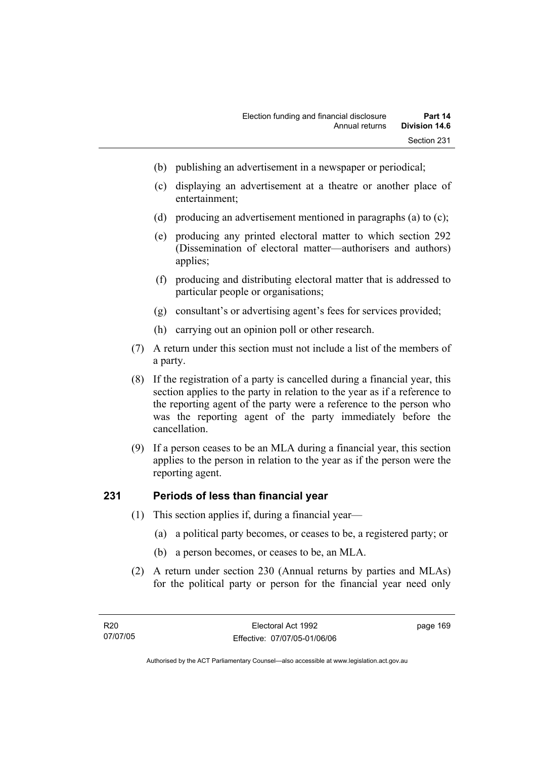- (b) publishing an advertisement in a newspaper or periodical;
- (c) displaying an advertisement at a theatre or another place of entertainment;
- (d) producing an advertisement mentioned in paragraphs (a) to (c);
- (e) producing any printed electoral matter to which section 292 (Dissemination of electoral matter—authorisers and authors) applies;
- (f) producing and distributing electoral matter that is addressed to particular people or organisations;
- (g) consultant's or advertising agent's fees for services provided;
- (h) carrying out an opinion poll or other research.
- (7) A return under this section must not include a list of the members of a party.
- (8) If the registration of a party is cancelled during a financial year, this section applies to the party in relation to the year as if a reference to the reporting agent of the party were a reference to the person who was the reporting agent of the party immediately before the cancellation.
- (9) If a person ceases to be an MLA during a financial year, this section applies to the person in relation to the year as if the person were the reporting agent.

## **231 Periods of less than financial year**

- (1) This section applies if, during a financial year—
	- (a) a political party becomes, or ceases to be, a registered party; or
	- (b) a person becomes, or ceases to be, an MLA.
- (2) A return under section 230 (Annual returns by parties and MLAs) for the political party or person for the financial year need only

page 169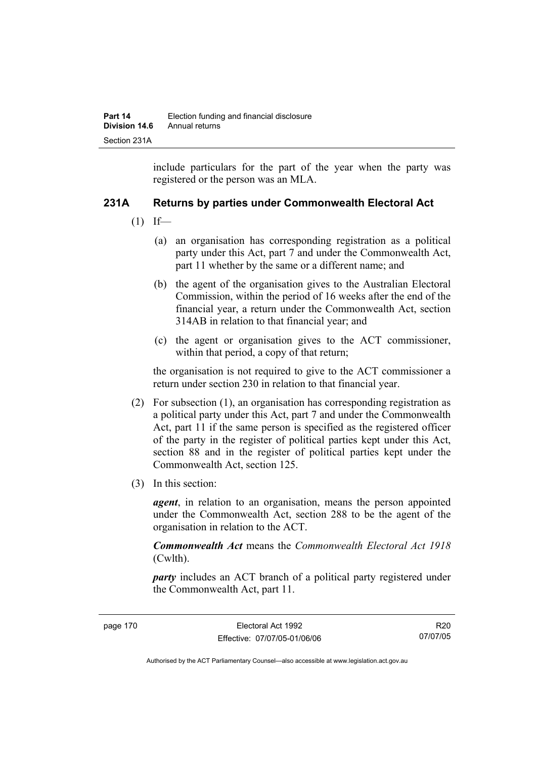include particulars for the part of the year when the party was registered or the person was an MLA.

## **231A Returns by parties under Commonwealth Electoral Act**

- $(1)$  If—
	- (a) an organisation has corresponding registration as a political party under this Act, part 7 and under the Commonwealth Act, part 11 whether by the same or a different name; and
	- (b) the agent of the organisation gives to the Australian Electoral Commission, within the period of 16 weeks after the end of the financial year, a return under the Commonwealth Act, section 314AB in relation to that financial year; and
	- (c) the agent or organisation gives to the ACT commissioner, within that period, a copy of that return;

the organisation is not required to give to the ACT commissioner a return under section 230 in relation to that financial year.

- (2) For subsection (1), an organisation has corresponding registration as a political party under this Act, part 7 and under the Commonwealth Act, part 11 if the same person is specified as the registered officer of the party in the register of political parties kept under this Act, section 88 and in the register of political parties kept under the Commonwealth Act, section 125.
- (3) In this section:

*agent*, in relation to an organisation, means the person appointed under the Commonwealth Act, section 288 to be the agent of the organisation in relation to the ACT.

*Commonwealth Act* means the *Commonwealth Electoral Act 1918* (Cwlth).

*party* includes an ACT branch of a political party registered under the Commonwealth Act, part 11.

R20 07/07/05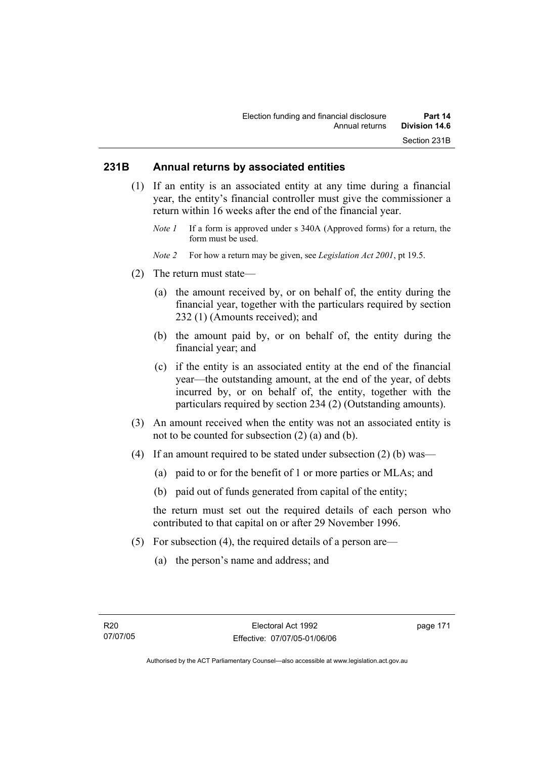## **231B Annual returns by associated entities**

- (1) If an entity is an associated entity at any time during a financial year, the entity's financial controller must give the commissioner a return within 16 weeks after the end of the financial year.
	- *Note 1* If a form is approved under s 340A (Approved forms) for a return, the form must be used.
	- *Note 2* For how a return may be given, see *Legislation Act 2001*, pt 19.5.
- (2) The return must state—
	- (a) the amount received by, or on behalf of, the entity during the financial year, together with the particulars required by section 232 (1) (Amounts received); and
	- (b) the amount paid by, or on behalf of, the entity during the financial year; and
	- (c) if the entity is an associated entity at the end of the financial year—the outstanding amount, at the end of the year, of debts incurred by, or on behalf of, the entity, together with the particulars required by section 234 (2) (Outstanding amounts).
- (3) An amount received when the entity was not an associated entity is not to be counted for subsection (2) (a) and (b).
- (4) If an amount required to be stated under subsection (2) (b) was—
	- (a) paid to or for the benefit of 1 or more parties or MLAs; and
	- (b) paid out of funds generated from capital of the entity;

the return must set out the required details of each person who contributed to that capital on or after 29 November 1996.

- (5) For subsection (4), the required details of a person are—
	- (a) the person's name and address; and

page 171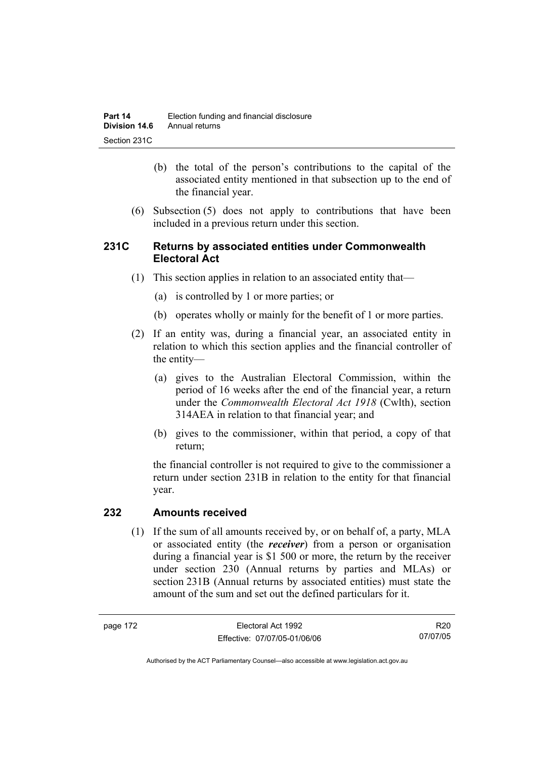- (b) the total of the person's contributions to the capital of the associated entity mentioned in that subsection up to the end of the financial year.
- (6) Subsection (5) does not apply to contributions that have been included in a previous return under this section.

## **231C Returns by associated entities under Commonwealth Electoral Act**

- (1) This section applies in relation to an associated entity that—
	- (a) is controlled by 1 or more parties; or
	- (b) operates wholly or mainly for the benefit of 1 or more parties.
- (2) If an entity was, during a financial year, an associated entity in relation to which this section applies and the financial controller of the entity—
	- (a) gives to the Australian Electoral Commission, within the period of 16 weeks after the end of the financial year, a return under the *Commonwealth Electoral Act 1918* (Cwlth), section 314AEA in relation to that financial year; and
	- (b) gives to the commissioner, within that period, a copy of that return;

the financial controller is not required to give to the commissioner a return under section 231B in relation to the entity for that financial year.

## **232 Amounts received**

 (1) If the sum of all amounts received by, or on behalf of, a party, MLA or associated entity (the *receiver*) from a person or organisation during a financial year is \$1 500 or more, the return by the receiver under section 230 (Annual returns by parties and MLAs) or section 231B (Annual returns by associated entities) must state the amount of the sum and set out the defined particulars for it.

R20 07/07/05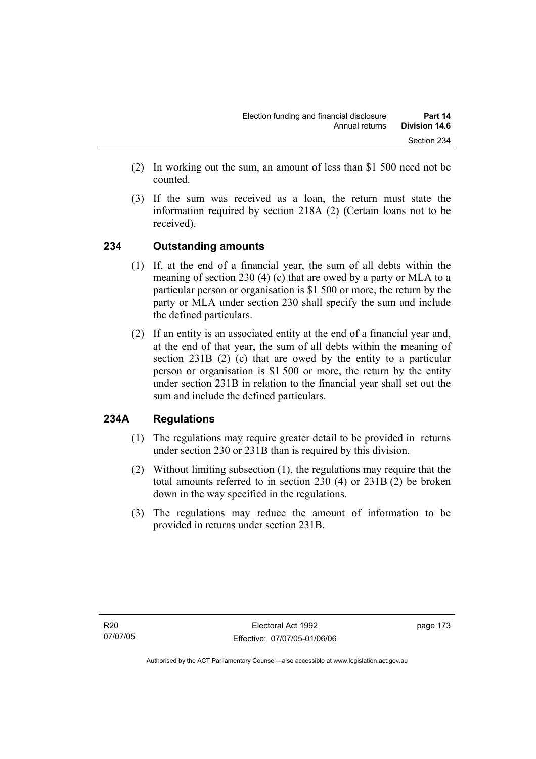- (2) In working out the sum, an amount of less than \$1 500 need not be counted.
- (3) If the sum was received as a loan, the return must state the information required by section 218A (2) (Certain loans not to be received).

## **234 Outstanding amounts**

- (1) If, at the end of a financial year, the sum of all debts within the meaning of section 230 (4) (c) that are owed by a party or MLA to a particular person or organisation is \$1 500 or more, the return by the party or MLA under section 230 shall specify the sum and include the defined particulars.
- (2) If an entity is an associated entity at the end of a financial year and, at the end of that year, the sum of all debts within the meaning of section 231B (2) (c) that are owed by the entity to a particular person or organisation is \$1 500 or more, the return by the entity under section 231B in relation to the financial year shall set out the sum and include the defined particulars.

## **234A Regulations**

- (1) The regulations may require greater detail to be provided in returns under section 230 or 231B than is required by this division.
- (2) Without limiting subsection (1), the regulations may require that the total amounts referred to in section 230 (4) or 231B (2) be broken down in the way specified in the regulations.
- (3) The regulations may reduce the amount of information to be provided in returns under section 231B.

page 173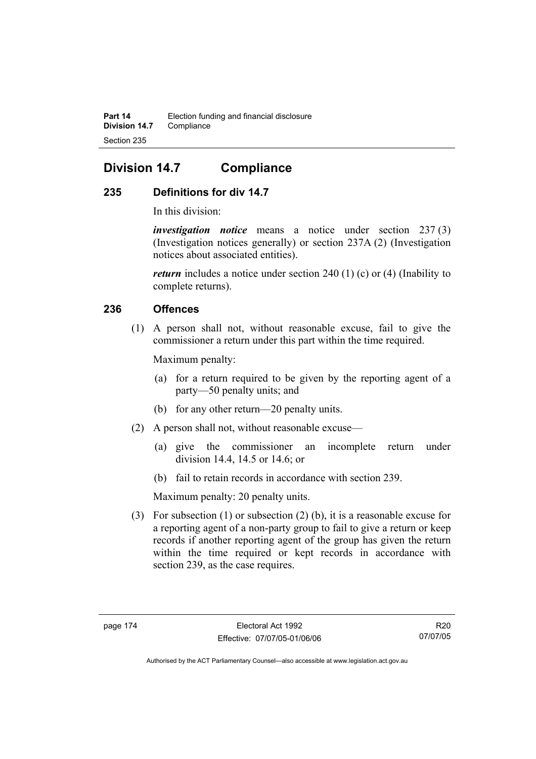# **Division 14.7 Compliance**

## **235 Definitions for div 14.7**

In this division:

*investigation notice* means a notice under section 237 (3) (Investigation notices generally) or section 237A (2) (Investigation notices about associated entities).

*return* includes a notice under section 240 (1) (c) or (4) (Inability to complete returns).

## **236 Offences**

 (1) A person shall not, without reasonable excuse, fail to give the commissioner a return under this part within the time required.

Maximum penalty:

- (a) for a return required to be given by the reporting agent of a party—50 penalty units; and
- (b) for any other return—20 penalty units.
- (2) A person shall not, without reasonable excuse—
	- (a) give the commissioner an incomplete return under division 14.4, 14.5 or 14.6; or
	- (b) fail to retain records in accordance with section 239.

Maximum penalty: 20 penalty units.

 (3) For subsection (1) or subsection (2) (b), it is a reasonable excuse for a reporting agent of a non-party group to fail to give a return or keep records if another reporting agent of the group has given the return within the time required or kept records in accordance with section 239, as the case requires.

R20 07/07/05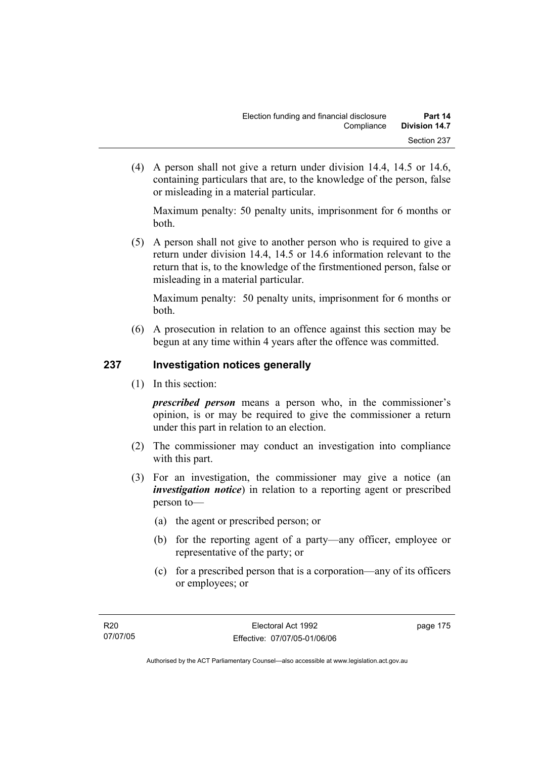(4) A person shall not give a return under division 14.4, 14.5 or 14.6, containing particulars that are, to the knowledge of the person, false or misleading in a material particular.

Maximum penalty: 50 penalty units, imprisonment for 6 months or both.

 (5) A person shall not give to another person who is required to give a return under division 14.4, 14.5 or 14.6 information relevant to the return that is, to the knowledge of the firstmentioned person, false or misleading in a material particular.

Maximum penalty: 50 penalty units, imprisonment for 6 months or both.

 (6) A prosecution in relation to an offence against this section may be begun at any time within 4 years after the offence was committed.

## **237 Investigation notices generally**

(1) In this section:

*prescribed person* means a person who, in the commissioner's opinion, is or may be required to give the commissioner a return under this part in relation to an election.

- (2) The commissioner may conduct an investigation into compliance with this part.
- (3) For an investigation, the commissioner may give a notice (an *investigation notice*) in relation to a reporting agent or prescribed person to—
	- (a) the agent or prescribed person; or
	- (b) for the reporting agent of a party—any officer, employee or representative of the party; or
	- (c) for a prescribed person that is a corporation—any of its officers or employees; or

page 175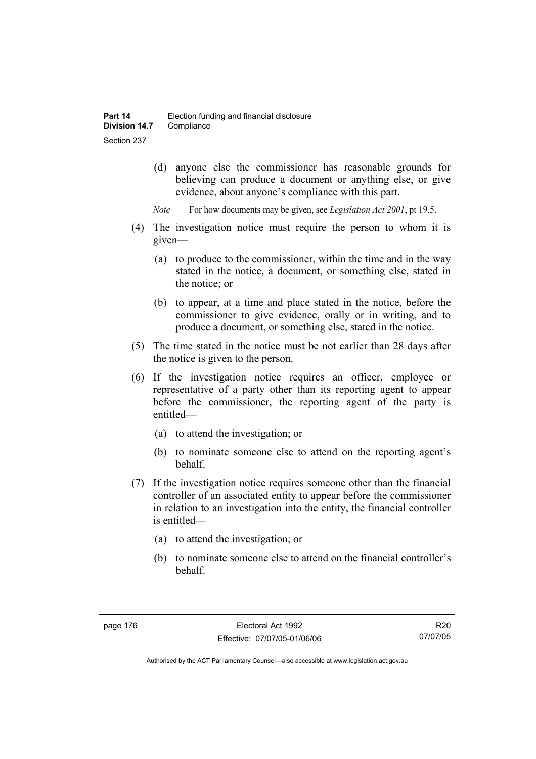- (d) anyone else the commissioner has reasonable grounds for believing can produce a document or anything else, or give evidence, about anyone's compliance with this part.
- *Note* For how documents may be given, see *Legislation Act 2001*, pt 19.5.
- (4) The investigation notice must require the person to whom it is given—
	- (a) to produce to the commissioner, within the time and in the way stated in the notice, a document, or something else, stated in the notice; or
	- (b) to appear, at a time and place stated in the notice, before the commissioner to give evidence, orally or in writing, and to produce a document, or something else, stated in the notice.
- (5) The time stated in the notice must be not earlier than 28 days after the notice is given to the person.
- (6) If the investigation notice requires an officer, employee or representative of a party other than its reporting agent to appear before the commissioner, the reporting agent of the party is entitled—
	- (a) to attend the investigation; or
	- (b) to nominate someone else to attend on the reporting agent's behalf.
- (7) If the investigation notice requires someone other than the financial controller of an associated entity to appear before the commissioner in relation to an investigation into the entity, the financial controller is entitled—
	- (a) to attend the investigation; or
	- (b) to nominate someone else to attend on the financial controller's behalf.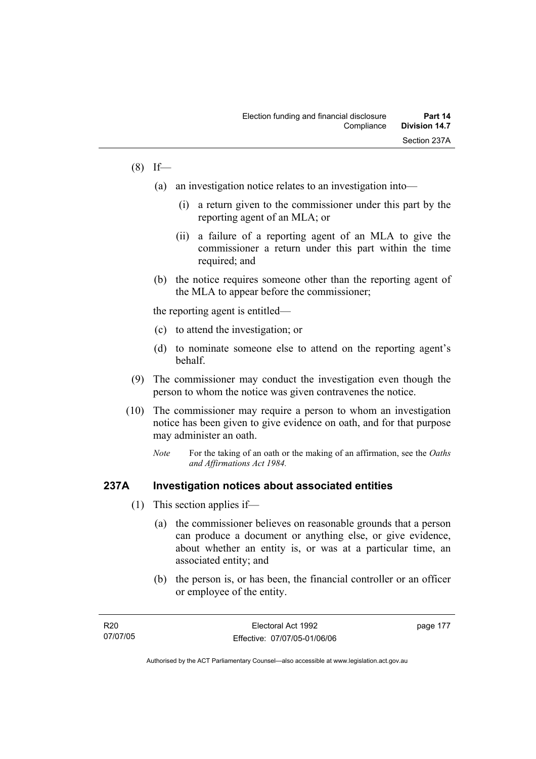## $(8)$  If—

- (a) an investigation notice relates to an investigation into—
	- (i) a return given to the commissioner under this part by the reporting agent of an MLA; or
	- (ii) a failure of a reporting agent of an MLA to give the commissioner a return under this part within the time required; and
- (b) the notice requires someone other than the reporting agent of the MLA to appear before the commissioner;

the reporting agent is entitled—

- (c) to attend the investigation; or
- (d) to nominate someone else to attend on the reporting agent's behalf.
- (9) The commissioner may conduct the investigation even though the person to whom the notice was given contravenes the notice.
- (10) The commissioner may require a person to whom an investigation notice has been given to give evidence on oath, and for that purpose may administer an oath.
	- *Note* For the taking of an oath or the making of an affirmation, see the *Oaths and Affirmations Act 1984.*

### **237A Investigation notices about associated entities**

- (1) This section applies if—
	- (a) the commissioner believes on reasonable grounds that a person can produce a document or anything else, or give evidence, about whether an entity is, or was at a particular time, an associated entity; and
	- (b) the person is, or has been, the financial controller or an officer or employee of the entity.

| R20      | Electoral Act 1992           | page 177 |
|----------|------------------------------|----------|
| 07/07/05 | Effective: 07/07/05-01/06/06 |          |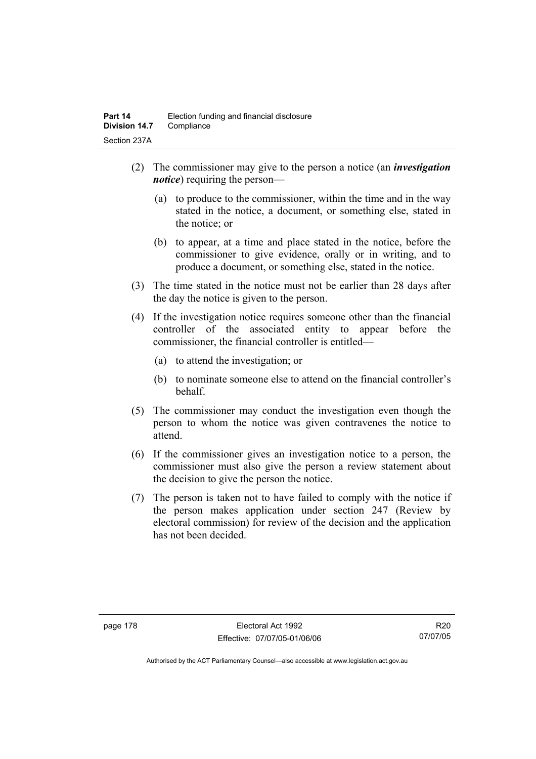- (2) The commissioner may give to the person a notice (an *investigation notice*) requiring the person—
	- (a) to produce to the commissioner, within the time and in the way stated in the notice, a document, or something else, stated in the notice; or
	- (b) to appear, at a time and place stated in the notice, before the commissioner to give evidence, orally or in writing, and to produce a document, or something else, stated in the notice.
- (3) The time stated in the notice must not be earlier than 28 days after the day the notice is given to the person.
- (4) If the investigation notice requires someone other than the financial controller of the associated entity to appear before the commissioner, the financial controller is entitled—
	- (a) to attend the investigation; or
	- (b) to nominate someone else to attend on the financial controller's behalf.
- (5) The commissioner may conduct the investigation even though the person to whom the notice was given contravenes the notice to attend.
- (6) If the commissioner gives an investigation notice to a person, the commissioner must also give the person a review statement about the decision to give the person the notice.
- (7) The person is taken not to have failed to comply with the notice if the person makes application under section 247 (Review by electoral commission) for review of the decision and the application has not been decided.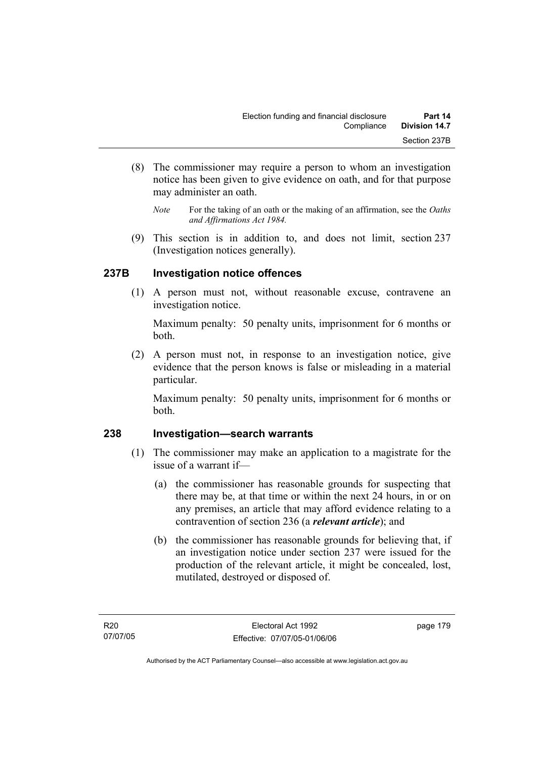- (8) The commissioner may require a person to whom an investigation notice has been given to give evidence on oath, and for that purpose may administer an oath.
	- *Note* For the taking of an oath or the making of an affirmation, see the *Oaths and Affirmations Act 1984.*
- (9) This section is in addition to, and does not limit, section 237 (Investigation notices generally).

## **237B Investigation notice offences**

 (1) A person must not, without reasonable excuse, contravene an investigation notice.

Maximum penalty: 50 penalty units, imprisonment for 6 months or both.

 (2) A person must not, in response to an investigation notice, give evidence that the person knows is false or misleading in a material particular.

Maximum penalty: 50 penalty units, imprisonment for 6 months or both.

## **238 Investigation—search warrants**

- (1) The commissioner may make an application to a magistrate for the issue of a warrant if—
	- (a) the commissioner has reasonable grounds for suspecting that there may be, at that time or within the next 24 hours, in or on any premises, an article that may afford evidence relating to a contravention of section 236 (a *relevant article*); and
	- (b) the commissioner has reasonable grounds for believing that, if an investigation notice under section 237 were issued for the production of the relevant article, it might be concealed, lost, mutilated, destroyed or disposed of.

page 179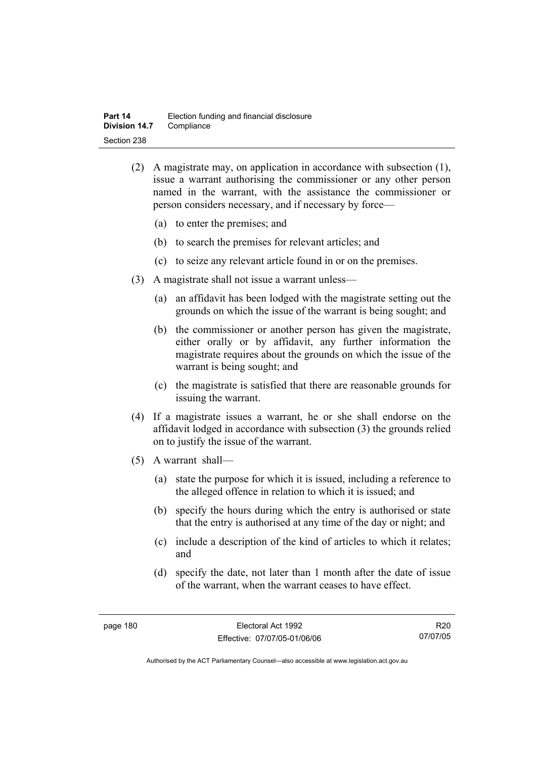- (2) A magistrate may, on application in accordance with subsection (1), issue a warrant authorising the commissioner or any other person named in the warrant, with the assistance the commissioner or person considers necessary, and if necessary by force—
	- (a) to enter the premises; and
	- (b) to search the premises for relevant articles; and
	- (c) to seize any relevant article found in or on the premises.
- (3) A magistrate shall not issue a warrant unless—
	- (a) an affidavit has been lodged with the magistrate setting out the grounds on which the issue of the warrant is being sought; and
	- (b) the commissioner or another person has given the magistrate, either orally or by affidavit, any further information the magistrate requires about the grounds on which the issue of the warrant is being sought; and
	- (c) the magistrate is satisfied that there are reasonable grounds for issuing the warrant.
- (4) If a magistrate issues a warrant, he or she shall endorse on the affidavit lodged in accordance with subsection (3) the grounds relied on to justify the issue of the warrant.
- (5) A warrant shall—
	- (a) state the purpose for which it is issued, including a reference to the alleged offence in relation to which it is issued; and
	- (b) specify the hours during which the entry is authorised or state that the entry is authorised at any time of the day or night; and
	- (c) include a description of the kind of articles to which it relates; and
	- (d) specify the date, not later than 1 month after the date of issue of the warrant, when the warrant ceases to have effect.

R20 07/07/05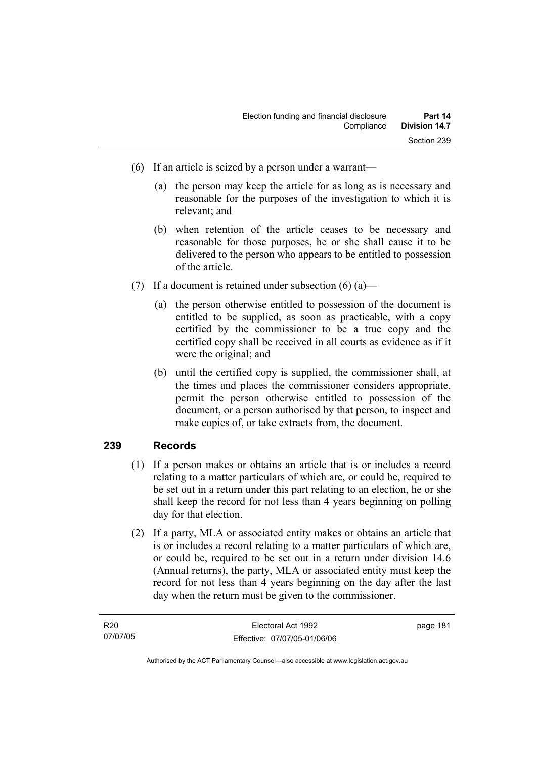- (6) If an article is seized by a person under a warrant—
	- (a) the person may keep the article for as long as is necessary and reasonable for the purposes of the investigation to which it is relevant; and
	- (b) when retention of the article ceases to be necessary and reasonable for those purposes, he or she shall cause it to be delivered to the person who appears to be entitled to possession of the article.
- (7) If a document is retained under subsection  $(6)$  (a)—
	- (a) the person otherwise entitled to possession of the document is entitled to be supplied, as soon as practicable, with a copy certified by the commissioner to be a true copy and the certified copy shall be received in all courts as evidence as if it were the original; and
	- (b) until the certified copy is supplied, the commissioner shall, at the times and places the commissioner considers appropriate, permit the person otherwise entitled to possession of the document, or a person authorised by that person, to inspect and make copies of, or take extracts from, the document.

## **239 Records**

- (1) If a person makes or obtains an article that is or includes a record relating to a matter particulars of which are, or could be, required to be set out in a return under this part relating to an election, he or she shall keep the record for not less than 4 years beginning on polling day for that election.
- (2) If a party, MLA or associated entity makes or obtains an article that is or includes a record relating to a matter particulars of which are, or could be, required to be set out in a return under division 14.6 (Annual returns), the party, MLA or associated entity must keep the record for not less than 4 years beginning on the day after the last day when the return must be given to the commissioner.

| R20      | Electoral Act 1992           | page 181 |
|----------|------------------------------|----------|
| 07/07/05 | Effective: 07/07/05-01/06/06 |          |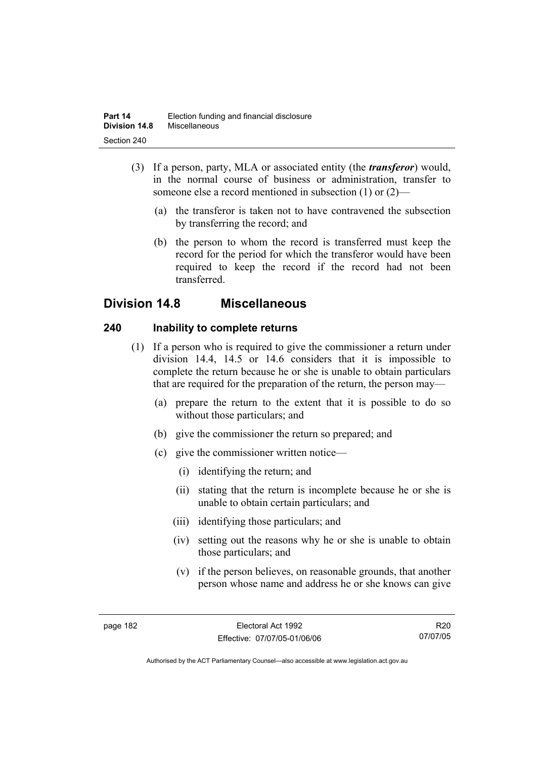- (3) If a person, party, MLA or associated entity (the *transferor*) would, in the normal course of business or administration, transfer to someone else a record mentioned in subsection (1) or (2)—
	- (a) the transferor is taken not to have contravened the subsection by transferring the record; and
	- (b) the person to whom the record is transferred must keep the record for the period for which the transferor would have been required to keep the record if the record had not been transferred.

# **Division 14.8 Miscellaneous**

## **240 Inability to complete returns**

- (1) If a person who is required to give the commissioner a return under division 14.4, 14.5 or 14.6 considers that it is impossible to complete the return because he or she is unable to obtain particulars that are required for the preparation of the return, the person may—
	- (a) prepare the return to the extent that it is possible to do so without those particulars; and
	- (b) give the commissioner the return so prepared; and
	- (c) give the commissioner written notice—
		- (i) identifying the return; and
		- (ii) stating that the return is incomplete because he or she is unable to obtain certain particulars; and
		- (iii) identifying those particulars; and
		- (iv) setting out the reasons why he or she is unable to obtain those particulars; and
		- (v) if the person believes, on reasonable grounds, that another person whose name and address he or she knows can give

R20 07/07/05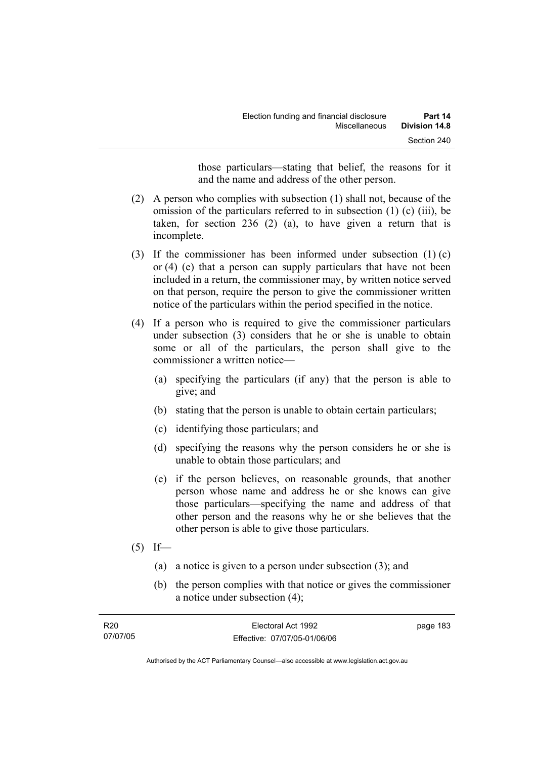those particulars—stating that belief, the reasons for it and the name and address of the other person.

- (2) A person who complies with subsection (1) shall not, because of the omission of the particulars referred to in subsection (1) (c) (iii), be taken, for section 236 (2) (a), to have given a return that is incomplete.
- (3) If the commissioner has been informed under subsection (1) (c) or (4) (e) that a person can supply particulars that have not been included in a return, the commissioner may, by written notice served on that person, require the person to give the commissioner written notice of the particulars within the period specified in the notice.
- (4) If a person who is required to give the commissioner particulars under subsection (3) considers that he or she is unable to obtain some or all of the particulars, the person shall give to the commissioner a written notice—
	- (a) specifying the particulars (if any) that the person is able to give; and
	- (b) stating that the person is unable to obtain certain particulars;
	- (c) identifying those particulars; and
	- (d) specifying the reasons why the person considers he or she is unable to obtain those particulars; and
	- (e) if the person believes, on reasonable grounds, that another person whose name and address he or she knows can give those particulars—specifying the name and address of that other person and the reasons why he or she believes that the other person is able to give those particulars.
- $(5)$  If—
	- (a) a notice is given to a person under subsection (3); and
	- (b) the person complies with that notice or gives the commissioner a notice under subsection (4);

| R <sub>20</sub> | Electoral Act 1992           | page 183 |
|-----------------|------------------------------|----------|
| 07/07/05        | Effective: 07/07/05-01/06/06 |          |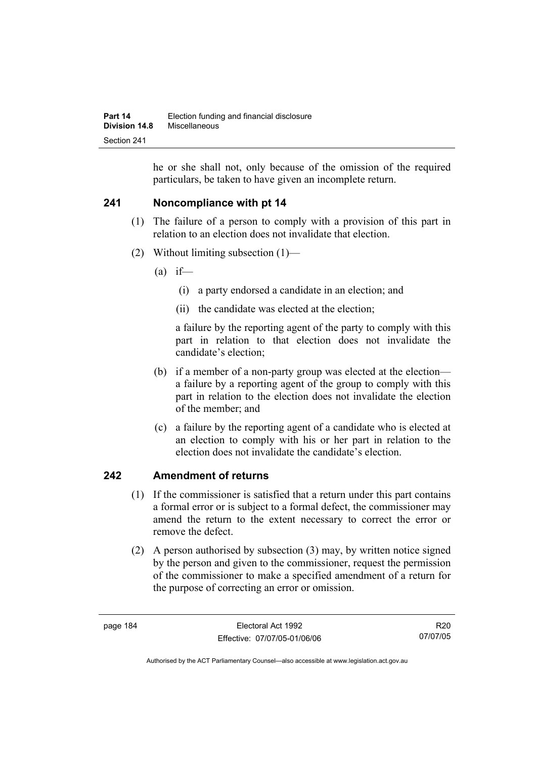he or she shall not, only because of the omission of the required particulars, be taken to have given an incomplete return.

## **241 Noncompliance with pt 14**

- (1) The failure of a person to comply with a provision of this part in relation to an election does not invalidate that election.
- (2) Without limiting subsection (1)—
	- $(a)$  if—
		- (i) a party endorsed a candidate in an election; and
		- (ii) the candidate was elected at the election;

a failure by the reporting agent of the party to comply with this part in relation to that election does not invalidate the candidate's election;

- (b) if a member of a non-party group was elected at the election a failure by a reporting agent of the group to comply with this part in relation to the election does not invalidate the election of the member; and
- (c) a failure by the reporting agent of a candidate who is elected at an election to comply with his or her part in relation to the election does not invalidate the candidate's election.

## **242 Amendment of returns**

- (1) If the commissioner is satisfied that a return under this part contains a formal error or is subject to a formal defect, the commissioner may amend the return to the extent necessary to correct the error or remove the defect.
- (2) A person authorised by subsection (3) may, by written notice signed by the person and given to the commissioner, request the permission of the commissioner to make a specified amendment of a return for the purpose of correcting an error or omission.

R20 07/07/05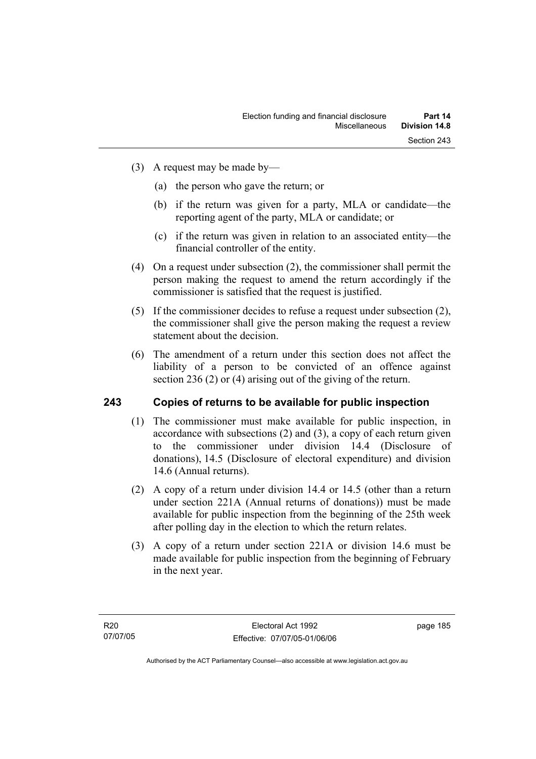- (3) A request may be made by—
	- (a) the person who gave the return; or
	- (b) if the return was given for a party, MLA or candidate—the reporting agent of the party, MLA or candidate; or
	- (c) if the return was given in relation to an associated entity—the financial controller of the entity.
- (4) On a request under subsection (2), the commissioner shall permit the person making the request to amend the return accordingly if the commissioner is satisfied that the request is justified.
- (5) If the commissioner decides to refuse a request under subsection (2), the commissioner shall give the person making the request a review statement about the decision.
- (6) The amendment of a return under this section does not affect the liability of a person to be convicted of an offence against section 236 (2) or (4) arising out of the giving of the return.

## **243 Copies of returns to be available for public inspection**

- (1) The commissioner must make available for public inspection, in accordance with subsections (2) and (3), a copy of each return given to the commissioner under division 14.4 (Disclosure of donations), 14.5 (Disclosure of electoral expenditure) and division 14.6 (Annual returns).
- (2) A copy of a return under division 14.4 or 14.5 (other than a return under section 221A (Annual returns of donations)) must be made available for public inspection from the beginning of the 25th week after polling day in the election to which the return relates.
- (3) A copy of a return under section 221A or division 14.6 must be made available for public inspection from the beginning of February in the next year.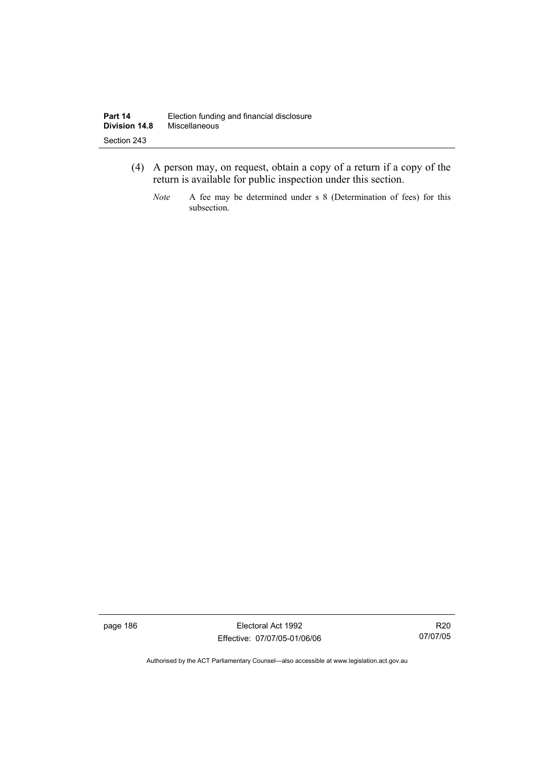- (4) A person may, on request, obtain a copy of a return if a copy of the return is available for public inspection under this section.
	- *Note* A fee may be determined under s 8 (Determination of fees) for this subsection.

page 186 Electoral Act 1992 Effective: 07/07/05-01/06/06

R20 07/07/05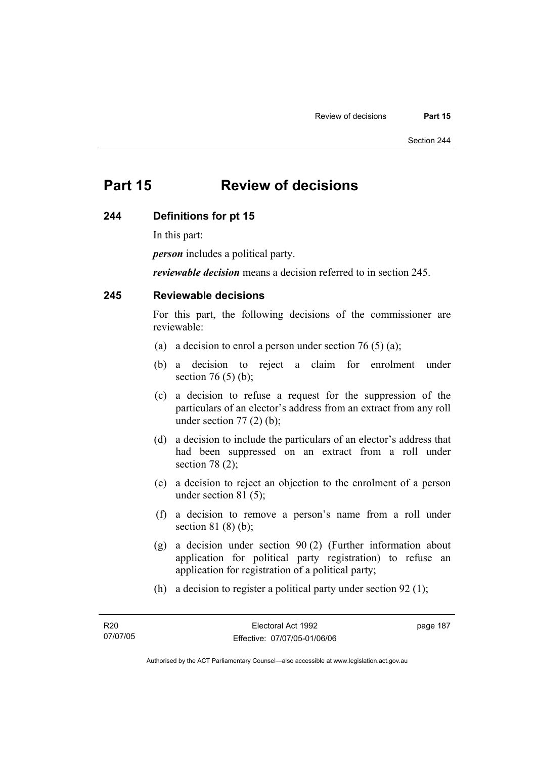# **Part 15 Review of decisions**

#### **244 Definitions for pt 15**

In this part:

*person* includes a political party.

*reviewable decision* means a decision referred to in section 245.

## **245 Reviewable decisions**

For this part, the following decisions of the commissioner are reviewable:

- (a) a decision to enrol a person under section 76 (5) (a);
- (b) a decision to reject a claim for enrolment under section 76 $(5)$  $(b)$ ;
- (c) a decision to refuse a request for the suppression of the particulars of an elector's address from an extract from any roll under section  $77(2)$  (b);
- (d) a decision to include the particulars of an elector's address that had been suppressed on an extract from a roll under section 78 (2);
- (e) a decision to reject an objection to the enrolment of a person under section 81 (5);
- (f) a decision to remove a person's name from a roll under section 81 (8) (b);
- (g) a decision under section 90 (2) (Further information about application for political party registration) to refuse an application for registration of a political party;
- (h) a decision to register a political party under section 92 (1);

page 187

Authorised by the ACT Parliamentary Counsel—also accessible at www.legislation.act.gov.au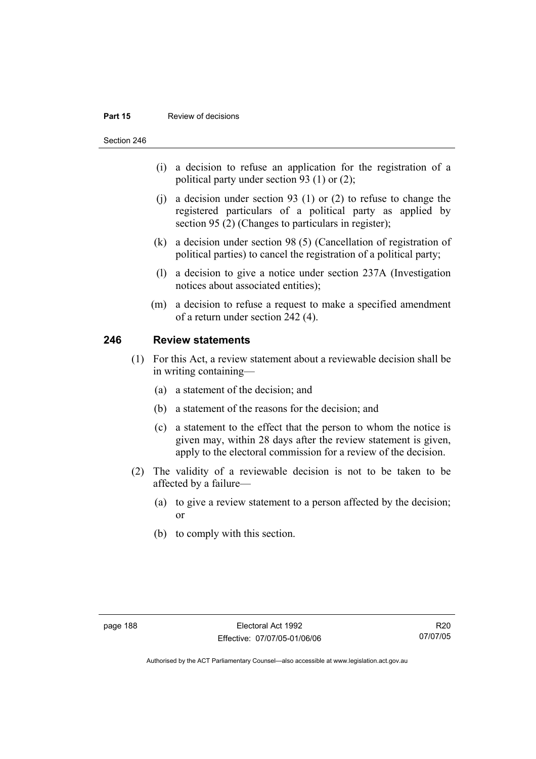#### **Part 15 Review of decisions**

Section 246

- (i) a decision to refuse an application for the registration of a political party under section 93 (1) or (2);
- (j) a decision under section 93 (1) or (2) to refuse to change the registered particulars of a political party as applied by section 95 (2) (Changes to particulars in register);
- (k) a decision under section 98 (5) (Cancellation of registration of political parties) to cancel the registration of a political party;
- (l) a decision to give a notice under section 237A (Investigation notices about associated entities);
- (m) a decision to refuse a request to make a specified amendment of a return under section 242 (4).

## **246 Review statements**

- (1) For this Act, a review statement about a reviewable decision shall be in writing containing—
	- (a) a statement of the decision; and
	- (b) a statement of the reasons for the decision; and
	- (c) a statement to the effect that the person to whom the notice is given may, within 28 days after the review statement is given, apply to the electoral commission for a review of the decision.
- (2) The validity of a reviewable decision is not to be taken to be affected by a failure—
	- (a) to give a review statement to a person affected by the decision; or
	- (b) to comply with this section.

R20 07/07/05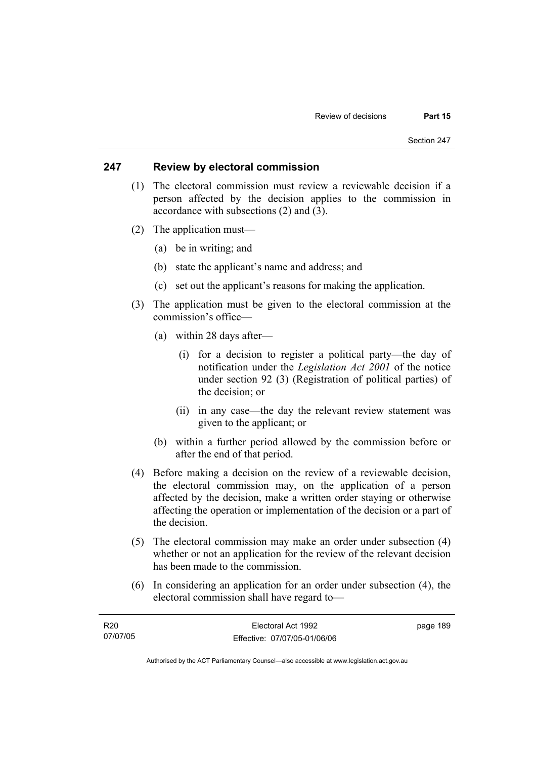### **247 Review by electoral commission**

- (1) The electoral commission must review a reviewable decision if a person affected by the decision applies to the commission in accordance with subsections (2) and (3).
- (2) The application must—
	- (a) be in writing; and
	- (b) state the applicant's name and address; and
	- (c) set out the applicant's reasons for making the application.
- (3) The application must be given to the electoral commission at the commission's office—
	- (a) within 28 days after—
		- (i) for a decision to register a political party—the day of notification under the *Legislation Act 2001* of the notice under section 92 (3) (Registration of political parties) of the decision; or
		- (ii) in any case—the day the relevant review statement was given to the applicant; or
	- (b) within a further period allowed by the commission before or after the end of that period.
- (4) Before making a decision on the review of a reviewable decision, the electoral commission may, on the application of a person affected by the decision, make a written order staying or otherwise affecting the operation or implementation of the decision or a part of the decision.
- (5) The electoral commission may make an order under subsection (4) whether or not an application for the review of the relevant decision has been made to the commission.
- (6) In considering an application for an order under subsection (4), the electoral commission shall have regard to—

| R20      | Electoral Act 1992           | page 189 |
|----------|------------------------------|----------|
| 07/07/05 | Effective: 07/07/05-01/06/06 |          |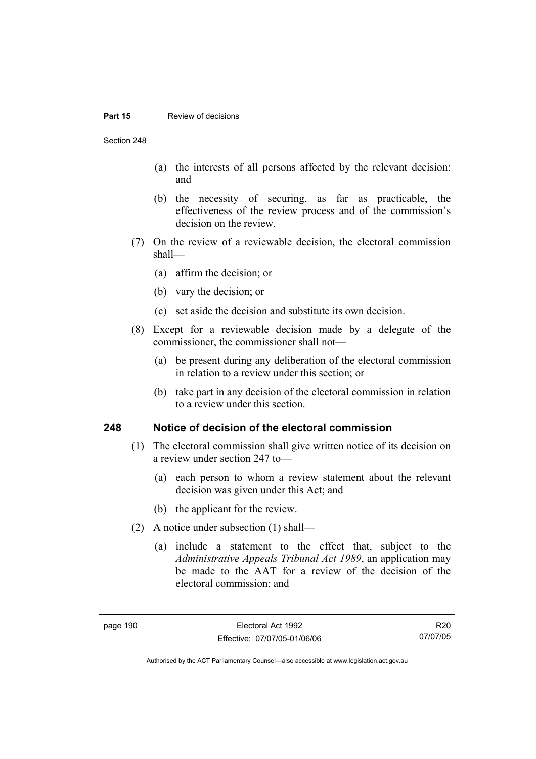#### **Part 15 Review of decisions**

Section 248

- (a) the interests of all persons affected by the relevant decision; and
- (b) the necessity of securing, as far as practicable, the effectiveness of the review process and of the commission's decision on the review.
- (7) On the review of a reviewable decision, the electoral commission shall—
	- (a) affirm the decision; or
	- (b) vary the decision; or
	- (c) set aside the decision and substitute its own decision.
- (8) Except for a reviewable decision made by a delegate of the commissioner, the commissioner shall not—
	- (a) be present during any deliberation of the electoral commission in relation to a review under this section; or
	- (b) take part in any decision of the electoral commission in relation to a review under this section.

#### **248 Notice of decision of the electoral commission**

- (1) The electoral commission shall give written notice of its decision on a review under section 247 to—
	- (a) each person to whom a review statement about the relevant decision was given under this Act; and
	- (b) the applicant for the review.
- (2) A notice under subsection (1) shall—
	- (a) include a statement to the effect that, subject to the *Administrative Appeals Tribunal Act 1989*, an application may be made to the AAT for a review of the decision of the electoral commission; and

R20 07/07/05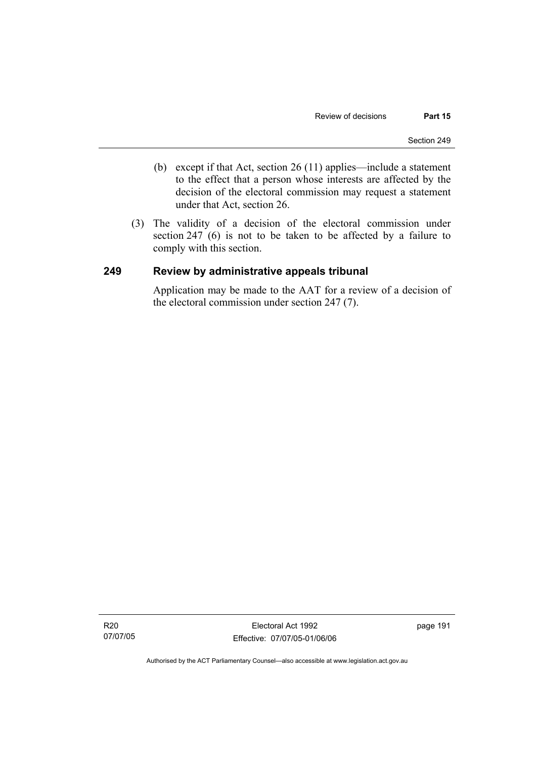- (b) except if that Act, section 26 (11) applies—include a statement to the effect that a person whose interests are affected by the decision of the electoral commission may request a statement under that Act, section 26.
- (3) The validity of a decision of the electoral commission under section 247 (6) is not to be taken to be affected by a failure to comply with this section.

## **249 Review by administrative appeals tribunal**

Application may be made to the AAT for a review of a decision of the electoral commission under section 247 (7).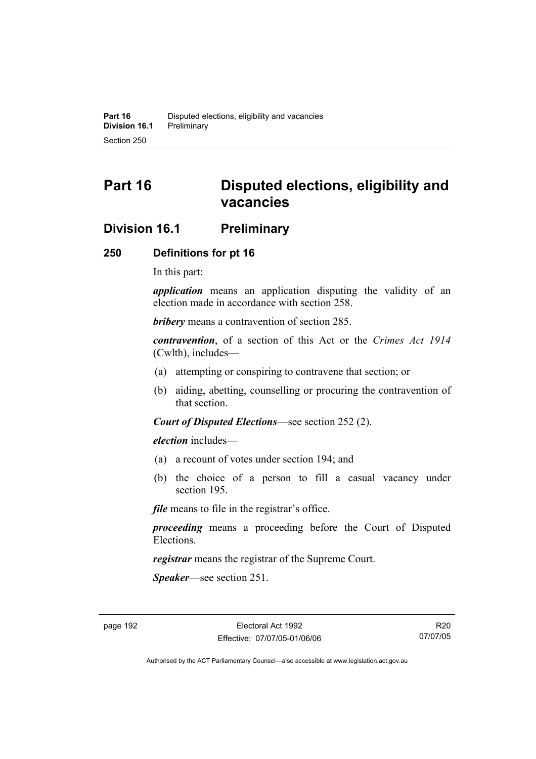# **Part 16 Disputed elections, eligibility and vacancies**

## **Division 16.1 Preliminary**

## **250 Definitions for pt 16**

In this part:

*application* means an application disputing the validity of an election made in accordance with section 258.

*bribery* means a contravention of section 285.

*contravention*, of a section of this Act or the *Crimes Act 1914* (Cwlth), includes—

- (a) attempting or conspiring to contravene that section; or
- (b) aiding, abetting, counselling or procuring the contravention of that section.

*Court of Disputed Elections*—see section 252 (2).

*election* includes—

- (a) a recount of votes under section 194; and
- (b) the choice of a person to fill a casual vacancy under section 195.

*file* means to file in the registrar's office.

*proceeding* means a proceeding before the Court of Disputed Elections.

*registrar* means the registrar of the Supreme Court.

*Speaker*—see section 251.

R20 07/07/05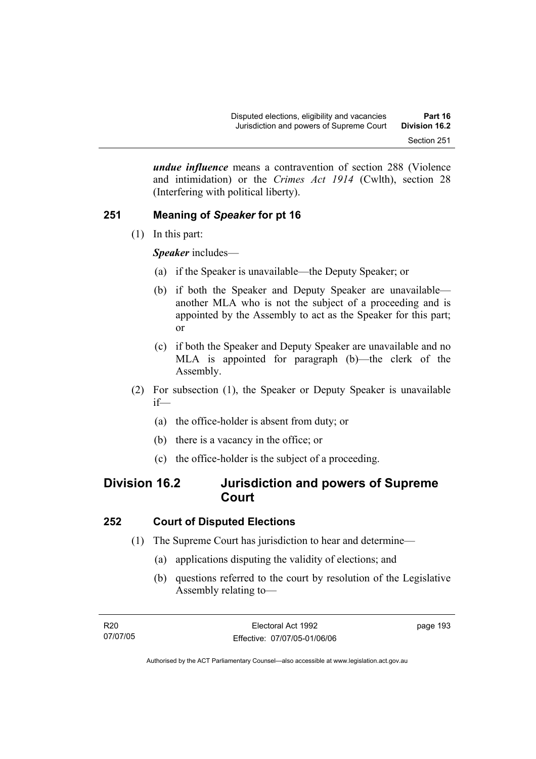*undue influence* means a contravention of section 288 (Violence and intimidation) or the *Crimes Act 1914* (Cwlth), section 28 (Interfering with political liberty).

## **251 Meaning of** *Speaker* **for pt 16**

(1) In this part:

*Speaker* includes—

- (a) if the Speaker is unavailable—the Deputy Speaker; or
- (b) if both the Speaker and Deputy Speaker are unavailable another MLA who is not the subject of a proceeding and is appointed by the Assembly to act as the Speaker for this part; or
- (c) if both the Speaker and Deputy Speaker are unavailable and no MLA is appointed for paragraph (b)—the clerk of the Assembly.
- (2) For subsection (1), the Speaker or Deputy Speaker is unavailable if—
	- (a) the office-holder is absent from duty; or
	- (b) there is a vacancy in the office; or
	- (c) the office-holder is the subject of a proceeding.

# **Division 16.2 Jurisdiction and powers of Supreme Court**

## **252 Court of Disputed Elections**

- (1) The Supreme Court has jurisdiction to hear and determine—
	- (a) applications disputing the validity of elections; and
	- (b) questions referred to the court by resolution of the Legislative Assembly relating to—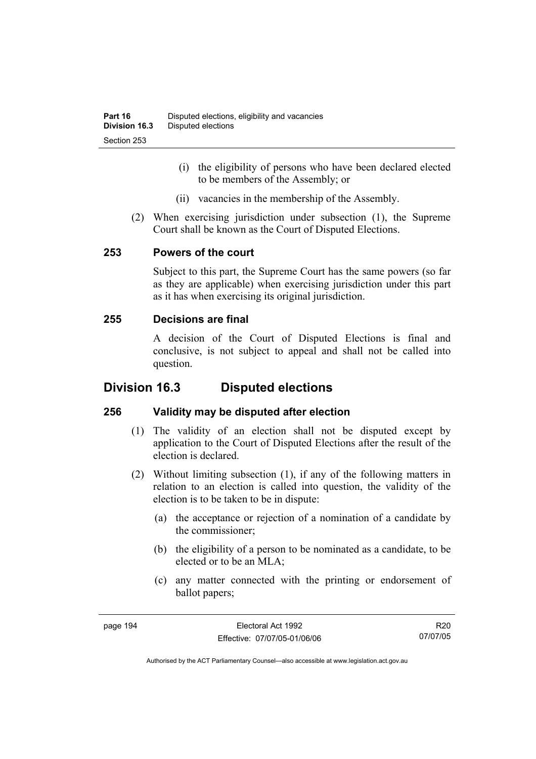- (i) the eligibility of persons who have been declared elected to be members of the Assembly; or
- (ii) vacancies in the membership of the Assembly.
- (2) When exercising jurisdiction under subsection (1), the Supreme Court shall be known as the Court of Disputed Elections.

## **253 Powers of the court**

Subject to this part, the Supreme Court has the same powers (so far as they are applicable) when exercising jurisdiction under this part as it has when exercising its original jurisdiction.

## **255 Decisions are final**

A decision of the Court of Disputed Elections is final and conclusive, is not subject to appeal and shall not be called into question.

# **Division 16.3 Disputed elections**

## **256 Validity may be disputed after election**

- (1) The validity of an election shall not be disputed except by application to the Court of Disputed Elections after the result of the election is declared.
- (2) Without limiting subsection (1), if any of the following matters in relation to an election is called into question, the validity of the election is to be taken to be in dispute:
	- (a) the acceptance or rejection of a nomination of a candidate by the commissioner;
	- (b) the eligibility of a person to be nominated as a candidate, to be elected or to be an MLA;
	- (c) any matter connected with the printing or endorsement of ballot papers;

R20 07/07/05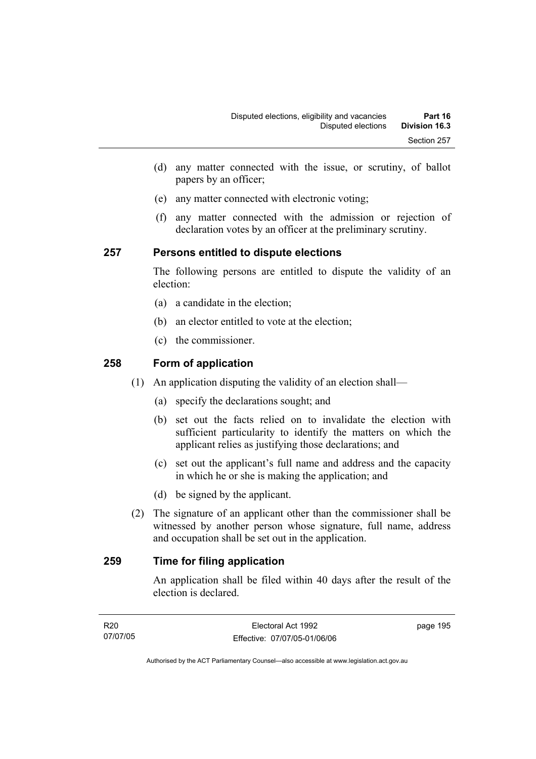- (d) any matter connected with the issue, or scrutiny, of ballot papers by an officer;
- (e) any matter connected with electronic voting;
- (f) any matter connected with the admission or rejection of declaration votes by an officer at the preliminary scrutiny.

## **257 Persons entitled to dispute elections**

The following persons are entitled to dispute the validity of an election:

- (a) a candidate in the election;
- (b) an elector entitled to vote at the election;
- (c) the commissioner.

## **258 Form of application**

- (1) An application disputing the validity of an election shall—
	- (a) specify the declarations sought; and
	- (b) set out the facts relied on to invalidate the election with sufficient particularity to identify the matters on which the applicant relies as justifying those declarations; and
	- (c) set out the applicant's full name and address and the capacity in which he or she is making the application; and
	- (d) be signed by the applicant.
- (2) The signature of an applicant other than the commissioner shall be witnessed by another person whose signature, full name, address and occupation shall be set out in the application.

## **259 Time for filing application**

An application shall be filed within 40 days after the result of the election is declared.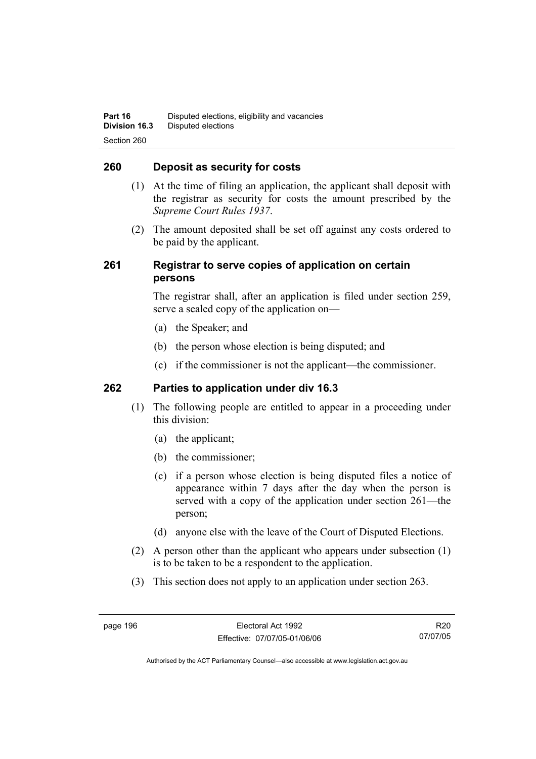## **260 Deposit as security for costs**

- (1) At the time of filing an application, the applicant shall deposit with the registrar as security for costs the amount prescribed by the *Supreme Court Rules 1937*.
- (2) The amount deposited shall be set off against any costs ordered to be paid by the applicant.

## **261 Registrar to serve copies of application on certain persons**

The registrar shall, after an application is filed under section 259, serve a sealed copy of the application on—

- (a) the Speaker; and
- (b) the person whose election is being disputed; and
- (c) if the commissioner is not the applicant—the commissioner.

## **262 Parties to application under div 16.3**

- (1) The following people are entitled to appear in a proceeding under this division:
	- (a) the applicant;
	- (b) the commissioner;
	- (c) if a person whose election is being disputed files a notice of appearance within 7 days after the day when the person is served with a copy of the application under section 261—the person;
	- (d) anyone else with the leave of the Court of Disputed Elections.
- (2) A person other than the applicant who appears under subsection (1) is to be taken to be a respondent to the application.
- (3) This section does not apply to an application under section 263.

R20 07/07/05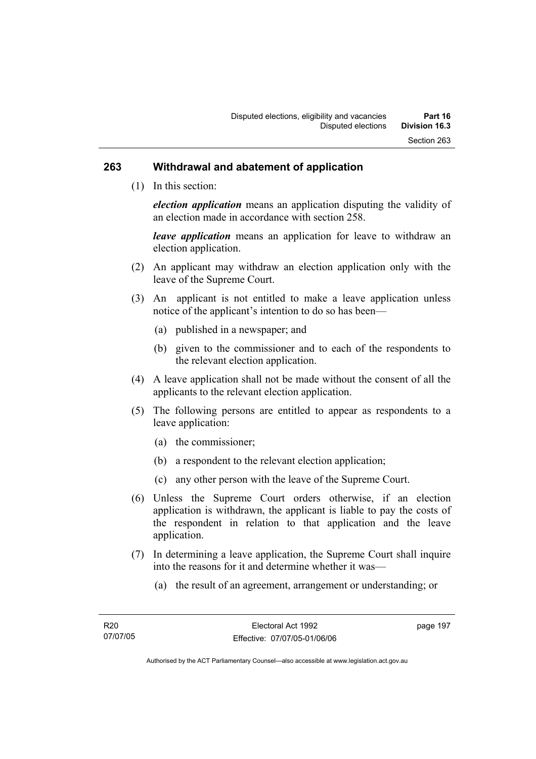#### **263 Withdrawal and abatement of application**

(1) In this section:

*election application* means an application disputing the validity of an election made in accordance with section 258.

*leave application* means an application for leave to withdraw an election application.

- (2) An applicant may withdraw an election application only with the leave of the Supreme Court.
- (3) An applicant is not entitled to make a leave application unless notice of the applicant's intention to do so has been—
	- (a) published in a newspaper; and
	- (b) given to the commissioner and to each of the respondents to the relevant election application.
- (4) A leave application shall not be made without the consent of all the applicants to the relevant election application.
- (5) The following persons are entitled to appear as respondents to a leave application:
	- (a) the commissioner;
	- (b) a respondent to the relevant election application;
	- (c) any other person with the leave of the Supreme Court.
- (6) Unless the Supreme Court orders otherwise, if an election application is withdrawn, the applicant is liable to pay the costs of the respondent in relation to that application and the leave application.
- (7) In determining a leave application, the Supreme Court shall inquire into the reasons for it and determine whether it was—
	- (a) the result of an agreement, arrangement or understanding; or

page 197

Authorised by the ACT Parliamentary Counsel—also accessible at www.legislation.act.gov.au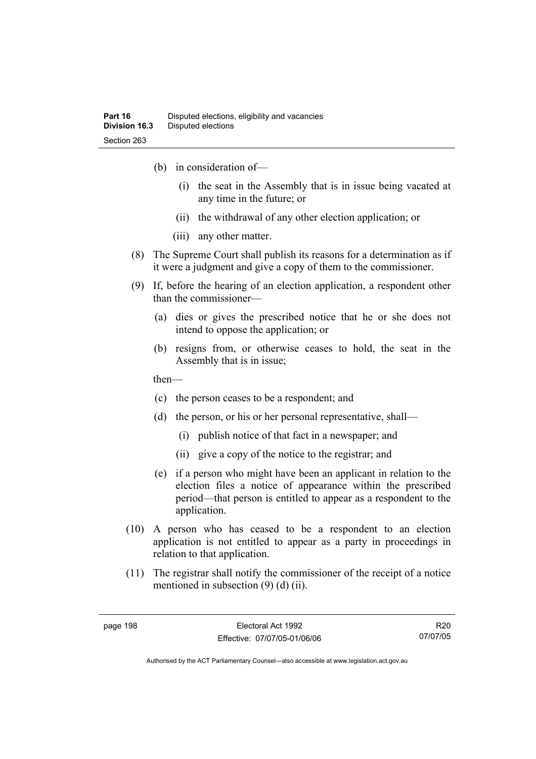- (b) in consideration of—
	- (i) the seat in the Assembly that is in issue being vacated at any time in the future; or
	- (ii) the withdrawal of any other election application; or
	- (iii) any other matter.
- (8) The Supreme Court shall publish its reasons for a determination as if it were a judgment and give a copy of them to the commissioner.
- (9) If, before the hearing of an election application, a respondent other than the commissioner—
	- (a) dies or gives the prescribed notice that he or she does not intend to oppose the application; or
	- (b) resigns from, or otherwise ceases to hold, the seat in the Assembly that is in issue;

then—

- (c) the person ceases to be a respondent; and
- (d) the person, or his or her personal representative, shall—
	- (i) publish notice of that fact in a newspaper; and
	- (ii) give a copy of the notice to the registrar; and
- (e) if a person who might have been an applicant in relation to the election files a notice of appearance within the prescribed period—that person is entitled to appear as a respondent to the application.
- (10) A person who has ceased to be a respondent to an election application is not entitled to appear as a party in proceedings in relation to that application.
- (11) The registrar shall notify the commissioner of the receipt of a notice mentioned in subsection (9) (d) (ii).

R20 07/07/05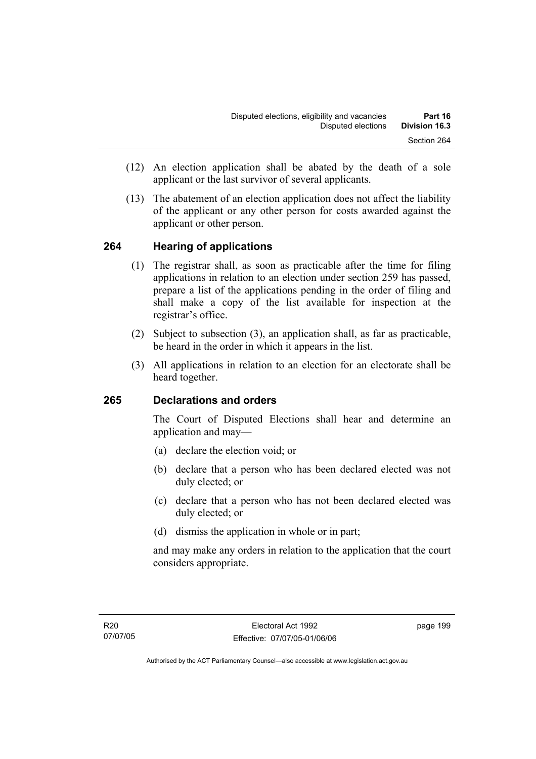- (12) An election application shall be abated by the death of a sole applicant or the last survivor of several applicants.
- (13) The abatement of an election application does not affect the liability of the applicant or any other person for costs awarded against the applicant or other person.

## **264 Hearing of applications**

- (1) The registrar shall, as soon as practicable after the time for filing applications in relation to an election under section 259 has passed, prepare a list of the applications pending in the order of filing and shall make a copy of the list available for inspection at the registrar's office.
- (2) Subject to subsection (3), an application shall, as far as practicable, be heard in the order in which it appears in the list.
- (3) All applications in relation to an election for an electorate shall be heard together.

## **265 Declarations and orders**

The Court of Disputed Elections shall hear and determine an application and may—

- (a) declare the election void; or
- (b) declare that a person who has been declared elected was not duly elected; or
- (c) declare that a person who has not been declared elected was duly elected; or
- (d) dismiss the application in whole or in part;

and may make any orders in relation to the application that the court considers appropriate.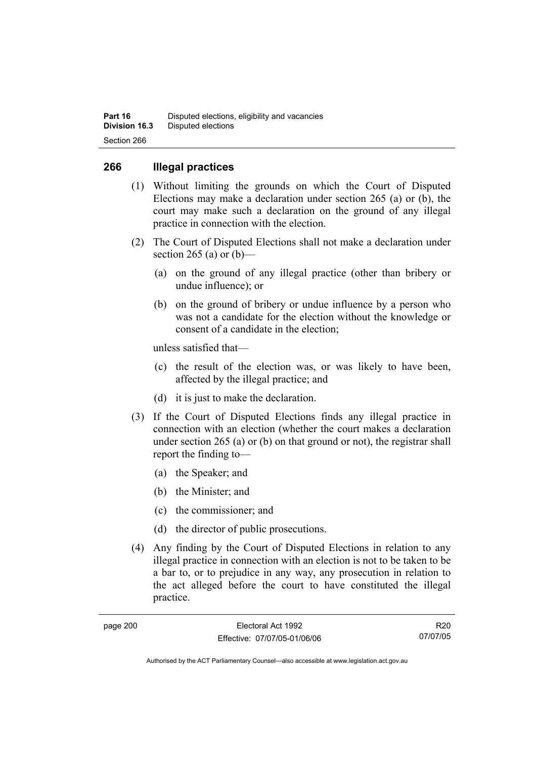### **266 Illegal practices**

- (1) Without limiting the grounds on which the Court of Disputed Elections may make a declaration under section 265 (a) or (b), the court may make such a declaration on the ground of any illegal practice in connection with the election.
- (2) The Court of Disputed Elections shall not make a declaration under section 265 (a) or  $(b)$ —
	- (a) on the ground of any illegal practice (other than bribery or undue influence); or
	- (b) on the ground of bribery or undue influence by a person who was not a candidate for the election without the knowledge or consent of a candidate in the election;

unless satisfied that—

- (c) the result of the election was, or was likely to have been, affected by the illegal practice; and
- (d) it is just to make the declaration.
- (3) If the Court of Disputed Elections finds any illegal practice in connection with an election (whether the court makes a declaration under section 265 (a) or (b) on that ground or not), the registrar shall report the finding to—
	- (a) the Speaker; and
	- (b) the Minister; and
	- (c) the commissioner; and
	- (d) the director of public prosecutions.
- (4) Any finding by the Court of Disputed Elections in relation to any illegal practice in connection with an election is not to be taken to be a bar to, or to prejudice in any way, any prosecution in relation to the act alleged before the court to have constituted the illegal practice.

| page 200 |  |
|----------|--|
|----------|--|

R20 07/07/05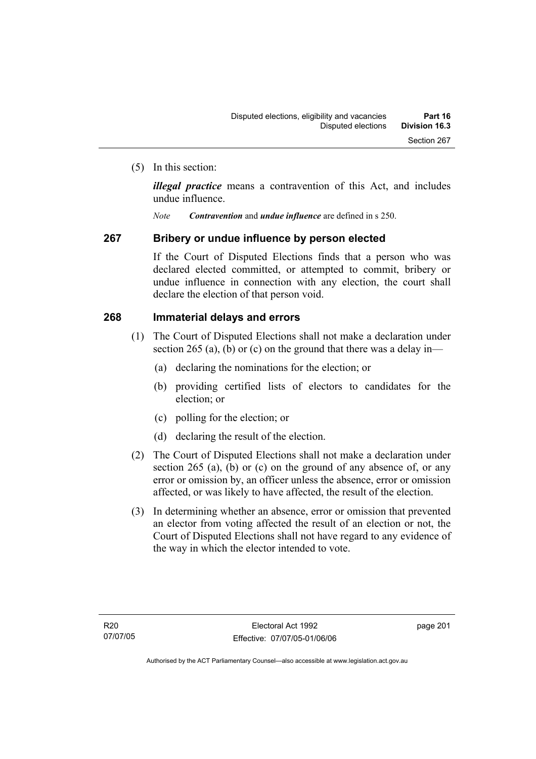(5) In this section:

*illegal practice* means a contravention of this Act, and includes undue influence.

*Note Contravention* and *undue influence* are defined in s 250.

#### **267 Bribery or undue influence by person elected**

If the Court of Disputed Elections finds that a person who was declared elected committed, or attempted to commit, bribery or undue influence in connection with any election, the court shall declare the election of that person void.

#### **268 Immaterial delays and errors**

- (1) The Court of Disputed Elections shall not make a declaration under section 265 (a), (b) or (c) on the ground that there was a delay in—
	- (a) declaring the nominations for the election; or
	- (b) providing certified lists of electors to candidates for the election; or
	- (c) polling for the election; or
	- (d) declaring the result of the election.
- (2) The Court of Disputed Elections shall not make a declaration under section 265 (a), (b) or (c) on the ground of any absence of, or any error or omission by, an officer unless the absence, error or omission affected, or was likely to have affected, the result of the election.
- (3) In determining whether an absence, error or omission that prevented an elector from voting affected the result of an election or not, the Court of Disputed Elections shall not have regard to any evidence of the way in which the elector intended to vote.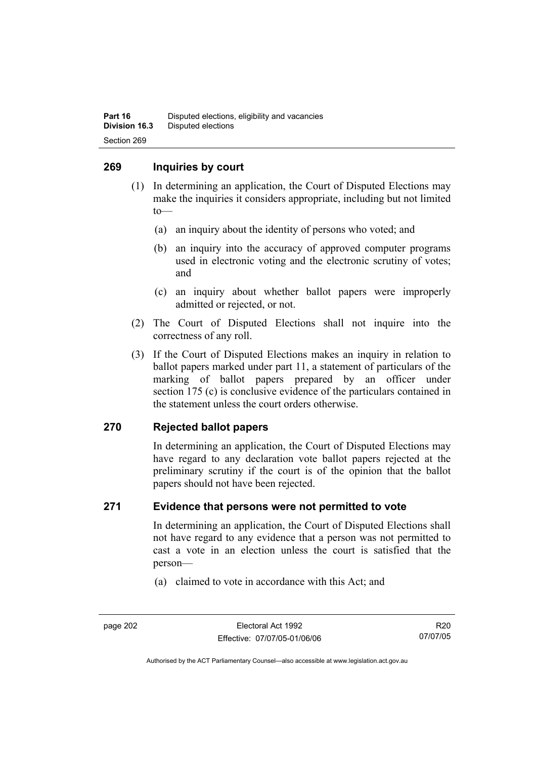### **269 Inquiries by court**

- (1) In determining an application, the Court of Disputed Elections may make the inquiries it considers appropriate, including but not limited to—
	- (a) an inquiry about the identity of persons who voted; and
	- (b) an inquiry into the accuracy of approved computer programs used in electronic voting and the electronic scrutiny of votes; and
	- (c) an inquiry about whether ballot papers were improperly admitted or rejected, or not.
- (2) The Court of Disputed Elections shall not inquire into the correctness of any roll.
- (3) If the Court of Disputed Elections makes an inquiry in relation to ballot papers marked under part 11, a statement of particulars of the marking of ballot papers prepared by an officer under section 175 (c) is conclusive evidence of the particulars contained in the statement unless the court orders otherwise.

## **270 Rejected ballot papers**

In determining an application, the Court of Disputed Elections may have regard to any declaration vote ballot papers rejected at the preliminary scrutiny if the court is of the opinion that the ballot papers should not have been rejected.

#### **271 Evidence that persons were not permitted to vote**

In determining an application, the Court of Disputed Elections shall not have regard to any evidence that a person was not permitted to cast a vote in an election unless the court is satisfied that the person—

(a) claimed to vote in accordance with this Act; and

Authorised by the ACT Parliamentary Counsel—also accessible at www.legislation.act.gov.au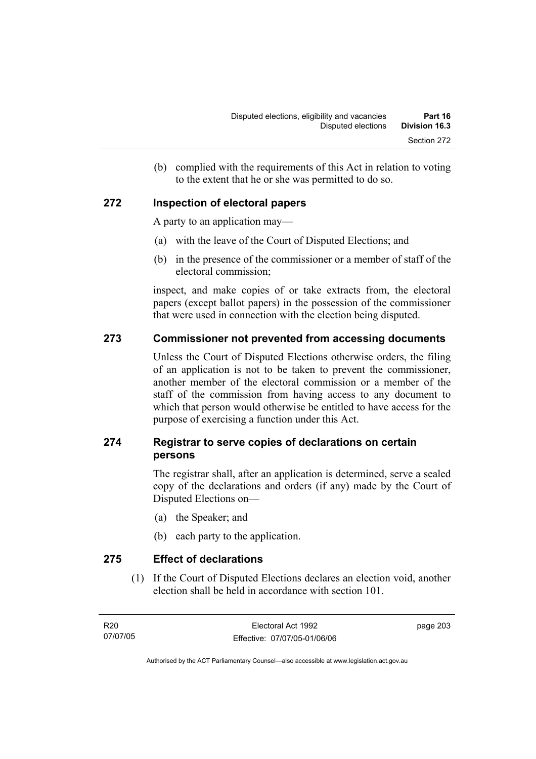(b) complied with the requirements of this Act in relation to voting to the extent that he or she was permitted to do so.

## **272 Inspection of electoral papers**

A party to an application may—

- (a) with the leave of the Court of Disputed Elections; and
- (b) in the presence of the commissioner or a member of staff of the electoral commission;

inspect, and make copies of or take extracts from, the electoral papers (except ballot papers) in the possession of the commissioner that were used in connection with the election being disputed.

#### **273 Commissioner not prevented from accessing documents**

Unless the Court of Disputed Elections otherwise orders, the filing of an application is not to be taken to prevent the commissioner, another member of the electoral commission or a member of the staff of the commission from having access to any document to which that person would otherwise be entitled to have access for the purpose of exercising a function under this Act.

## **274 Registrar to serve copies of declarations on certain persons**

The registrar shall, after an application is determined, serve a sealed copy of the declarations and orders (if any) made by the Court of Disputed Elections on—

- (a) the Speaker; and
- (b) each party to the application.

**275 Effect of declarations** 

 (1) If the Court of Disputed Elections declares an election void, another election shall be held in accordance with section 101.

page 203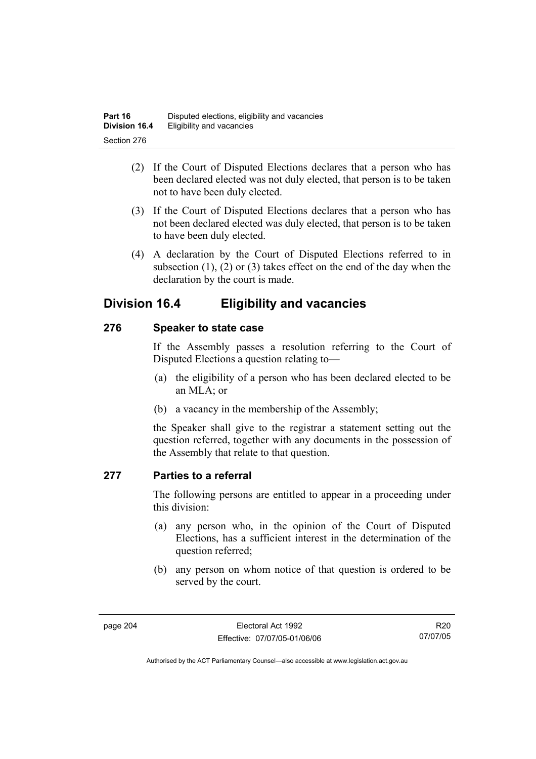- (2) If the Court of Disputed Elections declares that a person who has been declared elected was not duly elected, that person is to be taken not to have been duly elected.
- (3) If the Court of Disputed Elections declares that a person who has not been declared elected was duly elected, that person is to be taken to have been duly elected.
- (4) A declaration by the Court of Disputed Elections referred to in subsection (1), (2) or (3) takes effect on the end of the day when the declaration by the court is made.

## **Division 16.4 Eligibility and vacancies**

## **276 Speaker to state case**

If the Assembly passes a resolution referring to the Court of Disputed Elections a question relating to—

- (a) the eligibility of a person who has been declared elected to be an MLA; or
- (b) a vacancy in the membership of the Assembly;

the Speaker shall give to the registrar a statement setting out the question referred, together with any documents in the possession of the Assembly that relate to that question.

## **277 Parties to a referral**

The following persons are entitled to appear in a proceeding under this division:

- (a) any person who, in the opinion of the Court of Disputed Elections, has a sufficient interest in the determination of the question referred;
- (b) any person on whom notice of that question is ordered to be served by the court.

R20 07/07/05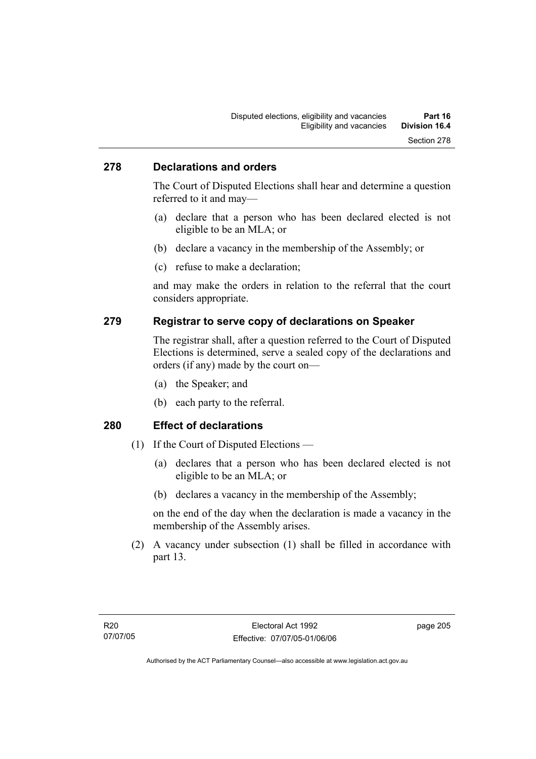#### **278 Declarations and orders**

The Court of Disputed Elections shall hear and determine a question referred to it and may—

- (a) declare that a person who has been declared elected is not eligible to be an MLA; or
- (b) declare a vacancy in the membership of the Assembly; or
- (c) refuse to make a declaration;

and may make the orders in relation to the referral that the court considers appropriate.

#### **279 Registrar to serve copy of declarations on Speaker**

The registrar shall, after a question referred to the Court of Disputed Elections is determined, serve a sealed copy of the declarations and orders (if any) made by the court on—

- (a) the Speaker; and
- (b) each party to the referral.

#### **280 Effect of declarations**

- (1) If the Court of Disputed Elections
	- (a) declares that a person who has been declared elected is not eligible to be an MLA; or
	- (b) declares a vacancy in the membership of the Assembly;

on the end of the day when the declaration is made a vacancy in the membership of the Assembly arises.

 (2) A vacancy under subsection (1) shall be filled in accordance with part 13.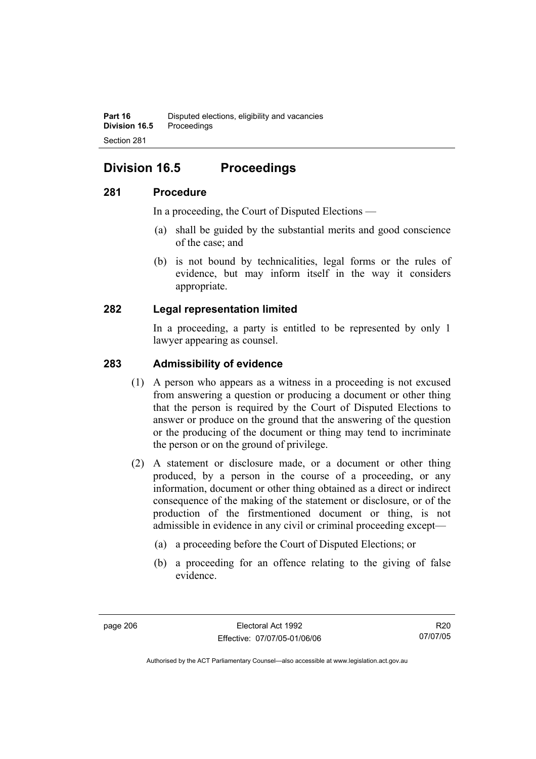## **Division 16.5 Proceedings**

## **281 Procedure**

In a proceeding, the Court of Disputed Elections —

- (a) shall be guided by the substantial merits and good conscience of the case; and
- (b) is not bound by technicalities, legal forms or the rules of evidence, but may inform itself in the way it considers appropriate.

## **282 Legal representation limited**

In a proceeding, a party is entitled to be represented by only 1 lawyer appearing as counsel.

### **283 Admissibility of evidence**

- (1) A person who appears as a witness in a proceeding is not excused from answering a question or producing a document or other thing that the person is required by the Court of Disputed Elections to answer or produce on the ground that the answering of the question or the producing of the document or thing may tend to incriminate the person or on the ground of privilege.
- (2) A statement or disclosure made, or a document or other thing produced, by a person in the course of a proceeding, or any information, document or other thing obtained as a direct or indirect consequence of the making of the statement or disclosure, or of the production of the firstmentioned document or thing, is not admissible in evidence in any civil or criminal proceeding except—
	- (a) a proceeding before the Court of Disputed Elections; or
	- (b) a proceeding for an offence relating to the giving of false evidence.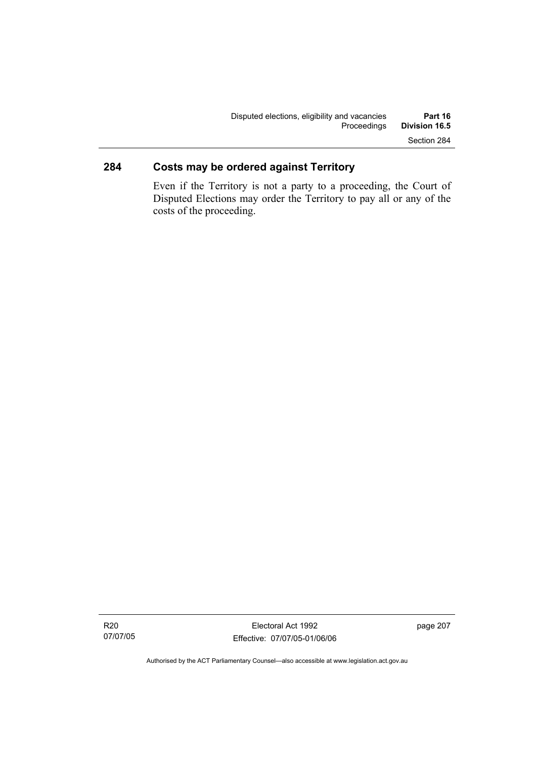## **284 Costs may be ordered against Territory**

Even if the Territory is not a party to a proceeding, the Court of Disputed Elections may order the Territory to pay all or any of the costs of the proceeding.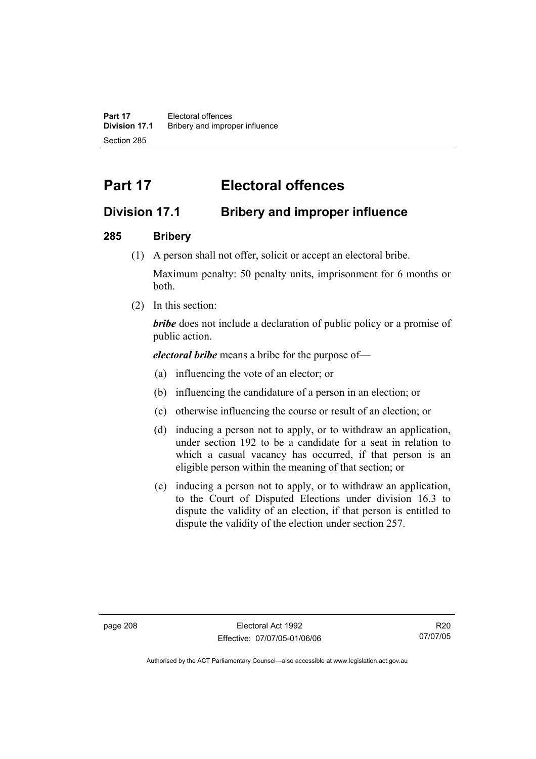**Part 17** Electoral offences **Division 17.1** Bribery and improper influence Section 285

# **Part 17 Electoral offences**

## **Division 17.1 Bribery and improper influence**

## **285 Bribery**

(1) A person shall not offer, solicit or accept an electoral bribe.

Maximum penalty: 50 penalty units, imprisonment for 6 months or both.

(2) In this section:

*bribe* does not include a declaration of public policy or a promise of public action.

*electoral bribe* means a bribe for the purpose of—

- (a) influencing the vote of an elector; or
- (b) influencing the candidature of a person in an election; or
- (c) otherwise influencing the course or result of an election; or
- (d) inducing a person not to apply, or to withdraw an application, under section 192 to be a candidate for a seat in relation to which a casual vacancy has occurred, if that person is an eligible person within the meaning of that section; or
- (e) inducing a person not to apply, or to withdraw an application, to the Court of Disputed Elections under division 16.3 to dispute the validity of an election, if that person is entitled to dispute the validity of the election under section 257.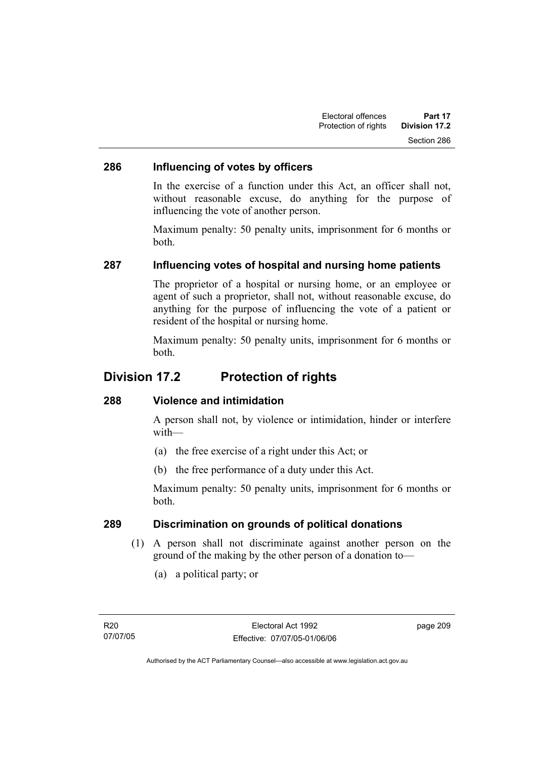## **286 Influencing of votes by officers**

In the exercise of a function under this Act, an officer shall not, without reasonable excuse, do anything for the purpose of influencing the vote of another person.

Maximum penalty: 50 penalty units, imprisonment for 6 months or both.

## **287 Influencing votes of hospital and nursing home patients**

The proprietor of a hospital or nursing home, or an employee or agent of such a proprietor, shall not, without reasonable excuse, do anything for the purpose of influencing the vote of a patient or resident of the hospital or nursing home.

Maximum penalty: 50 penalty units, imprisonment for 6 months or both.

## **Division 17.2 Protection of rights**

#### **288 Violence and intimidation**

A person shall not, by violence or intimidation, hinder or interfere with—

- (a) the free exercise of a right under this Act; or
- (b) the free performance of a duty under this Act.

Maximum penalty: 50 penalty units, imprisonment for 6 months or both.

#### **289 Discrimination on grounds of political donations**

- (1) A person shall not discriminate against another person on the ground of the making by the other person of a donation to—
	- (a) a political party; or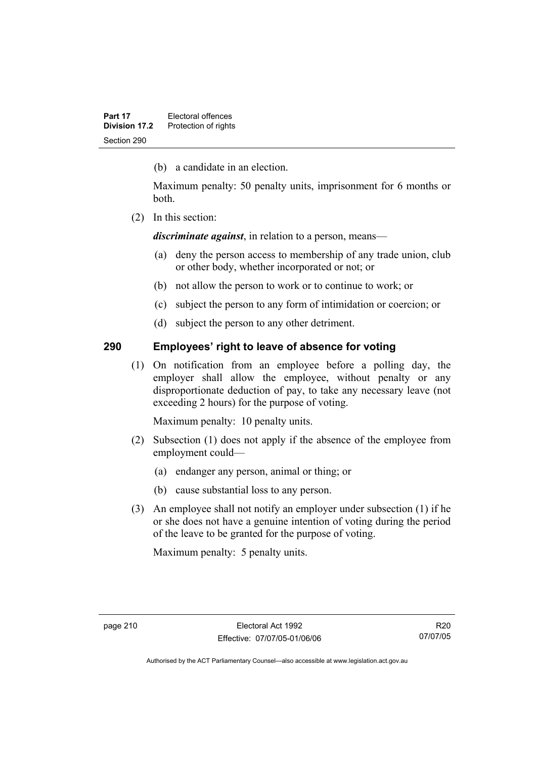(b) a candidate in an election.

Maximum penalty: 50 penalty units, imprisonment for 6 months or both.

(2) In this section:

*discriminate against*, in relation to a person, means—

- (a) deny the person access to membership of any trade union, club or other body, whether incorporated or not; or
- (b) not allow the person to work or to continue to work; or
- (c) subject the person to any form of intimidation or coercion; or
- (d) subject the person to any other detriment.

## **290 Employees' right to leave of absence for voting**

 (1) On notification from an employee before a polling day, the employer shall allow the employee, without penalty or any disproportionate deduction of pay, to take any necessary leave (not exceeding 2 hours) for the purpose of voting.

Maximum penalty: 10 penalty units.

- (2) Subsection (1) does not apply if the absence of the employee from employment could—
	- (a) endanger any person, animal or thing; or
	- (b) cause substantial loss to any person.
- (3) An employee shall not notify an employer under subsection (1) if he or she does not have a genuine intention of voting during the period of the leave to be granted for the purpose of voting.

Maximum penalty: 5 penalty units.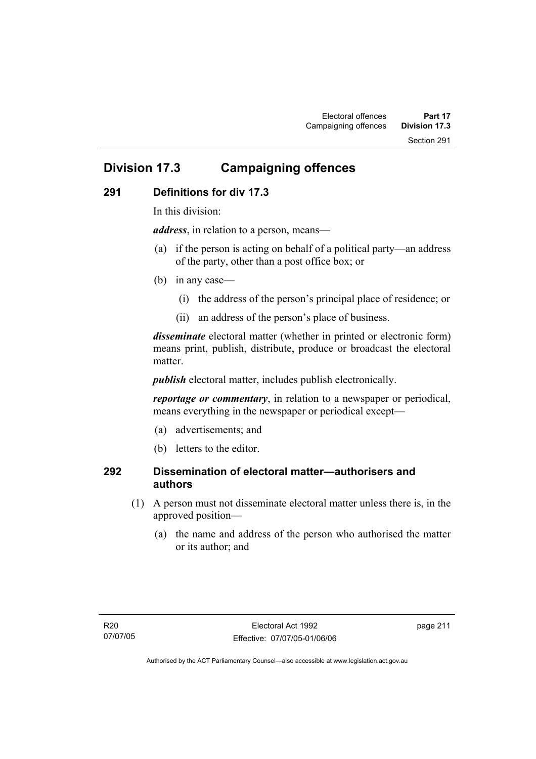## **Division 17.3 Campaigning offences**

## **291 Definitions for div 17.3**

In this division:

*address*, in relation to a person, means—

- (a) if the person is acting on behalf of a political party—an address of the party, other than a post office box; or
- (b) in any case—
	- (i) the address of the person's principal place of residence; or
	- (ii) an address of the person's place of business.

*disseminate* electoral matter (whether in printed or electronic form) means print, publish, distribute, produce or broadcast the electoral matter

*publish* electoral matter, includes publish electronically.

*reportage or commentary*, in relation to a newspaper or periodical, means everything in the newspaper or periodical except—

- (a) advertisements; and
- (b) letters to the editor.

## **292 Dissemination of electoral matter—authorisers and authors**

- (1) A person must not disseminate electoral matter unless there is, in the approved position—
	- (a) the name and address of the person who authorised the matter or its author; and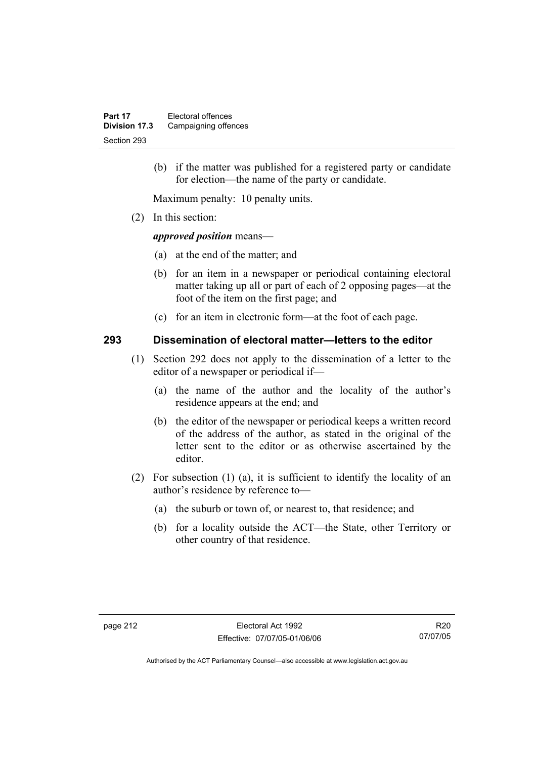(b) if the matter was published for a registered party or candidate for election—the name of the party or candidate.

Maximum penalty: 10 penalty units.

(2) In this section:

#### *approved position* means—

- (a) at the end of the matter; and
- (b) for an item in a newspaper or periodical containing electoral matter taking up all or part of each of 2 opposing pages—at the foot of the item on the first page; and
- (c) for an item in electronic form—at the foot of each page.

#### **293 Dissemination of electoral matter—letters to the editor**

- (1) Section 292 does not apply to the dissemination of a letter to the editor of a newspaper or periodical if—
	- (a) the name of the author and the locality of the author's residence appears at the end; and
	- (b) the editor of the newspaper or periodical keeps a written record of the address of the author, as stated in the original of the letter sent to the editor or as otherwise ascertained by the editor.
- (2) For subsection (1) (a), it is sufficient to identify the locality of an author's residence by reference to—
	- (a) the suburb or town of, or nearest to, that residence; and
	- (b) for a locality outside the ACT—the State, other Territory or other country of that residence.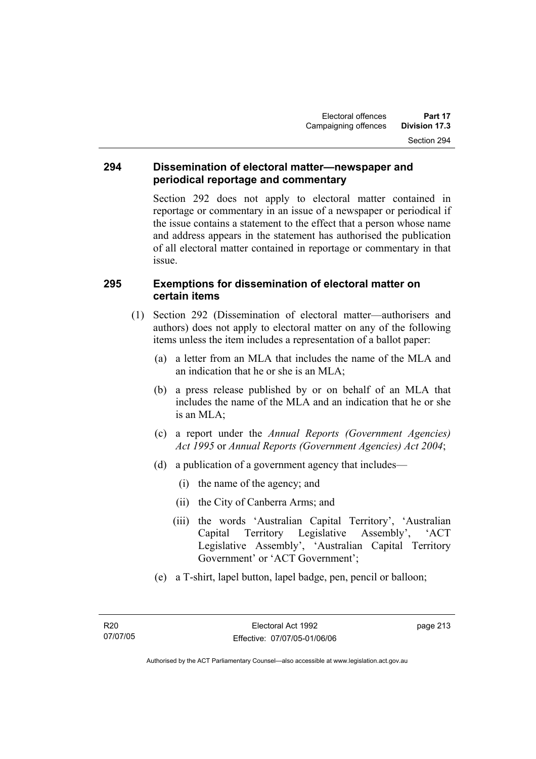#### **294 Dissemination of electoral matter—newspaper and periodical reportage and commentary**

Section 292 does not apply to electoral matter contained in reportage or commentary in an issue of a newspaper or periodical if the issue contains a statement to the effect that a person whose name and address appears in the statement has authorised the publication of all electoral matter contained in reportage or commentary in that issue.

### **295 Exemptions for dissemination of electoral matter on certain items**

- (1) Section 292 (Dissemination of electoral matter—authorisers and authors) does not apply to electoral matter on any of the following items unless the item includes a representation of a ballot paper:
	- (a) a letter from an MLA that includes the name of the MLA and an indication that he or she is an MLA;
	- (b) a press release published by or on behalf of an MLA that includes the name of the MLA and an indication that he or she is an MLA;
	- (c) a report under the *Annual Reports (Government Agencies) Act 1995* or *Annual Reports (Government Agencies) Act 2004*;
	- (d) a publication of a government agency that includes—
		- (i) the name of the agency; and
		- (ii) the City of Canberra Arms; and
		- (iii) the words 'Australian Capital Territory', 'Australian Capital Territory Legislative Assembly', 'ACT Legislative Assembly', 'Australian Capital Territory Government' or 'ACT Government';
	- (e) a T-shirt, lapel button, lapel badge, pen, pencil or balloon;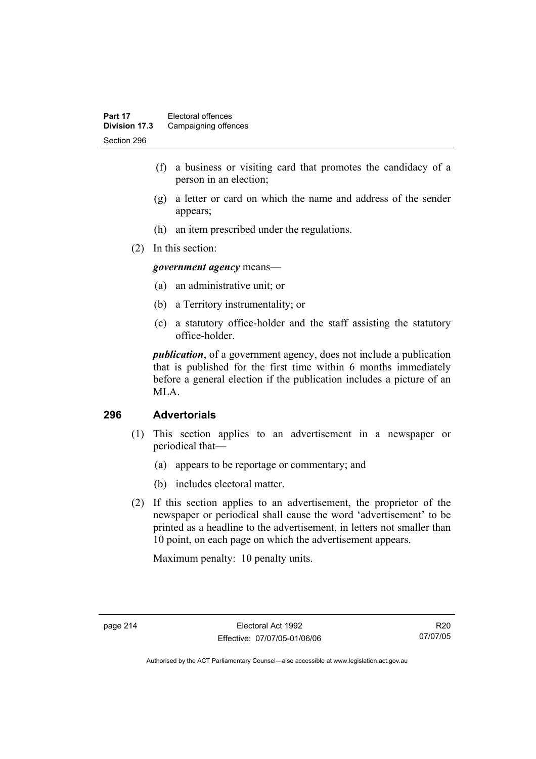- (f) a business or visiting card that promotes the candidacy of a person in an election;
- (g) a letter or card on which the name and address of the sender appears;
- (h) an item prescribed under the regulations.
- (2) In this section:

*government agency* means—

- (a) an administrative unit; or
- (b) a Territory instrumentality; or
- (c) a statutory office-holder and the staff assisting the statutory office-holder.

*publication*, of a government agency, does not include a publication that is published for the first time within 6 months immediately before a general election if the publication includes a picture of an MLA.

#### **296 Advertorials**

- (1) This section applies to an advertisement in a newspaper or periodical that—
	- (a) appears to be reportage or commentary; and
	- (b) includes electoral matter.
- (2) If this section applies to an advertisement, the proprietor of the newspaper or periodical shall cause the word 'advertisement' to be printed as a headline to the advertisement, in letters not smaller than 10 point, on each page on which the advertisement appears.

Maximum penalty: 10 penalty units.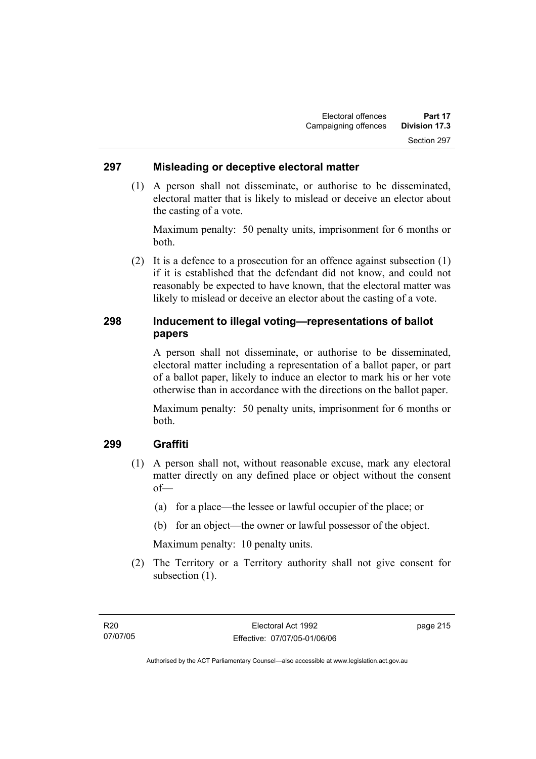#### **297 Misleading or deceptive electoral matter**

 (1) A person shall not disseminate, or authorise to be disseminated, electoral matter that is likely to mislead or deceive an elector about the casting of a vote.

Maximum penalty: 50 penalty units, imprisonment for 6 months or both.

 (2) It is a defence to a prosecution for an offence against subsection (1) if it is established that the defendant did not know, and could not reasonably be expected to have known, that the electoral matter was likely to mislead or deceive an elector about the casting of a vote.

## **298 Inducement to illegal voting—representations of ballot papers**

A person shall not disseminate, or authorise to be disseminated, electoral matter including a representation of a ballot paper, or part of a ballot paper, likely to induce an elector to mark his or her vote otherwise than in accordance with the directions on the ballot paper.

Maximum penalty: 50 penalty units, imprisonment for 6 months or both.

## **299 Graffiti**

- (1) A person shall not, without reasonable excuse, mark any electoral matter directly on any defined place or object without the consent of—
	- (a) for a place—the lessee or lawful occupier of the place; or
	- (b) for an object—the owner or lawful possessor of the object.

Maximum penalty: 10 penalty units.

 (2) The Territory or a Territory authority shall not give consent for subsection  $(1)$ .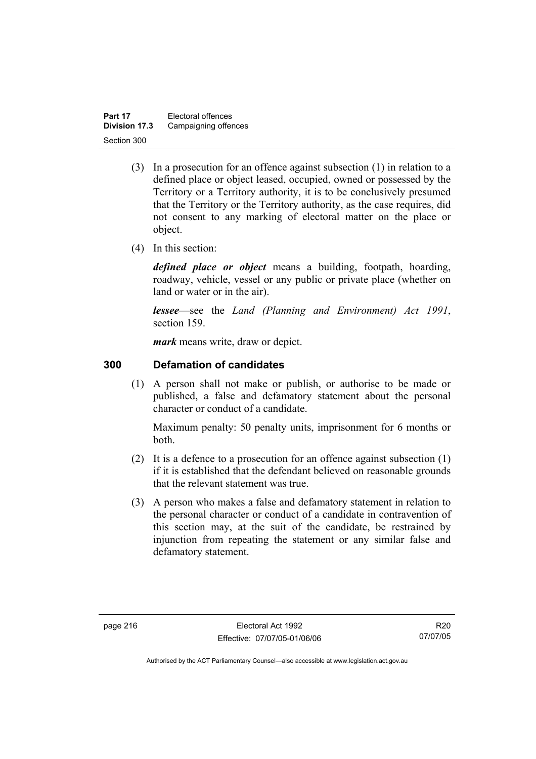| Part 17       | Electoral offences   |
|---------------|----------------------|
| Division 17.3 | Campaigning offences |
| Section 300   |                      |

- (3) In a prosecution for an offence against subsection (1) in relation to a defined place or object leased, occupied, owned or possessed by the Territory or a Territory authority, it is to be conclusively presumed that the Territory or the Territory authority, as the case requires, did not consent to any marking of electoral matter on the place or object.
- (4) In this section:

*defined place or object* means a building, footpath, hoarding, roadway, vehicle, vessel or any public or private place (whether on land or water or in the air).

*lessee*—see the *Land (Planning and Environment) Act 1991*, section 159.

*mark* means write, draw or depict.

#### **300 Defamation of candidates**

 (1) A person shall not make or publish, or authorise to be made or published, a false and defamatory statement about the personal character or conduct of a candidate.

Maximum penalty: 50 penalty units, imprisonment for 6 months or both.

- (2) It is a defence to a prosecution for an offence against subsection (1) if it is established that the defendant believed on reasonable grounds that the relevant statement was true.
- (3) A person who makes a false and defamatory statement in relation to the personal character or conduct of a candidate in contravention of this section may, at the suit of the candidate, be restrained by injunction from repeating the statement or any similar false and defamatory statement.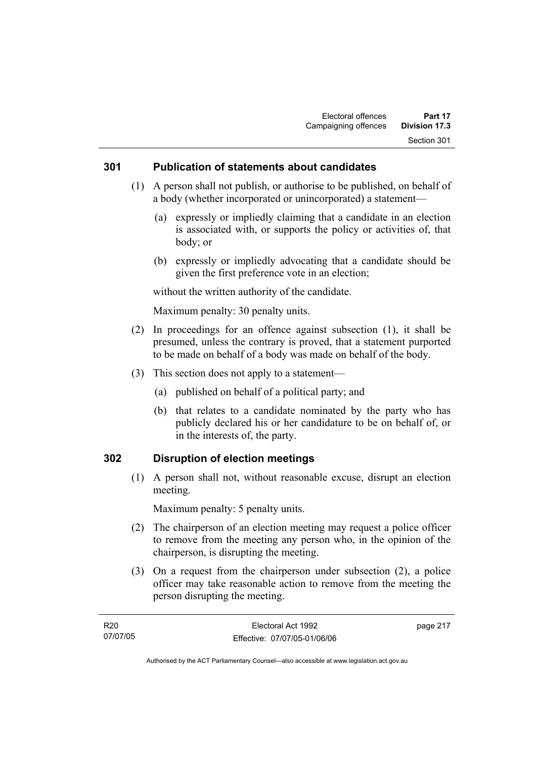#### **301 Publication of statements about candidates**

- (1) A person shall not publish, or authorise to be published, on behalf of a body (whether incorporated or unincorporated) a statement—
	- (a) expressly or impliedly claiming that a candidate in an election is associated with, or supports the policy or activities of, that body; or
	- (b) expressly or impliedly advocating that a candidate should be given the first preference vote in an election;

without the written authority of the candidate.

Maximum penalty: 30 penalty units.

- (2) In proceedings for an offence against subsection (1), it shall be presumed, unless the contrary is proved, that a statement purported to be made on behalf of a body was made on behalf of the body.
- (3) This section does not apply to a statement—
	- (a) published on behalf of a political party; and
	- (b) that relates to a candidate nominated by the party who has publicly declared his or her candidature to be on behalf of, or in the interests of, the party.

#### **302 Disruption of election meetings**

 (1) A person shall not, without reasonable excuse, disrupt an election meeting.

Maximum penalty: 5 penalty units.

- (2) The chairperson of an election meeting may request a police officer to remove from the meeting any person who, in the opinion of the chairperson, is disrupting the meeting.
- (3) On a request from the chairperson under subsection (2), a police officer may take reasonable action to remove from the meeting the person disrupting the meeting.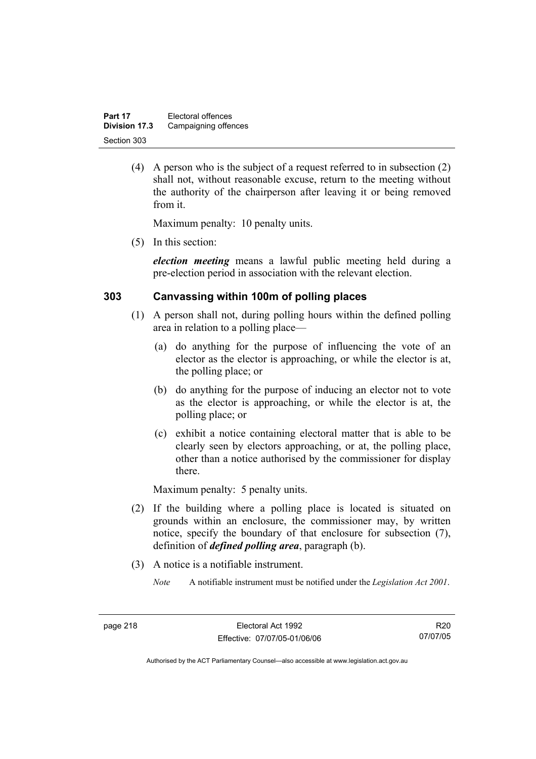| Part 17       | Electoral offences   |
|---------------|----------------------|
| Division 17.3 | Campaigning offences |
| Section 303   |                      |

 (4) A person who is the subject of a request referred to in subsection (2) shall not, without reasonable excuse, return to the meeting without the authority of the chairperson after leaving it or being removed from it.

Maximum penalty: 10 penalty units.

(5) In this section:

*election meeting* means a lawful public meeting held during a pre-election period in association with the relevant election.

#### **303 Canvassing within 100m of polling places**

- (1) A person shall not, during polling hours within the defined polling area in relation to a polling place—
	- (a) do anything for the purpose of influencing the vote of an elector as the elector is approaching, or while the elector is at, the polling place; or
	- (b) do anything for the purpose of inducing an elector not to vote as the elector is approaching, or while the elector is at, the polling place; or
	- (c) exhibit a notice containing electoral matter that is able to be clearly seen by electors approaching, or at, the polling place, other than a notice authorised by the commissioner for display there.

Maximum penalty: 5 penalty units.

- (2) If the building where a polling place is located is situated on grounds within an enclosure, the commissioner may, by written notice, specify the boundary of that enclosure for subsection (7), definition of *defined polling area*, paragraph (b).
- (3) A notice is a notifiable instrument.
	- *Note* A notifiable instrument must be notified under the *Legislation Act 2001*.

R20 07/07/05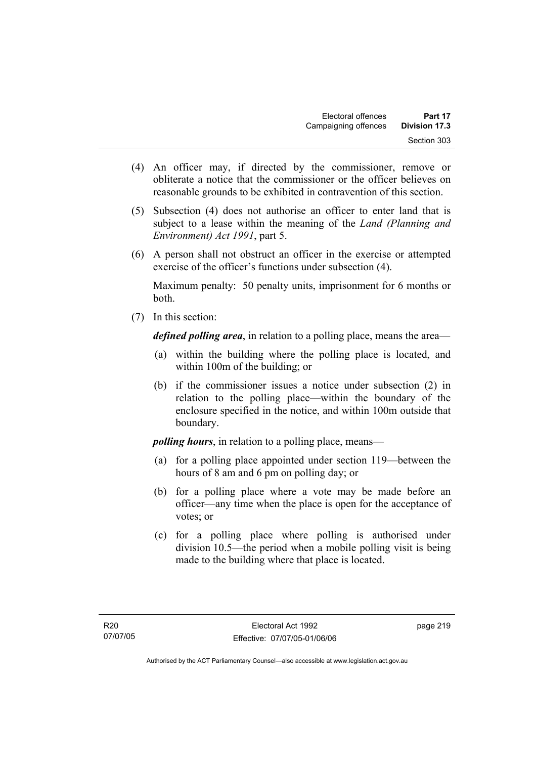- (4) An officer may, if directed by the commissioner, remove or obliterate a notice that the commissioner or the officer believes on reasonable grounds to be exhibited in contravention of this section.
- (5) Subsection (4) does not authorise an officer to enter land that is subject to a lease within the meaning of the *Land (Planning and Environment) Act 1991*, part 5.
- (6) A person shall not obstruct an officer in the exercise or attempted exercise of the officer's functions under subsection (4).

Maximum penalty: 50 penalty units, imprisonment for 6 months or both.

(7) In this section:

*defined polling area*, in relation to a polling place, means the area—

- (a) within the building where the polling place is located, and within 100m of the building; or
- (b) if the commissioner issues a notice under subsection (2) in relation to the polling place—within the boundary of the enclosure specified in the notice, and within 100m outside that boundary.

*polling hours*, in relation to a polling place, means—

- (a) for a polling place appointed under section 119—between the hours of 8 am and 6 pm on polling day; or
- (b) for a polling place where a vote may be made before an officer—any time when the place is open for the acceptance of votes; or
- (c) for a polling place where polling is authorised under division 10.5—the period when a mobile polling visit is being made to the building where that place is located.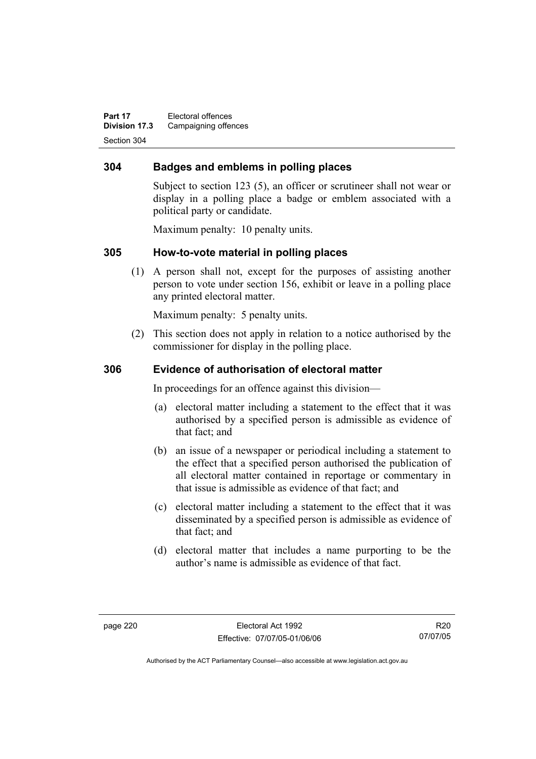**Part 17** Electoral offences **Division 17.3** Campaigning offences Section 304

## **304 Badges and emblems in polling places**

Subject to section 123 (5), an officer or scrutineer shall not wear or display in a polling place a badge or emblem associated with a political party or candidate.

Maximum penalty: 10 penalty units.

### **305 How-to-vote material in polling places**

 (1) A person shall not, except for the purposes of assisting another person to vote under section 156, exhibit or leave in a polling place any printed electoral matter.

Maximum penalty: 5 penalty units.

 (2) This section does not apply in relation to a notice authorised by the commissioner for display in the polling place.

#### **306 Evidence of authorisation of electoral matter**

In proceedings for an offence against this division—

- (a) electoral matter including a statement to the effect that it was authorised by a specified person is admissible as evidence of that fact; and
- (b) an issue of a newspaper or periodical including a statement to the effect that a specified person authorised the publication of all electoral matter contained in reportage or commentary in that issue is admissible as evidence of that fact; and
- (c) electoral matter including a statement to the effect that it was disseminated by a specified person is admissible as evidence of that fact; and
- (d) electoral matter that includes a name purporting to be the author's name is admissible as evidence of that fact.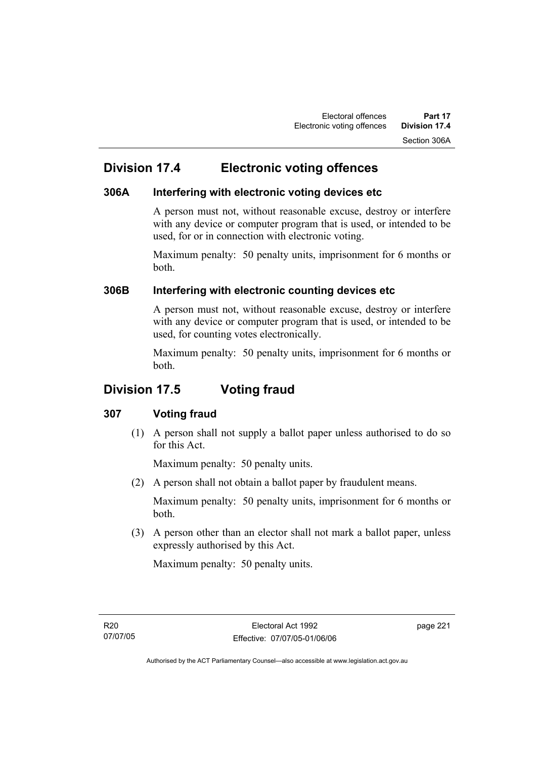## **Division 17.4 Electronic voting offences**

## **306A Interfering with electronic voting devices etc**

A person must not, without reasonable excuse, destroy or interfere with any device or computer program that is used, or intended to be used, for or in connection with electronic voting.

Maximum penalty: 50 penalty units, imprisonment for 6 months or both.

## **306B Interfering with electronic counting devices etc**

A person must not, without reasonable excuse, destroy or interfere with any device or computer program that is used, or intended to be used, for counting votes electronically.

Maximum penalty: 50 penalty units, imprisonment for 6 months or both.

## **Division 17.5 Voting fraud**

## **307 Voting fraud**

 (1) A person shall not supply a ballot paper unless authorised to do so for this Act.

Maximum penalty: 50 penalty units.

(2) A person shall not obtain a ballot paper by fraudulent means.

Maximum penalty: 50 penalty units, imprisonment for 6 months or both.

 (3) A person other than an elector shall not mark a ballot paper, unless expressly authorised by this Act.

Maximum penalty: 50 penalty units.

R20 07/07/05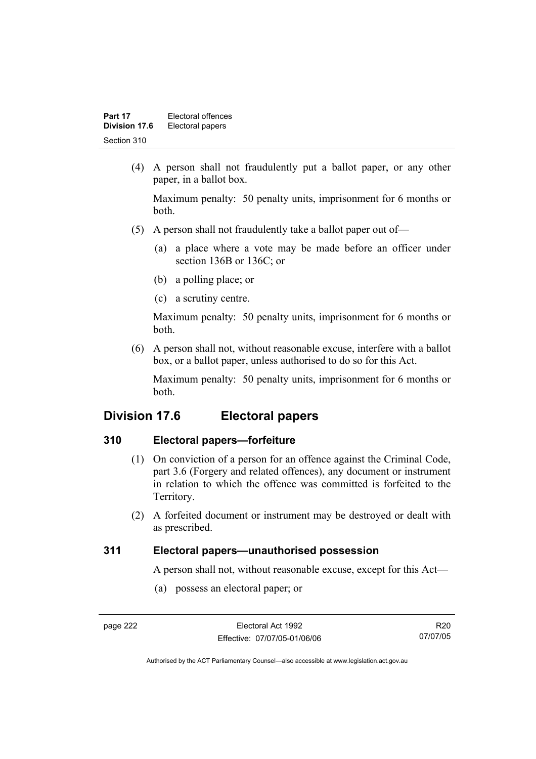| Part 17       | Electoral offences |
|---------------|--------------------|
| Division 17.6 | Electoral papers   |
| Section 310   |                    |

 (4) A person shall not fraudulently put a ballot paper, or any other paper, in a ballot box.

Maximum penalty: 50 penalty units, imprisonment for 6 months or both.

- (5) A person shall not fraudulently take a ballot paper out of—
	- (a) a place where a vote may be made before an officer under section 136B or 136C; or
	- (b) a polling place; or
	- (c) a scrutiny centre.

Maximum penalty: 50 penalty units, imprisonment for 6 months or both.

 (6) A person shall not, without reasonable excuse, interfere with a ballot box, or a ballot paper, unless authorised to do so for this Act.

Maximum penalty: 50 penalty units, imprisonment for 6 months or both.

## **Division 17.6 Electoral papers**

### **310 Electoral papers—forfeiture**

- (1) On conviction of a person for an offence against the Criminal Code, part 3.6 (Forgery and related offences), any document or instrument in relation to which the offence was committed is forfeited to the Territory.
- (2) A forfeited document or instrument may be destroyed or dealt with as prescribed.

### **311 Electoral papers—unauthorised possession**

A person shall not, without reasonable excuse, except for this Act—

(a) possess an electoral paper; or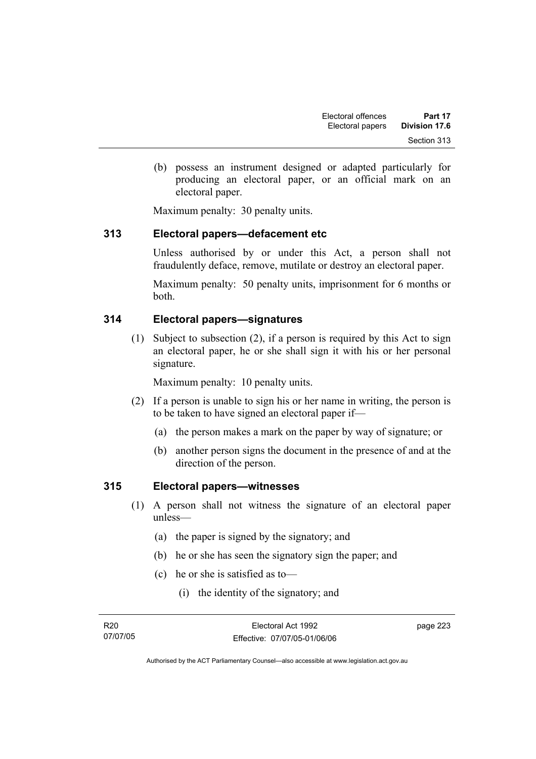(b) possess an instrument designed or adapted particularly for producing an electoral paper, or an official mark on an electoral paper.

Maximum penalty: 30 penalty units.

## **313 Electoral papers—defacement etc**

Unless authorised by or under this Act, a person shall not fraudulently deface, remove, mutilate or destroy an electoral paper.

Maximum penalty: 50 penalty units, imprisonment for 6 months or both.

### **314 Electoral papers—signatures**

 (1) Subject to subsection (2), if a person is required by this Act to sign an electoral paper, he or she shall sign it with his or her personal signature.

Maximum penalty: 10 penalty units.

- (2) If a person is unable to sign his or her name in writing, the person is to be taken to have signed an electoral paper if—
	- (a) the person makes a mark on the paper by way of signature; or
	- (b) another person signs the document in the presence of and at the direction of the person.

#### **315 Electoral papers—witnesses**

- (1) A person shall not witness the signature of an electoral paper unless—
	- (a) the paper is signed by the signatory; and
	- (b) he or she has seen the signatory sign the paper; and
	- (c) he or she is satisfied as to—
		- (i) the identity of the signatory; and

page 223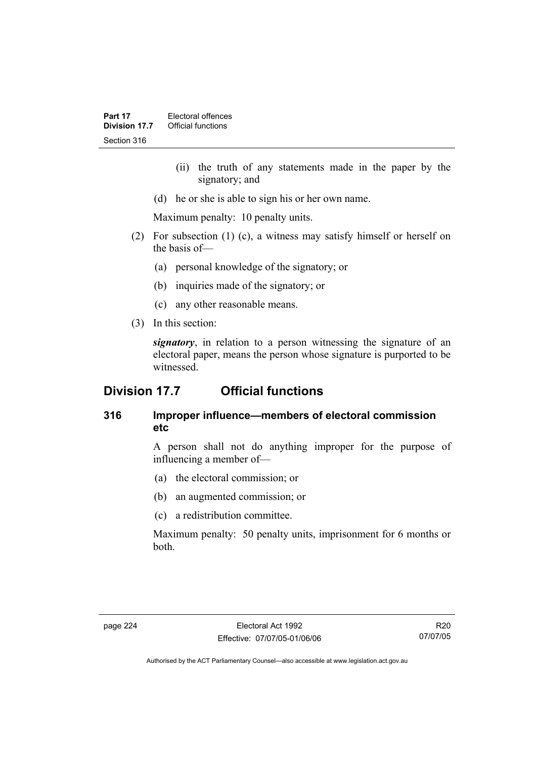- (ii) the truth of any statements made in the paper by the signatory; and
- (d) he or she is able to sign his or her own name.

Maximum penalty: 10 penalty units.

- (2) For subsection (1) (c), a witness may satisfy himself or herself on the basis of—
	- (a) personal knowledge of the signatory; or
	- (b) inquiries made of the signatory; or
	- (c) any other reasonable means.
- (3) In this section:

*signatory*, in relation to a person witnessing the signature of an electoral paper, means the person whose signature is purported to be witnessed.

## **Division 17.7 Official functions**

## **316 Improper influence—members of electoral commission etc**

A person shall not do anything improper for the purpose of influencing a member of—

- (a) the electoral commission; or
- (b) an augmented commission; or
- (c) a redistribution committee.

Maximum penalty: 50 penalty units, imprisonment for 6 months or both.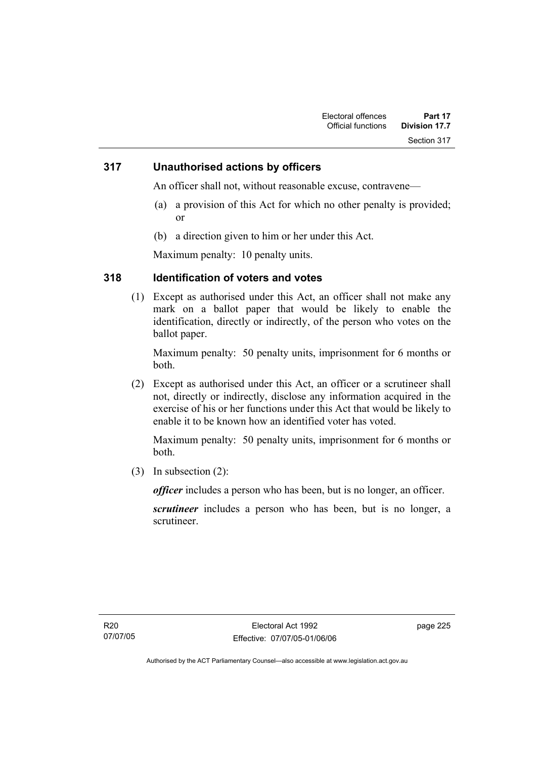#### **317 Unauthorised actions by officers**

An officer shall not, without reasonable excuse, contravene—

- (a) a provision of this Act for which no other penalty is provided; or
- (b) a direction given to him or her under this Act.

Maximum penalty: 10 penalty units.

### **318 Identification of voters and votes**

 (1) Except as authorised under this Act, an officer shall not make any mark on a ballot paper that would be likely to enable the identification, directly or indirectly, of the person who votes on the ballot paper.

Maximum penalty: 50 penalty units, imprisonment for 6 months or both.

 (2) Except as authorised under this Act, an officer or a scrutineer shall not, directly or indirectly, disclose any information acquired in the exercise of his or her functions under this Act that would be likely to enable it to be known how an identified voter has voted.

Maximum penalty: 50 penalty units, imprisonment for 6 months or both.

(3) In subsection (2):

*officer* includes a person who has been, but is no longer, an officer.

*scrutineer* includes a person who has been, but is no longer, a scrutineer.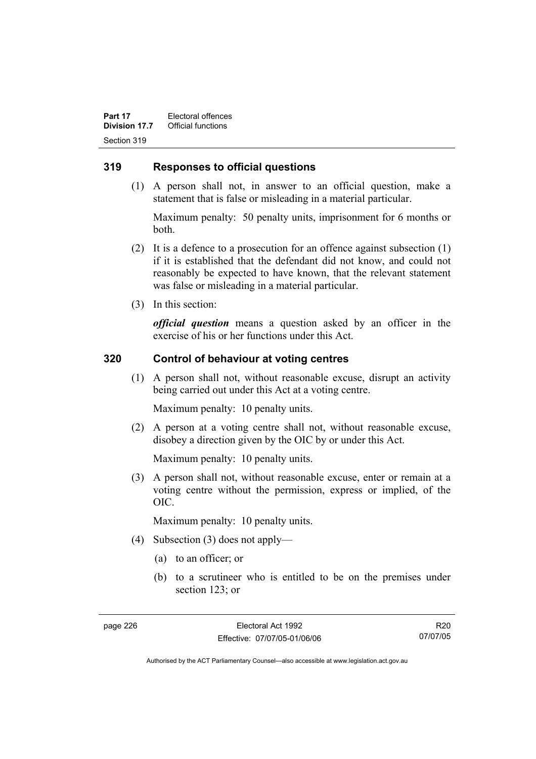**Part 17 Electoral offences**<br>**Division 17.7 Official functions Official functions** Section 319

#### **319 Responses to official questions**

 (1) A person shall not, in answer to an official question, make a statement that is false or misleading in a material particular.

Maximum penalty: 50 penalty units, imprisonment for 6 months or both.

- (2) It is a defence to a prosecution for an offence against subsection (1) if it is established that the defendant did not know, and could not reasonably be expected to have known, that the relevant statement was false or misleading in a material particular.
- (3) In this section:

*official question* means a question asked by an officer in the exercise of his or her functions under this Act.

#### **320 Control of behaviour at voting centres**

 (1) A person shall not, without reasonable excuse, disrupt an activity being carried out under this Act at a voting centre.

Maximum penalty: 10 penalty units.

 (2) A person at a voting centre shall not, without reasonable excuse, disobey a direction given by the OIC by or under this Act.

Maximum penalty: 10 penalty units.

 (3) A person shall not, without reasonable excuse, enter or remain at a voting centre without the permission, express or implied, of the OIC.

Maximum penalty: 10 penalty units.

- (4) Subsection (3) does not apply—
	- (a) to an officer; or
	- (b) to a scrutineer who is entitled to be on the premises under section 123; or

R20 07/07/05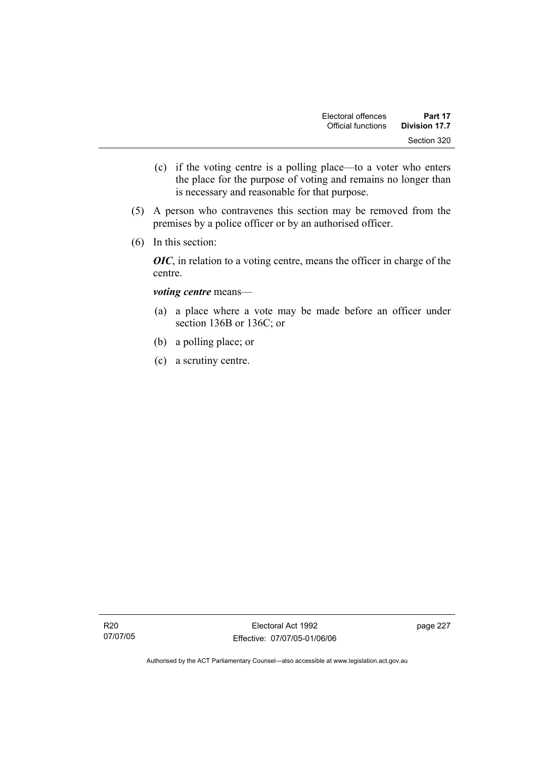- (c) if the voting centre is a polling place—to a voter who enters the place for the purpose of voting and remains no longer than is necessary and reasonable for that purpose.
- (5) A person who contravenes this section may be removed from the premises by a police officer or by an authorised officer.
- (6) In this section:

*OIC*, in relation to a voting centre, means the officer in charge of the centre.

#### *voting centre* means—

- (a) a place where a vote may be made before an officer under section 136B or 136C; or
- (b) a polling place; or
- (c) a scrutiny centre.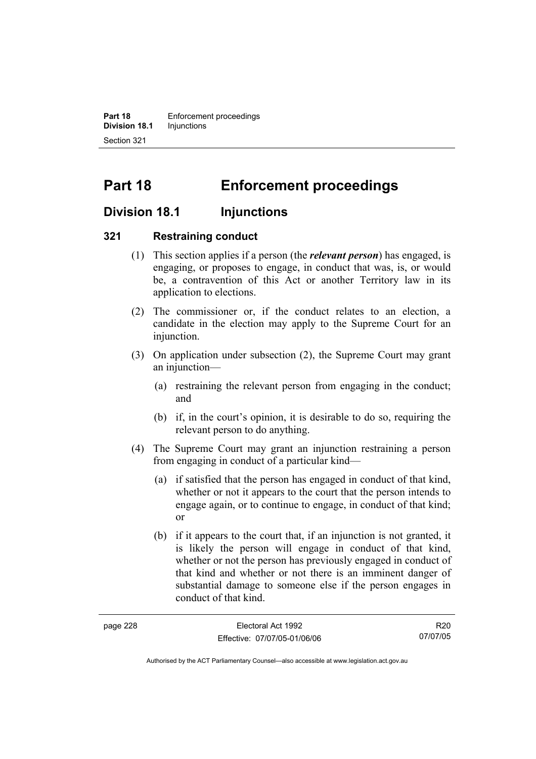**Part 18 Enforcement proceedings Division 18.1** Injunctions Section 321

# **Part 18 Enforcement proceedings**

## **Division 18.1 Injunctions**

#### **321 Restraining conduct**

- (1) This section applies if a person (the *relevant person*) has engaged, is engaging, or proposes to engage, in conduct that was, is, or would be, a contravention of this Act or another Territory law in its application to elections.
- (2) The commissioner or, if the conduct relates to an election, a candidate in the election may apply to the Supreme Court for an injunction.
- (3) On application under subsection (2), the Supreme Court may grant an injunction—
	- (a) restraining the relevant person from engaging in the conduct; and
	- (b) if, in the court's opinion, it is desirable to do so, requiring the relevant person to do anything.
- (4) The Supreme Court may grant an injunction restraining a person from engaging in conduct of a particular kind—
	- (a) if satisfied that the person has engaged in conduct of that kind, whether or not it appears to the court that the person intends to engage again, or to continue to engage, in conduct of that kind; or
	- (b) if it appears to the court that, if an injunction is not granted, it is likely the person will engage in conduct of that kind, whether or not the person has previously engaged in conduct of that kind and whether or not there is an imminent danger of substantial damage to someone else if the person engages in conduct of that kind.

| page 228 | Electoral Act 1992           | R <sub>20</sub> |
|----------|------------------------------|-----------------|
|          | Effective: 07/07/05-01/06/06 | 07/07/05        |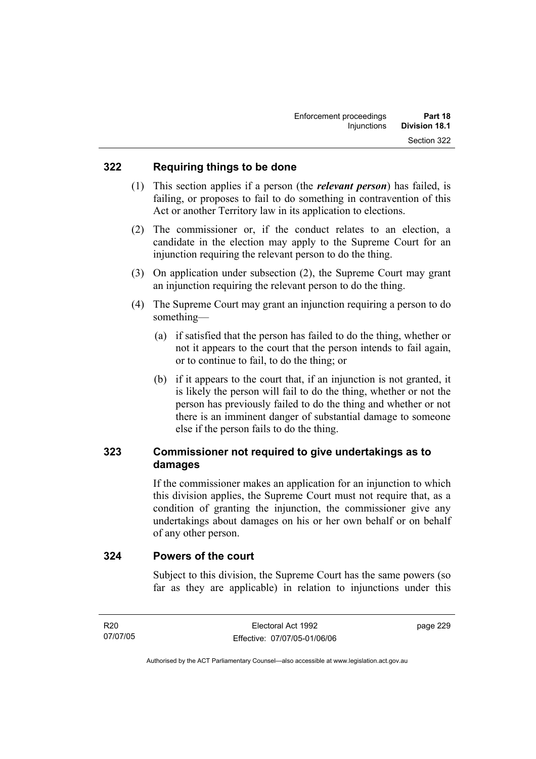#### **322 Requiring things to be done**

- (1) This section applies if a person (the *relevant person*) has failed, is failing, or proposes to fail to do something in contravention of this Act or another Territory law in its application to elections.
- (2) The commissioner or, if the conduct relates to an election, a candidate in the election may apply to the Supreme Court for an injunction requiring the relevant person to do the thing.
- (3) On application under subsection (2), the Supreme Court may grant an injunction requiring the relevant person to do the thing.
- (4) The Supreme Court may grant an injunction requiring a person to do something—
	- (a) if satisfied that the person has failed to do the thing, whether or not it appears to the court that the person intends to fail again, or to continue to fail, to do the thing; or
	- (b) if it appears to the court that, if an injunction is not granted, it is likely the person will fail to do the thing, whether or not the person has previously failed to do the thing and whether or not there is an imminent danger of substantial damage to someone else if the person fails to do the thing.

## **323 Commissioner not required to give undertakings as to damages**

If the commissioner makes an application for an injunction to which this division applies, the Supreme Court must not require that, as a condition of granting the injunction, the commissioner give any undertakings about damages on his or her own behalf or on behalf of any other person.

**324 Powers of the court** 

Subject to this division, the Supreme Court has the same powers (so far as they are applicable) in relation to injunctions under this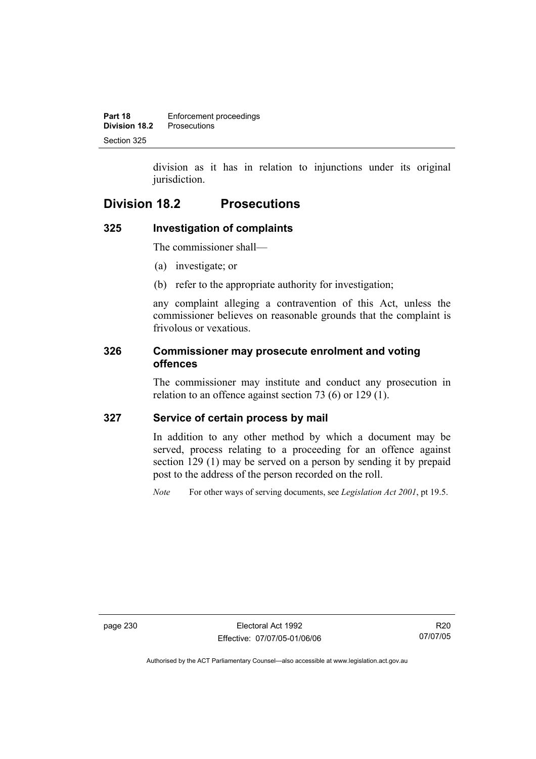division as it has in relation to injunctions under its original jurisdiction.

## **Division 18.2 Prosecutions**

## **325 Investigation of complaints**

The commissioner shall—

- (a) investigate; or
- (b) refer to the appropriate authority for investigation;

any complaint alleging a contravention of this Act, unless the commissioner believes on reasonable grounds that the complaint is frivolous or vexatious.

## **326 Commissioner may prosecute enrolment and voting offences**

The commissioner may institute and conduct any prosecution in relation to an offence against section 73 (6) or 129 (1).

## **327 Service of certain process by mail**

In addition to any other method by which a document may be served, process relating to a proceeding for an offence against section 129 (1) may be served on a person by sending it by prepaid post to the address of the person recorded on the roll.

*Note* For other ways of serving documents, see *Legislation Act 2001*, pt 19.5.

page 230 Electoral Act 1992 Effective: 07/07/05-01/06/06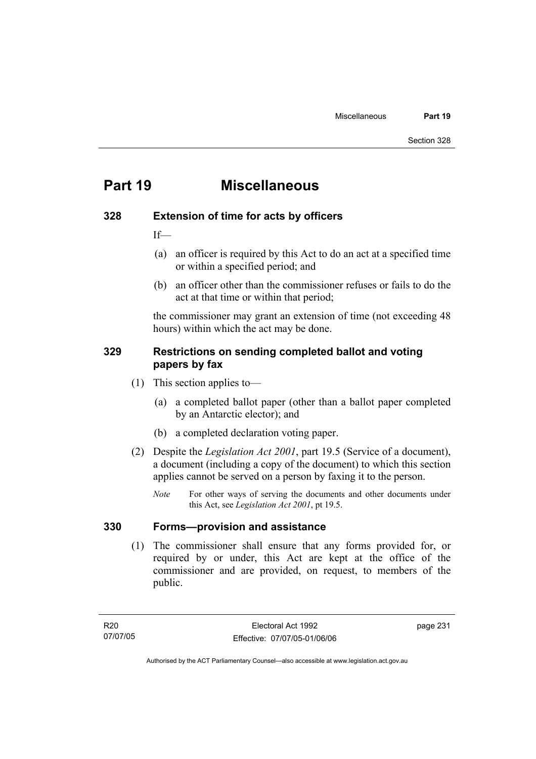## **Part 19 Miscellaneous**

#### **328 Extension of time for acts by officers**

If—

- (a) an officer is required by this Act to do an act at a specified time or within a specified period; and
- (b) an officer other than the commissioner refuses or fails to do the act at that time or within that period;

the commissioner may grant an extension of time (not exceeding 48 hours) within which the act may be done.

### **329 Restrictions on sending completed ballot and voting papers by fax**

- (1) This section applies to—
	- (a) a completed ballot paper (other than a ballot paper completed by an Antarctic elector); and
	- (b) a completed declaration voting paper.
- (2) Despite the *Legislation Act 2001*, part 19.5 (Service of a document), a document (including a copy of the document) to which this section applies cannot be served on a person by faxing it to the person.
	- *Note* For other ways of serving the documents and other documents under this Act, see *Legislation Act 2001*, pt 19.5.

### **330 Forms—provision and assistance**

 (1) The commissioner shall ensure that any forms provided for, or required by or under, this Act are kept at the office of the commissioner and are provided, on request, to members of the public.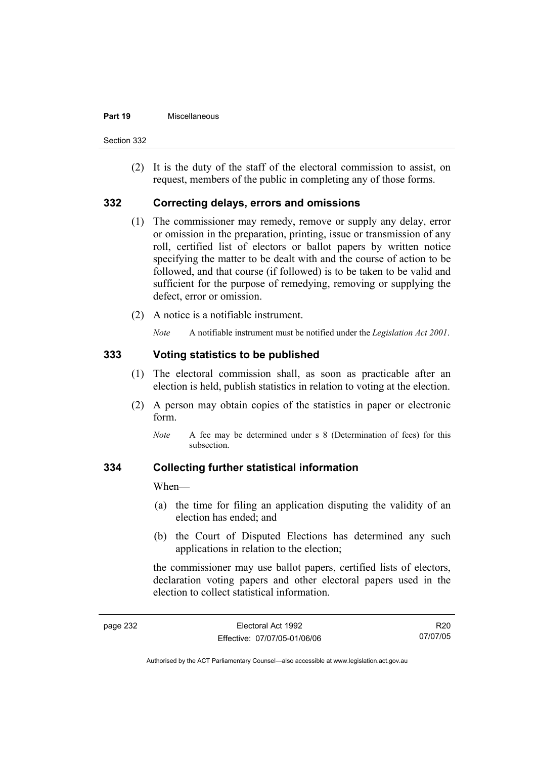#### **Part 19** Miscellaneous

Section 332

 (2) It is the duty of the staff of the electoral commission to assist, on request, members of the public in completing any of those forms.

#### **332 Correcting delays, errors and omissions**

- (1) The commissioner may remedy, remove or supply any delay, error or omission in the preparation, printing, issue or transmission of any roll, certified list of electors or ballot papers by written notice specifying the matter to be dealt with and the course of action to be followed, and that course (if followed) is to be taken to be valid and sufficient for the purpose of remedying, removing or supplying the defect, error or omission.
- (2) A notice is a notifiable instrument.

*Note* A notifiable instrument must be notified under the *Legislation Act 2001*.

#### **333 Voting statistics to be published**

- (1) The electoral commission shall, as soon as practicable after an election is held, publish statistics in relation to voting at the election.
- (2) A person may obtain copies of the statistics in paper or electronic form.
	- *Note* A fee may be determined under s 8 (Determination of fees) for this subsection.

#### **334 Collecting further statistical information**

When—

- (a) the time for filing an application disputing the validity of an election has ended; and
- (b) the Court of Disputed Elections has determined any such applications in relation to the election;

the commissioner may use ballot papers, certified lists of electors, declaration voting papers and other electoral papers used in the election to collect statistical information.

R20 07/07/05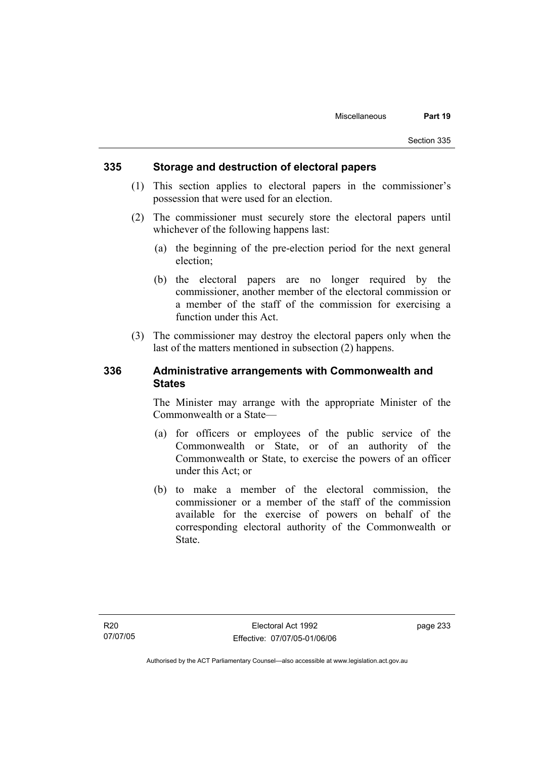#### **335 Storage and destruction of electoral papers**

- (1) This section applies to electoral papers in the commissioner's possession that were used for an election.
- (2) The commissioner must securely store the electoral papers until whichever of the following happens last:
	- (a) the beginning of the pre-election period for the next general election;
	- (b) the electoral papers are no longer required by the commissioner, another member of the electoral commission or a member of the staff of the commission for exercising a function under this Act.
- (3) The commissioner may destroy the electoral papers only when the last of the matters mentioned in subsection (2) happens.

#### **336 Administrative arrangements with Commonwealth and States**

The Minister may arrange with the appropriate Minister of the Commonwealth or a State—

- (a) for officers or employees of the public service of the Commonwealth or State, or of an authority of the Commonwealth or State, to exercise the powers of an officer under this Act; or
- (b) to make a member of the electoral commission, the commissioner or a member of the staff of the commission available for the exercise of powers on behalf of the corresponding electoral authority of the Commonwealth or State.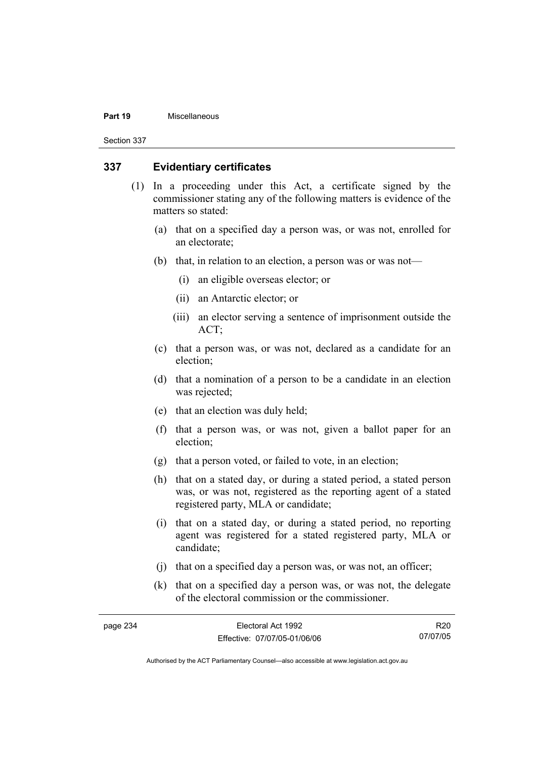#### **Part 19** Miscellaneous

Section 337

#### **337 Evidentiary certificates**

- (1) In a proceeding under this Act, a certificate signed by the commissioner stating any of the following matters is evidence of the matters so stated:
	- (a) that on a specified day a person was, or was not, enrolled for an electorate;
	- (b) that, in relation to an election, a person was or was not—
		- (i) an eligible overseas elector; or
		- (ii) an Antarctic elector; or
		- (iii) an elector serving a sentence of imprisonment outside the ACT;
	- (c) that a person was, or was not, declared as a candidate for an election;
	- (d) that a nomination of a person to be a candidate in an election was rejected;
	- (e) that an election was duly held;
	- (f) that a person was, or was not, given a ballot paper for an election;
	- (g) that a person voted, or failed to vote, in an election;
	- (h) that on a stated day, or during a stated period, a stated person was, or was not, registered as the reporting agent of a stated registered party, MLA or candidate;
	- (i) that on a stated day, or during a stated period, no reporting agent was registered for a stated registered party, MLA or candidate;
	- (j) that on a specified day a person was, or was not, an officer;
	- (k) that on a specified day a person was, or was not, the delegate of the electoral commission or the commissioner.

| page 234 | Electoral Act 1992           | R <sub>20</sub> |
|----------|------------------------------|-----------------|
|          | Effective: 07/07/05-01/06/06 | 07/07/05        |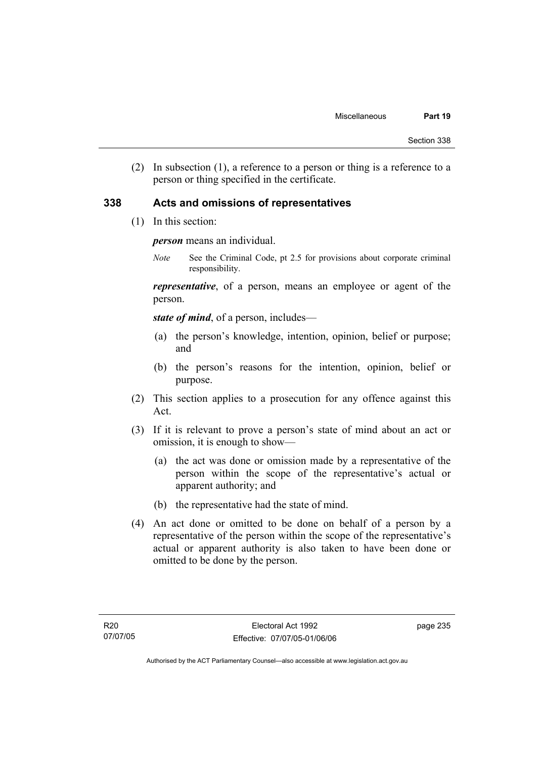(2) In subsection (1), a reference to a person or thing is a reference to a person or thing specified in the certificate.

#### **338 Acts and omissions of representatives**

(1) In this section:

*person* means an individual.

*Note* See the Criminal Code, pt 2.5 for provisions about corporate criminal responsibility.

*representative*, of a person, means an employee or agent of the person.

*state of mind*, of a person, includes—

- (a) the person's knowledge, intention, opinion, belief or purpose; and
- (b) the person's reasons for the intention, opinion, belief or purpose.
- (2) This section applies to a prosecution for any offence against this Act.
- (3) If it is relevant to prove a person's state of mind about an act or omission, it is enough to show—
	- (a) the act was done or omission made by a representative of the person within the scope of the representative's actual or apparent authority; and
	- (b) the representative had the state of mind.
- (4) An act done or omitted to be done on behalf of a person by a representative of the person within the scope of the representative's actual or apparent authority is also taken to have been done or omitted to be done by the person.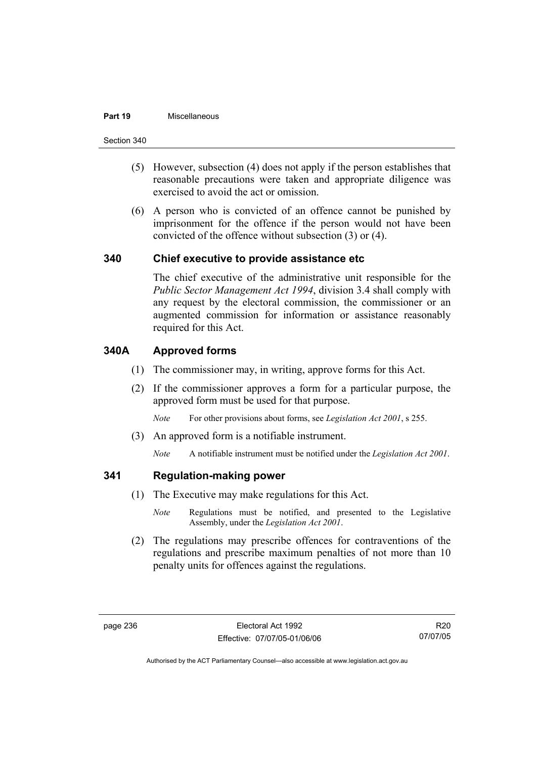#### **Part 19** Miscellaneous

Section 340

- (5) However, subsection (4) does not apply if the person establishes that reasonable precautions were taken and appropriate diligence was exercised to avoid the act or omission.
- (6) A person who is convicted of an offence cannot be punished by imprisonment for the offence if the person would not have been convicted of the offence without subsection (3) or (4).

#### **340 Chief executive to provide assistance etc**

The chief executive of the administrative unit responsible for the *Public Sector Management Act 1994*, division 3.4 shall comply with any request by the electoral commission, the commissioner or an augmented commission for information or assistance reasonably required for this Act.

### **340A Approved forms**

- (1) The commissioner may, in writing, approve forms for this Act.
- (2) If the commissioner approves a form for a particular purpose, the approved form must be used for that purpose.

*Note* For other provisions about forms, see *Legislation Act 2001*, s 255.

(3) An approved form is a notifiable instrument.

*Note* A notifiable instrument must be notified under the *Legislation Act 2001*.

#### **341 Regulation-making power**

- (1) The Executive may make regulations for this Act.
	- *Note* Regulations must be notified, and presented to the Legislative Assembly, under the *Legislation Act 2001*.
- (2) The regulations may prescribe offences for contraventions of the regulations and prescribe maximum penalties of not more than 10 penalty units for offences against the regulations.

R20 07/07/05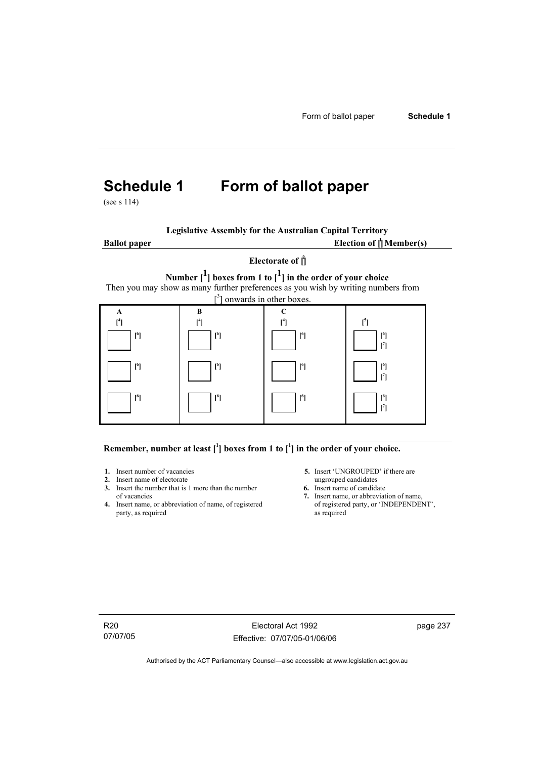# **Schedule 1 Form of ballot paper**

(see s 114)

|  | <b>Legislative Assembly for the Australian Capital Territory</b> |  |
|--|------------------------------------------------------------------|--|
|  |                                                                  |  |



#### Remember, number at least  $\begin{bmatrix} 1 \end{bmatrix}$  boxes from 1 to  $\begin{bmatrix} 1 \end{bmatrix}$  in the order of your choice.

- 
- **2.** Insert name of electorate ungrouped candidates<br> **3.** Insert the number that is 1 more than the number<br> **6.** Insert name of candidate **3.** Insert the number that is 1 more than the number
- **4.** Insert name, or abbreviation of name, of registered party, as required as required
- **1.** Insert number of vacancies **5.** Insert 'UNGROUPED' if there are **2.** Insert name of electorate **1.** Insert name of electorate
	-
	- of vacancies **7.** Insert name, or abbreviation of name,  $\frac{1}{2}$  Insert name, or abbreviation of name, of registered party, or 'INDEPENDENT',

R20 07/07/05

Electoral Act 1992 Effective: 07/07/05-01/06/06 page 237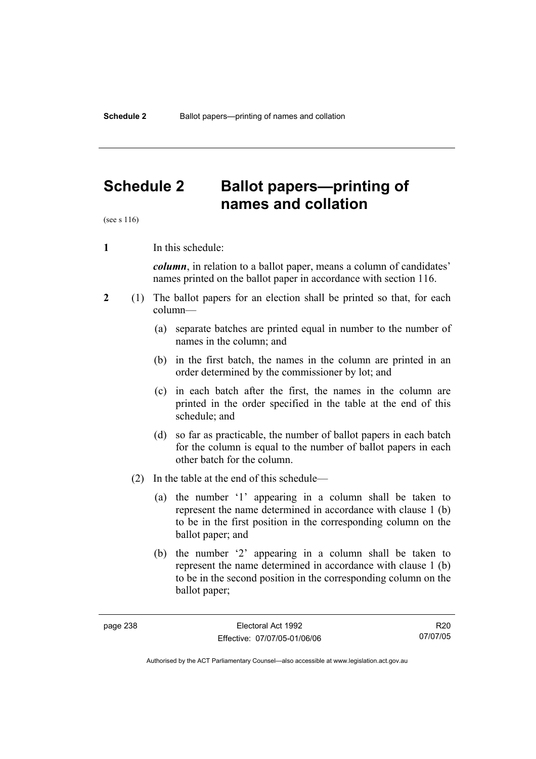# **Schedule 2 Ballot papers—printing of names and collation**

(see s 116)

**1** In this schedule:

*column*, in relation to a ballot paper, means a column of candidates' names printed on the ballot paper in accordance with section 116.

- **2** (1) The ballot papers for an election shall be printed so that, for each column—
	- (a) separate batches are printed equal in number to the number of names in the column; and
	- (b) in the first batch, the names in the column are printed in an order determined by the commissioner by lot; and
	- (c) in each batch after the first, the names in the column are printed in the order specified in the table at the end of this schedule; and
	- (d) so far as practicable, the number of ballot papers in each batch for the column is equal to the number of ballot papers in each other batch for the column.
	- (2) In the table at the end of this schedule—
		- (a) the number '1' appearing in a column shall be taken to represent the name determined in accordance with clause 1 (b) to be in the first position in the corresponding column on the ballot paper; and
		- (b) the number '2' appearing in a column shall be taken to represent the name determined in accordance with clause 1 (b) to be in the second position in the corresponding column on the ballot paper;

R20 07/07/05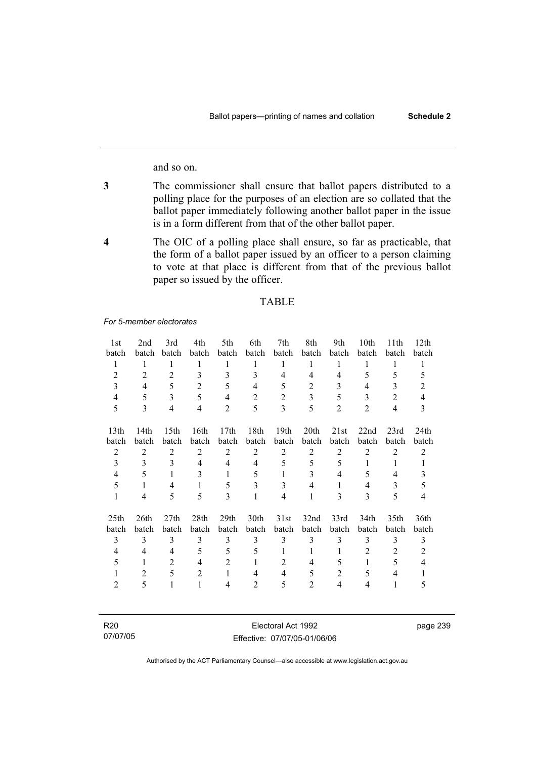and so on.

- **3** The commissioner shall ensure that ballot papers distributed to a polling place for the purposes of an election are so collated that the ballot paper immediately following another ballot paper in the issue is in a form different from that of the other ballot paper.
- **4** The OIC of a polling place shall ensure, so far as practicable, that the form of a ballot paper issued by an officer to a person claiming to vote at that place is different from that of the previous ballot paper so issued by the officer.

#### TABLE

*For 5-member electorates*

| 1st              | 2nd              | 3rd              | 4th            | 5th              | 6th            | 7th              | 8th            | 9th            | 10th           | 11th           | 12th             |
|------------------|------------------|------------------|----------------|------------------|----------------|------------------|----------------|----------------|----------------|----------------|------------------|
| batch            | batch            | batch            | batch          | batch            | batch          | batch            | batch          | batch          | batch          | batch          | batch            |
| $\mathbf{1}$     | 1                | 1                | 1              | 1                | 1              | 1                | 1              | 1              | 1              | 1              | 1                |
| $\overline{2}$   | $\overline{2}$   | $\overline{2}$   | 3              | 3                | 3              | $\overline{4}$   | 4              | $\overline{4}$ | 5              | 5              | 5                |
| 3                | $\overline{4}$   | 5                | $\overline{2}$ | 5                | $\overline{4}$ | 5                | $\overline{2}$ | 3              | 4              | 3              | $\overline{2}$   |
| $\overline{4}$   | 5                | 3                | 5              | $\overline{4}$   | $\overline{2}$ | $\overline{2}$   | 3              | 5              | 3              | $\overline{2}$ | $\overline{4}$   |
| 5                | 3                | $\overline{4}$   | 4              | $\overline{2}$   | 5              | 3                | 5              | $\overline{2}$ | $\overline{2}$ | $\overline{4}$ | 3                |
|                  |                  |                  |                |                  |                |                  |                |                |                |                |                  |
| 13 <sub>th</sub> | 14 <sub>th</sub> | 15 <sup>th</sup> | 16th           | 17th             | 18th           | 19 <sub>th</sub> | 20th           | 21st           | 22nd           | 23rd           | 24 <sub>th</sub> |
| batch            | batch            | batch            | batch          | batch            | batch          | batch            | batch          | batch          | batch          | batch          | batch            |
| $\overline{2}$   | $\overline{2}$   | $\overline{2}$   | $\overline{2}$ | $\overline{2}$   | $\overline{2}$ | $\overline{2}$   | $\overline{c}$ | $\overline{2}$ | $\overline{2}$ | $\overline{2}$ | 2                |
| 3                | 3                | 3                | $\overline{4}$ | 4                | $\overline{4}$ | 5                | 5              | 5              | 1              | 1              | $\mathbf{1}$     |
| $\overline{4}$   | 5                | $\mathbf{1}$     | 3              | $\mathbf{1}$     | 5              | 1                | 3              | 4              | 5              | 4              | $\mathfrak{Z}$   |
| 5                | 1                | $\overline{4}$   | 1              | 5                | 3              | 3                | $\overline{4}$ | 1              | 4              | 3              | 5                |
| $\mathbf{1}$     | 4                | 5                | 5              | 3                | 1              | $\overline{4}$   | 1              | 3              | 3              | 5              | $\overline{4}$   |
| 25 <sub>th</sub> | 26th             | 27th             | 28th           | 29 <sub>th</sub> | 30th           | 31st             | 32nd           | 33rd           | 34th           | 35th           | 36th             |
| batch            | batch            | batch            | batch          | batch            | batch          | batch            | batch          | batch          | batch          | batch          | batch            |
| $\overline{3}$   | 3                | 3                | 3              | 3                | 3              | 3                | 3              | 3              | 3              | 3              | 3                |
| 4                | 4                | 4                | 5              | 5                | 5              | 1                |                | 1              | 2              | 2              | $\overline{2}$   |
| 5                | 1                | $\overline{2}$   | 4              | $\overline{2}$   | 1              | 2                | 4              | 5              | 1              | 5              | 4                |
| 1                | $\overline{2}$   | 5                | $\overline{2}$ | $\mathbf{1}$     | 4              | $\overline{4}$   | 5              | $\mathfrak{2}$ | 5              | 4              |                  |
| 2                | 5                | 1                | 1              | $\overline{4}$   | $\overline{2}$ | 5                | $\overline{c}$ | $\overline{4}$ | $\overline{4}$ | 1              | 5                |
|                  |                  |                  |                |                  |                |                  |                |                |                |                |                  |
|                  |                  |                  |                |                  |                |                  |                |                |                |                |                  |

| R <sub>20</sub> | Electoral Act 1992           |
|-----------------|------------------------------|
| 07/07/05        | Effective: 07/07/05-01/06/06 |

Authorised by the ACT Parliamentary Counsel—also accessible at www.legislation.act.gov.au

page 239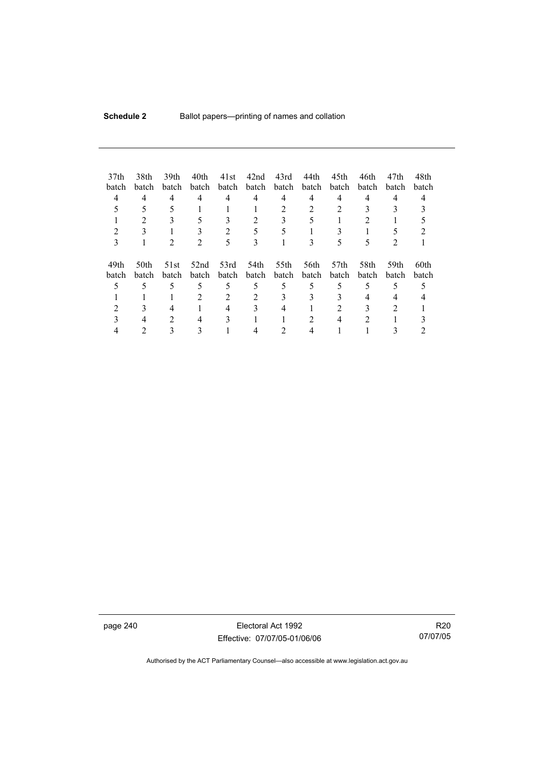| 37 <sub>th</sub><br>batch<br>4<br>3 | 38th<br>batch<br>4   | 39th<br>batch<br>4 | 40th<br>batch<br>4 | 41st<br>batch<br>4<br>2 | 42nd<br>batch<br>4<br>5<br>3 | 43rd<br>batch<br>4<br>2 | 44th<br>batch<br>4<br>2 | 45th<br>batch<br>4<br>5   | 46th<br>batch<br>4 | 47th<br><b>batch</b><br>4 | 48th<br>batch |
|-------------------------------------|----------------------|--------------------|--------------------|-------------------------|------------------------------|-------------------------|-------------------------|---------------------------|--------------------|---------------------------|---------------|
| 49th<br>batch                       | 50th<br><b>batch</b> | 51st<br>batch      | 52nd<br>batch      | 53rd<br>batch           | 54th<br>batch                | 55th<br>batch           | 56th<br>batch           | 57 <sub>th</sub><br>batch | 58th<br>batch      | 59th<br><b>batch</b>      | 60th<br>batch |
|                                     |                      | 5                  | 5                  | 5                       | 5                            | 5                       | 5                       | 5                         | 5                  | 5                         |               |
|                                     |                      |                    | 2                  | 2                       | 2                            | 3                       | 3                       |                           | 4                  |                           |               |
|                                     |                      |                    |                    | 4                       |                              |                         |                         |                           |                    |                           |               |
|                                     |                      | 2                  | 4                  | 3                       |                              |                         |                         | 4                         | 2                  |                           |               |
|                                     |                      |                    |                    |                         |                              |                         |                         |                           |                    |                           |               |

page 240 Electoral Act 1992 Effective: 07/07/05-01/06/06

R20 07/07/05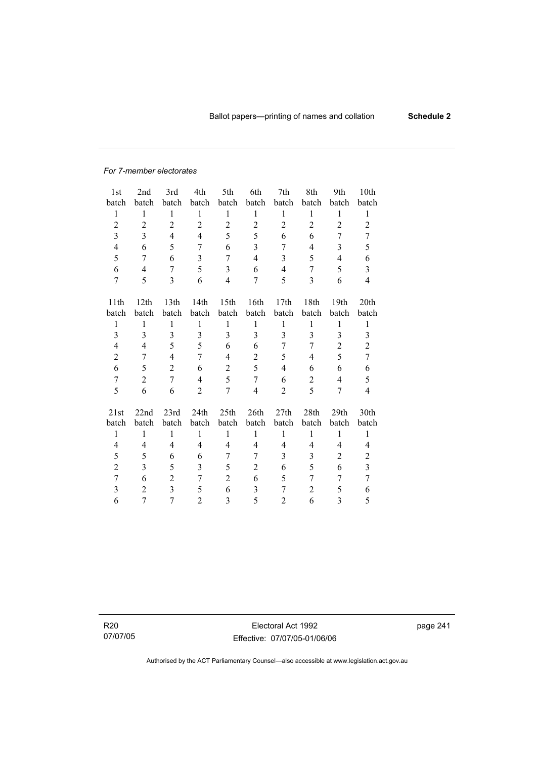#### *For 7-member electorates*

| 1st                      | 2nd            | 3rd            | 4th            | 5th                      | 6th            | 7th            | 8th            | 9th              | 10th                    |
|--------------------------|----------------|----------------|----------------|--------------------------|----------------|----------------|----------------|------------------|-------------------------|
| batch                    | batch          | batch          | batch          | batch                    | batch          | batch          | batch          | batch            | batch                   |
| $\mathbf{1}$             | $\mathbf{1}$   | 1              | $\mathbf{1}$   | 1                        | $\mathbf{1}$   | $\mathbf{1}$   | $\mathbf{1}$   | $\mathbf{1}$     | 1                       |
| $\overline{c}$           | $\sqrt{2}$     | $\overline{2}$ | $\overline{2}$ | $\overline{2}$           | $\overline{2}$ | $\overline{c}$ | $\overline{2}$ | $\overline{c}$   | $\overline{2}$          |
| 3                        | 3              | $\overline{4}$ | $\overline{4}$ | 5                        | 5              | 6              | 6              | 7                | $\overline{7}$          |
| $\overline{\mathcal{L}}$ | 6              | 5              | 7              | 6                        | 3              | 7              | 4              | 3                | 5                       |
| 5                        | 7              | 6              | 3              | $\overline{7}$           | $\overline{4}$ | 3              | 5              | $\overline{4}$   | 6                       |
| 6                        | 4              | 7              | 5              | $\overline{3}$           | 6              | $\overline{4}$ | 7              | 5                | $\overline{3}$          |
| $\overline{7}$           | 5              | 3              | 6              | $\overline{\mathcal{L}}$ | 7              | 5              | 3              | 6                | $\overline{4}$          |
|                          |                |                |                |                          |                |                |                |                  |                         |
| 11th                     | 12th           | 13th           | 14th           | 15 <sup>th</sup>         | 16th           | 17th           | 18th           | 19th             | 20th                    |
| batch                    | batch          | batch          | batch          | batch                    | batch          | batch          | batch          | batch            | batch                   |
| 1                        | 1              | 1              | $\mathbf{1}$   | 1                        | 1              | $\mathbf{1}$   | 1              | 1                | $\mathbf{1}$            |
| 3                        | 3              | $\overline{3}$ | 3              | $\overline{3}$           | $\overline{3}$ | $\overline{3}$ | 3              | $\overline{3}$   | 3                       |
| 4                        | 4              | 5              | 5              | 6                        | 6              | 7              | 7              | $\overline{2}$   | $\overline{c}$          |
| $\overline{2}$           | 7              | 4              | 7              | 4                        | $\overline{2}$ | 5              | 4              | 5                | $\tau$                  |
| 6                        | 5              | $\overline{2}$ | 6              | $\overline{2}$           | 5              | $\overline{4}$ | 6              | 6                | 6                       |
| $\overline{7}$           | $\overline{2}$ | $\overline{7}$ | $\overline{4}$ | 5                        | $\overline{7}$ | 6              | $\overline{c}$ | $\overline{4}$   | 5                       |
| 5                        | 6              | 6              | $\overline{2}$ | 7                        | $\overline{4}$ | $\overline{2}$ | 5              | $\overline{7}$   | 4                       |
| 21st                     | 22nd           | 23rd           | 24th           | 25 <sub>th</sub>         | 26th           | 27th           | 28th           | 29 <sub>th</sub> | 30th                    |
| batch                    | batch          | batch          | batch          | batch                    | batch          | batch          | batch          | batch            | batch                   |
| $\,1$                    | $\mathbf{1}$   | $\mathbf{1}$   | $\mathbf{1}$   | $\mathbf{1}$             | $\mathbf{1}$   | $\,1$          | $\mathbf{1}$   | $\mathbf{1}$     | $\mathbf{1}$            |
| 4                        | 4              | 4              | 4              | 4                        | 4              | 4              | 4              | 4                | 4                       |
| 5                        | 5              | 6              | 6              | 7                        | 7              | 3              | 3              | $\overline{2}$   | $\overline{2}$          |
| $\overline{2}$           | 3              | 5              | 3              | 5                        | $\overline{c}$ | 6              | 5              | 6                | $\overline{\mathbf{3}}$ |
| $\overline{7}$           | 6              | $\overline{2}$ | 7              | $\overline{2}$           | 6              | 5              | 7              | 7                | $\overline{7}$          |
| 3                        | $\overline{2}$ | $\overline{3}$ | 5              | 6                        | 3              | $\overline{7}$ | $\overline{2}$ | 5                | 6                       |
| 6                        | 7              | $\overline{7}$ | $\overline{2}$ | 3                        | 5              | 2              | 6              | $\overline{3}$   | 5                       |

R20 07/07/05

Electoral Act 1992 Effective: 07/07/05-01/06/06 page 241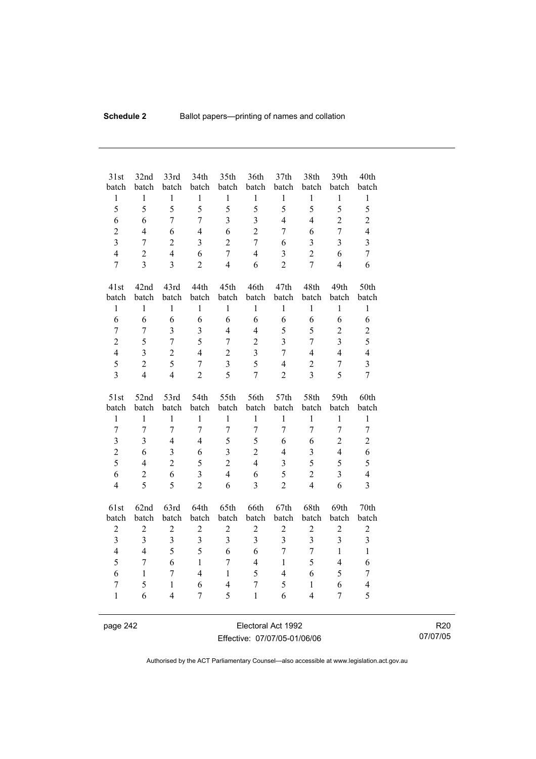| 31st<br>batch           | 32nd<br>batch           | 33rd<br>batch                  | 34th<br>batch           | 35th<br>batch       | 36th<br>batch                  | 37 <sub>th</sub><br>batch | 38th<br>batch                  | 39th<br>batch           | 40th<br>batch       |
|-------------------------|-------------------------|--------------------------------|-------------------------|---------------------|--------------------------------|---------------------------|--------------------------------|-------------------------|---------------------|
| $\,1$                   | $\mathbf{1}$            | $\,1$                          | $\,1$                   | $\mathbf{1}$        | $\mathbf{1}$                   | $\mathbf{1}$              | $\mathbf{1}$                   | $\mathbf{1}$            | $\mathbf{1}$        |
| 5                       | 5                       | 5                              | 5                       | 5                   | 5                              | 5                         | 5                              | 5                       | 5                   |
| 6                       | 6                       | $\overline{7}$                 | $\overline{7}$          | $\overline{3}$      | $\overline{3}$                 | $\overline{4}$            | $\overline{4}$                 | $\overline{2}$          | $\overline{2}$      |
| $\overline{2}$          | $\overline{4}$          | 6                              | $\overline{4}$          | 6                   | $\overline{2}$                 | $\overline{7}$            | 6                              | $\overline{7}$          | $\overline{4}$      |
| $\overline{3}$          | 7                       | $\overline{2}$                 | $\overline{3}$          | $\overline{2}$      | $\overline{7}$                 | 6                         | $\overline{3}$                 | 3                       | $\overline{3}$      |
| $\overline{4}$          | $\overline{2}$          | $\overline{4}$                 | 6                       | $\overline{7}$      | $\overline{4}$                 | $\overline{3}$            | $\overline{2}$                 | 6                       | $\overline{7}$      |
| $\overline{7}$          | $\overline{3}$          | $\overline{3}$                 | $\overline{2}$          | $\overline{4}$      | 6                              | $\overline{2}$            | $\overline{7}$                 | $\overline{4}$          | 6                   |
| 41st                    | 42nd                    | 43rd                           | 44th                    | 45th                | 46th                           | 47th                      | 48th                           | 49th                    | 50th                |
| batch                   | batch                   | batch                          | batch                   | batch               | batch                          | batch                     | batch                          | batch                   | batch               |
| $\mathbf{1}$            | $\mathbf{1}$            | $\mathbf{1}$                   | $\mathbf{1}$            | $\mathbf{1}$        | $\mathbf{1}$                   | $\mathbf{1}$              | $\mathbf{1}$                   | $\mathbf{1}$            | $\mathbf{1}$        |
| 6                       | 6                       | 6                              | 6                       | 6                   | 6                              | 6                         | 6                              | 6                       | 6                   |
| $\overline{7}$          | $\boldsymbol{7}$        | $\overline{3}$                 | $\overline{3}$          | $\overline{4}$      | $\overline{4}$                 | 5                         | 5                              | $\overline{c}$          | $\overline{c}$      |
| $\overline{2}$          | 5                       | $\overline{7}$                 | 5                       | 7                   | $\overline{2}$                 | $\overline{3}$            | 7                              | $\overline{3}$          | 5                   |
| $\overline{4}$          | $\overline{3}$          | $\overline{2}$                 | $\overline{4}$          | $\overline{2}$      | $\overline{3}$                 | $\overline{7}$            | $\overline{4}$                 | $\overline{4}$          | $\overline{4}$      |
| 5                       | $\overline{2}$          | 5                              | $\overline{7}$          | $\overline{3}$      | 5                              | $\overline{4}$            | $\overline{c}$                 | $\overline{7}$          | $\overline{3}$      |
| $\overline{3}$          | $\overline{4}$          | $\overline{4}$                 | $\overline{2}$          | 5                   | $\overline{7}$                 | $\overline{2}$            | $\overline{3}$                 | 5                       | $\overline{7}$      |
|                         |                         |                                |                         |                     |                                |                           |                                |                         |                     |
| 51st                    | 52nd                    | 53rd                           | 54th                    | 55th                | 56th                           | 57th                      | 58th                           | 59th                    | 60th                |
| batch                   | batch                   | batch                          | batch                   | batch               | batch                          | batch                     | batch                          | batch                   | batch               |
| $\mathbf{1}$            | $\mathbf{1}$            | $\mathbf{1}$                   | $\mathbf{1}$            | $\mathbf{1}$        | $\mathbf{1}$                   | $\mathbf{1}$              | $\mathbf{1}$                   | $\mathbf{1}$            | $\mathbf{1}$        |
| $\overline{7}$          | $\overline{7}$          | $\overline{7}$                 | $\overline{7}$          | $\overline{7}$      | $\overline{7}$                 | $\overline{7}$            | $\overline{7}$                 | $\overline{7}$          | $\tau$              |
| $\overline{\mathbf{3}}$ | $\overline{3}$          | $\overline{4}$                 | $\overline{4}$          | 5                   | 5                              | 6                         | 6                              | $\overline{c}$          | $\overline{c}$      |
| $\overline{c}$          | 6                       | $\overline{3}$                 | 6                       | $\overline{3}$      | $\overline{2}$                 | $\overline{4}$            | 3                              | $\overline{4}$          | 6                   |
| 5                       | $\overline{4}$          | $\overline{2}$                 | 5                       | $\overline{2}$      | $\overline{4}$                 | $\overline{\mathbf{3}}$   | 5                              | 5                       | 5                   |
| 6                       | $\overline{2}$          | 6                              | $\overline{\mathbf{3}}$ | $\overline{4}$      | 6                              | 5                         | $\overline{2}$                 | $\overline{\mathbf{3}}$ | $\overline{4}$      |
| $\overline{4}$          | 5                       | 5                              | $\overline{2}$          | 6                   | $\overline{3}$                 | $\overline{2}$            | $\overline{4}$                 | 6                       | $\overline{3}$      |
| 61st                    | 62nd                    | 63rd                           | 64th                    | 65th                | 66th                           | 67th                      | 68th                           | 69th                    | 70th                |
| batch                   | batch                   | batch                          | batch                   | batch               | batch                          | batch                     | batch                          | batch                   | batch               |
| $\overline{c}$          | $\overline{2}$          | $\overline{c}$                 | $\overline{c}$          | $\overline{c}$      | $\overline{2}$                 | $\overline{c}$            | $\overline{c}$                 | $\overline{c}$          | $\overline{c}$      |
| $\overline{\mathbf{3}}$ | $\overline{\mathbf{3}}$ | $\overline{\mathbf{3}}$        | $\overline{\mathbf{3}}$ | 3                   | $\overline{\mathbf{3}}$        | $\overline{\mathbf{3}}$   | 3                              | $\overline{\mathbf{3}}$ | $\overline{3}$      |
| $\overline{4}$          | $\overline{4}$          | 5                              | 5                       | 6                   | 6                              | $\overline{7}$            | $\overline{7}$                 | $\mathbf{1}$            | $\mathbf{1}$        |
| 5                       | $\boldsymbol{7}$        | 6                              | $\mathbf{1}$            | $\overline{7}$      | $\overline{4}$                 | $\mathbf{1}$              | 5                              | $\overline{4}$          | 6                   |
| 6                       | $\mathbf{1}$            | $\overline{7}$                 | $\overline{4}$          | $\mathbf{1}$        | 5                              | $\overline{4}$            | 6                              | 5                       | $\overline{7}$      |
| $\tau$<br>$\mathbf{1}$  | 5<br>6                  | $\mathbf{1}$<br>$\overline{4}$ | 6<br>7                  | $\overline{4}$<br>5 | $\overline{7}$<br>$\mathbf{1}$ | 5<br>6                    | $\mathbf{1}$<br>$\overline{4}$ | 6<br>$\overline{7}$     | $\overline{4}$<br>5 |

page 242 Electoral Act 1992 Effective: 07/07/05-01/06/06

R20 07/07/05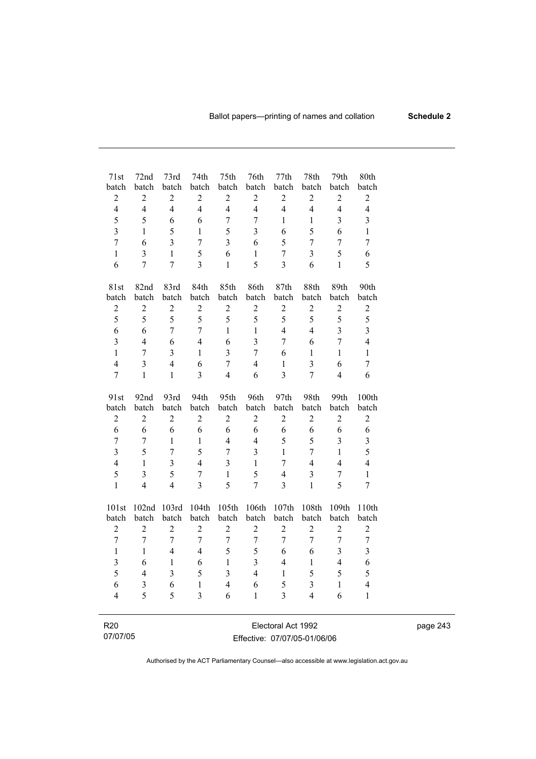| 71st                    | 72nd             | 73rd                    | 74th                    | 75th                    | 76th             | 77th                    | 78th                     | 79th                    | 80th                    |
|-------------------------|------------------|-------------------------|-------------------------|-------------------------|------------------|-------------------------|--------------------------|-------------------------|-------------------------|
| batch                   | batch            | batch                   | batch                   | batch                   | batch            | batch                   | batch                    | batch                   | batch                   |
| $\overline{c}$          | $\boldsymbol{2}$ | $\sqrt{2}$              | $\boldsymbol{2}$        | $\boldsymbol{2}$        | $\sqrt{2}$       | $\overline{c}$          | $\boldsymbol{2}$         | $\overline{c}$          | $\sqrt{2}$              |
| $\overline{4}$          | $\overline{4}$   | $\overline{4}$          | $\overline{4}$          | $\overline{4}$          | $\overline{4}$   | $\overline{4}$          | $\overline{4}$           | $\overline{4}$          | $\overline{4}$          |
| 5                       | 5                | 6                       | 6                       | $\sqrt{ }$              | $\overline{7}$   | 1                       | $\mathbf{1}$             | $\overline{\mathbf{3}}$ | $\overline{\mathbf{3}}$ |
| $\overline{\mathbf{3}}$ | $\mathbf{1}$     | 5                       | 1                       | 5                       | $\overline{3}$   | 6                       | 5                        | 6                       | $\mathbf{1}$            |
| $\overline{7}$          | 6                | $\overline{3}$          | $\overline{7}$          | $\overline{\mathbf{3}}$ | 6                | 5                       | $\overline{7}$           | $\overline{7}$          | $\overline{7}$          |
| $\mathbf{1}$            | $\overline{3}$   | $\mathbf{1}$            | 5                       | 6                       | $\mathbf{1}$     | $\overline{7}$          | $\overline{\mathbf{3}}$  | 5                       | 6                       |
| 6                       | $\overline{7}$   | $\overline{7}$          | $\overline{\mathbf{3}}$ | $\mathbf{1}$            | 5                | $\overline{3}$          | 6                        | $\mathbf{1}$            | 5                       |
| 81st                    | 82nd             | 83rd                    | 84th                    | 85th                    | 86th             | 87th                    | 88th                     | 89th                    | 90th                    |
| batch                   | batch            | batch                   | batch                   | batch                   | batch            | batch                   | batch                    | batch                   | batch                   |
| $\overline{c}$          | $\overline{c}$   | $\sqrt{2}$              | $\overline{c}$          | $\overline{c}$          | $\sqrt{2}$       | $\overline{c}$          | $\sqrt{2}$               | $\overline{c}$          | $\overline{c}$          |
| 5                       | 5                | 5                       | 5                       | 5                       | 5                | 5                       | 5                        | 5                       | 5                       |
| 6                       | 6                | $\overline{7}$          | $\overline{7}$          | $\mathbf{1}$            | $\mathbf{1}$     | $\overline{4}$          | $\overline{\mathcal{L}}$ | $\overline{3}$          | $\overline{\mathbf{3}}$ |
| $\overline{\mathbf{3}}$ | $\overline{4}$   | 6                       | $\overline{4}$          | 6                       | $\overline{3}$   | $\overline{7}$          | 6                        | $\overline{7}$          | $\overline{4}$          |
| $\mathbf{1}$            | $\overline{7}$   | $\overline{3}$          | $\mathbf{1}$            | $\overline{\mathbf{3}}$ | $\overline{7}$   | 6                       | $\mathbf{1}$             | $\mathbf{1}$            | $\mathbf{1}$            |
| $\overline{4}$          | $\overline{3}$   | $\overline{4}$          | 6                       | $\boldsymbol{7}$        | $\overline{4}$   | $\mathbf{1}$            | $\overline{\mathbf{3}}$  | 6                       | $\overline{7}$          |
| $\overline{7}$          | $\mathbf{1}$     | $\mathbf{1}$            | $\overline{3}$          | $\overline{4}$          | 6                | $\overline{\mathbf{3}}$ | $\overline{7}$           | $\overline{4}$          | 6                       |
| 91st                    | 92nd             | 93rd                    | 94th                    | 95th                    | 96th             | 97th                    | 98th                     | 99th                    | 100th                   |
| batch                   | batch            | batch                   | batch                   | batch                   | batch            | batch                   | batch                    | batch                   | batch                   |
| $\overline{c}$          | $\boldsymbol{2}$ | $\mathbf{2}$            | $\sqrt{2}$              | $\mathbf{2}$            | $\sqrt{2}$       | $\sqrt{2}$              | $\overline{2}$           | $\overline{2}$          | $\sqrt{2}$              |
| 6                       | 6                | 6                       | 6                       | 6                       | 6                | 6                       | 6                        | 6                       | 6                       |
| $\overline{7}$          | $\boldsymbol{7}$ | $\mathbf{1}$            | 1                       | $\overline{4}$          | $\overline{4}$   | 5                       | 5                        | 3                       | $\overline{3}$          |
| $\overline{\mathbf{3}}$ | 5                | $\overline{7}$          | 5                       | $\overline{7}$          | $\overline{3}$   | $\mathbf{1}$            | $\overline{7}$           | $\mathbf{1}$            | 5                       |
| $\overline{4}$          | $\mathbf{1}$     | $\overline{3}$          | $\overline{4}$          | 3                       | $\mathbf{1}$     | $\overline{7}$          | $\overline{4}$           | $\overline{4}$          | $\overline{4}$          |
| 5                       | $\overline{3}$   | 5                       | $\overline{7}$          | $\mathbf{1}$            | 5                | $\overline{4}$          | 3                        | $\overline{7}$          | $\mathbf{1}$            |
| $\mathbf{1}$            | $\overline{4}$   | $\overline{4}$          | $\overline{3}$          | 5                       | $\overline{7}$   | $\overline{3}$          | $\mathbf{1}$             | 5                       | $\overline{7}$          |
| 101st                   | 102nd            | 103rd                   | 104th                   | 105th                   | 106th            | 107th                   | 108th                    | 109th                   | 110th                   |
| batch                   | batch            | batch                   | batch                   | batch                   | batch            | batch                   | batch                    | batch                   | batch                   |
| $\overline{2}$          | $\overline{2}$   | $\overline{2}$          | $\overline{2}$          | $\overline{2}$          | $\overline{2}$   | $\overline{2}$          | $\overline{2}$           | $\overline{2}$          | $\boldsymbol{2}$        |
| $\overline{7}$          | $\overline{7}$   | 7                       | $\boldsymbol{7}$        | $\boldsymbol{7}$        | $\boldsymbol{7}$ | $\boldsymbol{7}$        | 7                        | $\boldsymbol{7}$        | $\boldsymbol{7}$        |
| $\mathbf{1}$            | $\mathbf{1}$     | $\overline{4}$          | $\overline{4}$          | 5                       | 5                | 6                       | 6                        | $\overline{3}$          | $\overline{3}$          |
| 3                       | 6                | $\mathbf{1}$            | 6                       | $\mathbf{1}$            | 3                | $\overline{4}$          | $\mathbf{1}$             | $\overline{4}$          | 6                       |
| 5                       | $\overline{4}$   | $\overline{\mathbf{3}}$ | 5                       | 3                       | $\overline{4}$   | $\mathbf{1}$            | 5                        | 5                       | 5                       |
| 6                       | 3                | 6                       | $\mathbf{1}$            | $\overline{4}$          | 6                | 5                       | 3                        | $\mathbf{1}$            | $\overline{4}$          |
| $\overline{4}$          | 5                | 5                       | $\overline{\mathbf{3}}$ | 6                       | $\mathbf{1}$     | $\overline{\mathbf{3}}$ | $\overline{4}$           | 6                       | $\mathbf{1}$            |
|                         |                  |                         |                         |                         |                  |                         |                          |                         |                         |
| R <sub>20</sub>         |                  |                         |                         |                         |                  | Electoral Act 1992      |                          |                         |                         |

| 07/07/05 |
|----------|
|          |

Electoral Act 1992 Effective: 07/07/05-01/06/06 page 243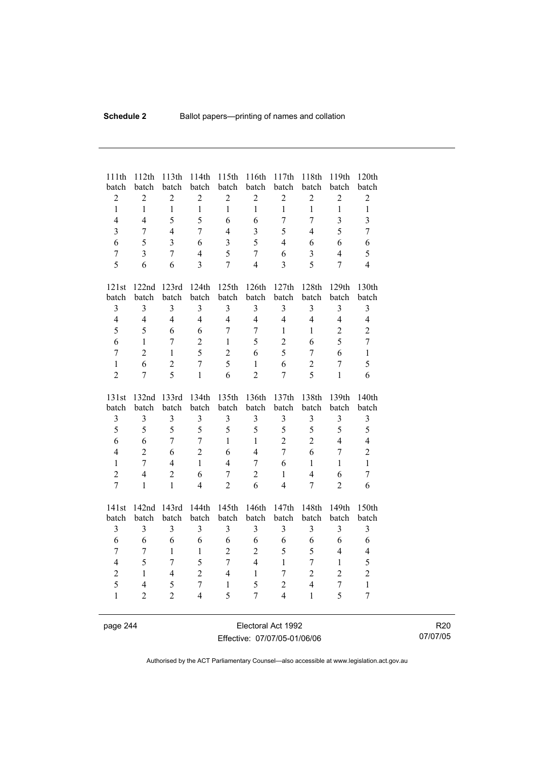| batch<br>batch<br>batch<br>batch<br>batch<br>batch<br>batch<br>batch<br>batch                                                                                    | 120th<br>119th<br>batch |
|------------------------------------------------------------------------------------------------------------------------------------------------------------------|-------------------------|
| $\boldsymbol{2}$<br>$\overline{2}$<br>$\overline{2}$<br>$\overline{2}$<br>$\overline{2}$<br>$\overline{2}$<br>$\overline{c}$<br>$\overline{c}$<br>$\overline{2}$ | $\overline{c}$          |
| $\mathbf{1}$<br>$\mathbf{1}$<br>$\mathbf{1}$<br>$\mathbf{1}$<br>$\mathbf{1}$<br>$\mathbf{1}$<br>$\mathbf{1}$<br>$\mathbf{1}$<br>$\mathbf{1}$                     | $\mathbf{1}$            |
| $\overline{3}$<br>$\overline{4}$<br>$\overline{4}$<br>5<br>5<br>$\overline{7}$<br>$\overline{7}$<br>6<br>6                                                       | $\overline{\mathbf{3}}$ |
| 5<br>$\overline{3}$<br>5<br>$\overline{7}$<br>$\overline{4}$<br>7<br>$\overline{4}$<br>3<br>$\overline{4}$                                                       | $\overline{7}$          |
| 5<br>$\overline{3}$<br>3<br>5<br>6<br>6<br>6<br>$\overline{4}$<br>6                                                                                              | 6                       |
| 5<br>$\overline{3}$<br>$\overline{3}$<br>$\overline{4}$<br>$\boldsymbol{7}$<br>$\overline{7}$<br>$\overline{4}$<br>$\overline{7}$<br>6                           | 5                       |
| 5<br>$\overline{7}$<br>5<br>$\overline{3}$<br>$\overline{7}$<br>6<br>$\overline{4}$<br>3<br>6                                                                    | $\overline{4}$          |
|                                                                                                                                                                  |                         |
| 122nd<br>123rd<br>124th<br>125th<br>126th<br>127th<br>128th<br>129th<br>121st                                                                                    | 130th                   |
| batch<br>batch<br>batch<br>batch<br>batch<br>batch<br>batch<br>batch<br>batch                                                                                    | batch                   |
| $\overline{3}$<br>$\overline{3}$<br>$\overline{3}$<br>$\overline{3}$<br>$\overline{3}$<br>$\overline{3}$<br>$\overline{3}$<br>$\overline{3}$<br>3                | $\overline{\mathbf{3}}$ |
| $\overline{4}$<br>$\overline{4}$<br>$\overline{4}$<br>$\overline{4}$<br>$\overline{4}$<br>$\overline{4}$<br>$\overline{4}$<br>$\overline{4}$<br>$\overline{4}$   | $\overline{4}$          |
| 5<br>5<br>$\overline{7}$<br>$\overline{2}$<br>6<br>6<br>$\overline{7}$<br>$\mathbf{1}$<br>$\mathbf{1}$                                                           | $\overline{2}$          |
| 5<br>6<br>$\mathbf{1}$<br>$\overline{2}$<br>5<br>$\overline{2}$<br>7<br>$\mathbf{1}$<br>6                                                                        | $\overline{7}$          |
| 5<br>$\overline{c}$<br>$\overline{2}$<br>5<br>$\overline{7}$<br>6<br>$\overline{7}$<br>6<br>1                                                                    | $\mathbf{1}$            |
| 5<br>6<br>$\overline{2}$<br>$\overline{7}$<br>6<br>$\mathbf{1}$<br>$\mathbf{1}$<br>$\overline{2}$<br>$\overline{7}$                                              | 5                       |
| $\overline{2}$<br>5<br>6<br>5<br>$\overline{7}$<br>$\mathbf{1}$<br>$\overline{2}$<br>$\overline{7}$<br>$\mathbf{1}$                                              | 6                       |
|                                                                                                                                                                  |                         |
| 135th<br>137th<br>138th<br>139th<br>131st<br>132nd<br>133rd<br>134th<br>136th                                                                                    | 140th                   |
| batch<br>batch<br>batch<br>batch<br>batch<br>batch<br>batch<br>batch<br>batch                                                                                    | batch                   |
| $\overline{\mathbf{3}}$<br>$\overline{3}$<br>$\overline{\mathbf{3}}$<br>$\overline{\mathbf{3}}$<br>$\overline{3}$<br>3<br>3<br>$\overline{\mathbf{3}}$<br>3      | $\mathfrak{Z}$          |
| 5<br>5<br>5<br>5<br>5<br>5<br>5<br>5<br>5                                                                                                                        | 5                       |
| $\overline{7}$<br>$\overline{2}$<br>$\overline{2}$<br>$\overline{4}$<br>6<br>6<br>$\overline{7}$<br>$\mathbf{1}$<br>$\mathbf{1}$                                 | $\overline{4}$          |
| $\overline{4}$<br>$\overline{2}$<br>$\overline{2}$<br>6<br>6<br>6<br>$\overline{4}$<br>$\overline{7}$<br>$\overline{7}$                                          | $\overline{2}$          |
| $\mathbf{1}$<br>$\overline{7}$<br>$\overline{4}$<br>$\mathbf{1}$<br>$\overline{4}$<br>6<br>$\mathbf{1}$<br>$\mathbf{1}$<br>$\overline{7}$                        | $\mathbf{1}$            |
| $\overline{2}$<br>$\overline{4}$<br>6<br>$\overline{2}$<br>6<br>$\overline{7}$<br>$\overline{2}$<br>$\overline{4}$<br>$\mathbf{1}$                               | $\tau$                  |
| $\overline{7}$<br>$\overline{2}$<br>$\mathbf{1}$<br>$\mathbf{1}$<br>$\overline{4}$<br>6<br>$\overline{4}$<br>$\overline{7}$<br>$\overline{2}$                    | 6                       |
|                                                                                                                                                                  |                         |
| 144th<br>145th<br>142nd<br>143rd<br>146th<br>147th<br>148th<br>149th<br>141st                                                                                    | 150th                   |
| batch<br>batch<br>batch<br>batch<br>batch<br>batch<br>batch<br>batch<br>batch                                                                                    | batch                   |
| $\overline{\mathbf{3}}$<br>3<br>3<br>3<br>3<br>3<br>3<br>3<br>3                                                                                                  | 3                       |
| 6<br>6<br>6<br>6<br>6<br>6<br>6<br>6<br>6                                                                                                                        | 6                       |
| $\overline{2}$<br>5<br>5<br>$\overline{7}$<br>$\mathbf{1}$<br>$\mathbf{1}$<br>$\overline{c}$<br>$\overline{4}$<br>$\overline{7}$                                 | $\overline{\mathbf{4}}$ |
| $\overline{7}$<br>5<br>5<br>$\overline{4}$<br>$\overline{4}$<br>$\overline{7}$<br>$\mathbf{1}$<br>$\overline{7}$<br>$\mathbf{1}$                                 | 5                       |
| $\overline{2}$<br>$\overline{2}$<br>$\sqrt{2}$<br>$\overline{4}$<br>$\mathbf{1}$<br>$\overline{7}$<br>$\overline{2}$<br>$\mathbf{1}$<br>$\overline{4}$           | $\overline{2}$          |
| 5<br>$\overline{4}$<br>$\overline{7}$<br>5<br>5<br>$\mathbf{1}$<br>$\overline{c}$<br>$\overline{4}$<br>$\overline{7}$                                            | $\mathbf{1}$            |
| 5<br>5<br>$\mathbf{1}$<br>$\overline{2}$<br>$\overline{2}$<br>$\overline{4}$<br>$\overline{4}$<br>$\mathbf{1}$<br>7                                              | $\overline{7}$          |

page 244 Electoral Act 1992 Effective: 07/07/05-01/06/06

R20 07/07/05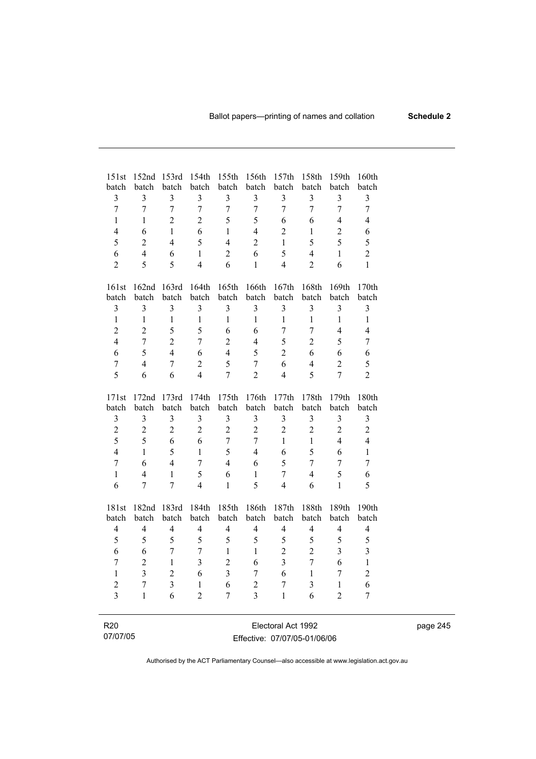| 151st                   | 152 <sub>nd</sub> | 153rd                   | 154th                   | 155th          | 156th                    | 157th                   | 158th                   | 159th                    | 160th                   |
|-------------------------|-------------------|-------------------------|-------------------------|----------------|--------------------------|-------------------------|-------------------------|--------------------------|-------------------------|
| batch<br>3              | batch<br>3        | batch<br>3              | batch<br>3              | batch<br>3     | batch<br>3               | batch<br>3              | batch<br>3              | batch<br>3               | batch<br>$\mathfrak{Z}$ |
| $\overline{7}$          | $\overline{7}$    | $\overline{7}$          | $\overline{7}$          | $\overline{7}$ | $\overline{7}$           | $\overline{7}$          | $\overline{7}$          | $\overline{7}$           | $\overline{7}$          |
| 1                       | 1                 | $\overline{2}$          | $\overline{2}$          | 5              | 5                        | 6                       | 6                       | $\overline{\mathcal{A}}$ | $\overline{4}$          |
| $\overline{4}$          | 6                 | $\mathbf{1}$            | 6                       | 1              | $\overline{4}$           | $\overline{c}$          | 1                       | $\overline{2}$           | 6                       |
| 5                       | $\overline{2}$    | $\overline{4}$          | 5                       | $\overline{4}$ | $\overline{2}$           | $\mathbf{1}$            | 5                       | 5                        | 5                       |
| 6                       | $\overline{4}$    | 6                       | $\mathbf{1}$            | $\overline{2}$ | 6                        | 5                       | $\overline{4}$          | $\mathbf{1}$             | $\overline{2}$          |
| $\overline{2}$          | 5                 | 5                       | $\overline{4}$          | 6              | $\mathbf{1}$             | $\overline{4}$          | $\overline{2}$          | 6                        | $\mathbf{1}$            |
|                         |                   |                         |                         |                |                          |                         |                         |                          |                         |
| 161st                   | 162nd             | 163rd                   | 164th                   | 165th          | 166th                    | 167th                   | 168th                   | 169th                    | 170th                   |
| batch                   | batch             | batch                   | batch                   | batch          | batch                    | batch                   | batch                   | batch                    | batch                   |
| $\overline{\mathbf{3}}$ | $\overline{3}$    | $\overline{3}$          | $\overline{\mathbf{3}}$ | $\overline{3}$ | $\overline{3}$           | 3                       | $\overline{\mathbf{3}}$ | $\overline{3}$           | $\mathfrak{Z}$          |
| $\,1$                   | $\mathbf{1}$      | $\mathbf{1}$            | $\mathbf{1}$            | 1              | $\mathbf{1}$             | $\mathbf{1}$            | $\mathbf{1}$            | $\mathbf{1}$             | $\,1$                   |
| $\overline{c}$          | $\overline{2}$    | 5                       | 5                       | 6              | 6                        | $\overline{7}$          | $\overline{7}$          | $\overline{\mathcal{A}}$ | $\overline{4}$          |
| $\overline{4}$          | $\overline{7}$    | $\overline{2}$          | $\overline{7}$          | $\overline{2}$ | $\overline{\mathcal{L}}$ | 5                       | $\overline{2}$          | 5                        | $\boldsymbol{7}$        |
| 6                       | 5                 | $\overline{4}$          | 6                       | $\overline{4}$ | 5                        | $\overline{2}$          | 6                       | 6                        | 6                       |
| $\overline{7}$          | $\overline{4}$    | $\overline{7}$          | $\overline{2}$          | 5              | $\overline{7}$           | 6                       | $\overline{4}$          | $\overline{2}$           | 5                       |
| 5                       | 6                 | 6                       | $\overline{4}$          | $\overline{7}$ | $\overline{2}$           | $\overline{4}$          | 5                       | $\overline{7}$           | $\overline{2}$          |
| 171st                   | 172nd             | 173rd                   | 174th                   | 175th          | 176th                    | 177th                   | 178th                   | 179th                    | 180th                   |
| batch                   | batch             | batch                   | batch                   | batch          | batch                    | batch                   | batch                   | batch                    | batch                   |
| $\overline{\mathbf{3}}$ | $\mathfrak{Z}$    | $\mathfrak{Z}$          | $\overline{\mathbf{3}}$ | $\overline{3}$ | $\mathfrak{Z}$           | $\overline{\mathbf{3}}$ | $\overline{3}$          | $\overline{\mathbf{3}}$  | $\mathfrak{Z}$          |
| $\overline{c}$          | $\overline{2}$    | $\overline{2}$          | $\overline{2}$          | $\overline{2}$ | $\overline{2}$           | $\overline{2}$          | $\overline{2}$          | $\overline{2}$           | $\overline{c}$          |
| 5                       | 5                 | 6                       | 6                       | $\overline{7}$ | $\overline{7}$           | $\mathbf{1}$            | $\mathbf{1}$            | $\overline{4}$           | $\overline{4}$          |
| $\overline{4}$          | $\mathbf{1}$      | 5                       | $\mathbf{1}$            | 5              | $\overline{\mathcal{L}}$ | 6                       | 5                       | 6                        | $\mathbf{1}$            |
| $\overline{7}$          | 6                 | $\overline{4}$          | $\overline{7}$          | $\overline{4}$ | 6                        | 5                       | $\overline{7}$          | $\overline{7}$           | $\overline{7}$          |
| $\mathbf{1}$            | $\overline{4}$    | $\mathbf{1}$            | 5                       | 6              | $\mathbf{1}$             | $\overline{7}$          | $\overline{4}$          | 5                        | 6                       |
| 6                       | 7                 | 7                       | $\overline{4}$          | $\mathbf{1}$   | 5                        | 4                       | 6                       | $\mathbf{1}$             | 5                       |
| 181st                   | 182nd             | 183rd                   | 184th                   | 185th          | 186th                    | 187th                   | 188th                   | 189th                    | 190th                   |
| batch                   | batch             | batch                   | batch                   | batch          | batch                    | batch                   | batch                   | batch                    | batch                   |
| $\overline{4}$          | $\overline{4}$    | $\overline{4}$          | $\overline{4}$          | $\overline{4}$ | $\overline{4}$           | $\overline{4}$          | $\overline{4}$          | $\overline{4}$           | $\overline{4}$          |
| 5                       | 5                 | 5                       | 5                       | 5              | 5                        | 5                       | 5                       | 5                        | 5                       |
| 6                       | 6                 | $\overline{7}$          | $\overline{7}$          | $\mathbf{1}$   | $\mathbf{1}$             | $\overline{2}$          | $\overline{2}$          | $\overline{3}$           | $\overline{\mathbf{3}}$ |
| $\overline{7}$          | $\overline{2}$    | 1                       | $\overline{\mathbf{3}}$ | $\overline{2}$ | 6                        | $\overline{\mathbf{3}}$ | $\overline{7}$          | 6                        | $\,1$                   |
| $\mathbf 1$             | $\overline{3}$    | $\overline{2}$          | 6                       | $\overline{3}$ | 7                        | 6                       | 1                       | $\overline{7}$           | $\overline{c}$          |
| $\overline{c}$          | $\overline{7}$    | $\overline{\mathbf{3}}$ | $\mathbf{1}$            | 6              | $\overline{2}$           | $\overline{7}$          | $\overline{3}$          | $\mathbf{1}$             | 6                       |
| $\overline{3}$          | $\mathbf{1}$      | 6                       | $\overline{2}$          | $\overline{7}$ | $\overline{3}$           | $\mathbf{1}$            | 6                       | $\overline{2}$           | $\overline{7}$          |
|                         |                   |                         |                         |                |                          |                         |                         |                          |                         |
| R <sub>20</sub>         |                   |                         |                         |                |                          | Electoral Act 1992      |                         |                          |                         |

| 07/07/05 |
|----------|
|----------|

Electoral Act 1992 Effective: 07/07/05-01/06/06 page 245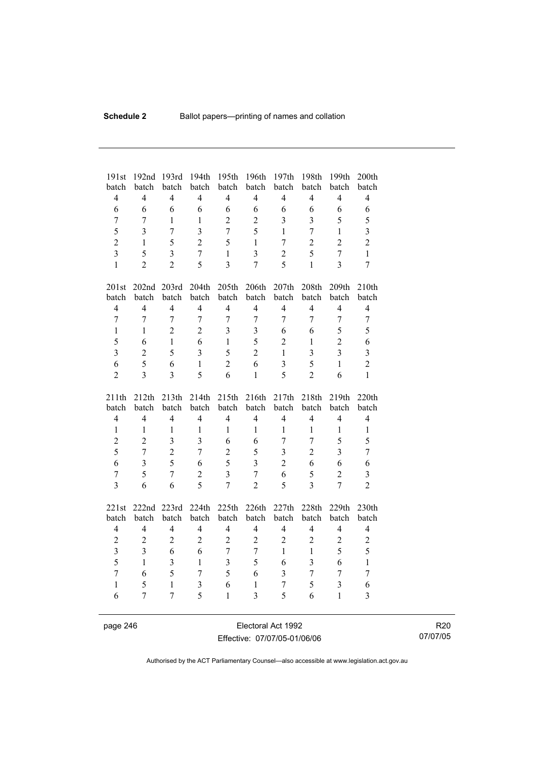| 191st             | 192nd                              | 193rd                          | 194th               | 195th                            | 196th                          | 197th                          | 198th                            | 199th               | 200th                   |
|-------------------|------------------------------------|--------------------------------|---------------------|----------------------------------|--------------------------------|--------------------------------|----------------------------------|---------------------|-------------------------|
| batch             | batch                              | batch                          | batch               | batch                            | batch                          | batch                          | batch                            | batch               | batch                   |
| $\overline{4}$    | $\overline{4}$                     | $\overline{4}$                 | $\overline{4}$      | $\overline{4}$                   | $\overline{4}$                 | $\overline{4}$                 | $\overline{4}$                   | $\overline{4}$      | $\overline{4}$          |
| 6                 | 6                                  | 6                              | 6                   | 6                                | 6                              | 6                              | 6                                | 6                   | 6                       |
| $\overline{7}$    | 7                                  | $\mathbf{1}$                   | $\mathbf{1}$        | $\overline{2}$                   | $\overline{2}$                 | $\overline{3}$                 | $\overline{3}$                   | 5                   | 5                       |
| 5                 | 3                                  | $\overline{7}$                 | $\overline{3}$      | $\overline{7}$                   | 5                              | $\mathbf{1}$                   | $\overline{7}$                   | $\mathbf{1}$        | $\overline{\mathbf{3}}$ |
| $\overline{c}$    | $\mathbf{1}$                       | 5                              | $\overline{2}$      | 5                                | $\mathbf{1}$                   | $\overline{7}$                 | $\overline{2}$                   | $\overline{2}$      | $\overline{2}$          |
| $\overline{3}$    | 5                                  | $\overline{\mathbf{3}}$        | $\overline{7}$      | $\mathbf{1}$                     | $\overline{\mathbf{3}}$        | $\overline{2}$                 | 5                                | $\overline{7}$      | $\mathbf{1}$            |
| $\mathbf{1}$      | $\overline{2}$                     | $\overline{2}$                 | 5                   | $\overline{3}$                   | $\overline{7}$                 | 5                              | $\mathbf{1}$                     | $\overline{3}$      | $\overline{7}$          |
| 201st             |                                    | 202nd 203rd                    | 204th               | 205 <sup>th</sup>                | 206th                          | 207th                          | 208th                            | 209th               | 210th                   |
| batch             | batch                              | batch                          | batch               | batch                            | batch                          | batch                          | batch                            | batch               | batch                   |
| $\overline{4}$    | $\overline{4}$                     | $\overline{4}$                 | $\overline{4}$      | $\overline{4}$                   | $\overline{4}$                 | $\overline{4}$                 | $\overline{4}$                   | $\overline{4}$      | $\overline{4}$          |
| $\overline{7}$    | $\overline{7}$                     | $\overline{7}$                 | $\overline{7}$      | $\overline{7}$                   | $\overline{7}$                 | $\overline{7}$                 | $\overline{7}$                   | $\overline{7}$      | $\boldsymbol{7}$        |
| $\mathbf{1}$      | $\mathbf{1}$                       | $\overline{2}$                 | $\overline{2}$      | 3                                | $\mathfrak{Z}$                 | 6                              | 6                                | 5                   | 5                       |
| 5                 | 6                                  | $\mathbf{1}$                   | 6                   | $\mathbf{1}$                     | 5                              | $\overline{2}$                 | $\mathbf{1}$                     | $\overline{2}$      | 6                       |
| $\overline{3}$    | $\overline{2}$                     | 5                              | $\overline{3}$      | 5                                | $\overline{2}$                 | $\mathbf{1}$                   | $\overline{3}$                   | $\overline{3}$      | $\overline{3}$          |
| 6                 | 5                                  | 6                              | $\mathbf{1}$        | $\overline{2}$                   | 6                              | $\overline{3}$                 | 5                                | $\mathbf{1}$        | $\overline{2}$          |
| $\overline{c}$    | $\overline{3}$                     | $\overline{3}$                 | 5                   | 6                                | $\mathbf{1}$                   | 5                              | $\overline{2}$                   | 6                   | $\mathbf{1}$            |
|                   |                                    |                                |                     |                                  |                                |                                |                                  |                     |                         |
| 211th             | 212th                              | 213th                          | 214th               | 215th                            | 216th                          | 217th                          | 218th                            | 219th               | 220th                   |
| batch             | batch                              | batch                          | batch               | batch                            | batch                          | batch                          | batch                            | batch               | batch                   |
| $\overline{4}$    | $\overline{4}$                     | $\overline{4}$                 | $\overline{4}$      | $\overline{4}$                   | $\overline{4}$                 | $\overline{4}$                 | $\overline{4}$                   | $\overline{4}$      | $\overline{4}$          |
| $\mathbf{1}$      | 1                                  | $\mathbf{1}$                   | $\mathbf{1}$        | $\mathbf{1}$                     | 1                              | $\mathbf{1}$                   | $\mathbf{1}$                     | $\mathbf{1}$        | $\mathbf 1$             |
| $\overline{c}$    | $\overline{2}$                     | $\overline{3}$                 | $\overline{3}$      | 6                                | 6                              | $\overline{7}$                 | $\overline{7}$                   | 5                   | 5                       |
| 5                 | $\overline{7}$                     | $\overline{c}$                 | $\overline{7}$      | $\overline{c}$                   | 5                              | $\overline{3}$                 | $\overline{2}$                   | 3                   | $\overline{7}$          |
| 6                 | $\overline{3}$                     | $\overline{5}$                 | 6                   | 5                                | 3                              | $\overline{2}$                 | 6                                | 6                   | 6                       |
| $\boldsymbol{7}$  | 5                                  | $\overline{7}$                 | $\overline{2}$      | $\overline{3}$                   | $\overline{7}$                 | 6                              | 5                                | $\overline{2}$      | 3                       |
| $\overline{3}$    | 6                                  | 6                              | 5                   | $\overline{7}$                   | $\overline{2}$                 | 5                              | $\overline{3}$                   | $\overline{7}$      | $\overline{2}$          |
|                   |                                    |                                |                     |                                  |                                |                                |                                  |                     |                         |
| 221st             | 222nd                              | 223rd                          | 224th               | 225th                            | 226th                          | 227th                          | 228th                            | 229th               | 230th                   |
| batch             | batch                              | batch                          | batch               | batch                            | batch                          | batch                          | batch                            | batch               | batch                   |
| $\overline{4}$    | $\overline{4}$                     | $\overline{4}$                 | $\overline{4}$      | $\overline{4}$                   | $\overline{4}$                 | $\overline{4}$                 | $\overline{4}$                   | $\overline{4}$      | $\overline{4}$          |
| $\boldsymbol{2}$  | $\boldsymbol{2}$<br>$\overline{3}$ | $\boldsymbol{2}$<br>6          | $\overline{2}$<br>6 | $\overline{2}$<br>$\overline{7}$ | $\sqrt{2}$<br>$\overline{7}$   | $\overline{2}$<br>$\mathbf{1}$ | $\boldsymbol{2}$<br>$\mathbf{1}$ | $\overline{c}$<br>5 | $\overline{c}$          |
| $\overline{3}$    | $\mathbf{1}$                       |                                | $\mathbf{1}$        |                                  | 5                              |                                | $\overline{3}$                   | 6                   | 5                       |
| 5                 |                                    | $\overline{3}$                 |                     | $\overline{\mathbf{3}}$          |                                | 6                              |                                  |                     | $\mathbf{1}$            |
| $\overline{7}$    | 6                                  | 5                              | $\overline{7}$      | 5                                | 6                              | $\overline{3}$                 | $\overline{7}$                   | $\overline{7}$      | $\boldsymbol{7}$        |
| $\mathbf{1}$<br>6 | 5<br>$\overline{7}$                | $\mathbf{1}$<br>$\overline{7}$ | 3<br>5              | 6<br>$\mathbf{1}$                | $\mathbf{1}$<br>$\overline{3}$ | $\overline{7}$<br>5            | 5<br>6                           | 3<br>$\mathbf{1}$   | 6<br>$\overline{3}$     |

page 246 Electoral Act 1992 Effective: 07/07/05-01/06/06

R20 07/07/05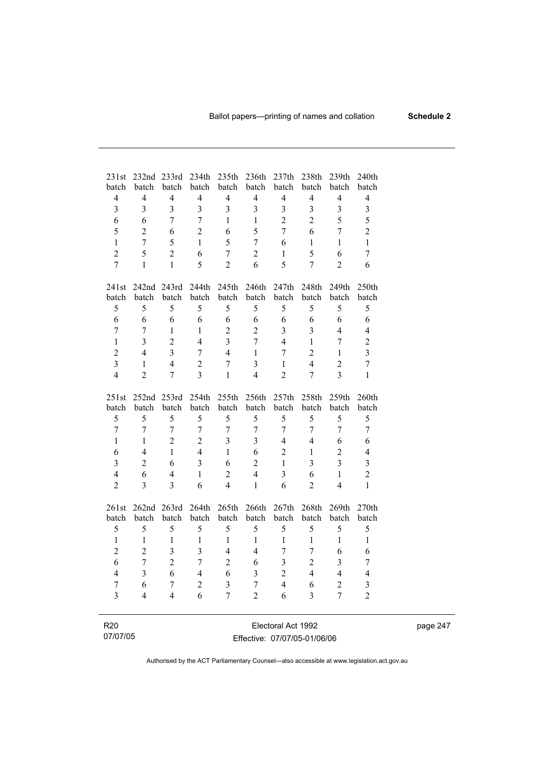| 231st<br>batch          | 232nd<br>batch | 233rd<br>batch | 234th<br>batch | 235th<br>batch          | 236th<br>batch          | 237th<br>batch          | 238th<br>batch | 239th<br>batch          | 240th<br>batch          |
|-------------------------|----------------|----------------|----------------|-------------------------|-------------------------|-------------------------|----------------|-------------------------|-------------------------|
| $\overline{4}$          | $\overline{4}$ | $\overline{4}$ | $\overline{4}$ | $\overline{4}$          | $\overline{4}$          | $\overline{4}$          | $\overline{4}$ | $\overline{4}$          | $\overline{4}$          |
| $\overline{\mathbf{3}}$ | 3              | $\overline{3}$ | 3              | $\overline{3}$          | 3                       | $\overline{\mathbf{3}}$ | $\overline{3}$ | 3                       | 3                       |
| 6                       | 6              | $\overline{7}$ | 7              | $\mathbf{1}$            | $\mathbf{1}$            | $\overline{2}$          | $\overline{2}$ | 5                       | 5                       |
| 5                       | $\overline{2}$ | 6              | $\overline{2}$ | 6                       | 5                       | $\overline{7}$          | 6              | $\overline{7}$          | $\overline{2}$          |
| $\mathbf{1}$            | $\overline{7}$ | 5              | $\mathbf{1}$   | 5                       | $\overline{7}$          | 6                       | $\mathbf{1}$   | $\mathbf{1}$            | $\mathbf{1}$            |
| $\overline{c}$          | 5              | $\overline{2}$ | 6              | $\overline{7}$          | $\overline{2}$          | $\mathbf{1}$            | 5              | 6                       | $\overline{7}$          |
| $\overline{7}$          | $\mathbf{1}$   | $\mathbf{1}$   | 5              | $\overline{2}$          | 6                       | 5                       | $\overline{7}$ | $\overline{2}$          | 6                       |
| 241st                   | 242nd 243rd    |                | 244th          | 245th                   | 246th                   | 247th                   | 248th          | 249th                   | 250th                   |
| batch                   | batch          | batch          | batch          | batch                   | batch                   | batch                   | batch          | batch                   | batch                   |
| 5                       | 5              | 5              | 5              | 5                       | 5                       | 5                       | 5              | 5                       | 5                       |
| 6                       | 6              | 6              | 6              | 6                       | 6                       | 6                       | 6              | 6                       | 6                       |
| $\overline{7}$          | $\overline{7}$ | $\mathbf{1}$   | $\mathbf{1}$   | $\overline{2}$          | $\overline{2}$          | $\overline{3}$          | $\overline{3}$ | $\overline{4}$          | $\overline{4}$          |
| $\mathbf{1}$            | 3              | $\overline{2}$ | $\overline{4}$ | $\overline{3}$          | $\overline{7}$          | $\overline{4}$          | $\mathbf{1}$   | $\overline{7}$          | $\overline{c}$          |
| $\overline{c}$          | 4              | $\overline{3}$ | $\overline{7}$ | $\overline{4}$          | $\mathbf{1}$            | $\overline{7}$          | $\overline{2}$ | $\mathbf{1}$            | $\overline{3}$          |
| $\overline{3}$          | $\mathbf{1}$   | $\overline{4}$ | $\overline{2}$ | $\overline{7}$          | $\overline{3}$          | $\mathbf{1}$            | $\overline{4}$ | $\overline{2}$          | $\overline{7}$          |
| $\overline{4}$          | $\overline{2}$ | $\overline{7}$ | $\overline{3}$ | $\mathbf{1}$            | $\overline{4}$          | $\overline{2}$          | $\overline{7}$ | $\overline{3}$          | $\mathbf{1}$            |
| 251st                   | 252nd 253rd    |                | 254th          | 255th                   | 256th                   | 257th                   | 258th          | 259th                   | 260th                   |
| batch                   | batch          | batch          | batch          | batch                   | batch                   | batch                   | batch          | batch                   | batch                   |
| 5                       | 5              | 5              | 5              | 5                       | 5                       | 5                       | 5              | 5                       | 5                       |
| $\overline{7}$          | $\overline{7}$ | $\overline{7}$ | $\overline{7}$ | $\overline{7}$          | $\overline{7}$          | $\tau$                  | $\overline{7}$ | $\overline{7}$          | $\overline{7}$          |
| $\mathbf{1}$            | 1              | $\overline{2}$ | $\overline{2}$ | $\overline{3}$          | $\overline{\mathbf{3}}$ | $\overline{4}$          | $\overline{4}$ | 6                       | 6                       |
| 6                       | $\overline{4}$ | $\mathbf{1}$   | $\overline{4}$ | $\mathbf{1}$            | 6                       | $\overline{2}$          | $\mathbf{1}$   | $\overline{2}$          | $\overline{4}$          |
| $\overline{\mathbf{3}}$ | $\overline{2}$ | 6              | $\overline{3}$ | 6                       | $\overline{2}$          | $\mathbf{1}$            | $\overline{3}$ | $\overline{3}$          | $\overline{\mathbf{3}}$ |
| $\overline{\mathbf{4}}$ | 6              | $\overline{4}$ | $\mathbf{1}$   | $\overline{2}$          | $\overline{4}$          | $\overline{3}$          | 6              | $\mathbf{1}$            | $\overline{c}$          |
| $\overline{2}$          | 3              | $\overline{3}$ | 6              | $\overline{4}$          | $\mathbf{1}$            | 6                       | $\overline{2}$ | $\overline{4}$          | 1                       |
| 261st                   | 262nd          | 263rd          | 264th          | 265th                   | 266th                   | 267th                   | 268th          | 269th                   | 270th                   |
| batch                   | batch          | batch          | batch          | batch                   | batch                   | batch                   | batch          | batch                   | batch                   |
| 5                       | 5              | 5              | 5              | 5                       | 5                       | 5                       | 5              | 5                       | 5                       |
| $\mathbf{1}$            | $\mathbf{1}$   | $\mathbf{1}$   | $\mathbf{1}$   | $\mathbf{1}$            | $\mathbf{1}$            | $\mathbf{1}$            | $\mathbf{1}$   | $\mathbf{1}$            | $\mathbf{1}$            |
| $\overline{2}$          | $\overline{2}$ | $\overline{3}$ | $\overline{3}$ | $\overline{4}$          | 4                       | $\overline{7}$          | $\overline{7}$ | 6                       | 6                       |
| 6                       | $\overline{7}$ | $\overline{2}$ | $\overline{7}$ | $\overline{2}$          | 6                       | $\overline{\mathbf{3}}$ | $\overline{2}$ | $\overline{\mathbf{3}}$ | 7                       |
| $\overline{4}$          | 3              | 6              | $\overline{4}$ | 6                       | $\overline{\mathbf{3}}$ | $\overline{2}$          | $\overline{4}$ | $\overline{4}$          | $\overline{4}$          |
| $\boldsymbol{7}$        | 6              | $\overline{7}$ | $\overline{2}$ | $\overline{\mathbf{3}}$ | $\overline{7}$          | $\overline{\mathbf{4}}$ | 6              | $\overline{2}$          | $\overline{\mathbf{3}}$ |
| $\overline{3}$          | 4              | $\overline{4}$ | 6              | $\overline{7}$          | $\overline{2}$          | 6                       | 3              | $\overline{7}$          | $\overline{2}$          |
|                         |                |                |                |                         |                         |                         |                |                         |                         |

| R20      |  |  |
|----------|--|--|
| 07/07/05 |  |  |

÷

Electoral Act 1992 Effective: 07/07/05-01/06/06 page 247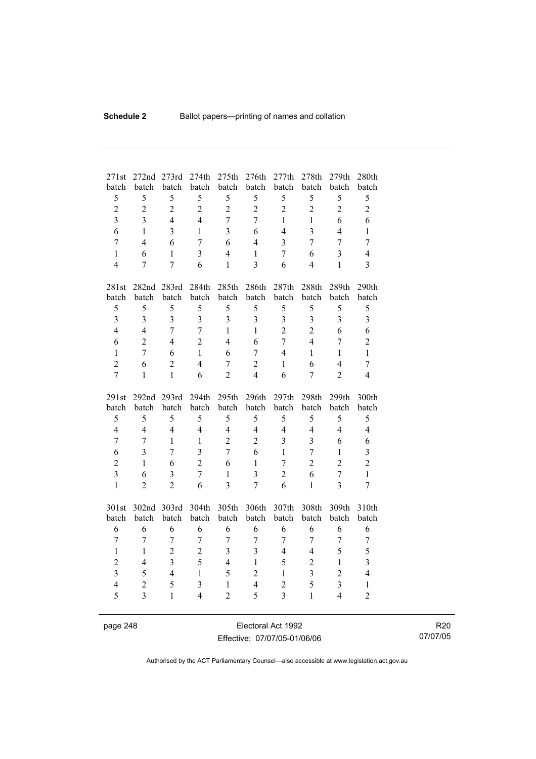| 271st<br>batch               | 272nd<br>batch                   | 273rd<br>batch          | 274th<br>batch                   | 275th<br>batch                 | 276th<br>batch          | 277th<br>batch                   | 278th<br>batch          | 279th<br>batch                   | 280th<br>batch          |
|------------------------------|----------------------------------|-------------------------|----------------------------------|--------------------------------|-------------------------|----------------------------------|-------------------------|----------------------------------|-------------------------|
| 5                            | 5                                | 5                       | 5                                | 5                              | 5                       | 5                                | 5                       | 5                                | 5                       |
| $\overline{c}$               | $\overline{2}$                   | $\overline{2}$          | $\overline{2}$                   | $\overline{2}$                 | $\overline{2}$          | $\overline{2}$                   | $\overline{2}$          | $\overline{2}$                   | $\overline{2}$          |
| $\overline{3}$               | $\overline{3}$                   | $\overline{4}$          | $\overline{4}$                   | $\overline{7}$                 | $\overline{7}$          | $\mathbf{1}$                     | $\mathbf{1}$            | 6                                | 6                       |
|                              | $\mathbf{1}$                     |                         |                                  |                                |                         | $\overline{4}$                   |                         | $\overline{4}$                   |                         |
| 6                            |                                  | $\overline{\mathbf{3}}$ | $\mathbf{1}$                     | $\overline{3}$                 | 6                       |                                  | $\overline{\mathbf{3}}$ |                                  | $\mathbf{1}$            |
| $\overline{7}$               | $\overline{4}$                   | 6                       | $\overline{7}$                   | 6                              | $\overline{4}$          | 3                                | $\overline{7}$          | $\overline{7}$                   | $\overline{7}$          |
| $\mathbf{1}$                 | 6                                | $\mathbf{1}$            | $\overline{3}$                   | $\overline{4}$                 | $\mathbf{1}$            | $\overline{7}$                   | 6                       | $\overline{3}$                   | $\overline{4}$          |
| $\overline{4}$               | 7                                | $\overline{7}$          | 6                                | $\mathbf{1}$                   | 3                       | 6                                | $\overline{4}$          | $\mathbf{1}$                     | 3                       |
| 281st                        |                                  | 282nd 283rd             | 284th                            | 285th                          | 286th                   | 287th                            | 288th                   | 289th                            | 290th                   |
| batch                        | batch                            | batch                   | batch                            | batch                          | batch                   | batch                            | batch                   | batch                            | batch                   |
| 5                            | 5                                | 5                       | 5                                | 5                              | 5                       | 5                                | 5                       | 5                                | 5                       |
| $\overline{3}$               | $\overline{3}$                   | $\overline{3}$          | $\overline{3}$                   | $\overline{3}$                 | 3                       | 3                                | $\mathfrak{Z}$          | $\overline{\mathbf{3}}$          | $\mathfrak{Z}$          |
| $\overline{4}$               | $\overline{4}$                   | $\overline{7}$          | $\overline{7}$                   | $\mathbf{1}$                   | $\mathbf{1}$            | $\overline{2}$                   | $\overline{2}$          | 6                                | 6                       |
| 6                            | $\overline{2}$                   | $\overline{4}$          | $\overline{2}$                   | $\overline{4}$                 | 6                       | $\overline{7}$                   | $\overline{4}$          | $\overline{7}$                   | $\overline{c}$          |
| $\mathbf{1}$                 | 7                                | 6                       | $\mathbf{1}$                     | 6                              | $\overline{7}$          | $\overline{4}$                   | $\mathbf{1}$            | $\mathbf{1}$                     | $\mathbf{1}$            |
| $\overline{2}$               | 6                                | $\overline{2}$          | $\overline{4}$                   | $\overline{7}$                 | $\overline{2}$          | $\mathbf{1}$                     | 6                       | $\overline{4}$                   | $\overline{7}$          |
| $\overline{7}$               | 1                                | $\mathbf{1}$            | 6                                | $\overline{2}$                 | $\overline{4}$          | 6                                | $\overline{7}$          | $\overline{2}$                   | 4                       |
|                              |                                  |                         |                                  |                                |                         |                                  |                         |                                  |                         |
| 291st                        | 292 <sub>nd</sub>                | 293rd                   | 294 <sub>th</sub>                | 295th                          | 296th                   | 297th                            | 298 <sub>th</sub>       | 299th                            | 300th                   |
| batch                        | batch                            | batch                   | batch                            | batch                          | batch                   | batch                            | batch                   | batch                            | batch                   |
| 5                            | 5                                | 5                       | 5                                | 5                              | 5                       | 5                                | 5                       | 5                                | 5                       |
| $\overline{4}$               | $\overline{4}$                   | $\overline{4}$          | $\overline{4}$                   | $\overline{4}$                 | $\overline{4}$          | $\overline{4}$                   | $\overline{4}$          | $\overline{4}$                   | $\overline{4}$          |
| $\tau$                       | 7                                | $\mathbf{1}$            | $\mathbf{1}$                     | $\overline{2}$                 | $\overline{2}$          | 3                                | $\overline{3}$          | 6                                | 6                       |
| 6                            | $\overline{\mathbf{3}}$          | $\overline{7}$          | $\overline{3}$                   | $\overline{7}$                 | 6                       | $\mathbf{1}$                     | $\overline{7}$          | $\mathbf{1}$                     | $\overline{\mathbf{3}}$ |
| $\overline{2}$               | 1                                | 6                       | $\overline{2}$                   | 6                              | $\mathbf{1}$            | $\overline{7}$                   | $\overline{2}$          | $\overline{2}$                   | $\overline{2}$          |
| $\overline{3}$               | 6                                | $\overline{3}$          | $\overline{7}$                   | $\mathbf{1}$                   | $\overline{\mathbf{3}}$ | $\overline{2}$                   | 6                       | $\overline{7}$                   | $\mathbf{1}$            |
| $\mathbf{1}$                 | $\overline{2}$                   | $\overline{2}$          | 6                                | $\overline{3}$                 | $\overline{7}$          | 6                                | $\mathbf{1}$            | $\overline{3}$                   | $\overline{7}$          |
|                              |                                  |                         |                                  |                                |                         |                                  |                         |                                  |                         |
| 301st                        | 302nd 303rd                      |                         | 304th                            | 305th                          | 306th                   | 307th                            | 308th                   | 309th                            | 310th                   |
| batch                        | batch                            | batch                   | batch                            | batch                          | batch                   | batch                            | batch                   | batch                            | batch                   |
| 6                            | 6                                | 6                       | 6                                | 6                              | 6                       | 6                                | 6                       | 6                                | 6                       |
| $\tau$                       | $\tau$                           | $\tau$                  | $\overline{7}$                   | $\tau$                         | $\overline{7}$          | $\boldsymbol{7}$                 | $\overline{7}$          | $\tau$                           | $\boldsymbol{7}$        |
| $\mathbf{1}$                 | $\mathbf{1}$                     | $\overline{2}$          | $\overline{2}$                   | $\overline{\mathbf{3}}$        | $\overline{\mathbf{3}}$ | $\overline{4}$                   | $\overline{4}$          | 5                                | 5                       |
| $\overline{2}$               | $\overline{4}$                   | $\overline{3}$          | 5                                | $\overline{4}$                 | $\mathbf{1}$            | 5                                | $\overline{2}$          | $\mathbf{1}$                     | $\overline{3}$          |
| $\overline{\mathbf{3}}$      | 5                                | $\overline{4}$          | $\mathbf{1}$                     | 5                              | $\overline{2}$          | $\mathbf{1}$                     | $\overline{3}$          | $\overline{c}$                   | $\overline{4}$          |
| $\overline{\mathbf{4}}$<br>5 | $\overline{c}$<br>$\overline{3}$ | 5<br>$\mathbf{1}$       | $\overline{3}$<br>$\overline{4}$ | $\mathbf{1}$<br>$\overline{2}$ | $\overline{4}$<br>5     | $\overline{c}$<br>$\overline{3}$ | 5<br>$\mathbf{1}$       | $\overline{3}$<br>$\overline{4}$ | $\,1$<br>$\overline{2}$ |

page 248 Electoral Act 1992 Effective: 07/07/05-01/06/06

R20 07/07/05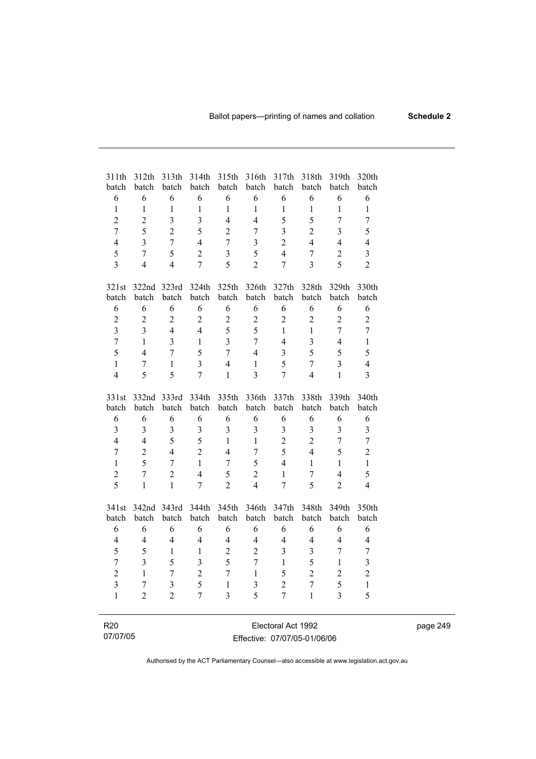| 311th<br>batch          | 312th<br>batch   | 313th<br>batch          | 314th<br>batch          | 315th<br>batch          | 316th<br>batch          | 317th<br>batch          | 318th<br>batch   | 319th<br>batch          | 320th<br>batch          |
|-------------------------|------------------|-------------------------|-------------------------|-------------------------|-------------------------|-------------------------|------------------|-------------------------|-------------------------|
| 6                       | 6                | 6                       | 6                       | 6                       | 6                       | 6                       | 6                | 6                       | 6                       |
| $\mathbf{1}$            | $\mathbf{1}$     | $\,1$                   | $\mathbf{1}$            | $\mathbf{1}$            | $\mathbf{1}$            | $\mathbf{1}$            | $\mathbf{1}$     | $\mathbf{1}$            | $\mathbf{1}$            |
| $\overline{2}$          | $\overline{2}$   | $\overline{3}$          | $\overline{3}$          | $\overline{4}$          | $\overline{4}$          | 5                       | 5                | $\overline{7}$          | $\overline{7}$          |
| $\overline{7}$          | 5                | $\overline{2}$          | 5                       | $\overline{2}$          | $\overline{7}$          | $\overline{\mathbf{3}}$ | $\overline{2}$   | $\overline{3}$          | 5                       |
| $\overline{4}$          | $\overline{3}$   | $\overline{7}$          | $\overline{4}$          | $\overline{7}$          | 3                       | $\overline{2}$          | $\overline{4}$   | $\overline{4}$          | $\overline{4}$          |
| 5                       | $\overline{7}$   | 5                       | $\overline{2}$          | $\overline{3}$          | 5                       | $\overline{4}$          | $\boldsymbol{7}$ | $\overline{2}$          | $\overline{\mathbf{3}}$ |
| $\overline{3}$          | $\overline{4}$   | $\overline{4}$          | $\overline{7}$          | 5                       | $\overline{2}$          | $\overline{7}$          | $\overline{3}$   | 5                       | $\overline{2}$          |
|                         |                  |                         |                         |                         |                         |                         |                  |                         |                         |
| 321st                   | 322nd            | 323rd                   | 324th                   | 325th                   | 326th                   | 327th                   | 328th            | 329th                   | 330th                   |
| batch                   | batch            | batch                   | batch                   | batch                   | batch                   | batch                   | batch            | batch                   | batch                   |
| 6                       | 6                | 6                       | 6                       | 6                       | 6                       | 6                       | 6                | 6                       | 6                       |
| $\overline{2}$          | $\overline{2}$   | $\overline{2}$          | $\overline{2}$          | $\boldsymbol{2}$        | $\overline{2}$          | $\overline{2}$          | $\overline{2}$   | $\overline{2}$          | $\overline{2}$          |
| $\overline{3}$          | 3                | $\overline{4}$          | $\overline{4}$          | 5                       | 5                       | $\mathbf{1}$            | 1                | $\overline{7}$          | $\overline{7}$          |
| $\overline{7}$          | $\mathbf{1}$     | 3                       | $\mathbf{1}$            | $\overline{3}$          | $\overline{7}$          | $\overline{4}$          | 3                | $\overline{4}$          | $\mathbf{1}$            |
| 5                       | $\overline{4}$   | $\overline{7}$          | 5                       | $\overline{7}$          | $\overline{4}$          | 3                       | 5                | 5                       | 5                       |
| $\mathbf{1}$            | $\overline{7}$   | $\mathbf{1}$            | $\overline{3}$          | $\overline{4}$          | $\mathbf{1}$            | 5                       | $\overline{7}$   | $\overline{3}$          | $\overline{4}$          |
| $\overline{4}$          | 5                | 5                       | $\overline{7}$          | $\mathbf{1}$            | $\overline{3}$          | $\overline{7}$          | $\overline{4}$   | $\mathbf{1}$            | $\overline{3}$          |
|                         |                  |                         |                         |                         |                         |                         |                  |                         |                         |
| 331st                   | 332nd            | 333rd                   | 334th                   | 335th                   | 336th                   | 337th                   | 338th            | 339th                   | 340th                   |
| batch                   | batch            | batch                   | batch                   | batch                   | batch                   | batch                   | batch            | batch                   | batch                   |
| 6                       | 6                | 6                       | 6                       | 6                       | 6                       | 6                       | 6                | 6                       | 6                       |
| $\overline{3}$          | $\overline{3}$   | 3                       | $\overline{\mathbf{3}}$ | $\overline{\mathbf{3}}$ | $\overline{\mathbf{3}}$ | 3                       | $\mathfrak{Z}$   | $\overline{\mathbf{3}}$ | $\overline{3}$          |
| $\overline{4}$          | $\overline{4}$   | 5                       | 5                       | $\mathbf{1}$            | $\mathbf{1}$            | $\overline{2}$          | $\overline{2}$   | $\overline{7}$          | $\overline{7}$          |
| $\overline{7}$          | $\overline{2}$   | $\overline{4}$          | $\overline{2}$          | $\overline{4}$          | $\overline{7}$          | 5                       | $\overline{4}$   | 5                       | $\overline{2}$          |
| $\mathbf{1}$            | 5                | $\overline{7}$          | $\mathbf{1}$            | $\overline{7}$          | 5                       | $\overline{4}$          | $\mathbf{1}$     | $\mathbf{1}$            | $\mathbf{1}$            |
| $\overline{c}$          | $\overline{7}$   | $\overline{2}$          | $\overline{4}$          | 5                       | $\overline{2}$          | $\mathbf{1}$            | $\overline{7}$   | $\overline{4}$          | 5                       |
| $\overline{5}$          | 1                | $\mathbf{1}$            | $\overline{7}$          | $\overline{2}$          | $\overline{4}$          | $\overline{7}$          | 5                | $\overline{2}$          | $\overline{4}$          |
| 341st                   | 342nd            | 343rd                   | 344th                   | 345th                   | 346th                   | 347th                   | 348th            | 349th                   | 350th                   |
| batch                   | batch            | batch                   | batch                   | batch                   | batch                   | batch                   | batch            | batch                   | batch                   |
| 6                       | 6                | 6                       | 6                       | 6                       | 6                       | 6                       | 6                | 6                       | 6                       |
| $\overline{4}$          | 4                | $\overline{4}$          | $\overline{4}$          | $\overline{4}$          | $\overline{4}$          | $\overline{4}$          | $\overline{4}$   | 4                       | $\overline{4}$          |
| 5                       | 5                | $\mathbf{1}$            | $\,1$                   | $\overline{2}$          | $\overline{2}$          | 3                       | 3                | $\overline{7}$          | $\overline{7}$          |
| $\overline{7}$          | $\overline{3}$   | 5                       | 3                       | 5                       | $\overline{7}$          | $\mathbf{1}$            | 5                | $\mathbf{1}$            | $\overline{\mathbf{3}}$ |
| $\overline{2}$          | $\mathbf{1}$     | $\overline{7}$          | $\overline{2}$          | $\overline{7}$          | $\mathbf{1}$            | 5                       | $\overline{2}$   | $\overline{2}$          | $\overline{c}$          |
| $\overline{\mathbf{3}}$ | $\boldsymbol{7}$ | $\overline{\mathbf{3}}$ | 5                       | $\mathbf{1}$            | 3                       | $\overline{2}$          | $\overline{7}$   | 5                       | $\,1$                   |
| $\mathbf{1}$            | $\overline{2}$   | $\overline{2}$          | $\overline{7}$          | $\overline{3}$          | 5                       | $\overline{7}$          | $\mathbf{1}$     | $\overline{3}$          | 5                       |
|                         |                  |                         |                         |                         |                         |                         |                  |                         |                         |
| R <sub>20</sub>         |                  |                         |                         |                         |                         | Electoral Act 1992      |                  |                         |                         |

| R20      | Electoral Act 1992           |
|----------|------------------------------|
| 07/07/05 | Effective: 07/07/05-01/06/06 |

i.

page 249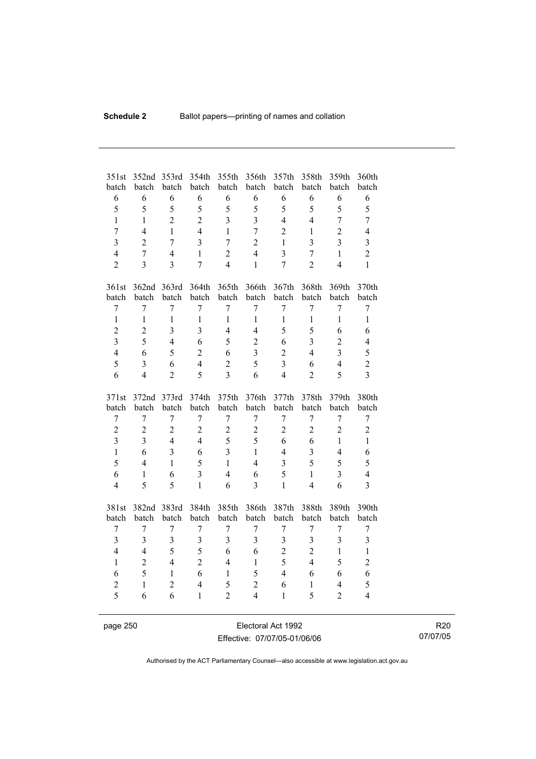| 6<br>6<br>6<br>6<br>6<br>6<br>6<br>6<br>6                                                                                                                      | 6              |
|----------------------------------------------------------------------------------------------------------------------------------------------------------------|----------------|
|                                                                                                                                                                |                |
| 5<br>5<br>5<br>5<br>5<br>5<br>5<br>5<br>5                                                                                                                      | 5              |
| $\overline{2}$<br>$\overline{2}$<br>$\overline{3}$<br>$\overline{3}$<br>$\overline{4}$<br>$\mathbf{1}$<br>$\mathbf{1}$<br>$\overline{4}$<br>$\overline{7}$     | $\overline{7}$ |
| $\overline{2}$<br>$\overline{7}$<br>$\overline{4}$<br>$\mathbf{1}$<br>$\overline{4}$<br>$\mathbf{1}$<br>$\overline{7}$<br>$\overline{2}$<br>$\mathbf{1}$       | $\overline{4}$ |
| $\overline{3}$<br>$\overline{3}$<br>$\overline{3}$<br>$\overline{2}$<br>$\overline{7}$<br>$\overline{7}$<br>$\overline{2}$<br>$\overline{3}$<br>$\mathbf{1}$   | $\overline{3}$ |
| $\overline{2}$<br>$\overline{4}$<br>$\overline{7}$<br>$\overline{4}$<br>$\mathbf{1}$<br>$\overline{4}$<br>$\overline{3}$<br>$\overline{7}$<br>$\mathbf{1}$     | $\overline{2}$ |
| $\overline{2}$<br>$\overline{3}$<br>$\overline{3}$<br>$\overline{4}$<br>$\overline{2}$<br>$\overline{4}$<br>7<br>$\mathbf{1}$<br>$\overline{7}$                | $\mathbf{1}$   |
| 362nd 363rd<br>364th<br>365th<br>366th<br>368th<br>369th<br>361st<br>367th                                                                                     | 370th          |
| batch<br>batch<br>batch<br>batch<br>batch<br>batch<br>batch<br>batch<br>batch                                                                                  | batch          |
| $\overline{7}$<br>$\overline{7}$<br>$\overline{7}$<br>$\overline{7}$<br>$\overline{7}$<br>$\overline{7}$<br>$\overline{7}$<br>$\overline{7}$<br>$\overline{7}$ | $\overline{7}$ |
| $\mathbf{1}$<br>$\mathbf{1}$<br>$\mathbf{1}$<br>$\mathbf{1}$<br>$\mathbf{1}$<br>$\mathbf{1}$<br>$\mathbf{1}$<br>$\mathbf{1}$<br>$\mathbf{1}$                   | $\mathbf{1}$   |
| $\overline{c}$<br>$\overline{3}$<br>3<br>$\overline{4}$<br>5<br>5<br>$\overline{2}$<br>4<br>6                                                                  | 6              |
| $\overline{3}$<br>5<br>$\overline{3}$<br>$\overline{2}$<br>$\overline{4}$<br>5<br>$\overline{2}$<br>6<br>6                                                     | $\overline{4}$ |
| $\overline{4}$<br>$\overline{\mathbf{3}}$<br>5<br>$\overline{2}$<br>6<br>3<br>$\overline{2}$<br>$\overline{4}$<br>6                                            | 5              |
| 5<br>$\overline{2}$<br>5<br>$\overline{3}$<br>$\overline{4}$<br>3<br>6<br>$\overline{4}$<br>6                                                                  | $\overline{c}$ |
| $\overline{4}$<br>$\overline{2}$<br>5<br>$\overline{3}$<br>6<br>$\overline{4}$<br>5<br>6<br>$\overline{2}$                                                     | $\overline{3}$ |
| 372nd<br>373rd<br>374th<br>375th<br>376th<br>377th<br>378th<br>379th<br>371st                                                                                  | 380th          |
| batch<br>batch<br>batch<br>batch<br>batch<br>batch<br>batch<br>batch<br>batch                                                                                  | batch          |
| $\overline{7}$<br>$\overline{7}$<br>$\overline{7}$<br>7<br>7<br>7<br>$\sqrt{ }$<br>$\boldsymbol{7}$<br>7                                                       | $\overline{7}$ |
| $\overline{2}$<br>$\overline{2}$<br>$\overline{2}$<br>$\overline{2}$<br>$\overline{2}$<br>$\overline{2}$<br>$\overline{2}$<br>$\overline{2}$<br>$\overline{2}$ | $\overline{2}$ |
| $\overline{3}$<br>5<br>5<br>$\overline{4}$<br>$\overline{3}$<br>$\overline{4}$<br>6<br>6<br>$\mathbf{1}$                                                       | $\mathbf{1}$   |
| $\overline{\mathbf{3}}$<br>$\overline{3}$<br>$\overline{3}$<br>$\overline{4}$<br>$\mathbf{1}$<br>6<br>6<br>$\overline{4}$<br>$\mathbf{1}$                      | 6              |
| 5<br>5<br>5<br>$\overline{4}$<br>$\mathbf{1}$<br>$\mathbf{1}$<br>$\overline{4}$<br>$\overline{\mathbf{3}}$<br>5                                                | 5              |
| $\overline{3}$<br>$\overline{3}$<br>$\overline{4}$<br>5<br>6<br>$\mathbf{1}$<br>6<br>6<br>$\mathbf{1}$                                                         | $\overline{4}$ |
| 5<br>5<br>$\overline{4}$<br>$\mathbf{1}$<br>6<br>$\overline{3}$<br>$\mathbf{1}$<br>$\overline{4}$<br>6                                                         | $\overline{3}$ |
| 381st<br>382nd<br>383rd<br>384th<br>385th<br>386th<br>387th<br>388th<br>389th                                                                                  | 390th          |
| batch<br>batch<br>batch<br>batch<br>batch<br>batch<br>batch<br>batch<br>batch                                                                                  | batch          |
| $\overline{7}$<br>$\overline{7}$<br>$\overline{7}$<br>$\sqrt{ }$<br>$\overline{7}$<br>$\overline{7}$<br>7<br>7<br>7                                            | $\overline{7}$ |
| 3<br>3<br>$\overline{3}$<br>$\overline{3}$<br>3<br>$\overline{\mathbf{3}}$<br>3<br>3<br>3                                                                      | 3              |
| 5<br>5<br>$\overline{2}$<br>$\overline{4}$<br>$\overline{4}$<br>6<br>6<br>$\overline{2}$<br>$\mathbf{1}$                                                       | $\mathbf{1}$   |
| $\overline{2}$<br>5<br>5<br>$\overline{2}$<br>$\overline{4}$<br>$\overline{4}$<br>$\mathbf{1}$<br>$\overline{4}$<br>$\mathbf{1}$                               | $\overline{c}$ |
| 5<br>6<br>5<br>6<br>$\mathbf{1}$<br>$\mathbf{1}$<br>$\overline{4}$<br>6<br>6                                                                                   | 6              |
| $\overline{c}$<br>5<br>$\overline{c}$<br>$\overline{4}$<br>$\overline{c}$<br>$\mathbf{1}$<br>$\overline{4}$<br>6<br>$\mathbf{1}$                               | 5              |
| 5<br>$\overline{2}$<br>5<br>$\overline{2}$<br>6<br>6<br>$\mathbf{1}$<br>$\overline{4}$<br>$\mathbf{1}$                                                         | $\overline{4}$ |

page 250 **Electoral Act 1992** Effective: 07/07/05-01/06/06

R20 07/07/05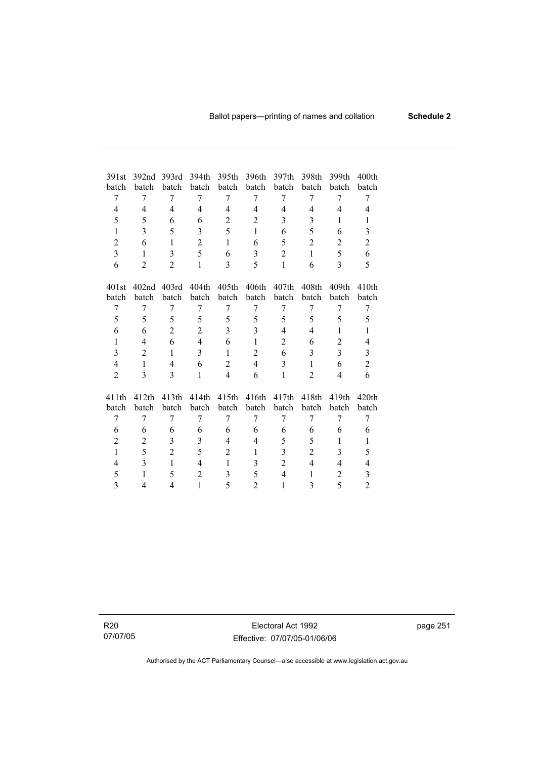| 391st          | 392 <sub>nd</sub> | 393rd             | 394th          | 395th          | 396th          | 397th          | 398th             | 399th             | 400 <sub>th</sub>       |
|----------------|-------------------|-------------------|----------------|----------------|----------------|----------------|-------------------|-------------------|-------------------------|
| batch          | batch             | batch             | batch          | batch          | batch          | batch          | batch             | batch             | batch                   |
| 7              | 7                 | 7                 | 7              | 7              | 7              | 7              | 7                 | 7                 | 7                       |
| $\overline{4}$ | 4                 | $\overline{4}$    | $\overline{4}$ | 4              | $\overline{4}$ | $\overline{4}$ | $\overline{4}$    | $\overline{4}$    | 4                       |
| 5              | 5                 | 6                 | 6              | $\overline{2}$ | $\overline{2}$ | 3              | 3                 | 1                 | $\mathbf{1}$            |
| $\mathbf{1}$   | 3                 | 5                 | 3              | 5              | $\mathbf{1}$   | 6              | 5                 | 6                 | $\mathfrak{Z}$          |
| $\overline{2}$ | 6                 | $\mathbf{1}$      | $\overline{2}$ | $\mathbf{1}$   | 6              | 5              | $\overline{2}$    | $\overline{2}$    | $\overline{2}$          |
| 3              | $\mathbf{1}$      | 3                 | 5              | 6              | 3              | 2              | 1                 | 5                 | 6                       |
| 6              | $\overline{2}$    | $\overline{2}$    | $\mathbf{1}$   | 3              | 5              | 1              | 6                 | $\mathcal{E}$     | 5                       |
|                |                   |                   |                |                |                |                |                   |                   |                         |
| 401st          | 402 <sub>nd</sub> | 403rd             | 404th          | 405th          | 406th          | 407th          | 408 <sub>th</sub> | 409 <sub>th</sub> | 410 <sub>th</sub>       |
| batch          | batch             | batch             | batch          | batch          | batch          | batch          | batch             | batch             | batch                   |
| 7              | 7                 | 7                 | 7              | 7              | 7              | 7              | 7                 | 7                 | 7                       |
| 5              | 5                 | 5                 | 5              | 5              | 5              | 5              | 5                 | 5                 | 5                       |
| 6              | 6                 | $\overline{2}$    | $\overline{2}$ | 3              | 3              | $\overline{4}$ | $\overline{4}$    | 1                 | 1                       |
| $\mathbf{1}$   | 4                 | 6                 | $\overline{4}$ | 6              | $\mathbf{1}$   | $\overline{2}$ | 6                 | $\overline{2}$    | 4                       |
| $\overline{3}$ | $\overline{2}$    | $\mathbf{1}$      | $\overline{3}$ | $\mathbf{1}$   | $\overline{2}$ | 6              | 3                 | $\overline{3}$    | $\overline{\mathbf{3}}$ |
| $\overline{4}$ | $\mathbf{1}$      | $\overline{4}$    | 6              | $\overline{2}$ | $\overline{4}$ | 3              | $\mathbf{1}$      | 6                 | $\overline{2}$          |
| $\overline{2}$ | 3                 | 3                 | $\mathbf{1}$   | $\overline{4}$ | 6              | 1              | $\overline{2}$    | 4                 | 6                       |
|                |                   |                   |                |                |                |                |                   |                   |                         |
| 411th          | 412 <sub>th</sub> | 413 <sub>th</sub> | 414th          | 415th          | 416th          | 417th          | 418th             | 419th             | 420 <sub>th</sub>       |
| batch          | batch             | batch             | batch          | batch          | batch          | batch          | batch             | batch             | batch                   |
| 7              | 7                 | 7                 | 7              | 7              | 7              | 7              | 7                 | 7                 | 7                       |
| 6              | 6                 | 6                 | 6              | 6              | 6              | 6              | 6                 | 6                 | 6                       |
| $\overline{2}$ | $\overline{c}$    | 3                 | 3              | $\overline{4}$ | $\overline{4}$ | 5              | 5                 | 1                 | 1                       |
| $\mathbf{1}$   | 5                 | $\overline{2}$    | 5              | 2              | $\mathbf{1}$   | 3              | $\overline{c}$    | 3                 | 5                       |
| 4              | 3                 | 1                 | 4              | 1              | 3              | $\overline{2}$ | $\overline{4}$    | 4                 | 4                       |
| 5              | $\mathbf{1}$      | 5                 | $\overline{2}$ | 3              | 5              | $\overline{4}$ | $\mathbf{1}$      | $\overline{2}$    | 3                       |
| 3              | 4                 | 4                 | $\mathbf{1}$   | 5              | $\overline{2}$ | 1              | 3                 | 5                 | $\overline{2}$          |

R20 07/07/05

Electoral Act 1992 Effective: 07/07/05-01/06/06 page 251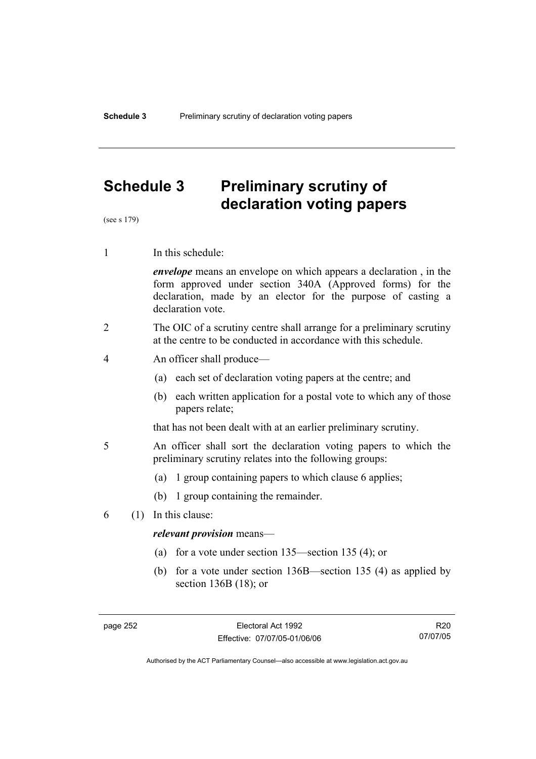# **Schedule 3 Preliminary scrutiny of declaration voting papers**

(see s 179)

1 In this schedule:

*envelope* means an envelope on which appears a declaration , in the form approved under section 340A (Approved forms) for the declaration, made by an elector for the purpose of casting a declaration vote.

- 2 The OIC of a scrutiny centre shall arrange for a preliminary scrutiny at the centre to be conducted in accordance with this schedule.
- 4 An officer shall produce—
	- (a) each set of declaration voting papers at the centre; and
	- (b) each written application for a postal vote to which any of those papers relate;

that has not been dealt with at an earlier preliminary scrutiny.

- 5 An officer shall sort the declaration voting papers to which the preliminary scrutiny relates into the following groups:
	- (a) 1 group containing papers to which clause 6 applies;
	- (b) 1 group containing the remainder.
- 6 (1) In this clause:

#### *relevant provision* means—

- (a) for a vote under section 135—section 135 (4); or
- (b) for a vote under section 136B—section 135 (4) as applied by section 136B (18); or

R20 07/07/05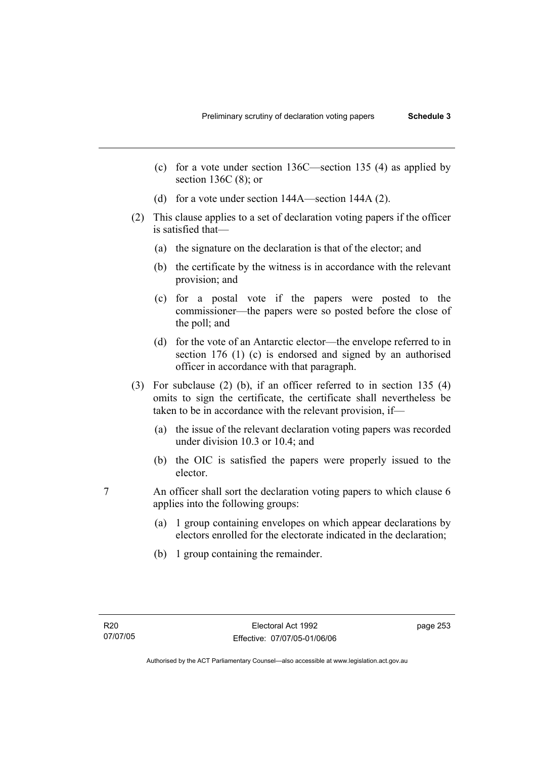- (c) for a vote under section 136C—section 135 (4) as applied by section 136C (8); or
- (d) for a vote under section 144A—section 144A (2).
- (2) This clause applies to a set of declaration voting papers if the officer is satisfied that—
	- (a) the signature on the declaration is that of the elector; and
	- (b) the certificate by the witness is in accordance with the relevant provision; and
	- (c) for a postal vote if the papers were posted to the commissioner—the papers were so posted before the close of the poll; and
	- (d) for the vote of an Antarctic elector—the envelope referred to in section 176 (1) (c) is endorsed and signed by an authorised officer in accordance with that paragraph.
- (3) For subclause (2) (b), if an officer referred to in section 135 (4) omits to sign the certificate, the certificate shall nevertheless be taken to be in accordance with the relevant provision, if—
	- (a) the issue of the relevant declaration voting papers was recorded under division 10.3 or 10.4; and
	- (b) the OIC is satisfied the papers were properly issued to the elector.
- 7 An officer shall sort the declaration voting papers to which clause 6 applies into the following groups:
	- (a) 1 group containing envelopes on which appear declarations by electors enrolled for the electorate indicated in the declaration;
	- (b) 1 group containing the remainder.

page 253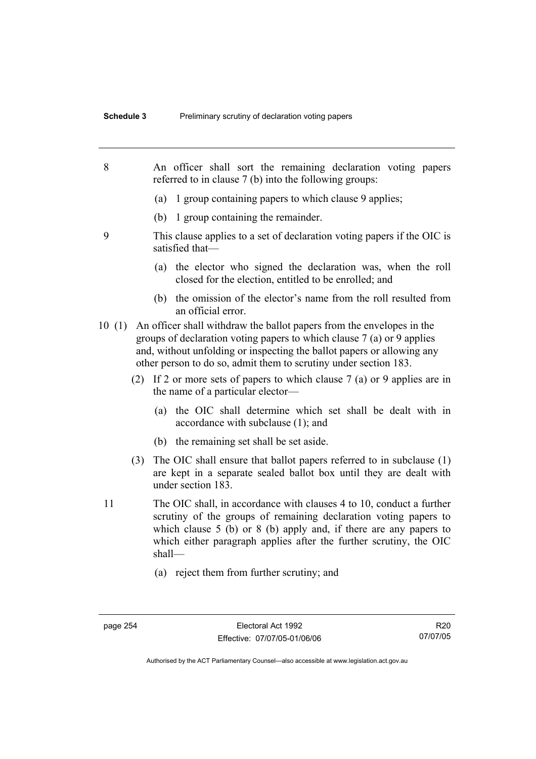- 8 An officer shall sort the remaining declaration voting papers referred to in clause 7 (b) into the following groups: (a) 1 group containing papers to which clause 9 applies; (b) 1 group containing the remainder. 9 This clause applies to a set of declaration voting papers if the OIC is satisfied that— (a) the elector who signed the declaration was, when the roll closed for the election, entitled to be enrolled; and (b) the omission of the elector's name from the roll resulted from an official error. 10 (1) An officer shall withdraw the ballot papers from the envelopes in the groups of declaration voting papers to which clause 7 (a) or 9 applies and, without unfolding or inspecting the ballot papers or allowing any other person to do so, admit them to scrutiny under section 183. (2) If 2 or more sets of papers to which clause 7 (a) or 9 applies are in the name of a particular elector— (a) the OIC shall determine which set shall be dealt with in accordance with subclause (1); and (b) the remaining set shall be set aside. (3) The OIC shall ensure that ballot papers referred to in subclause (1) are kept in a separate sealed ballot box until they are dealt with under section 183. 11 The OIC shall, in accordance with clauses 4 to 10, conduct a further scrutiny of the groups of remaining declaration voting papers to which clause 5 (b) or 8 (b) apply and, if there are any papers to which either paragraph applies after the further scrutiny, the OIC shall— (a) reject them from further scrutiny; and
	-

Authorised by the ACT Parliamentary Counsel—also accessible at www.legislation.act.gov.au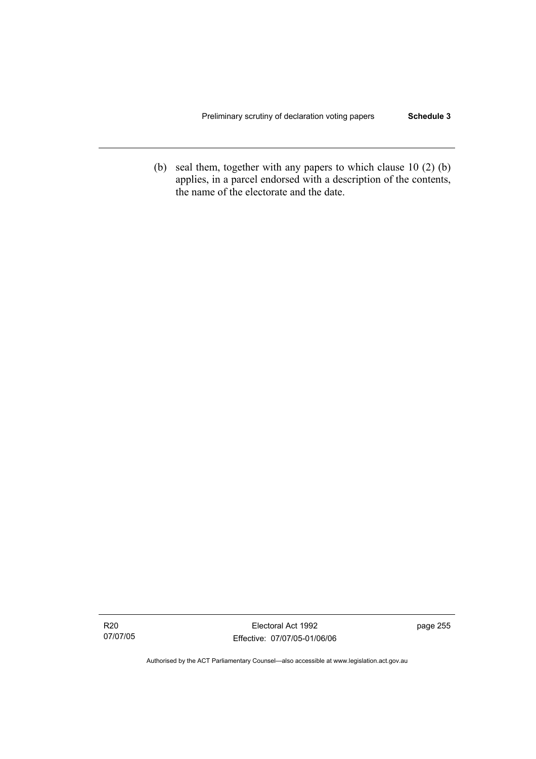(b) seal them, together with any papers to which clause 10 (2) (b) applies, in a parcel endorsed with a description of the contents, the name of the electorate and the date.

R20 07/07/05

Electoral Act 1992 Effective: 07/07/05-01/06/06 page 255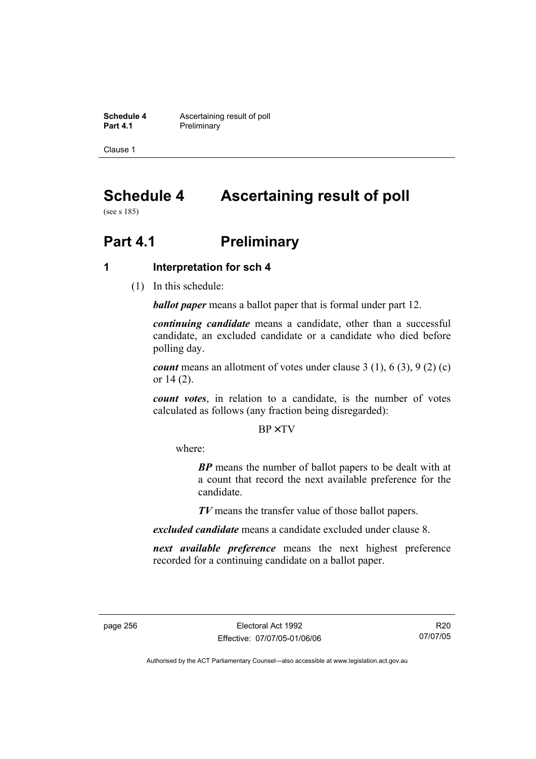**Schedule 4 Ascertaining result of poll**<br>**Part 4.1 Preliminary Preliminary** 

Clause 1

# **Schedule 4 Ascertaining result of poll**

(see s 185)

# **Part 4.1** Preliminary

## **1 Interpretation for sch 4**

(1) In this schedule:

*ballot paper* means a ballot paper that is formal under part 12.

*continuing candidate* means a candidate, other than a successful candidate, an excluded candidate or a candidate who died before polling day.

*count* means an allotment of votes under clause 3 (1), 6 (3), 9 (2) (c) or 14 (2).

*count votes*, in relation to a candidate, is the number of votes calculated as follows (any fraction being disregarded):

BP× TV

where:

*BP* means the number of ballot papers to be dealt with at a count that record the next available preference for the candidate.

*TV* means the transfer value of those ballot papers.

*excluded candidate* means a candidate excluded under clause 8.

*next available preference* means the next highest preference recorded for a continuing candidate on a ballot paper.

R20 07/07/05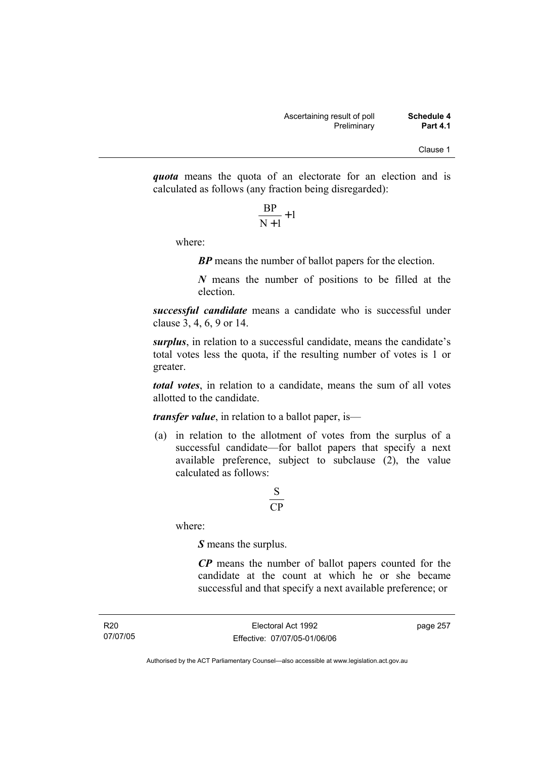*quota* means the quota of an electorate for an election and is calculated as follows (any fraction being disregarded):

$$
\frac{\text{BP}}{\text{N}+1}+1
$$

where:

*BP* means the number of ballot papers for the election.

*N* means the number of positions to be filled at the election.

*successful candidate* means a candidate who is successful under clause 3, 4, 6, 9 or 14.

*surplus*, in relation to a successful candidate, means the candidate's total votes less the quota, if the resulting number of votes is 1 or greater.

*total votes*, in relation to a candidate, means the sum of all votes allotted to the candidate.

*transfer value*, in relation to a ballot paper, is—

 (a) in relation to the allotment of votes from the surplus of a successful candidate—for ballot papers that specify a next available preference, subject to subclause  $(2)$ , the value calculated as follows:

## CP S

where:

*S* means the surplus.

*CP* means the number of ballot papers counted for the candidate at the count at which he or she became successful and that specify a next available preference; or

page 257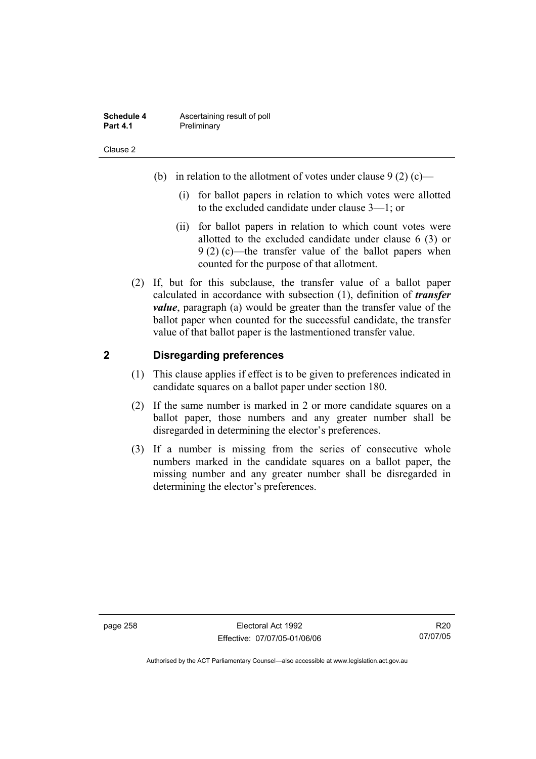| Schedule 4      | Ascertaining result of poll |
|-----------------|-----------------------------|
| <b>Part 4.1</b> | Preliminary                 |

- (b) in relation to the allotment of votes under clause  $9(2)$  (c)—
	- (i) for ballot papers in relation to which votes were allotted to the excluded candidate under clause 3—1; or
	- (ii) for ballot papers in relation to which count votes were allotted to the excluded candidate under clause 6 (3) or 9 (2) (c)—the transfer value of the ballot papers when counted for the purpose of that allotment.
- (2) If, but for this subclause, the transfer value of a ballot paper calculated in accordance with subsection (1), definition of *transfer value*, paragraph (a) would be greater than the transfer value of the ballot paper when counted for the successful candidate, the transfer value of that ballot paper is the lastmentioned transfer value.

### **2 Disregarding preferences**

- (1) This clause applies if effect is to be given to preferences indicated in candidate squares on a ballot paper under section 180.
- (2) If the same number is marked in 2 or more candidate squares on a ballot paper, those numbers and any greater number shall be disregarded in determining the elector's preferences.
- (3) If a number is missing from the series of consecutive whole numbers marked in the candidate squares on a ballot paper, the missing number and any greater number shall be disregarded in determining the elector's preferences.

R20 07/07/05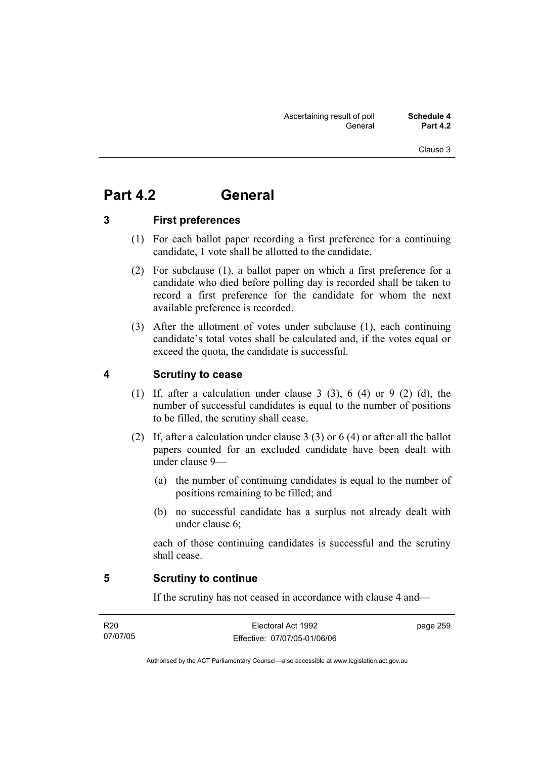# **Part 4.2 General**

### **3 First preferences**

- (1) For each ballot paper recording a first preference for a continuing candidate, 1 vote shall be allotted to the candidate.
- (2) For subclause (1), a ballot paper on which a first preference for a candidate who died before polling day is recorded shall be taken to record a first preference for the candidate for whom the next available preference is recorded.
- (3) After the allotment of votes under subclause (1), each continuing candidate's total votes shall be calculated and, if the votes equal or exceed the quota, the candidate is successful.

## **4 Scrutiny to cease**

- (1) If, after a calculation under clause 3 (3), 6 (4) or 9 (2) (d), the number of successful candidates is equal to the number of positions to be filled, the scrutiny shall cease.
- (2) If, after a calculation under clause 3 (3) or 6 (4) or after all the ballot papers counted for an excluded candidate have been dealt with under clause 9—
	- (a) the number of continuing candidates is equal to the number of positions remaining to be filled; and
	- (b) no successful candidate has a surplus not already dealt with under clause 6;

each of those continuing candidates is successful and the scrutiny shall cease.

#### **5 Scrutiny to continue**

If the scrutiny has not ceased in accordance with clause 4 and—

| R20      | Electoral Act 1992           | page 259 |
|----------|------------------------------|----------|
| 07/07/05 | Effective: 07/07/05-01/06/06 |          |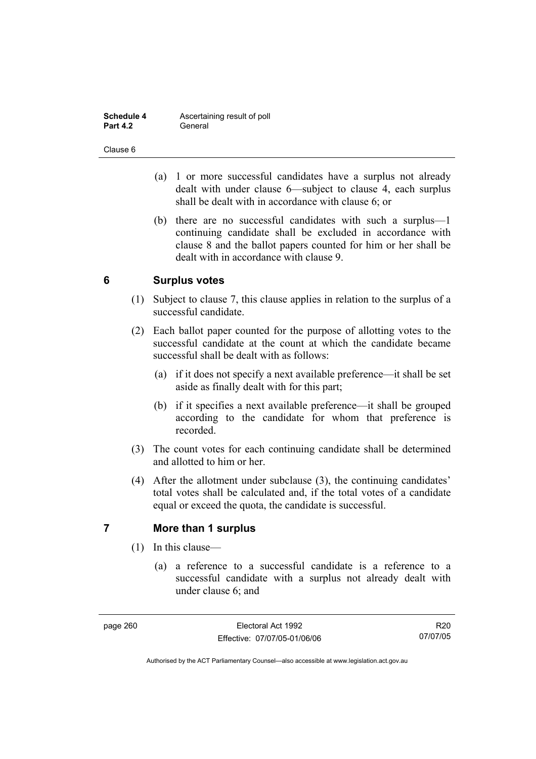| Schedule 4      | Ascertaining result of poll |
|-----------------|-----------------------------|
| <b>Part 4.2</b> | General                     |

- (a) 1 or more successful candidates have a surplus not already dealt with under clause 6—subject to clause 4, each surplus shall be dealt with in accordance with clause 6; or
- (b) there are no successful candidates with such a surplus—1 continuing candidate shall be excluded in accordance with clause 8 and the ballot papers counted for him or her shall be dealt with in accordance with clause 9.

## **6 Surplus votes**

- (1) Subject to clause 7, this clause applies in relation to the surplus of a successful candidate.
- (2) Each ballot paper counted for the purpose of allotting votes to the successful candidate at the count at which the candidate became successful shall be dealt with as follows:
	- (a) if it does not specify a next available preference—it shall be set aside as finally dealt with for this part;
	- (b) if it specifies a next available preference—it shall be grouped according to the candidate for whom that preference is recorded.
- (3) The count votes for each continuing candidate shall be determined and allotted to him or her.
- (4) After the allotment under subclause (3), the continuing candidates' total votes shall be calculated and, if the total votes of a candidate equal or exceed the quota, the candidate is successful.

## **7 More than 1 surplus**

- (1) In this clause—
	- (a) a reference to a successful candidate is a reference to a successful candidate with a surplus not already dealt with under clause 6; and

R20 07/07/05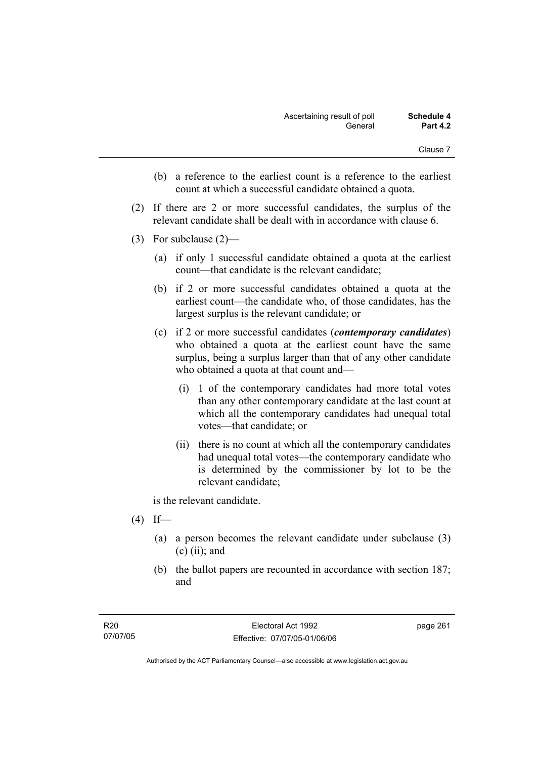- (b) a reference to the earliest count is a reference to the earliest count at which a successful candidate obtained a quota.
- (2) If there are 2 or more successful candidates, the surplus of the relevant candidate shall be dealt with in accordance with clause 6.
- (3) For subclause (2)—
	- (a) if only 1 successful candidate obtained a quota at the earliest count—that candidate is the relevant candidate;
	- (b) if 2 or more successful candidates obtained a quota at the earliest count—the candidate who, of those candidates, has the largest surplus is the relevant candidate; or
	- (c) if 2 or more successful candidates (*contemporary candidates*) who obtained a quota at the earliest count have the same surplus, being a surplus larger than that of any other candidate who obtained a quota at that count and—
		- (i) 1 of the contemporary candidates had more total votes than any other contemporary candidate at the last count at which all the contemporary candidates had unequal total votes—that candidate; or
		- (ii) there is no count at which all the contemporary candidates had unequal total votes—the contemporary candidate who is determined by the commissioner by lot to be the relevant candidate;

is the relevant candidate.

- $(4)$  If—
	- (a) a person becomes the relevant candidate under subclause (3)  $(c)$  (ii); and
	- (b) the ballot papers are recounted in accordance with section 187; and

page 261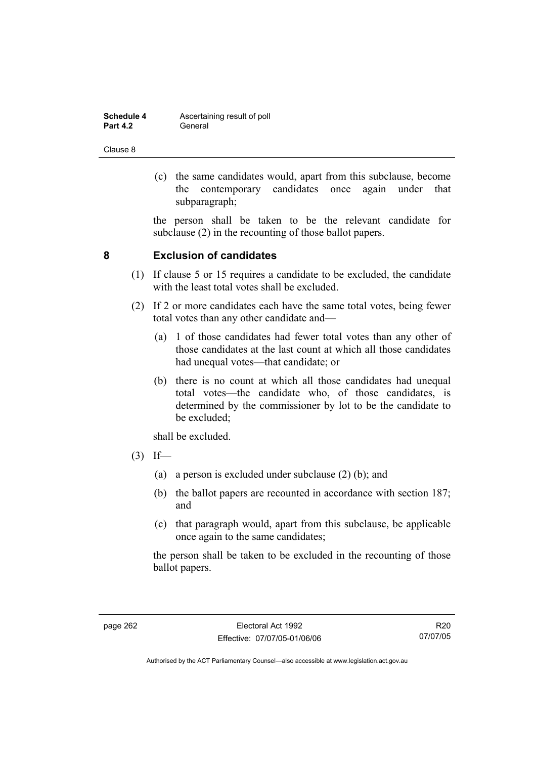| Schedule 4      | Ascertaining result of poll |
|-----------------|-----------------------------|
| <b>Part 4.2</b> | General                     |

 (c) the same candidates would, apart from this subclause, become the contemporary candidates once again under that subparagraph;

the person shall be taken to be the relevant candidate for subclause (2) in the recounting of those ballot papers.

### **8 Exclusion of candidates**

- (1) If clause 5 or 15 requires a candidate to be excluded, the candidate with the least total votes shall be excluded.
- (2) If 2 or more candidates each have the same total votes, being fewer total votes than any other candidate and—
	- (a) 1 of those candidates had fewer total votes than any other of those candidates at the last count at which all those candidates had unequal votes—that candidate; or
	- (b) there is no count at which all those candidates had unequal total votes—the candidate who, of those candidates, is determined by the commissioner by lot to be the candidate to be excluded;

shall be excluded.

- $(3)$  If—
	- (a) a person is excluded under subclause (2) (b); and
	- (b) the ballot papers are recounted in accordance with section 187; and
	- (c) that paragraph would, apart from this subclause, be applicable once again to the same candidates;

the person shall be taken to be excluded in the recounting of those ballot papers.

R20 07/07/05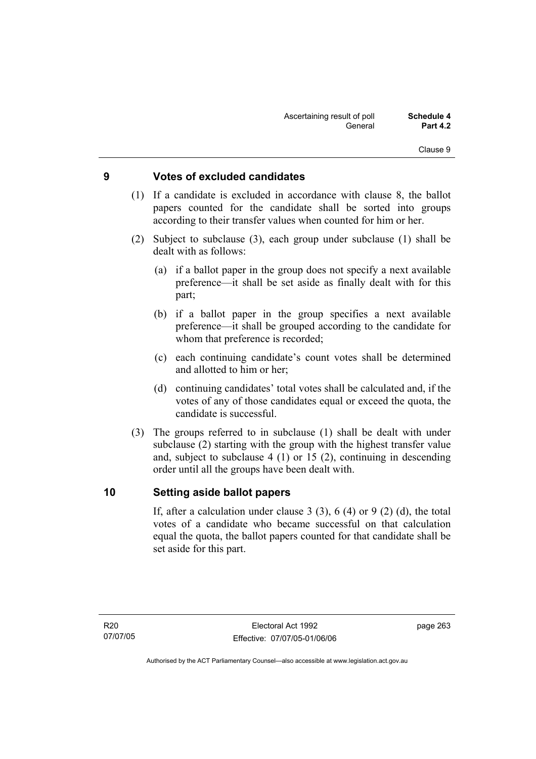## **9 Votes of excluded candidates**

- (1) If a candidate is excluded in accordance with clause 8, the ballot papers counted for the candidate shall be sorted into groups according to their transfer values when counted for him or her.
- (2) Subject to subclause (3), each group under subclause (1) shall be dealt with as follows:
	- (a) if a ballot paper in the group does not specify a next available preference—it shall be set aside as finally dealt with for this part;
	- (b) if a ballot paper in the group specifies a next available preference—it shall be grouped according to the candidate for whom that preference is recorded;
	- (c) each continuing candidate's count votes shall be determined and allotted to him or her;
	- (d) continuing candidates' total votes shall be calculated and, if the votes of any of those candidates equal or exceed the quota, the candidate is successful.
- (3) The groups referred to in subclause (1) shall be dealt with under subclause (2) starting with the group with the highest transfer value and, subject to subclause 4 (1) or 15 (2), continuing in descending order until all the groups have been dealt with.

#### **10 Setting aside ballot papers**

If, after a calculation under clause 3 (3), 6 (4) or 9 (2) (d), the total votes of a candidate who became successful on that calculation equal the quota, the ballot papers counted for that candidate shall be set aside for this part.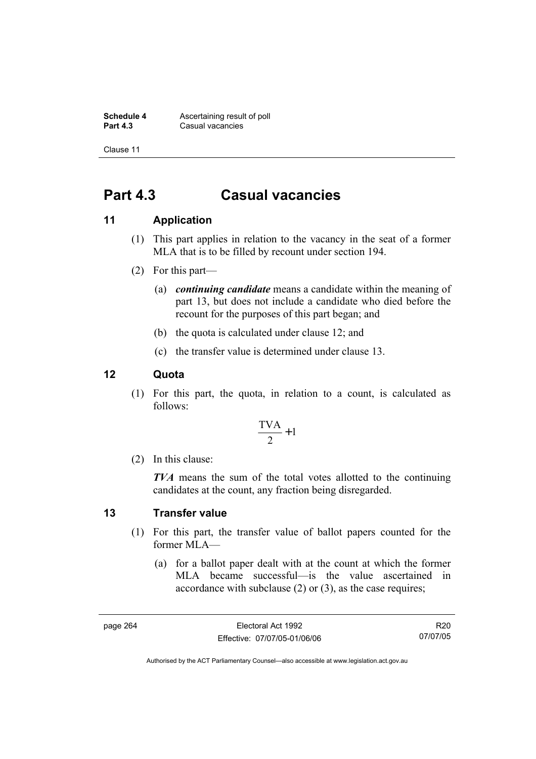**Schedule 4 Ascertaining result of poll**<br>**Part 4.3 Casual vacancies Casual vacancies** 

Clause 11

# **Part 4.3 Casual vacancies**

## **11 Application**

- (1) This part applies in relation to the vacancy in the seat of a former MLA that is to be filled by recount under section 194.
- (2) For this part—
	- (a) *continuing candidate* means a candidate within the meaning of part 13, but does not include a candidate who died before the recount for the purposes of this part began; and
	- (b) the quota is calculated under clause 12; and
	- (c) the transfer value is determined under clause 13.

### **12 Quota**

 (1) For this part, the quota, in relation to a count, is calculated as follows:

$$
\frac{\text{TVA}}{2} + 1
$$

(2) In this clause:

*TVA* means the sum of the total votes allotted to the continuing candidates at the count, any fraction being disregarded.

#### **13 Transfer value**

- (1) For this part, the transfer value of ballot papers counted for the former MLA—
	- (a) for a ballot paper dealt with at the count at which the former MLA became successful—is the value ascertained in accordance with subclause (2) or (3), as the case requires;

page 264 Electoral Act 1992 Effective: 07/07/05-01/06/06

R20 07/07/05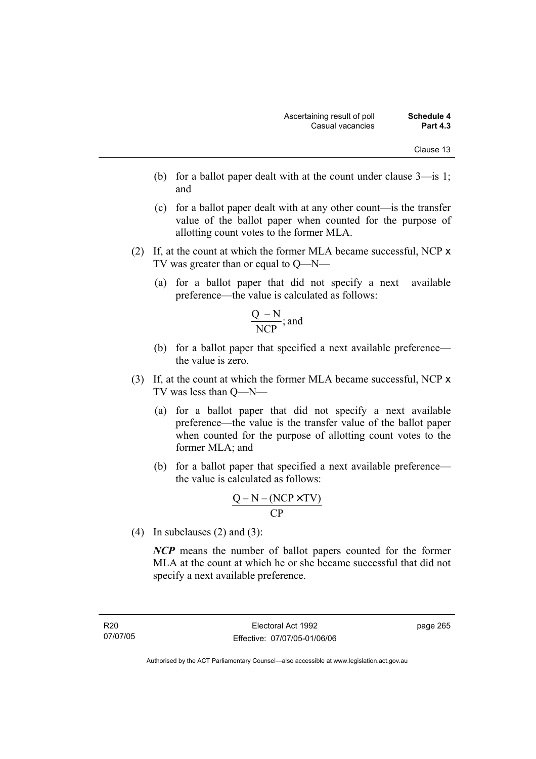- (b) for a ballot paper dealt with at the count under clause 3—is 1; and
- (c) for a ballot paper dealt with at any other count—is the transfer value of the ballot paper when counted for the purpose of allotting count votes to the former MLA.
- (2) If, at the count at which the former MLA became successful, NCP x TV was greater than or equal to Q—N—
	- (a) for a ballot paper that did not specify a next available preference—the value is calculated as follows:

$$
\frac{Q-N}{NCP}
$$
; and

- (b) for a ballot paper that specified a next available preference the value is zero.
- (3) If, at the count at which the former MLA became successful, NCP x TV was less than Q—N—
	- (a) for a ballot paper that did not specify a next available preference—the value is the transfer value of the ballot paper when counted for the purpose of allotting count votes to the former MLA; and
	- (b) for a ballot paper that specified a next available preference the value is calculated as follows:

$$
\frac{Q-N-(NCP \times TV)}{CP}
$$

(4) In subclauses (2) and (3):

*NCP* means the number of ballot papers counted for the former MLA at the count at which he or she became successful that did not specify a next available preference.

R20 07/07/05 page 265

Authorised by the ACT Parliamentary Counsel—also accessible at www.legislation.act.gov.au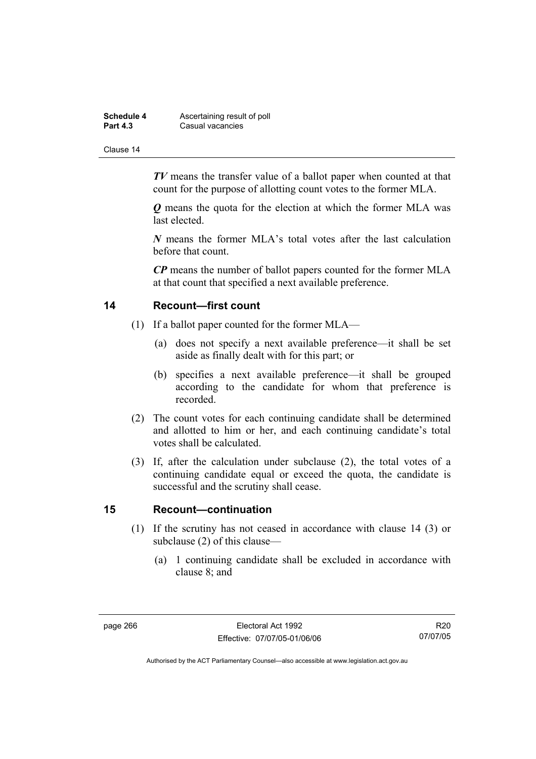| Schedule 4      | Ascertaining result of poll |
|-----------------|-----------------------------|
| <b>Part 4.3</b> | Casual vacancies            |

*TV* means the transfer value of a ballot paper when counted at that count for the purpose of allotting count votes to the former MLA.

*Q* means the quota for the election at which the former MLA was last elected.

*N* means the former MLA's total votes after the last calculation before that count.

*CP* means the number of ballot papers counted for the former MLA at that count that specified a next available preference.

#### **14 Recount—first count**

- (1) If a ballot paper counted for the former MLA—
	- (a) does not specify a next available preference—it shall be set aside as finally dealt with for this part; or
	- (b) specifies a next available preference—it shall be grouped according to the candidate for whom that preference is recorded.
- (2) The count votes for each continuing candidate shall be determined and allotted to him or her, and each continuing candidate's total votes shall be calculated.
- (3) If, after the calculation under subclause (2), the total votes of a continuing candidate equal or exceed the quota, the candidate is successful and the scrutiny shall cease.

#### **15 Recount—continuation**

- (1) If the scrutiny has not ceased in accordance with clause 14 (3) or subclause (2) of this clause—
	- (a) 1 continuing candidate shall be excluded in accordance with clause 8; and

R20 07/07/05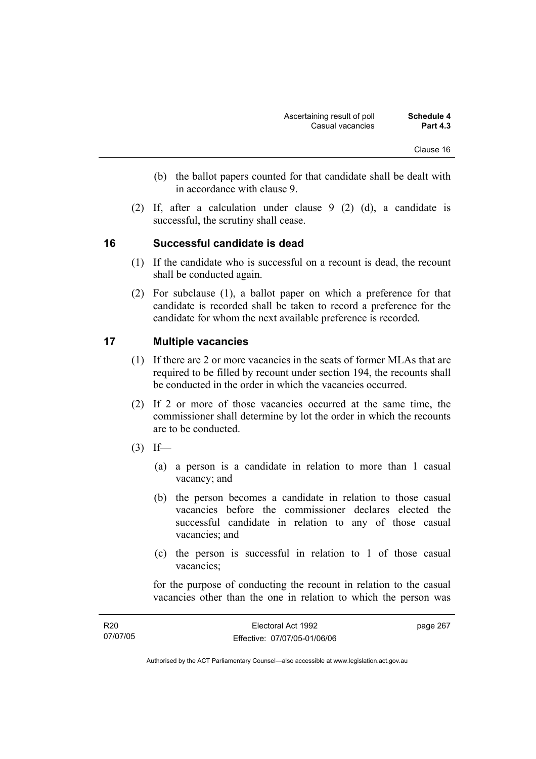- (b) the ballot papers counted for that candidate shall be dealt with in accordance with clause 9.
- (2) If, after a calculation under clause 9 (2) (d), a candidate is successful, the scrutiny shall cease.

### **16 Successful candidate is dead**

- (1) If the candidate who is successful on a recount is dead, the recount shall be conducted again.
- (2) For subclause (1), a ballot paper on which a preference for that candidate is recorded shall be taken to record a preference for the candidate for whom the next available preference is recorded.

### **17 Multiple vacancies**

- (1) If there are 2 or more vacancies in the seats of former MLAs that are required to be filled by recount under section 194, the recounts shall be conducted in the order in which the vacancies occurred.
- (2) If 2 or more of those vacancies occurred at the same time, the commissioner shall determine by lot the order in which the recounts are to be conducted.
- $(3)$  If—
	- (a) a person is a candidate in relation to more than 1 casual vacancy; and
	- (b) the person becomes a candidate in relation to those casual vacancies before the commissioner declares elected the successful candidate in relation to any of those casual vacancies; and
	- (c) the person is successful in relation to 1 of those casual vacancies;

for the purpose of conducting the recount in relation to the casual vacancies other than the one in relation to which the person was

| R <sub>20</sub> | Electoral Act 1992           | page 267 |
|-----------------|------------------------------|----------|
| 07/07/05        | Effective: 07/07/05-01/06/06 |          |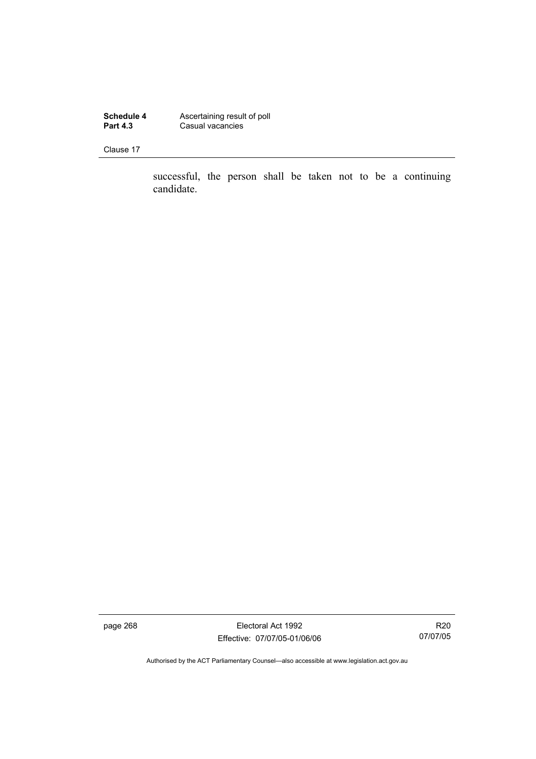**Schedule 4 Ascertaining result of poll Part 4.3 Casual vacancies** 

Clause 17

successful, the person shall be taken not to be a continuing candidate.

page 268 Electoral Act 1992 Effective: 07/07/05-01/06/06

R20 07/07/05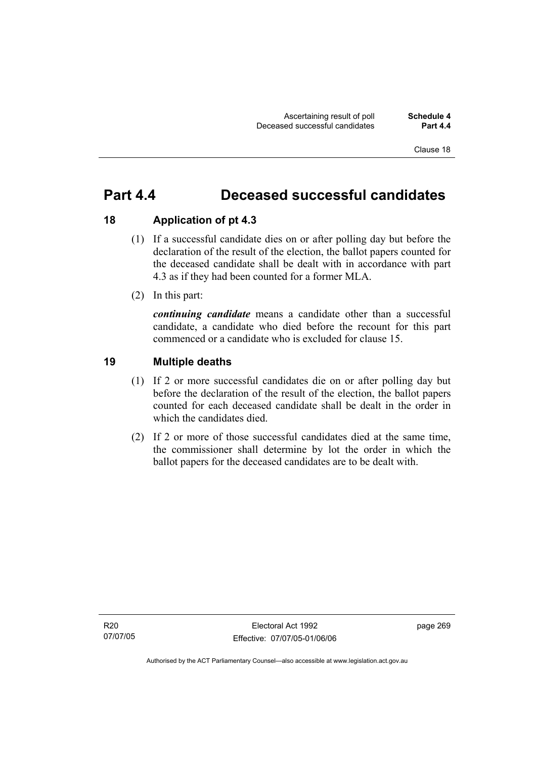# **Part 4.4 Deceased successful candidates**

## **18 Application of pt 4.3**

- (1) If a successful candidate dies on or after polling day but before the declaration of the result of the election, the ballot papers counted for the deceased candidate shall be dealt with in accordance with part 4.3 as if they had been counted for a former MLA.
- (2) In this part:

*continuing candidate* means a candidate other than a successful candidate, a candidate who died before the recount for this part commenced or a candidate who is excluded for clause 15.

## **19 Multiple deaths**

- (1) If 2 or more successful candidates die on or after polling day but before the declaration of the result of the election, the ballot papers counted for each deceased candidate shall be dealt in the order in which the candidates died.
- (2) If 2 or more of those successful candidates died at the same time, the commissioner shall determine by lot the order in which the ballot papers for the deceased candidates are to be dealt with.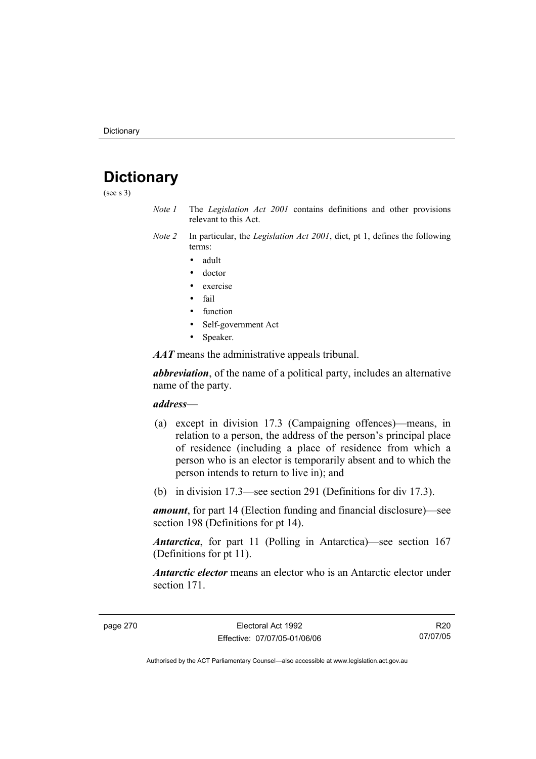# **Dictionary**

(see s 3)

- *Note 1* The *Legislation Act 2001* contains definitions and other provisions relevant to this Act.
- *Note 2* In particular, the *Legislation Act 2001*, dict, pt 1, defines the following terms:
	- adult
	- doctor
	- exercise
	- fail
	- function
	- Self-government Act
	- Speaker.

*AAT* means the administrative appeals tribunal.

*abbreviation*, of the name of a political party, includes an alternative name of the party.

#### *address*—

- (a) except in division 17.3 (Campaigning offences)—means, in relation to a person, the address of the person's principal place of residence (including a place of residence from which a person who is an elector is temporarily absent and to which the person intends to return to live in); and
- (b) in division 17.3—see section 291 (Definitions for div 17.3).

*amount*, for part 14 (Election funding and financial disclosure)—see section 198 (Definitions for pt 14).

*Antarctica*, for part 11 (Polling in Antarctica)—see section 167 (Definitions for pt 11).

*Antarctic elector* means an elector who is an Antarctic elector under section 171.

R20 07/07/05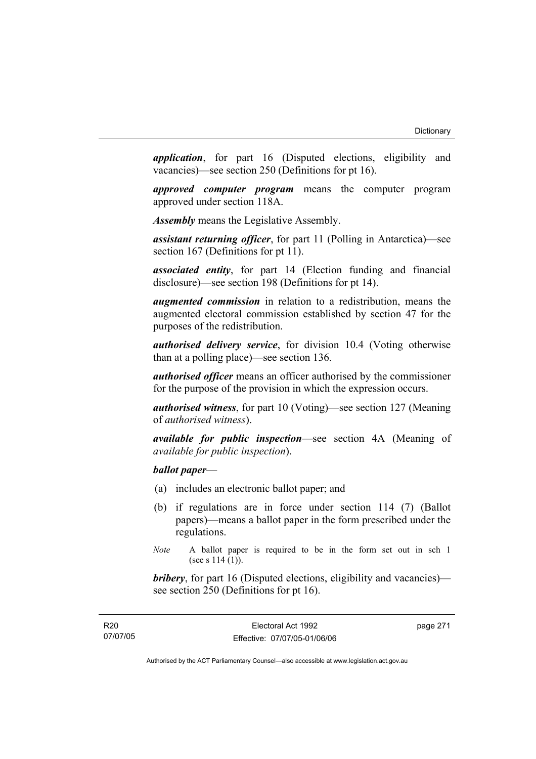*application*, for part 16 (Disputed elections, eligibility and vacancies)—see section 250 (Definitions for pt 16).

*approved computer program* means the computer program approved under section 118A.

*Assembly* means the Legislative Assembly.

*assistant returning officer*, for part 11 (Polling in Antarctica)—see section 167 (Definitions for pt 11).

*associated entity*, for part 14 (Election funding and financial disclosure)—see section 198 (Definitions for pt 14).

*augmented commission* in relation to a redistribution, means the augmented electoral commission established by section 47 for the purposes of the redistribution.

*authorised delivery service*, for division 10.4 (Voting otherwise than at a polling place)—see section 136.

*authorised officer* means an officer authorised by the commissioner for the purpose of the provision in which the expression occurs.

*authorised witness*, for part 10 (Voting)—see section 127 (Meaning of *authorised witness*).

*available for public inspection*—see section 4A (Meaning of *available for public inspection*).

# *ballot paper*—

- (a) includes an electronic ballot paper; and
- (b) if regulations are in force under section 114 (7) (Ballot papers)—means a ballot paper in the form prescribed under the regulations.
- *Note* A ballot paper is required to be in the form set out in sch 1 (see s  $114(1)$ ).

*bribery*, for part 16 (Disputed elections, eligibility and vacancies) see section 250 (Definitions for pt 16).

| R <sub>20</sub> |  |
|-----------------|--|
| 07/07/05        |  |

page 271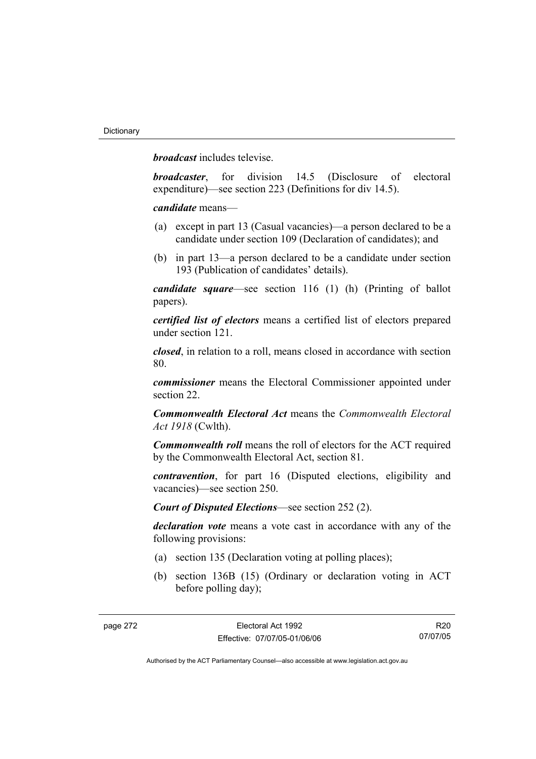*broadcast* includes televise.

*broadcaster*, for division 14.5 (Disclosure of electoral expenditure)—see section 223 (Definitions for div 14.5).

*candidate* means—

- (a) except in part 13 (Casual vacancies)—a person declared to be a candidate under section 109 (Declaration of candidates); and
- (b) in part 13—a person declared to be a candidate under section 193 (Publication of candidates' details).

*candidate square*—see section 116 (1) (h) (Printing of ballot papers).

*certified list of electors* means a certified list of electors prepared under section 121.

*closed*, in relation to a roll, means closed in accordance with section 80.

*commissioner* means the Electoral Commissioner appointed under section 22.

*Commonwealth Electoral Act* means the *Commonwealth Electoral Act 1918* (Cwlth).

*Commonwealth roll* means the roll of electors for the ACT required by the Commonwealth Electoral Act, section 81.

*contravention*, for part 16 (Disputed elections, eligibility and vacancies)—see section 250.

*Court of Disputed Elections*—see section 252 (2).

*declaration vote* means a vote cast in accordance with any of the following provisions:

- (a) section 135 (Declaration voting at polling places);
- (b) section 136B (15) (Ordinary or declaration voting in ACT before polling day);

R20 07/07/05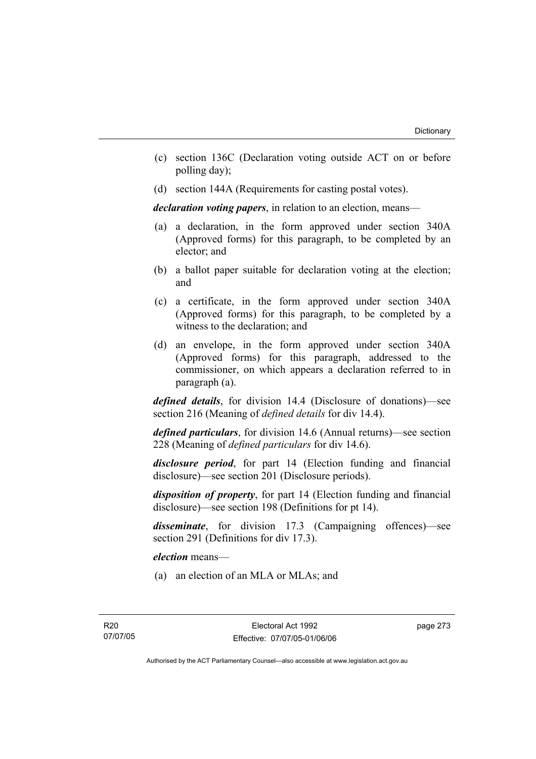- (c) section 136C (Declaration voting outside ACT on or before polling day);
- (d) section 144A (Requirements for casting postal votes).

*declaration voting papers*, in relation to an election, means—

- (a) a declaration, in the form approved under section 340A (Approved forms) for this paragraph, to be completed by an elector; and
- (b) a ballot paper suitable for declaration voting at the election; and
- (c) a certificate, in the form approved under section 340A (Approved forms) for this paragraph, to be completed by a witness to the declaration; and
- (d) an envelope, in the form approved under section 340A (Approved forms) for this paragraph, addressed to the commissioner, on which appears a declaration referred to in paragraph (a).

*defined details*, for division 14.4 (Disclosure of donations)—see section 216 (Meaning of *defined details* for div 14.4).

*defined particulars*, for division 14.6 (Annual returns)—see section 228 (Meaning of *defined particulars* for div 14.6).

*disclosure period*, for part 14 (Election funding and financial disclosure)—see section 201 (Disclosure periods).

*disposition of property*, for part 14 (Election funding and financial disclosure)—see section 198 (Definitions for pt 14).

*disseminate*, for division 17.3 (Campaigning offences)—see section 291 (Definitions for div 17.3).

*election* means—

(a) an election of an MLA or MLAs; and

page 273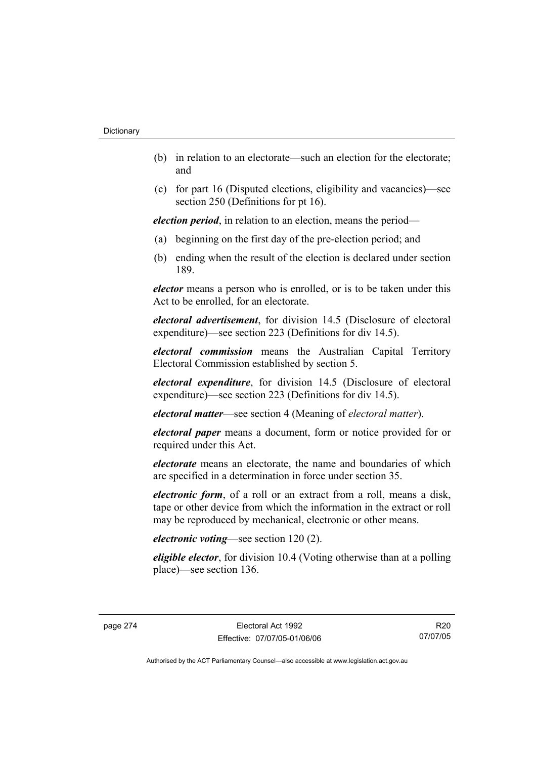- (b) in relation to an electorate—such an election for the electorate; and
- (c) for part 16 (Disputed elections, eligibility and vacancies)—see section 250 (Definitions for pt 16).

*election period*, in relation to an election, means the period—

- (a) beginning on the first day of the pre-election period; and
- (b) ending when the result of the election is declared under section 189.

*elector* means a person who is enrolled, or is to be taken under this Act to be enrolled, for an electorate.

*electoral advertisement*, for division 14.5 (Disclosure of electoral expenditure)—see section 223 (Definitions for div 14.5).

*electoral commission* means the Australian Capital Territory Electoral Commission established by section 5.

*electoral expenditure*, for division 14.5 (Disclosure of electoral expenditure)—see section 223 (Definitions for div 14.5).

*electoral matter*—see section 4 (Meaning of *electoral matter*).

*electoral paper* means a document, form or notice provided for or required under this Act.

*electorate* means an electorate, the name and boundaries of which are specified in a determination in force under section 35.

*electronic form*, of a roll or an extract from a roll, means a disk, tape or other device from which the information in the extract or roll may be reproduced by mechanical, electronic or other means.

# *electronic voting*—see section 120 (2).

*eligible elector*, for division 10.4 (Voting otherwise than at a polling place)—see section 136.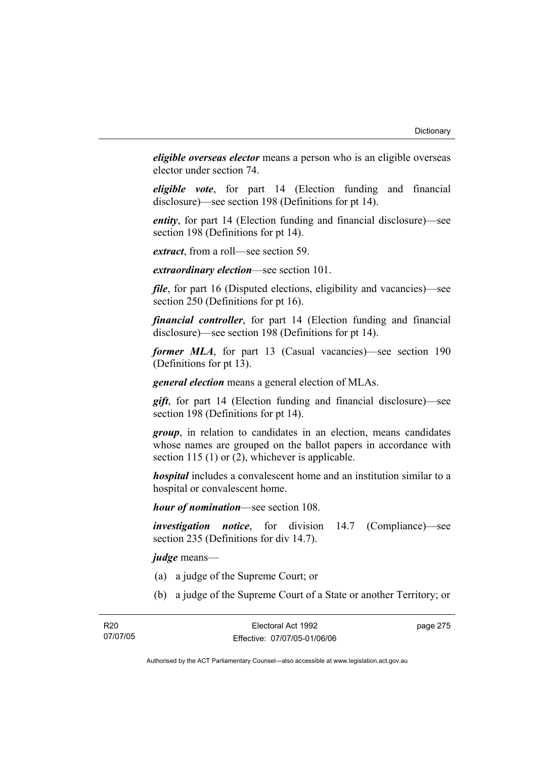*eligible overseas elector* means a person who is an eligible overseas elector under section 74.

*eligible vote*, for part 14 (Election funding and financial disclosure)—see section 198 (Definitions for pt 14).

*entity*, for part 14 (Election funding and financial disclosure)—see section 198 (Definitions for pt 14).

*extract*, from a roll—see section 59.

*extraordinary election*—see section 101.

*file*, for part 16 (Disputed elections, eligibility and vacancies)—see section 250 (Definitions for pt 16).

*financial controller*, for part 14 (Election funding and financial disclosure)—see section 198 (Definitions for pt 14).

*former MLA*, for part 13 (Casual vacancies)—see section 190 (Definitions for pt 13).

*general election* means a general election of MLAs.

*gift*, for part 14 (Election funding and financial disclosure)—see section 198 (Definitions for pt 14).

*group*, in relation to candidates in an election, means candidates whose names are grouped on the ballot papers in accordance with section 115 (1) or (2), whichever is applicable.

*hospital* includes a convalescent home and an institution similar to a hospital or convalescent home.

*hour of nomination*—see section 108.

*investigation notice*, for division 14.7 (Compliance)—see section 235 (Definitions for div 14.7).

*judge* means—

- (a) a judge of the Supreme Court; or
- (b) a judge of the Supreme Court of a State or another Territory; or

page 275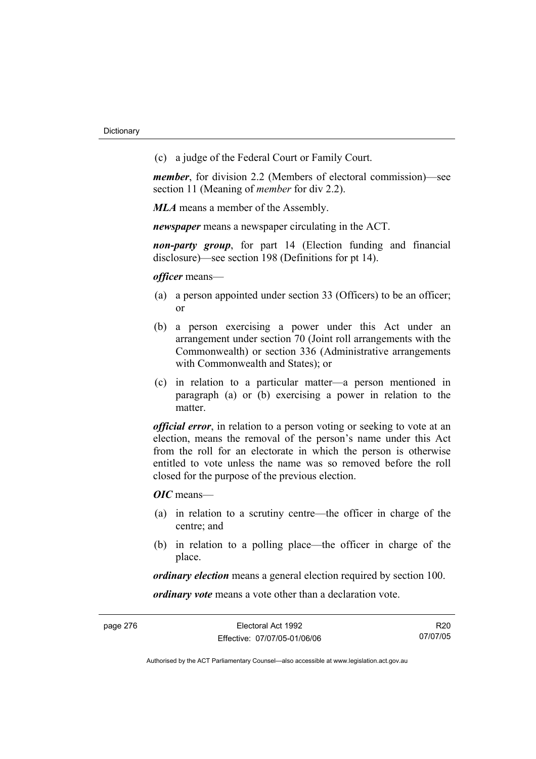(c) a judge of the Federal Court or Family Court.

*member*, for division 2.2 (Members of electoral commission)—see section 11 (Meaning of *member* for div 2.2).

*MLA* means a member of the Assembly.

*newspaper* means a newspaper circulating in the ACT.

*non-party group*, for part 14 (Election funding and financial disclosure)—see section 198 (Definitions for pt 14).

*officer* means—

- (a) a person appointed under section 33 (Officers) to be an officer; or
- (b) a person exercising a power under this Act under an arrangement under section 70 (Joint roll arrangements with the Commonwealth) or section 336 (Administrative arrangements with Commonwealth and States); or
- (c) in relation to a particular matter—a person mentioned in paragraph (a) or (b) exercising a power in relation to the matter.

*official error*, in relation to a person voting or seeking to vote at an election, means the removal of the person's name under this Act from the roll for an electorate in which the person is otherwise entitled to vote unless the name was so removed before the roll closed for the purpose of the previous election.

*OIC* means—

- (a) in relation to a scrutiny centre—the officer in charge of the centre; and
- (b) in relation to a polling place—the officer in charge of the place.

*ordinary election* means a general election required by section 100.

*ordinary vote* means a vote other than a declaration vote.

R20 07/07/05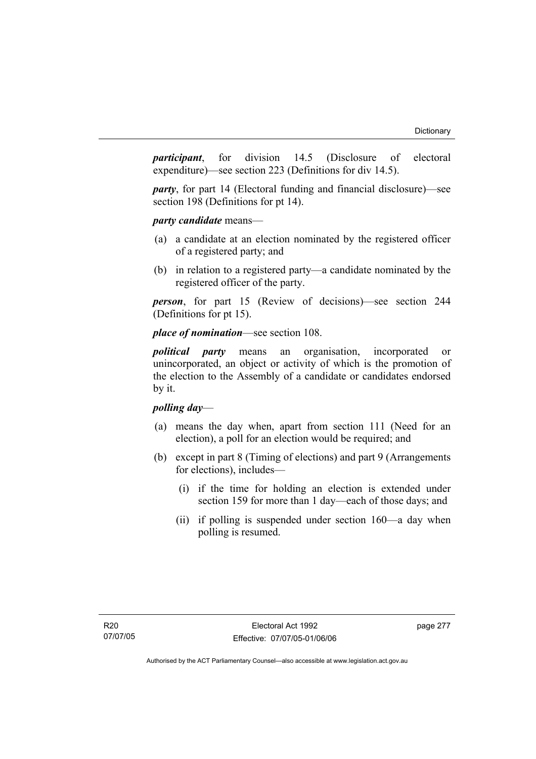*participant*, for division 14.5 (Disclosure of electoral expenditure)—see section 223 (Definitions for div 14.5).

*party*, for part 14 (Electoral funding and financial disclosure)—see section 198 (Definitions for pt 14).

*party candidate* means—

- (a) a candidate at an election nominated by the registered officer of a registered party; and
- (b) in relation to a registered party—a candidate nominated by the registered officer of the party.

*person*, for part 15 (Review of decisions)—see section 244 (Definitions for pt 15).

# *place of nomination*—see section 108.

*political party* means an organisation, incorporated or unincorporated, an object or activity of which is the promotion of the election to the Assembly of a candidate or candidates endorsed by it.

# *polling day*—

- (a) means the day when, apart from section 111 (Need for an election), a poll for an election would be required; and
- (b) except in part 8 (Timing of elections) and part 9 (Arrangements for elections), includes—
	- (i) if the time for holding an election is extended under section 159 for more than 1 day—each of those days; and
	- (ii) if polling is suspended under section 160—a day when polling is resumed.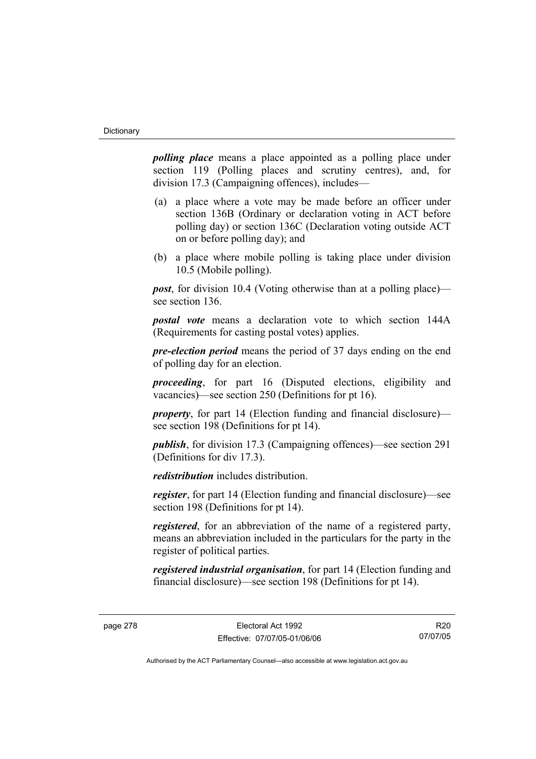*polling place* means a place appointed as a polling place under section 119 (Polling places and scrutiny centres), and, for division 17.3 (Campaigning offences), includes—

- (a) a place where a vote may be made before an officer under section 136B (Ordinary or declaration voting in ACT before polling day) or section 136C (Declaration voting outside ACT on or before polling day); and
- (b) a place where mobile polling is taking place under division 10.5 (Mobile polling).

*post*, for division 10.4 (Voting otherwise than at a polling place) see section 136.

*postal vote* means a declaration vote to which section 144A (Requirements for casting postal votes) applies.

*pre-election period* means the period of 37 days ending on the end of polling day for an election.

*proceeding*, for part 16 (Disputed elections, eligibility and vacancies)—see section 250 (Definitions for pt 16).

*property*, for part 14 (Election funding and financial disclosure) see section 198 (Definitions for pt 14).

*publish*, for division 17.3 (Campaigning offences)—see section 291 (Definitions for div 17.3).

*redistribution* includes distribution.

*register*, for part 14 (Election funding and financial disclosure)—see section 198 (Definitions for pt 14).

*registered*, for an abbreviation of the name of a registered party, means an abbreviation included in the particulars for the party in the register of political parties.

*registered industrial organisation*, for part 14 (Election funding and financial disclosure)—see section 198 (Definitions for pt 14).

R20 07/07/05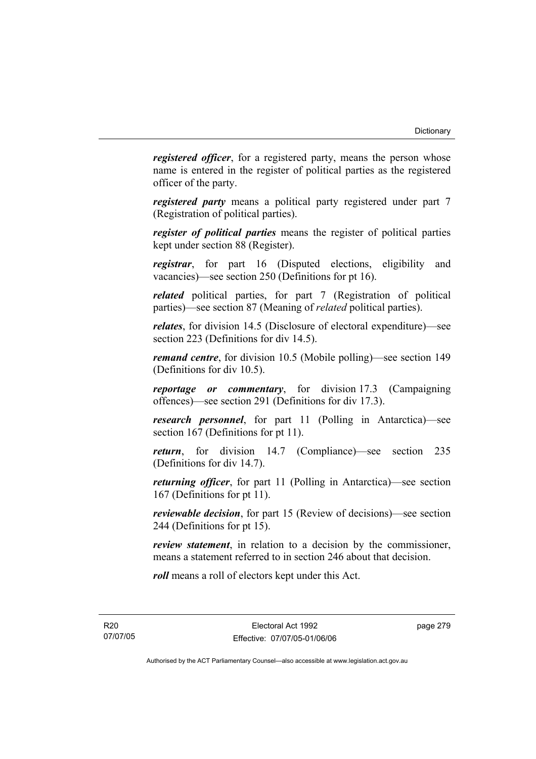*registered officer*, for a registered party, means the person whose name is entered in the register of political parties as the registered officer of the party.

*registered party* means a political party registered under part 7 (Registration of political parties).

*register of political parties* means the register of political parties kept under section 88 (Register).

*registrar*, for part 16 (Disputed elections, eligibility and vacancies)—see section 250 (Definitions for pt 16).

*related* political parties, for part 7 (Registration of political parties)—see section 87 (Meaning of *related* political parties).

*relates*, for division 14.5 (Disclosure of electoral expenditure)—see section 223 (Definitions for div 14.5).

*remand centre*, for division 10.5 (Mobile polling)—see section 149 (Definitions for div 10.5).

*reportage or commentary*, for division 17.3 (Campaigning offences)—see section 291 (Definitions for div 17.3).

*research personnel*, for part 11 (Polling in Antarctica)—see section 167 (Definitions for pt 11).

*return*, for division 14.7 (Compliance)—see section 235 (Definitions for div 14.7).

*returning officer*, for part 11 (Polling in Antarctica)—see section 167 (Definitions for pt 11).

*reviewable decision*, for part 15 (Review of decisions)—see section 244 (Definitions for pt 15).

*review statement*, in relation to a decision by the commissioner, means a statement referred to in section 246 about that decision.

*roll* means a roll of electors kept under this Act.

R20 07/07/05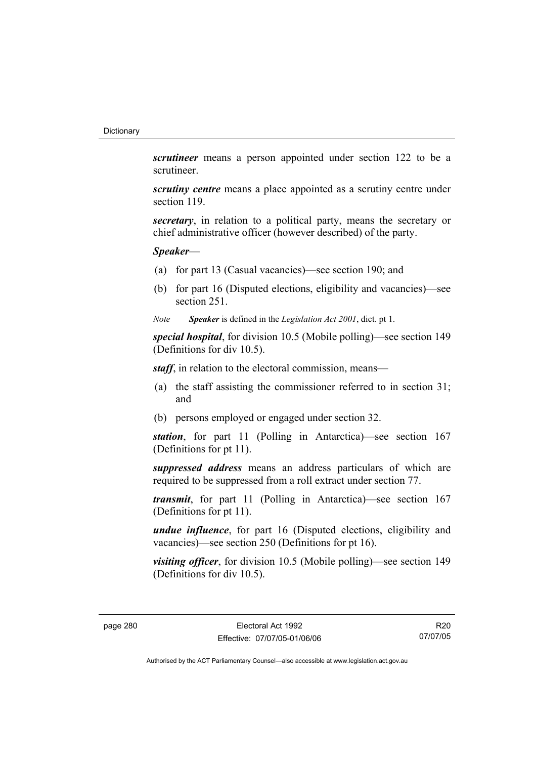*scrutineer* means a person appointed under section 122 to be a scrutineer.

*scrutiny centre* means a place appointed as a scrutiny centre under section 119.

*secretary*, in relation to a political party, means the secretary or chief administrative officer (however described) of the party.

# *Speaker*—

- (a) for part 13 (Casual vacancies)—see section 190; and
- (b) for part 16 (Disputed elections, eligibility and vacancies)—see section 251.
- *Note Speaker* is defined in the *Legislation Act 2001*, dict. pt 1.

*special hospital*, for division 10.5 (Mobile polling)—see section 149 (Definitions for div 10.5).

*staff*, in relation to the electoral commission, means—

- (a) the staff assisting the commissioner referred to in section 31; and
- (b) persons employed or engaged under section 32.

*station*, for part 11 (Polling in Antarctica)—see section 167 (Definitions for pt 11).

*suppressed address* means an address particulars of which are required to be suppressed from a roll extract under section 77.

*transmit*, for part 11 (Polling in Antarctica)—see section 167 (Definitions for pt 11).

*undue influence*, for part 16 (Disputed elections, eligibility and vacancies)—see section 250 (Definitions for pt 16).

*visiting officer*, for division 10.5 (Mobile polling)—see section 149 (Definitions for div 10.5).

R20 07/07/05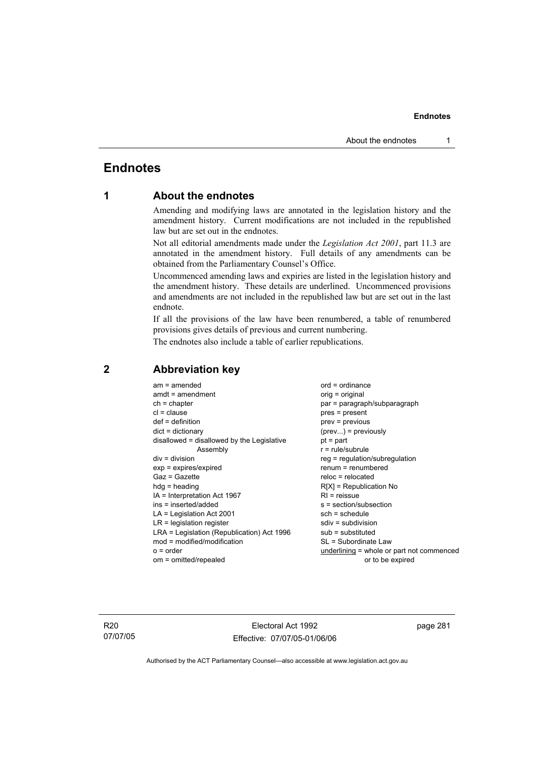# **Endnotes**

# **1 About the endnotes**

Amending and modifying laws are annotated in the legislation history and the amendment history. Current modifications are not included in the republished law but are set out in the endnotes.

Not all editorial amendments made under the *Legislation Act 2001*, part 11.3 are annotated in the amendment history. Full details of any amendments can be obtained from the Parliamentary Counsel's Office.

Uncommenced amending laws and expiries are listed in the legislation history and the amendment history. These details are underlined. Uncommenced provisions and amendments are not included in the republished law but are set out in the last endnote.

If all the provisions of the law have been renumbered, a table of renumbered provisions gives details of previous and current numbering.

The endnotes also include a table of earlier republications.

| $am = amended$<br>$amdt = amendment$<br>$ch = chapter$<br>$cl = clause$<br>$def = definition$<br>$dict = dictionary$<br>disallowed = disallowed by the Legislative<br>Assembly<br>$div = division$<br>$exp = expires/expired$<br>$Gaz = Gazette$<br>$hda =$ heading<br>$IA = Interpretation Act 1967$<br>ins = inserted/added<br>$LA =$ Legislation Act 2001<br>$LR =$ legislation register<br>LRA = Legislation (Republication) Act 1996<br>$mod = modified/modification$ | $ord = ordinance$<br>orig = original<br>par = paragraph/subparagraph<br>$pres = present$<br>$prev = previous$<br>$(\text{prev})$ = previously<br>$pt = part$<br>$r = rule/subrule$<br>$reg = regulation/subregulation$<br>$renum = renumbered$<br>$reloc = relocated$<br>$R[X]$ = Republication No<br>$RI =$ reissue<br>s = section/subsection<br>sch = schedule<br>$sdiv = subdivision$<br>$sub =$ substituted<br>SL = Subordinate Law |
|----------------------------------------------------------------------------------------------------------------------------------------------------------------------------------------------------------------------------------------------------------------------------------------------------------------------------------------------------------------------------------------------------------------------------------------------------------------------------|-----------------------------------------------------------------------------------------------------------------------------------------------------------------------------------------------------------------------------------------------------------------------------------------------------------------------------------------------------------------------------------------------------------------------------------------|
| $o = order$                                                                                                                                                                                                                                                                                                                                                                                                                                                                | underlining = whole or part not commenced                                                                                                                                                                                                                                                                                                                                                                                               |
| om = omitted/repealed                                                                                                                                                                                                                                                                                                                                                                                                                                                      | or to be expired                                                                                                                                                                                                                                                                                                                                                                                                                        |

# **2 Abbreviation key**

R20 07/07/05

Electoral Act 1992 Effective: 07/07/05-01/06/06 page 281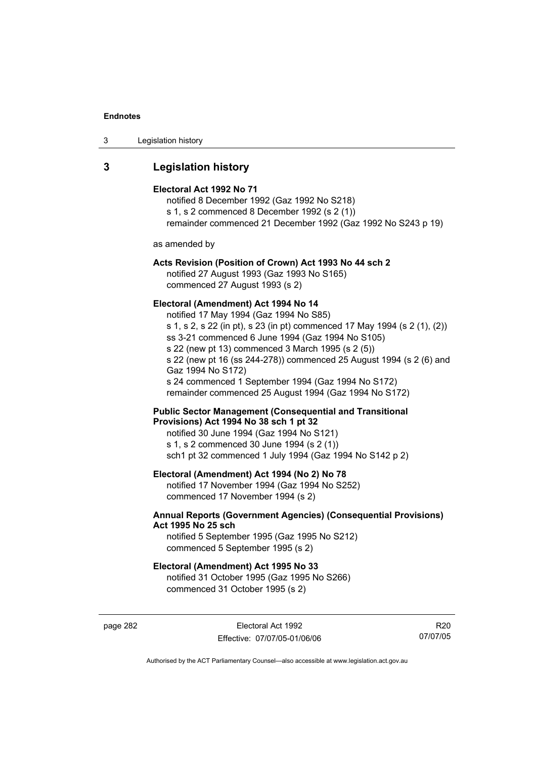| Legislation history<br>-3 |  |
|---------------------------|--|
|---------------------------|--|

# **3 Legislation history**

#### **Electoral Act 1992 No 71**

notified 8 December 1992 (Gaz 1992 No S218) s 1, s 2 commenced 8 December 1992 (s 2 (1)) remainder commenced 21 December 1992 (Gaz 1992 No S243 p 19)

as amended by

# **Acts Revision (Position of Crown) Act 1993 No 44 sch 2**

notified 27 August 1993 (Gaz 1993 No S165) commenced 27 August 1993 (s 2)

#### **Electoral (Amendment) Act 1994 No 14**

notified 17 May 1994 (Gaz 1994 No S85) s 1, s 2, s 22 (in pt), s 23 (in pt) commenced 17 May 1994 (s 2 (1), (2)) ss 3-21 commenced 6 June 1994 (Gaz 1994 No S105) s 22 (new pt 13) commenced 3 March 1995 (s 2 (5)) s 22 (new pt 16 (ss 244-278)) commenced 25 August 1994 (s 2 (6) and Gaz 1994 No S172) s 24 commenced 1 September 1994 (Gaz 1994 No S172) remainder commenced 25 August 1994 (Gaz 1994 No S172)

#### **Public Sector Management (Consequential and Transitional Provisions) Act 1994 No 38 sch 1 pt 32**

notified 30 June 1994 (Gaz 1994 No S121) s 1, s 2 commenced 30 June 1994 (s 2 (1)) sch1 pt 32 commenced 1 July 1994 (Gaz 1994 No S142 p 2)

### **Electoral (Amendment) Act 1994 (No 2) No 78**

notified 17 November 1994 (Gaz 1994 No S252) commenced 17 November 1994 (s 2)

### **Annual Reports (Government Agencies) (Consequential Provisions) Act 1995 No 25 sch**

notified 5 September 1995 (Gaz 1995 No S212) commenced 5 September 1995 (s 2)

#### **Electoral (Amendment) Act 1995 No 33**

notified 31 October 1995 (Gaz 1995 No S266) commenced 31 October 1995 (s 2)

page 282 Electoral Act 1992 Effective: 07/07/05-01/06/06

R20 07/07/05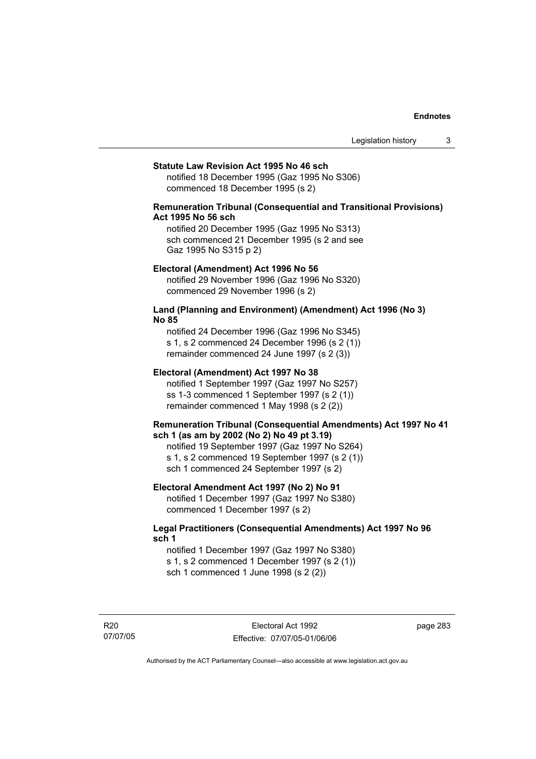#### **Statute Law Revision Act 1995 No 46 sch**

notified 18 December 1995 (Gaz 1995 No S306) commenced 18 December 1995 (s 2)

## **Remuneration Tribunal (Consequential and Transitional Provisions) Act 1995 No 56 sch**

notified 20 December 1995 (Gaz 1995 No S313) sch commenced 21 December 1995 (s 2 and see Gaz 1995 No S315 p 2)

#### **Electoral (Amendment) Act 1996 No 56**

notified 29 November 1996 (Gaz 1996 No S320) commenced 29 November 1996 (s 2)

#### **Land (Planning and Environment) (Amendment) Act 1996 (No 3) No 85**

notified 24 December 1996 (Gaz 1996 No S345) s 1, s 2 commenced 24 December 1996 (s 2 (1)) remainder commenced 24 June 1997 (s 2 (3))

#### **Electoral (Amendment) Act 1997 No 38**

notified 1 September 1997 (Gaz 1997 No S257) ss 1-3 commenced 1 September 1997 (s 2 (1)) remainder commenced 1 May 1998 (s 2 (2))

#### **Remuneration Tribunal (Consequential Amendments) Act 1997 No 41 sch 1 (as am by 2002 (No 2) No 49 pt 3.19)**

notified 19 September 1997 (Gaz 1997 No S264) s 1, s 2 commenced 19 September 1997 (s 2 (1)) sch 1 commenced 24 September 1997 (s 2)

#### **Electoral Amendment Act 1997 (No 2) No 91**

notified 1 December 1997 (Gaz 1997 No S380) commenced 1 December 1997 (s 2)

#### **Legal Practitioners (Consequential Amendments) Act 1997 No 96 sch 1**

notified 1 December 1997 (Gaz 1997 No S380) s 1, s 2 commenced 1 December 1997 (s 2 (1)) sch 1 commenced 1 June 1998 (s 2 (2))

R20 07/07/05 page 283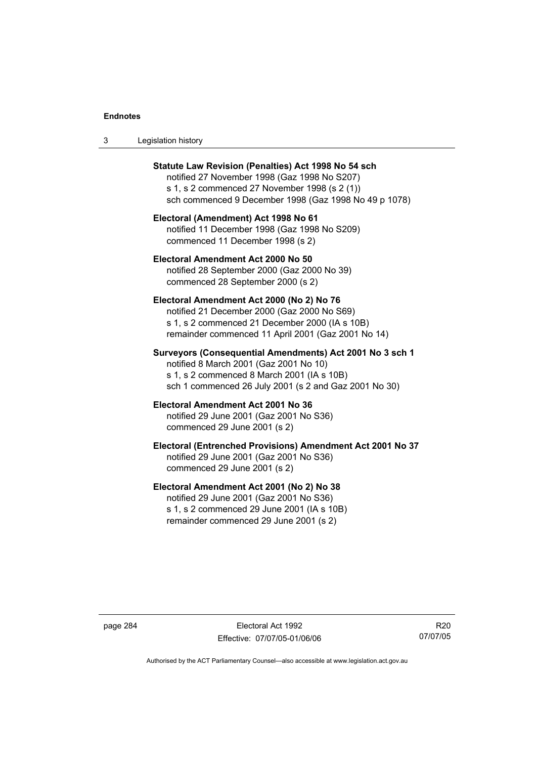| -3 | Legislation history |  |
|----|---------------------|--|
|----|---------------------|--|

| Statute Law Revision (Penalties) Act 1998 No 54 sch<br>notified 27 November 1998 (Gaz 1998 No S207)<br>s 1, s 2 commenced 27 November 1998 (s 2 (1))<br>sch commenced 9 December 1998 (Gaz 1998 No 49 p 1078) |
|---------------------------------------------------------------------------------------------------------------------------------------------------------------------------------------------------------------|
| Electoral (Amendment) Act 1998 No 61<br>notified 11 December 1998 (Gaz 1998 No S209)<br>commenced 11 December 1998 (s 2)                                                                                      |
| Electoral Amendment Act 2000 No 50<br>notified 28 September 2000 (Gaz 2000 No 39)<br>commenced 28 September 2000 (s 2)                                                                                        |
| Electoral Amendment Act 2000 (No 2) No 76<br>notified 21 December 2000 (Gaz 2000 No S69)<br>s 1, s 2 commenced 21 December 2000 (IA s 10B)<br>remainder commenced 11 April 2001 (Gaz 2001 No 14)              |
| Surveyors (Consequential Amendments) Act 2001 No 3 sch 1<br>notified 8 March 2001 (Gaz 2001 No 10)<br>s 1, s 2 commenced 8 March 2001 (IA s 10B)<br>sch 1 commenced 26 July 2001 (s 2 and Gaz 2001 No 30)     |
| Electoral Amendment Act 2001 No 36<br>notified 29 June 2001 (Gaz 2001 No S36)<br>commenced 29 June 2001 (s 2)                                                                                                 |
| Electoral (Entrenched Provisions) Amendment Act 2001 No 37<br>notified 29 June 2001 (Gaz 2001 No S36)<br>commenced 29 June 2001 (s 2)                                                                         |
| Electoral Amendment Act 2001 (No 2) No 38<br>notified 29 June 2001 (Gaz 2001 No S36)<br>s 1, s 2 commenced 29 June 2001 (IA s 10B)<br>remainder commenced 29 June 2001 (s 2)                                  |

page 284 Electoral Act 1992 Effective: 07/07/05-01/06/06

R20 07/07/05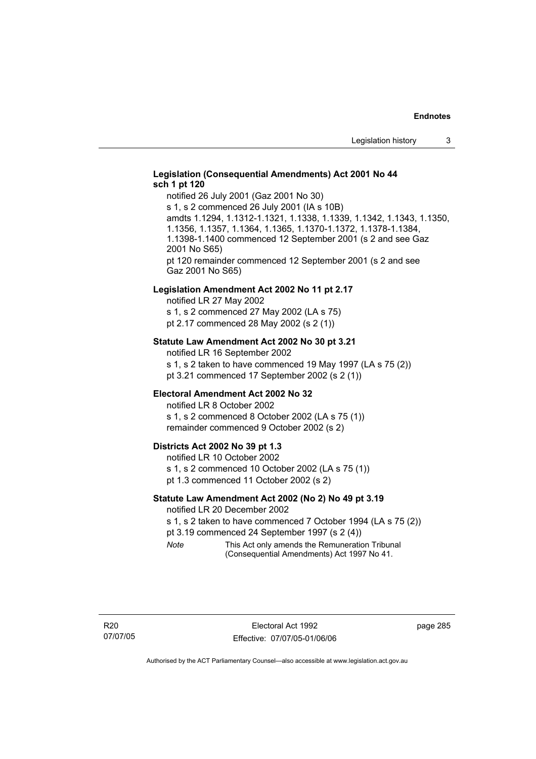### **Legislation (Consequential Amendments) Act 2001 No 44 sch 1 pt 120**

notified 26 July 2001 (Gaz 2001 No 30) s 1, s 2 commenced 26 July 2001 (IA s 10B) amdts 1.1294, 1.1312-1.1321, 1.1338, 1.1339, 1.1342, 1.1343, 1.1350, 1.1356, 1.1357, 1.1364, 1.1365, 1.1370-1.1372, 1.1378-1.1384, 1.1398-1.1400 commenced 12 September 2001 (s 2 and see Gaz 2001 No S65) pt 120 remainder commenced 12 September 2001 (s 2 and see Gaz 2001 No S65)

#### **Legislation Amendment Act 2002 No 11 pt 2.17**

notified LR 27 May 2002 s 1, s 2 commenced 27 May 2002 (LA s 75) pt 2.17 commenced 28 May 2002 (s 2 (1))

#### **Statute Law Amendment Act 2002 No 30 pt 3.21**

notified LR 16 September 2002 s 1, s 2 taken to have commenced 19 May 1997 (LA s 75 (2)) pt 3.21 commenced 17 September 2002 (s 2 (1))

### **Electoral Amendment Act 2002 No 32**

notified LR 8 October 2002 s 1, s 2 commenced 8 October 2002 (LA s 75 (1)) remainder commenced 9 October 2002 (s 2)

#### **Districts Act 2002 No 39 pt 1.3**

notified LR 10 October 2002 s 1, s 2 commenced 10 October 2002 (LA s 75 (1)) pt 1.3 commenced 11 October 2002 (s 2)

#### **Statute Law Amendment Act 2002 (No 2) No 49 pt 3.19**

notified LR 20 December 2002

s 1, s 2 taken to have commenced 7 October 1994 (LA s 75 (2))

pt 3.19 commenced 24 September 1997 (s 2 (4))

*Note* This Act only amends the Remuneration Tribunal (Consequential Amendments) Act 1997 No 41.

page 285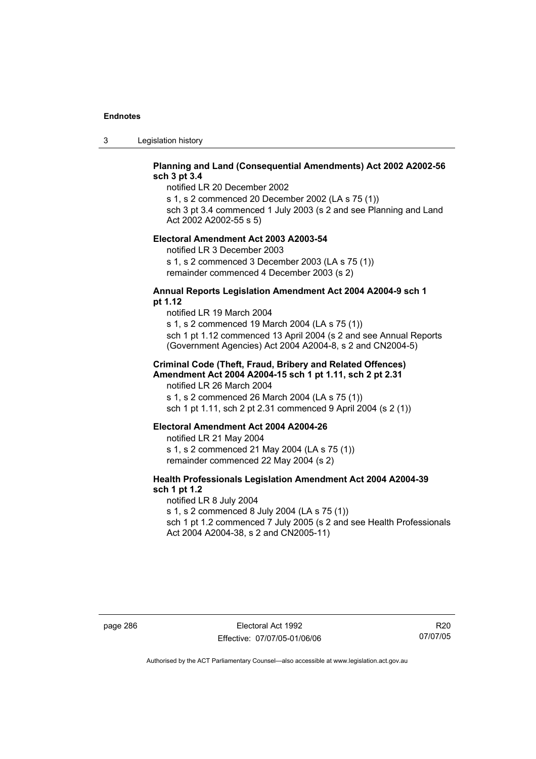3 Legislation history

# **Planning and Land (Consequential Amendments) Act 2002 A2002-56 sch 3 pt 3.4**

notified LR 20 December 2002

s 1, s 2 commenced 20 December 2002 (LA s 75 (1))

sch 3 pt 3.4 commenced 1 July 2003 (s 2 and see Planning and Land Act 2002 A2002-55 s 5)

#### **Electoral Amendment Act 2003 A2003-54**

notified LR 3 December 2003 s 1, s 2 commenced 3 December 2003 (LA s 75 (1)) remainder commenced 4 December 2003 (s 2)

### **Annual Reports Legislation Amendment Act 2004 A2004-9 sch 1 pt 1.12**

notified LR 19 March 2004 s 1, s 2 commenced 19 March 2004 (LA s 75 (1)) sch 1 pt 1.12 commenced 13 April 2004 (s 2 and see Annual Reports (Government Agencies) Act 2004 A2004-8, s 2 and CN2004-5)

### **Criminal Code (Theft, Fraud, Bribery and Related Offences) Amendment Act 2004 A2004-15 sch 1 pt 1.11, sch 2 pt 2.31**

notified LR 26 March 2004 s 1, s 2 commenced 26 March 2004 (LA s 75 (1)) sch 1 pt 1.11, sch 2 pt 2.31 commenced 9 April 2004 (s 2 (1))

#### **Electoral Amendment Act 2004 A2004-26**

notified LR 21 May 2004 s 1, s 2 commenced 21 May 2004 (LA s 75 (1)) remainder commenced 22 May 2004 (s 2)

## **Health Professionals Legislation Amendment Act 2004 A2004-39 sch 1 pt 1.2**

notified LR 8 July 2004 s 1, s 2 commenced 8 July 2004 (LA s 75 (1)) sch 1 pt 1.2 commenced 7 July 2005 (s 2 and see Health Professionals Act 2004 A2004-38, s 2 and CN2005-11)

R20 07/07/05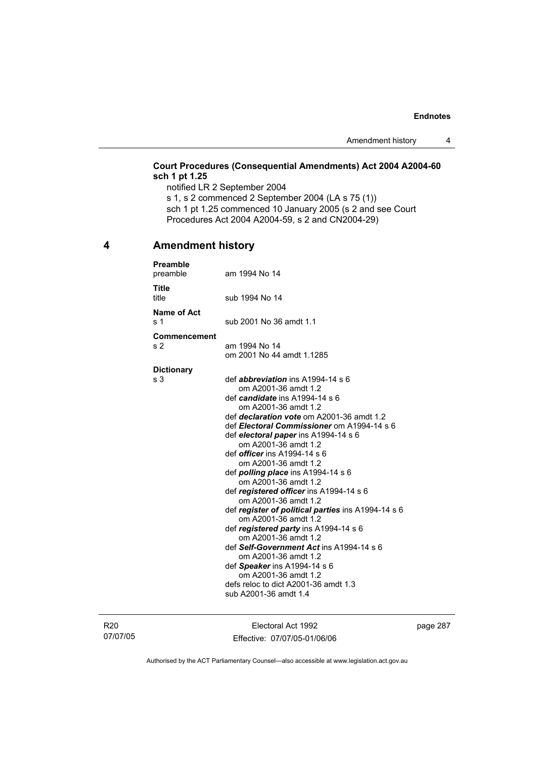# **Court Procedures (Consequential Amendments) Act 2004 A2004-60 sch 1 pt 1.25**

notified LR 2 September 2004 s 1, s 2 commenced 2 September 2004 (LA s 75 (1)) sch 1 pt 1.25 commenced 10 January 2005 (s 2 and see Court Procedures Act 2004 A2004-59, s 2 and CN2004-29)

# **4 Amendment history**

| <b>Preamble</b><br>preamble    | am 1994 No 14                                                                                                                                                                                                                                                                                                                                                                                                                                                                                                                                                                                                                                                                                                                                                                                                                                     |
|--------------------------------|---------------------------------------------------------------------------------------------------------------------------------------------------------------------------------------------------------------------------------------------------------------------------------------------------------------------------------------------------------------------------------------------------------------------------------------------------------------------------------------------------------------------------------------------------------------------------------------------------------------------------------------------------------------------------------------------------------------------------------------------------------------------------------------------------------------------------------------------------|
| <b>Title</b><br>title          | sub 1994 No 14                                                                                                                                                                                                                                                                                                                                                                                                                                                                                                                                                                                                                                                                                                                                                                                                                                    |
| Name of Act<br>s 1             | sub 2001 No 36 amdt 1.1                                                                                                                                                                                                                                                                                                                                                                                                                                                                                                                                                                                                                                                                                                                                                                                                                           |
| Commencement<br>s <sub>2</sub> | am 1994 No 14<br>om 2001 No 44 amdt 1.1285                                                                                                                                                                                                                                                                                                                                                                                                                                                                                                                                                                                                                                                                                                                                                                                                        |
| <b>Dictionary</b><br>s 3       | def <i>abbreviation</i> ins A1994-14 s 6<br>om A2001-36 amdt 1.2<br>def <i>candidate</i> ins A1994-14 s 6<br>om A2001-36 amdt 1.2<br>def declaration vote om A2001-36 amdt 1.2<br>def Electoral Commissioner om A1994-14 s 6<br>def electoral paper ins A1994-14 s 6<br>om A2001-36 amdt 1.2<br>def <i>officer</i> ins A1994-14 s 6<br>om A2001-36 amdt 1.2<br>def <b>polling place</b> ins $A1994-14 s 6$<br>om A2001-36 amdt 1.2<br>def registered officer ins A1994-14 s 6<br>om A2001-36 amdt 1.2<br>def register of political parties ins A1994-14 s 6<br>om A2001-36 amdt 1.2<br>def registered party ins A1994-14 s 6<br>om A2001-36 amdt 1.2<br>def Self-Government Act ins A1994-14 s 6<br>om A2001-36 amdt 1.2<br>def Speaker ins A1994-14 s 6<br>om A2001-36 amdt 1.2<br>defs reloc to dict A2001-36 amdt 1.3<br>sub A2001-36 amdt 1.4 |

R20 07/07/05

Electoral Act 1992 Effective: 07/07/05-01/06/06 page 287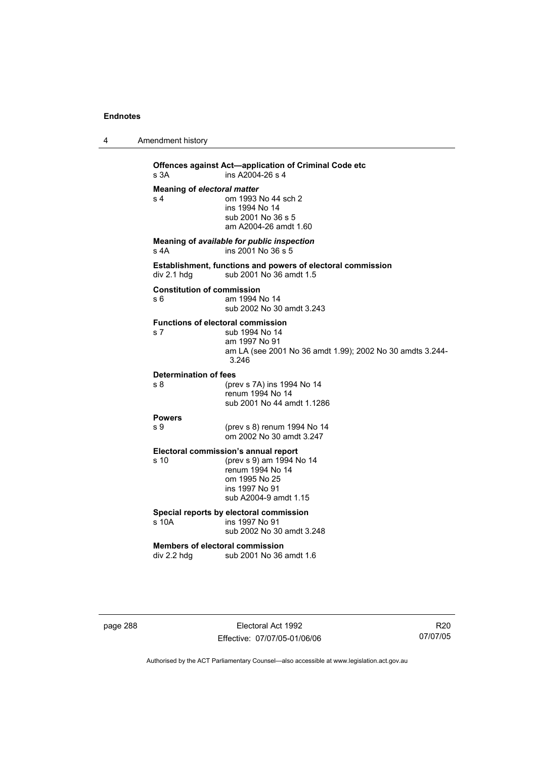4 Amendment history

**Offences against Act—application of Criminal Code etc**<br>s 3A **ins A2004-26 s 4**  $ins A2004-26 s 4$ **Meaning of** *electoral matter*<br>s 4 0m 1993 om 1993 No 44 sch 2 ins 1994 No 14 sub 2001 No 36 s 5 am A2004-26 amdt 1.60 **Meaning of** *available for public inspection* s 4A ins 2001 No 36 s 5 **Establishment, functions and powers of electoral commission**   $div 2.1$  hdg sub 2001 No 36 amdt 1.5 **Constitution of commission**  s 6 am 1994 No 14 sub 2002 No 30 amdt 3.243 **Functions of electoral commission**  s 7 sub 1994 No 14 am 1997 No 91 am LA (see 2001 No 36 amdt 1.99); 2002 No 30 amdts 3.244- 3.246 **Determination of fees**  s 8 (prev s 7A) ins 1994 No 14 renum 1994 No 14 sub 2001 No 44 amdt 1.1286 **Powers**  s 9 (prev s 8) renum 1994 No 14 om 2002 No 30 amdt 3.247 **Electoral commission's annual report**  (prev s 9) am 1994 No 14 renum 1994 No 14 om 1995 No 25 ins 1997 No 91 sub A2004-9 amdt 1.15 **Special reports by electoral commission**  s 10A ins 1997 No 91 sub 2002 No 30 amdt 3.248 **Members of electoral commission**  div 2.2 hdg sub 2001 No 36 amdt 1.6

page 288 Electoral Act 1992 Effective: 07/07/05-01/06/06

R20 07/07/05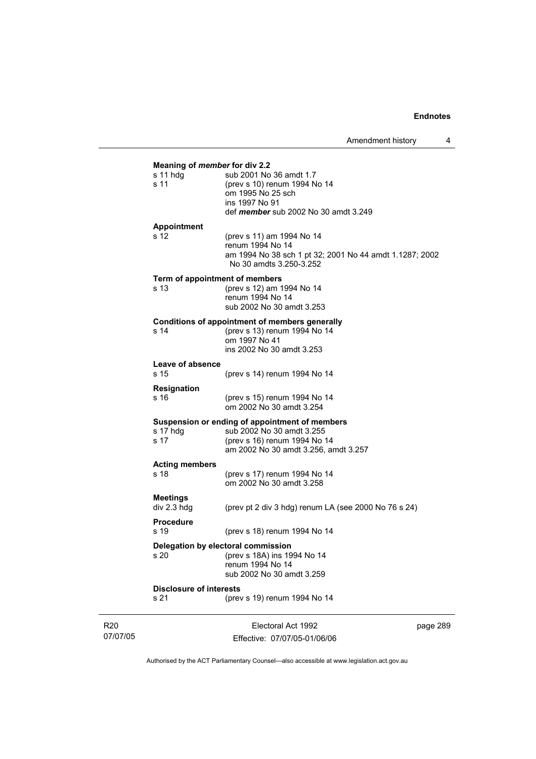| Meaning of member for div 2.2<br>s 11 hdg | sub 2001 No 36 amdt 1.7                                                            |
|-------------------------------------------|------------------------------------------------------------------------------------|
| s 11                                      | (prev s 10) renum 1994 No 14                                                       |
|                                           | om 1995 No 25 sch                                                                  |
|                                           | ins 1997 No 91                                                                     |
|                                           | def <i>member</i> sub 2002 No 30 amdt 3.249                                        |
| Appointment                               |                                                                                    |
| s 12                                      | (prev s 11) am 1994 No 14                                                          |
|                                           | renum 1994 No 14                                                                   |
|                                           | am 1994 No 38 sch 1 pt 32; 2001 No 44 amdt 1.1287; 2002<br>No 30 amdts 3.250-3.252 |
|                                           | Term of appointment of members                                                     |
| s <sub>13</sub>                           | (prev s 12) am 1994 No 14                                                          |
|                                           | renum 1994 No 14                                                                   |
|                                           | sub 2002 No 30 amdt 3.253                                                          |
|                                           | Conditions of appointment of members generally                                     |
| s <sub>14</sub>                           | (prev s 13) renum 1994 No 14                                                       |
|                                           | om 1997 No 41                                                                      |
|                                           | ins 2002 No 30 amdt 3.253                                                          |
| Leave of absence                          |                                                                                    |
| s 15                                      | (prev s 14) renum 1994 No 14                                                       |
| <b>Resignation</b>                        |                                                                                    |
| s 16                                      | (prev s 15) renum 1994 No 14<br>om 2002 No 30 amdt 3.254                           |
|                                           |                                                                                    |
|                                           | Suspension or ending of appointment of members<br>sub 2002 No 30 amdt 3.255        |
| s 17 hdg<br>s 17                          | (prev s 16) renum 1994 No 14                                                       |
|                                           | am 2002 No 30 amdt 3.256, amdt 3.257                                               |
|                                           |                                                                                    |
| <b>Acting members</b><br>s <sub>18</sub>  |                                                                                    |
|                                           | (prev s 17) renum 1994 No 14<br>om 2002 No 30 amdt 3.258                           |
|                                           |                                                                                    |
| <b>Meetings</b>                           |                                                                                    |
| div 2.3 hdg                               | (prev pt 2 div 3 hdg) renum LA (see 2000 No $76$ s $24$ )                          |
| <b>Procedure</b>                          |                                                                                    |
| s 19                                      | (prev s 18) renum 1994 No 14                                                       |
|                                           | Delegation by electoral commission                                                 |
| s 20                                      | (prev s 18A) ins 1994 No 14                                                        |
|                                           | renum 1994 No 14                                                                   |
|                                           | sub 2002 No 30 amdt 3.259                                                          |
| <b>Disclosure of interests</b>            |                                                                                    |
| s 21                                      | (prev s 19) renum 1994 No 14                                                       |

R20 07/07/05

Electoral Act 1992 Effective: 07/07/05-01/06/06 page 289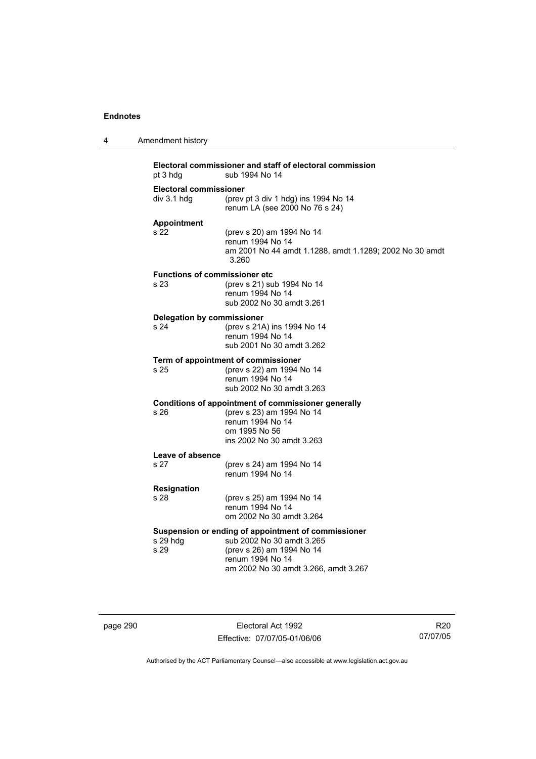| 4 | Amendment history                             |                                                                                                                                                                           |
|---|-----------------------------------------------|---------------------------------------------------------------------------------------------------------------------------------------------------------------------------|
|   | pt 3 hdg                                      | Electoral commissioner and staff of electoral commission<br>sub 1994 No 14                                                                                                |
|   | <b>Electoral commissioner</b><br>div 3.1 h dq | (prev pt $3$ div $1$ hdg) ins 1994 No 14<br>renum LA (see 2000 No 76 s 24)                                                                                                |
|   | <b>Appointment</b><br>s 22                    | (prev s 20) am 1994 No 14<br>renum 1994 No 14<br>am 2001 No 44 amdt 1.1288, amdt 1.1289; 2002 No 30 amdt<br>3.260                                                         |
|   | <b>Functions of commissioner etc</b><br>s 23  | (prev s 21) sub 1994 No 14<br>renum 1994 No 14<br>sub 2002 No 30 amdt 3.261                                                                                               |
|   | Delegation by commissioner<br>s 24            | (prev s 21A) ins 1994 No 14<br>renum 1994 No 14<br>sub 2001 No 30 amdt 3.262                                                                                              |
|   | s 25                                          | Term of appointment of commissioner<br>(prev s 22) am 1994 No 14<br>renum 1994 No 14<br>sub 2002 No 30 amdt 3.263                                                         |
|   | s 26                                          | Conditions of appointment of commissioner generally<br>(prev s 23) am 1994 No 14<br>renum 1994 No 14<br>om 1995 No 56<br>ins 2002 No 30 amdt 3.263                        |
|   | Leave of absence<br>s 27                      | (prev s 24) am 1994 No 14<br>renum 1994 No 14                                                                                                                             |
|   | Resignation<br>s 28                           | (prev s 25) am 1994 No 14<br>renum 1994 No 14<br>om 2002 No 30 amdt 3.264                                                                                                 |
|   | s 29 hdg<br>s 29                              | Suspension or ending of appointment of commissioner<br>sub 2002 No 30 amdt 3.265<br>(prev s 26) am 1994 No 14<br>renum 1994 No 14<br>am 2002 No 30 amdt 3.266, amdt 3.267 |

page 290 **Electoral Act 1992** Effective: 07/07/05-01/06/06

R20 07/07/05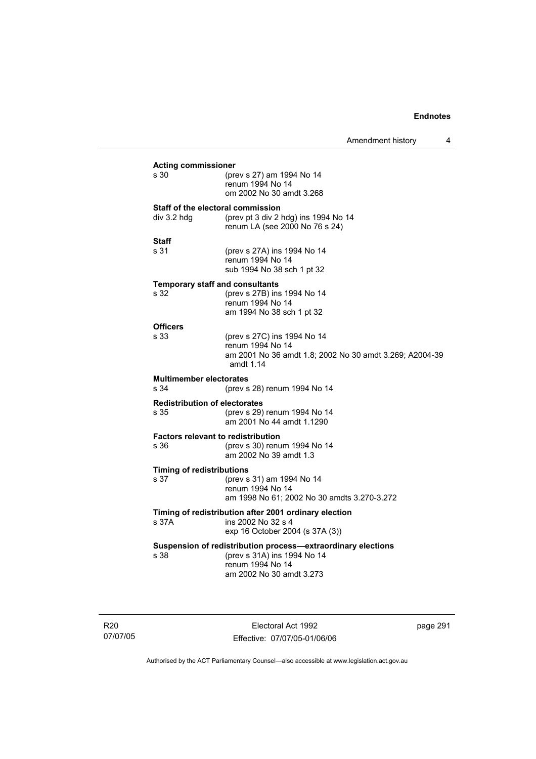|                                                                                                                         |                                                                                                                                             | Amendment history | 4 |
|-------------------------------------------------------------------------------------------------------------------------|---------------------------------------------------------------------------------------------------------------------------------------------|-------------------|---|
| <b>Acting commissioner</b><br>s 30                                                                                      | (prev s 27) am 1994 No 14<br>renum 1994 No 14<br>om 2002 No 30 amdt 3.268                                                                   |                   |   |
| Staff of the electoral commission<br>div 3.2 hdg                                                                        | (prev pt 3 div 2 hdg) ins 1994 No 14<br>renum LA (see 2000 No 76 s 24)                                                                      |                   |   |
| Staff<br>s 31                                                                                                           | (prev s 27A) ins 1994 No 14<br>renum 1994 No 14<br>sub 1994 No 38 sch 1 pt 32                                                               |                   |   |
| <b>Temporary staff and consultants</b><br>s 32                                                                          | (prev s 27B) ins 1994 No 14<br>renum 1994 No 14<br>am 1994 No 38 sch 1 pt 32                                                                |                   |   |
| <b>Officers</b><br>s 33                                                                                                 | (prev s 27C) ins 1994 No 14<br>renum 1994 No 14<br>am 2001 No 36 amdt 1.8; 2002 No 30 amdt 3.269; A2004-39<br>amdt 1.14                     |                   |   |
| <b>Multimember electorates</b><br>s 34                                                                                  | (prev s 28) renum 1994 No 14                                                                                                                |                   |   |
| <b>Redistribution of electorates</b><br>s 35                                                                            | (prev s 29) renum 1994 No 14<br>am 2001 No 44 amdt 1.1290                                                                                   |                   |   |
| <b>Factors relevant to redistribution</b><br>s 36                                                                       | (prev s 30) renum 1994 No 14<br>am 2002 No 39 amdt 1.3                                                                                      |                   |   |
| <b>Timing of redistributions</b><br>s 37                                                                                | (prev s 31) am 1994 No 14<br>renum 1994 No 14<br>am 1998 No 61; 2002 No 30 amdts 3.270-3.272                                                |                   |   |
| Timing of redistribution after 2001 ordinary election<br>s 37A<br>ins 2002 No 32 s 4<br>exp 16 October 2004 (s 37A (3)) |                                                                                                                                             |                   |   |
| s 38                                                                                                                    | Suspension of redistribution process-extraordinary elections<br>(prev s 31A) ins 1994 No 14<br>renum 1994 No 14<br>am 2002 No 30 amdt 3.273 |                   |   |

R20 07/07/05

Electoral Act 1992 Effective: 07/07/05-01/06/06 page 291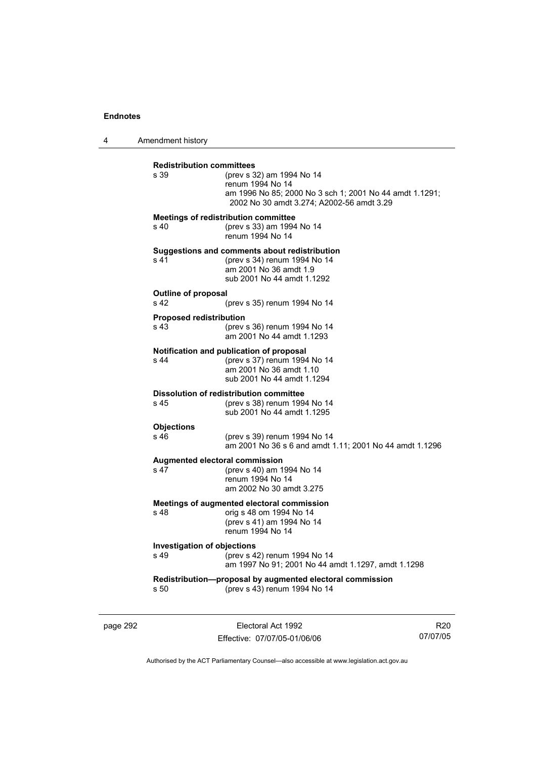4 Amendment history

| <b>Redistribution committees</b><br>s.39              | (prev s 32) am 1994 No 14<br>renum 1994 No 14<br>am 1996 No 85; 2000 No 3 sch 1; 2001 No 44 amdt 1.1291;<br>2002 No 30 amdt 3.274; A2002-56 amdt 3.29 |
|-------------------------------------------------------|-------------------------------------------------------------------------------------------------------------------------------------------------------|
| s 40                                                  | <b>Meetings of redistribution committee</b><br>(prev s 33) am 1994 No 14<br>renum 1994 No 14                                                          |
| s <sub>41</sub>                                       | Suggestions and comments about redistribution<br>(prev s 34) renum 1994 No 14<br>am 2001 No 36 amdt 1.9<br>sub 2001 No 44 amdt 1.1292                 |
| <b>Outline of proposal</b><br>s <sub>42</sub>         | (prev s 35) renum 1994 No 14                                                                                                                          |
| <b>Proposed redistribution</b><br>s 43                | (prev s 36) renum 1994 No 14<br>am 2001 No 44 amdt 1.1293                                                                                             |
| s 44                                                  | Notification and publication of proposal<br>(prev s 37) renum 1994 No 14<br>am 2001 No 36 amdt 1.10<br>sub 2001 No 44 amdt 1.1294                     |
| s <sub>45</sub>                                       | <b>Dissolution of redistribution committee</b><br>(prev s 38) renum 1994 No 14<br>sub 2001 No 44 amdt 1.1295                                          |
| <b>Objections</b><br>s <sub>46</sub>                  | (prev s 39) renum 1994 No 14<br>am 2001 No 36 s 6 and amdt 1.11; 2001 No 44 amdt 1.1296                                                               |
| Augmented electoral commission<br>s 47                | (prev s 40) am 1994 No 14<br>renum 1994 No 14<br>am 2002 No 30 amdt 3.275                                                                             |
| s 48                                                  | Meetings of augmented electoral commission<br>orig s 48 om 1994 No 14<br>(prev s 41) am 1994 No 14<br>renum 1994 No 14                                |
| <b>Investigation of objections</b><br>s <sub>49</sub> | (prev s 42) renum 1994 No 14<br>am 1997 No 91; 2001 No 44 amdt 1.1297, amdt 1.1298                                                                    |
| s 50                                                  | Redistribution-proposal by augmented electoral commission<br>(prev s 43) renum 1994 No 14                                                             |

page 292 **Electoral Act 1992** Effective: 07/07/05-01/06/06

R20 07/07/05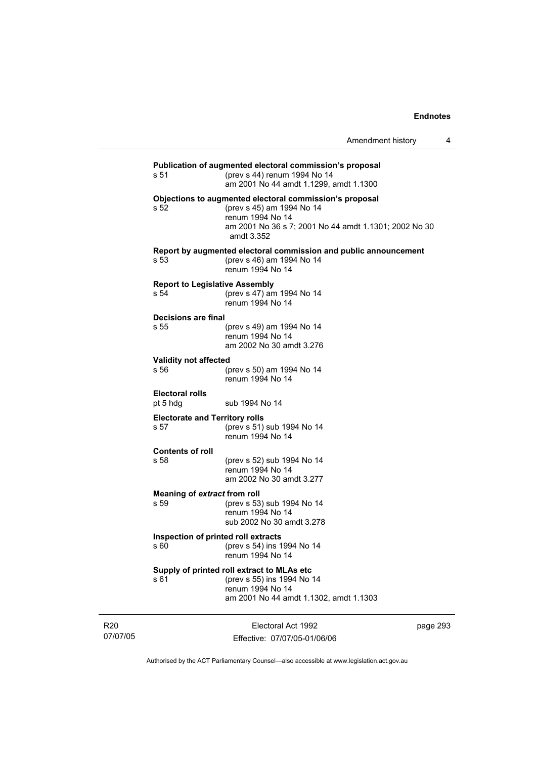| s 51                                          | Publication of augmented electoral commission's proposal<br>(prev s 44) renum 1994 No 14<br>am 2001 No 44 amdt 1.1299, amdt 1.1300                                              |
|-----------------------------------------------|---------------------------------------------------------------------------------------------------------------------------------------------------------------------------------|
| s 52                                          | Objections to augmented electoral commission's proposal<br>(prev s 45) am 1994 No 14<br>renum 1994 No 14<br>am 2001 No 36 s 7; 2001 No 44 amdt 1.1301; 2002 No 30<br>amdt 3.352 |
| s 53                                          | Report by augmented electoral commission and public announcement<br>(prev s 46) am 1994 No 14<br>renum 1994 No 14                                                               |
| <b>Report to Legislative Assembly</b><br>s 54 | (prev s 47) am 1994 No 14<br>renum 1994 No 14                                                                                                                                   |
| Decisions are final<br>s 55                   | (prev s 49) am 1994 No 14<br>renum 1994 No 14<br>am 2002 No 30 amdt 3.276                                                                                                       |
| <b>Validity not affected</b><br>s 56          | (prev s 50) am 1994 No 14<br>renum 1994 No 14                                                                                                                                   |
| <b>Electoral rolls</b><br>pt 5 hdg            | sub 1994 No 14                                                                                                                                                                  |
| <b>Electorate and Territory rolls</b><br>s 57 | (prev s 51) sub 1994 No 14<br>renum 1994 No 14                                                                                                                                  |
| <b>Contents of roll</b><br>s 58               | (prev s 52) sub 1994 No 14<br>renum 1994 No 14<br>am 2002 No 30 amdt 3.277                                                                                                      |
| Meaning of extract from roll<br>s 59          | (prev s 53) sub 1994 No 14<br>renum 1994 No 14<br>sub 2002 No 30 amdt 3.278                                                                                                     |
| Inspection of printed roll extracts<br>s 60   | (prev s 54) ins 1994 No 14<br>renum 1994 No 14                                                                                                                                  |
| s 61                                          | Supply of printed roll extract to MLAs etc<br>(prev s 55) ins 1994 No 14<br>renum 1994 No 14<br>am 2001 No 44 amdt 1.1302, amdt 1.1303                                          |
|                                               |                                                                                                                                                                                 |

R20 07/07/05

Electoral Act 1992 Effective: 07/07/05-01/06/06 page 293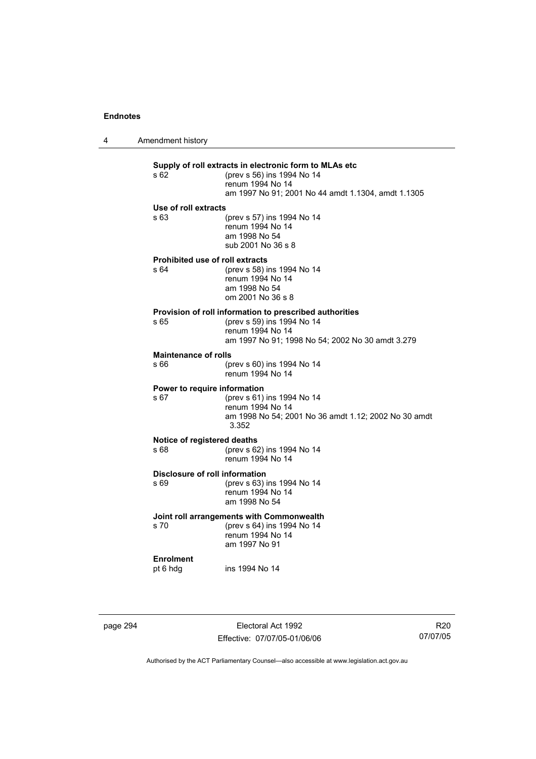4 Amendment history

| s 62                                      | Supply of roll extracts in electronic form to MLAs etc<br>(prev s 56) ins 1994 No 14<br>renum 1994 No 14 |  |
|-------------------------------------------|----------------------------------------------------------------------------------------------------------|--|
|                                           | am 1997 No 91; 2001 No 44 amdt 1.1304, amdt 1.1305                                                       |  |
| Use of roll extracts                      |                                                                                                          |  |
| s63                                       | (prev s 57) ins 1994 No 14<br>renum 1994 No 14<br>am 1998 No 54<br>sub 2001 No 36 s 8                    |  |
| Prohibited use of roll extracts           |                                                                                                          |  |
| s64                                       | (prev s 58) ins 1994 No 14<br>renum 1994 No 14<br>am 1998 No 54                                          |  |
|                                           | om 2001 No 36 s 8                                                                                        |  |
|                                           | Provision of roll information to prescribed authorities                                                  |  |
| s 65                                      | (prev s 59) ins 1994 No 14                                                                               |  |
|                                           | renum 1994 No 14<br>am 1997 No 91; 1998 No 54; 2002 No 30 amdt 3.279                                     |  |
| <b>Maintenance of rolls</b>               |                                                                                                          |  |
| s 66                                      | (prev s 60) ins 1994 No 14<br>renum 1994 No 14                                                           |  |
| Power to require information              |                                                                                                          |  |
| s <sub>67</sub>                           | (prev s 61) ins 1994 No 14<br>renum 1994 No 14                                                           |  |
|                                           | am 1998 No 54; 2001 No 36 amdt 1.12; 2002 No 30 amdt<br>3.352                                            |  |
| Notice of registered deaths               |                                                                                                          |  |
| s 68                                      | (prev s 62) ins 1994 No 14<br>renum 1994 No 14                                                           |  |
| Disclosure of roll information            |                                                                                                          |  |
| s 69                                      | (prev s 63) ins 1994 No 14<br>renum 1994 No 14<br>am 1998 No 54                                          |  |
| Joint roll arrangements with Commonwealth |                                                                                                          |  |
| s 70                                      | (prev s 64) ins 1994 No 14<br>renum 1994 No 14<br>am 1997 No 91                                          |  |
| <b>Enrolment</b>                          |                                                                                                          |  |
| pt 6 hdg                                  | ins 1994 No 14                                                                                           |  |

page 294 Electoral Act 1992 Effective: 07/07/05-01/06/06

R20 07/07/05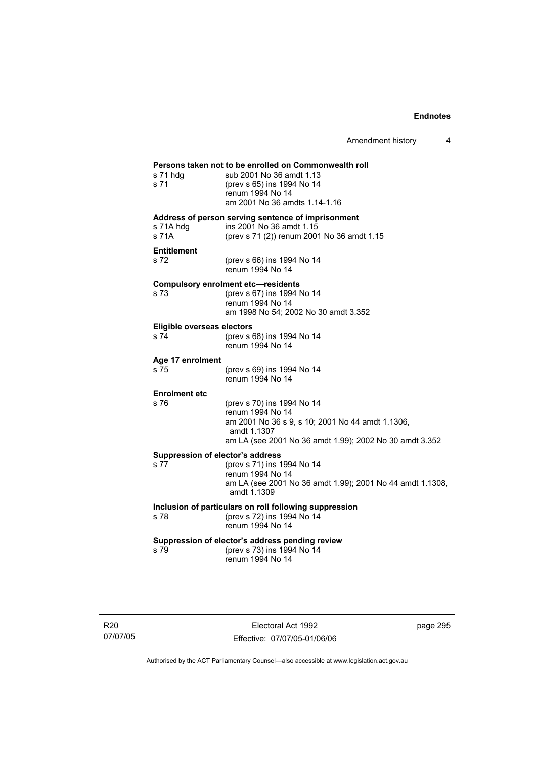Amendment history 4

# **Persons taken not to be enrolled on Commonwealth roll**  s 71 hdg sub 2001 No 36 amdt 1.13 s 71 (prev s 65) ins 1994 No 14 renum 1994 No 14 am 2001 No 36 amdts 1.14-1.16 **Address of person serving sentence of imprisonment**  s 71A hdg ins 2001 No 36 amdt 1.15<br>s 71A (prev s 71 (2)) renum 200 (prev s 71 (2)) renum 2001 No 36 amdt 1.15 **Entitlement**  s 72 (prev s 66) ins 1994 No 14 renum 1994 No 14 **Compulsory enrolment etc—residents**  (prev s 67) ins 1994 No 14 renum 1994 No 14 am 1998 No 54; 2002 No 30 amdt 3.352 **Eligible overseas electors**  s 74 (prev s 68) ins 1994 No 14 renum 1994 No 14 **Age 17 enrolment**  (prev s 69) ins 1994 No 14 renum 1994 No 14 **Enrolment etc**  (prev s 70) ins 1994 No 14 renum 1994 No 14 am 2001 No 36 s 9, s 10; 2001 No 44 amdt 1.1306, amdt 1.1307 am LA (see 2001 No 36 amdt 1.99); 2002 No 30 amdt 3.352 **Suppression of elector's address**  s 77 (prev s 71) ins 1994 No 14 renum 1994 No 14 am LA (see 2001 No 36 amdt 1.99); 2001 No 44 amdt 1.1308, amdt 1.1309 **Inclusion of particulars on roll following suppression**  s 78 (prev s 72) ins 1994 No 14 renum 1994 No 14 **Suppression of elector's address pending review**  s 79 (prev s 73) ins 1994 No 14 renum 1994 No 14

R20 07/07/05

Electoral Act 1992 Effective: 07/07/05-01/06/06 page 295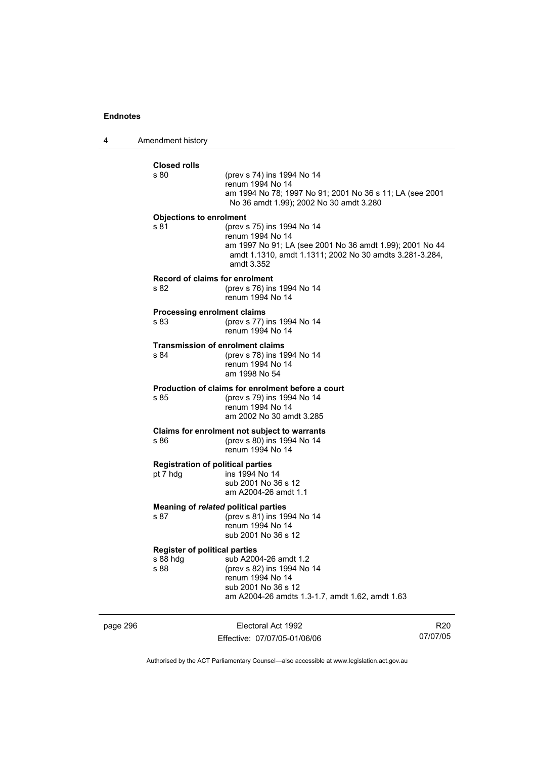4 Amendment history

| <b>Closed rolls</b><br>s 80          | (prev s 74) ins 1994 No 14                                                                                                        |
|--------------------------------------|-----------------------------------------------------------------------------------------------------------------------------------|
|                                      | renum 1994 No 14                                                                                                                  |
|                                      | am 1994 No 78; 1997 No 91; 2001 No 36 s 11; LA (see 2001<br>No 36 amdt 1.99); 2002 No 30 amdt 3.280                               |
| <b>Objections to enrolment</b>       |                                                                                                                                   |
| s 81                                 | (prev s 75) ins 1994 No 14<br>renum 1994 No 14                                                                                    |
|                                      | am 1997 No 91; LA (see 2001 No 36 amdt 1.99); 2001 No 44<br>amdt 1.1310, amdt 1.1311; 2002 No 30 amdts 3.281-3.284,<br>amdt 3.352 |
|                                      | Record of claims for enrolment                                                                                                    |
| s 82                                 | (prev s 76) ins 1994 No 14<br>renum 1994 No 14                                                                                    |
| <b>Processing enrolment claims</b>   |                                                                                                                                   |
| s 83                                 | (prev s 77) ins 1994 No 14<br>renum 1994 No 14                                                                                    |
|                                      | <b>Transmission of enrolment claims</b>                                                                                           |
| s 84                                 | (prev s 78) ins 1994 No 14<br>renum 1994 No 14                                                                                    |
|                                      | am 1998 No 54                                                                                                                     |
|                                      | Production of claims for enrolment before a court                                                                                 |
| s 85                                 | (prev s 79) ins 1994 No 14<br>renum 1994 No 14                                                                                    |
|                                      | am 2002 No 30 amdt 3.285                                                                                                          |
|                                      | Claims for enrolment not subject to warrants                                                                                      |
| s 86                                 | (prev s 80) ins 1994 No 14<br>renum 1994 No 14                                                                                    |
|                                      | <b>Registration of political parties</b>                                                                                          |
| pt 7 hdg                             | ins 1994 No 14<br>sub 2001 No 36 s 12                                                                                             |
|                                      | am A2004-26 amdt 1.1                                                                                                              |
|                                      | Meaning of related political parties                                                                                              |
| s 87                                 | (prev s 81) ins 1994 No 14<br>renum 1994 No 14                                                                                    |
|                                      | sub 2001 No 36 s 12                                                                                                               |
| <b>Register of political parties</b> |                                                                                                                                   |
| s 88 hdg<br>s 88                     | sub A2004-26 amdt 1.2                                                                                                             |
|                                      | (prev s 82) ins 1994 No 14<br>renum 1994 No 14                                                                                    |
|                                      | sub 2001 No 36 s 12                                                                                                               |
|                                      | am A2004-26 amdts 1.3-1.7, amdt 1.62, amdt 1.63                                                                                   |

page 296 Electoral Act 1992 Effective: 07/07/05-01/06/06

R20 07/07/05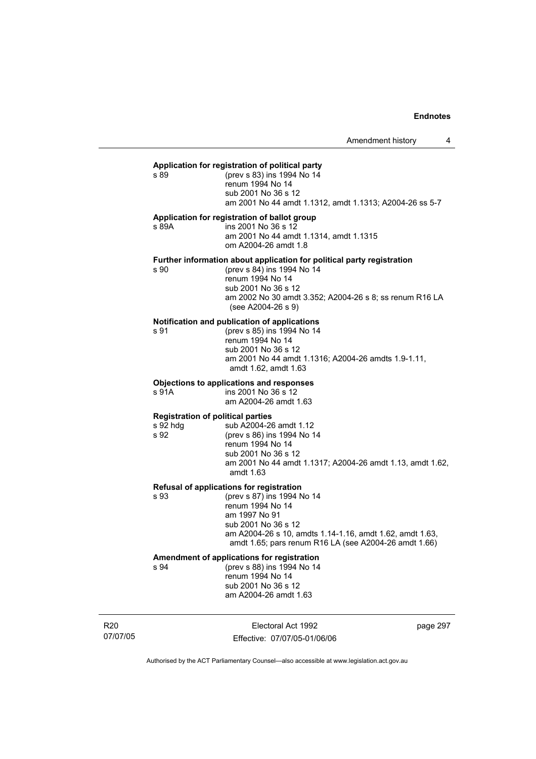#### **Application for registration of political party**

s 89 (prev s 83) ins 1994 No 14 renum 1994 No 14 sub 2001 No 36 s 12 am 2001 No 44 amdt 1.1312, amdt 1.1313; A2004-26 ss 5-7

# **Application for registration of ballot group**

s 89A ins 2001 No 36 s 12 am 2001 No 44 amdt 1.1314, amdt 1.1315 om A2004-26 amdt 1.8

#### **Further information about application for political party registration**

s 90 (prev s 84) ins 1994 No 14 renum 1994 No 14 sub 2001 No 36 s 12 am 2002 No 30 amdt 3.352; A2004-26 s 8; ss renum R16 LA (see A2004-26 s 9)

#### **Notification and publication of applications**

s 91 (prev s 85) ins 1994 No 14 renum 1994 No 14 sub 2001 No 36 s 12 am 2001 No 44 amdt 1.1316; A2004-26 amdts 1.9-1.11, amdt 1.62, amdt 1.63

#### **Objections to applications and responses**

s 91A ins 2001 No 36 s 12 am A2004-26 amdt 1.63

#### **Registration of political parties**

s 92 hdg sub A2004-26 amdt 1.12 s 92 (prev s 86) ins 1994 No 14 renum 1994 No 14 sub 2001 No 36 s 12 am 2001 No 44 amdt 1.1317; A2004-26 amdt 1.13, amdt 1.62, amdt 1.63

#### **Refusal of applications for registration**

s 93 (prev s 87) ins 1994 No 14 renum 1994 No 14 am 1997 No 91 sub 2001 No 36 s 12 am A2004-26 s 10, amdts 1.14-1.16, amdt 1.62, amdt 1.63, amdt 1.65; pars renum R16 LA (see A2004-26 amdt 1.66)

# **Amendment of applications for registration**

s 94 (prev s 88) ins 1994 No 14 renum 1994 No 14 sub 2001 No 36 s 12 am A2004-26 amdt 1.63

R20 07/07/05

Electoral Act 1992 Effective: 07/07/05-01/06/06 page 297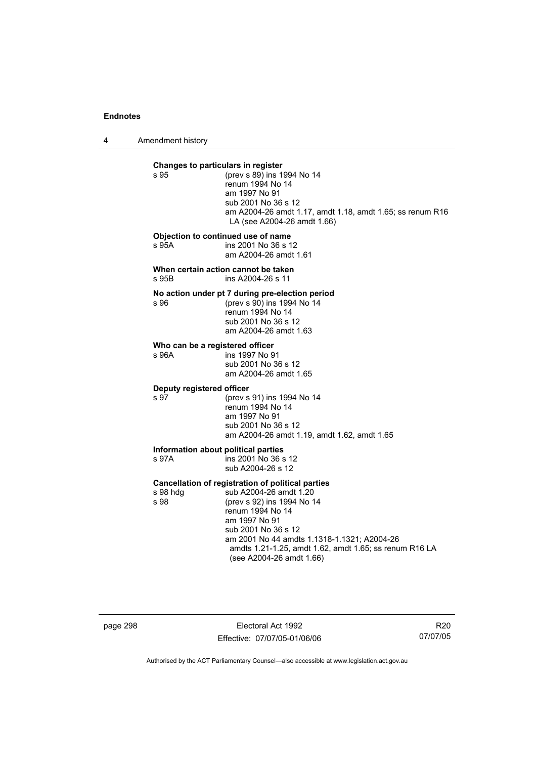4 Amendment history

| s 95                                     | Changes to particulars in register<br>(prev s 89) ins 1994 No 14<br>renum 1994 No 14<br>am 1997 No 91<br>sub 2001 No 36 s 12<br>am A2004-26 amdt 1.17, amdt 1.18, amdt 1.65; ss renum R16<br>LA (see A2004-26 amdt 1.66)                                                                                   |
|------------------------------------------|------------------------------------------------------------------------------------------------------------------------------------------------------------------------------------------------------------------------------------------------------------------------------------------------------------|
| s 95A                                    | Objection to continued use of name<br>ins 2001 No 36 s 12<br>am A2004-26 amdt 1.61                                                                                                                                                                                                                         |
| s 95B                                    | When certain action cannot be taken<br>ins A2004-26 s 11                                                                                                                                                                                                                                                   |
| s 96                                     | No action under pt 7 during pre-election period<br>(prev s 90) ins 1994 No 14<br>renum 1994 No 14<br>sub 2001 No 36 s 12<br>am A2004-26 amdt 1.63                                                                                                                                                          |
| Who can be a registered officer<br>s 96A | ins 1997 No 91<br>sub 2001 No 36 s 12<br>am A2004-26 amdt 1.65                                                                                                                                                                                                                                             |
| Deputy registered officer<br>s 97        | (prev s 91) ins 1994 No 14<br>renum 1994 No 14<br>am 1997 No 91<br>sub 2001 No 36 s 12<br>am A2004-26 amdt 1.19, amdt 1.62, amdt 1.65                                                                                                                                                                      |
| s 97A                                    | Information about political parties<br>ins 2001 No 36 s 12<br>sub A2004-26 s 12                                                                                                                                                                                                                            |
| s 98 hdg<br>s 98                         | Cancellation of registration of political parties<br>sub A2004-26 amdt 1.20<br>(prev s 92) ins 1994 No 14<br>renum 1994 No 14<br>am 1997 No 91<br>sub 2001 No 36 s 12<br>am 2001 No 44 amdts 1.1318-1.1321; A2004-26<br>amdts 1.21-1.25, amdt 1.62, amdt 1.65; ss renum R16 LA<br>(see A2004-26 amdt 1.66) |

page 298 Electoral Act 1992 Effective: 07/07/05-01/06/06

R20 07/07/05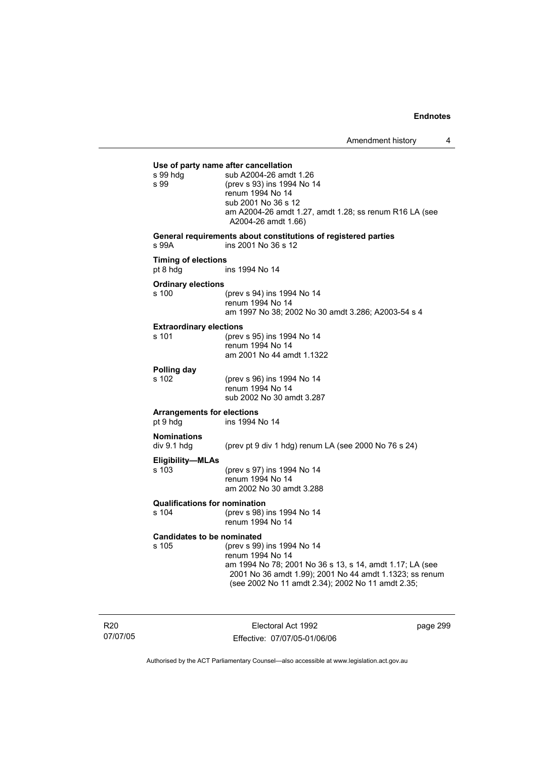| s 99 hdg<br>s 99                              | Use of party name after cancellation<br>sub A2004-26 amdt 1.26<br>(prev s 93) ins 1994 No 14<br>renum 1994 No 14<br>sub 2001 No 36 s 12<br>am A2004-26 amdt 1.27, amdt 1.28; ss renum R16 LA (see<br>A2004-26 amdt 1.66)   |
|-----------------------------------------------|----------------------------------------------------------------------------------------------------------------------------------------------------------------------------------------------------------------------------|
| s 99A                                         | General requirements about constitutions of registered parties<br>ins 2001 No 36 s 12                                                                                                                                      |
| <b>Timing of elections</b><br>pt 8 hdg        | ins 1994 No 14                                                                                                                                                                                                             |
| <b>Ordinary elections</b><br>s 100            | (prev s 94) ins 1994 No 14<br>renum 1994 No 14<br>am 1997 No 38; 2002 No 30 amdt 3.286; A2003-54 s 4                                                                                                                       |
| <b>Extraordinary elections</b><br>s 101       | (prev s 95) ins 1994 No 14<br>renum 1994 No 14<br>am 2001 No 44 amdt 1.1322                                                                                                                                                |
| Polling day<br>s 102                          | (prev s 96) ins 1994 No 14<br>renum 1994 No 14<br>sub 2002 No 30 amdt 3.287                                                                                                                                                |
| <b>Arrangements for elections</b><br>pt 9 hdg | ins 1994 No 14                                                                                                                                                                                                             |
| <b>Nominations</b><br>div 9.1 hdg             | (prev pt 9 div 1 hdg) renum LA (see 2000 No 76 s 24)                                                                                                                                                                       |
| <b>Eligibility-MLAs</b><br>s 103              | (prev s 97) ins 1994 No 14<br>renum 1994 No 14<br>am 2002 No 30 amdt 3.288                                                                                                                                                 |
| <b>Qualifications for nomination</b><br>s 104 | (prev s 98) ins 1994 No 14<br>renum 1994 No 14                                                                                                                                                                             |
| <b>Candidates to be nominated</b><br>s 105    | (prev s 99) ins 1994 No 14<br>renum 1994 No 14<br>am 1994 No 78; 2001 No 36 s 13, s 14, amdt 1.17; LA (see<br>2001 No 36 amdt 1.99); 2001 No 44 amdt 1.1323; ss renum<br>(see 2002 No 11 amdt 2.34); 2002 No 11 amdt 2.35; |

R20 07/07/05

Electoral Act 1992 Effective: 07/07/05-01/06/06 page 299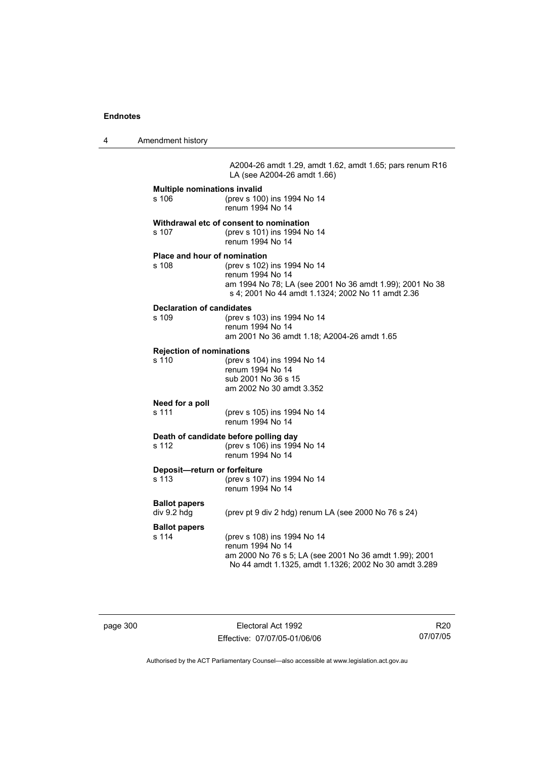4 Amendment history

A2004-26 amdt 1.29, amdt 1.62, amdt 1.65; pars renum R16 LA (see A2004-26 amdt 1.66)

| <b>Multiple nominations invalid</b><br>s 106        | (prev s 100) ins 1994 No 14<br>renum 1994 No 14                                                                                                                    |
|-----------------------------------------------------|--------------------------------------------------------------------------------------------------------------------------------------------------------------------|
| s 107                                               | Withdrawal etc of consent to nomination<br>(prev s 101) ins 1994 No 14<br>renum 1994 No 14                                                                         |
| <b>Place and hour of nomination</b><br>s 108        | (prev s 102) ins 1994 No 14<br>renum 1994 No 14<br>am 1994 No 78; LA (see 2001 No 36 amdt 1.99); 2001 No 38<br>s 4; 2001 No 44 amdt 1.1324; 2002 No 11 amdt 2.36   |
| <b>Declaration of candidates</b><br>s 109           | (prev s 103) ins 1994 No 14<br>renum 1994 No 14<br>am 2001 No 36 amdt 1.18; A2004-26 amdt 1.65                                                                     |
| <b>Rejection of nominations</b><br>s <sub>110</sub> | (prev s 104) ins 1994 No 14<br>renum 1994 No 14<br>sub 2001 No 36 s 15<br>am 2002 No 30 amdt 3.352                                                                 |
| Need for a poll<br>s 111                            | (prev s 105) ins 1994 No 14<br>renum 1994 No 14                                                                                                                    |
| s 112                                               | Death of candidate before polling day<br>(prev s 106) ins 1994 No 14<br>renum 1994 No 14                                                                           |
| Deposit-return or forfeiture<br>s 113               | (prev s 107) ins 1994 No 14<br>renum 1994 No 14                                                                                                                    |
| <b>Ballot papers</b><br>div 9.2 hdg                 | (prev pt 9 div 2 hdg) renum LA (see 2000 No 76 s 24)                                                                                                               |
| <b>Ballot papers</b><br>s 114                       | (prev s 108) ins 1994 No 14<br>renum 1994 No 14<br>am 2000 No 76 s 5; LA (see 2001 No 36 amdt 1.99); 2001<br>No 44 amdt 1.1325, amdt 1.1326; 2002 No 30 amdt 3.289 |

page 300 Electoral Act 1992 Effective: 07/07/05-01/06/06

R20 07/07/05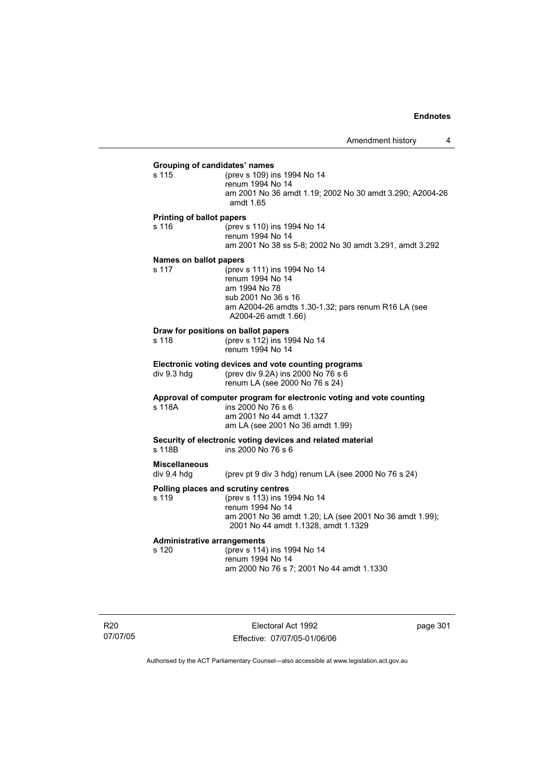# **Grouping of candidates' names** s 115 (prev s 109) ins 1994 No 14 renum 1994 No 14 am 2001 No 36 amdt 1.19; 2002 No 30 amdt 3.290; A2004-26 amdt 1.65 **Printing of ballot papers** s 116 (prev s 110) ins 1994 No 14 renum 1994 No 14 am 2001 No 38 ss 5-8; 2002 No 30 amdt 3.291, amdt 3.292 **Names on ballot papers** s 117 (prev s 111) ins 1994 No 14 renum 1994 No 14 am 1994 No 78 sub 2001 No 36 s 16 am A2004-26 amdts 1.30-1.32; pars renum R16 LA (see A2004-26 amdt 1.66) **Draw for positions on ballot papers** s 118 (prev s 112) ins 1994 No 14 renum 1994 No 14 **Electronic voting devices and vote counting programs** div 9.3 hdg (prev div 9.2A) ins 2000 No 76 s 6 renum LA (see 2000 No 76 s 24) **Approval of computer program for electronic voting and vote counting** s 118A ins 2000 No 76 s 6 am 2001 No 44 amdt 1.1327 am LA (see 2001 No 36 amdt 1.99) **Security of electronic voting devices and related material**  s 118B ins 2000 No 76 s 6 **Miscellaneous**  div 9.4 hdg (prev pt 9 div 3 hdg) renum LA (see 2000 No 76 s 24) **Polling places and scrutiny centres**  s 119 (prev s 113) ins 1994 No 14 renum 1994 No 14 am 2001 No 36 amdt 1.20; LA (see 2001 No 36 amdt 1.99); 2001 No 44 amdt 1.1328, amdt 1.1329 **Administrative arrangements** (prev s 114) ins 1994 No 14 renum 1994 No 14 am 2000 No 76 s 7; 2001 No 44 amdt 1.1330

R20 07/07/05

Electoral Act 1992 Effective: 07/07/05-01/06/06 page 301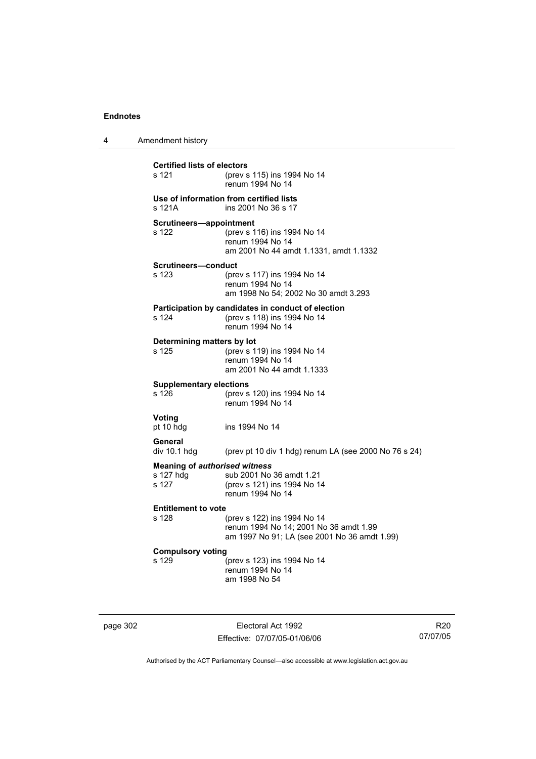| 4 | Amendment history                                          |                                                                                                                       |
|---|------------------------------------------------------------|-----------------------------------------------------------------------------------------------------------------------|
|   | <b>Certified lists of electors</b><br>s 121                | (prev s 115) ins 1994 No 14<br>renum 1994 No 14                                                                       |
|   | s 121A                                                     | Use of information from certified lists<br>ins 2001 No 36 s 17                                                        |
|   | Scrutineers-appointment<br>s 122                           | (prev s 116) ins 1994 No 14<br>renum 1994 No 14<br>am 2001 No 44 amdt 1.1331, amdt 1.1332                             |
|   | <b>Scrutineers-conduct</b><br>s 123                        | (prev s 117) ins 1994 No 14<br>renum 1994 No 14<br>am 1998 No 54; 2002 No 30 amdt 3.293                               |
|   | s 124                                                      | Participation by candidates in conduct of election<br>(prev s 118) ins 1994 No 14<br>renum 1994 No 14                 |
|   | Determining matters by lot<br>s 125                        | (prev s 119) ins 1994 No 14<br>renum 1994 No 14<br>am 2001 No 44 amdt 1.1333                                          |
|   | <b>Supplementary elections</b><br>s 126                    | (prev s 120) ins 1994 No 14<br>renum 1994 No 14                                                                       |
|   | Voting<br>pt 10 hdg                                        | ins 1994 No 14                                                                                                        |
|   | General<br>div 10.1 hdg                                    | (prev pt 10 div 1 hdg) renum LA (see 2000 No 76 s 24)                                                                 |
|   | <b>Meaning of authorised witness</b><br>s 127 hdg<br>s 127 | sub 2001 No 36 amdt 1.21<br>(prev s 121) ins 1994 No 14<br>renum 1994 No 14                                           |
|   | <b>Entitlement to vote</b><br>s 128                        | (prev s 122) ins 1994 No 14<br>renum 1994 No 14; 2001 No 36 amdt 1.99<br>am 1997 No 91; LA (see 2001 No 36 amdt 1.99) |
|   | <b>Compulsory voting</b><br>s 129                          | (prev s 123) ins 1994 No 14<br>renum 1994 No 14<br>am 1998 No 54                                                      |

page 302 Electoral Act 1992 Effective: 07/07/05-01/06/06

R20 07/07/05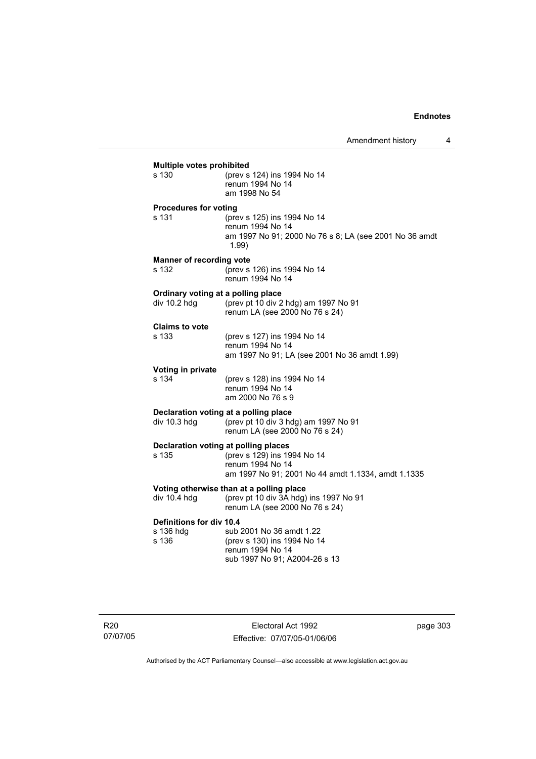| s 130                           | (prev s 124) ins 1994 No 14                                                                                        |
|---------------------------------|--------------------------------------------------------------------------------------------------------------------|
|                                 | renum 1994 No 14<br>am 1998 No 54                                                                                  |
| <b>Procedures for voting</b>    |                                                                                                                    |
| s 131                           | (prev s 125) ins 1994 No 14<br>renum 1994 No 14<br>am 1997 No 91; 2000 No 76 s 8; LA (see 2001 No 36 amdt<br>1.99) |
| <b>Manner of recording vote</b> |                                                                                                                    |
| s 132                           | (prev s 126) ins 1994 No 14<br>renum 1994 No 14                                                                    |
|                                 | Ordinary voting at a polling place                                                                                 |
| div 10.2 hdg                    | (prev pt 10 div 2 hdg) am 1997 No 91<br>renum LA (see 2000 No 76 s 24)                                             |
| <b>Claims to vote</b>           |                                                                                                                    |
| s 133                           | (prev s 127) ins 1994 No 14<br>renum 1994 No 14                                                                    |
|                                 | am 1997 No 91; LA (see 2001 No 36 amdt 1.99)                                                                       |
| Voting in private               |                                                                                                                    |
| s 134                           | (prev s 128) ins 1994 No 14<br>renum 1994 No 14                                                                    |
|                                 | am 2000 No 76 s 9                                                                                                  |
|                                 | Declaration voting at a polling place                                                                              |
| div $10.3$ hdg                  | (prev pt 10 div 3 hdg) am 1997 No 91<br>renum LA (see 2000 No 76 s 24)                                             |
|                                 | Declaration voting at polling places                                                                               |
| s 135                           | (prev s 129) ins 1994 No 14<br>renum 1994 No 14                                                                    |
|                                 | am 1997 No 91; 2001 No 44 amdt 1.1334, amdt 1.1335                                                                 |
|                                 | Voting otherwise than at a polling place                                                                           |
| div 10.4 hdg                    | (prev pt 10 div 3A hdg) ins 1997 No 91<br>renum LA (see 2000 No 76 s 24)                                           |
| Definitions for div 10.4        |                                                                                                                    |
| s 136 hdg<br>s 136              | sub 2001 No 36 amdt 1.22<br>(prev s 130) ins 1994 No 14                                                            |
|                                 | renum 1994 No 14                                                                                                   |
|                                 | sub 1997 No 91; A2004-26 s 13                                                                                      |

R20 07/07/05

Electoral Act 1992 Effective: 07/07/05-01/06/06 page 303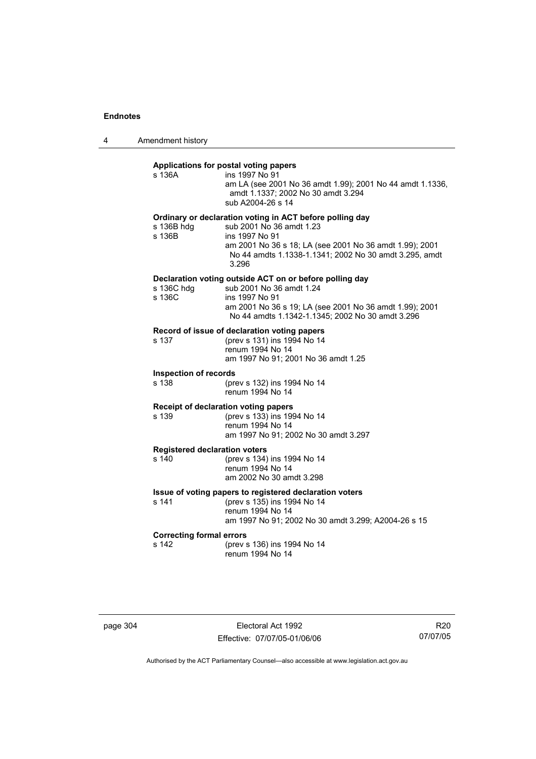4 Amendment history

# **Applications for postal voting papers**

| s 136A                                        | Applications for postal voting papers<br>ins 1997 No 91<br>am LA (see 2001 No 36 amdt 1.99); 2001 No 44 amdt 1.1336,<br>amdt 1.1337; 2002 No 30 amdt 3.294<br>sub A2004-26 s 14                                                      |
|-----------------------------------------------|--------------------------------------------------------------------------------------------------------------------------------------------------------------------------------------------------------------------------------------|
| s 136B hdg<br>s 136B                          | Ordinary or declaration voting in ACT before polling day<br>sub 2001 No 36 amdt 1.23<br>ins 1997 No 91<br>am 2001 No 36 s 18; LA (see 2001 No 36 amdt 1.99); 2001<br>No 44 amdts 1.1338-1.1341; 2002 No 30 amdt 3.295, amdt<br>3.296 |
| s 136C hdg<br>s 136C                          | Declaration voting outside ACT on or before polling day<br>sub 2001 No 36 amdt 1.24<br>ins 1997 No 91<br>am 2001 No 36 s 19; LA (see 2001 No 36 amdt 1.99); 2001<br>No 44 amdts 1.1342-1.1345; 2002 No 30 amdt 3.296                 |
| s 137                                         | Record of issue of declaration voting papers<br>(prev s 131) ins 1994 No 14<br>renum 1994 No 14<br>am 1997 No 91; 2001 No 36 amdt 1.25                                                                                               |
| <b>Inspection of records</b><br>s 138         | (prev s 132) ins 1994 No 14<br>renum 1994 No 14                                                                                                                                                                                      |
| s 139                                         | Receipt of declaration voting papers<br>(prev s 133) ins 1994 No 14<br>renum 1994 No 14<br>am 1997 No 91; 2002 No 30 amdt 3.297                                                                                                      |
| <b>Registered declaration voters</b><br>s 140 | (prev s 134) ins 1994 No 14<br>renum 1994 No 14<br>am 2002 No 30 amdt 3.298                                                                                                                                                          |
| s 141                                         | Issue of voting papers to registered declaration voters<br>(prev s 135) ins 1994 No 14<br>renum 1994 No 14<br>am 1997 No 91; 2002 No 30 amdt 3.299; A2004-26 s 15                                                                    |
| <b>Correcting formal errors</b><br>s 142      | (prev s 136) ins 1994 No 14<br>renum 1994 No 14                                                                                                                                                                                      |

page 304 Electoral Act 1992 Effective: 07/07/05-01/06/06

R20 07/07/05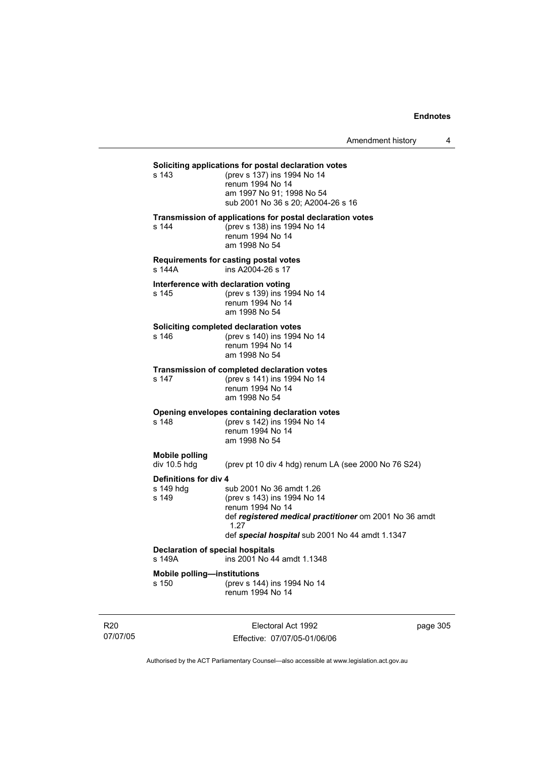Amendment history 4

# **Soliciting applications for postal declaration votes**<br>s 143 (prev s 137) ins 1994 No 14

(prev s 137) ins 1994 No 14 renum 1994 No 14 am 1997 No 91; 1998 No 54 sub 2001 No 36 s 20; A2004-26 s 16

#### **Transmission of applications for postal declaration votes**

s 144 (prev s 138) ins 1994 No 14 renum 1994 No 14 am 1998 No 54

#### **Requirements for casting postal votes**

s 144A ins A2004-26 s 17

# **Interference with declaration voting**<br>s 145 (prev s 139) ins 19

(prev s 139) ins 1994 No 14 renum 1994 No 14 am 1998 No 54

#### **Soliciting completed declaration votes**

s 146 (prev s 140) ins 1994 No 14 renum 1994 No 14 am 1998 No 54

#### **Transmission of completed declaration votes**

s 147 (prev s 141) ins 1994 No 14 renum 1994 No 14 am 1998 No 54

# **Opening envelopes containing declaration votes**<br>s 148 (prev s 142) ins 1994 No 14

(prev s 142) ins 1994 No 14 renum 1994 No 14 am 1998 No 54

# **Mobile polling**

(prev pt 10 div 4 hdg) renum LA (see 2000 No 76 S24)

**Definitions for div 4**<br>s 149 hdq s sub 2001 No 36 amdt 1.26 s 149 (prev s 143) ins 1994 No 14 renum 1994 No 14 def *registered medical practitioner* om 2001 No 36 amdt 1.27 def *special hospital* sub 2001 No 44 amdt 1.1347

# **Declaration of special hospitals**<br>s 149A **ins 2001** No 4

ins 2001 No 44 amdt 1.1348

**Mobile polling—institutions**

s 150 (prev s 144) ins 1994 No 14 renum 1994 No 14

R20 07/07/05

Electoral Act 1992 Effective: 07/07/05-01/06/06 page 305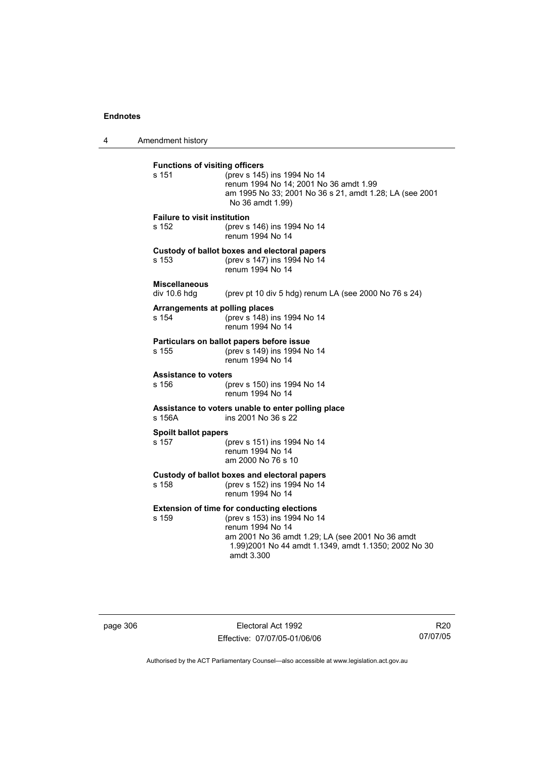4 Amendment history

| <b>Functions of visiting officers</b><br>s 151 | (prev s 145) ins 1994 No 14<br>renum 1994 No 14; 2001 No 36 amdt 1.99<br>am 1995 No 33; 2001 No 36 s 21, amdt 1.28; LA (see 2001<br>No 36 amdt 1.99)                                                                           |
|------------------------------------------------|--------------------------------------------------------------------------------------------------------------------------------------------------------------------------------------------------------------------------------|
| <b>Failure to visit institution</b><br>s 152   | (prev s 146) ins 1994 No 14<br>renum 1994 No 14                                                                                                                                                                                |
| s 153                                          | Custody of ballot boxes and electoral papers<br>(prev s 147) ins 1994 No 14<br>renum 1994 No 14                                                                                                                                |
| <b>Miscellaneous</b><br>div 10.6 hdg           | (prev pt 10 div 5 hdg) renum LA (see 2000 No 76 s 24)                                                                                                                                                                          |
| Arrangements at polling places<br>s 154        | (prev s 148) ins 1994 No 14<br>renum 1994 No 14                                                                                                                                                                                |
| s 155                                          | Particulars on ballot papers before issue<br>(prev s 149) ins 1994 No 14<br>renum 1994 No 14                                                                                                                                   |
| <b>Assistance to voters</b><br>s 156           | (prev s 150) ins 1994 No 14<br>renum 1994 No 14                                                                                                                                                                                |
| s 156A                                         | Assistance to voters unable to enter polling place<br>ins 2001 No 36 s 22                                                                                                                                                      |
| Spoilt ballot papers<br>s 157                  | (prev s 151) ins 1994 No 14<br>renum 1994 No 14<br>am 2000 No 76 s 10                                                                                                                                                          |
| s 158                                          | Custody of ballot boxes and electoral papers<br>(prev s 152) ins 1994 No 14<br>renum 1994 No 14                                                                                                                                |
| s 159                                          | <b>Extension of time for conducting elections</b><br>(prev s 153) ins 1994 No 14<br>renum 1994 No 14<br>am 2001 No 36 amdt 1.29; LA (see 2001 No 36 amdt<br>1.99)2001 No 44 amdt 1.1349, amdt 1.1350; 2002 No 30<br>amdt 3.300 |

page 306 Electoral Act 1992 Effective: 07/07/05-01/06/06

R20 07/07/05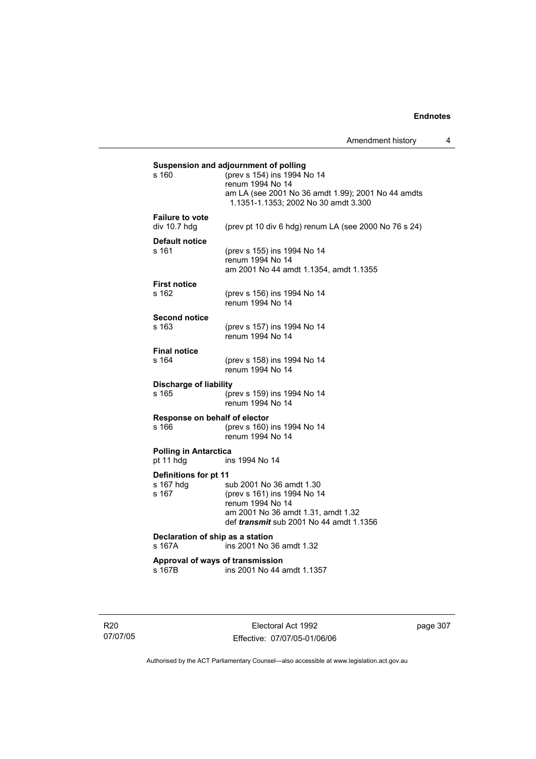|                       | Suspension and adjournment of polling |                                                       |  |
|-----------------------|---------------------------------------|-------------------------------------------------------|--|
|                       | s 160                                 | (prev s 154) ins 1994 No 14                           |  |
|                       |                                       | renum 1994 No 14                                      |  |
|                       |                                       | am LA (see 2001 No 36 amdt 1.99); 2001 No 44 amdts    |  |
|                       |                                       | 1.1351-1.1353; 2002 No 30 amdt 3.300                  |  |
|                       |                                       |                                                       |  |
|                       | <b>Failure to vote</b>                |                                                       |  |
|                       | div 10.7 hdg                          | (prev pt 10 div 6 hdg) renum LA (see 2000 No 76 s 24) |  |
|                       | <b>Default notice</b>                 |                                                       |  |
|                       | s 161                                 | (prev s 155) ins 1994 No 14                           |  |
|                       |                                       | renum 1994 No 14                                      |  |
|                       |                                       | am 2001 No 44 amdt 1.1354, amdt 1.1355                |  |
|                       |                                       |                                                       |  |
|                       | <b>First notice</b>                   |                                                       |  |
|                       | s 162                                 | (prev s 156) ins 1994 No 14                           |  |
|                       |                                       | renum 1994 No 14                                      |  |
|                       | <b>Second notice</b>                  |                                                       |  |
|                       | s 163                                 | (prev s 157) ins 1994 No 14                           |  |
|                       |                                       | renum 1994 No 14                                      |  |
|                       | <b>Final notice</b>                   |                                                       |  |
|                       | s 164                                 |                                                       |  |
|                       |                                       | (prev s 158) ins 1994 No 14<br>renum 1994 No 14       |  |
|                       |                                       |                                                       |  |
|                       | <b>Discharge of liability</b>         |                                                       |  |
|                       | s 165                                 | (prev s 159) ins 1994 No 14                           |  |
|                       |                                       | renum 1994 No 14                                      |  |
|                       | Response on behalf of elector         |                                                       |  |
|                       | s 166                                 | (prev s 160) ins 1994 No 14                           |  |
|                       |                                       | renum 1994 No 14                                      |  |
|                       |                                       |                                                       |  |
|                       | <b>Polling in Antarctica</b>          |                                                       |  |
|                       | pt 11 hdg                             | ins 1994 No 14                                        |  |
| Definitions for pt 11 |                                       |                                                       |  |
|                       | s 167 hdg                             | sub 2001 No 36 amdt 1.30                              |  |
|                       | s 167                                 | (prev s 161) ins 1994 No 14                           |  |
|                       |                                       | renum 1994 No 14                                      |  |
|                       |                                       | am 2001 No 36 amdt 1.31, amdt 1.32                    |  |
|                       |                                       | def <i>transmit</i> sub 2001 No 44 amdt 1.1356        |  |
|                       | Declaration of ship as a station      |                                                       |  |
|                       | s 167A                                | ins 2001 No 36 amdt 1.32                              |  |
|                       |                                       |                                                       |  |
|                       | Approval of ways of transmission      |                                                       |  |
|                       | s 167B                                | ins 2001 No 44 amdt 1.1357                            |  |
|                       |                                       |                                                       |  |

R20 07/07/05

Electoral Act 1992 Effective: 07/07/05-01/06/06 page 307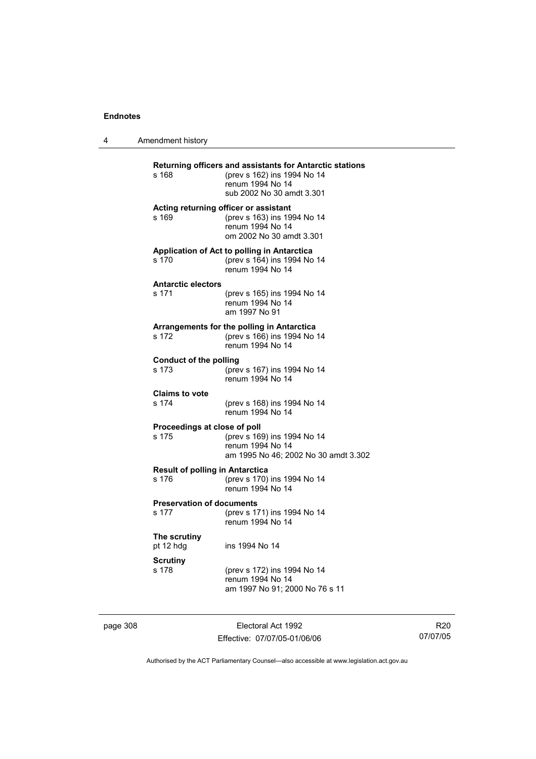| Amendment history |
|-------------------|
|                   |

| s 168                                           | Returning officers and assistants for Antarctic stations<br>(prev s 162) ins 1994 No 14<br>renum 1994 No 14<br>sub 2002 No 30 amdt 3.301 |
|-------------------------------------------------|------------------------------------------------------------------------------------------------------------------------------------------|
| s 169                                           | Acting returning officer or assistant<br>(prev s 163) ins 1994 No 14<br>renum 1994 No 14<br>om 2002 No 30 amdt 3.301                     |
| s 170                                           | Application of Act to polling in Antarctica<br>(prev s 164) ins 1994 No 14<br>renum 1994 No 14                                           |
| <b>Antarctic electors</b><br>s 171              | (prev s 165) ins 1994 No 14<br>renum 1994 No 14<br>am 1997 No 91                                                                         |
| s 172                                           | Arrangements for the polling in Antarctica<br>(prev s 166) ins 1994 No 14<br>renum 1994 No 14                                            |
| <b>Conduct of the polling</b><br>s 173          | (prev s 167) ins 1994 No 14<br>renum 1994 No 14                                                                                          |
| <b>Claims to vote</b><br>s 174                  | (prev s 168) ins 1994 No 14<br>renum 1994 No 14                                                                                          |
| Proceedings at close of poll<br>s 175           | (prev s 169) ins 1994 No 14<br>renum 1994 No 14<br>am 1995 No 46; 2002 No 30 amdt 3.302                                                  |
| <b>Result of polling in Antarctica</b><br>s 176 | (prev s 170) ins 1994 No 14<br>renum 1994 No 14                                                                                          |
| <b>Preservation of documents</b><br>s 177       | (prev s 171) ins 1994 No 14<br>renum 1994 No 14                                                                                          |
| The scrutiny<br>pt 12 hdg                       | ins 1994 No 14                                                                                                                           |
| <b>Scrutiny</b><br>s 178                        | (prev s 172) ins 1994 No 14<br>renum 1994 No 14<br>am 1997 No 91; 2000 No 76 s 11                                                        |

page 308 Electoral Act 1992 Effective: 07/07/05-01/06/06

R20 07/07/05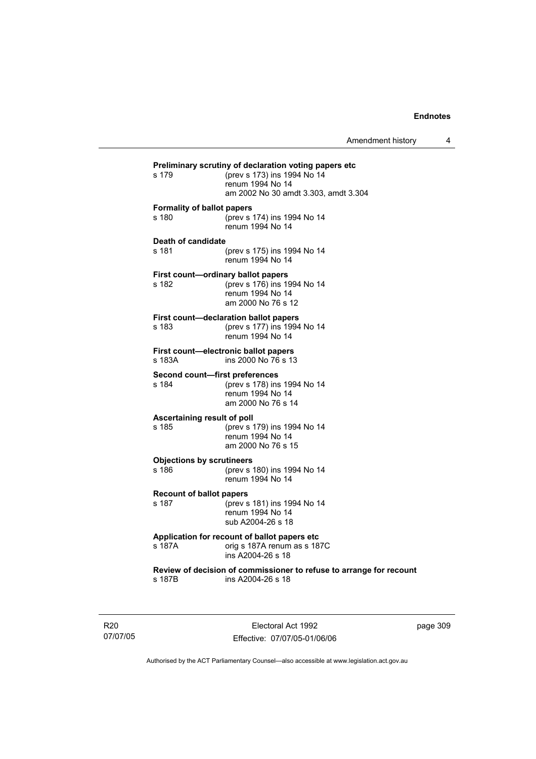| s 179                                       | Preliminary scrutiny of declaration voting papers etc<br>(prev s 173) ins 1994 No 14<br>renum 1994 No 14<br>am 2002 No 30 amdt 3.303, amdt 3.304 |
|---------------------------------------------|--------------------------------------------------------------------------------------------------------------------------------------------------|
| <b>Formality of ballot papers</b><br>s 180  | (prev s 174) ins 1994 No 14<br>renum 1994 No 14                                                                                                  |
| Death of candidate<br>s 181                 | (prev s 175) ins 1994 No 14<br>renum 1994 No 14                                                                                                  |
| First count-ordinary ballot papers<br>s 182 | (prev s 176) ins 1994 No 14<br>renum 1994 No 14<br>am 2000 No 76 s 12                                                                            |
| s 183                                       | First count-declaration ballot papers<br>(prev s 177) ins 1994 No 14<br>renum 1994 No 14                                                         |
| s 183A                                      | First count-electronic ballot papers<br>ins 2000 No 76 s 13                                                                                      |
| Second count-first preferences<br>s 184     | (prev s 178) ins 1994 No 14<br>renum 1994 No 14<br>am 2000 No 76 s 14                                                                            |
| Ascertaining result of poll<br>s 185        | (prev s 179) ins 1994 No 14<br>renum 1994 No 14<br>am 2000 No 76 s 15                                                                            |
| <b>Objections by scrutineers</b><br>s 186   | (prev s 180) ins 1994 No 14<br>renum 1994 No 14                                                                                                  |
| <b>Recount of ballot papers</b><br>s 187    | (prev s 181) ins 1994 No 14<br>renum 1994 No 14<br>sub A2004-26 s 18                                                                             |
| s 187A                                      | Application for recount of ballot papers etc<br>orig s 187A renum as s 187C<br>ins A2004-26 s 18                                                 |
| s 187B                                      | Review of decision of commissioner to refuse to arrange for recount<br>ins A2004-26 s 18                                                         |
|                                             |                                                                                                                                                  |

R20 07/07/05

Electoral Act 1992 Effective: 07/07/05-01/06/06 page 309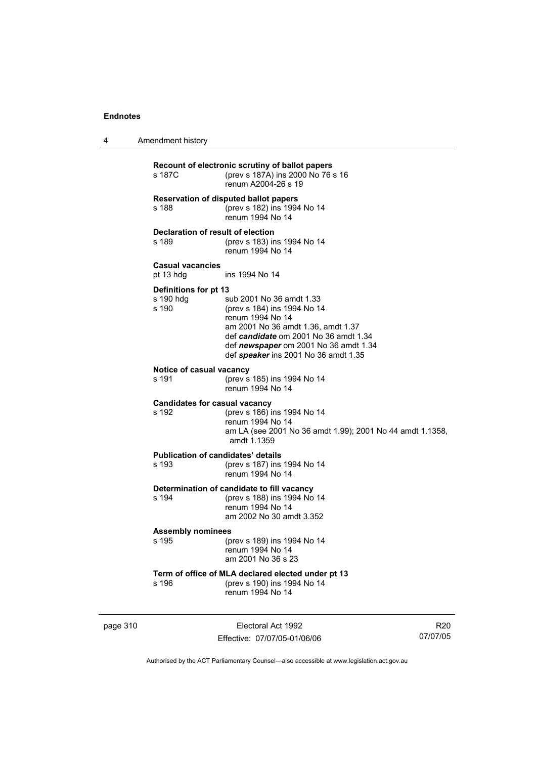4 Amendment history

| Recount of electronic scrutiny of ballot papers<br>(prev s 187A) ins 2000 No 76 s 16<br>s 187C<br>renum A2004-26 s 19 |                                                                                                                                                                                                                                             |
|-----------------------------------------------------------------------------------------------------------------------|---------------------------------------------------------------------------------------------------------------------------------------------------------------------------------------------------------------------------------------------|
| s 188                                                                                                                 | <b>Reservation of disputed ballot papers</b><br>(prev s 182) ins 1994 No 14<br>renum 1994 No 14                                                                                                                                             |
| Declaration of result of election<br>s 189                                                                            | (prev s 183) ins 1994 No 14<br>renum 1994 No 14                                                                                                                                                                                             |
| <b>Casual vacancies</b><br>pt 13 hdg                                                                                  | ins 1994 No 14                                                                                                                                                                                                                              |
| Definitions for pt 13<br>s 190 hdq<br>s 190                                                                           | sub 2001 No 36 amdt 1.33<br>(prev s 184) ins 1994 No 14<br>renum 1994 No 14<br>am 2001 No 36 amdt 1.36, amdt 1.37<br>def candidate om 2001 No 36 amdt 1.34<br>def newspaper om 2001 No 36 amdt 1.34<br>def speaker ins 2001 No 36 amdt 1.35 |
| Notice of casual vacancy<br>s 191                                                                                     | (prev s 185) ins 1994 No 14<br>renum 1994 No 14                                                                                                                                                                                             |
| Candidates for casual vacancy<br>s 192                                                                                | (prev s 186) ins 1994 No 14<br>renum 1994 No 14<br>am LA (see 2001 No 36 amdt 1.99); 2001 No 44 amdt 1.1358,<br>amdt 1.1359                                                                                                                 |
| <b>Publication of candidates' details</b><br>s 193                                                                    | (prev s 187) ins 1994 No 14<br>renum 1994 No 14                                                                                                                                                                                             |
| s 194                                                                                                                 | Determination of candidate to fill vacancy<br>(prev s 188) ins 1994 No 14<br>renum 1994 No 14<br>am 2002 No 30 amdt 3.352                                                                                                                   |
| <b>Assembly nominees</b><br>s 195                                                                                     | (prev s 189) ins 1994 No 14<br>renum 1994 No 14<br>am 2001 No 36 s 23                                                                                                                                                                       |
| s 196                                                                                                                 | Term of office of MLA declared elected under pt 13<br>(prev s 190) ins 1994 No 14<br>renum 1994 No 14                                                                                                                                       |

page 310 **Electoral Act 1992** Effective: 07/07/05-01/06/06

R20 07/07/05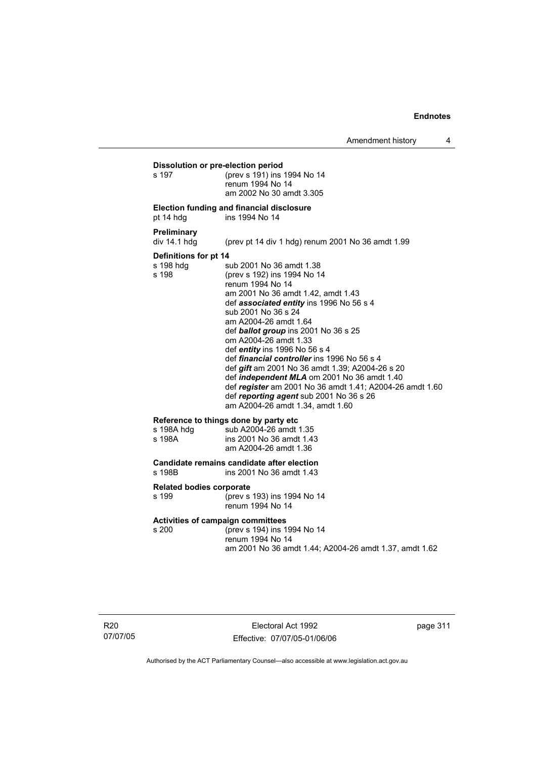**Dissolution or pre-election period**<br>s 197 (prev s 191) ins s 197 (prev s 191) ins 1994 No 14 renum 1994 No 14 am 2002 No 30 amdt 3.305

#### **Election funding and financial disclosure**

pt 14 hdg ins 1994 No 14

#### **Preliminary**

### div 14.1 hdg (prev pt 14 div 1 hdg) renum 2001 No 36 amdt 1.99

#### **Definitions for pt 14**

s 198 hdg sub 2001 No 36 amdt 1.38<br>s 198 (prev s 192) ins 1994 No 14 (prev s 192) ins 1994 No 14 renum 1994 No 14 am 2001 No 36 amdt 1.42, amdt 1.43 def *associated entity* ins 1996 No 56 s 4 sub 2001 No 36 s 24 am A2004-26 amdt 1.64 def *ballot group* ins 2001 No 36 s 25 om A2004-26 amdt 1.33 def *entity* ins 1996 No 56 s 4 def *financial controller* ins 1996 No 56 s 4 def *gift* am 2001 No 36 amdt 1.39; A2004-26 s 20 def *independent MLA* om 2001 No 36 amdt 1.40 def *register* am 2001 No 36 amdt 1.41; A2004-26 amdt 1.60 def *reporting agent* sub 2001 No 36 s 26 am A2004-26 amdt 1.34, amdt 1.60

#### **Reference to things done by party etc**

| s 198A hdg | sub A2004-26 amdt 1.35   |
|------------|--------------------------|
| s 198A     | ins 2001 No 36 amdt 1.43 |
|            | am A2004-26 amdt 1.36    |

# **Candidate remains candidate after election**

ins 2001 No 36 amdt 1.43

#### **Related bodies corporate**

s 199 (prev s 193) ins 1994 No 14 renum 1994 No 14

# **Activities of campaign committees**

(prev s 194) ins 1994 No 14 renum 1994 No 14 am 2001 No 36 amdt 1.44; A2004-26 amdt 1.37, amdt 1.62

R20 07/07/05

Electoral Act 1992 Effective: 07/07/05-01/06/06 page 311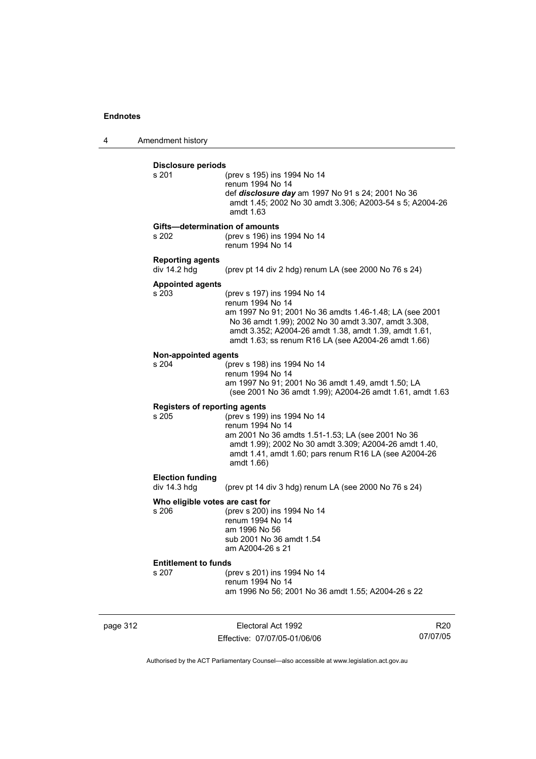4 Amendment history

| s 201                                   | (prev s 195) ins 1994 No 14<br>renum 1994 No 14<br>def disclosure day am 1997 No 91 s 24; 2001 No 36<br>amdt 1.45; 2002 No 30 amdt 3.306; A2003-54 s 5; A2004-26<br>amdt 1.63                                                                                                      |
|-----------------------------------------|------------------------------------------------------------------------------------------------------------------------------------------------------------------------------------------------------------------------------------------------------------------------------------|
| s 202                                   | Gifts-determination of amounts<br>(prev s 196) ins 1994 No 14<br>renum 1994 No 14                                                                                                                                                                                                  |
| <b>Reporting agents</b><br>div 14.2 hdg | (prev pt 14 div 2 hdg) renum LA (see 2000 No 76 s 24)                                                                                                                                                                                                                              |
| <b>Appointed agents</b><br>s 203        | (prev s 197) ins 1994 No 14<br>renum 1994 No 14<br>am 1997 No 91; 2001 No 36 amdts 1.46-1.48; LA (see 2001<br>No 36 amdt 1.99); 2002 No 30 amdt 3.307, amdt 3.308,<br>amdt 3.352; A2004-26 amdt 1.38, amdt 1.39, amdt 1.61,<br>amdt 1.63; ss renum R16 LA (see A2004-26 amdt 1.66) |
| <b>Non-appointed agents</b><br>s 204    | (prev s 198) ins 1994 No 14<br>renum 1994 No 14<br>am 1997 No 91; 2001 No 36 amdt 1.49, amdt 1.50; LA<br>(see 2001 No 36 amdt 1.99); A2004-26 amdt 1.61, amdt 1.63                                                                                                                 |
| s 205                                   | <b>Registers of reporting agents</b><br>(prev s 199) ins 1994 No 14<br>renum 1994 No 14<br>am 2001 No 36 amdts 1.51-1.53; LA (see 2001 No 36<br>amdt 1.99); 2002 No 30 amdt 3.309; A2004-26 amdt 1.40,<br>amdt 1.41, amdt 1.60; pars renum R16 LA (see A2004-26<br>amdt 1.66)      |
| <b>Election funding</b><br>div 14.3 hdg | (prev pt 14 div 3 hdg) renum LA (see 2000 No 76 s 24)                                                                                                                                                                                                                              |
| s 206                                   | Who eligible votes are cast for<br>(prev s 200) ins 1994 No 14<br>renum 1994 No 14<br>am 1996 No 56<br>sub 2001 No 36 amdt 1.54<br>am A2004-26 s 21                                                                                                                                |
| <b>Entitlement to funds</b>             |                                                                                                                                                                                                                                                                                    |
| s 207                                   | (prev s 201) ins 1994 No 14<br>renum 1994 No 14                                                                                                                                                                                                                                    |

page 312 **Electoral Act 1992** Effective: 07/07/05-01/06/06

R20 07/07/05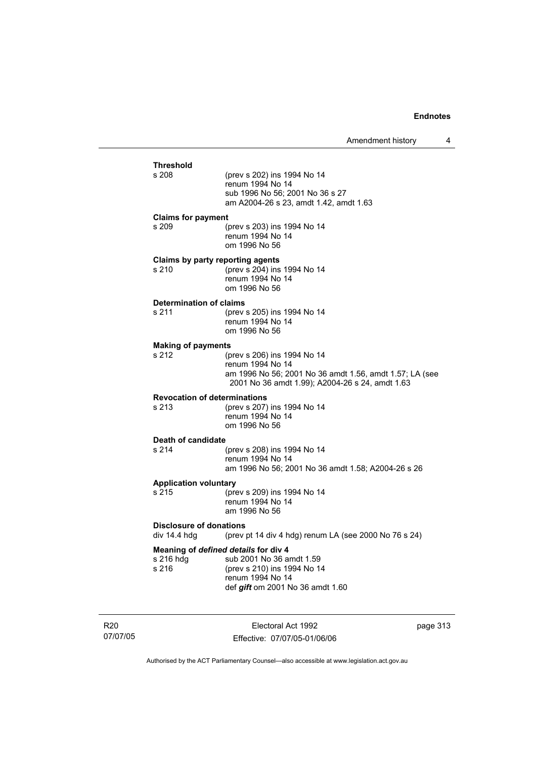# **Threshold** (prev s 202) ins 1994 No 14 renum 1994 No 14 sub 1996 No 56; 2001 No 36 s 27 am A2004-26 s 23, amdt 1.42, amdt 1.63 **Claims for payment**  s 209 (prev s 203) ins 1994 No 14 renum 1994 No 14 om 1996 No 56 **Claims by party reporting agents**  s 210 (prev s 204) ins 1994 No 14 renum 1994 No 14 om 1996 No 56 **Determination of claims**<br>s 211 (prev (prev s 205) ins 1994 No 14 renum 1994 No 14 om 1996 No 56 **Making of payments** s 212 (prev s 206) ins 1994 No 14 renum 1994 No 14 am 1996 No 56; 2001 No 36 amdt 1.56, amdt 1.57; LA (see 2001 No 36 amdt 1.99); A2004-26 s 24, amdt 1.63 **Revocation of determinations**  s 213 (prev s 207) ins 1994 No 14 renum 1994 No 14 om 1996 No 56 **Death of candidate** s 214 (prev s 208) ins 1994 No 14 renum 1994 No 14 am 1996 No 56; 2001 No 36 amdt 1.58; A2004-26 s 26 **Application voluntary** s 215 (prev s 209) ins 1994 No 14 renum 1994 No 14 am 1996 No 56 **Disclosure of donations**  div 14.4 hdg (prev pt 14 div 4 hdg) renum LA (see 2000 No 76 s 24) **Meaning of** *defined details* **for div 4** s 216 hdg sub 2001 No 36 a sub 2001 No 36 amdt 1.59 s 216 (prev s 210) ins 1994 No 14 renum 1994 No 14 def *gift* om 2001 No 36 amdt 1.60

R20 07/07/05

Electoral Act 1992 Effective: 07/07/05-01/06/06 page 313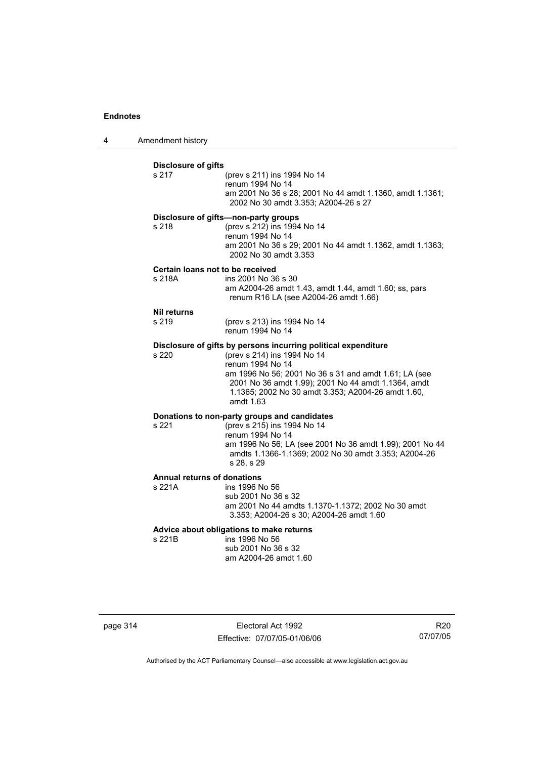4 Amendment history

| <b>Disclosure of gifts</b><br>s 217          | (prev s 211) ins 1994 No 14<br>renum 1994 No 14<br>am 2001 No 36 s 28; 2001 No 44 amdt 1.1360, amdt 1.1361;<br>2002 No 30 amdt 3.353; A2004-26 s 27                                                                                                                                                  |
|----------------------------------------------|------------------------------------------------------------------------------------------------------------------------------------------------------------------------------------------------------------------------------------------------------------------------------------------------------|
| s 218                                        | Disclosure of gifts-non-party groups<br>(prev s 212) ins 1994 No 14<br>renum 1994 No 14<br>am 2001 No 36 s 29; 2001 No 44 amdt 1.1362, amdt 1.1363;<br>2002 No 30 amdt 3.353                                                                                                                         |
| Certain loans not to be received<br>s 218A   | ins 2001 No 36 s 30<br>am A2004-26 amdt 1.43, amdt 1.44, amdt 1.60; ss, pars<br>renum R16 LA (see A2004-26 amdt 1.66)                                                                                                                                                                                |
| <b>Nil returns</b><br>s 219                  | (prev s 213) ins 1994 No 14<br>renum 1994 No 14                                                                                                                                                                                                                                                      |
| s 220                                        | Disclosure of gifts by persons incurring political expenditure<br>(prev s 214) ins 1994 No 14<br>renum 1994 No 14<br>am 1996 No 56; 2001 No 36 s 31 and amdt 1.61; LA (see<br>2001 No 36 amdt 1.99); 2001 No 44 amdt 1.1364, amdt<br>1.1365; 2002 No 30 amdt 3.353; A2004-26 amdt 1.60,<br>amdt 1.63 |
| s 221                                        | Donations to non-party groups and candidates<br>(prev s 215) ins 1994 No 14<br>renum 1994 No 14<br>am 1996 No 56; LA (see 2001 No 36 amdt 1.99); 2001 No 44<br>amdts 1.1366-1.1369; 2002 No 30 amdt 3.353; A2004-26<br>s 28. s 29                                                                    |
| <b>Annual returns of donations</b><br>s 221A | ins 1996 No 56<br>sub 2001 No 36 s 32<br>am 2001 No 44 amdts 1.1370-1.1372; 2002 No 30 amdt<br>3.353; A2004-26 s 30; A2004-26 amdt 1.60                                                                                                                                                              |
| s 221B                                       | Advice about obligations to make returns<br>ins 1996 No 56<br>sub 2001 No 36 s 32                                                                                                                                                                                                                    |

page 314 **Electoral Act 1992** Effective: 07/07/05-01/06/06

R20 07/07/05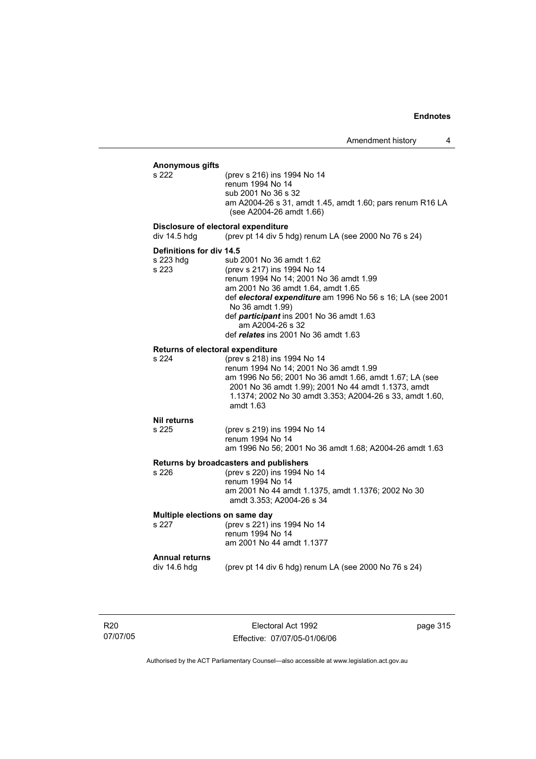# **Anonymous gifts** (prev s 216) ins 1994 No 14 renum 1994 No 14 sub 2001 No 36 s 32 am A2004-26 s 31, amdt 1.45, amdt 1.60; pars renum R16 LA (see A2004-26 amdt 1.66) **Disclosure of electoral expenditure**  div 14.5 hdg (prev pt 14 div 5 hdg) renum LA (see 2000 No 76 s 24) **Definitions for div 14.5** s 223 hdg sub 2001 No 36 amdt 1.62 s 223 (prev s 217) ins 1994 No 14 renum 1994 No 14; 2001 No 36 amdt 1.99 am 2001 No 36 amdt 1.64, amdt 1.65 def *electoral expenditure* am 1996 No 56 s 16; LA (see 2001 No 36 amdt 1.99) def *participant* ins 2001 No 36 amdt 1.63 am A2004-26 s 32 def *relates* ins 2001 No 36 amdt 1.63 **Returns of electoral expenditure** s 224 (prev s 218) ins 1994 No 14 renum 1994 No 14; 2001 No 36 amdt 1.99 am 1996 No 56; 2001 No 36 amdt 1.66, amdt 1.67; LA (see 2001 No 36 amdt 1.99); 2001 No 44 amdt 1.1373, amdt 1.1374; 2002 No 30 amdt 3.353; A2004-26 s 33, amdt 1.60, amdt 1.63 **Nil returns** s 225 (prev s 219) ins 1994 No 14 renum 1994 No 14 am 1996 No 56; 2001 No 36 amdt 1.68; A2004-26 amdt 1.63 **Returns by broadcasters and publishers** s 226 (prev s 220) ins 1994 No 14 renum 1994 No 14 am 2001 No 44 amdt 1.1375, amdt 1.1376; 2002 No 30 amdt 3.353; A2004-26 s 34 **Multiple elections on same day** s 227 (prev s 221) ins 1994 No 14 renum 1994 No 14 am 2001 No 44 amdt 1.1377 **Annual returns**  (prev pt 14 div 6 hdg) renum LA (see 2000 No 76 s  $24$ )

R20 07/07/05

Electoral Act 1992 Effective: 07/07/05-01/06/06 page 315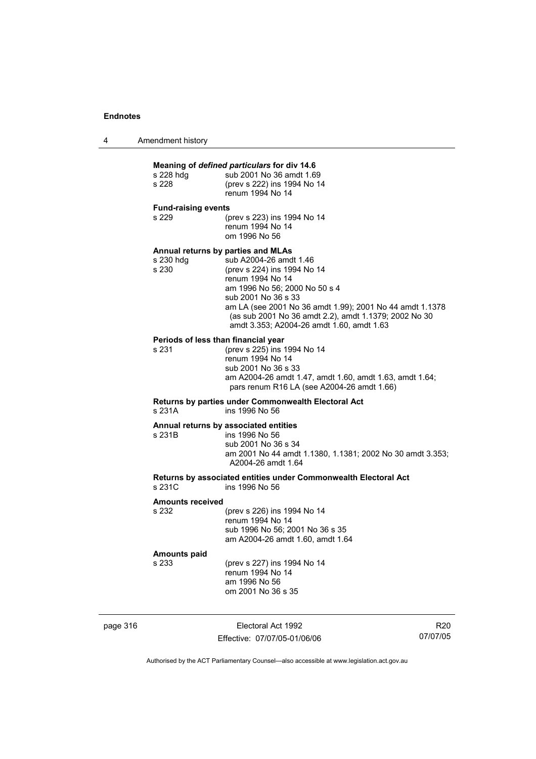| 4 | Amendment history |
|---|-------------------|
|---|-------------------|

# **Meaning of** *defined particulars* **for div 14.6** s 228 hdg sub 2001 No 36 amdt 1.69 s 228 (prev s 222) ins 1994 No 14 renum 1994 No 14 **Fund-raising events**  s 229 (prev s 223) ins 1994 No 14 renum 1994 No 14 om 1996 No 56 **Annual returns by parties and MLAs**  s 230 hdg sub A2004-26 amdt 1.46<br>s 230 (prev s 224) ins 1994 No (prev s 224) ins 1994 No 14 renum 1994 No 14 am 1996 No 56; 2000 No 50 s 4 sub 2001 No 36 s 33 am LA (see 2001 No 36 amdt 1.99); 2001 No 44 amdt 1.1378 (as sub 2001 No 36 amdt 2.2), amdt 1.1379; 2002 No 30 amdt 3.353; A2004-26 amdt 1.60, amdt 1.63 **Periods of less than financial year**<br>s 231 (prev s 225) ins 1 (prev s 225) ins 1994 No 14 renum 1994 No 14 sub 2001 No 36 s 33 am A2004-26 amdt 1.47, amdt 1.60, amdt 1.63, amdt 1.64; pars renum R16 LA (see A2004-26 amdt 1.66) **Returns by parties under Commonwealth Electoral Act** ins 1996 No 56 **Annual returns by associated entities** s 231B ins 1996 No 56 sub 2001 No 36 s 34 am 2001 No 44 amdt 1.1380, 1.1381; 2002 No 30 amdt 3.353; A2004-26 amdt 1.64 **Returns by associated entities under Commonwealth Electoral Act** ins 1996 No 56 **Amounts received**  s 232 (prev s 226) ins 1994 No 14

 renum 1994 No 14 sub 1996 No 56; 2001 No 36 s 35 am A2004-26 amdt 1.60, amdt 1.64

#### **Amounts paid**

s 233 (prev s 227) ins 1994 No 14 renum 1994 No 14 am 1996 No 56 om 2001 No 36 s 35

page 316 **Electoral Act 1992** Effective: 07/07/05-01/06/06

R20 07/07/05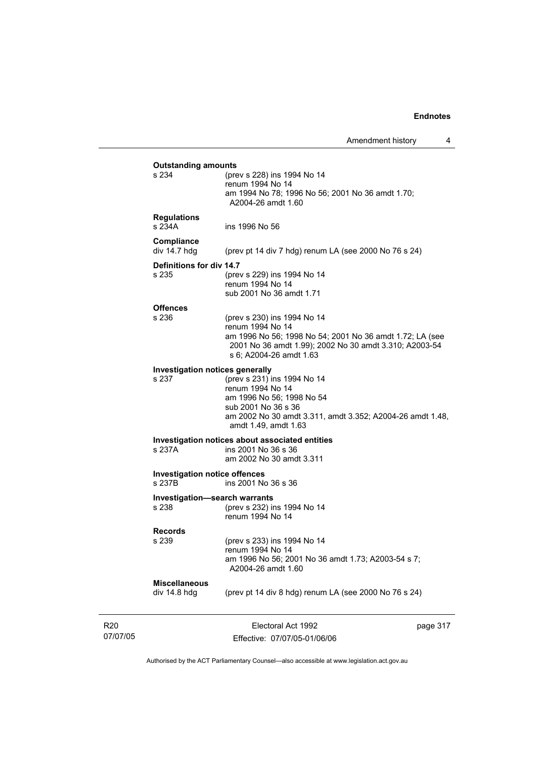| <b>Outstanding amounts</b><br>s 234            | (prev s 228) ins 1994 No 14                                                                                                                                                                      |          |
|------------------------------------------------|--------------------------------------------------------------------------------------------------------------------------------------------------------------------------------------------------|----------|
|                                                | renum 1994 No 14<br>am 1994 No 78; 1996 No 56; 2001 No 36 amdt 1.70;<br>A2004-26 amdt 1.60                                                                                                       |          |
| <b>Regulations</b><br>s 234A                   | ins 1996 No 56                                                                                                                                                                                   |          |
| Compliance<br>div $14.7$ hdg                   | (prev pt 14 div 7 hdg) renum LA (see 2000 No 76 s 24)                                                                                                                                            |          |
| Definitions for div 14.7<br>s 235              | (prev s 229) ins 1994 No 14<br>renum 1994 No 14<br>sub 2001 No 36 amdt 1.71                                                                                                                      |          |
| <b>Offences</b><br>s 236                       | (prev s 230) ins 1994 No 14<br>renum 1994 No 14<br>am 1996 No 56; 1998 No 54; 2001 No 36 amdt 1.72; LA (see<br>2001 No 36 amdt 1.99); 2002 No 30 amdt 3.310; A2003-54<br>s 6; A2004-26 amdt 1.63 |          |
| Investigation notices generally<br>s 237       | (prev s 231) ins 1994 No 14<br>renum 1994 No 14<br>am 1996 No 56; 1998 No 54<br>sub 2001 No 36 s 36<br>am 2002 No 30 amdt 3.311, amdt 3.352; A2004-26 amdt 1.48,<br>amdt 1.49, amdt 1.63         |          |
| s 237A                                         | Investigation notices about associated entities<br>ins 2001 No 36 s 36<br>am 2002 No 30 amdt 3.311                                                                                               |          |
| <b>Investigation notice offences</b><br>s 237B | ins 2001 No 36 s 36                                                                                                                                                                              |          |
| Investigation-search warrants<br>s 238         | (prev s 232) ins 1994 No 14<br>renum 1994 No 14                                                                                                                                                  |          |
| <b>Records</b><br>s 239                        | (prev s 233) ins 1994 No 14<br>renum 1994 No 14<br>am 1996 No 56; 2001 No 36 amdt 1.73; A2003-54 s 7;<br>A2004-26 amdt 1.60                                                                      |          |
| <b>Miscellaneous</b><br>div 14.8 hdg           | (prev pt 14 div 8 hdg) renum LA (see 2000 No 76 s 24)                                                                                                                                            |          |
|                                                |                                                                                                                                                                                                  | page 317 |

R20 07/07/05

Effective: 07/07/05-01/06/06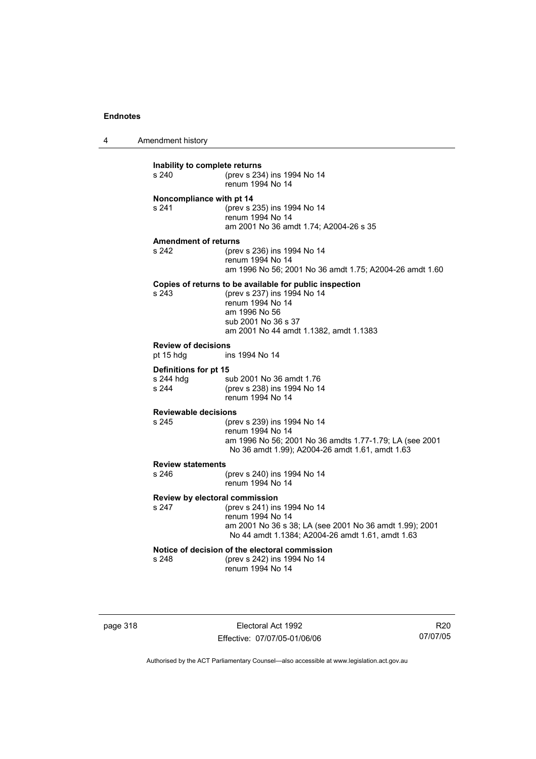4 Amendment history

| Inability to complete returns<br>s 240 | (prev s 234) ins 1994 No 14<br>renum 1994 No 14         |  |
|----------------------------------------|---------------------------------------------------------|--|
| Noncompliance with pt 14               |                                                         |  |
| s 241                                  | (prev s 235) ins 1994 No 14                             |  |
|                                        | renum 1994 No 14                                        |  |
|                                        |                                                         |  |
|                                        | am 2001 No 36 amdt 1.74; A2004-26 s 35                  |  |
| <b>Amendment of returns</b>            |                                                         |  |
|                                        |                                                         |  |
| s 242                                  | (prev s 236) ins 1994 No 14                             |  |
|                                        | renum 1994 No 14                                        |  |
|                                        | am 1996 No 56; 2001 No 36 amdt 1.75; A2004-26 amdt 1.60 |  |
|                                        |                                                         |  |
|                                        | Copies of returns to be available for public inspection |  |
| s 243                                  | (prev s 237) ins 1994 No 14                             |  |
|                                        | renum 1994 No 14                                        |  |
|                                        | am 1996 No 56                                           |  |
|                                        | sub 2001 No 36 s 37                                     |  |
|                                        |                                                         |  |
|                                        | am 2001 No 44 amdt 1.1382, amdt 1.1383                  |  |
| <b>Review of decisions</b>             |                                                         |  |
| pt 15 hdg                              | ins 1994 No 14                                          |  |
|                                        |                                                         |  |
| Definitions for pt 15                  |                                                         |  |
| s 244 hdg                              | sub 2001 No 36 amdt 1.76                                |  |
| s 244                                  | (prev s 238) ins 1994 No 14                             |  |
|                                        | renum 1994 No 14                                        |  |
|                                        |                                                         |  |
| <b>Reviewable decisions</b>            |                                                         |  |
| s 245                                  | (prev s 239) ins 1994 No 14                             |  |
|                                        | renum 1994 No 14                                        |  |
|                                        |                                                         |  |
|                                        | am 1996 No 56; 2001 No 36 amdts 1.77-1.79; LA (see 2001 |  |
|                                        | No 36 amdt 1.99); A2004-26 amdt 1.61, amdt 1.63         |  |
| <b>Review statements</b>               |                                                         |  |
| s 246                                  | (prev s 240) ins 1994 No 14                             |  |
|                                        | renum 1994 No 14                                        |  |
|                                        |                                                         |  |
| Review by electoral commission         |                                                         |  |
| s 247                                  | (prev s 241) ins 1994 No 14                             |  |
|                                        | renum 1994 No 14                                        |  |
|                                        |                                                         |  |
|                                        | am 2001 No 36 s 38; LA (see 2001 No 36 amdt 1.99); 2001 |  |
|                                        | No 44 amdt 1.1384; A2004-26 amdt 1.61, amdt 1.63        |  |
|                                        | Notice of decision of the electoral commission          |  |
|                                        |                                                         |  |
| s 248                                  | (prev s 242) ins 1994 No 14                             |  |
|                                        | renum 1994 No 14                                        |  |
|                                        |                                                         |  |
|                                        |                                                         |  |

page 318 Electoral Act 1992 Effective: 07/07/05-01/06/06

R20 07/07/05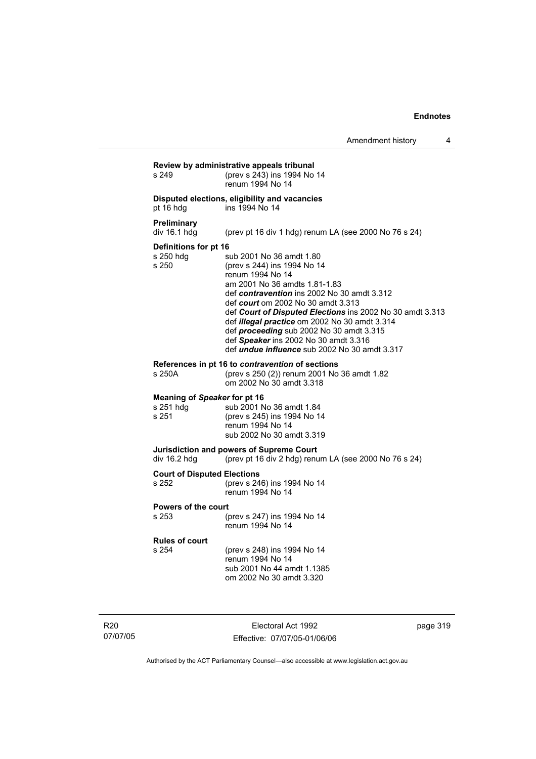| s 249                                              | (prev s 243) ins 1994 No 14<br>renum 1994 No 14                                                                                                                                                                                                                                                                                                                                                                                                                     |
|----------------------------------------------------|---------------------------------------------------------------------------------------------------------------------------------------------------------------------------------------------------------------------------------------------------------------------------------------------------------------------------------------------------------------------------------------------------------------------------------------------------------------------|
| pt 16 hdg                                          | Disputed elections, eligibility and vacancies<br>ins 1994 No 14                                                                                                                                                                                                                                                                                                                                                                                                     |
| <b>Preliminary</b><br>div $16.1$ hdg               | (prev pt 16 div 1 hdg) renum LA (see 2000 No 76 s 24)                                                                                                                                                                                                                                                                                                                                                                                                               |
| Definitions for pt 16<br>s 250 hdg<br>s 250        | sub 2001 No 36 amdt 1.80<br>(prev s 244) ins 1994 No 14<br>renum 1994 No 14<br>am 2001 No 36 amdts 1.81-1.83<br>def contravention ins 2002 No 30 amdt 3.312<br>def <i>court</i> om 2002 No 30 amdt 3.313<br>def Court of Disputed Elections ins 2002 No 30 amdt 3.313<br>def illegal practice om 2002 No 30 amdt 3.314<br>def proceeding sub 2002 No 30 amdt 3.315<br>def Speaker ins 2002 No 30 amdt 3.316<br>def <i>undue influence</i> sub 2002 No 30 amdt 3.317 |
| s 250A                                             | References in pt 16 to contravention of sections<br>(prev s 250 (2)) renum 2001 No 36 amdt 1.82<br>om 2002 No 30 amdt 3.318                                                                                                                                                                                                                                                                                                                                         |
| Meaning of Speaker for pt 16<br>s 251 hdg<br>s 251 | sub 2001 No 36 amdt 1.84<br>(prev s 245) ins 1994 No 14<br>renum 1994 No 14<br>sub 2002 No 30 amdt 3.319                                                                                                                                                                                                                                                                                                                                                            |
| div $16.2$ hdg                                     | Jurisdiction and powers of Supreme Court<br>(prev pt 16 div 2 hdg) renum LA (see 2000 No 76 s 24)                                                                                                                                                                                                                                                                                                                                                                   |
| <b>Court of Disputed Elections</b><br>s 252        | (prev s 246) ins 1994 No 14<br>renum 1994 No 14                                                                                                                                                                                                                                                                                                                                                                                                                     |
| Powers of the court<br>s 253                       | (prev s 247) ins 1994 No 14<br>renum 1994 No 14                                                                                                                                                                                                                                                                                                                                                                                                                     |
| <b>Rules of court</b><br>s 254                     | (prev s 248) ins 1994 No 14<br>renum 1994 No 14<br>sub 2001 No 44 amdt 1.1385<br>om 2002 No 30 amdt 3.320                                                                                                                                                                                                                                                                                                                                                           |

R20 07/07/05

Electoral Act 1992 Effective: 07/07/05-01/06/06 page 319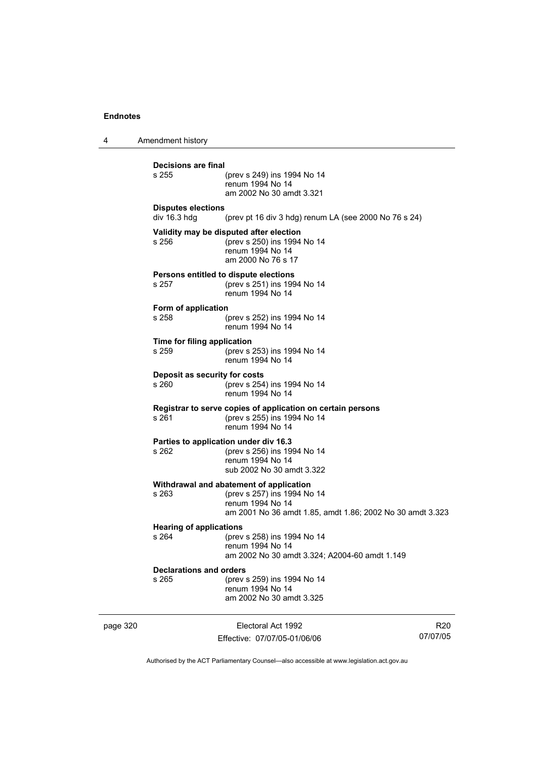4 Amendment history page 320 **Electoral Act 1992** R20 **Decisions are final** (prev s 249) ins 1994 No 14 renum 1994 No 14 am 2002 No 30 amdt 3.321 **Disputes elections**  div 16.3 hdg (prev pt 16 div 3 hdg) renum LA (see 2000 No 76 s 24) **Validity may be disputed after election** s 256 (prev s 250) ins 1994 No 14 renum 1994 No 14 am 2000 No 76 s 17 **Persons entitled to dispute elections**<br>s 257 (prev s 251) ins 199 s 257 (prev s 251) ins 1994 No 14 renum 1994 No 14 **Form of application** s 258 (prev s 252) ins 1994 No 14 renum 1994 No 14 **Time for filing application** s 259 (prev s 253) ins 1994 No 14 renum 1994 No 14 **Deposit as security for costs** s 260 (prev s 254) ins 1994 No 14 renum 1994 No 14 **Registrar to serve copies of application on certain persons** s 261 (prev s 255) ins 1994 No 14 renum 1994 No 14 **Parties to application under div 16.3** (prev s 256) ins 1994 No 14 renum 1994 No 14 sub 2002 No 30 amdt 3.322 **Withdrawal and abatement of application** s 263 (prev s 257) ins 1994 No 14 renum 1994 No 14 am 2001 No 36 amdt 1.85, amdt 1.86; 2002 No 30 amdt 3.323 **Hearing of applications**<br>s 264 (prev s 264 (prev s 258) ins 1994 No 14 renum 1994 No 14 am 2002 No 30 amdt 3.324; A2004-60 amdt 1.149 **Declarations and orders** s 265 (prev s 259) ins 1994 No 14 renum 1994 No 14 am 2002 No 30 amdt 3.325

Effective: 07/07/05-01/06/06

07/07/05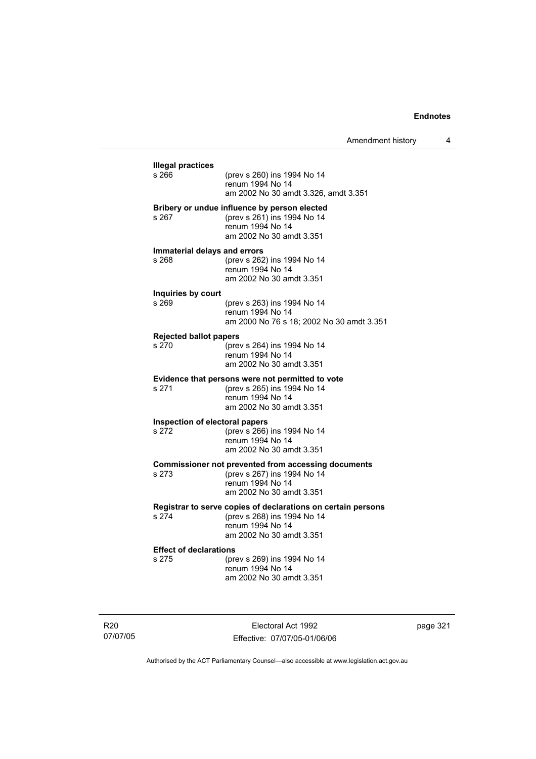| <b>Illegal practices</b><br>s 266 | (prev s 260) ins 1994 No 14                                                     |
|-----------------------------------|---------------------------------------------------------------------------------|
|                                   | renum 1994 No 14                                                                |
|                                   | am 2002 No 30 amdt 3.326, amdt 3.351                                            |
|                                   | Bribery or undue influence by person elected                                    |
| s 267                             | (prev s 261) ins 1994 No 14<br>renum 1994 No 14                                 |
|                                   | am 2002 No 30 amdt 3.351                                                        |
| Immaterial delays and errors      |                                                                                 |
| s 268                             | (prev s 262) ins 1994 No 14                                                     |
|                                   | renum 1994 No 14                                                                |
|                                   | am 2002 No 30 amdt 3.351                                                        |
| Inquiries by court<br>s 269       | (prev s 263) ins 1994 No 14                                                     |
|                                   | renum 1994 No 14                                                                |
|                                   | am 2000 No 76 s 18; 2002 No 30 amdt 3.351                                       |
| <b>Rejected ballot papers</b>     |                                                                                 |
| s 270                             | (prev s 264) ins 1994 No 14                                                     |
|                                   | renum 1994 No 14<br>am 2002 No 30 amdt 3.351                                    |
|                                   |                                                                                 |
| s 271                             | Evidence that persons were not permitted to vote<br>(prev s 265) ins 1994 No 14 |
|                                   | renum 1994 No 14                                                                |
|                                   | am 2002 No 30 amdt 3.351                                                        |
| Inspection of electoral papers    |                                                                                 |
| s 272                             | (prev s 266) ins 1994 No 14<br>renum 1994 No 14                                 |
|                                   | am 2002 No 30 amdt 3.351                                                        |
|                                   | <b>Commissioner not prevented from accessing documents</b>                      |
| s 273                             | (prev s 267) ins 1994 No 14                                                     |
|                                   | renum 1994 No 14                                                                |
|                                   | am 2002 No 30 amdt 3.351                                                        |
|                                   | Registrar to serve copies of declarations on certain persons                    |
| s 274                             | (prev s 268) ins 1994 No 14<br>renum 1994 No 14                                 |
|                                   | am 2002 No 30 amdt 3.351                                                        |
| <b>Effect of declarations</b>     |                                                                                 |
| s 275                             | (prev s 269) ins 1994 No 14                                                     |
|                                   | renum 1994 No 14                                                                |

R20 07/07/05

Electoral Act 1992 Effective: 07/07/05-01/06/06 page 321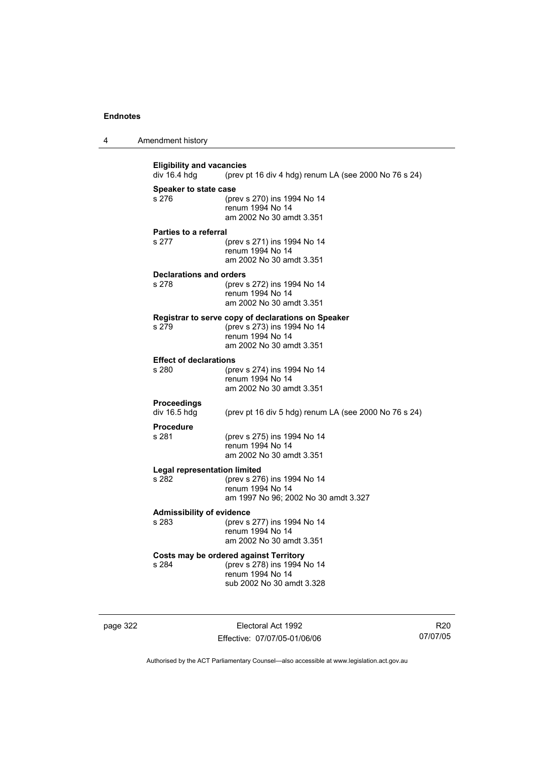|  | Amendment history |
|--|-------------------|
|--|-------------------|

**Eligibility and vacancies**<br>div 16.4 hdg (prev) (prev pt 16 div 4 hdg) renum LA (see 2000 No 76 s 24) **Speaker to state case** s 276 (prev s 270) ins 1994 No 14 renum 1994 No 14 am 2002 No 30 amdt 3.351 **Parties to a referral** s 277 (prev s 271) ins 1994 No 14 renum 1994 No 14 am 2002 No 30 amdt 3.351 **Declarations and orders** s 278 (prev s 272) ins 1994 No 14 renum 1994 No 14 am 2002 No 30 amdt 3.351 **Registrar to serve copy of declarations on Speaker** s 279 (prev s 273) ins 1994 No 14 renum 1994 No 14 am 2002 No 30 amdt 3.351 **Effect of declarations**<br>s 280 (pre (prev s 274) ins 1994 No 14 renum 1994 No 14 am 2002 No 30 amdt 3.351 **Proceedings**  div 16.5 hdg (prev pt 16 div 5 hdg) renum LA (see 2000 No 76 s 24) **Procedure** s 281 (prev s 275) ins 1994 No 14 renum 1994 No 14 am 2002 No 30 amdt 3.351 **Legal representation limited** (prev s 276) ins 1994 No 14 renum 1994 No 14 am 1997 No 96; 2002 No 30 amdt 3.327 **Admissibility of evidence** s 283 (prev s 277) ins 1994 No 14 renum 1994 No 14 am 2002 No 30 amdt 3.351 **Costs may be ordered against Territory** s 284 (prev s 278) ins 1994 No 14 renum 1994 No 14 sub 2002 No 30 amdt 3.328

page 322 Electoral Act 1992 Effective: 07/07/05-01/06/06

R20 07/07/05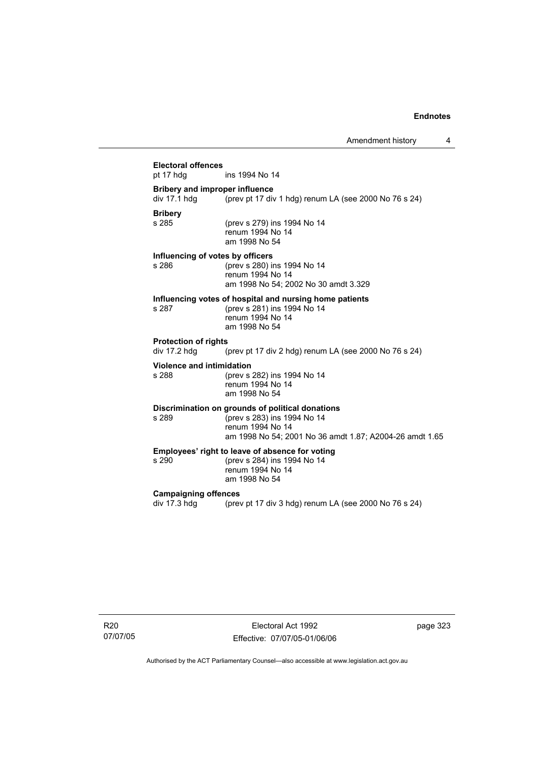# **Electoral offences** ins 1994 No 14 **Bribery and improper influence**  div 17.1 hdg  $\frac{1}{2}$  (prev pt 17 div 1 hdg) renum LA (see 2000 No 76 s 24) **Bribery** (prev s 279) ins 1994 No 14 renum 1994 No 14 am 1998 No 54 **Influencing of votes by officers** s 286 (prev s 280) ins 1994 No 14 renum 1994 No 14 am 1998 No 54; 2002 No 30 amdt 3.329 **Influencing votes of hospital and nursing home patients** s 287 (prev s 281) ins 1994 No 14 renum 1994 No 14 am 1998 No 54 **Protection of rights**  div 17.2 hdg (prev pt 17 div 2 hdg) renum LA (see 2000 No 76 s 24) **Violence and intimidation** s 288 (prev s 282) ins 1994 No 14 renum 1994 No 14 am 1998 No 54 **Discrimination on grounds of political donations** s 289 (prev s 283) ins 1994 No 14 renum 1994 No 14 am 1998 No 54; 2001 No 36 amdt 1.87; A2004-26 amdt 1.65 **Employees' right to leave of absence for voting**<br>s 290 (prev s 284) ins 1994 No 14 (prev s 284) ins 1994 No 14 renum 1994 No 14 am 1998 No 54 **Campaigning offences**  div 17.3 hdg (prev pt 17 div 3 hdg) renum LA (see 2000 No 76 s 24)

R20 07/07/05

Electoral Act 1992 Effective: 07/07/05-01/06/06 page 323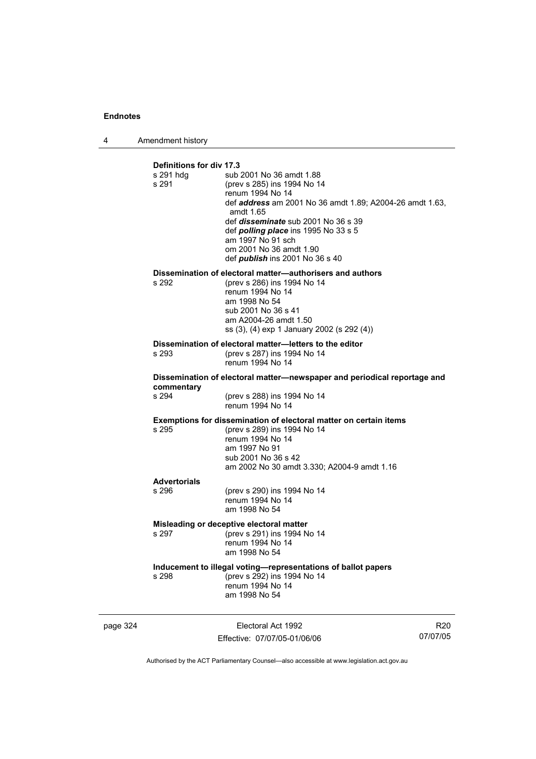4 Amendment history

| Definitions for div 17.3<br>s 291 hdq<br>s 291                                   | sub 2001 No 36 amdt 1.88<br>(prev s 285) ins 1994 No 14<br>renum 1994 No 14<br>def address am 2001 No 36 amdt 1.89; A2004-26 amdt 1.63,<br>amdt 1.65<br>def <i>disseminate</i> sub 2001 No 36 s 39<br>def <i>polling place</i> ins 1995 No 33 s 5<br>am 1997 No 91 sch<br>om 2001 No 36 amdt 1.90<br>def <b>publish</b> ins 2001 No 36 s 40 |  |  |
|----------------------------------------------------------------------------------|---------------------------------------------------------------------------------------------------------------------------------------------------------------------------------------------------------------------------------------------------------------------------------------------------------------------------------------------|--|--|
| s 292                                                                            | Dissemination of electoral matter-authorisers and authors<br>(prev s 286) ins 1994 No 14<br>renum 1994 No 14<br>am 1998 No 54<br>sub 2001 No 36 s 41<br>am A2004-26 amdt 1.50<br>ss (3), (4) exp 1 January 2002 (s 292 (4))                                                                                                                 |  |  |
| s 293                                                                            | Dissemination of electoral matter-letters to the editor<br>(prev s 287) ins 1994 No 14<br>renum 1994 No 14                                                                                                                                                                                                                                  |  |  |
| commentary                                                                       | Dissemination of electoral matter-newspaper and periodical reportage and                                                                                                                                                                                                                                                                    |  |  |
| s 294                                                                            | (prev s 288) ins 1994 No 14<br>renum 1994 No 14                                                                                                                                                                                                                                                                                             |  |  |
| s 295                                                                            | <b>Exemptions for dissemination of electoral matter on certain items</b><br>(prev s 289) ins 1994 No 14<br>renum 1994 No 14<br>am 1997 No 91<br>sub 2001 No 36 s 42<br>am 2002 No 30 amdt 3.330; A2004-9 amdt 1.16                                                                                                                          |  |  |
| <b>Advertorials</b><br>s 296                                                     | (prev s 290) ins 1994 No 14                                                                                                                                                                                                                                                                                                                 |  |  |
|                                                                                  | renum 1994 No 14<br>am 1998 No 54                                                                                                                                                                                                                                                                                                           |  |  |
| Misleading or deceptive electoral matter<br>(prev s 291) ins 1994 No 14<br>s 297 |                                                                                                                                                                                                                                                                                                                                             |  |  |
|                                                                                  | renum 1994 No 14<br>am 1998 No 54                                                                                                                                                                                                                                                                                                           |  |  |
| s 298                                                                            | Inducement to illegal voting-representations of ballot papers<br>(prev s 292) ins 1994 No 14<br>renum 1994 No 14<br>am 1998 No 54                                                                                                                                                                                                           |  |  |

page 324 Electoral Act 1992 Effective: 07/07/05-01/06/06

R20 07/07/05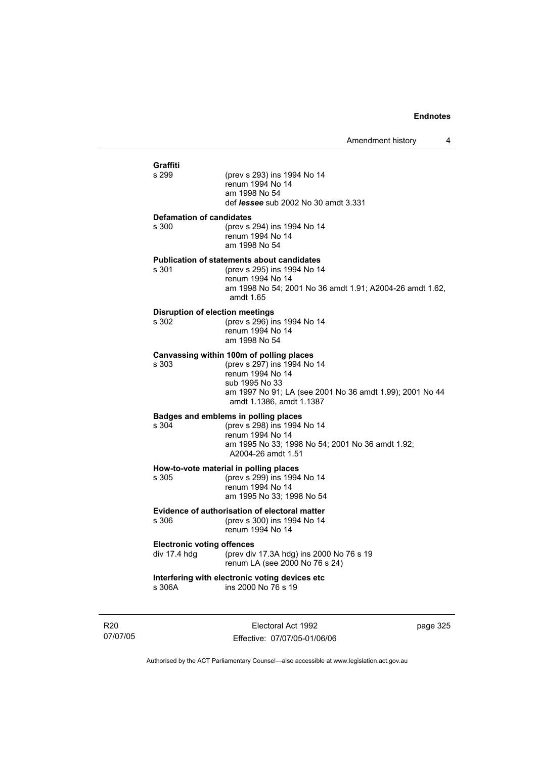| Graffiti<br>s 299                                 | (prev s 293) ins 1994 No 14<br>renum 1994 No 14<br>am 1998 No 54<br>def <i>lessee</i> sub 2002 No 30 amdt 3.331                                                                                       |
|---------------------------------------------------|-------------------------------------------------------------------------------------------------------------------------------------------------------------------------------------------------------|
| <b>Defamation of candidates</b><br>s 300          | (prev s 294) ins 1994 No 14<br>renum 1994 No 14<br>am 1998 No 54                                                                                                                                      |
| s 301                                             | <b>Publication of statements about candidates</b><br>(prev s 295) ins 1994 No 14<br>renum 1994 No 14<br>am 1998 No 54; 2001 No 36 amdt 1.91; A2004-26 amdt 1.62,<br>amdt $1.65$                       |
| <b>Disruption of election meetings</b><br>s 302   | (prev s 296) ins 1994 No 14<br>renum 1994 No 14<br>am 1998 No 54                                                                                                                                      |
| s 303                                             | Canvassing within 100m of polling places<br>(prev s 297) ins 1994 No 14<br>renum 1994 No 14<br>sub 1995 No 33<br>am 1997 No 91; LA (see 2001 No 36 amdt 1.99); 2001 No 44<br>amdt 1.1386, amdt 1.1387 |
| s.304                                             | Badges and emblems in polling places<br>(prev s 298) ins 1994 No 14<br>renum 1994 No 14<br>am 1995 No 33; 1998 No 54; 2001 No 36 amdt 1.92;<br>A2004-26 amdt 1.51                                     |
| s 305                                             | How-to-vote material in polling places<br>(prev s 299) ins 1994 No 14<br>renum 1994 No 14<br>am 1995 No 33; 1998 No 54                                                                                |
| s 306.                                            | <b>Evidence of authorisation of electoral matter</b><br>(prev s 300) ins 1994 No 14<br>renum 1994 No 14                                                                                               |
| <b>Electronic voting offences</b><br>div 17.4 hdg | (prev div 17.3A hdg) ins 2000 No 76 s 19<br>renum LA (see 2000 No 76 s 24)                                                                                                                            |
| s 306A                                            | Interfering with electronic voting devices etc<br>ins 2000 No 76 s 19                                                                                                                                 |
|                                                   |                                                                                                                                                                                                       |

R20 07/07/05

Electoral Act 1992 Effective: 07/07/05-01/06/06 page 325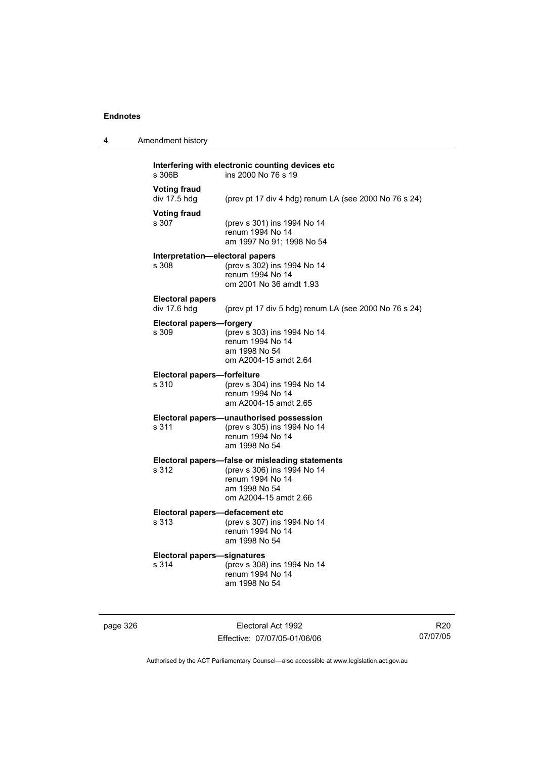4 Amendment history

| s 306B                                   | Interfering with electronic counting devices etc<br>ins 2000 No 76 s 19                                                                      |
|------------------------------------------|----------------------------------------------------------------------------------------------------------------------------------------------|
| <b>Voting fraud</b><br>div 17.5 hdg      | (prev pt 17 div 4 hdg) renum LA (see 2000 No 76 s 24)                                                                                        |
| <b>Voting fraud</b><br>s 307             | (prev s 301) ins 1994 No 14<br>renum 1994 No 14<br>am 1997 No 91; 1998 No 54                                                                 |
| Interpretation-electoral papers<br>s 308 | (prev s 302) ins 1994 No 14<br>renum 1994 No 14<br>om 2001 No 36 amdt 1.93                                                                   |
| <b>Electoral papers</b><br>div 17.6 hdg  | (prev pt 17 div 5 hdg) renum LA (see 2000 No 76 s 24)                                                                                        |
| <b>Electoral papers-forgery</b><br>s 309 | (prev s 303) ins 1994 No 14<br>renum 1994 No 14<br>am 1998 No 54<br>om A2004-15 amdt 2.64                                                    |
| Electoral papers-forfeiture<br>s 310     |                                                                                                                                              |
|                                          | (prev s 304) ins 1994 No 14<br>renum 1994 No 14<br>am A2004-15 amdt 2.65                                                                     |
| s 311                                    | Electoral papers-unauthorised possession<br>(prev s 305) ins 1994 No 14<br>renum 1994 No 14<br>am 1998 No 54                                 |
| s 312                                    | Electoral papers-false or misleading statements<br>(prev s 306) ins 1994 No 14<br>renum 1994 No 14<br>am 1998 No 54<br>om A2004-15 amdt 2.66 |
|                                          |                                                                                                                                              |

# **Electoral papers—defacement etc**<br>s 313 (prev s 307) ins

s 313 (prev s 307) ins 1994 No 14 renum 1994 No 14 am 1998 No 54

# **Electoral papers—signatures**

(prev s 308) ins 1994 No 14 renum 1994 No 14 am 1998 No 54

page 326 Electoral Act 1992 Effective: 07/07/05-01/06/06

R20 07/07/05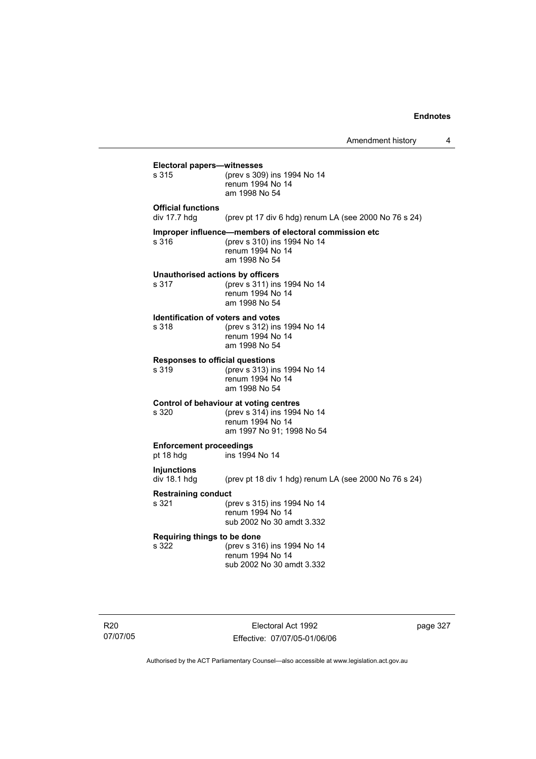$\overline{4}$ 

|                                                    | Amendment history                                                                                                          |
|----------------------------------------------------|----------------------------------------------------------------------------------------------------------------------------|
| <b>Electoral papers-witnesses</b><br>s 315         | (prev s 309) ins 1994 No 14<br>renum 1994 No 14<br>am 1998 No 54                                                           |
| <b>Official functions</b><br>div $17.7$ hdg        | (prev pt 17 div 6 hdg) renum LA (see 2000 No 76 s 24)                                                                      |
| s 316                                              | Improper influence-members of electoral commission etc<br>(prev s 310) ins 1994 No 14<br>renum 1994 No 14<br>am 1998 No 54 |
| Unauthorised actions by officers<br>s 317          | (prev s 311) ins 1994 No 14<br>renum 1994 No 14<br>am 1998 No 54                                                           |
| <b>Identification of voters and votes</b><br>s 318 | (prev s 312) ins 1994 No 14<br>renum 1994 No 14<br>am 1998 No 54                                                           |
| <b>Responses to official questions</b><br>s 319    | (prev s 313) ins 1994 No 14<br>renum 1994 No 14<br>am 1998 No 54                                                           |
| s 320                                              | Control of behaviour at voting centres<br>(prev s 314) ins 1994 No 14<br>renum 1994 No 14<br>am 1997 No 91; 1998 No 54     |
| <b>Enforcement proceedings</b><br>pt 18 hdg        | ins 1994 No 14                                                                                                             |
| <b>Injunctions</b><br>div 18.1 hdg                 | (prev pt 18 div 1 hdg) renum LA (see 2000 No 76 s 24)                                                                      |
| <b>Restraining conduct</b><br>s 321                | (prev s 315) ins 1994 No 14<br>renum 1994 No 14<br>sub 2002 No 30 amdt 3.332                                               |
| Requiring things to be done<br>s 322               | (prev s 316) ins 1994 No 14<br>renum 1994 No 14<br>sub 2002 No 30 amdt 3.332                                               |
|                                                    |                                                                                                                            |

R20 07/07/05

Electoral Act 1992 Effective: 07/07/05-01/06/06 page 327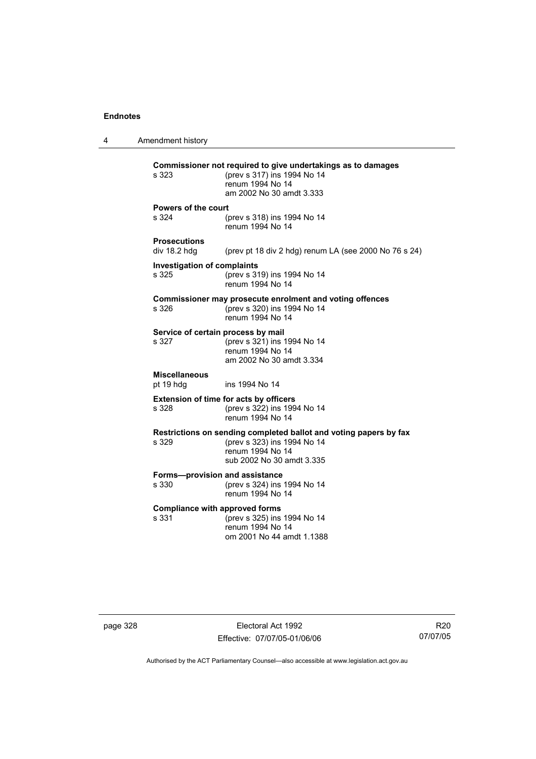4 Amendment history **Commissioner not required to give undertakings as to damages** s 323 (prev s 317) ins 1994 No 14 renum 1994 No 14 am 2002 No 30 amdt 3.333 **Powers of the court** s 324 (prev s 318) ins 1994 No 14 renum 1994 No 14 **Prosecutions**  (prev pt 18 div 2 hdg) renum LA (see 2000 No 76 s 24) **Investigation of complaints** s 325 (prev s 319) ins 1994 No 14 renum 1994 No 14 **Commissioner may prosecute enrolment and voting offences** s 326 (prev s 320) ins 1994 No 14 renum 1994 No 14 **Service of certain process by mail**<br>s 327 (prev s 321) ins 1  $(prev s 321)$  ins 1994 No 14 renum 1994 No 14 am 2002 No 30 amdt 3.334 **Miscellaneous** pt 19 hdg ins 1994 No 14 **Extension of time for acts by officers** s 328 (prev s 322) ins 1994 No 14 renum 1994 No 14 **Restrictions on sending completed ballot and voting papers by fax** s 329 (prev s 323) ins 1994 No 14 renum 1994 No 14 sub 2002 No 30 amdt 3.335 **Forms—provision and assistance** s 330 (prev s 324) ins 1994 No 14 renum 1994 No 14 **Compliance with approved forms**<br>s 331 (prev s 325) ins (prev s 325) ins 1994 No 14 renum 1994 No 14 om 2001 No 44 amdt 1.1388

page 328 Electoral Act 1992 Effective: 07/07/05-01/06/06

R20 07/07/05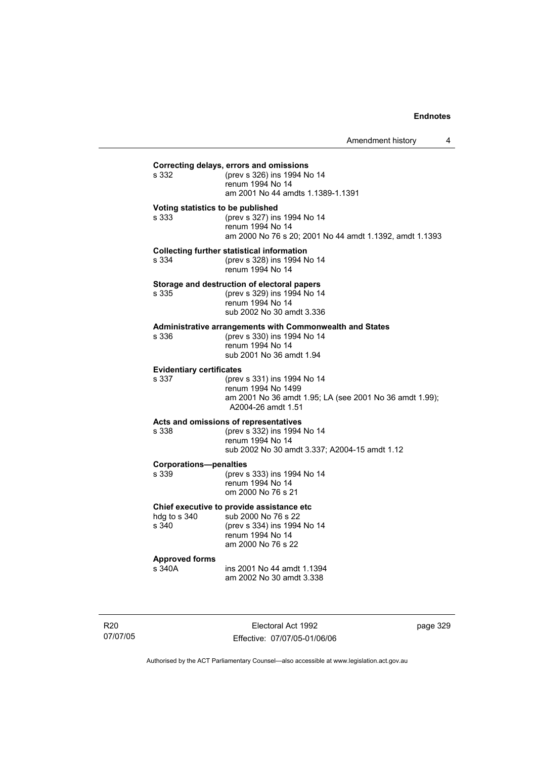| s 332                                    | (prev s 326) ins 1994 No 14<br>renum 1994 No 14<br>am 2001 No 44 amdts 1.1389-1.1391                                                            |
|------------------------------------------|-------------------------------------------------------------------------------------------------------------------------------------------------|
| s 333                                    | Voting statistics to be published<br>(prev s 327) ins 1994 No 14<br>renum 1994 No 14<br>am 2000 No 76 s 20; 2001 No 44 amdt 1.1392, amdt 1.1393 |
| s 334                                    | <b>Collecting further statistical information</b><br>(prev s 328) ins 1994 No 14<br>renum 1994 No 14                                            |
| s 335                                    | Storage and destruction of electoral papers<br>(prev s 329) ins 1994 No 14<br>renum 1994 No 14<br>sub 2002 No 30 amdt 3.336                     |
| s 336                                    | Administrative arrangements with Commonwealth and States<br>(prev s 330) ins 1994 No 14<br>renum 1994 No 14<br>sub 2001 No 36 amdt 1.94         |
| <b>Evidentiary certificates</b><br>s 337 | (prev s 331) ins 1994 No 14<br>renum 1994 No 1499<br>am 2001 No 36 amdt 1.95; LA (see 2001 No 36 amdt 1.99);<br>A2004-26 amdt 1.51              |
| s 338                                    | Acts and omissions of representatives<br>(prev s 332) ins 1994 No 14<br>renum 1994 No 14<br>sub 2002 No 30 amdt 3.337; A2004-15 amdt 1.12       |
| <b>Corporations-penalties</b><br>s 339   | (prev s 333) ins 1994 No 14<br>renum 1994 No 14<br>om 2000 No 76 s 21                                                                           |
| hdg to s 340<br>s 340                    | Chief executive to provide assistance etc<br>sub 2000 No 76 s 22<br>(prev s 334) ins 1994 No 14<br>renum 1994 No 14<br>am 2000 No 76 s 22       |
| <b>Approved forms</b><br>s 340A          | ins 2001 No 44 amdt 1.1394<br>am 2002 No 30 amdt 3.338                                                                                          |

R20 07/07/05

Electoral Act 1992 Effective: 07/07/05-01/06/06 page 329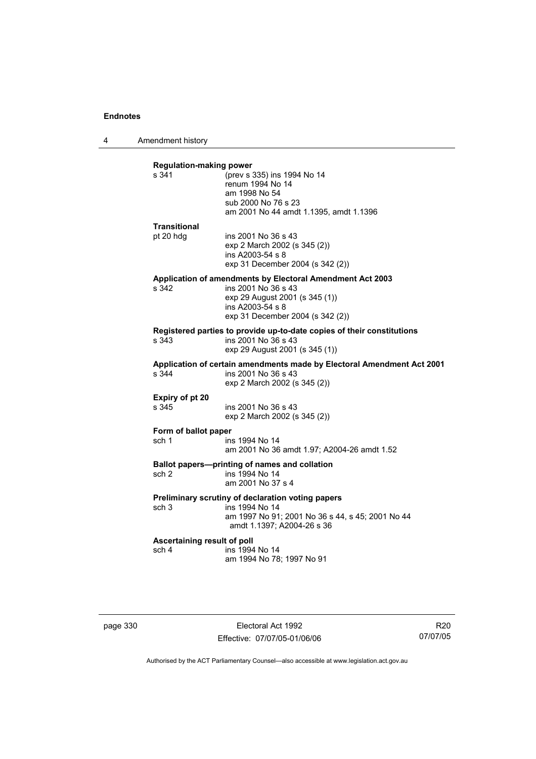4 Amendment history

| s 341                                | (prev s 335) ins 1994 No 14                                                                                                   |
|--------------------------------------|-------------------------------------------------------------------------------------------------------------------------------|
|                                      | renum 1994 No 14                                                                                                              |
|                                      | am 1998 No 54                                                                                                                 |
|                                      | sub 2000 No 76 s 23                                                                                                           |
|                                      | am 2001 No 44 amdt 1.1395, amdt 1.1396                                                                                        |
| <b>Transitional</b>                  |                                                                                                                               |
| pt 20 hdg                            | ins 2001 No 36 s 43                                                                                                           |
|                                      | exp 2 March 2002 (s 345 (2))                                                                                                  |
|                                      | ins A2003-54 s 8                                                                                                              |
|                                      | exp 31 December 2004 (s 342 (2))                                                                                              |
|                                      | Application of amendments by Electoral Amendment Act 2003                                                                     |
| s 342                                | ins 2001 No 36 s 43                                                                                                           |
|                                      | exp 29 August 2001 (s 345 (1))<br>ins A2003-54 s 8                                                                            |
|                                      | exp 31 December 2004 (s 342 (2))                                                                                              |
|                                      |                                                                                                                               |
| s 343                                | Registered parties to provide up-to-date copies of their constitutions<br>ins 2001 No 36 s 43                                 |
|                                      | exp 29 August 2001 (s 345 (1))                                                                                                |
| s 344                                | Application of certain amendments made by Electoral Amendment Act 2001<br>ins 2001 No 36 s 43<br>exp 2 March 2002 (s 345 (2)) |
| Expiry of pt 20                      |                                                                                                                               |
| s 345                                | ins 2001 No 36 s 43                                                                                                           |
|                                      | exp 2 March 2002 (s 345 (2))                                                                                                  |
| Form of ballot paper                 |                                                                                                                               |
| sch 1                                | ins 1994 No 14                                                                                                                |
|                                      | am 2001 No 36 amdt 1.97; A2004-26 amdt 1.52                                                                                   |
|                                      | Ballot papers-printing of names and collation                                                                                 |
| sch <sub>2</sub>                     | ins 1994 No 14                                                                                                                |
|                                      | am 2001 No 37 s 4                                                                                                             |
|                                      | Preliminary scrutiny of declaration voting papers                                                                             |
| sch <sub>3</sub>                     | ins 1994 No 14                                                                                                                |
|                                      | am 1997 No 91; 2001 No 36 s 44, s 45; 2001 No 44<br>amdt 1.1397; A2004-26 s 36                                                |
|                                      |                                                                                                                               |
|                                      |                                                                                                                               |
| Ascertaining result of poll<br>sch 4 | ins 1994 No 14                                                                                                                |

page 330 Electoral Act 1992 Effective: 07/07/05-01/06/06

R20 07/07/05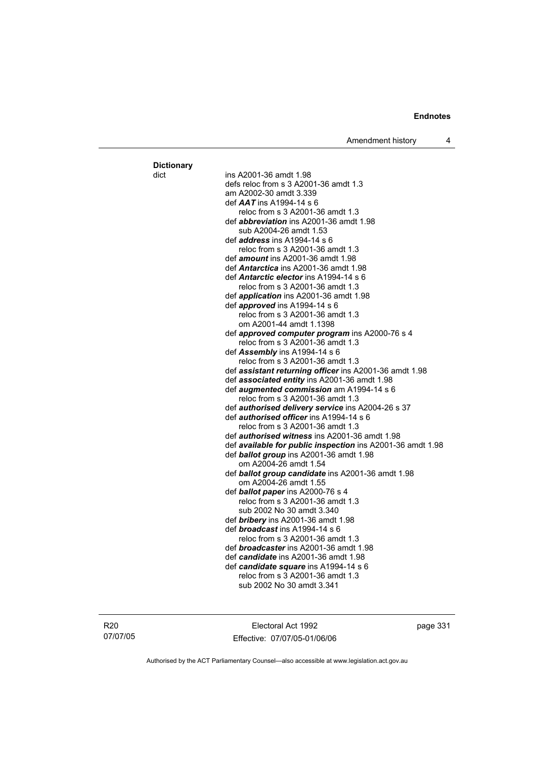Amendment history 4

dict ins A2001-36 amdt 1.98 defs reloc from s 3 A2001-36 amdt 1.3 am A2002-30 amdt 3.339 def *AAT* ins A1994-14 s 6 reloc from s 3 A2001-36 amdt 1.3 def *abbreviation* ins A2001-36 amdt 1.98 sub A2004-26 amdt 1.53 def *address* ins A1994-14 s 6 reloc from s 3 A2001-36 amdt 1.3 def *amount* ins A2001-36 amdt 1.98 def *Antarctica* ins A2001-36 amdt 1.98 def *Antarctic elector* ins A1994-14 s 6 reloc from s 3 A2001-36 amdt 1.3 def *application* ins A2001-36 amdt 1.98 def *approved* ins A1994-14 s 6 reloc from s 3 A2001-36 amdt 1.3 om A2001-44 amdt 1.1398 def *approved computer program* ins A2000-76 s 4 reloc from s 3 A2001-36 amdt 1.3 def *Assembly* ins A1994-14 s 6 reloc from s 3 A2001-36 amdt 1.3 def *assistant returning officer* ins A2001-36 amdt 1.98 def *associated entity* ins A2001-36 amdt 1.98 def *augmented commission* am A1994-14 s 6 reloc from s 3 A2001-36 amdt 1.3 def *authorised delivery service* ins A2004-26 s 37 def *authorised officer* ins A1994-14 s 6 reloc from s 3 A2001-36 amdt 1.3 def *authorised witness* ins A2001-36 amdt 1.98 def *available for public inspection* ins A2001-36 amdt 1.98 def *ballot group* ins A2001-36 amdt 1.98 om A2004-26 amdt 1.54 def *ballot group candidate* ins A2001-36 amdt 1.98 om A2004-26 amdt 1.55 def *ballot paper* ins A2000-76 s 4 reloc from s 3 A2001-36 amdt 1.3 sub 2002 No 30 amdt 3.340 def *bribery* ins A2001-36 amdt 1.98 def *broadcast* ins A1994-14 s 6 reloc from s 3 A2001-36 amdt 1.3 def *broadcaster* ins A2001-36 amdt 1.98 def *candidate* ins A2001-36 amdt 1.98 def *candidate square* ins A1994-14 s 6 reloc from s 3 A2001-36 amdt 1.3 sub 2002 No 30 amdt 3.341

R20 07/07/05 **Dictionary**

Electoral Act 1992 Effective: 07/07/05-01/06/06 page 331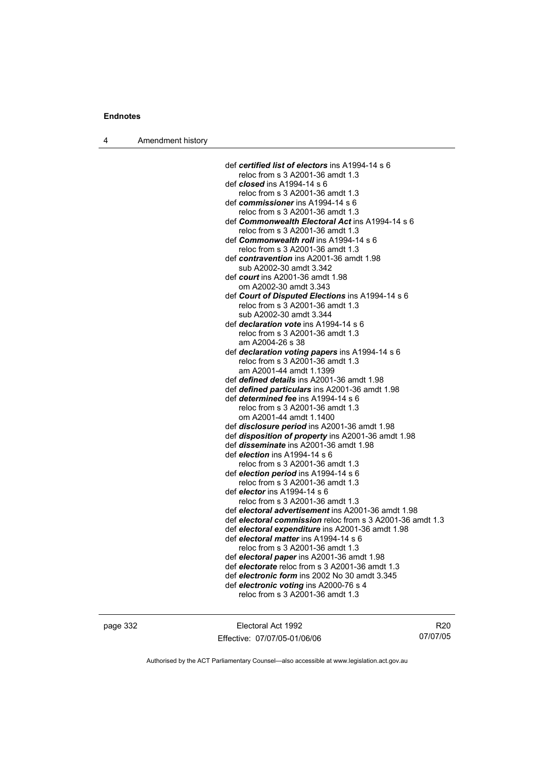4 Amendment history

def *certified list of electors* ins A1994-14 s 6 reloc from s 3 A2001-36 amdt 1.3 def *closed* ins A1994-14 s 6 reloc from s 3 A2001-36 amdt 1.3 def *commissioner* ins A1994-14 s 6 reloc from s 3 A2001-36 amdt 1.3 def *Commonwealth Electoral Act* ins A1994-14 s 6 reloc from s 3 A2001-36 amdt 1.3 def *Commonwealth roll* ins A1994-14 s 6 reloc from s 3 A2001-36 amdt 1.3 def *contravention* ins A2001-36 amdt 1.98 sub A2002-30 amdt 3.342 def *court* ins A2001-36 amdt 1.98 om A2002-30 amdt 3.343 def *Court of Disputed Elections* ins A1994-14 s 6 reloc from s 3 A2001-36 amdt 1.3 sub A2002-30 amdt 3.344 def *declaration vote* ins A1994-14 s 6 reloc from s 3 A2001-36 amdt 1.3 am A2004-26 s 38 def *declaration voting papers* ins A1994-14 s 6 reloc from s 3 A2001-36 amdt 1.3 am A2001-44 amdt 1.1399 def *defined details* ins A2001-36 amdt 1.98 def *defined particulars* ins A2001-36 amdt 1.98 def *determined fee* ins A1994-14 s 6 reloc from s 3 A2001-36 amdt 1.3 om A2001-44 amdt 1.1400 def *disclosure period* ins A2001-36 amdt 1.98 def *disposition of property* ins A2001-36 amdt 1.98 def *disseminate* ins A2001-36 amdt 1.98 def *election* ins A1994-14 s 6 reloc from s 3 A2001-36 amdt 1.3 def *election period* ins A1994-14 s 6 reloc from s 3 A2001-36 amdt 1.3 def *elector* ins A1994-14 s 6 reloc from s 3 A2001-36 amdt 1.3 def *electoral advertisement* ins A2001-36 amdt 1.98 def *electoral commission* reloc from s 3 A2001-36 amdt 1.3 def *electoral expenditure* ins A2001-36 amdt 1.98 def *electoral matter* ins A1994-14 s 6 reloc from s 3 A2001-36 amdt 1.3 def *electoral paper* ins A2001-36 amdt 1.98 def *electorate* reloc from s 3 A2001-36 amdt 1.3 def *electronic form* ins 2002 No 30 amdt 3.345 def *electronic voting* ins A2000-76 s 4 reloc from s 3 A2001-36 amdt 1.3

page 332 Electoral Act 1992 Effective: 07/07/05-01/06/06

R20 07/07/05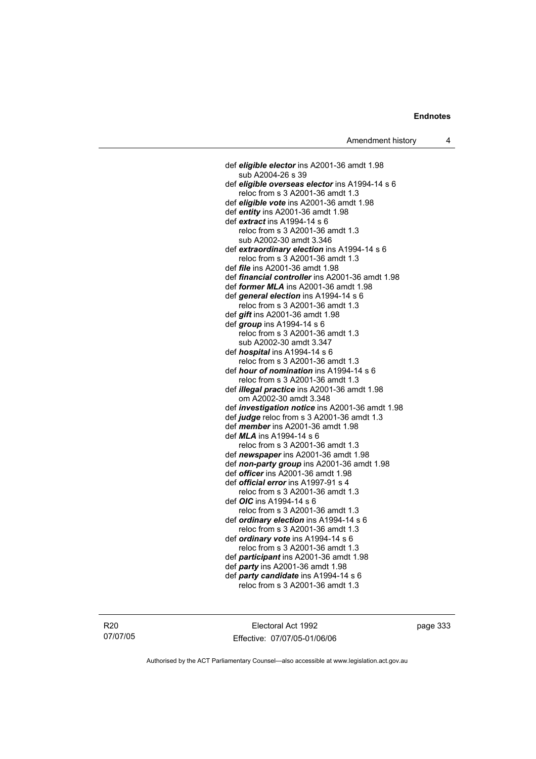def *eligible elector* ins A2001-36 amdt 1.98 sub A2004-26 s 39 def *eligible overseas elector* ins A1994-14 s 6 reloc from s 3 A2001-36 amdt 1.3 def *eligible vote* ins A2001-36 amdt 1.98 def *entity* ins A2001-36 amdt 1.98 def *extract* ins A1994-14 s 6 reloc from s 3 A2001-36 amdt 1.3 sub A2002-30 amdt 3.346 def *extraordinary election* ins A1994-14 s 6 reloc from s 3 A2001-36 amdt 1.3 def *file* ins A2001-36 amdt 1.98 def *financial controller* ins A2001-36 amdt 1.98 def *former MLA* ins A2001-36 amdt 1.98 def *general election* ins A1994-14 s 6 reloc from s 3 A2001-36 amdt 1.3 def *gift* ins A2001-36 amdt 1.98 def *group* ins A1994-14 s 6 reloc from s 3 A2001-36 amdt 1.3 sub A2002-30 amdt 3.347 def *hospital* ins A1994-14 s 6 reloc from s 3 A2001-36 amdt 1.3 def *hour of nomination* ins A1994-14 s 6 reloc from s 3 A2001-36 amdt 1.3 def *illegal practice* ins A2001-36 amdt 1.98 om A2002-30 amdt 3.348 def *investigation notice* ins A2001-36 amdt 1.98 def *judge* reloc from s 3 A2001-36 amdt 1.3 def *member* ins A2001-36 amdt 1.98 def *MLA* ins A1994-14 s 6 reloc from s 3 A2001-36 amdt 1.3 def *newspaper* ins A2001-36 amdt 1.98 def *non-party group* ins A2001-36 amdt 1.98 def *officer* ins A2001-36 amdt 1.98 def *official error* ins A1997-91 s 4 reloc from s 3 A2001-36 amdt 1.3 def *OIC* ins A1994-14 s 6 reloc from s 3 A2001-36 amdt 1.3 def *ordinary election* ins A1994-14 s 6 reloc from s 3 A2001-36 amdt 1.3 def *ordinary vote* ins A1994-14 s 6 reloc from s 3 A2001-36 amdt 1.3 def *participant* ins A2001-36 amdt 1.98 def *party* ins A2001-36 amdt 1.98 def *party candidate* ins A1994-14 s 6 reloc from s 3 A2001-36 amdt 1.3

R20 07/07/05

Electoral Act 1992 Effective: 07/07/05-01/06/06 page 333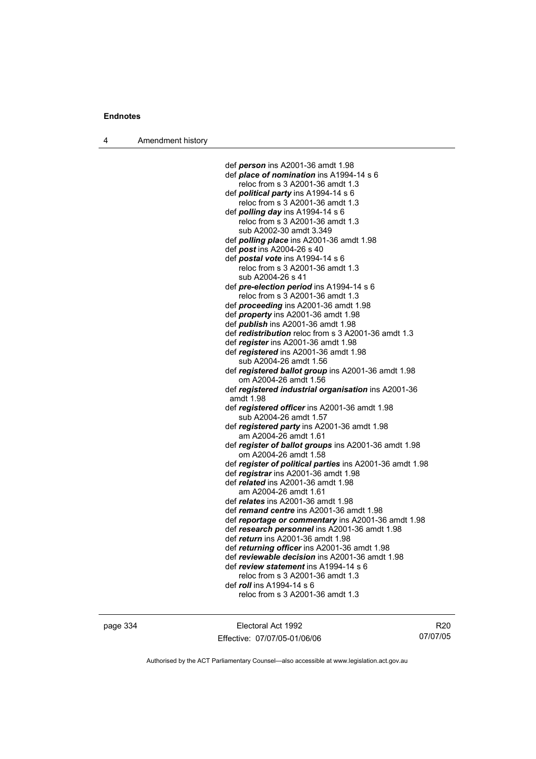4 Amendment history

 def *person* ins A2001-36 amdt 1.98 def *place of nomination* ins A1994-14 s 6 reloc from s 3 A2001-36 amdt 1.3 def *political party* ins A1994-14 s 6 reloc from s 3 A2001-36 amdt 1.3 def *polling day* ins A1994-14 s 6 reloc from s 3 A2001-36 amdt 1.3 sub A2002-30 amdt 3.349 def *polling place* ins A2001-36 amdt 1.98 def *post* ins A2004-26 s 40 def *postal vote* ins A1994-14 s 6 reloc from s 3 A2001-36 amdt 1.3 sub A2004-26 s 41 def *pre-election period* ins A1994-14 s 6 reloc from s 3 A2001-36 amdt 1.3 def *proceeding* ins A2001-36 amdt 1.98 def *property* ins A2001-36 amdt 1.98 def *publish* ins A2001-36 amdt 1.98 def *redistribution* reloc from s 3 A2001-36 amdt 1.3 def *register* ins A2001-36 amdt 1.98 def *registered* ins A2001-36 amdt 1.98 sub A2004-26 amdt 1.56 def *registered ballot group* ins A2001-36 amdt 1.98 om A2004-26 amdt 1.56 def *registered industrial organisation* ins A2001-36 amdt 1.98 def *registered officer* ins A2001-36 amdt 1.98 sub A2004-26 amdt 1.57 def *registered party* ins A2001-36 amdt 1.98 am A2004-26 amdt 1.61 def *register of ballot groups* ins A2001-36 amdt 1.98 om A2004-26 amdt 1.58 def *register of political parties* ins A2001-36 amdt 1.98 def *registrar* ins A2001-36 amdt 1.98 def *related* ins A2001-36 amdt 1.98 am A2004-26 amdt 1.61 def *relates* ins A2001-36 amdt 1.98 def *remand centre* ins A2001-36 amdt 1.98 def *reportage or commentary* ins A2001-36 amdt 1.98 def *research personnel* ins A2001-36 amdt 1.98 def *return* ins A2001-36 amdt 1.98 def *returning officer* ins A2001-36 amdt 1.98 def *reviewable decision* ins A2001-36 amdt 1.98 def *review statement* ins A1994-14 s 6 reloc from s 3 A2001-36 amdt 1.3 def *roll* ins A1994-14 s 6

page 334 Electoral Act 1992 Effective: 07/07/05-01/06/06

R20 07/07/05

Authorised by the ACT Parliamentary Counsel—also accessible at www.legislation.act.gov.au

reloc from s 3 A2001-36 amdt 1.3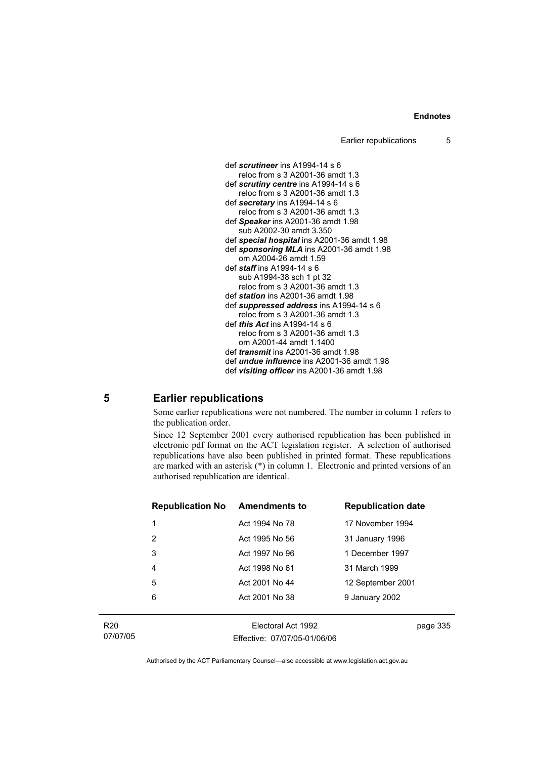

### **5 Earlier republications**

Some earlier republications were not numbered. The number in column 1 refers to the publication order.

Since 12 September 2001 every authorised republication has been published in electronic pdf format on the ACT legislation register. A selection of authorised republications have also been published in printed format. These republications are marked with an asterisk (\*) in column 1. Electronic and printed versions of an authorised republication are identical.

| <b>Republication No</b> | <b>Amendments to</b> | <b>Republication date</b> |
|-------------------------|----------------------|---------------------------|
| 1                       | Act 1994 No 78       | 17 November 1994          |
| 2                       | Act 1995 No 56       | 31 January 1996           |
| 3                       | Act 1997 No 96       | 1 December 1997           |
| 4                       | Act 1998 No 61       | 31 March 1999             |
| 5                       | Act 2001 No 44       | 12 September 2001         |
| 6                       | Act 2001 No 38       | 9 January 2002            |
|                         |                      |                           |

R20 07/07/05

Electoral Act 1992 Effective: 07/07/05-01/06/06 page 335